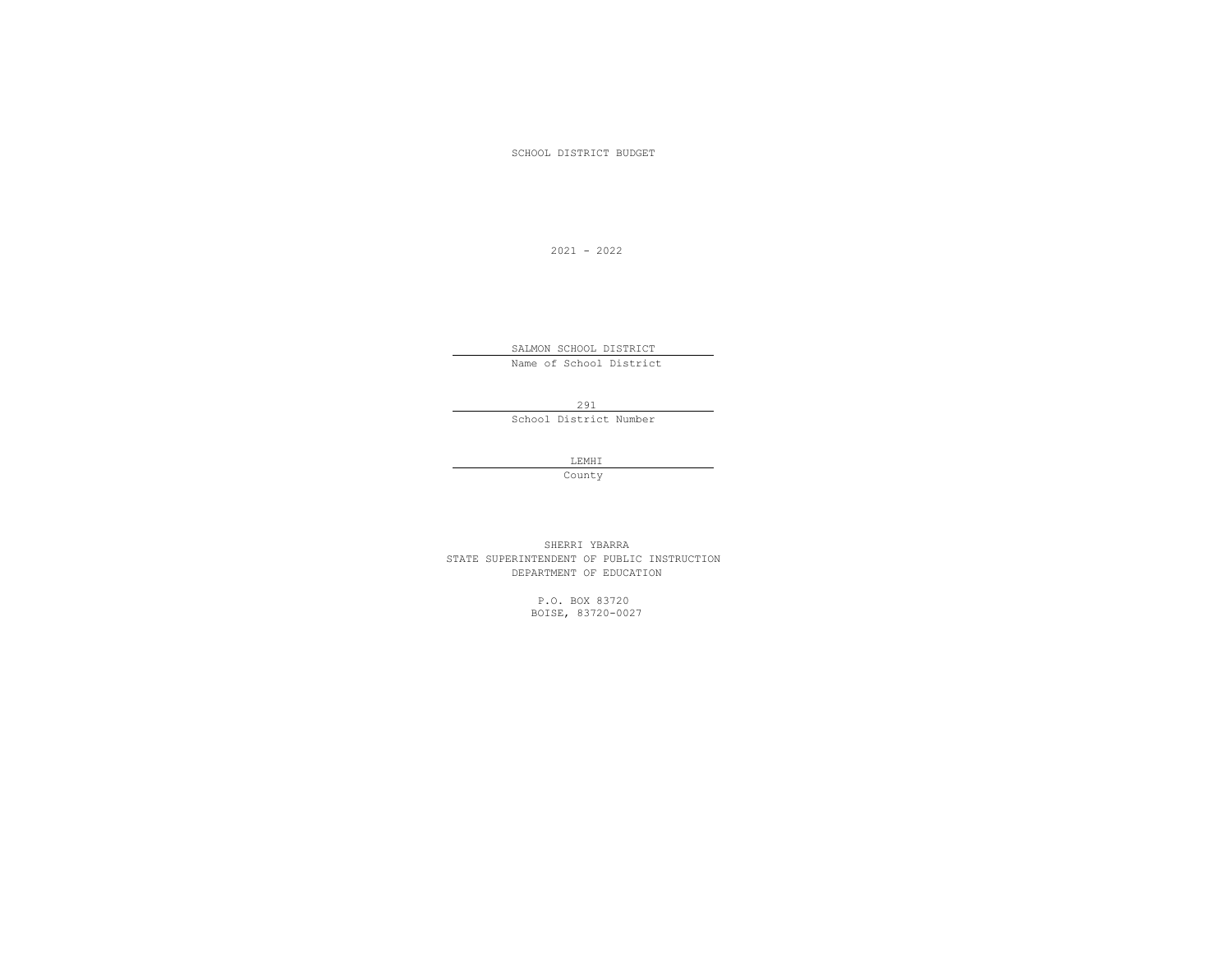SCHOOL DISTRICT BUDGET

2021 - 2022

 SALMON SCHOOL DISTRICT Name of School District

291

School District Number

LEMHI LEMHI LEMHI LEMHI LEMHI LEMHI LEMHI LEMHI LEMHI LEMHI LEMHI LEMHI LEMHI LEMHI LEMHI LEMHI LEMHI LEMHI LEMHI LEMHI LEMHI LEMHI LEMHI LEMHI LEMHI LEMHI LEMHI LEMHI LEMHI LEMHI LEMHI LEMHI LEMHI LEMHI LEMHI LEMHI LEMHI

**County** County

 SHERRI YBARRA STATE SUPERINTENDENT OF PUBLIC INSTRUCTION DEPARTMENT OF EDUCATION

> P.O. BOX 83720 BOISE, 83720-0027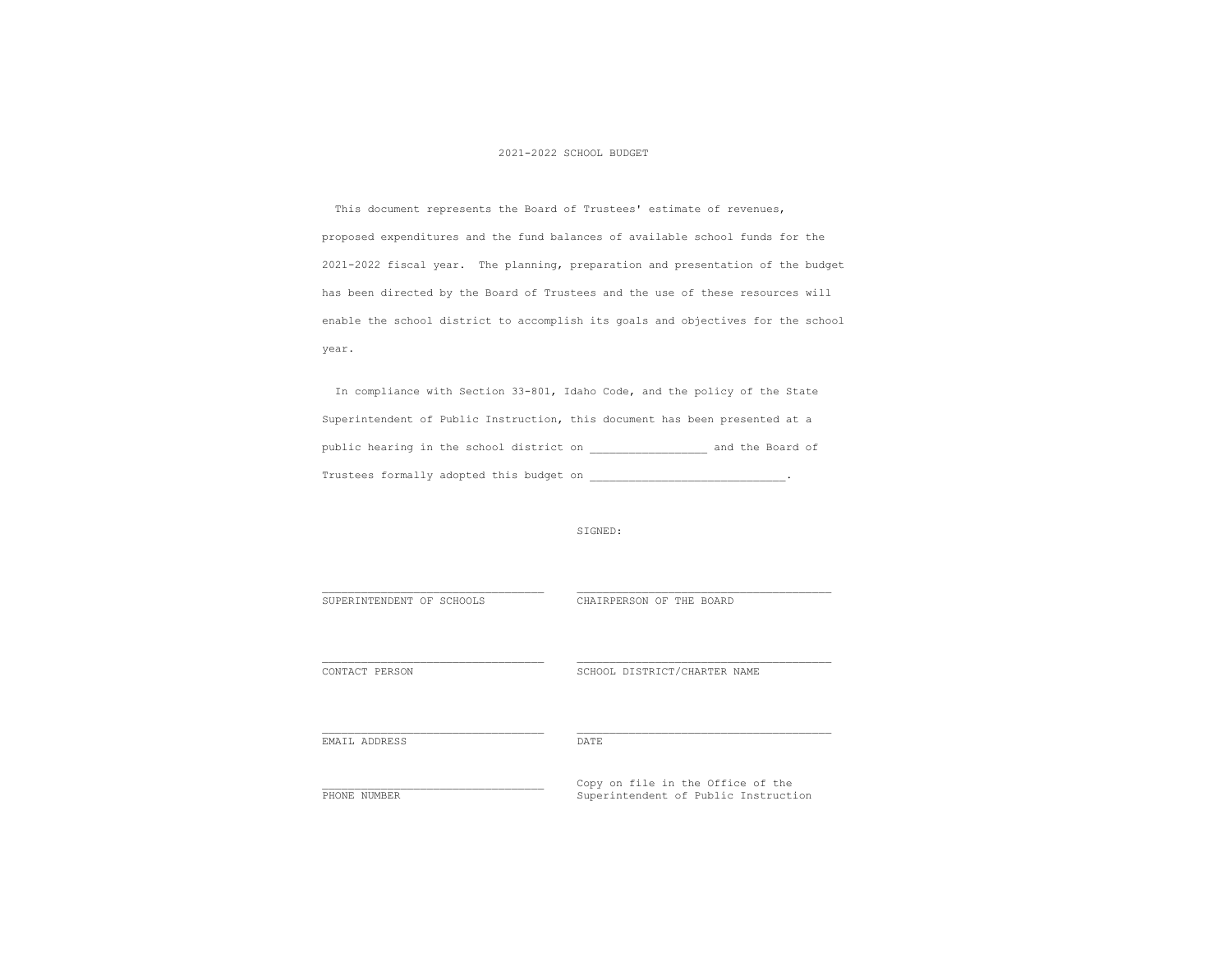## 2021-2022 SCHOOL BUDGET

 This document represents the Board of Trustees' estimate of revenues, proposed expenditures and the fund balances of available school funds for the 2021-2022 fiscal year. The planning, preparation and presentation of the budget has been directed by the Board of Trustees and the use of these resources will enable the school district to accomplish its goals and objectives for the school year.

 In compliance with Section 33-801, Idaho Code, and the policy of the State Superintendent of Public Instruction, this document has been presented at a public hearing in the school district on \_\_\_\_\_\_\_\_\_\_\_\_\_\_\_\_\_\_ and the Board of Trustees formally adopted this budget on \_\_\_\_\_\_\_\_\_\_\_\_\_\_\_\_\_\_\_\_\_\_\_\_\_\_\_\_\_\_\_\_\_..

|  | SIGNED: |
|--|---------|
|--|---------|

SUPERINTENDENT OF SCHOOLS CHAIRPERSON OF THE BOARD

CONTACT PERSON SCHOOL DISTRICT/CHARTER NAME

EMAIL ADDRESS DATE

THONE NUMBER<br>
PHONE NUMBER<br>
Superintendent of Public Instruct Superintendent of Public Instruction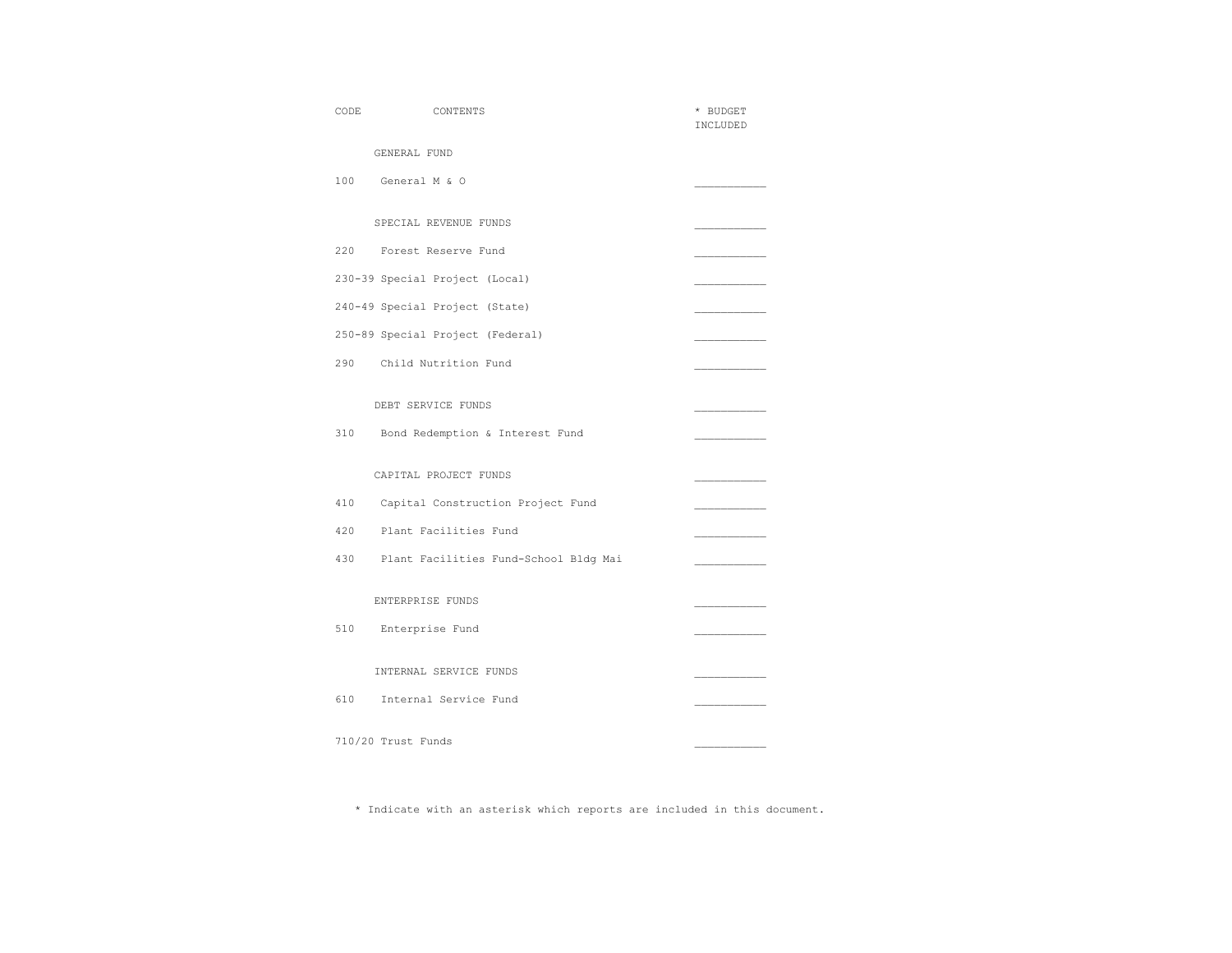| CODE | CONTENTS                              | * BUDGET<br>INCLUDED |
|------|---------------------------------------|----------------------|
|      | GENERAL FUND                          |                      |
| 100  | General M & O                         |                      |
|      | SPECIAL REVENUE FUNDS                 |                      |
| 220  | Forest Reserve Fund                   |                      |
|      | 230-39 Special Project (Local)        |                      |
|      | 240-49 Special Project (State)        |                      |
|      | 250-89 Special Project (Federal)      |                      |
| 290  | Child Nutrition Fund                  |                      |
|      | DEBT SERVICE FUNDS                    |                      |
| 310  | Bond Redemption & Interest Fund       |                      |
|      | CAPITAL PROJECT FUNDS                 |                      |
| 410  | Capital Construction Project Fund     |                      |
| 420  | Plant Facilities Fund                 |                      |
| 430  | Plant Facilities Fund-School Bldg Mai |                      |
|      | ENTERPRISE FUNDS                      |                      |
| 510  | Enterprise Fund                       |                      |
|      | INTERNAL SERVICE FUNDS                |                      |
| 610  | Internal Service Fund                 |                      |
|      | 710/20 Trust Funds                    |                      |

\* Indicate with an asterisk which reports are included in this document.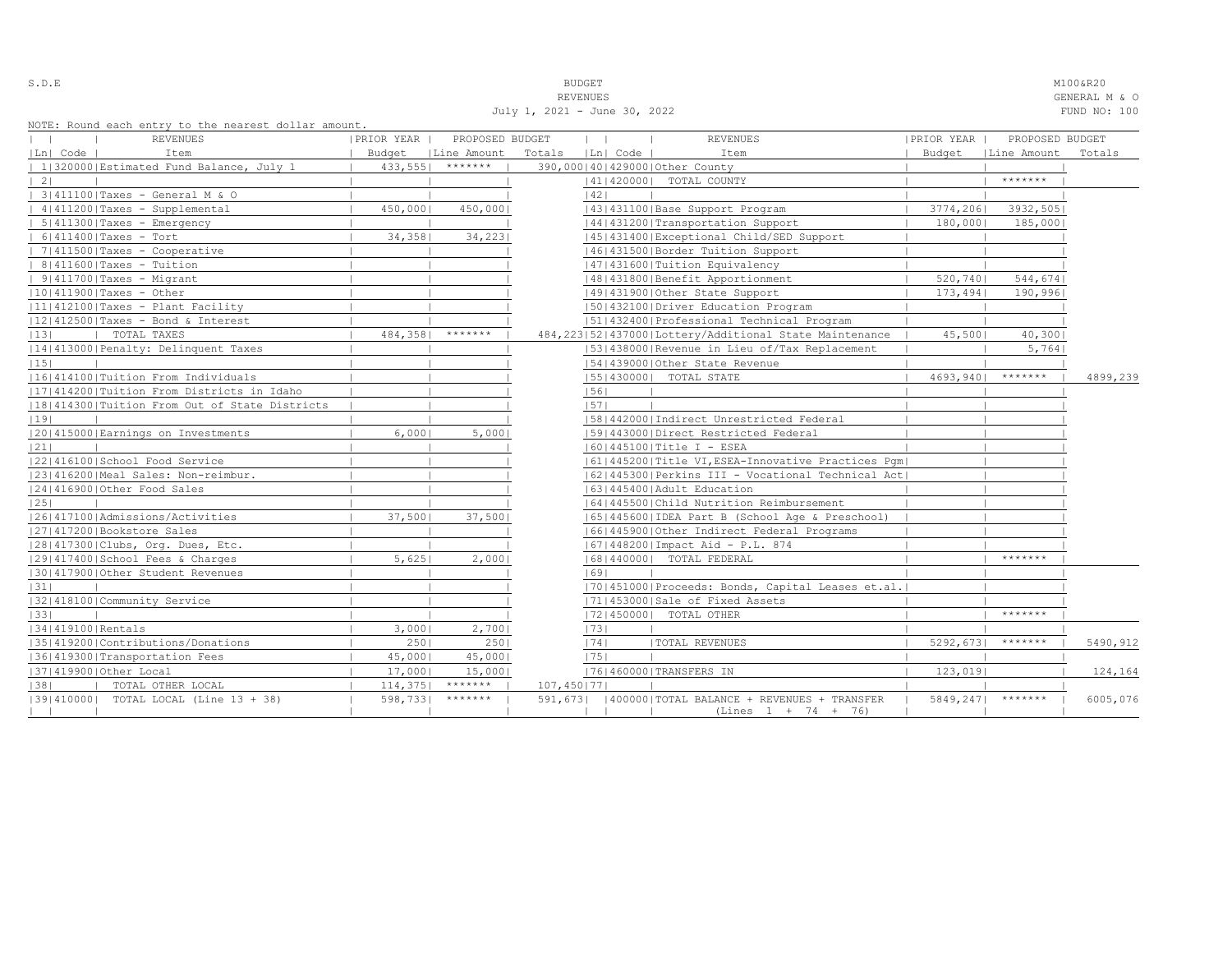| ٠<br>-<br>u |  |  | i |  |  |
|-------------|--|--|---|--|--|
|-------------|--|--|---|--|--|

July 1, 2021 - June 30, 2022 FUND NO: 100

S.D.E SOME SALL SOMETHING THE SUDGET SERVICE SERVICE SERVICE SUBSECTION AND SOME SALL SOMETHING SOME SALL SOMETHING SOMETHING SOMETHING SALL SOMETHING SOMETHING SOMETHING SOMETHING SOMETHING SOMETHING SOMETHING SOMETHING S REVENUES GENERAL M & O

|                   | NOTE: Round each entry to the nearest dollar amount. |            |                      |                          |          |                                                        |            |                      |          |
|-------------------|------------------------------------------------------|------------|----------------------|--------------------------|----------|--------------------------------------------------------|------------|----------------------|----------|
|                   | <b>REVENUES</b>                                      | PRIOR YEAR | PROPOSED BUDGET      | $\mathbf{1}$             |          | <b>REVENUES</b>                                        | PRIOR YEAR | PROPOSED BUDGET      |          |
| Ln  Code          | Item                                                 |            | Budget   Line Amount | Totals                   | Ln  Code | Item                                                   |            | Budget   Line Amount | Totals   |
|                   | 1 320000 Estimated Fund Balance, July 1              |            | $433,555$   *******  |                          |          | 390,000140142900010ther County                         |            |                      |          |
| $\vert$ 2 $\vert$ |                                                      |            |                      |                          |          | 41   420000   TOTAL COUNTY                             |            | *******              |          |
|                   | 3 411100 Taxes - General M & O                       |            |                      | 1421                     |          |                                                        |            |                      |          |
|                   | 4 411200 Taxes - Supplemental                        | 450,000    | 450,0001             |                          |          | 43   431100   Base Support Program                     | 3774,2061  | 3932,505             |          |
|                   | $  5 411300 $ Taxes - Emergency                      |            |                      |                          |          | 44   431200   Transportation Support                   | 180,000    | 185,000              |          |
|                   | $  6 411400 $ Taxes - Tort                           | 34,3581    | 34, 223              |                          |          | 45   431400   Exceptional Child/SED Support            |            |                      |          |
|                   | $  7 411500 $ Taxes - Cooperative                    |            |                      |                          |          | 46 431500 Border Tuition Support                       |            |                      |          |
|                   | $  8 411600 $ Taxes - Tuition                        |            |                      |                          |          | 47   431600   Tuition Equivalency                      |            |                      |          |
|                   | $  9 411700 $ Taxes - Migrant                        |            |                      |                          |          | 48   431800   Benefit Apportionment                    | 520,740    | 544,674              |          |
|                   | $ 10 411900 $ Taxes - Other                          |            |                      |                          |          | 49 431900 Other State Support                          | 173,494    | 190,9961             |          |
|                   | $ 11 412100 $ Taxes - Plant Facility                 |            |                      |                          |          | 1501432100 Driver Education Program                    |            |                      |          |
|                   | $ 12 412500 $ Taxes - Bond & Interest                |            |                      |                          |          | 1511432400 Professional Technical Program              |            |                      |          |
| 13                | TOTAL TAXES                                          | 484,358    | *******              |                          |          | 484,223 52 437000 Lottery/Additional State Maintenance | 45,500     | 40,300               |          |
|                   | 14 413000 Penalty: Delinquent Taxes                  |            |                      |                          |          | [53] 438000 Revenue in Lieu of/Tax Replacement         |            | 5,764                |          |
| 15                |                                                      |            |                      |                          |          | 154143900010ther State Revenue                         |            |                      |          |
|                   | 1161414100   Tuition From Individuals                |            |                      |                          |          | 55   430000   TOTAL STATE                              |            | $4693,940$   ******* | 4899,239 |
|                   | [17] 414200   Tuition From Districts in Idaho        |            |                      | 56                       |          |                                                        |            |                      |          |
|                   | 18 414300 Tuition From Out of State Districts        |            |                      | 57                       |          |                                                        |            |                      |          |
| 19                |                                                      |            |                      |                          |          | 58 442000 Indirect Unrestricted Federal                |            |                      |          |
|                   | 12014150001Earnings on Investments                   | 6,0001     | 5,0001               |                          |          | 1591443000   Direct Restricted Federal                 |            |                      |          |
| 21                |                                                      |            |                      |                          |          | $ 60 445100 $ Title I - ESEA                           |            |                      |          |
|                   | 12214161001School Food Service                       |            |                      |                          |          | 61   445200   Title VI, ESEA-Innovative Practices Pgm  |            |                      |          |
|                   | 23 416200 Meal Sales: Non-reimbur.                   |            |                      |                          |          | 62 445300 Perkins III - Vocational Technical Act       |            |                      |          |
|                   | 24 416900 Other Food Sales                           |            |                      |                          |          | 1631445400 Adult Education                             |            |                      |          |
| 25                |                                                      |            |                      |                          |          | 1641445500 Child Nutrition Reimbursement               |            |                      |          |
|                   | 1261417100   Admissions/Activities                   | 37,5001    | 37,500               |                          |          | 65   445600   IDEA Part B (School Age & Preschool)     |            |                      |          |
|                   | 27 417200 Bookstore Sales                            |            |                      |                          |          | 66 445900 Other Indirect Federal Programs              |            |                      |          |
|                   | 28 417300 Clubs, Org. Dues, Etc.                     |            |                      |                          |          | 67   448200   Impact Aid - P.L. 874                    |            |                      |          |
|                   | 29 417400 School Fees & Charges                      | 5,6251     | 2,0001               |                          |          | 68   440000   TOTAL FEDERAL                            |            | $*********$          |          |
|                   | 130141790010ther Student Revenues                    |            |                      | 69                       |          |                                                        |            |                      |          |
| 31                |                                                      |            |                      |                          |          | [70] 451000 Proceeds: Bonds, Capital Leases et.al.     |            |                      |          |
|                   | 32 418100 Community Service                          |            |                      |                          |          | 17114530001Sale of Fixed Assets                        |            |                      |          |
| 1331              |                                                      |            |                      |                          |          | 17214500001 TOTAL OTHER                                |            | *******              |          |
| 34 419100 Rentals |                                                      | $3,000$    | 2,700                | 73                       |          |                                                        |            |                      |          |
|                   | 35 419200 Contributions/Donations                    | 2501       | 2501                 | 74                       |          | <b> TOTAL REVENUES</b>                                 |            | $5292, 673$ *******  | 5490,912 |
|                   | 36 419300 Transportation Fees                        | 45,000     | 45,000               | 1751                     |          |                                                        |            |                      |          |
|                   | 37 419900 Other Local                                | $17,000$   | 15,000               |                          |          | 76 460000 TRANSFERS IN                                 | 123,019    |                      | 124,164  |
| 38                | TOTAL OTHER LOCAL                                    | 114, 375   | *******              | 107,450   77             |          |                                                        |            |                      |          |
|                   | [39] 410000] TOTAL LOCAL (Line 13 + 38)              | 598,7331   | *******              |                          |          | 591,673   400000 TOTAL BALANCE + REVENUES + TRANSFER   |            | 5849,247  *******    | 6005,076 |
|                   |                                                      |            |                      | the contract of the con- |          | $(Lines 1 + 74 + 76)$                                  |            |                      |          |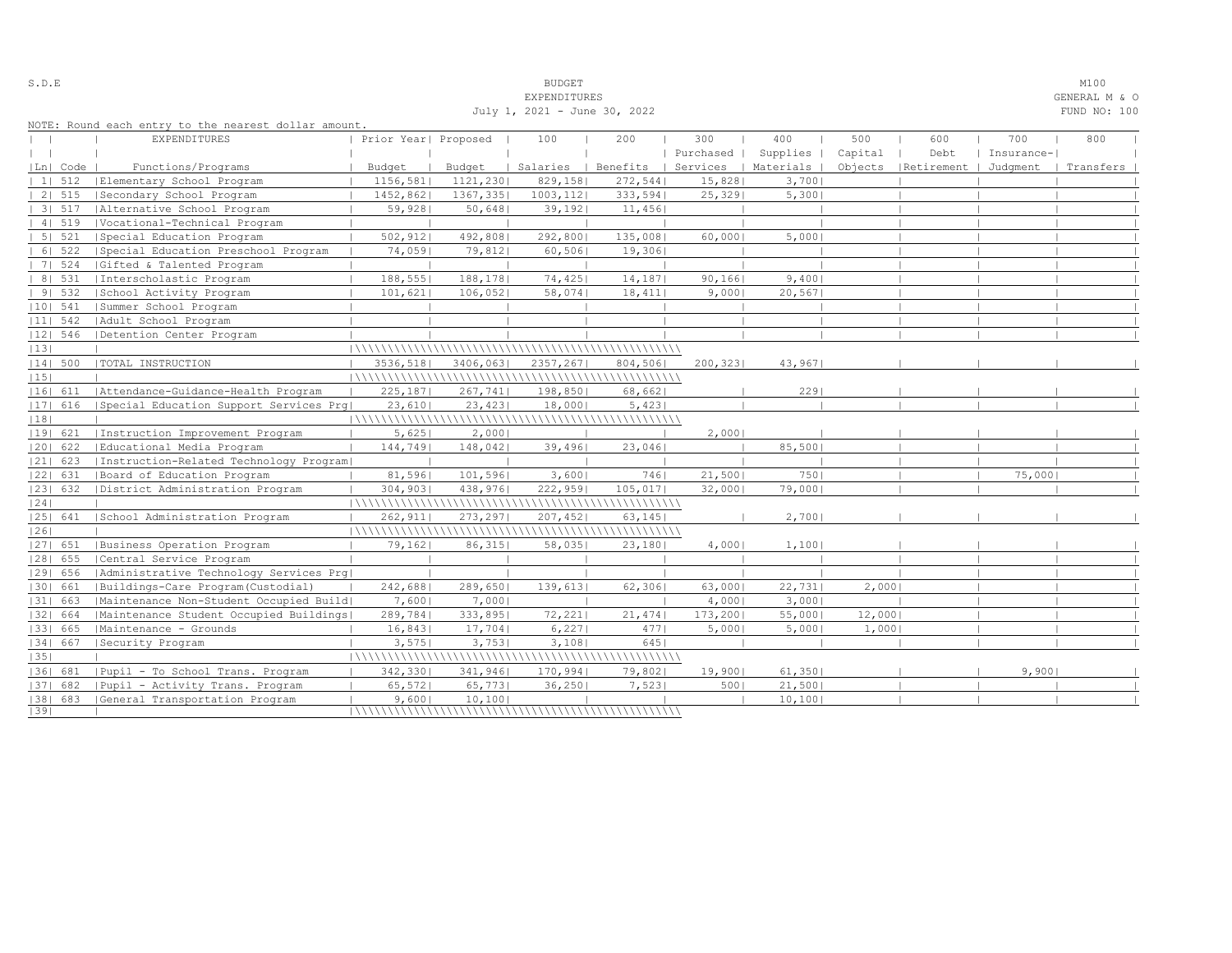| NOTE: Round each entry to the nearest dollar amount.<br>300<br>400<br>500<br>600<br>700<br>800<br><b>EXPENDITURES</b><br>Prior Year  Proposed<br>100<br>200<br>Capital<br>Purchased  <br>Supplies  <br>Debt<br>Insurance-<br>$\mathbf{1}$<br>Functions/Programs<br>Budget<br>Salaries<br>Benefits<br>Services<br>  Materials  <br>Objects   Retirement  <br> Ln  Code<br>Budget<br>Judqment<br>Transfers<br> Elementary School Program<br>1156,581<br>1121,230 <br>829,158 <br>272,544<br>15,828<br>3,700<br> 11512<br>2   515<br>Secondary School Program<br>1452,862<br>1367,3351<br>1003, 112<br>333,594<br>25,329<br>5,3001<br>3   517<br>  Alternative School Program<br>59,928<br>39,192<br>50,648<br>11,456<br>4   519<br> Vocational-Technical Program<br>5 521<br>502, 912<br>492,808 <br>292,800<br>135,008<br>60,000<br>5,000<br>Special Education Program<br>6 522<br>  Special Education Preschool Program<br>74,0591<br>79,812<br>60,506<br>19,3061<br>7   524<br>Gifted & Talented Program<br>8   531<br>188,555 <br>188,178 <br>74,425<br>14, 187<br>90, 166<br>9,400<br>Interscholastic Program<br>91532<br>School Activity Program<br>101,621<br>106,052<br>58,074<br>18,411<br>9,000<br>20,567<br>$ 10 $ 541<br>Summer School Program<br>$ 11 $ 542<br>  Adult School Program<br>$ 12 $ 546<br>Detention Center Program<br> 13 <br> 14  500<br> TOTAL INSTRUCTION<br>3536,518<br>3406,063<br>2357,267<br>200, 323<br>43,967<br>804,506<br> 15 <br> 16  611<br> Attendance-Guidance-Health Program<br>198,850<br>225, 187<br>267,741<br>68,662 <br>229<br>23,610<br>23,423<br>5,423<br>$ 17 $ 616<br>Special Education Support Services Prq <br>18,000<br> 18 <br> 19  621<br>2,000<br>Instruction Improvement Program<br>5,625<br>2,0001<br>85,500<br>144,749<br>148,042 <br>39,496<br>23,046<br> 20  622<br>Educational Media Program<br> 21  623<br>[Instruction-Related Technology Program]<br>7461<br>7501<br>75,000<br> 22  631<br>Board of Education Program<br>81,596 <br>101,596<br>3,6001<br>21,500<br> 23  632<br>304,903<br>438,976 <br>222,959<br>105,017<br>32,000<br>79,000<br>District Administration Program<br> 24 <br>262,911<br>273,2971<br>207,452<br>63, 145<br>2,7001<br> 25  641<br>School Administration Program<br> 26 <br> 27  651<br> Business Operation Program<br>79,162 <br>58,035<br>1,100<br>86,315<br>23,180<br>4,000<br>$ 28 $ 655<br>Central Service Program<br>1291 656<br>Administrative Technology Services Prg<br>242,688<br>22,731<br>2,0001<br>289,650 <br>139,613<br>62,306<br> 30  661<br>Buildings-Care Program (Custodial)<br>63,000 <br> 31  663<br>7,6001<br>7,0001<br>4,000<br>3,0001<br> Maintenance Non-Student Occupied Build <br> 32  664<br>289,784<br>72,221<br>21,474<br>173,200 <br>55,000<br>12,000<br>Maintenance Student Occupied Buildings<br>333,895 <br> 33  665<br> Maintenance - Grounds<br>16,843<br>17,704<br>6,2271<br>4771<br>5,000<br>5,0001<br>1,000<br>6451<br> 34  667<br>3,575<br>3,753<br>3,108<br>Security Program<br> 35 <br> 36  681<br>9,900<br>Pupil - To School Trans, Program<br>342,330<br>341,946 <br>170,994<br>79,802<br>19,900<br>61,350<br>65,572 <br>65,7731<br>36, 250<br>7,523<br>21,500<br> 37  682<br>Pupil - Activity Trans. Program<br>500 <br> 38  683<br>9,6001<br>10,100<br>10,100<br>General Transportation Program<br> 39 | July 1, 2021 - June 30, 2022 |  |  |  |  |  |  |  |  | FUND NO: 100 |  |  |
|-------------------------------------------------------------------------------------------------------------------------------------------------------------------------------------------------------------------------------------------------------------------------------------------------------------------------------------------------------------------------------------------------------------------------------------------------------------------------------------------------------------------------------------------------------------------------------------------------------------------------------------------------------------------------------------------------------------------------------------------------------------------------------------------------------------------------------------------------------------------------------------------------------------------------------------------------------------------------------------------------------------------------------------------------------------------------------------------------------------------------------------------------------------------------------------------------------------------------------------------------------------------------------------------------------------------------------------------------------------------------------------------------------------------------------------------------------------------------------------------------------------------------------------------------------------------------------------------------------------------------------------------------------------------------------------------------------------------------------------------------------------------------------------------------------------------------------------------------------------------------------------------------------------------------------------------------------------------------------------------------------------------------------------------------------------------------------------------------------------------------------------------------------------------------------------------------------------------------------------------------------------------------------------------------------------------------------------------------------------------------------------------------------------------------------------------------------------------------------------------------------------------------------------------------------------------------------------------------------------------------------------------------------------------------------------------------------------------------------------------------------------------------------------------------------------------------------------------------------------------------------------------------------------------------------------------------------------------------------------------------------------------------------------------------------------------------------------------------------------------------------------------------------------------------------------------------------------------------------------------------------------------------------------------------------------------------------------------------|------------------------------|--|--|--|--|--|--|--|--|--------------|--|--|
|                                                                                                                                                                                                                                                                                                                                                                                                                                                                                                                                                                                                                                                                                                                                                                                                                                                                                                                                                                                                                                                                                                                                                                                                                                                                                                                                                                                                                                                                                                                                                                                                                                                                                                                                                                                                                                                                                                                                                                                                                                                                                                                                                                                                                                                                                                                                                                                                                                                                                                                                                                                                                                                                                                                                                                                                                                                                                                                                                                                                                                                                                                                                                                                                                                                                                                                                                 |                              |  |  |  |  |  |  |  |  |              |  |  |
|                                                                                                                                                                                                                                                                                                                                                                                                                                                                                                                                                                                                                                                                                                                                                                                                                                                                                                                                                                                                                                                                                                                                                                                                                                                                                                                                                                                                                                                                                                                                                                                                                                                                                                                                                                                                                                                                                                                                                                                                                                                                                                                                                                                                                                                                                                                                                                                                                                                                                                                                                                                                                                                                                                                                                                                                                                                                                                                                                                                                                                                                                                                                                                                                                                                                                                                                                 |                              |  |  |  |  |  |  |  |  |              |  |  |
|                                                                                                                                                                                                                                                                                                                                                                                                                                                                                                                                                                                                                                                                                                                                                                                                                                                                                                                                                                                                                                                                                                                                                                                                                                                                                                                                                                                                                                                                                                                                                                                                                                                                                                                                                                                                                                                                                                                                                                                                                                                                                                                                                                                                                                                                                                                                                                                                                                                                                                                                                                                                                                                                                                                                                                                                                                                                                                                                                                                                                                                                                                                                                                                                                                                                                                                                                 |                              |  |  |  |  |  |  |  |  |              |  |  |
|                                                                                                                                                                                                                                                                                                                                                                                                                                                                                                                                                                                                                                                                                                                                                                                                                                                                                                                                                                                                                                                                                                                                                                                                                                                                                                                                                                                                                                                                                                                                                                                                                                                                                                                                                                                                                                                                                                                                                                                                                                                                                                                                                                                                                                                                                                                                                                                                                                                                                                                                                                                                                                                                                                                                                                                                                                                                                                                                                                                                                                                                                                                                                                                                                                                                                                                                                 |                              |  |  |  |  |  |  |  |  |              |  |  |
|                                                                                                                                                                                                                                                                                                                                                                                                                                                                                                                                                                                                                                                                                                                                                                                                                                                                                                                                                                                                                                                                                                                                                                                                                                                                                                                                                                                                                                                                                                                                                                                                                                                                                                                                                                                                                                                                                                                                                                                                                                                                                                                                                                                                                                                                                                                                                                                                                                                                                                                                                                                                                                                                                                                                                                                                                                                                                                                                                                                                                                                                                                                                                                                                                                                                                                                                                 |                              |  |  |  |  |  |  |  |  |              |  |  |
|                                                                                                                                                                                                                                                                                                                                                                                                                                                                                                                                                                                                                                                                                                                                                                                                                                                                                                                                                                                                                                                                                                                                                                                                                                                                                                                                                                                                                                                                                                                                                                                                                                                                                                                                                                                                                                                                                                                                                                                                                                                                                                                                                                                                                                                                                                                                                                                                                                                                                                                                                                                                                                                                                                                                                                                                                                                                                                                                                                                                                                                                                                                                                                                                                                                                                                                                                 |                              |  |  |  |  |  |  |  |  |              |  |  |
|                                                                                                                                                                                                                                                                                                                                                                                                                                                                                                                                                                                                                                                                                                                                                                                                                                                                                                                                                                                                                                                                                                                                                                                                                                                                                                                                                                                                                                                                                                                                                                                                                                                                                                                                                                                                                                                                                                                                                                                                                                                                                                                                                                                                                                                                                                                                                                                                                                                                                                                                                                                                                                                                                                                                                                                                                                                                                                                                                                                                                                                                                                                                                                                                                                                                                                                                                 |                              |  |  |  |  |  |  |  |  |              |  |  |
|                                                                                                                                                                                                                                                                                                                                                                                                                                                                                                                                                                                                                                                                                                                                                                                                                                                                                                                                                                                                                                                                                                                                                                                                                                                                                                                                                                                                                                                                                                                                                                                                                                                                                                                                                                                                                                                                                                                                                                                                                                                                                                                                                                                                                                                                                                                                                                                                                                                                                                                                                                                                                                                                                                                                                                                                                                                                                                                                                                                                                                                                                                                                                                                                                                                                                                                                                 |                              |  |  |  |  |  |  |  |  |              |  |  |
|                                                                                                                                                                                                                                                                                                                                                                                                                                                                                                                                                                                                                                                                                                                                                                                                                                                                                                                                                                                                                                                                                                                                                                                                                                                                                                                                                                                                                                                                                                                                                                                                                                                                                                                                                                                                                                                                                                                                                                                                                                                                                                                                                                                                                                                                                                                                                                                                                                                                                                                                                                                                                                                                                                                                                                                                                                                                                                                                                                                                                                                                                                                                                                                                                                                                                                                                                 |                              |  |  |  |  |  |  |  |  |              |  |  |
|                                                                                                                                                                                                                                                                                                                                                                                                                                                                                                                                                                                                                                                                                                                                                                                                                                                                                                                                                                                                                                                                                                                                                                                                                                                                                                                                                                                                                                                                                                                                                                                                                                                                                                                                                                                                                                                                                                                                                                                                                                                                                                                                                                                                                                                                                                                                                                                                                                                                                                                                                                                                                                                                                                                                                                                                                                                                                                                                                                                                                                                                                                                                                                                                                                                                                                                                                 |                              |  |  |  |  |  |  |  |  |              |  |  |
|                                                                                                                                                                                                                                                                                                                                                                                                                                                                                                                                                                                                                                                                                                                                                                                                                                                                                                                                                                                                                                                                                                                                                                                                                                                                                                                                                                                                                                                                                                                                                                                                                                                                                                                                                                                                                                                                                                                                                                                                                                                                                                                                                                                                                                                                                                                                                                                                                                                                                                                                                                                                                                                                                                                                                                                                                                                                                                                                                                                                                                                                                                                                                                                                                                                                                                                                                 |                              |  |  |  |  |  |  |  |  |              |  |  |
|                                                                                                                                                                                                                                                                                                                                                                                                                                                                                                                                                                                                                                                                                                                                                                                                                                                                                                                                                                                                                                                                                                                                                                                                                                                                                                                                                                                                                                                                                                                                                                                                                                                                                                                                                                                                                                                                                                                                                                                                                                                                                                                                                                                                                                                                                                                                                                                                                                                                                                                                                                                                                                                                                                                                                                                                                                                                                                                                                                                                                                                                                                                                                                                                                                                                                                                                                 |                              |  |  |  |  |  |  |  |  |              |  |  |
|                                                                                                                                                                                                                                                                                                                                                                                                                                                                                                                                                                                                                                                                                                                                                                                                                                                                                                                                                                                                                                                                                                                                                                                                                                                                                                                                                                                                                                                                                                                                                                                                                                                                                                                                                                                                                                                                                                                                                                                                                                                                                                                                                                                                                                                                                                                                                                                                                                                                                                                                                                                                                                                                                                                                                                                                                                                                                                                                                                                                                                                                                                                                                                                                                                                                                                                                                 |                              |  |  |  |  |  |  |  |  |              |  |  |
|                                                                                                                                                                                                                                                                                                                                                                                                                                                                                                                                                                                                                                                                                                                                                                                                                                                                                                                                                                                                                                                                                                                                                                                                                                                                                                                                                                                                                                                                                                                                                                                                                                                                                                                                                                                                                                                                                                                                                                                                                                                                                                                                                                                                                                                                                                                                                                                                                                                                                                                                                                                                                                                                                                                                                                                                                                                                                                                                                                                                                                                                                                                                                                                                                                                                                                                                                 |                              |  |  |  |  |  |  |  |  |              |  |  |
|                                                                                                                                                                                                                                                                                                                                                                                                                                                                                                                                                                                                                                                                                                                                                                                                                                                                                                                                                                                                                                                                                                                                                                                                                                                                                                                                                                                                                                                                                                                                                                                                                                                                                                                                                                                                                                                                                                                                                                                                                                                                                                                                                                                                                                                                                                                                                                                                                                                                                                                                                                                                                                                                                                                                                                                                                                                                                                                                                                                                                                                                                                                                                                                                                                                                                                                                                 |                              |  |  |  |  |  |  |  |  |              |  |  |
|                                                                                                                                                                                                                                                                                                                                                                                                                                                                                                                                                                                                                                                                                                                                                                                                                                                                                                                                                                                                                                                                                                                                                                                                                                                                                                                                                                                                                                                                                                                                                                                                                                                                                                                                                                                                                                                                                                                                                                                                                                                                                                                                                                                                                                                                                                                                                                                                                                                                                                                                                                                                                                                                                                                                                                                                                                                                                                                                                                                                                                                                                                                                                                                                                                                                                                                                                 |                              |  |  |  |  |  |  |  |  |              |  |  |
|                                                                                                                                                                                                                                                                                                                                                                                                                                                                                                                                                                                                                                                                                                                                                                                                                                                                                                                                                                                                                                                                                                                                                                                                                                                                                                                                                                                                                                                                                                                                                                                                                                                                                                                                                                                                                                                                                                                                                                                                                                                                                                                                                                                                                                                                                                                                                                                                                                                                                                                                                                                                                                                                                                                                                                                                                                                                                                                                                                                                                                                                                                                                                                                                                                                                                                                                                 |                              |  |  |  |  |  |  |  |  |              |  |  |
|                                                                                                                                                                                                                                                                                                                                                                                                                                                                                                                                                                                                                                                                                                                                                                                                                                                                                                                                                                                                                                                                                                                                                                                                                                                                                                                                                                                                                                                                                                                                                                                                                                                                                                                                                                                                                                                                                                                                                                                                                                                                                                                                                                                                                                                                                                                                                                                                                                                                                                                                                                                                                                                                                                                                                                                                                                                                                                                                                                                                                                                                                                                                                                                                                                                                                                                                                 |                              |  |  |  |  |  |  |  |  |              |  |  |
|                                                                                                                                                                                                                                                                                                                                                                                                                                                                                                                                                                                                                                                                                                                                                                                                                                                                                                                                                                                                                                                                                                                                                                                                                                                                                                                                                                                                                                                                                                                                                                                                                                                                                                                                                                                                                                                                                                                                                                                                                                                                                                                                                                                                                                                                                                                                                                                                                                                                                                                                                                                                                                                                                                                                                                                                                                                                                                                                                                                                                                                                                                                                                                                                                                                                                                                                                 |                              |  |  |  |  |  |  |  |  |              |  |  |
|                                                                                                                                                                                                                                                                                                                                                                                                                                                                                                                                                                                                                                                                                                                                                                                                                                                                                                                                                                                                                                                                                                                                                                                                                                                                                                                                                                                                                                                                                                                                                                                                                                                                                                                                                                                                                                                                                                                                                                                                                                                                                                                                                                                                                                                                                                                                                                                                                                                                                                                                                                                                                                                                                                                                                                                                                                                                                                                                                                                                                                                                                                                                                                                                                                                                                                                                                 |                              |  |  |  |  |  |  |  |  |              |  |  |
|                                                                                                                                                                                                                                                                                                                                                                                                                                                                                                                                                                                                                                                                                                                                                                                                                                                                                                                                                                                                                                                                                                                                                                                                                                                                                                                                                                                                                                                                                                                                                                                                                                                                                                                                                                                                                                                                                                                                                                                                                                                                                                                                                                                                                                                                                                                                                                                                                                                                                                                                                                                                                                                                                                                                                                                                                                                                                                                                                                                                                                                                                                                                                                                                                                                                                                                                                 |                              |  |  |  |  |  |  |  |  |              |  |  |
|                                                                                                                                                                                                                                                                                                                                                                                                                                                                                                                                                                                                                                                                                                                                                                                                                                                                                                                                                                                                                                                                                                                                                                                                                                                                                                                                                                                                                                                                                                                                                                                                                                                                                                                                                                                                                                                                                                                                                                                                                                                                                                                                                                                                                                                                                                                                                                                                                                                                                                                                                                                                                                                                                                                                                                                                                                                                                                                                                                                                                                                                                                                                                                                                                                                                                                                                                 |                              |  |  |  |  |  |  |  |  |              |  |  |
|                                                                                                                                                                                                                                                                                                                                                                                                                                                                                                                                                                                                                                                                                                                                                                                                                                                                                                                                                                                                                                                                                                                                                                                                                                                                                                                                                                                                                                                                                                                                                                                                                                                                                                                                                                                                                                                                                                                                                                                                                                                                                                                                                                                                                                                                                                                                                                                                                                                                                                                                                                                                                                                                                                                                                                                                                                                                                                                                                                                                                                                                                                                                                                                                                                                                                                                                                 |                              |  |  |  |  |  |  |  |  |              |  |  |
|                                                                                                                                                                                                                                                                                                                                                                                                                                                                                                                                                                                                                                                                                                                                                                                                                                                                                                                                                                                                                                                                                                                                                                                                                                                                                                                                                                                                                                                                                                                                                                                                                                                                                                                                                                                                                                                                                                                                                                                                                                                                                                                                                                                                                                                                                                                                                                                                                                                                                                                                                                                                                                                                                                                                                                                                                                                                                                                                                                                                                                                                                                                                                                                                                                                                                                                                                 |                              |  |  |  |  |  |  |  |  |              |  |  |
|                                                                                                                                                                                                                                                                                                                                                                                                                                                                                                                                                                                                                                                                                                                                                                                                                                                                                                                                                                                                                                                                                                                                                                                                                                                                                                                                                                                                                                                                                                                                                                                                                                                                                                                                                                                                                                                                                                                                                                                                                                                                                                                                                                                                                                                                                                                                                                                                                                                                                                                                                                                                                                                                                                                                                                                                                                                                                                                                                                                                                                                                                                                                                                                                                                                                                                                                                 |                              |  |  |  |  |  |  |  |  |              |  |  |
|                                                                                                                                                                                                                                                                                                                                                                                                                                                                                                                                                                                                                                                                                                                                                                                                                                                                                                                                                                                                                                                                                                                                                                                                                                                                                                                                                                                                                                                                                                                                                                                                                                                                                                                                                                                                                                                                                                                                                                                                                                                                                                                                                                                                                                                                                                                                                                                                                                                                                                                                                                                                                                                                                                                                                                                                                                                                                                                                                                                                                                                                                                                                                                                                                                                                                                                                                 |                              |  |  |  |  |  |  |  |  |              |  |  |
|                                                                                                                                                                                                                                                                                                                                                                                                                                                                                                                                                                                                                                                                                                                                                                                                                                                                                                                                                                                                                                                                                                                                                                                                                                                                                                                                                                                                                                                                                                                                                                                                                                                                                                                                                                                                                                                                                                                                                                                                                                                                                                                                                                                                                                                                                                                                                                                                                                                                                                                                                                                                                                                                                                                                                                                                                                                                                                                                                                                                                                                                                                                                                                                                                                                                                                                                                 |                              |  |  |  |  |  |  |  |  |              |  |  |
|                                                                                                                                                                                                                                                                                                                                                                                                                                                                                                                                                                                                                                                                                                                                                                                                                                                                                                                                                                                                                                                                                                                                                                                                                                                                                                                                                                                                                                                                                                                                                                                                                                                                                                                                                                                                                                                                                                                                                                                                                                                                                                                                                                                                                                                                                                                                                                                                                                                                                                                                                                                                                                                                                                                                                                                                                                                                                                                                                                                                                                                                                                                                                                                                                                                                                                                                                 |                              |  |  |  |  |  |  |  |  |              |  |  |
|                                                                                                                                                                                                                                                                                                                                                                                                                                                                                                                                                                                                                                                                                                                                                                                                                                                                                                                                                                                                                                                                                                                                                                                                                                                                                                                                                                                                                                                                                                                                                                                                                                                                                                                                                                                                                                                                                                                                                                                                                                                                                                                                                                                                                                                                                                                                                                                                                                                                                                                                                                                                                                                                                                                                                                                                                                                                                                                                                                                                                                                                                                                                                                                                                                                                                                                                                 |                              |  |  |  |  |  |  |  |  |              |  |  |
|                                                                                                                                                                                                                                                                                                                                                                                                                                                                                                                                                                                                                                                                                                                                                                                                                                                                                                                                                                                                                                                                                                                                                                                                                                                                                                                                                                                                                                                                                                                                                                                                                                                                                                                                                                                                                                                                                                                                                                                                                                                                                                                                                                                                                                                                                                                                                                                                                                                                                                                                                                                                                                                                                                                                                                                                                                                                                                                                                                                                                                                                                                                                                                                                                                                                                                                                                 |                              |  |  |  |  |  |  |  |  |              |  |  |
|                                                                                                                                                                                                                                                                                                                                                                                                                                                                                                                                                                                                                                                                                                                                                                                                                                                                                                                                                                                                                                                                                                                                                                                                                                                                                                                                                                                                                                                                                                                                                                                                                                                                                                                                                                                                                                                                                                                                                                                                                                                                                                                                                                                                                                                                                                                                                                                                                                                                                                                                                                                                                                                                                                                                                                                                                                                                                                                                                                                                                                                                                                                                                                                                                                                                                                                                                 |                              |  |  |  |  |  |  |  |  |              |  |  |
|                                                                                                                                                                                                                                                                                                                                                                                                                                                                                                                                                                                                                                                                                                                                                                                                                                                                                                                                                                                                                                                                                                                                                                                                                                                                                                                                                                                                                                                                                                                                                                                                                                                                                                                                                                                                                                                                                                                                                                                                                                                                                                                                                                                                                                                                                                                                                                                                                                                                                                                                                                                                                                                                                                                                                                                                                                                                                                                                                                                                                                                                                                                                                                                                                                                                                                                                                 |                              |  |  |  |  |  |  |  |  |              |  |  |
|                                                                                                                                                                                                                                                                                                                                                                                                                                                                                                                                                                                                                                                                                                                                                                                                                                                                                                                                                                                                                                                                                                                                                                                                                                                                                                                                                                                                                                                                                                                                                                                                                                                                                                                                                                                                                                                                                                                                                                                                                                                                                                                                                                                                                                                                                                                                                                                                                                                                                                                                                                                                                                                                                                                                                                                                                                                                                                                                                                                                                                                                                                                                                                                                                                                                                                                                                 |                              |  |  |  |  |  |  |  |  |              |  |  |
|                                                                                                                                                                                                                                                                                                                                                                                                                                                                                                                                                                                                                                                                                                                                                                                                                                                                                                                                                                                                                                                                                                                                                                                                                                                                                                                                                                                                                                                                                                                                                                                                                                                                                                                                                                                                                                                                                                                                                                                                                                                                                                                                                                                                                                                                                                                                                                                                                                                                                                                                                                                                                                                                                                                                                                                                                                                                                                                                                                                                                                                                                                                                                                                                                                                                                                                                                 |                              |  |  |  |  |  |  |  |  |              |  |  |
|                                                                                                                                                                                                                                                                                                                                                                                                                                                                                                                                                                                                                                                                                                                                                                                                                                                                                                                                                                                                                                                                                                                                                                                                                                                                                                                                                                                                                                                                                                                                                                                                                                                                                                                                                                                                                                                                                                                                                                                                                                                                                                                                                                                                                                                                                                                                                                                                                                                                                                                                                                                                                                                                                                                                                                                                                                                                                                                                                                                                                                                                                                                                                                                                                                                                                                                                                 |                              |  |  |  |  |  |  |  |  |              |  |  |
|                                                                                                                                                                                                                                                                                                                                                                                                                                                                                                                                                                                                                                                                                                                                                                                                                                                                                                                                                                                                                                                                                                                                                                                                                                                                                                                                                                                                                                                                                                                                                                                                                                                                                                                                                                                                                                                                                                                                                                                                                                                                                                                                                                                                                                                                                                                                                                                                                                                                                                                                                                                                                                                                                                                                                                                                                                                                                                                                                                                                                                                                                                                                                                                                                                                                                                                                                 |                              |  |  |  |  |  |  |  |  |              |  |  |
|                                                                                                                                                                                                                                                                                                                                                                                                                                                                                                                                                                                                                                                                                                                                                                                                                                                                                                                                                                                                                                                                                                                                                                                                                                                                                                                                                                                                                                                                                                                                                                                                                                                                                                                                                                                                                                                                                                                                                                                                                                                                                                                                                                                                                                                                                                                                                                                                                                                                                                                                                                                                                                                                                                                                                                                                                                                                                                                                                                                                                                                                                                                                                                                                                                                                                                                                                 |                              |  |  |  |  |  |  |  |  |              |  |  |
|                                                                                                                                                                                                                                                                                                                                                                                                                                                                                                                                                                                                                                                                                                                                                                                                                                                                                                                                                                                                                                                                                                                                                                                                                                                                                                                                                                                                                                                                                                                                                                                                                                                                                                                                                                                                                                                                                                                                                                                                                                                                                                                                                                                                                                                                                                                                                                                                                                                                                                                                                                                                                                                                                                                                                                                                                                                                                                                                                                                                                                                                                                                                                                                                                                                                                                                                                 |                              |  |  |  |  |  |  |  |  |              |  |  |
|                                                                                                                                                                                                                                                                                                                                                                                                                                                                                                                                                                                                                                                                                                                                                                                                                                                                                                                                                                                                                                                                                                                                                                                                                                                                                                                                                                                                                                                                                                                                                                                                                                                                                                                                                                                                                                                                                                                                                                                                                                                                                                                                                                                                                                                                                                                                                                                                                                                                                                                                                                                                                                                                                                                                                                                                                                                                                                                                                                                                                                                                                                                                                                                                                                                                                                                                                 |                              |  |  |  |  |  |  |  |  |              |  |  |
|                                                                                                                                                                                                                                                                                                                                                                                                                                                                                                                                                                                                                                                                                                                                                                                                                                                                                                                                                                                                                                                                                                                                                                                                                                                                                                                                                                                                                                                                                                                                                                                                                                                                                                                                                                                                                                                                                                                                                                                                                                                                                                                                                                                                                                                                                                                                                                                                                                                                                                                                                                                                                                                                                                                                                                                                                                                                                                                                                                                                                                                                                                                                                                                                                                                                                                                                                 |                              |  |  |  |  |  |  |  |  |              |  |  |
|                                                                                                                                                                                                                                                                                                                                                                                                                                                                                                                                                                                                                                                                                                                                                                                                                                                                                                                                                                                                                                                                                                                                                                                                                                                                                                                                                                                                                                                                                                                                                                                                                                                                                                                                                                                                                                                                                                                                                                                                                                                                                                                                                                                                                                                                                                                                                                                                                                                                                                                                                                                                                                                                                                                                                                                                                                                                                                                                                                                                                                                                                                                                                                                                                                                                                                                                                 |                              |  |  |  |  |  |  |  |  |              |  |  |
|                                                                                                                                                                                                                                                                                                                                                                                                                                                                                                                                                                                                                                                                                                                                                                                                                                                                                                                                                                                                                                                                                                                                                                                                                                                                                                                                                                                                                                                                                                                                                                                                                                                                                                                                                                                                                                                                                                                                                                                                                                                                                                                                                                                                                                                                                                                                                                                                                                                                                                                                                                                                                                                                                                                                                                                                                                                                                                                                                                                                                                                                                                                                                                                                                                                                                                                                                 |                              |  |  |  |  |  |  |  |  |              |  |  |
|                                                                                                                                                                                                                                                                                                                                                                                                                                                                                                                                                                                                                                                                                                                                                                                                                                                                                                                                                                                                                                                                                                                                                                                                                                                                                                                                                                                                                                                                                                                                                                                                                                                                                                                                                                                                                                                                                                                                                                                                                                                                                                                                                                                                                                                                                                                                                                                                                                                                                                                                                                                                                                                                                                                                                                                                                                                                                                                                                                                                                                                                                                                                                                                                                                                                                                                                                 |                              |  |  |  |  |  |  |  |  |              |  |  |

S.D.E SUDGET M100 EXPENDITURES GENERAL M & O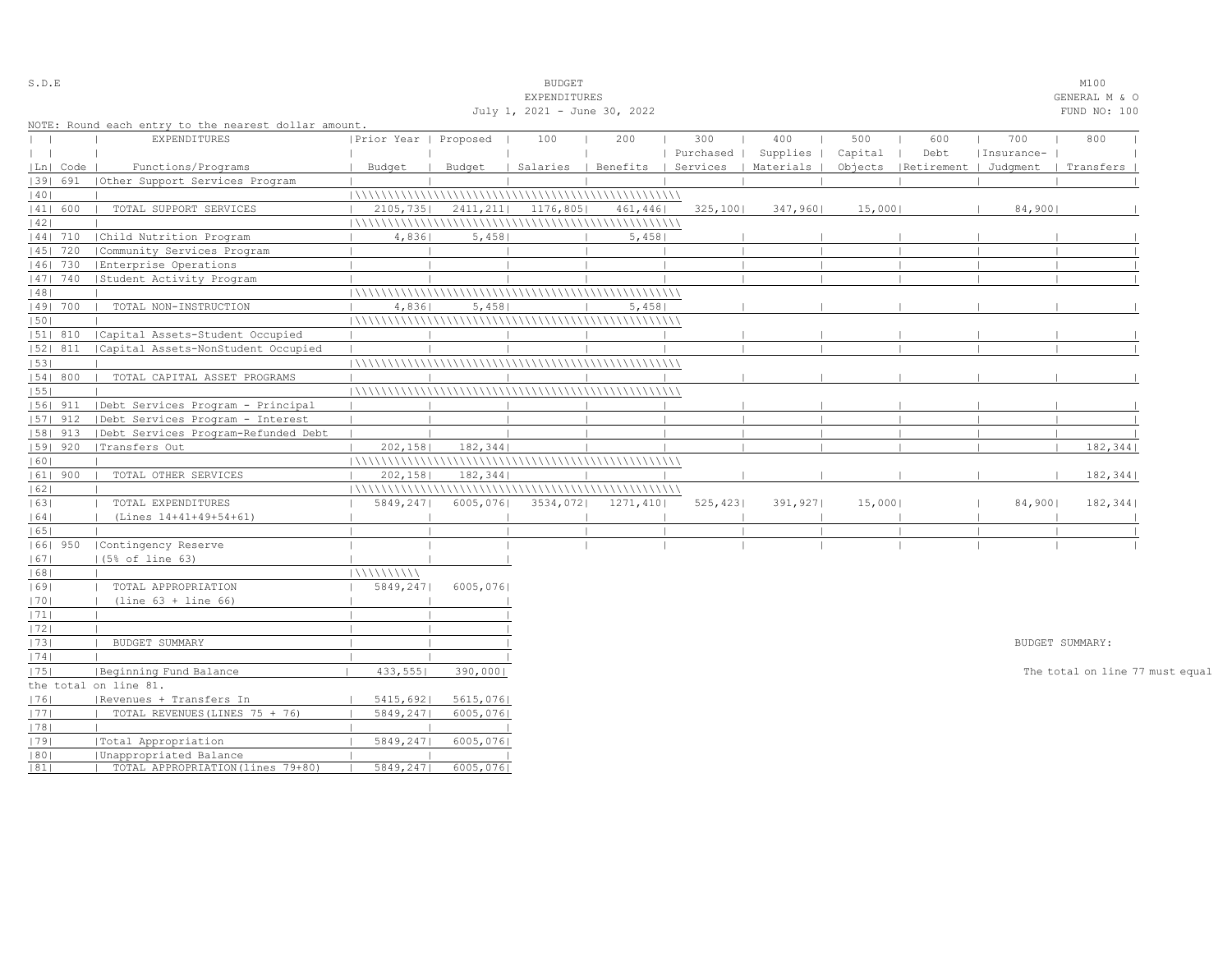| S.D.E        |            |                                                      |                            |           | <b>BUDGET</b>                |                                |           |           |         |                                 |            | M100                            |  |
|--------------|------------|------------------------------------------------------|----------------------------|-----------|------------------------------|--------------------------------|-----------|-----------|---------|---------------------------------|------------|---------------------------------|--|
|              |            |                                                      |                            |           | EXPENDITURES                 |                                |           |           |         |                                 |            | GENERAL M & O                   |  |
|              |            |                                                      |                            |           | July 1, 2021 - June 30, 2022 |                                |           |           |         |                                 |            | FUND NO: 100                    |  |
|              |            | NOTE: Round each entry to the nearest dollar amount. |                            |           |                              |                                |           |           |         |                                 |            |                                 |  |
| $\mathbf{1}$ |            | EXPENDITURES                                         | Prior Year   Proposed      |           | 100                          | 200                            | 300       | 400       | 500     | 600                             | 700        | 800                             |  |
| $\mathbf{1}$ |            |                                                      |                            |           |                              |                                | Purchased | Supplies  | Capital | Debt                            | Insurance- |                                 |  |
|              | Ln   Code  | Functions/Programs                                   | Budget                     | Budget    |                              | Salaries   Benefits   Services |           | Materials |         | Objects   Retirement   Judgment |            | Transfers                       |  |
|              | 1391 691   | (Other Support Services Program                      |                            |           |                              |                                |           |           |         |                                 |            |                                 |  |
| 40           |            |                                                      |                            |           |                              |                                |           |           |         |                                 |            |                                 |  |
|              | 41  600    | TOTAL SUPPORT SERVICES                               | 2105,735                   | 2411, 211 | 1176,805                     | 461,446                        | 325,100   | 347,960   | 15,000  |                                 | 84,900     |                                 |  |
| 42           |            |                                                      |                            |           |                              |                                |           |           |         |                                 |            |                                 |  |
|              | 44  710    | Child Nutrition Program                              | 4,836                      | 5,458     |                              | 5,458                          |           |           |         |                                 |            |                                 |  |
|              | 45   720   | Community Services Program                           |                            |           |                              |                                |           |           |         |                                 |            |                                 |  |
|              | 46  730    | Enterprise Operations                                |                            |           |                              |                                |           |           |         |                                 |            |                                 |  |
|              | 47  740    | Student Activity Program                             |                            |           |                              |                                |           |           |         |                                 |            |                                 |  |
| 48           |            |                                                      |                            |           |                              |                                |           |           |         |                                 |            |                                 |  |
|              | 49  700    | TOTAL NON-INSTRUCTION                                | 4,8361                     | 5,458     |                              | 5,458                          |           |           |         |                                 |            |                                 |  |
| 50           |            |                                                      |                            |           |                              |                                |           |           |         |                                 |            |                                 |  |
|              | 51  810    | Capital Assets-Student Occupied                      |                            |           |                              |                                |           |           |         |                                 |            |                                 |  |
|              | 52  811    | Capital Assets-NonStudent Occupied                   |                            |           |                              |                                |           |           |         |                                 |            |                                 |  |
| 53           |            |                                                      |                            |           |                              |                                |           |           |         |                                 |            |                                 |  |
|              | 54   800   | TOTAL CAPITAL ASSET PROGRAMS                         |                            |           |                              |                                |           |           |         |                                 |            |                                 |  |
| 55           |            |                                                      |                            |           |                              |                                |           |           |         |                                 |            |                                 |  |
|              | 56  911    | Debt Services Program - Principal                    |                            |           |                              |                                |           |           |         |                                 |            |                                 |  |
|              | $ 57 $ 912 | Debt Services Program - Interest                     |                            |           |                              |                                |           |           |         |                                 |            |                                 |  |
|              | $ 58 $ 913 | Debt Services Program-Refunded Debt                  |                            |           |                              |                                |           |           |         |                                 |            |                                 |  |
|              | 59   920   | Transfers Out                                        | 202, 158<br>$\blacksquare$ | 182, 344  |                              |                                |           |           |         |                                 |            | 182,344                         |  |
| 60           |            |                                                      |                            |           |                              |                                |           |           |         |                                 |            |                                 |  |
|              | $ 61 $ 900 | TOTAL OTHER SERVICES                                 | 202, 158<br>$\mathbf{L}$   | 182,344   |                              |                                |           |           |         |                                 |            | 182,344                         |  |
| 62           |            |                                                      |                            |           |                              |                                |           |           |         |                                 |            |                                 |  |
|              |            |                                                      |                            |           |                              |                                |           |           |         |                                 |            |                                 |  |
| 63           |            | TOTAL EXPENDITURES                                   | 5849,247                   | 6005,076  | $3534,072$                   | 1271,410                       | 525, 423  | 391,927   | 15,000  |                                 | $84,900$   | 182,344                         |  |
| 64           |            | (Lines 14+41+49+54+61)                               |                            |           |                              |                                |           |           |         |                                 |            |                                 |  |
| 65           |            |                                                      |                            |           |                              |                                |           |           |         |                                 |            |                                 |  |
|              | 1661 950   | Contingency Reserve                                  |                            |           |                              |                                |           |           |         |                                 |            |                                 |  |
| 67           |            | (5% of line 63)                                      |                            |           |                              |                                |           |           |         |                                 |            |                                 |  |
| 68           |            |                                                      | 111111111111               |           |                              |                                |           |           |         |                                 |            |                                 |  |
| 1691         |            | TOTAL APPROPRIATION                                  | 5849,247                   | 6005,076  |                              |                                |           |           |         |                                 |            |                                 |  |
| 1701         |            | $(line 63 + line 66)$                                |                            |           |                              |                                |           |           |         |                                 |            |                                 |  |
| 71           |            |                                                      |                            |           |                              |                                |           |           |         |                                 |            |                                 |  |
| 72           |            |                                                      |                            |           |                              |                                |           |           |         |                                 |            |                                 |  |
| 73           |            | BUDGET SUMMARY                                       |                            |           |                              |                                |           |           |         |                                 |            | BUDGET SUMMARY:                 |  |
| 74           |            |                                                      |                            |           |                              |                                |           |           |         |                                 |            |                                 |  |
| 75           |            | Beginning Fund Balance                               | 433,555                    | 390,000   |                              |                                |           |           |         |                                 |            | The total on line 77 must equal |  |
|              |            | the total on line 81.                                |                            |           |                              |                                |           |           |         |                                 |            |                                 |  |
| 76           |            | Revenues + Transfers In                              | 5415,6921                  | 5615,076  |                              |                                |           |           |         |                                 |            |                                 |  |
| 77           |            | TOTAL REVENUES (LINES 75 + 76)                       | 5849,247                   | 6005,076  |                              |                                |           |           |         |                                 |            |                                 |  |
| 78           |            |                                                      |                            |           |                              |                                |           |           |         |                                 |            |                                 |  |
| 1791         |            | Total Appropriation                                  | 5849,247                   | 6005,076  |                              |                                |           |           |         |                                 |            |                                 |  |
| 80           |            | Unappropriated Balance                               |                            |           |                              |                                |           |           |         |                                 |            |                                 |  |
| 81           |            | TOTAL APPROPRIATION (lines 79+80)                    | 5849,247                   | 6005,076  |                              |                                |           |           |         |                                 |            |                                 |  |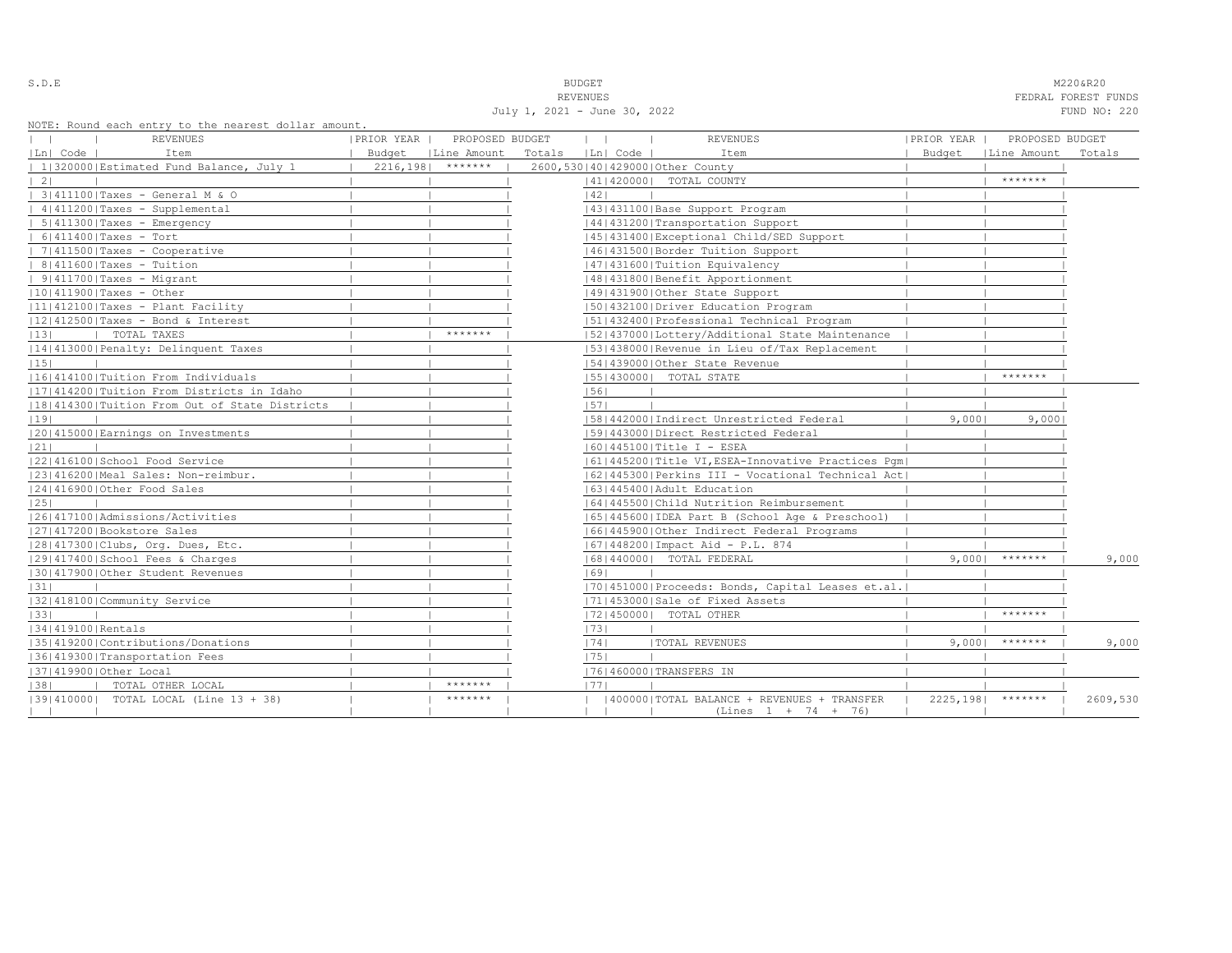| ٠<br>u<br>× |  |  |  |  |  |
|-------------|--|--|--|--|--|
|-------------|--|--|--|--|--|

S.D.E **BUDGET** M220&R20

REVENUES FEDRAL FOREST FUNDS July 1, 2021 - June 30, 2022 FUND NO: 220

NOTE: Round each entry to the nearest dollar amount.

| nois, nound caen chery to the hearest dorrar amount. |                                 |                   |                                                    |               |                       |          |
|------------------------------------------------------|---------------------------------|-------------------|----------------------------------------------------|---------------|-----------------------|----------|
| REVENUES                                             | PRIOR YEAR  <br>PROPOSED BUDGET | $\mathbf{1}$      | <b>REVENUES</b>                                    | IPRIOR YEAR I | PROPOSED BUDGET       |          |
| Ln  Code  <br>Item                                   | Budget   Line Amount            | Totals   Ln  Code | Item                                               | Budget        | Line Amount           | Totals   |
| 1 320000 Estimated Fund Balance, July 1              | $2216, 198$ *******             |                   | 2600,530140142900010ther County                    |               |                       |          |
| $\vert 2 \vert$                                      |                                 |                   | 41   420000   TOTAL COUNTY                         |               | *******               |          |
| 3 411100 Taxes - General M & O                       |                                 | 42                |                                                    |               |                       |          |
| $ 4 411200 $ Taxes - Supplemental                    |                                 |                   | 43   431100   Base Support Program                 |               |                       |          |
| $  5 411300 $ Taxes - Emergency                      |                                 |                   | 14414312001Transportation Support                  |               |                       |          |
| $  6 411400 $ Taxes - Tort                           |                                 |                   | 45   431400   Exceptional Child/SED Support        |               |                       |          |
| $  7 411500 $ Taxes - Cooperative                    |                                 |                   | 46 431500 Border Tuition Support                   |               |                       |          |
| $  8 411600 $ Taxes - Tuition                        |                                 |                   | 47   431600   Tuition Equivalency                  |               |                       |          |
| $  9 411700 $ Taxes - Migrant                        |                                 |                   | 48   431800   Benefit Apportionment                |               |                       |          |
| $ 10 411900 $ Taxes - Other                          |                                 |                   | 49 431900 Other State Support                      |               |                       |          |
| $ 11 412100 $ Taxes - Plant Facility                 |                                 |                   | 1501432100 Driver Education Program                |               |                       |          |
| $ 12 412500 $ Taxes - Bond & Interest                |                                 |                   | 15114324001Professional Technical Program          |               |                       |          |
| TOTAL TAXES<br> 13                                   | *******                         |                   | 52 437000 Lottery/Additional State Maintenance     |               |                       |          |
| 14 413000 Penalty: Delinquent Taxes                  |                                 |                   | 15314380001Revenue in Lieu of/Tax Replacement      |               |                       |          |
| 15                                                   |                                 |                   | 154143900010ther State Revenue                     |               |                       |          |
| 1161414100   Tuition From Individuals                |                                 |                   | 55   430000   TOTAL STATE                          |               | *******               |          |
| [17] 414200   Tuition From Districts in Idaho        |                                 | 56                |                                                    |               |                       |          |
| 18 414300 Tuition From Out of State Districts        |                                 | 1571              |                                                    |               |                       |          |
| 19                                                   |                                 |                   | [58]442000]Indirect Unrestricted Federal           | 9,0001        | 9,000                 |          |
| 20 415000 Earnings on Investments                    |                                 |                   | 1591443000 Direct Restricted Federal               |               |                       |          |
| 21                                                   |                                 |                   | 16014451001Title I - ESEA                          |               |                       |          |
| 22 416100 School Food Service                        |                                 |                   | 61 445200 Title VI, ESEA-Innovative Practices Pqm  |               |                       |          |
| 23 416200 Meal Sales: Non-reimbur.                   |                                 |                   | 62 445300 Perkins III - Vocational Technical Act   |               |                       |          |
| 24 416900 Other Food Sales                           |                                 |                   | 16314454001Adult Education                         |               |                       |          |
| 25                                                   |                                 |                   | 1641445500 Child Nutrition Reimbursement           |               |                       |          |
| 1261417100   Admissions/Activities                   |                                 |                   | 65  445600  IDEA Part B (School Age & Preschool)   |               |                       |          |
| 27 417200 Bookstore Sales                            |                                 |                   | 16614459001Other Indirect Federal Programs         |               |                       |          |
| 28 417300 Clubs, Org. Dues, Etc.                     |                                 |                   | 67   448200   Impact Aid - P.L. 874                |               |                       |          |
| 12914174001School Fees & Charges                     |                                 |                   | 16814400001 TOTAL FEDERAL                          | 9.0001        | *******               | 9,000    |
| 30 417900 Other Student Revenues                     |                                 | 69                |                                                    |               |                       |          |
| 31                                                   |                                 |                   | [70] 451000 Proceeds: Bonds, Capital Leases et.al. |               |                       |          |
| 32 418100 Community Service                          |                                 |                   | 71 453000 Sale of Fixed Assets                     |               |                       |          |
| 33                                                   |                                 |                   | 17214500001 TOTAL OTHER                            |               | *******               |          |
| 34 419100 Rentals                                    |                                 | 73                |                                                    |               |                       |          |
| 35 419200 Contributions/Donations                    |                                 | 74                | <b> TOTAL REVENUES</b>                             | 9,0001        | $******$              | 9,000    |
| 36 419300 Transportation Fees                        |                                 | 1751              |                                                    |               |                       |          |
| 37 419900 Other Local                                |                                 |                   | 76 460000 TRANSFERS IN                             |               |                       |          |
| TOTAL OTHER LOCAL<br> 38                             | *******                         | 1771              |                                                    |               |                       |          |
| [39] 410000] TOTAL LOCAL (Line 13 + 38)              | *******                         |                   | (400000) TOTAL BALANCE + REVENUES + TRANSFER       |               | $2225, 198$   ******* | 2609,530 |
| $\perp$                                              |                                 |                   | $(Lines 1 + 74 + 76)$                              |               |                       |          |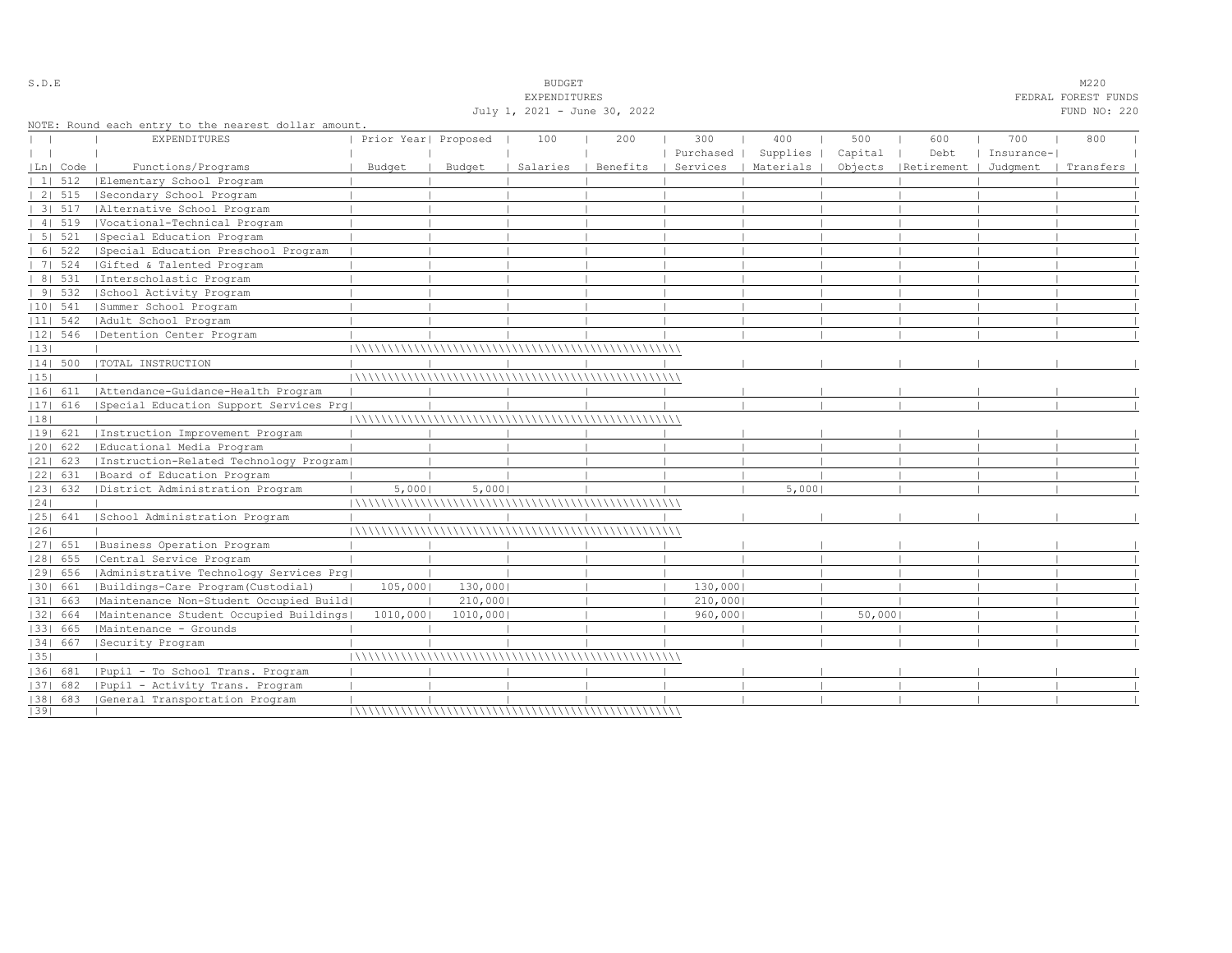|    |             |                                                      |                      |          | July 1, 2021 - June 30, 2022 |          |           |           |         |                                 |            | FUND NO: 220 |  |
|----|-------------|------------------------------------------------------|----------------------|----------|------------------------------|----------|-----------|-----------|---------|---------------------------------|------------|--------------|--|
|    |             | NOTE: Round each entry to the nearest dollar amount. |                      |          |                              |          |           |           |         |                                 |            |              |  |
|    |             | <b>EXPENDITURES</b>                                  | Prior Year  Proposed |          | 100                          | 200      | 300       | 400       | 500     | 600                             | 700        | 800          |  |
|    |             |                                                      |                      |          |                              |          | Purchased | Supplies  | Capital | Debt                            | Insurance- |              |  |
|    | $ Ln $ Code | Functions/Programs                                   | Budget               | Budget   | Salaries                     | Benefits | Services  | Materials |         | Objects   Retirement   Judgment |            | Transfers    |  |
|    | 11512       | Elementary School Program                            |                      |          |                              |          |           |           |         |                                 |            |              |  |
|    | 2   515     | Secondary School Program                             |                      |          |                              |          |           |           |         |                                 |            |              |  |
|    | 3 517       | Alternative School Program                           |                      |          |                              |          |           |           |         |                                 |            |              |  |
|    | 4   519     | Vocational-Technical Program                         |                      |          |                              |          |           |           |         |                                 |            |              |  |
|    | 5 521       | Special Education Program                            |                      |          |                              |          |           |           |         |                                 |            |              |  |
|    |             | 6  522   Special Education Preschool Program         |                      |          |                              |          |           |           |         |                                 |            |              |  |
|    | 7   524     | Gifted & Talented Program                            |                      |          |                              |          |           |           |         |                                 |            |              |  |
|    | 8   531     | Interscholastic Program                              |                      |          |                              |          |           |           |         |                                 |            |              |  |
|    | 91532       | School Activity Program                              |                      |          |                              |          |           |           |         |                                 |            |              |  |
|    | $ 10 $ 541  | Summer School Program                                |                      |          |                              |          |           |           |         |                                 |            |              |  |
|    | $ 11 $ 542  | Adult School Program                                 |                      |          |                              |          |           |           |         |                                 |            |              |  |
|    | 12  546     | Detention Center Program                             |                      |          |                              |          |           |           |         |                                 |            |              |  |
| 13 |             |                                                      |                      |          |                              |          |           |           |         |                                 |            |              |  |
|    |             | 14  500   TOTAL INSTRUCTION                          |                      |          |                              |          |           |           |         |                                 |            |              |  |
| 15 |             |                                                      |                      |          |                              |          |           |           |         |                                 |            |              |  |
|    | 16  611     | Attendance-Guidance-Health Program                   |                      |          |                              |          |           |           |         |                                 |            |              |  |
|    |             | [17] 616 [Special Education Support Services Prq]    |                      |          |                              |          |           |           |         |                                 |            |              |  |
| 18 |             |                                                      |                      |          |                              |          |           |           |         |                                 |            |              |  |
|    | 19  621     | Instruction Improvement Program                      |                      |          |                              |          |           |           |         |                                 |            |              |  |
|    | 20  622     | Educational Media Program                            |                      |          |                              |          |           |           |         |                                 |            |              |  |
|    | $ 21 $ 623  | Instruction-Related Technology Program               |                      |          |                              |          |           |           |         |                                 |            |              |  |
|    | 22  631     | Board of Education Program                           |                      |          |                              |          |           |           |         |                                 |            |              |  |
|    | 23  632     | District Administration Program                      | 5,000                | 5,000    |                              |          |           | 5,0001    |         |                                 |            |              |  |
| 24 |             |                                                      |                      |          |                              |          |           |           |         |                                 |            |              |  |
|    | 25  641     | School Administration Program                        |                      |          |                              |          |           |           |         |                                 |            |              |  |
| 26 |             |                                                      |                      |          |                              |          |           |           |         |                                 |            |              |  |
|    | $ 27 $ 651  | Business Operation Program                           |                      |          |                              |          |           |           |         |                                 |            |              |  |
|    | $ 28 $ 655  | Central Service Program                              |                      |          |                              |          |           |           |         |                                 |            |              |  |
|    | 29  656     | Administrative Technology Services Prg               |                      |          |                              |          |           |           |         |                                 |            |              |  |
|    | 30  661     | Buildings-Care Program (Custodial)                   | 105,000              | 130,000  |                              |          | 130,000   |           |         |                                 |            |              |  |
|    | 31  663     | Maintenance Non-Student Occupied Build               |                      | 210,000  |                              |          | 210,000   |           |         |                                 |            |              |  |
|    | 32  664     | Maintenance Student Occupied Buildings               | 1010,000             | 1010,000 |                              |          | 960,000   |           | 50,000  |                                 |            |              |  |
|    | 33  665     | Maintenance - Grounds                                |                      |          |                              |          |           |           |         |                                 |            |              |  |
|    | 34   667    | Security Program                                     |                      |          |                              |          |           |           |         |                                 |            |              |  |
| 35 |             |                                                      |                      |          |                              |          |           |           |         |                                 |            |              |  |
|    |             | [36] 681 [Pupil - To School Trans. Program           |                      |          |                              |          |           |           |         |                                 |            |              |  |
|    | $ 37 $ 682  | Pupil - Activity Trans. Program                      |                      |          |                              |          |           |           |         |                                 |            |              |  |
|    |             | [38] 683 [General Transportation Program             |                      |          |                              |          |           |           |         |                                 |            |              |  |
| 39 |             |                                                      |                      |          |                              |          |           |           |         |                                 |            |              |  |

S.D.E SOME SALE SOME STRUCK STRUCK STRUCK SOMETHING SOMETHING SOMETHING SOMETHING SOMETHING SOMETHING SOMETHING SOMETHING SOMETHING SOMETHING SOMETHING SOMETHING SOMETHING SOMETHING SOMETHING SOMETHING SOMETHING SOMETHING

 ${\tt EXPERAL} \hbox{\tt FEDRAL} \hbox{\tt FURAL} \hbox{\tt FURB}$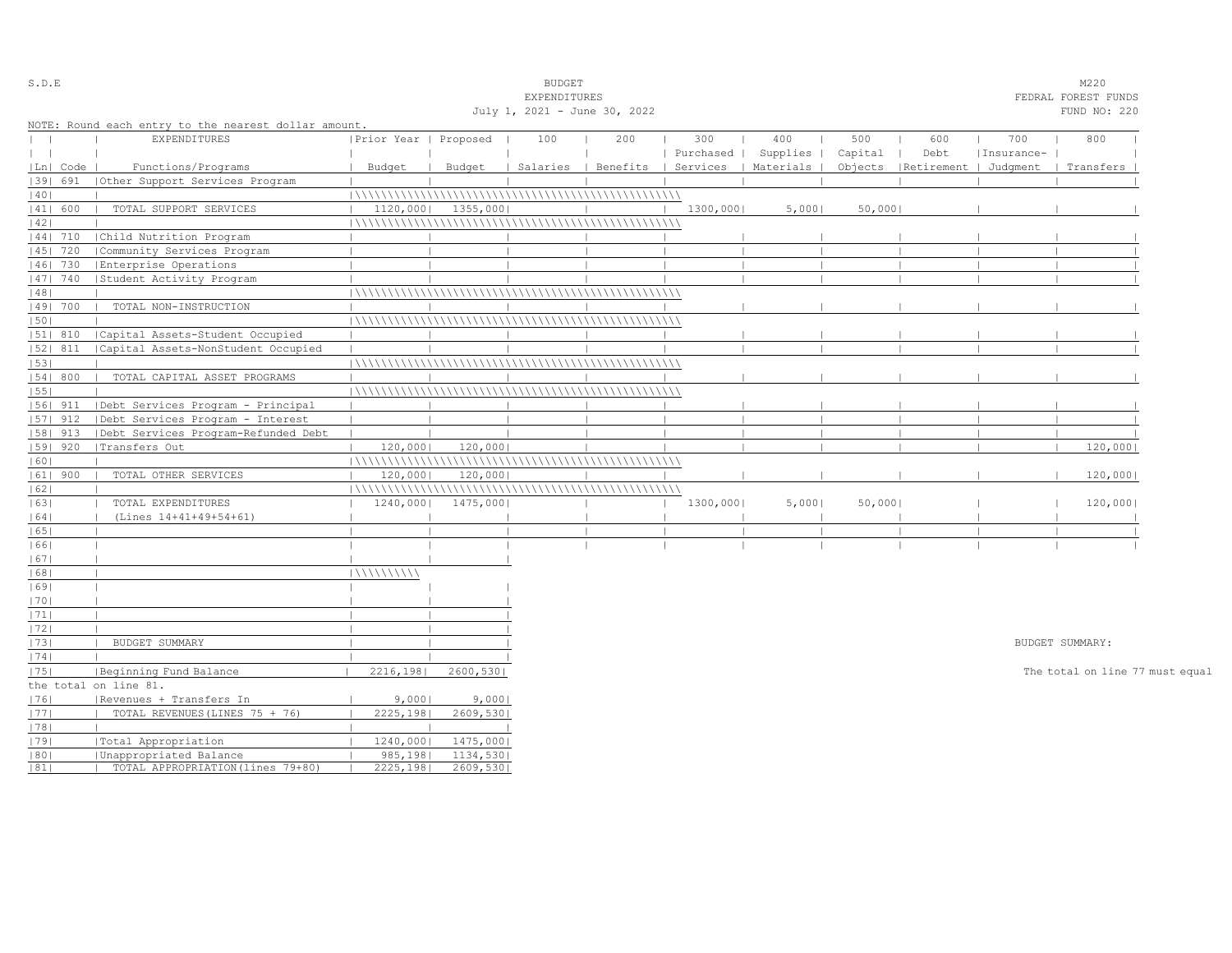|                                              |            |                                                             |                         |                       | <b>EXPENDITURES</b> |     |                                            |       |         |                                 |            | FEDRAL FOREST FUNDS             |
|----------------------------------------------|------------|-------------------------------------------------------------|-------------------------|-----------------------|---------------------|-----|--------------------------------------------|-------|---------|---------------------------------|------------|---------------------------------|
| July 1, 2021 - June 30, 2022<br>FUND NO: 220 |            |                                                             |                         |                       |                     |     |                                            |       |         |                                 |            |                                 |
|                                              |            | NOTE: Round each entry to the nearest dollar amount.        |                         |                       |                     |     |                                            |       |         |                                 |            |                                 |
|                                              |            | <b>EXPENDITURES</b>                                         | Prior Year   Proposed   |                       | 100                 | 200 | 300                                        | 400   | 500     | 600                             | 700        | 800                             |
| $\mathbf{I}$                                 |            |                                                             |                         |                       |                     |     | Purchased   Supplies                       |       | Capital | Debt                            | Insurance- |                                 |
|                                              | Ln   Code  | Functions/Programs                                          | Budget                  | Budget                |                     |     | Salaries   Benefits   Services   Materials |       |         | Objects   Retirement   Judqment |            | Transfers                       |
|                                              | 39  691    | (Other Support Services Program                             |                         |                       |                     |     |                                            |       |         |                                 |            |                                 |
| 40                                           |            |                                                             |                         |                       |                     |     |                                            |       |         |                                 |            |                                 |
|                                              | 41  600    | TOTAL SUPPORT SERVICES                                      | 1120,000                | 1355,000              |                     |     | 1300,000                                   | 5,000 | 50,000  |                                 |            |                                 |
| 42                                           |            |                                                             |                         |                       |                     |     |                                            |       |         |                                 |            |                                 |
|                                              | 44  710    | Child Nutrition Program                                     |                         |                       |                     |     |                                            |       |         |                                 |            |                                 |
|                                              | 45   720   | Community Services Program                                  |                         |                       |                     |     |                                            |       |         |                                 |            |                                 |
|                                              | $ 46 $ 730 | Enterprise Operations                                       |                         |                       |                     |     |                                            |       |         |                                 |            |                                 |
|                                              | 47  740    | Student Activity Program                                    |                         |                       |                     |     |                                            |       |         |                                 |            |                                 |
| 48                                           |            |                                                             |                         |                       |                     |     |                                            |       |         |                                 |            |                                 |
|                                              | 49  700    | TOTAL NON-INSTRUCTION                                       |                         |                       |                     |     |                                            |       |         |                                 |            |                                 |
| 1501                                         |            |                                                             |                         |                       |                     |     |                                            |       |         |                                 |            |                                 |
|                                              | 51  810    | Capital Assets-Student Occupied                             |                         |                       |                     |     |                                            |       |         |                                 |            |                                 |
|                                              | $ 52 $ 811 | Capital Assets-NonStudent Occupied                          |                         |                       |                     |     |                                            |       |         |                                 |            |                                 |
| 53                                           |            |                                                             |                         |                       |                     |     |                                            |       |         |                                 |            |                                 |
|                                              | 54   800   | TOTAL CAPITAL ASSET PROGRAMS                                |                         |                       |                     |     |                                            |       |         |                                 |            |                                 |
| 55                                           |            |                                                             |                         |                       |                     |     |                                            |       |         |                                 |            |                                 |
|                                              | $ 56 $ 911 | Debt Services Program - Principal                           |                         |                       |                     |     |                                            |       |         |                                 |            |                                 |
|                                              | 57   912   | Debt Services Program - Interest                            |                         |                       |                     |     |                                            |       |         |                                 |            |                                 |
|                                              | $ 58 $ 913 | Debt Services Program-Refunded Debt                         |                         |                       |                     |     |                                            |       |         |                                 |            |                                 |
|                                              | 59   920   | Transfers Out                                               | 120,000                 | 120,000               |                     |     |                                            |       |         |                                 |            | 120,000                         |
| 60                                           |            |                                                             |                         |                       |                     |     |                                            |       |         |                                 |            |                                 |
|                                              | $ 61 $ 900 | TOTAL OTHER SERVICES                                        | 120,000<br>$\mathbf{L}$ | 120,000               |                     |     |                                            |       |         |                                 |            | 120,000                         |
| 62                                           |            |                                                             |                         |                       |                     |     |                                            |       |         |                                 |            |                                 |
| 63                                           |            | TOTAL EXPENDITURES                                          | 1240,000                | 1475,000              |                     |     | 1300,000                                   | 5,000 | 50,000  |                                 |            | 120,000                         |
| 64                                           |            | (Lines 14+41+49+54+61)                                      |                         |                       |                     |     |                                            |       |         |                                 |            |                                 |
| 65                                           |            |                                                             |                         |                       |                     |     |                                            |       |         |                                 |            |                                 |
| 66                                           |            |                                                             |                         |                       |                     |     |                                            |       |         |                                 |            |                                 |
| 67                                           |            |                                                             |                         |                       |                     |     |                                            |       |         |                                 |            |                                 |
| 68                                           |            |                                                             | 11111111111             |                       |                     |     |                                            |       |         |                                 |            |                                 |
| 1691                                         |            |                                                             |                         |                       |                     |     |                                            |       |         |                                 |            |                                 |
| 70                                           |            |                                                             |                         |                       |                     |     |                                            |       |         |                                 |            |                                 |
| 71                                           |            |                                                             |                         |                       |                     |     |                                            |       |         |                                 |            |                                 |
| 72                                           |            |                                                             |                         |                       |                     |     |                                            |       |         |                                 |            |                                 |
| 73                                           |            | BUDGET SUMMARY                                              |                         |                       |                     |     |                                            |       |         |                                 |            | BUDGET SUMMARY:                 |
| 74                                           |            |                                                             |                         |                       |                     |     |                                            |       |         |                                 |            |                                 |
| 75                                           |            | Beginning Fund Balance                                      | 2216,1981               | 2600,530              |                     |     |                                            |       |         |                                 |            | The total on line 77 must equal |
|                                              |            | the total on line 81.                                       |                         |                       |                     |     |                                            |       |         |                                 |            |                                 |
| 1761                                         |            | Revenues + Transfers In                                     | 9,0001                  | 9,0001                |                     |     |                                            |       |         |                                 |            |                                 |
|                                              |            | TOTAL REVENUES (LINES 75 + 76)                              |                         |                       |                     |     |                                            |       |         |                                 |            |                                 |
| 77                                           |            |                                                             | 2225, 198               | 2609,530              |                     |     |                                            |       |         |                                 |            |                                 |
| 78                                           |            |                                                             |                         |                       |                     |     |                                            |       |         |                                 |            |                                 |
| 79 <br> 80                                   |            | Total Appropriation                                         | 1240,000<br>985,1981    | 1475,000 <br>1134,530 |                     |     |                                            |       |         |                                 |            |                                 |
| 81                                           |            | Unappropriated Balance<br>TOTAL APPROPRIATION (lines 79+80) | 2225, 198               | 2609,530              |                     |     |                                            |       |         |                                 |            |                                 |
|                                              |            |                                                             |                         |                       |                     |     |                                            |       |         |                                 |            |                                 |

## S.D.E SOME SALE SOME STRUCK STRUCK STRUCK SOMETHING SOMETHING SOMETHING SOMETHING SOMETHING SOMETHING SOMETHING SOMETHING SOMETHING SOMETHING SOMETHING SOMETHING SOMETHING SOMETHING SOMETHING SOMETHING SOMETHING SOMETHING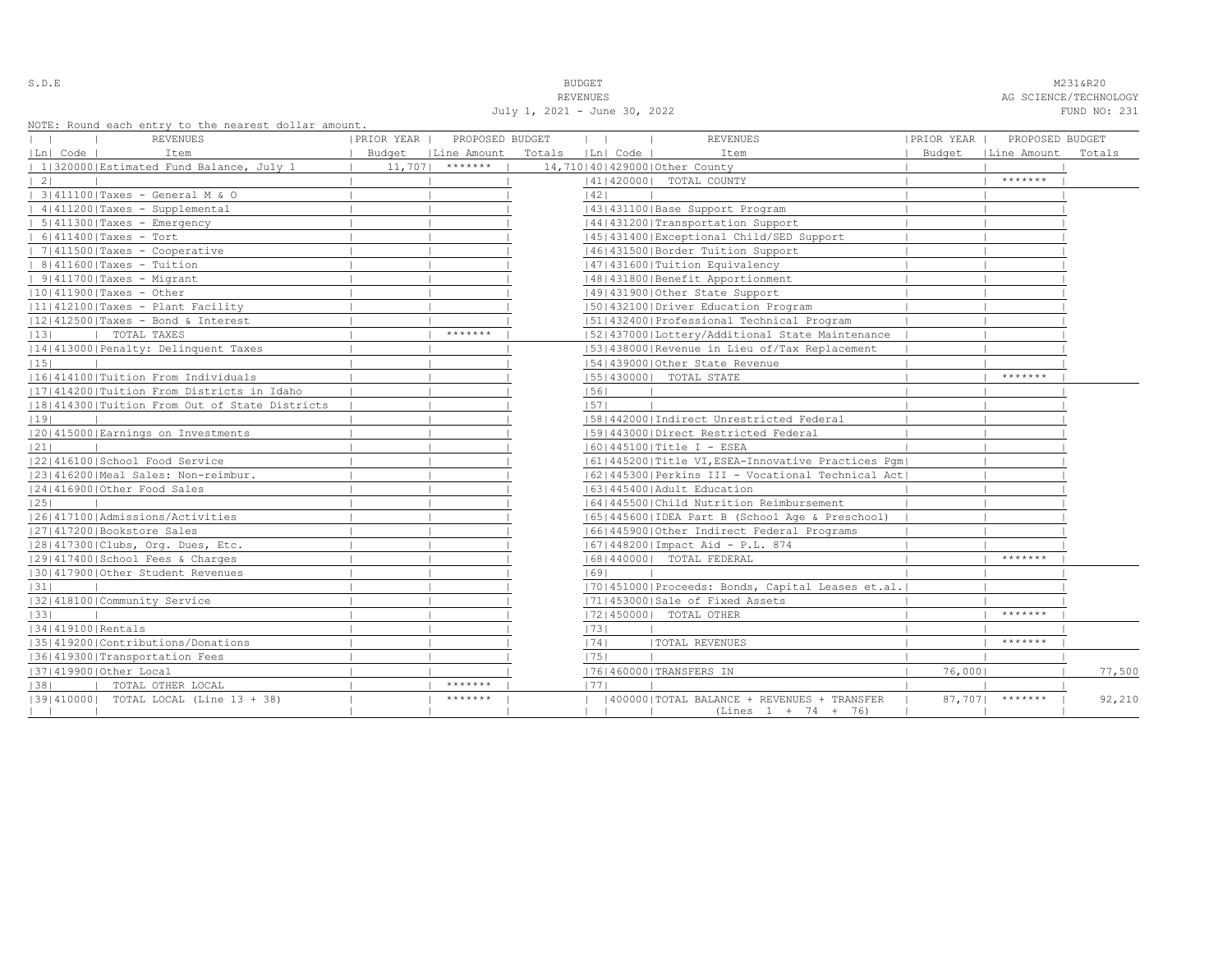| ٠<br>u<br>× |  |  |  |  |  |
|-------------|--|--|--|--|--|
|-------------|--|--|--|--|--|

S.D.E NAMES AND STRUCK STRUCK STRUCK STRUCK STRUCK STRUCK STRUCK STRUCK STRUCK STRUCK STRUCK STRUCK STRUCK STRUCK STRUCK STRUCK STRUCK STRUCK STRUCK STRUCK STRUCK STRUCK STRUCK STRUCK STRUCK STRUCK STRUCK STRUCK STRUCK STR

REVENUES AG SCIENCE/TECHNOLOGY July 1, 2021 - June 30, 2022 FUND NO: 231

NOTE: Round each entry to the nearest dollar amount.

|                   | NOTE: ROUNQ each entry to the hearest dollar amount,<br>REVENUES | PRIOR YEAR | PROPOSED BUDGET      | $\mathbf{1}$      | <b>REVENUES</b>                                      | PRIOR YEAR | PROPOSED BUDGET      |        |
|-------------------|------------------------------------------------------------------|------------|----------------------|-------------------|------------------------------------------------------|------------|----------------------|--------|
| Ln  Code          | Item                                                             |            | Budget   Line Amount | Totals   Ln  Code | Item                                                 |            | Budget   Line Amount | Totals |
|                   | 1 320000 Estimated Fund Balance, July 1                          | 11,707     | *******              |                   | 14,710140142900010ther County                        |            |                      |        |
| $\vert 2 \vert$   |                                                                  |            |                      |                   | 41   420000   TOTAL COUNTY                           |            | *******              |        |
|                   | 3 411100 Taxes - General M & O                                   |            |                      | 1421              |                                                      |            |                      |        |
|                   | 4 411200 Taxes - Supplemental                                    |            |                      |                   | 43   431100   Base Support Program                   |            |                      |        |
|                   | $  5 411300 $ Taxes - Emergency                                  |            |                      |                   | 44   431200   Transportation Support                 |            |                      |        |
|                   | $  6 411400 $ Taxes - Tort                                       |            |                      |                   | 1451431400 Exceptional Child/SED Support             |            |                      |        |
|                   | $  7 411500 $ Taxes - Cooperative                                |            |                      |                   | 46 431500 Border Tuition Support                     |            |                      |        |
|                   | $  8 411600 $ Taxes - Tuition                                    |            |                      |                   | 47   431600   Tuition Equivalency                    |            |                      |        |
|                   | $  9 411700 $ Taxes - Migrant                                    |            |                      |                   | 48   431800   Benefit Apportionment                  |            |                      |        |
|                   | $ 10 411900 $ Taxes - Other                                      |            |                      |                   | 49 431900 Other State Support                        |            |                      |        |
|                   | $ 11 412100 $ Taxes - Plant Facility                             |            |                      |                   | 50 432100 Driver Education Program                   |            |                      |        |
|                   | $ 12 412500 $ Taxes - Bond & Interest                            |            |                      |                   | 51 432400 Professional Technical Program             |            |                      |        |
| 13                | TOTAL TAXES                                                      |            | *******              |                   | [52] 437000 [Lottery/Additional State Maintenance    |            |                      |        |
|                   | 14 413000 Penalty: Delinquent Taxes                              |            |                      |                   | 1531438000 Revenue in Lieu of/Tax Replacement        |            |                      |        |
| 15                |                                                                  |            |                      |                   | 154143900010ther State Revenue                       |            |                      |        |
|                   | 11614141001Tuition From Individuals                              |            |                      |                   | [55] 430000] TOTAL STATE                             |            | *******              |        |
|                   | [17] 414200   Tuition From Districts in Idaho                    |            |                      | 56                |                                                      |            |                      |        |
|                   | 18 414300 Tuition From Out of State Districts                    |            |                      | 57                |                                                      |            |                      |        |
| 19                |                                                                  |            |                      |                   | 15814420001Indirect Unrestricted Federal             |            |                      |        |
|                   | 20 415000 Earnings on Investments                                |            |                      |                   | 1591443000   Direct Restricted Federal               |            |                      |        |
| 21                |                                                                  |            |                      |                   | $ 60 445100 $ Title I - ESEA                         |            |                      |        |
|                   | 22 416100 School Food Service                                    |            |                      |                   | 61 445200 Title VI, ESEA-Innovative Practices Pqm    |            |                      |        |
|                   | 23 416200 Meal Sales: Non-reimbur.                               |            |                      |                   | [62]445300   Perkins III - Vocational Technical Act] |            |                      |        |
|                   | 24 416900 Other Food Sales                                       |            |                      |                   | 1631445400 Adult Education                           |            |                      |        |
| 25                |                                                                  |            |                      |                   | 1641445500 Child Nutrition Reimbursement             |            |                      |        |
|                   | 1261417100   Admissions/Activities                               |            |                      |                   | 65  445600  IDEA Part B (School Age & Preschool)     |            |                      |        |
|                   | 27 417200 Bookstore Sales                                        |            |                      |                   | 66 445900 Other Indirect Federal Programs            |            |                      |        |
|                   | 28 417300 Clubs, Org. Dues, Etc.                                 |            |                      |                   | $ 67 448200 $ Impact Aid - P.L. 874                  |            |                      |        |
|                   | 12914174001School Fees & Charges                                 |            |                      |                   | 16814400001 TOTAL FEDERAL                            |            | *******              |        |
|                   | 130141790010ther Student Revenues                                |            |                      | 1691              |                                                      |            |                      |        |
| 31                |                                                                  |            |                      |                   | [70] 451000 Proceeds: Bonds, Capital Leases et.al.   |            |                      |        |
|                   | 13214181001Community Service                                     |            |                      |                   | 71 453000 Sale of Fixed Assets                       |            |                      |        |
| 33                |                                                                  |            |                      |                   | 17214500001 TOTAL OTHER                              |            | *******              |        |
| 34 419100 Rentals |                                                                  |            |                      | 73                |                                                      |            |                      |        |
|                   | 35 419200 Contributions/Donations                                |            |                      | 74                | <b> TOTAL REVENUES</b>                               |            | *******              |        |
|                   | 36 419300 Transportation Fees                                    |            |                      | 75                |                                                      |            |                      |        |
|                   | 37 419900 Other Local                                            |            |                      |                   | 17614600001TRANSFERS IN                              | 76,0001    |                      | 77,500 |
| 38                | TOTAL OTHER LOCAL                                                |            | *******              | 1771              |                                                      |            |                      |        |
|                   | [39] 410000] TOTAL LOCAL (Line 13 + 38)                          |            | *******              |                   | 400000 TOTAL BALANCE + REVENUES + TRANSFER           |            | $87,707$ *******     | 92,210 |
|                   |                                                                  |            |                      |                   | $(Lines 1 + 74 + 76)$                                |            |                      |        |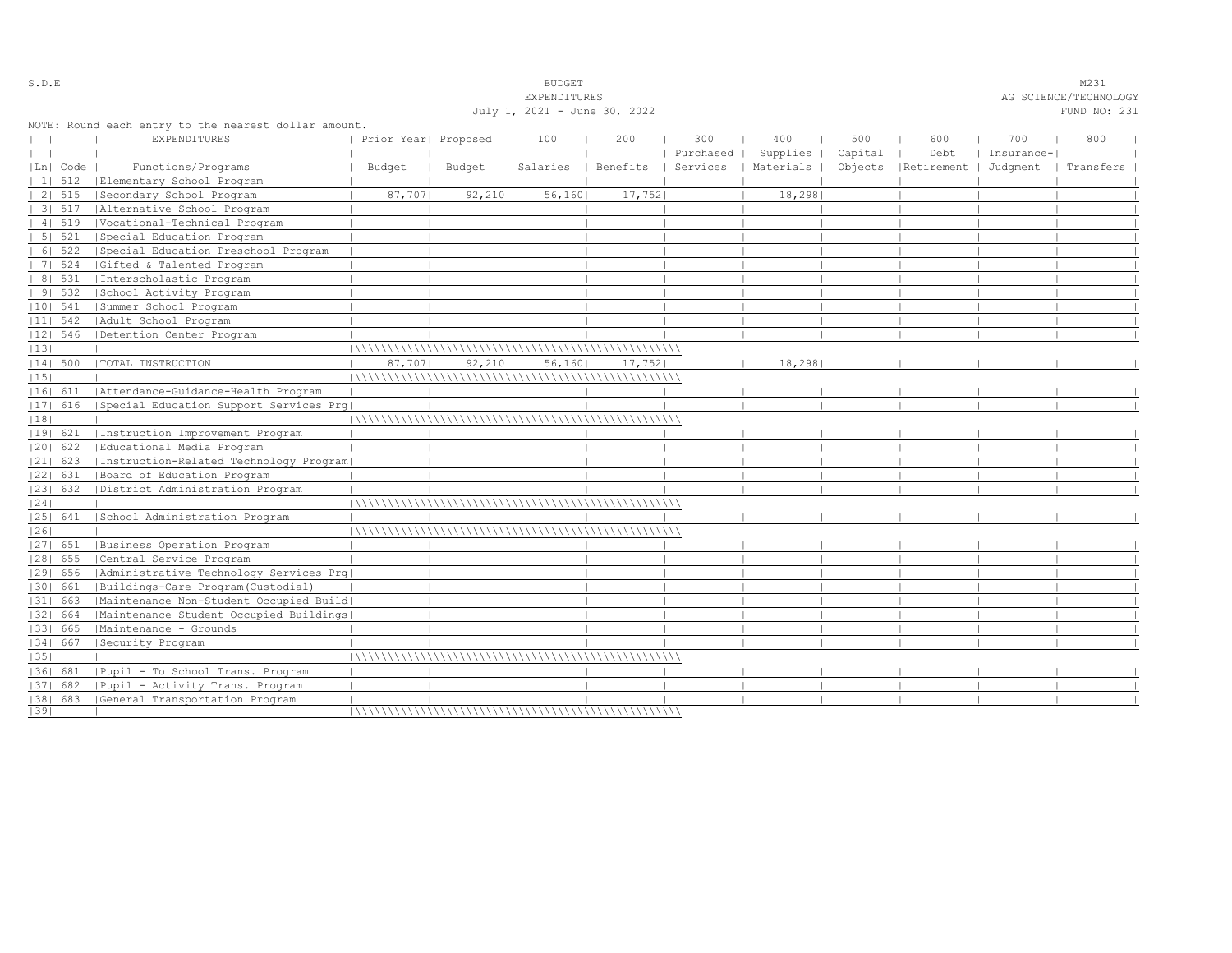|      |                |                                                      |                      |         | <b>EXPENDITURES</b>          |         |           |                                            |         |                                 |            | AG SCIENCE/TECHNOLOGY |  |
|------|----------------|------------------------------------------------------|----------------------|---------|------------------------------|---------|-----------|--------------------------------------------|---------|---------------------------------|------------|-----------------------|--|
|      |                |                                                      |                      |         | July 1, 2021 - June 30, 2022 |         |           |                                            |         |                                 |            | FUND NO: 231          |  |
|      |                | NOTE: Round each entry to the nearest dollar amount. |                      |         |                              |         |           |                                            |         |                                 |            |                       |  |
|      |                | EXPENDITURES                                         | Prior Year  Proposed |         | 100                          | 200     | 300       | 400                                        | 500     | 600                             | 700        | 800                   |  |
|      |                |                                                      |                      |         |                              |         | Purchased | Supplies                                   | Capital | Debt                            | Insurance- |                       |  |
|      | Ln  Code       | Functions/Programs                                   | Budget               | Budget  |                              |         |           | Salaries   Benefits   Services   Materials |         | Objects   Retirement   Judqment |            | Transfers             |  |
|      | $11 \quad 512$ | Elementary School Program                            |                      |         |                              |         |           |                                            |         |                                 |            |                       |  |
|      |                | 2  515   Secondary School Program                    | 87,7071              | 92, 210 | 56,160                       | 17,7521 |           | 18,298                                     |         |                                 |            |                       |  |
|      | 31.517         | Alternative School Program                           |                      |         |                              |         |           |                                            |         |                                 |            |                       |  |
|      | 41519          | Vocational-Technical Program                         |                      |         |                              |         |           |                                            |         |                                 |            |                       |  |
|      |                | 5  521   Special Education Program                   |                      |         |                              |         |           |                                            |         |                                 |            |                       |  |
|      |                | 6  522   Special Education Preschool Program         |                      |         |                              |         |           |                                            |         |                                 |            |                       |  |
|      | 7   524        | Gifted & Talented Program                            |                      |         |                              |         |           |                                            |         |                                 |            |                       |  |
|      | 8   531        | Interscholastic Program                              |                      |         |                              |         |           |                                            |         |                                 |            |                       |  |
|      | 9 532          | School Activity Program                              |                      |         |                              |         |           |                                            |         |                                 |            |                       |  |
|      | $ 10 $ 541     | Summer School Program                                |                      |         |                              |         |           |                                            |         |                                 |            |                       |  |
|      | $ 11 $ 542     | Adult School Program                                 |                      |         |                              |         |           |                                            |         |                                 |            |                       |  |
|      | 12  546        | Detention Center Program                             |                      |         |                              |         |           |                                            |         |                                 |            |                       |  |
| 13   |                |                                                      |                      |         |                              |         |           |                                            |         |                                 |            |                       |  |
|      | 14  500        | TOTAL INSTRUCTION                                    | 87,707               | 92, 210 | 56,160                       | 17,752  |           | 18,298                                     |         |                                 |            |                       |  |
| 15   |                |                                                      |                      |         |                              |         |           |                                            |         |                                 |            |                       |  |
|      |                | 16  611   Attendance-Guidance-Health Program         |                      |         |                              |         |           |                                            |         |                                 |            |                       |  |
|      | $ 17 $ 616     | Special Education Support Services Prq               |                      |         |                              |         |           |                                            |         |                                 |            |                       |  |
| 18   |                |                                                      |                      |         |                              |         |           |                                            |         |                                 |            |                       |  |
|      | 19  621        | Instruction Improvement Program                      |                      |         |                              |         |           |                                            |         |                                 |            |                       |  |
|      | 20  622        | Educational Media Program                            |                      |         |                              |         |           |                                            |         |                                 |            |                       |  |
|      | 21  623        | Instruction-Related Technology Program               |                      |         |                              |         |           |                                            |         |                                 |            |                       |  |
|      | 22  631        | Board of Education Program                           |                      |         |                              |         |           |                                            |         |                                 |            |                       |  |
|      | 23  632        | District Administration Program                      |                      |         |                              |         |           |                                            |         |                                 |            |                       |  |
| 24   |                |                                                      |                      |         |                              |         |           |                                            |         |                                 |            |                       |  |
|      | 25  641        | School Administration Program                        |                      |         |                              |         |           |                                            |         |                                 |            |                       |  |
| 1261 |                |                                                      |                      |         |                              |         |           |                                            |         |                                 |            |                       |  |
|      |                | [27] 651   Business Operation Program                |                      |         |                              |         |           |                                            |         |                                 |            |                       |  |
|      | 28  655        | Central Service Program                              |                      |         |                              |         |           |                                            |         |                                 |            |                       |  |
|      | 1291 656       | Administrative Technology Services Prg               |                      |         |                              |         |           |                                            |         |                                 |            |                       |  |
|      | 1301 661       | Buildings-Care Program(Custodial)                    |                      |         |                              |         |           |                                            |         |                                 |            |                       |  |
|      | 31  663        | Maintenance Non-Student Occupied Build               |                      |         |                              |         |           |                                            |         |                                 |            |                       |  |
|      | 1321 664       | Maintenance Student Occupied Buildings               |                      |         |                              |         |           |                                            |         |                                 |            |                       |  |
|      | 33   665       | Maintenance - Grounds                                |                      |         |                              |         |           |                                            |         |                                 |            |                       |  |
|      | 34  667        | Security Program                                     |                      |         |                              |         |           |                                            |         |                                 |            |                       |  |
| 35   |                |                                                      |                      |         |                              |         |           |                                            |         |                                 |            |                       |  |
|      | 1361 681       | Pupil - To School Trans. Program                     |                      |         |                              |         |           |                                            |         |                                 |            |                       |  |
|      | 37  682        | Pupil - Activity Trans. Program                      |                      |         |                              |         |           |                                            |         |                                 |            |                       |  |
|      |                | [38] 683 [General Transportation Program             |                      |         |                              |         |           |                                            |         |                                 |            |                       |  |
| 1391 |                |                                                      |                      |         |                              |         |           |                                            |         |                                 |            |                       |  |

S.D.E S.D. E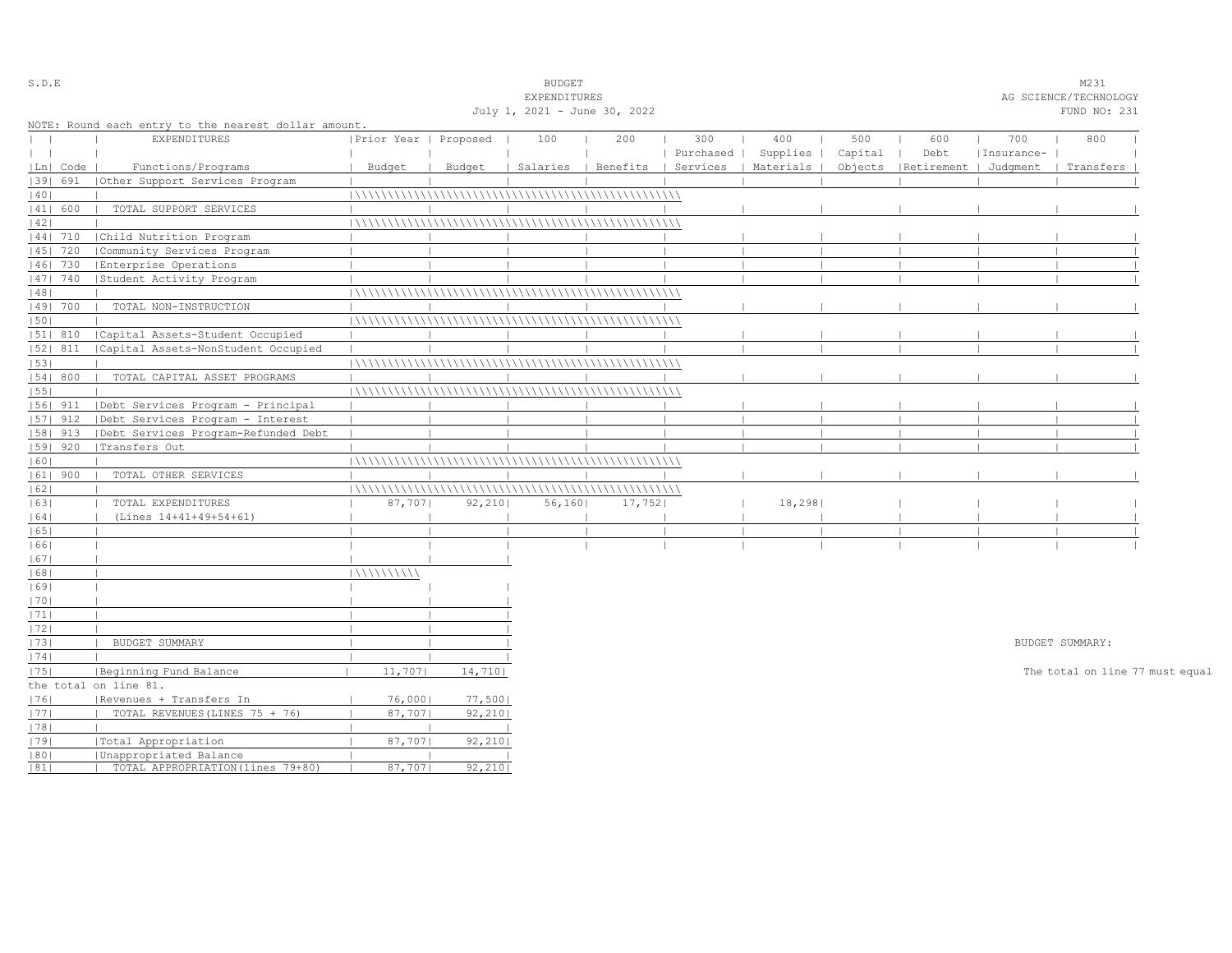| S.D.E             |            |                                                      |                       |          | <b>BUDGET</b>                |                                |           |           |         |                       |            | M231                            |  |
|-------------------|------------|------------------------------------------------------|-----------------------|----------|------------------------------|--------------------------------|-----------|-----------|---------|-----------------------|------------|---------------------------------|--|
|                   |            |                                                      |                       |          | EXPENDITURES                 |                                |           |           |         |                       |            | AG SCIENCE/TECHNOLOGY           |  |
|                   |            |                                                      |                       |          | July 1, 2021 - June 30, 2022 |                                |           |           |         |                       |            | FUND NO: 231                    |  |
|                   |            | NOTE: Round each entry to the nearest dollar amount. |                       |          |                              |                                |           |           |         |                       |            |                                 |  |
| $\mathbf{L}$      |            | <b>EXPENDITURES</b>                                  | Prior Year   Proposed |          | 100                          | 200                            | 300       | 400       | 500     | 600                   | 700        | 800                             |  |
| $\vert \ \ \vert$ |            |                                                      |                       |          |                              |                                | Purchased | Supplies  | Capital | Debt                  | Insurance- |                                 |  |
|                   | Ln   Code  | Functions/Programs                                   | Budget                | Budget   |                              | Salaries   Benefits   Services |           | Materials | Objects | Retirement   Judgment |            | Transfers                       |  |
|                   | 39  691    | Other Support Services Program                       |                       |          |                              |                                |           |           |         |                       |            |                                 |  |
| 40                |            |                                                      |                       |          |                              |                                |           |           |         |                       |            |                                 |  |
|                   | 41  600    | TOTAL SUPPORT SERVICES                               |                       |          |                              |                                |           |           |         |                       |            |                                 |  |
| 42                |            |                                                      |                       |          |                              |                                |           |           |         |                       |            |                                 |  |
|                   | $ 44 $ 710 | Child Nutrition Program                              |                       |          |                              |                                |           |           |         |                       |            |                                 |  |
|                   | 45   720   | Community Services Program                           |                       |          |                              |                                |           |           |         |                       |            |                                 |  |
|                   | 46  730    | Enterprise Operations                                |                       |          |                              |                                |           |           |         |                       |            |                                 |  |
|                   | 47   740   | Student Activity Program                             |                       |          |                              |                                |           |           |         |                       |            |                                 |  |
| 48                |            |                                                      |                       |          |                              |                                |           |           |         |                       |            |                                 |  |
|                   | 49  700    | TOTAL NON-INSTRUCTION                                |                       |          |                              |                                |           |           |         |                       |            |                                 |  |
| 50                |            |                                                      |                       |          |                              |                                |           |           |         |                       |            |                                 |  |
|                   | 51  810    | Capital Assets-Student Occupied                      |                       |          |                              |                                |           |           |         |                       |            |                                 |  |
|                   | 52  811    | Capital Assets-NonStudent Occupied                   |                       |          |                              |                                |           |           |         |                       |            |                                 |  |
| 53                |            |                                                      |                       |          |                              |                                |           |           |         |                       |            |                                 |  |
|                   | 54   800   | TOTAL CAPITAL ASSET PROGRAMS                         |                       |          |                              |                                |           |           |         |                       |            |                                 |  |
| 55                |            |                                                      |                       |          |                              |                                |           |           |         |                       |            |                                 |  |
|                   | $ 56 $ 911 | Debt Services Program - Principal                    |                       |          |                              |                                |           |           |         |                       |            |                                 |  |
|                   | $ 57 $ 912 | Debt Services Program - Interest                     |                       |          |                              |                                |           |           |         |                       |            |                                 |  |
|                   | 58  913    | Debt Services Program-Refunded Debt                  |                       |          |                              |                                |           |           |         |                       |            |                                 |  |
|                   | 59   920   | Transfers Out                                        |                       |          |                              |                                |           |           |         |                       |            |                                 |  |
| 60                |            |                                                      |                       |          |                              |                                |           |           |         |                       |            |                                 |  |
|                   | $ 61 $ 900 | TOTAL OTHER SERVICES                                 |                       |          |                              |                                |           |           |         |                       |            |                                 |  |
| 62                |            |                                                      |                       |          |                              |                                |           |           |         |                       |            |                                 |  |
| 63                |            | TOTAL EXPENDITURES                                   | 87,707                | 92, 2101 | 56,160                       | 17,752                         |           | 18,298    |         |                       |            |                                 |  |
| 64                |            | (Lines 14+41+49+54+61)                               |                       |          |                              |                                |           |           |         |                       |            |                                 |  |
| 65                |            |                                                      |                       |          |                              |                                |           |           |         |                       |            |                                 |  |
| 66                |            |                                                      |                       |          |                              |                                |           |           |         |                       |            |                                 |  |
| 67                |            |                                                      |                       |          |                              |                                |           |           |         |                       |            |                                 |  |
| 68                |            |                                                      | 111111111111          |          |                              |                                |           |           |         |                       |            |                                 |  |
| 69                |            |                                                      |                       |          |                              |                                |           |           |         |                       |            |                                 |  |
| 70                |            |                                                      |                       |          |                              |                                |           |           |         |                       |            |                                 |  |
| 1711              |            |                                                      |                       |          |                              |                                |           |           |         |                       |            |                                 |  |
| 72                |            |                                                      |                       |          |                              |                                |           |           |         |                       |            |                                 |  |
| 73                |            | BUDGET SUMMARY                                       |                       |          |                              |                                |           |           |         |                       |            | BUDGET SUMMARY:                 |  |
| 74                |            |                                                      |                       |          |                              |                                |           |           |         |                       |            |                                 |  |
| 75                |            | Beginning Fund Balance                               | 11,707                | 14,710   |                              |                                |           |           |         |                       |            | The total on line 77 must equal |  |
|                   |            | the total on line 81.                                |                       |          |                              |                                |           |           |         |                       |            |                                 |  |
| 76                |            | Revenues + Transfers In                              | 76,0001               | 77,500   |                              |                                |           |           |         |                       |            |                                 |  |
| 77                |            | TOTAL REVENUES (LINES 75 + 76)                       | 87,707                | 92,210   |                              |                                |           |           |         |                       |            |                                 |  |
| 78                |            |                                                      |                       |          |                              |                                |           |           |         |                       |            |                                 |  |
| 79                |            |                                                      | 87,707                | 92, 210  |                              |                                |           |           |         |                       |            |                                 |  |
|                   |            | Total Appropriation<br>Unappropriated Balance        |                       |          |                              |                                |           |           |         |                       |            |                                 |  |
| 80 <br> 81        |            | TOTAL APPROPRIATION (lines 79+80)                    | 87,7071               | 92, 210  |                              |                                |           |           |         |                       |            |                                 |  |
|                   |            |                                                      |                       |          |                              |                                |           |           |         |                       |            |                                 |  |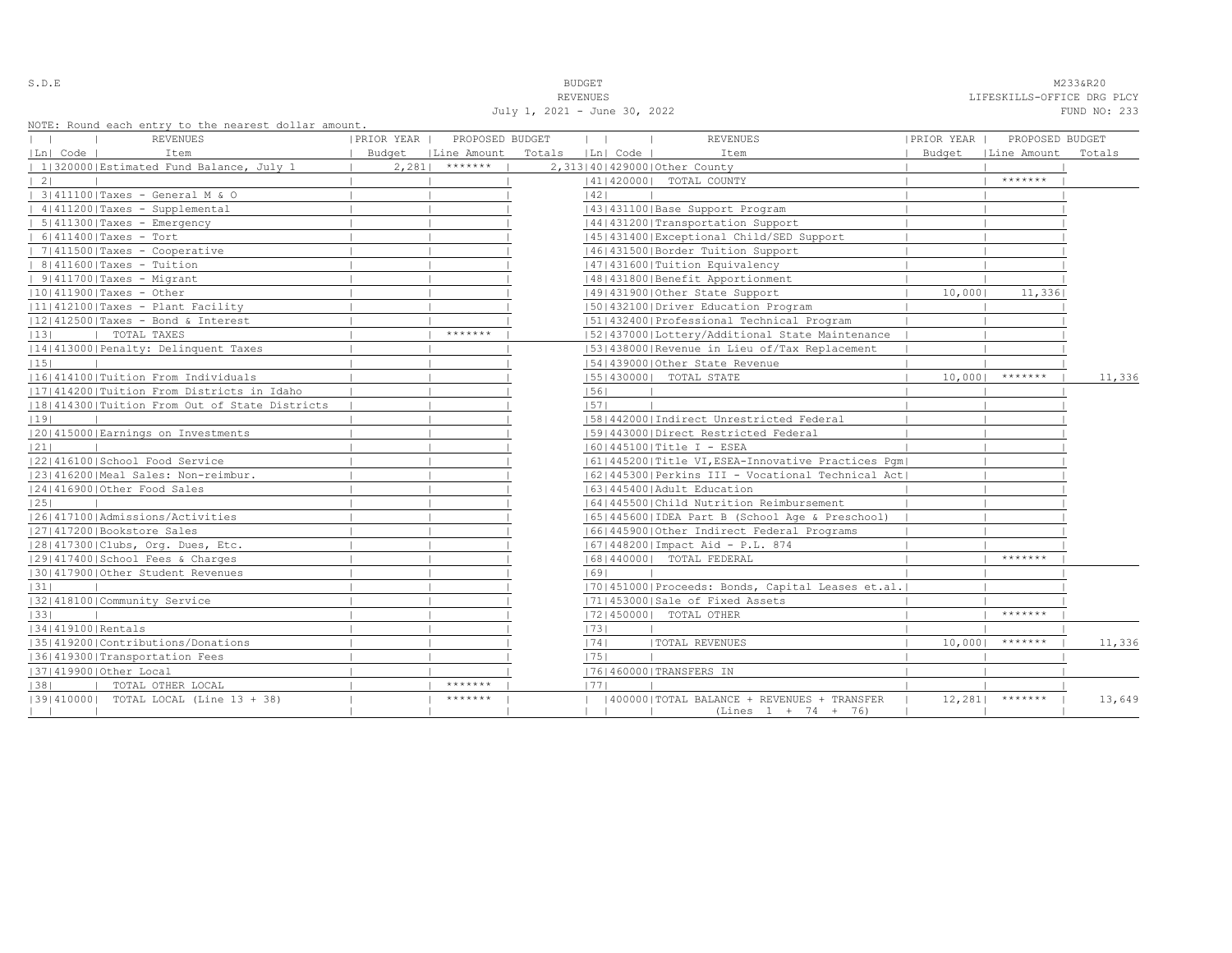| i<br>۰.<br>-<br>÷ |  |  |  |  |  |
|-------------------|--|--|--|--|--|
|-------------------|--|--|--|--|--|

S.D.E NOTE: NEXT AND SUDGET MESSAGREE SERVICES IN THE MANUSCRIPT OF SALES AND MALIAN MESSAGREE MALIAN MESSAGREE REVENUES LIFESKILLS-OFFICE DRG PLCY

|                   |                                                                         |                             |                  | July 1, 2021 - June 30, 2022 |                                                                       |            |                             | FUND NO: 233 |
|-------------------|-------------------------------------------------------------------------|-----------------------------|------------------|------------------------------|-----------------------------------------------------------------------|------------|-----------------------------|--------------|
| $\mathbf{1}$      | NOTE: Round each entry to the nearest dollar amount.<br><b>REVENUES</b> | PRIOR YEAR                  | PROPOSED BUDGET  | $\mathbf{1}$                 | <b>REVENUES</b>                                                       | PRIOR YEAR | PROPOSED BUDGET             |              |
| Ln  Code          | Item                                                                    | Budget   Line Amount Totals |                  | Ln  Code                     | Item                                                                  |            | Budget   Line Amount Totals |              |
|                   | 1 320000 Estimated Fund Balance, July 1                                 |                             | $2,2811$ ******* |                              | 2,313 40 429000 Other County                                          |            |                             |              |
| $\vert 2 \vert$   |                                                                         |                             |                  |                              | 14114200001 TOTAL COUNTY                                              |            | *******                     |              |
|                   | 3 411100 Taxes - General M & O                                          |                             |                  | 42                           |                                                                       |            |                             |              |
|                   | $ 4 411200 $ Taxes - Supplemental                                       |                             |                  |                              | 43   431100   Base Support Program                                    |            |                             |              |
|                   | $  5 411300 $ Taxes - Emergency                                         |                             |                  |                              | 44   431200   Transportation Support                                  |            |                             |              |
|                   | $  6 411400 $ Taxes - Tort                                              |                             |                  |                              | 45 431400 Exceptional Child/SED Support                               |            |                             |              |
|                   | $  7 411500 $ Taxes - Cooperative                                       |                             |                  |                              | 46 431500 Border Tuition Support                                      |            |                             |              |
|                   | $  8 411600 $ Taxes - Tuition                                           |                             |                  |                              | 47   431600   Tuition Equivalency                                     |            |                             |              |
|                   | $  9 411700 $ Taxes - Migrant                                           |                             |                  |                              | 48   431800   Benefit Apportionment                                   |            |                             |              |
|                   | $ 10 411900 $ Taxes - Other                                             |                             |                  |                              | 49 431900 Other State Support                                         | 10,000     | 11,336                      |              |
|                   | $ 11 412100 $ Taxes - Plant Facility                                    |                             |                  |                              | 50 432100 Driver Education Program                                    |            |                             |              |
|                   | 12 412500 Taxes - Bond & Interest                                       |                             |                  |                              | 51 432400 Professional Technical Program                              |            |                             |              |
| 13                | TOTAL TAXES                                                             |                             | *******          |                              | 52 437000 Lottery/Additional State Maintenance                        |            |                             |              |
|                   | 14 413000 Penalty: Delinquent Taxes                                     |                             |                  |                              | [53] 438000 Revenue in Lieu of/Tax Replacement                        |            |                             |              |
| 15                |                                                                         |                             |                  |                              | 54 439000 Other State Revenue                                         |            |                             |              |
|                   | 1161414100   Tuition From Individuals                                   |                             |                  |                              | 55   430000   TOTAL STATE                                             | $10,000$   | *******                     | 11,336       |
|                   | [17] 414200   Tuition From Districts in Idaho                           |                             |                  | 56                           |                                                                       |            |                             |              |
|                   | 18 414300 Tuition From Out of State Districts                           |                             |                  | 57                           |                                                                       |            |                             |              |
| 19                |                                                                         |                             |                  |                              | [58]442000]Indirect Unrestricted Federal                              |            |                             |              |
|                   | 20 415000 Earnings on Investments                                       |                             |                  |                              | 1591443000   Direct Restricted Federal                                |            |                             |              |
| 21                |                                                                         |                             |                  |                              | $ 60 445100 $ Title I - ESEA                                          |            |                             |              |
|                   | 22 416100 School Food Service                                           |                             |                  |                              | 61 445200 Title VI, ESEA-Innovative Practices Pgm                     |            |                             |              |
|                   | 23 416200 Meal Sales: Non-reimbur.                                      |                             |                  |                              | 62   445300   Perkins III - Vocational Technical Act                  |            |                             |              |
|                   | 24 416900 Other Food Sales                                              |                             |                  |                              | 63   445400   Adult Education                                         |            |                             |              |
| 25                |                                                                         |                             |                  |                              | 1641445500 Child Nutrition Reimbursement                              |            |                             |              |
|                   | 1261417100 Admissions/Activities                                        |                             |                  |                              | 65  445600  IDEA Part B (School Age & Preschool)                      |            |                             |              |
|                   | 27 417200 Bookstore Sales                                               |                             |                  |                              | 66 445900 Other Indirect Federal Programs                             |            |                             |              |
|                   | 28 417300 Clubs, Org. Dues, Etc.                                        |                             |                  |                              | $ 67 448200 $ Impact Aid - P.L. 874                                   |            |                             |              |
|                   | 12914174001School Fees & Charges                                        |                             |                  |                              | 16814400001 TOTAL FEDERAL                                             |            | *******                     |              |
|                   | 130141790010ther Student Revenues                                       |                             |                  | 69                           |                                                                       |            |                             |              |
| 31                |                                                                         |                             |                  |                              | [70] 451000   Proceeds: Bonds, Capital Leases et.al.                  |            |                             |              |
|                   | 32 418100 Community Service                                             |                             |                  |                              | 17114530001Sale of Fixed Assets                                       |            |                             |              |
| 33                |                                                                         |                             |                  |                              | 17214500001 TOTAL OTHER                                               |            | *******                     |              |
| 34 419100 Rentals |                                                                         |                             |                  | 73                           |                                                                       |            |                             |              |
|                   | 35 419200 Contributions/Donations                                       |                             |                  | 1741                         | <b> TOTAL REVENUES</b>                                                |            | $10,000$   *******          | 11,336       |
|                   | 36 419300 Transportation Fees                                           |                             |                  | 75                           |                                                                       |            |                             |              |
|                   | 37 419900 Other Local                                                   |                             |                  |                              | 76 460000 TRANSFERS IN                                                |            |                             |              |
| 38                | TOTAL OTHER LOCAL                                                       |                             | $*********$      | 1771                         |                                                                       |            |                             |              |
|                   | $ 39 410000 $ TOTAL LOCAL (Line 13 + 38)                                |                             | *******          |                              | 400000   TOTAL BALANCE + REVENUES + TRANSFER<br>$(Lines 1 + 74 + 76)$ |            | $12,281$   *******          | 13,649       |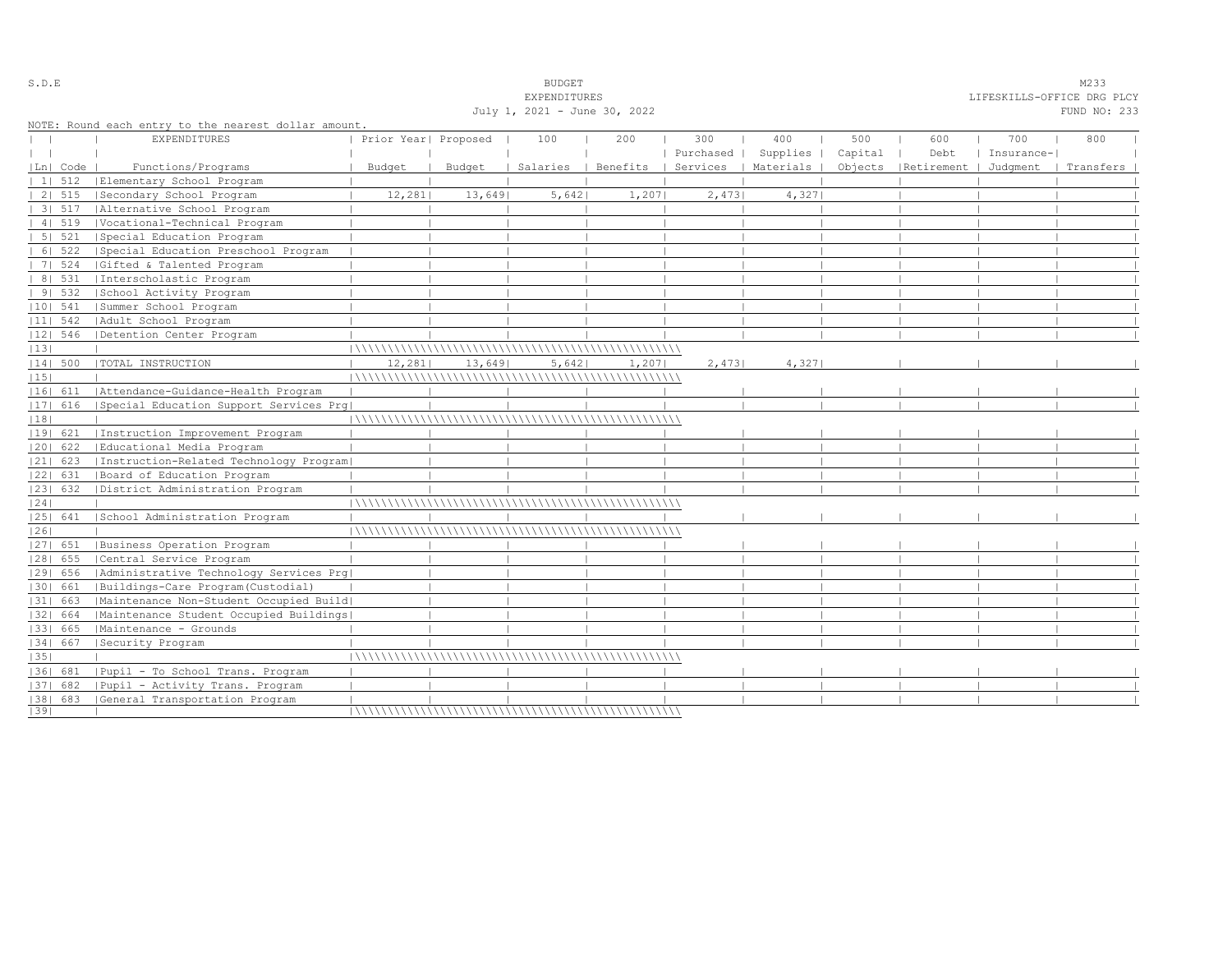|    |            |                                                      |                      |         | <b>EXPENDITURES</b>          |        |           |                                            |         |                                             | LIFESKILLS-OFFICE DRG PLCY |              |  |
|----|------------|------------------------------------------------------|----------------------|---------|------------------------------|--------|-----------|--------------------------------------------|---------|---------------------------------------------|----------------------------|--------------|--|
|    |            |                                                      |                      |         | July 1, 2021 - June 30, 2022 |        |           |                                            |         |                                             |                            | FUND NO: 233 |  |
|    |            | NOTE: Round each entry to the nearest dollar amount. |                      |         |                              |        |           |                                            |         |                                             |                            |              |  |
|    |            | <b>EXPENDITURES</b>                                  | Prior Year  Proposed |         | 100                          | 200    | 300       | 400                                        | 500     | 600                                         | 700                        | 800          |  |
|    |            |                                                      |                      |         |                              |        | Purchased | Supplies                                   | Capital | Debt                                        | Insurance-                 |              |  |
|    | Ln  Code   | Functions/Programs                                   | Budget               | Budget  |                              |        |           | Salaries   Benefits   Services   Materials |         | Objects   Retirement   Judgment   Transfers |                            |              |  |
|    | 11512      | Elementary School Program                            |                      |         |                              |        |           |                                            |         |                                             |                            |              |  |
|    | 2   515    | Secondary School Program                             | 12,281               | 13,6491 | 5,642                        | 1,207  | 2,473     | 4,3271                                     |         |                                             |                            |              |  |
|    | 3   517    | Alternative School Program                           |                      |         |                              |        |           |                                            |         |                                             |                            |              |  |
|    | 4   519    | Vocational-Technical Program                         |                      |         |                              |        |           |                                            |         |                                             |                            |              |  |
|    | 5   521    | Special Education Program                            |                      |         |                              |        |           |                                            |         |                                             |                            |              |  |
|    | 6   522    | Special Education Preschool Program                  |                      |         |                              |        |           |                                            |         |                                             |                            |              |  |
|    | 7   524    | Gifted & Talented Program                            |                      |         |                              |        |           |                                            |         |                                             |                            |              |  |
|    | 8   531    | Interscholastic Program                              |                      |         |                              |        |           |                                            |         |                                             |                            |              |  |
|    | 91532      | School Activity Program                              |                      |         |                              |        |           |                                            |         |                                             |                            |              |  |
|    | $ 10 $ 541 | Summer School Program                                |                      |         |                              |        |           |                                            |         |                                             |                            |              |  |
|    | $ 11 $ 542 | Adult School Program                                 |                      |         |                              |        |           |                                            |         |                                             |                            |              |  |
|    | $ 12 $ 546 | Detention Center Program                             |                      |         |                              |        |           |                                            |         |                                             |                            |              |  |
| 13 |            |                                                      |                      |         |                              |        |           |                                            |         |                                             |                            |              |  |
|    | 14  500    | TOTAL INSTRUCTION                                    | 12,281               | 13,649  | 5,642                        | 1,2071 | 2,4731    | 4,327                                      |         |                                             |                            |              |  |
| 15 |            |                                                      |                      |         |                              |        |           |                                            |         |                                             |                            |              |  |
|    | 16  611    | Attendance-Guidance-Health Program                   |                      |         |                              |        |           |                                            |         |                                             |                            |              |  |
|    | 17  616    | Special Education Support Services Prq               |                      |         |                              |        |           |                                            |         |                                             |                            |              |  |
| 18 |            |                                                      |                      |         |                              |        |           |                                            |         |                                             |                            |              |  |
|    | 19  621    | Instruction Improvement Program                      |                      |         |                              |        |           |                                            |         |                                             |                            |              |  |
|    | $ 20 $ 622 | Educational Media Program                            |                      |         |                              |        |           |                                            |         |                                             |                            |              |  |
|    | $ 21 $ 623 | [Instruction-Related Technology Program]             |                      |         |                              |        |           |                                            |         |                                             |                            |              |  |
|    | 22  631    | Board of Education Program                           |                      |         |                              |        |           |                                            |         |                                             |                            |              |  |
|    | 23  632    | District Administration Program                      |                      |         |                              |        |           |                                            |         |                                             |                            |              |  |
| 24 |            |                                                      |                      |         |                              |        |           |                                            |         |                                             |                            |              |  |
|    | $ 25 $ 641 | School Administration Program                        |                      |         |                              |        |           |                                            |         |                                             |                            |              |  |
| 26 |            |                                                      |                      |         |                              |        |           |                                            |         |                                             |                            |              |  |
|    |            | [27] 651   Business Operation Program                |                      |         |                              |        |           |                                            |         |                                             |                            |              |  |
|    | $ 28 $ 655 | Central Service Program                              |                      |         |                              |        |           |                                            |         |                                             |                            |              |  |
|    | 29  656    | Administrative Technology Services Prg               |                      |         |                              |        |           |                                            |         |                                             |                            |              |  |
|    | 30  661    | Buildings-Care Program(Custodial)                    |                      |         |                              |        |           |                                            |         |                                             |                            |              |  |
|    | 31  663    | Maintenance Non-Student Occupied Build               |                      |         |                              |        |           |                                            |         |                                             |                            |              |  |
|    | 32  664    | Maintenance Student Occupied Buildings               |                      |         |                              |        |           |                                            |         |                                             |                            |              |  |
|    | 1331 665   | Maintenance - Grounds                                |                      |         |                              |        |           |                                            |         |                                             |                            |              |  |
|    | 34  667    | Security Program                                     |                      |         |                              |        |           |                                            |         |                                             |                            |              |  |
| 35 |            |                                                      |                      |         |                              |        |           |                                            |         |                                             |                            |              |  |
|    | 1361 681   | Pupil - To School Trans. Program                     |                      |         |                              |        |           |                                            |         |                                             |                            |              |  |
|    | 37  682    | Pupil - Activity Trans. Program                      |                      |         |                              |        |           |                                            |         |                                             |                            |              |  |
|    |            | [38] 683 [General Transportation Program             |                      |         |                              |        |           |                                            |         |                                             |                            |              |  |
| 39 |            |                                                      |                      |         |                              |        |           |                                            |         |                                             |                            |              |  |

S.D.E SOME SALE SOME STRUCK STRUCK STRUCK SOMETHING SOMETHING SOMETHING SOMETHING SOMETHING SOMETHING SOMETHING SOMETHING SOMETHING SOMETHING SOMETHING SOMETHING SOMETHING SOMETHING SOMETHING SOMETHING SOMETHING SOMETHING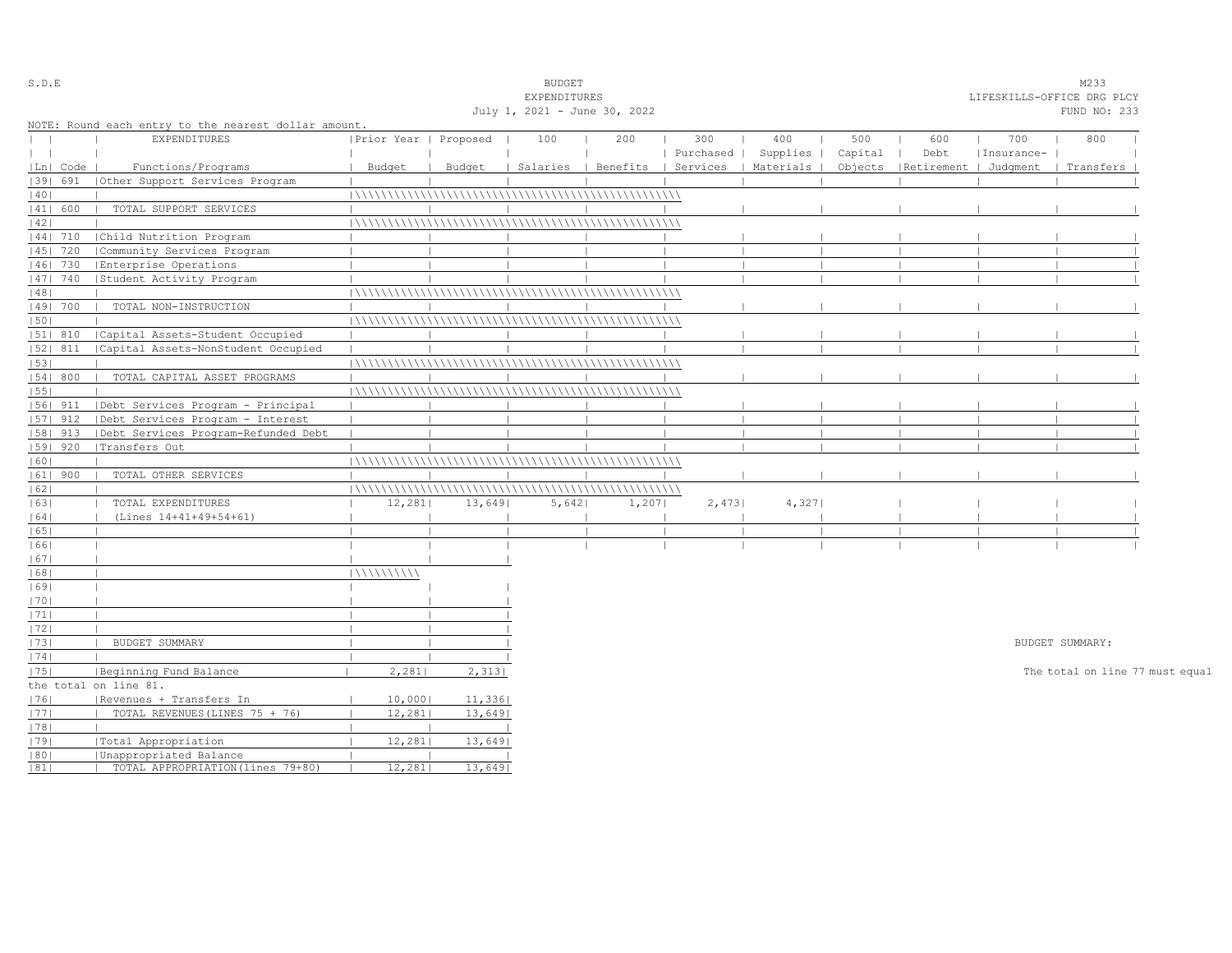| S.D.E         |            |                                                      |                       |        | <b>BUDGET</b>                |                                |           |           |         |                       |            | M233                            |  |
|---------------|------------|------------------------------------------------------|-----------------------|--------|------------------------------|--------------------------------|-----------|-----------|---------|-----------------------|------------|---------------------------------|--|
|               |            |                                                      |                       |        | EXPENDITURES                 |                                |           |           |         |                       |            | LIFESKILLS-OFFICE DRG PLCY      |  |
|               |            |                                                      |                       |        | July 1, 2021 - June 30, 2022 |                                |           |           |         |                       |            | FUND NO: 233                    |  |
|               |            | NOTE: Round each entry to the nearest dollar amount. |                       |        |                              |                                |           |           |         |                       |            |                                 |  |
| $\mathbf{L}$  |            | <b>EXPENDITURES</b>                                  | Prior Year   Proposed |        | 100                          | 200                            | 300       | 400       | 500     | 600                   | 700        | 800                             |  |
| $\vert \vert$ |            |                                                      |                       |        |                              |                                | Purchased | Supplies  | Capital | Debt                  | Insurance- |                                 |  |
|               | Ln   Code  | Functions/Programs                                   | Budget                | Budget |                              | Salaries   Benefits   Services |           | Materials | Objects | Retirement   Judgment |            | Transfers                       |  |
|               | 1391 691   | Other Support Services Program                       |                       |        |                              |                                |           |           |         |                       |            |                                 |  |
| 40            |            |                                                      |                       |        |                              |                                |           |           |         |                       |            |                                 |  |
|               | 41  600    | TOTAL SUPPORT SERVICES                               |                       |        |                              |                                |           |           |         |                       |            |                                 |  |
| 42            |            |                                                      |                       |        |                              |                                |           |           |         |                       |            |                                 |  |
|               | $ 44 $ 710 | Child Nutrition Program                              |                       |        |                              |                                |           |           |         |                       |            |                                 |  |
|               | 45   720   | Community Services Program                           |                       |        |                              |                                |           |           |         |                       |            |                                 |  |
|               | 46  730    | Enterprise Operations                                |                       |        |                              |                                |           |           |         |                       |            |                                 |  |
|               | 47   740   | Student Activity Program                             |                       |        |                              |                                |           |           |         |                       |            |                                 |  |
| 48            |            |                                                      |                       |        |                              |                                |           |           |         |                       |            |                                 |  |
|               | 49  700    | TOTAL NON-INSTRUCTION                                |                       |        |                              |                                |           |           |         |                       |            |                                 |  |
| 50            |            |                                                      |                       |        |                              |                                |           |           |         |                       |            |                                 |  |
|               | 51  810    | Capital Assets-Student Occupied                      |                       |        |                              |                                |           |           |         |                       |            |                                 |  |
|               | 52  811    | Capital Assets-NonStudent Occupied                   |                       |        |                              |                                |           |           |         |                       |            |                                 |  |
| 53            |            |                                                      |                       |        |                              |                                |           |           |         |                       |            |                                 |  |
|               | 54   800   | TOTAL CAPITAL ASSET PROGRAMS                         |                       |        |                              |                                |           |           |         |                       |            |                                 |  |
| 55            |            |                                                      |                       |        |                              |                                |           |           |         |                       |            |                                 |  |
|               | $ 56 $ 911 | Debt Services Program - Principal                    |                       |        |                              |                                |           |           |         |                       |            |                                 |  |
|               | $ 57 $ 912 | Debt Services Program - Interest                     |                       |        |                              |                                |           |           |         |                       |            |                                 |  |
|               | 58  913    | Debt Services Program-Refunded Debt                  |                       |        |                              |                                |           |           |         |                       |            |                                 |  |
|               | $ 59 $ 920 | Transfers Out                                        |                       |        |                              |                                |           |           |         |                       |            |                                 |  |
| 60            |            |                                                      |                       |        |                              |                                |           |           |         |                       |            |                                 |  |
|               | $ 61 $ 900 | TOTAL OTHER SERVICES                                 |                       |        |                              |                                |           |           |         |                       |            |                                 |  |
| 62            |            |                                                      |                       |        |                              |                                |           |           |         |                       |            |                                 |  |
| 63            |            | TOTAL EXPENDITURES                                   | 12,281                | 13,649 | 5,642                        | 1,207                          | 2,473     | 4,327     |         |                       |            |                                 |  |
| 64            |            | (Lines 14+41+49+54+61)                               |                       |        |                              |                                |           |           |         |                       |            |                                 |  |
| 65            |            |                                                      |                       |        |                              |                                |           |           |         |                       |            |                                 |  |
| 66            |            |                                                      |                       |        |                              |                                |           |           |         |                       |            |                                 |  |
| 67            |            |                                                      |                       |        |                              |                                |           |           |         |                       |            |                                 |  |
| 68            |            |                                                      | 111111111111          |        |                              |                                |           |           |         |                       |            |                                 |  |
| 69            |            |                                                      |                       |        |                              |                                |           |           |         |                       |            |                                 |  |
| 70            |            |                                                      |                       |        |                              |                                |           |           |         |                       |            |                                 |  |
| 1711          |            |                                                      |                       |        |                              |                                |           |           |         |                       |            |                                 |  |
| 72            |            |                                                      |                       |        |                              |                                |           |           |         |                       |            |                                 |  |
| 73            |            | BUDGET SUMMARY                                       |                       |        |                              |                                |           |           |         |                       |            | BUDGET SUMMARY:                 |  |
| 74            |            |                                                      |                       |        |                              |                                |           |           |         |                       |            |                                 |  |
| 75            |            | Beginning Fund Balance                               | 2,281                 | 2,313  |                              |                                |           |           |         |                       |            | The total on line 77 must equal |  |
|               |            | the total on line 81.                                |                       |        |                              |                                |           |           |         |                       |            |                                 |  |
| 76            |            | Revenues + Transfers In                              | 10,000                | 11,336 |                              |                                |           |           |         |                       |            |                                 |  |
| 77            |            | TOTAL REVENUES (LINES 75 + 76)                       | 12, 281               | 13,649 |                              |                                |           |           |         |                       |            |                                 |  |
| 78            |            |                                                      |                       |        |                              |                                |           |           |         |                       |            |                                 |  |
| 79            |            |                                                      | 12,281                | 13,649 |                              |                                |           |           |         |                       |            |                                 |  |
|               |            | Total Appropriation<br>Unappropriated Balance        |                       |        |                              |                                |           |           |         |                       |            |                                 |  |
| 80 <br> 81    |            | TOTAL APPROPRIATION (lines 79+80)                    | 12,281                | 13,649 |                              |                                |           |           |         |                       |            |                                 |  |
|               |            |                                                      |                       |        |                              |                                |           |           |         |                       |            |                                 |  |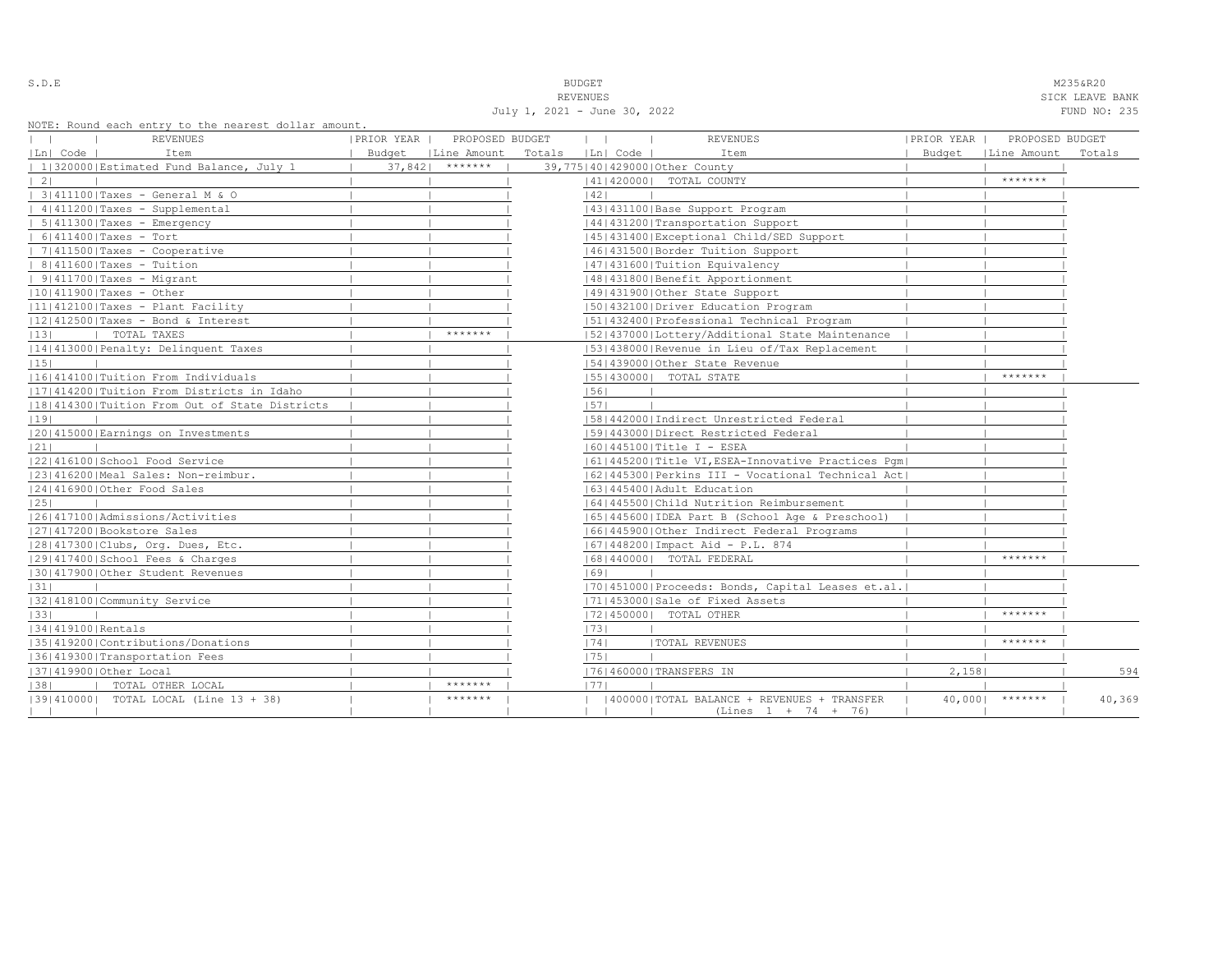| ٠<br>u<br>× |  |  |  |  |  |
|-------------|--|--|--|--|--|
|-------------|--|--|--|--|--|

S.D.E NAMES AND STRUCK STRUCK STRUCK STRUCK STRUCK STRUCK STRUCK STRUCK STRUCK STRUCK STRUCK STRUCK STRUCK STRUCK STRUCK STRUCK STRUCK STRUCK STRUCK STRUCK STRUCK STRUCK STRUCK STRUCK STRUCK STRUCK STRUCK STRUCK STRUCK STR

REVENUES SICK LEAVE BANK July 1, 2021 - June 30, 2022 FUND NO: 235

|  |  |  | NOTE: Round each entry to the nearest dollar amount. |  |
|--|--|--|------------------------------------------------------|--|
|  |  |  |                                                      |  |

| NOIL, ROUNG BACH BNULY LO LNB NBALBSL GOILAL AMOUNL.<br>REVENUES | PRIOR YEAR | PROPOSED BUDGET      |        | $\mathbf{1}$ | <b>REVENUES</b>                                                     | PRIOR YEAR | PROPOSED BUDGET |        |
|------------------------------------------------------------------|------------|----------------------|--------|--------------|---------------------------------------------------------------------|------------|-----------------|--------|
| Ln  Code  <br>Item                                               |            | Budget   Line Amount | Totals | Ln  Code     | Item                                                                | Budget     | Line Amount     | Totals |
| 1 320000 Estimated Fund Balance, July 1                          | 37,8421    | *******              |        |              | 39,775140142900010ther County                                       |            |                 |        |
| $\vert 2 \vert$                                                  |            |                      |        |              | 41   420000   TOTAL COUNTY                                          |            | *******         |        |
| 3 411100 Taxes - General M & O                                   |            |                      |        | 1421         |                                                                     |            |                 |        |
| 4 411200 Taxes - Supplemental                                    |            |                      |        |              | 43   431100   Base Support Program                                  |            |                 |        |
| $  5 411300 $ Taxes - Emergency                                  |            |                      |        |              | 44   431200   Transportation Support                                |            |                 |        |
| $  6 411400 $ Taxes - Tort                                       |            |                      |        |              | 45 431400 Exceptional Child/SED Support                             |            |                 |        |
| $  7 411500 $ Taxes - Cooperative                                |            |                      |        |              | 46 431500 Border Tuition Support                                    |            |                 |        |
| $  8 411600 $ Taxes - Tuition                                    |            |                      |        |              | 1471431600   Tuition Equivalency                                    |            |                 |        |
| $  9 411700 $ Taxes - Migrant                                    |            |                      |        |              | 48   431800   Benefit Apportionment                                 |            |                 |        |
| $ 10 411900 $ Taxes - Other                                      |            |                      |        |              | 49 431900 Other State Support                                       |            |                 |        |
| $ 11 412100 $ Taxes - Plant Facility                             |            |                      |        |              | 1501432100 Driver Education Program                                 |            |                 |        |
| $ 12 412500 $ Taxes - Bond & Interest                            |            |                      |        |              | 51 432400 Professional Technical Program                            |            |                 |        |
| TOTAL TAXES<br> 13                                               |            | *******              |        |              | [52] 437000 [Lottery/Additional State Maintenance                   |            |                 |        |
| [14] 413000 Penalty: Delinquent Taxes                            |            |                      |        |              | 1531438000 Revenue in Lieu of/Tax Replacement                       |            |                 |        |
| 15                                                               |            |                      |        |              | 154143900010ther State Revenue                                      |            |                 |        |
| 11614141001Tuition From Individuals                              |            |                      |        |              | [55] 430000] TOTAL STATE                                            |            | *******         |        |
| [17] 414200   Tuition From Districts in Idaho                    |            |                      |        | 56           |                                                                     |            |                 |        |
| 18 414300 Tuition From Out of State Districts                    |            |                      |        | 57           |                                                                     |            |                 |        |
| 19                                                               |            |                      |        |              | 15814420001Indirect Unrestricted Federal                            |            |                 |        |
| 20 415000 Earnings on Investments                                |            |                      |        |              | 1591443000   Direct Restricted Federal                              |            |                 |        |
| 21                                                               |            |                      |        |              | $ 60 445100 $ Title I - ESEA                                        |            |                 |        |
| 22 416100 School Food Service                                    |            |                      |        |              | 61 445200 Title VI, ESEA-Innovative Practices Pqm                   |            |                 |        |
| 23 416200 Meal Sales: Non-reimbur.                               |            |                      |        |              | [62]445300   Perkins III - Vocational Technical Act]                |            |                 |        |
| 24 416900 Other Food Sales                                       |            |                      |        |              | 16314454001Adult Education                                          |            |                 |        |
| 25                                                               |            |                      |        |              | 16414455001Child Nutrition Reimbursement                            |            |                 |        |
| 1261417100   Admissions/Activities                               |            |                      |        |              | 65   445600   IDEA Part B (School Age & Preschool)                  |            |                 |        |
| 27 417200 Bookstore Sales                                        |            |                      |        |              | 16614459001Other Indirect Federal Programs                          |            |                 |        |
| 28 417300 Clubs, Org. Dues, Etc.                                 |            |                      |        |              | (67/448200/Impact Aid - P.L. 874                                    |            |                 |        |
| 12914174001School Fees & Charges                                 |            |                      |        |              | 16814400001 TOTAL FEDERAL                                           |            | *******         |        |
| 130141790010ther Student Revenues                                |            |                      |        | 69           |                                                                     |            |                 |        |
| 31                                                               |            |                      |        |              | 70 451000 Proceeds: Bonds, Capital Leases et.al.                    |            |                 |        |
| 1321418100 Community Service                                     |            |                      |        |              | 17114530001Sale of Fixed Assets                                     |            |                 |        |
| 33                                                               |            |                      |        |              | 17214500001 TOTAL OTHER                                             |            | *******         |        |
| 34 419100 Rentals                                                |            |                      |        | 73           |                                                                     |            |                 |        |
| 35 419200 Contributions/Donations                                |            |                      |        | 74           | <b>ITOTAL REVENUES</b>                                              |            | *******         |        |
| 36 419300 Transportation Fees                                    |            |                      |        | 1751         |                                                                     |            |                 |        |
| 37 419900 Other Local                                            |            |                      |        |              | 17614600001TRANSFERS IN                                             | 2,158      |                 | 594    |
| 38 <br>  TOTAL OTHER LOCAL                                       |            | *******              |        | 1771         |                                                                     |            |                 |        |
| [39] 410000] TOTAL LOCAL (Line 13 + 38)                          |            | *******              |        |              | 400000 TOTAL BALANCE + REVENUES + TRANSFER<br>$(Lines 1 + 74 + 76)$ | 40,0001    | $*********$     | 40,369 |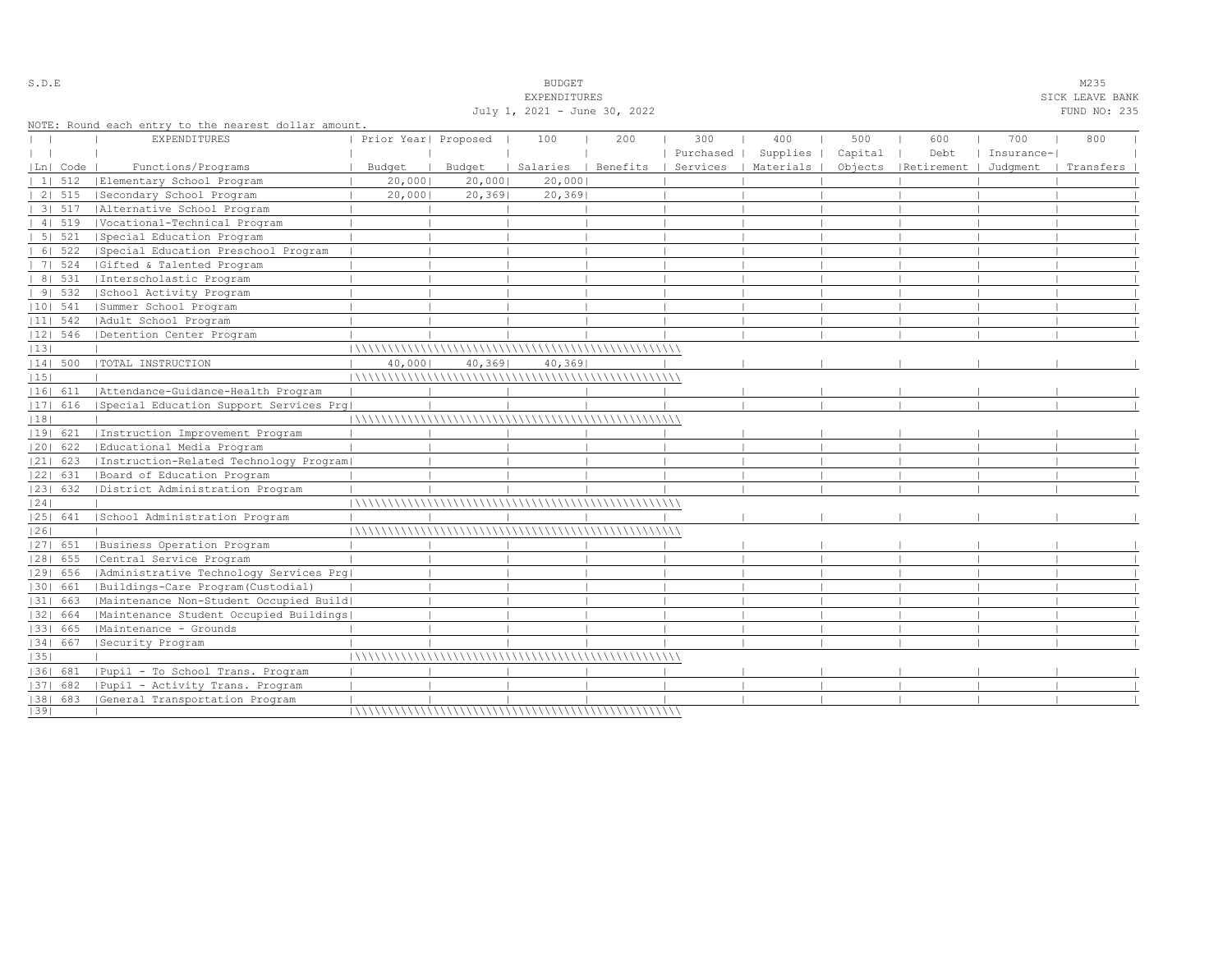|                |                                                                             |                      |        | July 1, 2021 - June 30, 2022 |     |           |           |         |                      |            | FUND NO: 235 |  |
|----------------|-----------------------------------------------------------------------------|----------------------|--------|------------------------------|-----|-----------|-----------|---------|----------------------|------------|--------------|--|
|                | NOTE: Round each entry to the nearest dollar amount.<br><b>EXPENDITURES</b> | Prior Year  Proposed |        | 100                          | 200 | 300       | 400       | 500     | 600                  | 700        | 800          |  |
| $\mathbf{1}$   |                                                                             |                      |        |                              |     | Purchased | Supplies  | Capital | Debt                 | Insurance- |              |  |
| Ln  Code       | Functions/Programs                                                          | Budget               | Budget | Salaries   Benefits          |     | Services  | Materials |         | Objects   Retirement | Judqment   | Transfers    |  |
| $11 \quad 512$ | Elementary School Program                                                   | 20,000               | 20,000 | 20,000                       |     |           |           |         |                      |            |              |  |
| 2   515        | Secondary School Program                                                    | 20,0001              | 20,369 | 20,369                       |     |           |           |         |                      |            |              |  |
| 3   517        | Alternative School Program                                                  |                      |        |                              |     |           |           |         |                      |            |              |  |
| 41519          | Vocational-Technical Program                                                |                      |        |                              |     |           |           |         |                      |            |              |  |
| 5   521        | Special Education Program                                                   |                      |        |                              |     |           |           |         |                      |            |              |  |
| 6 522          | Special Education Preschool Program                                         |                      |        |                              |     |           |           |         |                      |            |              |  |
| 7   524        | Gifted & Talented Program                                                   |                      |        |                              |     |           |           |         |                      |            |              |  |
| 8   531        | Interscholastic Program                                                     |                      |        |                              |     |           |           |         |                      |            |              |  |
| 91532          | School Activity Program                                                     |                      |        |                              |     |           |           |         |                      |            |              |  |
| $ 10 $ 541     | Summer School Program                                                       |                      |        |                              |     |           |           |         |                      |            |              |  |
| $ 11 $ 542     | Adult School Program                                                        |                      |        |                              |     |           |           |         |                      |            |              |  |
| 12  546        | Detention Center Program                                                    |                      |        |                              |     |           |           |         |                      |            |              |  |
| 13             |                                                                             |                      |        |                              |     |           |           |         |                      |            |              |  |
| 14  500        | TOTAL INSTRUCTION                                                           | 40,000               | 40,369 | 40,369                       |     |           |           |         |                      |            |              |  |
| 15             |                                                                             |                      |        |                              |     |           |           |         |                      |            |              |  |
| 16  611        | Attendance-Guidance-Health Program                                          |                      |        |                              |     |           |           |         |                      |            |              |  |
| 17  616        | Special Education Support Services Prg                                      |                      |        |                              |     |           |           |         |                      |            |              |  |
| 18             |                                                                             |                      |        |                              |     |           |           |         |                      |            |              |  |
| 19  621        | Instruction Improvement Program                                             |                      |        |                              |     |           |           |         |                      |            |              |  |
| 20  622        | Educational Media Program                                                   |                      |        |                              |     |           |           |         |                      |            |              |  |
| $ 21 $ 623     | Instruction-Related Technology Program                                      |                      |        |                              |     |           |           |         |                      |            |              |  |
| 22  631        | Board of Education Program                                                  |                      |        |                              |     |           |           |         |                      |            |              |  |
| 23  632        | District Administration Program                                             |                      |        |                              |     |           |           |         |                      |            |              |  |
| 24             |                                                                             |                      |        |                              |     |           |           |         |                      |            |              |  |
| 25  641        | School Administration Program                                               |                      |        |                              |     |           |           |         |                      |            |              |  |
| 26             |                                                                             |                      |        |                              |     |           |           |         |                      |            |              |  |
| $ 27 $ 651     | Business Operation Program                                                  |                      |        |                              |     |           |           |         |                      |            |              |  |
| $ 28 $ 655     | Central Service Program                                                     |                      |        |                              |     |           |           |         |                      |            |              |  |
| 29  656        | Administrative Technology Services Prg                                      |                      |        |                              |     |           |           |         |                      |            |              |  |
| 30  661        | Buildings-Care Program(Custodial)                                           |                      |        |                              |     |           |           |         |                      |            |              |  |
| 31  663        | Maintenance Non-Student Occupied Build                                      |                      |        |                              |     |           |           |         |                      |            |              |  |
| 32  664        | Maintenance Student Occupied Buildings                                      |                      |        |                              |     |           |           |         |                      |            |              |  |
| 33  665        | Maintenance - Grounds                                                       |                      |        |                              |     |           |           |         |                      |            |              |  |
| 34  667        | Security Program                                                            |                      |        |                              |     |           |           |         |                      |            |              |  |
| 35             |                                                                             |                      |        |                              |     |           |           |         |                      |            |              |  |
|                | 36  681   Pupil - To School Trans. Program                                  |                      |        |                              |     |           |           |         |                      |            |              |  |
| 37  682        | Pupil - Activity Trans. Program                                             |                      |        |                              |     |           |           |         |                      |            |              |  |
|                | [38] 683 [General Transportation Program                                    |                      |        |                              |     |           |           |         |                      |            |              |  |
| 39             |                                                                             |                      |        |                              |     |           |           |         |                      |            |              |  |

S.D.E SOME SALE SOME STRUCK STRUCK STRUCK SOMETHING SOMETHING SOMETHING SOMETHING SOMETHING SOMETHING SOMETHING SOMETHING SOMETHING SOMETHING SOMETHING SOMETHING SOMETHING SOMETHING SOMETHING SOMETHING SOMETHING SOMETHING EXPENDITURES SICK LEAVE BANK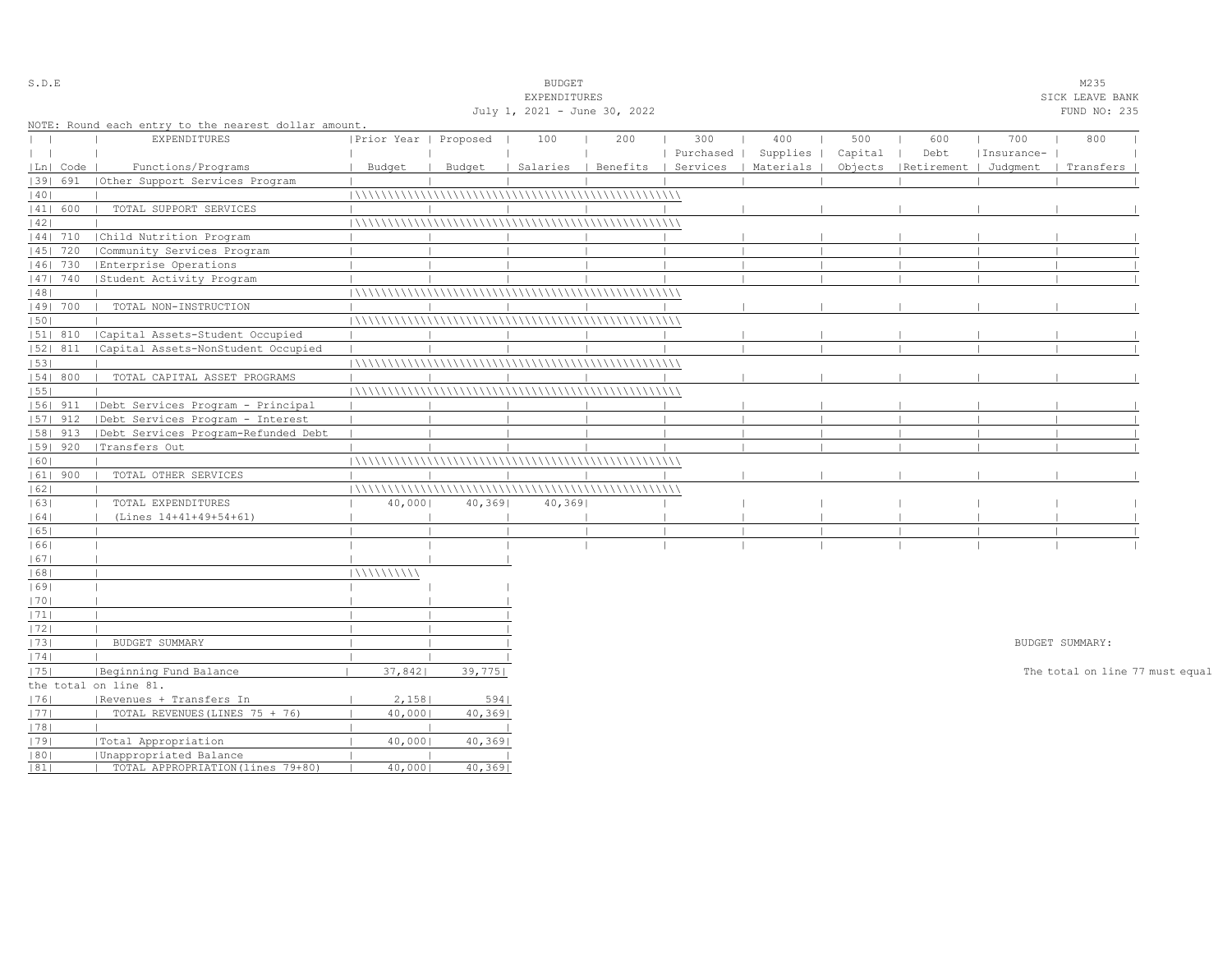| S.D.E   |            |                                                      |                       |         | <b>BUDGET</b>                |     |           |                                 |         |                       |            | M235                            |  |
|---------|------------|------------------------------------------------------|-----------------------|---------|------------------------------|-----|-----------|---------------------------------|---------|-----------------------|------------|---------------------------------|--|
|         |            |                                                      |                       |         | EXPENDITURES                 |     |           |                                 |         |                       |            | SICK LEAVE BANK                 |  |
|         |            |                                                      |                       |         | July 1, 2021 - June 30, 2022 |     |           |                                 |         |                       |            | FUND NO: 235                    |  |
|         |            | NOTE: Round each entry to the nearest dollar amount. |                       |         |                              |     |           |                                 |         |                       |            |                                 |  |
|         |            | EXPENDITURES                                         | Prior Year   Proposed |         | 100                          | 200 | 300       | 400                             | 500     | 600                   | 700        | 800                             |  |
| $\perp$ |            |                                                      |                       |         |                              |     | Purchased | Supplies                        | Capital | Debt                  | Insurance- |                                 |  |
|         | Ln   Code  | Functions/Programs                                   | Budget                | Budget  | Salaries                     |     |           | Benefits   Services   Materials | Objects | Retirement   Judqment |            | Transfers                       |  |
|         | 1391 691   | Other Support Services Program                       |                       |         |                              |     |           |                                 |         |                       |            |                                 |  |
| 40      |            |                                                      |                       |         |                              |     |           |                                 |         |                       |            |                                 |  |
|         | 41  600    | TOTAL SUPPORT SERVICES                               |                       |         |                              |     |           |                                 |         |                       |            |                                 |  |
| 42      |            |                                                      |                       |         |                              |     |           |                                 |         |                       |            |                                 |  |
|         | 44  710    | Child Nutrition Program                              |                       |         |                              |     |           |                                 |         |                       |            |                                 |  |
|         | 45   720   | Community Services Program                           |                       |         |                              |     |           |                                 |         |                       |            |                                 |  |
|         | 46  730    | Enterprise Operations                                |                       |         |                              |     |           |                                 |         |                       |            |                                 |  |
|         | $ 47 $ 740 | Student Activity Program                             |                       |         |                              |     |           |                                 |         |                       |            |                                 |  |
| 48      |            |                                                      |                       |         |                              |     |           |                                 |         |                       |            |                                 |  |
|         | 49  700    | TOTAL NON-INSTRUCTION                                |                       |         |                              |     |           |                                 |         |                       |            |                                 |  |
| 50      |            |                                                      |                       |         |                              |     |           |                                 |         |                       |            |                                 |  |
|         | 51  810    | Capital Assets-Student Occupied                      |                       |         |                              |     |           |                                 |         |                       |            |                                 |  |
|         | $ 52 $ 811 | Capital Assets-NonStudent Occupied                   |                       |         |                              |     |           |                                 |         |                       |            |                                 |  |
| 53      |            |                                                      |                       |         |                              |     |           |                                 |         |                       |            |                                 |  |
|         | 54   800   | TOTAL CAPITAL ASSET PROGRAMS                         |                       |         |                              |     |           |                                 |         |                       |            |                                 |  |
| 1551    |            |                                                      |                       |         |                              |     |           |                                 |         |                       |            |                                 |  |
|         | 56  911    | Debt Services Program - Principal                    |                       |         |                              |     |           |                                 |         |                       |            |                                 |  |
|         | 57  912    | Debt Services Program - Interest                     |                       |         |                              |     |           |                                 |         |                       |            |                                 |  |
|         | 58  913    | Debt Services Program-Refunded Debt                  |                       |         |                              |     |           |                                 |         |                       |            |                                 |  |
|         | 59   920   | Transfers Out                                        |                       |         |                              |     |           |                                 |         |                       |            |                                 |  |
| 60      |            |                                                      |                       |         |                              |     |           |                                 |         |                       |            |                                 |  |
|         | $ 61 $ 900 | TOTAL OTHER SERVICES                                 |                       |         |                              |     |           |                                 |         |                       |            |                                 |  |
| 62      |            |                                                      |                       |         |                              |     |           |                                 |         |                       |            |                                 |  |
| 63      |            | TOTAL EXPENDITURES                                   | 40,000                | 40,369  | 40,369                       |     |           |                                 |         |                       |            |                                 |  |
| 64      |            | (Lines 14+41+49+54+61)                               |                       |         |                              |     |           |                                 |         |                       |            |                                 |  |
| 65      |            |                                                      |                       |         |                              |     |           |                                 |         |                       |            |                                 |  |
| 661     |            |                                                      |                       |         |                              |     |           |                                 |         |                       |            |                                 |  |
| 67      |            |                                                      |                       |         |                              |     |           |                                 |         |                       |            |                                 |  |
| 68      |            |                                                      | 111111111111          |         |                              |     |           |                                 |         |                       |            |                                 |  |
| 69      |            |                                                      |                       |         |                              |     |           |                                 |         |                       |            |                                 |  |
| 70      |            |                                                      |                       |         |                              |     |           |                                 |         |                       |            |                                 |  |
| 71      |            |                                                      |                       |         |                              |     |           |                                 |         |                       |            |                                 |  |
| 1721    |            |                                                      |                       |         |                              |     |           |                                 |         |                       |            |                                 |  |
| 73      |            | BUDGET SUMMARY                                       |                       |         |                              |     |           |                                 |         |                       |            | BUDGET SUMMARY:                 |  |
| 74      |            |                                                      |                       |         |                              |     |           |                                 |         |                       |            |                                 |  |
|         |            |                                                      | 37,842                | 39,775  |                              |     |           |                                 |         |                       |            |                                 |  |
| 75      |            | Beginning Fund Balance                               |                       |         |                              |     |           |                                 |         |                       |            | The total on line 77 must equal |  |
|         |            | the total on line 81.                                |                       |         |                              |     |           |                                 |         |                       |            |                                 |  |
| 1761    |            | Revenues + Transfers In                              | 2,158                 | 594     |                              |     |           |                                 |         |                       |            |                                 |  |
| 77      |            | TOTAL REVENUES (LINES 75 + 76)                       | 40,000                | 40,369  |                              |     |           |                                 |         |                       |            |                                 |  |
| 78      |            |                                                      |                       |         |                              |     |           |                                 |         |                       |            |                                 |  |
| 79      |            | Total Appropriation                                  | 40,000                | 40,369  |                              |     |           |                                 |         |                       |            |                                 |  |
| 80      |            | Unappropriated Balance                               | 40,000                | 40,3691 |                              |     |           |                                 |         |                       |            |                                 |  |
| 81      |            | TOTAL APPROPRIATION (lines 79+80)                    |                       |         |                              |     |           |                                 |         |                       |            |                                 |  |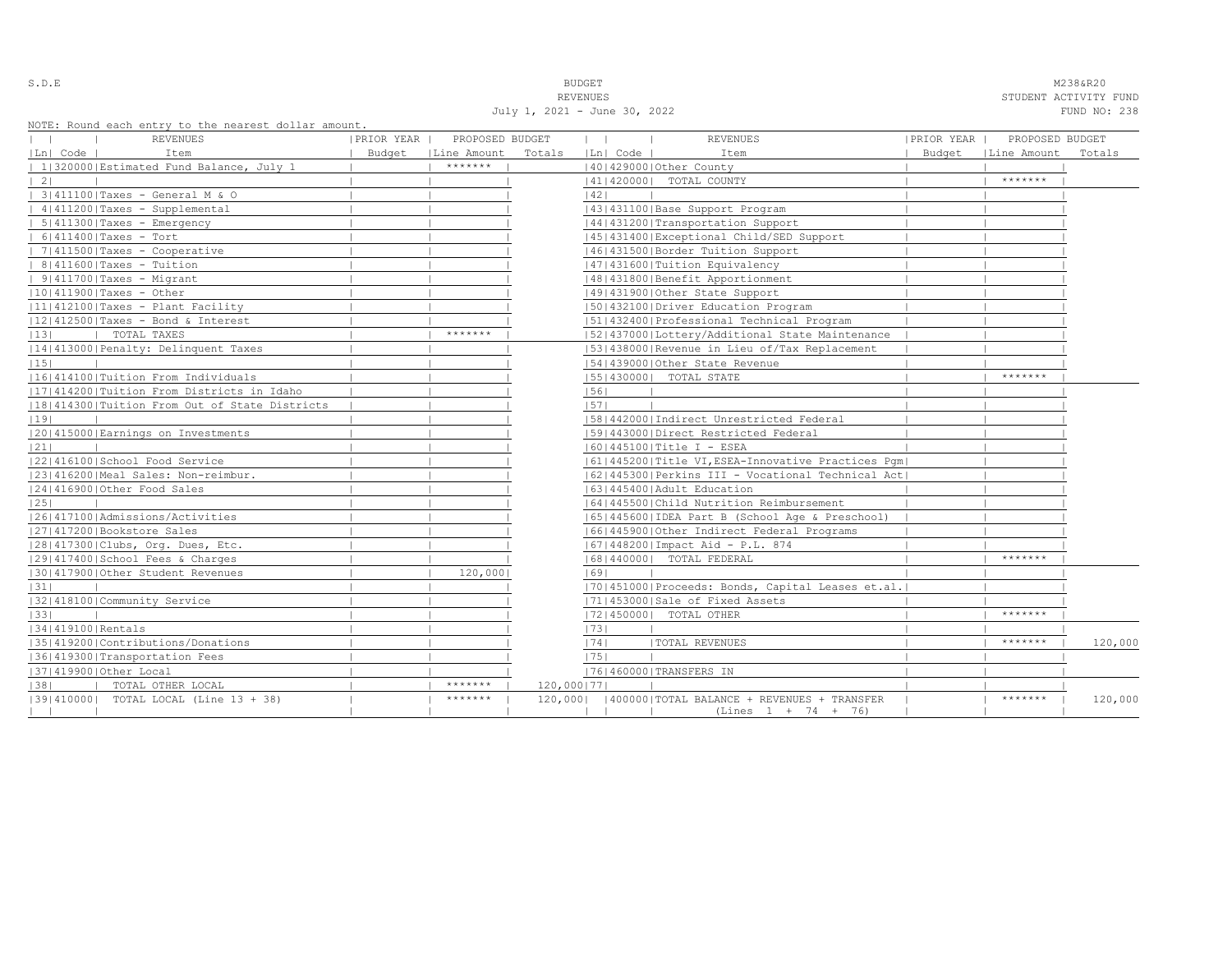S.D.E NOTE: NEXT AND SERVICE THAT IS A RESERVED ON THE SERVICE THAT IS A RESERVED ON A STRING MALINEAR MALINEAR MALINEAR MALINEAR OF MALINEAR CONTRACTOR CONTRACTOR ON A STRING OF MALINEAR CONTRACTOR OF MALINEAR CONTRACTOR

REVENUES STUDENT ACTIVITY FUND July 1, 2021 - June 30, 2022 FUND NO: 238

NOTE: Round each entry to the nearest dollar amount.

| NOTE: ROUNQ each entry to the hearest dollar amount,<br>REVENUES | PRIOR YEAR | PROPOSED BUDGET      |              | $\mathbf{1}$   | <b>REVENUES</b>                                                                 | PRIOR YEAR | PROPOSED BUDGET      |         |
|------------------------------------------------------------------|------------|----------------------|--------------|----------------|---------------------------------------------------------------------------------|------------|----------------------|---------|
| Ln  Code  <br>Item                                               |            | Budget   Line Amount | Totals       | Ln  Code       | Item                                                                            |            | Budget   Line Amount | Totals  |
| 1 320000 Estimated Fund Balance, July 1                          |            | *******              |              |                | 140142900010ther County                                                         |            |                      |         |
| $\vert 2 \vert$                                                  |            |                      |              |                | 41   420000   TOTAL COUNTY                                                      |            | $*********$          |         |
| 3 411100 Taxes - General M & O                                   |            |                      |              | 42             |                                                                                 |            |                      |         |
| 4 411200 Taxes - Supplemental                                    |            |                      |              |                | 43   431100   Base Support Program                                              |            |                      |         |
| $  5 411300 $ Taxes - Emergency                                  |            |                      |              |                | 44   431200   Transportation Support                                            |            |                      |         |
| $  6 411400 $ Taxes - Tort                                       |            |                      |              |                | 1451431400 Exceptional Child/SED Support                                        |            |                      |         |
| $  7 411500 $ Taxes - Cooperative                                |            |                      |              |                | 46 431500 Border Tuition Support                                                |            |                      |         |
| $  8 411600 $ Taxes - Tuition                                    |            |                      |              |                | 47   431600   Tuition Equivalency                                               |            |                      |         |
| $  9 411700 $ Taxes - Migrant                                    |            |                      |              |                | 48   431800   Benefit Apportionment                                             |            |                      |         |
| $ 10 411900 $ Taxes - Other                                      |            |                      |              |                | 49 431900 Other State Support                                                   |            |                      |         |
| 11 412100 Taxes - Plant Facility                                 |            |                      |              |                | 1501432100   Driver Education Program                                           |            |                      |         |
| $ 12 412500 $ Taxes - Bond & Interest                            |            |                      |              |                | 51 432400 Professional Technical Program                                        |            |                      |         |
| 13 <br>  TOTAL TAXES                                             |            | *******              |              |                | 15214370001Lottery/Additional State Maintenance                                 |            |                      |         |
| 14 413000 Penalty: Delinquent Taxes                              |            |                      |              |                | [53] 438000 Revenue in Lieu of/Tax Replacement                                  |            |                      |         |
| 15                                                               |            |                      |              |                | 154143900010ther State Revenue                                                  |            |                      |         |
| 16 414100 Tuition From Individuals                               |            |                      |              |                | 55   430000   TOTAL STATE                                                       |            | *******              |         |
| [17] 414200   Tuition From Districts in Idaho                    |            |                      |              | 56             |                                                                                 |            |                      |         |
| 18 414300 Tuition From Out of State Districts                    |            |                      |              | 57             |                                                                                 |            |                      |         |
| 19                                                               |            |                      |              |                | 58 442000 Indirect Unrestricted Federal                                         |            |                      |         |
| 20 415000 Earnings on Investments                                |            |                      |              |                | 15914430001Direct Restricted Federal                                            |            |                      |         |
| 21                                                               |            |                      |              |                | $ 60 445100 $ Title I - ESEA                                                    |            |                      |         |
| 22 416100 School Food Service                                    |            |                      |              |                | 61   445200   Title VI, ESEA-Innovative Practices Pqm                           |            |                      |         |
| 23 416200 Meal Sales: Non-reimbur.                               |            |                      |              |                | [62]445300 Perkins III - Vocational Technical Act]                              |            |                      |         |
| 24 416900 Other Food Sales                                       |            |                      |              |                | 1631445400 Adult Education                                                      |            |                      |         |
| 25                                                               |            |                      |              |                | 16414455001Child Nutrition Reimbursement                                        |            |                      |         |
| 1261417100   Admissions/Activities                               |            |                      |              |                | 65   445600   IDEA Part B (School Age & Preschool)                              |            |                      |         |
| 27 417200 Bookstore Sales                                        |            |                      |              |                | 16614459001Other Indirect Federal Programs                                      |            |                      |         |
| 28 417300 Clubs, Org. Dues, Etc.                                 |            |                      |              |                | [67] 448200   Impact Aid - P.L. 874                                             |            |                      |         |
| 12914174001School Fees & Charges                                 |            |                      |              |                | 16814400001 TOTAL FEDERAL                                                       |            | *******              |         |
| 30 417900 Other Student Revenues                                 |            | 120,000              |              | 69             |                                                                                 |            |                      |         |
| 31                                                               |            |                      |              |                | [70] 451000 Proceeds: Bonds, Capital Leases et.al.                              |            |                      |         |
| 13214181001Community Service                                     |            |                      |              |                | 17114530001Sale of Fixed Assets                                                 |            |                      |         |
| 33                                                               |            |                      |              |                | 17214500001 TOTAL OTHER                                                         |            | *******              |         |
| 34 419100 Rentals                                                |            |                      |              | 73             |                                                                                 |            |                      |         |
| 35 419200 Contributions/Donations                                |            |                      |              | 74             | <b> TOTAL REVENUES</b>                                                          |            | *******              | 120,000 |
| 36 419300 Transportation Fees                                    |            |                      |              | 75             |                                                                                 |            |                      |         |
| 37 419900 Other Local                                            |            |                      |              |                | 76 460000 TRANSFERS IN                                                          |            |                      |         |
| 38 <br>  TOTAL OTHER LOCAL                                       |            | *******              | 120,000   77 |                |                                                                                 |            |                      |         |
| [39] 410000] TOTAL LOCAL (Line 13 + 38)                          |            | *******              |              | $\blacksquare$ | 120,000   400000   TOTAL BALANCE + REVENUES + TRANSFER<br>$(Lines 1 + 74 + 76)$ |            | *******              | 120,000 |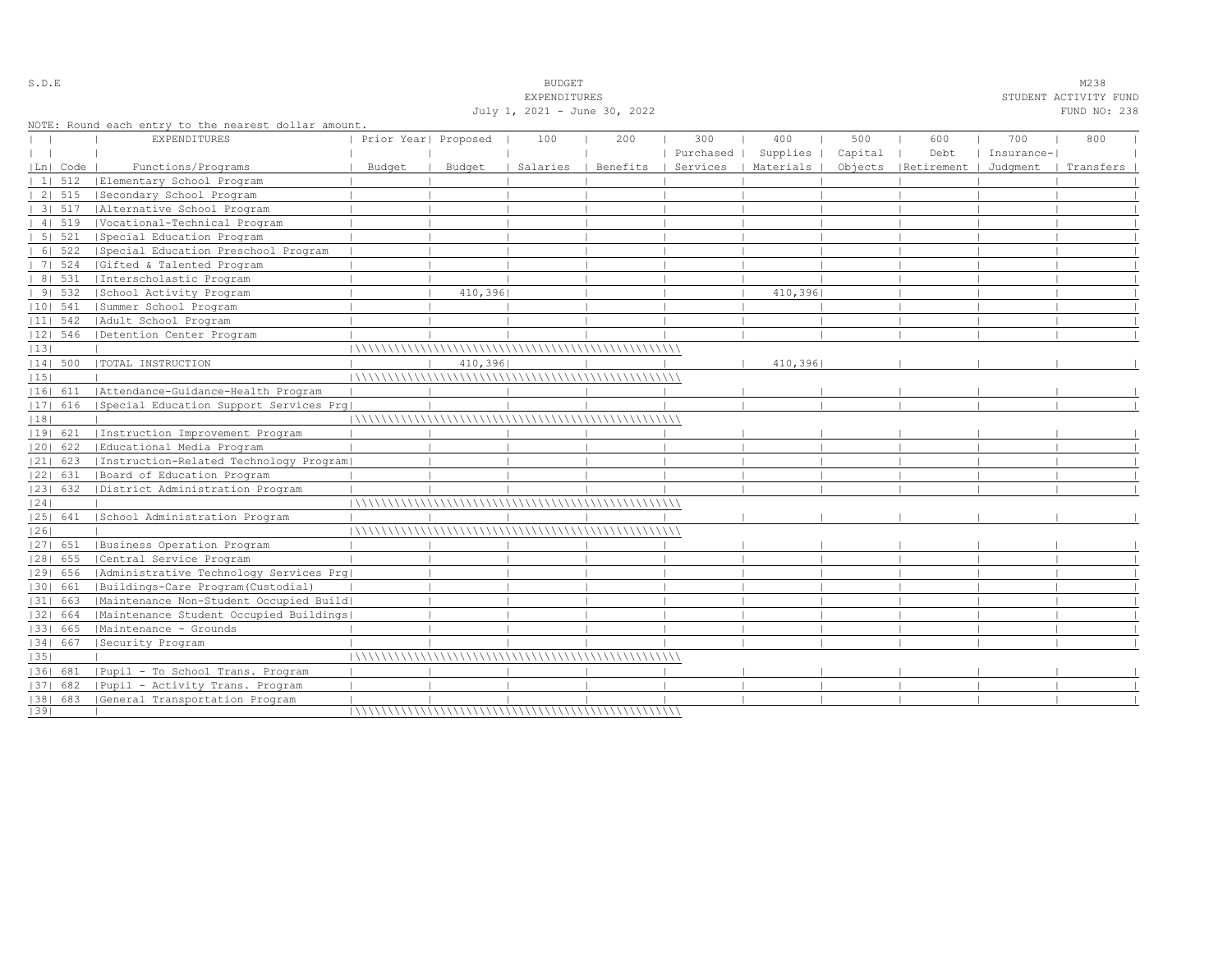|    |                        |                                                                            |                      |          | July 1, 2021 - June 30, 2022 |          |           |           |         |            |            | FUND NO: 238 |  |
|----|------------------------|----------------------------------------------------------------------------|----------------------|----------|------------------------------|----------|-----------|-----------|---------|------------|------------|--------------|--|
|    |                        | NOTE: Round each entry to the nearest dollar amount<br><b>EXPENDITURES</b> | Prior Year  Proposed |          | 100                          | 200      | 300       | 400       | 500     | 600        | 700        | 800          |  |
|    |                        |                                                                            |                      |          |                              |          | Purchased | Supplies  | Capital | Debt       | Insurance- |              |  |
|    | Ln  Code               | Functions/Programs                                                         | Budget               | Budget   | Salaries                     | Benefits | Services  | Materials | Objects | Retirement | Judgment   | Transfers    |  |
|    | 1   512                | Elementary School Program                                                  |                      |          |                              |          |           |           |         |            |            |              |  |
|    | 2   515                | Secondary School Program                                                   |                      |          |                              |          |           |           |         |            |            |              |  |
|    | 3   517                | Alternative School Program                                                 |                      |          |                              |          |           |           |         |            |            |              |  |
|    | 4   519                | Vocational-Technical Program                                               |                      |          |                              |          |           |           |         |            |            |              |  |
|    | 51 521                 | Special Education Program                                                  |                      |          |                              |          |           |           |         |            |            |              |  |
|    | 6 522                  | Special Education Preschool Program                                        |                      |          |                              |          |           |           |         |            |            |              |  |
|    | 7   524                | Gifted & Talented Program                                                  |                      |          |                              |          |           |           |         |            |            |              |  |
|    | 8   531                | Interscholastic Program                                                    |                      |          |                              |          |           |           |         |            |            |              |  |
|    | 91532                  | School Activity Program                                                    |                      | 410,3961 |                              |          |           | 410,396   |         |            |            |              |  |
|    | $ 10 $ 541             | Summer School Program                                                      |                      |          |                              |          |           |           |         |            |            |              |  |
|    | $ 11 $ 542             | Adult School Program                                                       |                      |          |                              |          |           |           |         |            |            |              |  |
|    | $ 12 $ 546             | Detention Center Program                                                   |                      |          |                              |          |           |           |         |            |            |              |  |
| 13 |                        |                                                                            |                      |          |                              |          |           |           |         |            |            |              |  |
|    | $ 14 $ 500             | TOTAL INSTRUCTION                                                          |                      | 410,3961 |                              |          |           | 410,396   |         |            |            |              |  |
| 15 |                        |                                                                            |                      |          |                              |          |           |           |         |            |            |              |  |
|    | 16  611                | Attendance-Guidance-Health Program                                         |                      |          |                              |          |           |           |         |            |            |              |  |
|    | 17  616                | Special Education Support Services Prq                                     |                      |          |                              |          |           |           |         |            |            |              |  |
| 18 |                        |                                                                            |                      |          |                              |          |           |           |         |            |            |              |  |
|    | 19  621                | Instruction Improvement Program                                            |                      |          |                              |          |           |           |         |            |            |              |  |
|    | 20  622                | Educational Media Program                                                  |                      |          |                              |          |           |           |         |            |            |              |  |
|    | $ 21 $ 623             | Instruction-Related Technology Program                                     |                      |          |                              |          |           |           |         |            |            |              |  |
|    | 22  631                | Board of Education Program                                                 |                      |          |                              |          |           |           |         |            |            |              |  |
|    | 23  632                | District Administration Program                                            |                      |          |                              |          |           |           |         |            |            |              |  |
| 24 |                        |                                                                            |                      |          |                              |          |           |           |         |            |            |              |  |
|    | 25  641                | School Administration Program                                              |                      |          |                              |          |           |           |         |            |            |              |  |
| 26 |                        |                                                                            |                      |          |                              |          |           |           |         |            |            |              |  |
|    | $ 27 $ 651             | Business Operation Program                                                 |                      |          |                              |          |           |           |         |            |            |              |  |
|    |                        | Central Service Program                                                    |                      |          |                              |          |           |           |         |            |            |              |  |
|    | $ 28 $ 655<br>1291 656 |                                                                            |                      |          |                              |          |           |           |         |            |            |              |  |
|    |                        | Administrative Technology Services Prg                                     |                      |          |                              |          |           |           |         |            |            |              |  |
|    | 30  661                | Buildings-Care Program (Custodial)                                         |                      |          |                              |          |           |           |         |            |            |              |  |
|    | $ 31 $ 663             | Maintenance Non-Student Occupied Build                                     |                      |          |                              |          |           |           |         |            |            |              |  |
|    | 32  664                | Maintenance Student Occupied Buildings                                     |                      |          |                              |          |           |           |         |            |            |              |  |
|    | 33  665                | Maintenance - Grounds                                                      |                      |          |                              |          |           |           |         |            |            |              |  |
|    | 34  667                | Security Program                                                           |                      |          |                              |          |           |           |         |            |            |              |  |
| 35 |                        |                                                                            |                      |          |                              |          |           |           |         |            |            |              |  |
|    | 36  681                | Pupil - To School Trans. Program                                           |                      |          |                              |          |           |           |         |            |            |              |  |
|    | 37  682                | Pupil - Activity Trans. Program                                            |                      |          |                              |          |           |           |         |            |            |              |  |
|    | $ 38 $ 683             | General Transportation Program                                             |                      |          |                              |          |           |           |         |            |            |              |  |
| 39 |                        |                                                                            |                      |          |                              |          |           |           |         |            |            |              |  |

S.D.E SOME SALE SOME STRUIN A STRUIN A STRUIN A STRUIN A STRUIN A STRUIN A STRUIN A STRUIN A STRUIN A STRUIN A STRUIN A STRUIN A STRUIN A STRUIN A STRUIN A STRUIN A STRUIN A STRUIN A STRUIN A STRUIN A STRUIN A STRUIN A STR

EXPENDITURES STUDENT ACTIVITY FUND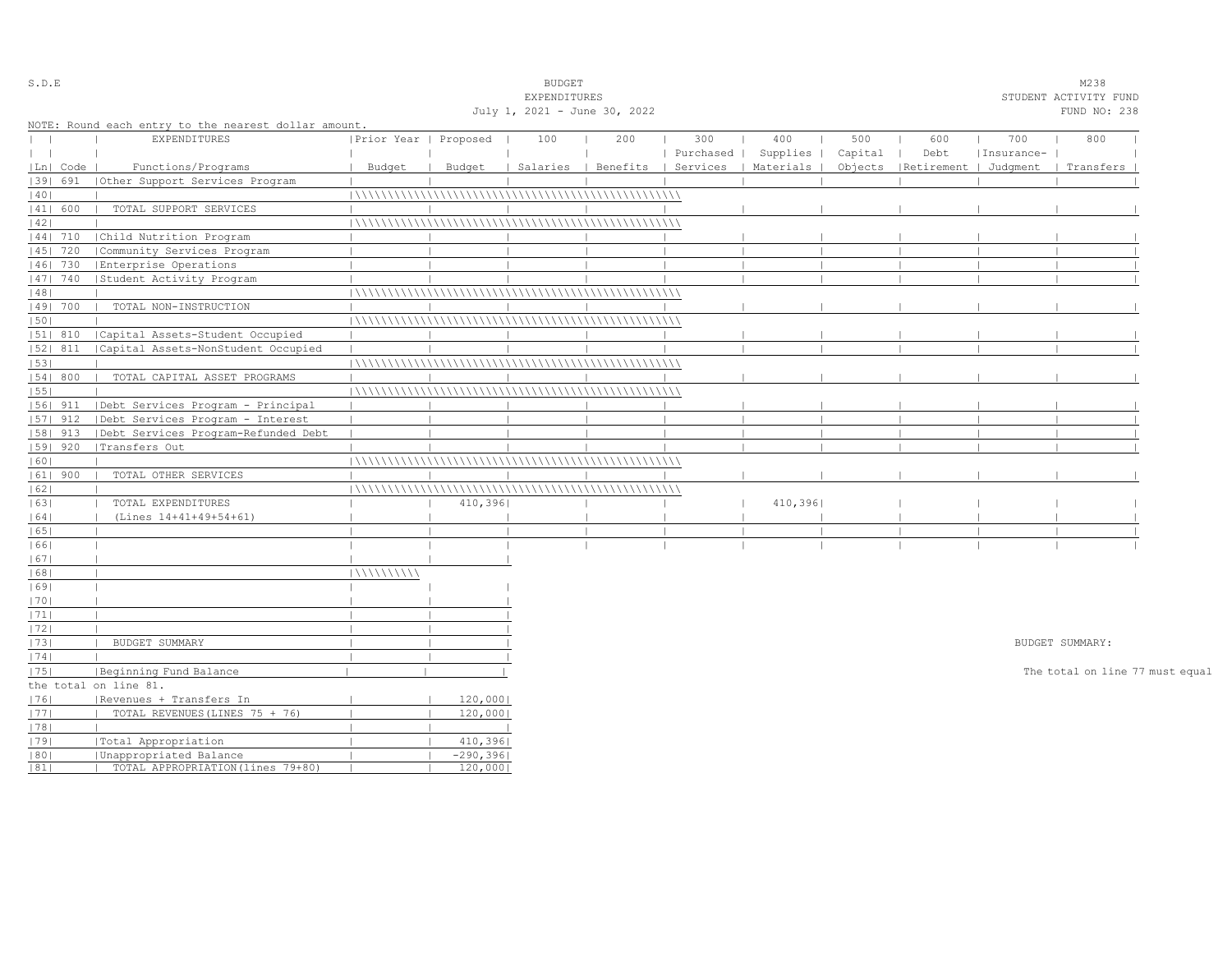| S.D.E        |            |                                                      |                       |             | <b>BUDGET</b>                |     |           |                                            |         |                                 |            | M238                            |  |
|--------------|------------|------------------------------------------------------|-----------------------|-------------|------------------------------|-----|-----------|--------------------------------------------|---------|---------------------------------|------------|---------------------------------|--|
|              |            |                                                      |                       |             | EXPENDITURES                 |     |           |                                            |         |                                 |            | STUDENT ACTIVITY FUND           |  |
|              |            |                                                      |                       |             | July 1, 2021 - June 30, 2022 |     |           |                                            |         |                                 |            | FUND NO: 238                    |  |
|              |            | NOTE: Round each entry to the nearest dollar amount. |                       |             |                              |     |           |                                            |         |                                 |            |                                 |  |
| $\mathbf{I}$ |            | EXPENDITURES                                         | Prior Year   Proposed |             | 100                          | 200 | 300       | 400                                        | 500     | 600                             | 700        | 800                             |  |
| $\perp$      |            |                                                      |                       |             |                              |     | Purchased | Supplies                                   | Capital | Debt                            | Insurance- |                                 |  |
|              | Ln  Code   | Functions/Programs                                   | Budget                | Budget      |                              |     |           | Salaries   Benefits   Services   Materials |         | Objects   Retirement   Judqment |            | Transfers                       |  |
|              | 1391 691   | Other Support Services Program                       |                       |             |                              |     |           |                                            |         |                                 |            |                                 |  |
| 40           |            |                                                      |                       |             |                              |     |           |                                            |         |                                 |            |                                 |  |
|              | 41  600    | TOTAL SUPPORT SERVICES                               |                       |             |                              |     |           |                                            |         |                                 |            |                                 |  |
| 42           |            |                                                      |                       |             |                              |     |           |                                            |         |                                 |            |                                 |  |
|              | 44  710    | Child Nutrition Program                              |                       |             |                              |     |           |                                            |         |                                 |            |                                 |  |
|              | $ 45 $ 720 | Community Services Program                           |                       |             |                              |     |           |                                            |         |                                 |            |                                 |  |
|              | 46  730    | Enterprise Operations                                |                       |             |                              |     |           |                                            |         |                                 |            |                                 |  |
|              | 47  740    | Student Activity Program                             |                       |             |                              |     |           |                                            |         |                                 |            |                                 |  |
| 48           |            |                                                      |                       |             |                              |     |           |                                            |         |                                 |            |                                 |  |
|              | 49  700    | TOTAL NON-INSTRUCTION                                |                       |             |                              |     |           |                                            |         |                                 |            |                                 |  |
| 50           |            |                                                      |                       |             |                              |     |           |                                            |         |                                 |            |                                 |  |
|              | 51  810    | Capital Assets-Student Occupied                      |                       |             |                              |     |           |                                            |         |                                 |            |                                 |  |
|              | $ 52 $ 811 | Capital Assets-NonStudent Occupied                   |                       |             |                              |     |           |                                            |         |                                 |            |                                 |  |
| 53           |            |                                                      |                       |             |                              |     |           |                                            |         |                                 |            |                                 |  |
|              | 54 800     | TOTAL CAPITAL ASSET PROGRAMS                         |                       |             |                              |     |           |                                            |         |                                 |            |                                 |  |
| 55           |            |                                                      |                       |             |                              |     |           |                                            |         |                                 |            |                                 |  |
|              | $ 56 $ 911 | Debt Services Program - Principal                    |                       |             |                              |     |           |                                            |         |                                 |            |                                 |  |
|              | $ 57 $ 912 | Debt Services Program - Interest                     |                       |             |                              |     |           |                                            |         |                                 |            |                                 |  |
|              | $ 58 $ 913 | Debt Services Program-Refunded Debt                  |                       |             |                              |     |           |                                            |         |                                 |            |                                 |  |
|              | 59   920   | Transfers Out                                        |                       |             |                              |     |           |                                            |         |                                 |            |                                 |  |
| 60           |            |                                                      |                       |             |                              |     |           |                                            |         |                                 |            |                                 |  |
|              | $ 61 $ 900 | TOTAL OTHER SERVICES                                 |                       |             |                              |     |           |                                            |         |                                 |            |                                 |  |
| 62           |            |                                                      |                       |             |                              |     |           |                                            |         |                                 |            |                                 |  |
| 63           |            | TOTAL EXPENDITURES                                   |                       | 410,396     |                              |     |           | 410,396                                    |         |                                 |            |                                 |  |
| 64           |            | (Lines 14+41+49+54+61)                               |                       |             |                              |     |           |                                            |         |                                 |            |                                 |  |
| 65           |            |                                                      |                       |             |                              |     |           |                                            |         |                                 |            |                                 |  |
| 66           |            |                                                      |                       |             |                              |     |           |                                            |         |                                 |            |                                 |  |
| 67           |            |                                                      |                       |             |                              |     |           |                                            |         |                                 |            |                                 |  |
| 68           |            |                                                      | 11111111111           |             |                              |     |           |                                            |         |                                 |            |                                 |  |
| 69           |            |                                                      |                       |             |                              |     |           |                                            |         |                                 |            |                                 |  |
| 70           |            |                                                      |                       |             |                              |     |           |                                            |         |                                 |            |                                 |  |
| 71           |            |                                                      |                       |             |                              |     |           |                                            |         |                                 |            |                                 |  |
| 72           |            |                                                      |                       |             |                              |     |           |                                            |         |                                 |            |                                 |  |
| 73           |            | BUDGET SUMMARY                                       |                       |             |                              |     |           |                                            |         |                                 |            | BUDGET SUMMARY:                 |  |
| 74           |            |                                                      |                       |             |                              |     |           |                                            |         |                                 |            |                                 |  |
| 75           |            | Beginning Fund Balance                               |                       |             |                              |     |           |                                            |         |                                 |            | The total on line 77 must equal |  |
|              |            | the total on line 81.                                |                       |             |                              |     |           |                                            |         |                                 |            |                                 |  |
| 1761         |            | Revenues + Transfers In                              |                       | 120,000     |                              |     |           |                                            |         |                                 |            |                                 |  |
| 77           |            | TOTAL REVENUES (LINES 75 + 76)                       |                       | 120,000     |                              |     |           |                                            |         |                                 |            |                                 |  |
| 78           |            |                                                      |                       |             |                              |     |           |                                            |         |                                 |            |                                 |  |
| 79           |            | Total Appropriation                                  |                       | 410,396     |                              |     |           |                                            |         |                                 |            |                                 |  |
| 80           |            | Unappropriated Balance                               |                       | $-290, 396$ |                              |     |           |                                            |         |                                 |            |                                 |  |
| 81           |            | TOTAL APPROPRIATION (lines 79+80)                    |                       | 120,000     |                              |     |           |                                            |         |                                 |            |                                 |  |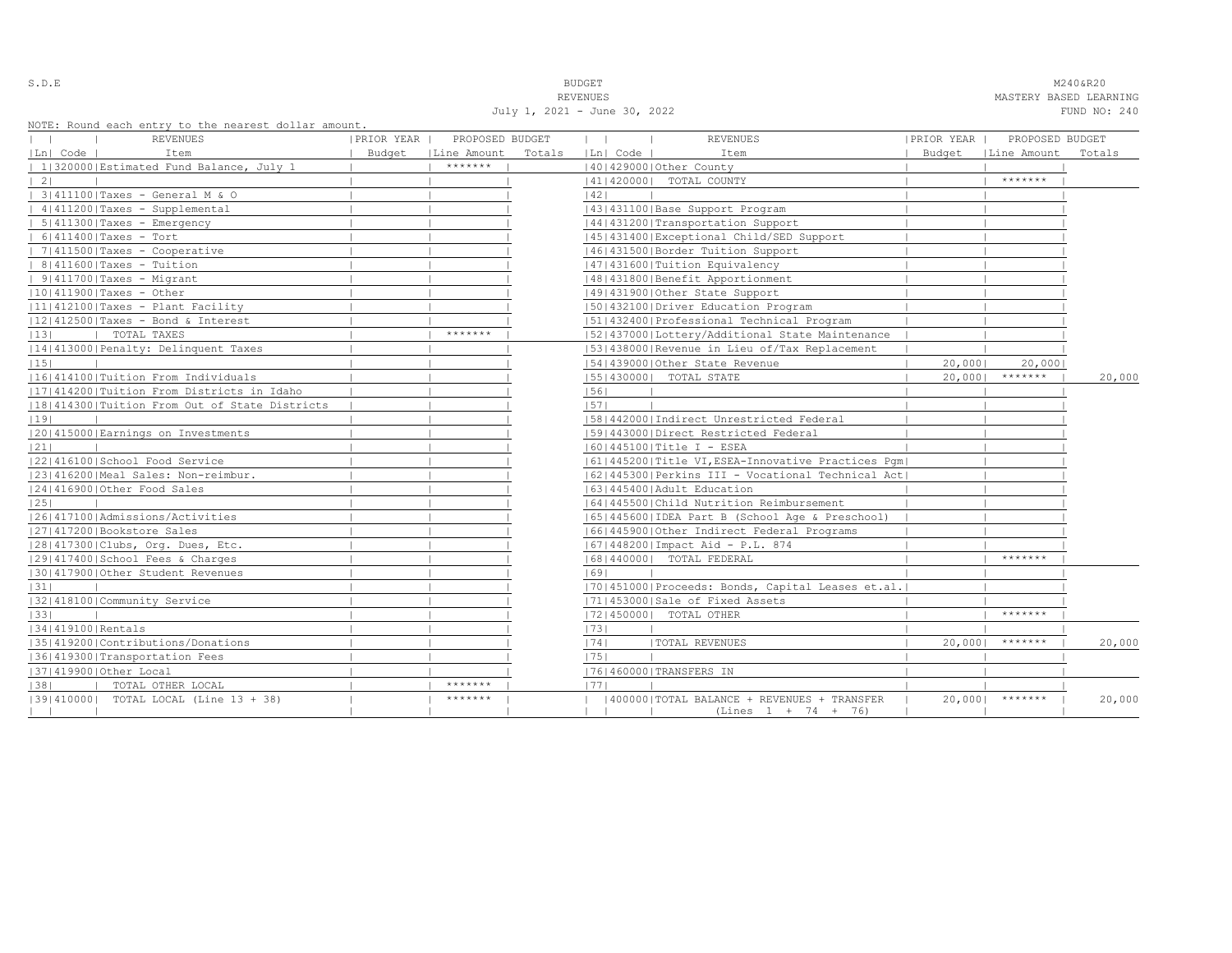S.D.E **BUDGET** M240&R20 REVENUES MASTERY BASED LEARNING July 1, 2021 - June 30, 2022 FUND NO: 240

NOTE: Round each entry to the nearest dollar amount.

| NOIL, ROUNG BACH BNITY TO THE HEALEST GOILAL AMOUNT.<br><b>REVENUES</b> | PRIOR YEAR | PROPOSED BUDGET |        | $\mathbf{1}$<br>$\sim$ 1. | <b>REVENUES</b>                                                     | PRIOR YEAR | PROPOSED BUDGET |        |
|-------------------------------------------------------------------------|------------|-----------------|--------|---------------------------|---------------------------------------------------------------------|------------|-----------------|--------|
| Ln  Code  <br>Item                                                      | Budget     | Line Amount     | Totals | Ln  Code                  | Item                                                                | Budget     | Line Amount     | Totals |
| 1 320000 Estimated Fund Balance, July 1                                 |            | *******         |        |                           | 140142900010ther County                                             |            |                 |        |
| 21                                                                      |            |                 |        |                           | 41   420000   TOTAL COUNTY                                          |            | *******         |        |
| 3 411100 Taxes - General M & O                                          |            |                 |        | 42                        |                                                                     |            |                 |        |
| 4   411200   Taxes - Supplemental                                       |            |                 |        |                           | 43   431100   Base Support Program                                  |            |                 |        |
| $  5   411300  $ Taxes - Emergency                                      |            |                 |        |                           | 44 431200 Transportation Support                                    |            |                 |        |
| $6 411400 $ Taxes - Tort                                                |            |                 |        |                           | 45   431400   Exceptional Child/SED Support                         |            |                 |        |
| $ 7 411500 $ Taxes - Cooperative                                        |            |                 |        |                           | 1461431500 Border Tuition Support                                   |            |                 |        |
| $8 411600 $ Taxes - Tuition                                             |            |                 |        |                           | 47   431600   Tuition Equivalency                                   |            |                 |        |
| $  9 411700 $ Taxes - Migrant                                           |            |                 |        |                           | 48   431800   Benefit Apportionment                                 |            |                 |        |
| $ 10 411900 $ Taxes - Other                                             |            |                 |        |                           | 49 431900 Other State Support                                       |            |                 |        |
| $ 11 412100 $ Taxes - Plant Facility                                    |            |                 |        |                           | 1501432100 Driver Education Program                                 |            |                 |        |
| 12 412500 Taxes - Bond & Interest                                       |            |                 |        |                           | 15114324001Professional Technical Program                           |            |                 |        |
| TOTAL TAXES<br> 13                                                      |            | *******         |        |                           | 52 437000 Lottery/Additional State Maintenance                      |            |                 |        |
| 14 413000 Penalty: Delinquent Taxes                                     |            |                 |        |                           | [53] 438000 Revenue in Lieu of/Tax Replacement                      |            |                 |        |
| 15                                                                      |            |                 |        |                           | 154143900010ther State Revenue                                      | 20,0001    | 20,0001         |        |
| 16 414100 Tuition From Individuals                                      |            |                 |        |                           | 15514300001 TOTAL STATE                                             | 20,0001    | $*********$     | 20,000 |
| 17 414200 Tuition From Districts in Idaho                               |            |                 |        | 56                        |                                                                     |            |                 |        |
| 18 414300 Tuition From Out of State Districts                           |            |                 |        | 1571                      |                                                                     |            |                 |        |
| 19                                                                      |            |                 |        |                           | [58]442000]Indirect Unrestricted Federal                            |            |                 |        |
| 20 415000 Earnings on Investments                                       |            |                 |        |                           | 15914430001Direct Restricted Federal                                |            |                 |        |
| 21                                                                      |            |                 |        |                           | 1601445100   Title I - ESEA                                         |            |                 |        |
| 22 416100 School Food Service                                           |            |                 |        |                           | 61 445200 Title VI, ESEA-Innovative Practices Pqm                   |            |                 |        |
| 23 416200 Meal Sales: Non-reimbur.                                      |            |                 |        |                           | 62   445300   Perkins III - Vocational Technical Act                |            |                 |        |
| 24 416900 Other Food Sales                                              |            |                 |        |                           | 63   445400   Adult Education                                       |            |                 |        |
| 25                                                                      |            |                 |        |                           | 1641445500 Child Nutrition Reimbursement                            |            |                 |        |
| 1261417100   Admissions/Activities                                      |            |                 |        |                           | 65  445600  IDEA Part B (School Age & Preschool)                    |            |                 |        |
| 27 417200 Bookstore Sales                                               |            |                 |        |                           | 66 445900 Other Indirect Federal Programs                           |            |                 |        |
| 28 417300 Clubs, Org. Dues, Etc.                                        |            |                 |        |                           | 67   448200   Impact Aid - P.L. 874                                 |            |                 |        |
| 12914174001School Fees & Charges                                        |            |                 |        |                           | 68   440000   TOTAL FEDERAL                                         |            | *******         |        |
| 130141790010ther Student Revenues                                       |            |                 |        | 69                        |                                                                     |            |                 |        |
| 31                                                                      |            |                 |        |                           | [70] 451000 Proceeds: Bonds, Capital Leases et.al.                  |            |                 |        |
| 1321418100 Community Service                                            |            |                 |        |                           | 71 453000 Sale of Fixed Assets                                      |            |                 |        |
| 33                                                                      |            |                 |        |                           | 72 450000  TOTAL OTHER                                              |            | *******         |        |
| 34 419100 Rentals                                                       |            |                 |        | 73                        |                                                                     |            |                 |        |
| 35 419200 Contributions/Donations                                       |            |                 |        | 1741                      | <b>ITOTAL REVENUES</b>                                              | 20,000     | *******         | 20,000 |
| 36 419300 Transportation Fees                                           |            |                 |        | 1751                      |                                                                     |            |                 |        |
| 37   419900   Other Local                                               |            |                 |        |                           | 76 460000 TRANSFERS IN                                              |            |                 |        |
| TOTAL OTHER LOCAL<br> 38                                                |            | *******         |        | 1771                      |                                                                     |            |                 |        |
| [39] 410000] TOTAL LOCAL (Line 13 + 38)                                 |            | *******         |        |                           | 400000 TOTAL BALANCE + REVENUES + TRANSFER<br>$(Lines 1 + 74 + 76)$ | $20,000$   | *******         | 20,000 |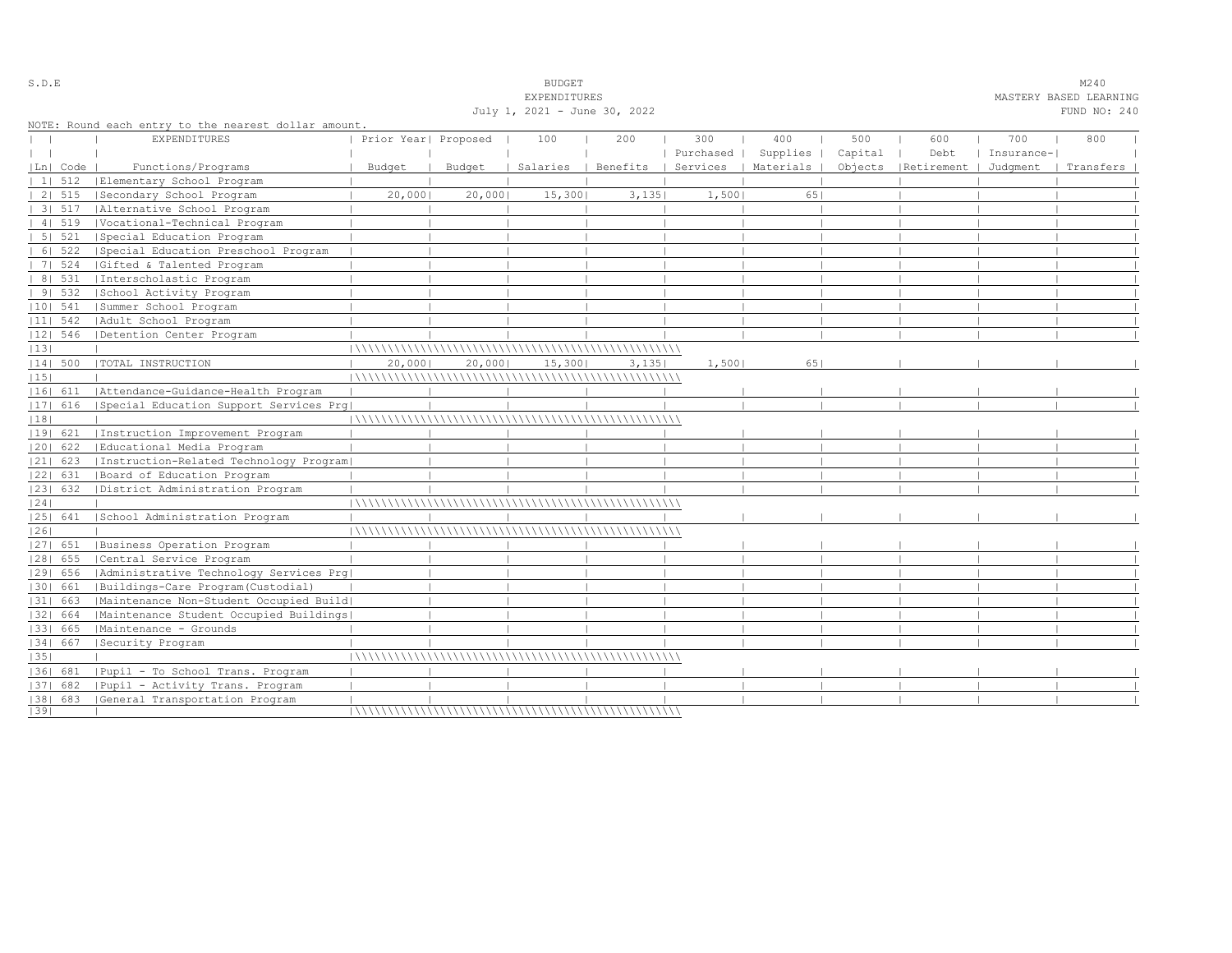|    |            |                                                      |                      |        | <b>EXPENDITURES</b>          |                            |           |           |         |                      |            | MASTERY BASED LEARNING |  |
|----|------------|------------------------------------------------------|----------------------|--------|------------------------------|----------------------------|-----------|-----------|---------|----------------------|------------|------------------------|--|
|    |            |                                                      |                      |        | July 1, 2021 - June 30, 2022 |                            |           |           |         |                      |            | FUND NO: 240           |  |
|    |            | NOTE: Round each entry to the nearest dollar amount. |                      |        |                              |                            |           |           |         |                      |            |                        |  |
|    |            | <b>EXPENDITURES</b>                                  | Prior Year  Proposed |        | 100                          | 200                        | 300       | 400       | 500     | 600                  | 700        | 800                    |  |
|    |            |                                                      |                      |        |                              |                            | Purchased | Supplies  | Capital | Debt                 | Insurance- |                        |  |
|    | Ln  Code   | Functions/Programs                                   | Budget               | Budget | Salaries                     | Benefits<br>$\blacksquare$ | Services  | Materials |         | Objects   Retirement | Judqment   | Transfers              |  |
|    | 11512      | Elementary School Program                            |                      |        |                              |                            |           |           |         |                      |            |                        |  |
|    | 2   515    | Secondary School Program                             | 20,000               | 20,000 | 15,300                       | 3,135                      | 1,500     | 651       |         |                      |            |                        |  |
|    | 31.517     | Alternative School Program                           |                      |        |                              |                            |           |           |         |                      |            |                        |  |
|    | 4   519    | Vocational-Technical Program                         |                      |        |                              |                            |           |           |         |                      |            |                        |  |
|    | 5   521    | Special Education Program                            |                      |        |                              |                            |           |           |         |                      |            |                        |  |
|    | 6   522    | Special Education Preschool Program                  |                      |        |                              |                            |           |           |         |                      |            |                        |  |
|    | 7   524    | Gifted & Talented Program                            |                      |        |                              |                            |           |           |         |                      |            |                        |  |
|    | 8   531    | Interscholastic Program                              |                      |        |                              |                            |           |           |         |                      |            |                        |  |
|    | 91532      | School Activity Program                              |                      |        |                              |                            |           |           |         |                      |            |                        |  |
|    | $ 10 $ 541 | Summer School Program                                |                      |        |                              |                            |           |           |         |                      |            |                        |  |
|    | $ 11 $ 542 | Adult School Program                                 |                      |        |                              |                            |           |           |         |                      |            |                        |  |
|    | $ 12 $ 546 | Detention Center Program                             |                      |        |                              |                            |           |           |         |                      |            |                        |  |
| 13 |            |                                                      |                      |        |                              |                            |           |           |         |                      |            |                        |  |
|    | 14  500    | TOTAL INSTRUCTION                                    | 20,000               | 20,000 | 15,300                       | 3,135                      | 1,500     | 651       |         |                      |            |                        |  |
| 15 |            |                                                      |                      |        |                              |                            |           |           |         |                      |            |                        |  |
|    | 16  611    | Attendance-Guidance-Health Program                   |                      |        |                              |                            |           |           |         |                      |            |                        |  |
|    | 17  616    | Special Education Support Services Prq               |                      |        |                              |                            |           |           |         |                      |            |                        |  |
| 18 |            |                                                      |                      |        |                              |                            |           |           |         |                      |            |                        |  |
|    | 19  621    | Instruction Improvement Program                      |                      |        |                              |                            |           |           |         |                      |            |                        |  |
|    | 20  622    | Educational Media Program                            |                      |        |                              |                            |           |           |         |                      |            |                        |  |
|    | $ 21 $ 623 | Instruction-Related Technology Program               |                      |        |                              |                            |           |           |         |                      |            |                        |  |
|    | 22  631    | Board of Education Program                           |                      |        |                              |                            |           |           |         |                      |            |                        |  |
|    | 23  632    | District Administration Program                      |                      |        |                              |                            |           |           |         |                      |            |                        |  |
| 24 |            |                                                      |                      |        |                              |                            |           |           |         |                      |            |                        |  |
|    | 25  641    | School Administration Program                        |                      |        |                              |                            |           |           |         |                      |            |                        |  |
| 26 |            |                                                      |                      |        |                              |                            |           |           |         |                      |            |                        |  |
|    | $ 27 $ 651 | Business Operation Program                           |                      |        |                              |                            |           |           |         |                      |            |                        |  |
|    | $ 28 $ 655 | Central Service Program                              |                      |        |                              |                            |           |           |         |                      |            |                        |  |
|    | 29  656    | Administrative Technology Services Prg               |                      |        |                              |                            |           |           |         |                      |            |                        |  |
|    | 30  661    | Buildings-Care Program(Custodial)                    |                      |        |                              |                            |           |           |         |                      |            |                        |  |
|    | 31  663    | Maintenance Non-Student Occupied Build               |                      |        |                              |                            |           |           |         |                      |            |                        |  |
|    | 32  664    | Maintenance Student Occupied Buildings               |                      |        |                              |                            |           |           |         |                      |            |                        |  |
|    | 1331 665   | Maintenance - Grounds                                |                      |        |                              |                            |           |           |         |                      |            |                        |  |
|    | 34   667   | Security Program                                     |                      |        |                              |                            |           |           |         |                      |            |                        |  |
| 35 |            |                                                      |                      |        |                              |                            |           |           |         |                      |            |                        |  |
|    | 1361 681   | Pupil - To School Trans. Program                     |                      |        |                              |                            |           |           |         |                      |            |                        |  |
|    | 37  682    | Pupil - Activity Trans. Program                      |                      |        |                              |                            |           |           |         |                      |            |                        |  |
|    |            | [38] 683 [General Transportation Program             |                      |        |                              |                            |           |           |         |                      |            |                        |  |
| 39 |            |                                                      |                      |        |                              |                            |           |           |         |                      |            |                        |  |

S.D.E SUDGET M240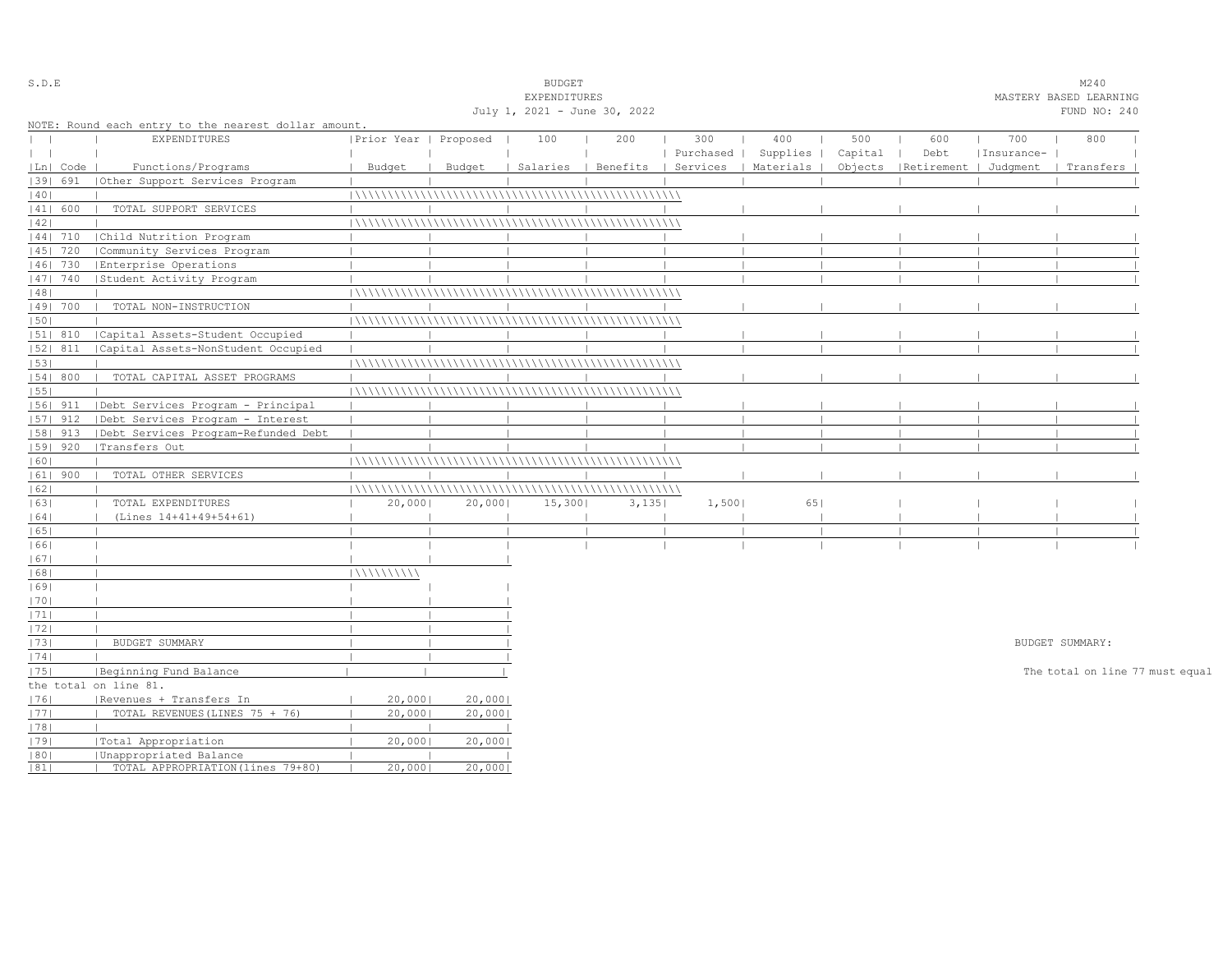| S.D.E         |            |                                                      |                       |        | <b>BUDGET</b>                |                                |           |           |         |                       |            | M240                            |  |
|---------------|------------|------------------------------------------------------|-----------------------|--------|------------------------------|--------------------------------|-----------|-----------|---------|-----------------------|------------|---------------------------------|--|
|               |            |                                                      |                       |        | EXPENDITURES                 |                                |           |           |         |                       |            | MASTERY BASED LEARNING          |  |
|               |            |                                                      |                       |        | July 1, 2021 - June 30, 2022 |                                |           |           |         |                       |            | FUND NO: 240                    |  |
|               |            | NOTE: Round each entry to the nearest dollar amount. |                       |        |                              |                                |           |           |         |                       |            |                                 |  |
| $\mathbf{L}$  |            | <b>EXPENDITURES</b>                                  | Prior Year   Proposed |        | 100                          | 200                            | 300       | 400       | 500     | 600                   | 700        | 800                             |  |
| $\vert \vert$ |            |                                                      |                       |        |                              |                                | Purchased | Supplies  | Capital | Debt                  | Insurance- |                                 |  |
|               | Ln   Code  | Functions/Programs                                   | Budget                | Budget |                              | Salaries   Benefits   Services |           | Materials | Objects | Retirement   Judgment |            | Transfers                       |  |
|               | 39  691    | Other Support Services Program                       |                       |        |                              |                                |           |           |         |                       |            |                                 |  |
| 40            |            |                                                      |                       |        |                              |                                |           |           |         |                       |            |                                 |  |
|               | 41  600    | TOTAL SUPPORT SERVICES                               |                       |        |                              |                                |           |           |         |                       |            |                                 |  |
| 42            |            |                                                      |                       |        |                              |                                |           |           |         |                       |            |                                 |  |
|               | $ 44 $ 710 | Child Nutrition Program                              |                       |        |                              |                                |           |           |         |                       |            |                                 |  |
|               | 45   720   | Community Services Program                           |                       |        |                              |                                |           |           |         |                       |            |                                 |  |
|               | 46  730    | Enterprise Operations                                |                       |        |                              |                                |           |           |         |                       |            |                                 |  |
|               | 47   740   | Student Activity Program                             |                       |        |                              |                                |           |           |         |                       |            |                                 |  |
| 48            |            |                                                      |                       |        |                              |                                |           |           |         |                       |            |                                 |  |
|               | 49  700    | TOTAL NON-INSTRUCTION                                |                       |        |                              |                                |           |           |         |                       |            |                                 |  |
| 50            |            |                                                      |                       |        |                              |                                |           |           |         |                       |            |                                 |  |
|               | 51  810    | Capital Assets-Student Occupied                      |                       |        |                              |                                |           |           |         |                       |            |                                 |  |
|               | 52  811    | Capital Assets-NonStudent Occupied                   |                       |        |                              |                                |           |           |         |                       |            |                                 |  |
| 53            |            |                                                      |                       |        |                              |                                |           |           |         |                       |            |                                 |  |
|               | 54   800   | TOTAL CAPITAL ASSET PROGRAMS                         |                       |        |                              |                                |           |           |         |                       |            |                                 |  |
| 55            |            |                                                      |                       |        |                              |                                |           |           |         |                       |            |                                 |  |
|               | $ 56 $ 911 | Debt Services Program - Principal                    |                       |        |                              |                                |           |           |         |                       |            |                                 |  |
|               | $ 57 $ 912 | Debt Services Program - Interest                     |                       |        |                              |                                |           |           |         |                       |            |                                 |  |
|               | 58  913    | Debt Services Program-Refunded Debt                  |                       |        |                              |                                |           |           |         |                       |            |                                 |  |
|               | 59   920   | Transfers Out                                        |                       |        |                              |                                |           |           |         |                       |            |                                 |  |
| 60            |            |                                                      |                       |        |                              |                                |           |           |         |                       |            |                                 |  |
|               | $ 61 $ 900 | TOTAL OTHER SERVICES                                 |                       |        |                              |                                |           |           |         |                       |            |                                 |  |
| 62            |            |                                                      |                       |        |                              |                                |           |           |         |                       |            |                                 |  |
| 63            |            | TOTAL EXPENDITURES                                   | 20,000                | 20,000 | 15,300                       | 3,135                          | 1,500     | 651       |         |                       |            |                                 |  |
| 64            |            | (Lines 14+41+49+54+61)                               |                       |        |                              |                                |           |           |         |                       |            |                                 |  |
| 65            |            |                                                      |                       |        |                              |                                |           |           |         |                       |            |                                 |  |
| 66            |            |                                                      |                       |        |                              |                                |           |           |         |                       |            |                                 |  |
| 67            |            |                                                      |                       |        |                              |                                |           |           |         |                       |            |                                 |  |
| 68            |            |                                                      | 111111111111          |        |                              |                                |           |           |         |                       |            |                                 |  |
| 69            |            |                                                      |                       |        |                              |                                |           |           |         |                       |            |                                 |  |
| 70            |            |                                                      |                       |        |                              |                                |           |           |         |                       |            |                                 |  |
| 1711          |            |                                                      |                       |        |                              |                                |           |           |         |                       |            |                                 |  |
| 72            |            |                                                      |                       |        |                              |                                |           |           |         |                       |            |                                 |  |
| 73            |            | BUDGET SUMMARY                                       |                       |        |                              |                                |           |           |         |                       |            | BUDGET SUMMARY:                 |  |
| 74            |            |                                                      |                       |        |                              |                                |           |           |         |                       |            |                                 |  |
| 75            |            | Beginning Fund Balance                               |                       |        |                              |                                |           |           |         |                       |            | The total on line 77 must equal |  |
|               |            | the total on line 81.                                |                       |        |                              |                                |           |           |         |                       |            |                                 |  |
| 76            |            | Revenues + Transfers In                              | 20,0001               | 20,000 |                              |                                |           |           |         |                       |            |                                 |  |
| 77            |            | TOTAL REVENUES (LINES 75 + 76)                       | 20,0001               | 20,000 |                              |                                |           |           |         |                       |            |                                 |  |
| 78            |            |                                                      |                       |        |                              |                                |           |           |         |                       |            |                                 |  |
| 79            |            | Total Appropriation                                  | 20,000                | 20,000 |                              |                                |           |           |         |                       |            |                                 |  |
| 80            |            | Unappropriated Balance                               |                       |        |                              |                                |           |           |         |                       |            |                                 |  |
| 81            |            | TOTAL APPROPRIATION (lines 79+80)                    | 20,0001               | 20,000 |                              |                                |           |           |         |                       |            |                                 |  |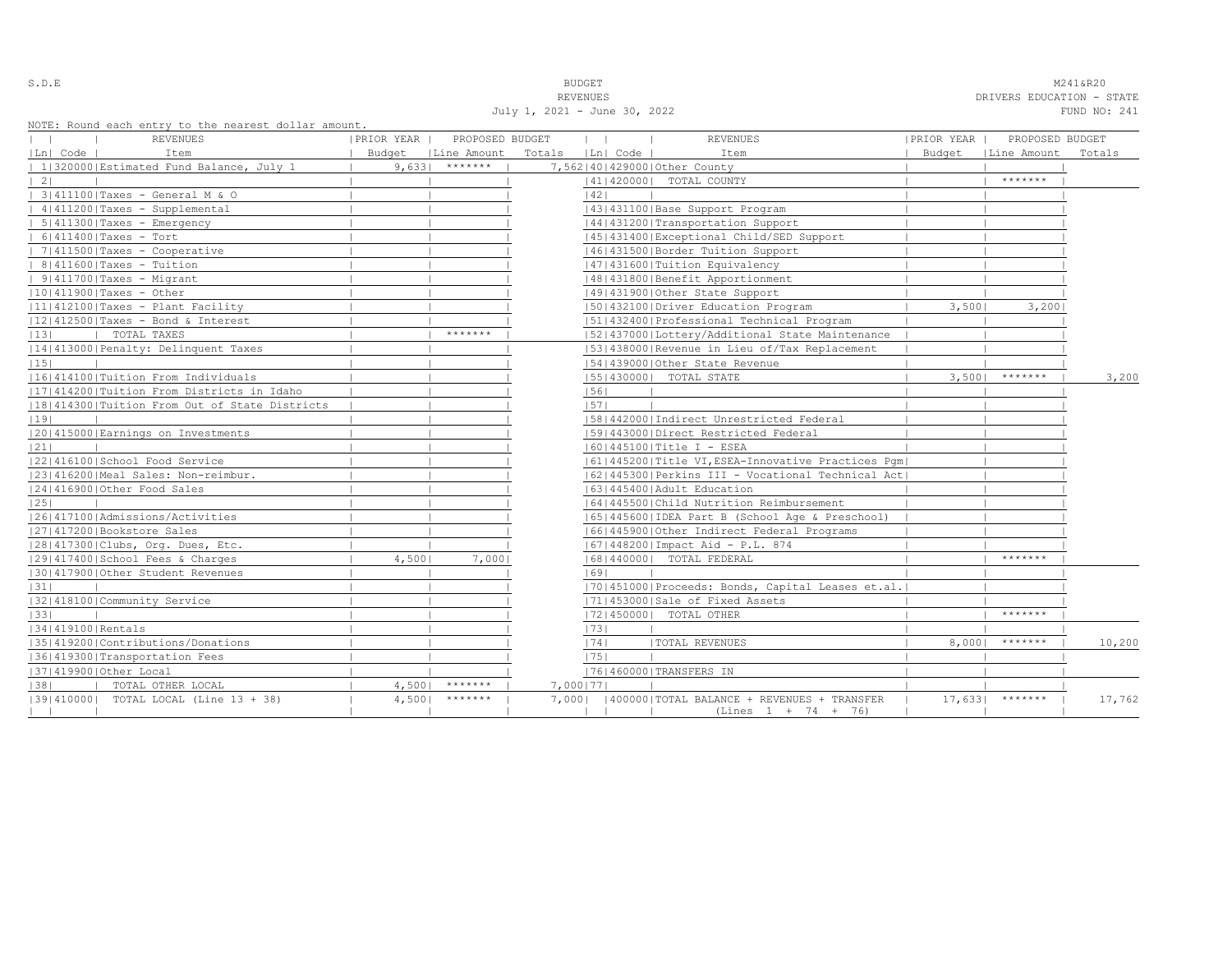| i<br>۰.<br>-<br>÷ |  |  |  |  |  |
|-------------------|--|--|--|--|--|
|-------------------|--|--|--|--|--|

S.D.E **BUDGET** M241&R20

REVENUES DRIVERS EDUCATION - STATE

| July 1, 2021 - June 30, 2022 | FUND NO: 241 |
|------------------------------|--------------|

| NOTE: Round each entry to the nearest dollar amount. |  |  |  |  |  |  |  |  |  |  |
|------------------------------------------------------|--|--|--|--|--|--|--|--|--|--|
|------------------------------------------------------|--|--|--|--|--|--|--|--|--|--|

| nois, nodha cach chery co che hearese aorra amoune.<br>REVENUES<br>$\Box$ | PRIOR YEAR           | PROPOSED BUDGET | $\mathbf{1}$ $\mathbf{1}$<br>and the property | <b>REVENUES</b>                                                             | PRIOR YEAR | PROPOSED BUDGET  |        |
|---------------------------------------------------------------------------|----------------------|-----------------|-----------------------------------------------|-----------------------------------------------------------------------------|------------|------------------|--------|
| Ln  Code  <br>Item                                                        | Budget   Line Amount |                 | Totals   Ln  Code                             | Item                                                                        | Budget     | Line Amount      | Totals |
| 1 320000 Estimated Fund Balance, July 1                                   | $9,633$ *******      |                 | 7,562 40 429000 Other County                  |                                                                             |            |                  |        |
| $\vert 2 \vert$                                                           |                      |                 |                                               | 41   420000   TOTAL COUNTY                                                  |            | $*********$      |        |
| 3 411100 Taxes - General M & O                                            |                      |                 | 42                                            |                                                                             |            |                  |        |
| 4 411200 Taxes - Supplemental                                             |                      |                 |                                               | 43   431100   Base Support Program                                          |            |                  |        |
| $  5   411300  $ Taxes - Emergency                                        |                      |                 |                                               | 44 431200 Transportation Support                                            |            |                  |        |
| $  6   411400  $ Taxes - Tort                                             |                      |                 |                                               | 45   431400   Exceptional Child/SED Support                                 |            |                  |        |
| $  7 411500 $ Taxes - Cooperative                                         |                      |                 |                                               | 46  431500   Border Tuition Support                                         |            |                  |        |
| $  8 411600 $ Taxes - Tuition                                             |                      |                 |                                               | 47   431600   Tuition Equivalency                                           |            |                  |        |
| $  9   411700  $ Taxes - Migrant                                          |                      |                 |                                               | 48   431800   Benefit Apportionment                                         |            |                  |        |
| 10 411900 Taxes - Other                                                   |                      |                 |                                               | 14914319001Other State Support                                              |            |                  |        |
| $ 11 412100 $ Taxes - Plant Facility                                      |                      |                 |                                               | 1501432100   Driver Education Program                                       | 3,5001     | 3,2001           |        |
| $ 12 412500 $ Taxes - Bond & Interest                                     |                      |                 |                                               | 51 432400 Professional Technical Program                                    |            |                  |        |
| TOTAL TAXES<br> 13                                                        |                      | *******         |                                               | [52] 437000 [Lottery/Additional State Maintenance                           |            |                  |        |
| 14 413000 Penalty: Delinquent Taxes                                       |                      |                 |                                               | [53] 438000 Revenue in Lieu of/Tax Replacement                              |            |                  |        |
| 15                                                                        |                      |                 |                                               | 54 439000 Other State Revenue                                               |            |                  |        |
| 16 414100 Tuition From Individuals                                        |                      |                 |                                               | 55   430000   TOTAL STATE                                                   | 3,5001     | $*********$      | 3,200  |
| 17 414200 Tuition From Districts in Idaho                                 |                      |                 | 56                                            |                                                                             |            |                  |        |
| 18 414300 Tuition From Out of State Districts                             |                      |                 | 57                                            |                                                                             |            |                  |        |
| 19                                                                        |                      |                 |                                               | [58]442000]Indirect Unrestricted Federal                                    |            |                  |        |
| 1201415000 Earnings on Investments                                        |                      |                 |                                               | 1591443000   Direct Restricted Federal                                      |            |                  |        |
| 21                                                                        |                      |                 |                                               | 60   445100   Title I - ESEA                                                |            |                  |        |
| 22 416100 School Food Service                                             |                      |                 |                                               | 61 445200 Title VI, ESEA-Innovative Practices Pqm                           |            |                  |        |
| 23 416200 Meal Sales: Non-reimbur.                                        |                      |                 |                                               | 62   445300   Perkins III - Vocational Technical Act                        |            |                  |        |
| 24 416900 Other Food Sales                                                |                      |                 |                                               | 1631445400 Adult Education                                                  |            |                  |        |
| 25                                                                        |                      |                 |                                               | 1641445500 Child Nutrition Reimbursement                                    |            |                  |        |
| 1261417100 Admissions/Activities                                          |                      |                 |                                               | 65   445600   IDEA Part B (School Age & Preschool)                          |            |                  |        |
| 27 417200 Bookstore Sales                                                 |                      |                 |                                               | 66 445900 Other Indirect Federal Programs                                   |            |                  |        |
| 28 417300 Clubs, Org. Dues, Etc.                                          |                      |                 |                                               | 16714482001Impact Aid - P.L. 874                                            |            |                  |        |
| 12914174001School Fees & Charges                                          | 4,5001               | 7,0001          |                                               | 16814400001 TOTAL FEDERAL                                                   |            | *******          |        |
| 130141790010ther Student Revenues                                         |                      |                 | 69                                            |                                                                             |            |                  |        |
| 31                                                                        |                      |                 |                                               | [70]451000]Proceeds: Bonds, Capital Leases et.al.                           |            |                  |        |
| 32 418100 Community Service                                               |                      |                 |                                               | 71 453000 Sale of Fixed Assets                                              |            |                  |        |
| 33                                                                        |                      |                 |                                               | 72 450000  TOTAL OTHER                                                      |            | *******          |        |
| 34 419100 Rentals                                                         |                      |                 | 73                                            |                                                                             |            |                  |        |
| 35 419200 Contributions/Donations                                         |                      |                 | 74                                            | <b> TOTAL REVENUES</b>                                                      | 8,0001     | *******          | 10,200 |
| 36 419300 Transportation Fees                                             |                      |                 | 75                                            |                                                                             |            |                  |        |
| 37   419900   Other Local                                                 |                      |                 |                                               | 76 460000 TRANSFERS IN                                                      |            |                  |        |
| TOTAL OTHER LOCAL<br>1381                                                 | 4,5001               | $*********$     | 7,000   77                                    |                                                                             |            |                  |        |
| (39(410000) TOTAL LOCAL (Line 13 + 38)                                    | $4,500$ *******      |                 | the control of the control of                 | 7,000   400000 TOTAL BALANCE + REVENUES + TRANSFER<br>$(Lines 1 + 74 + 76)$ |            | $17,633$ ******* | 17,762 |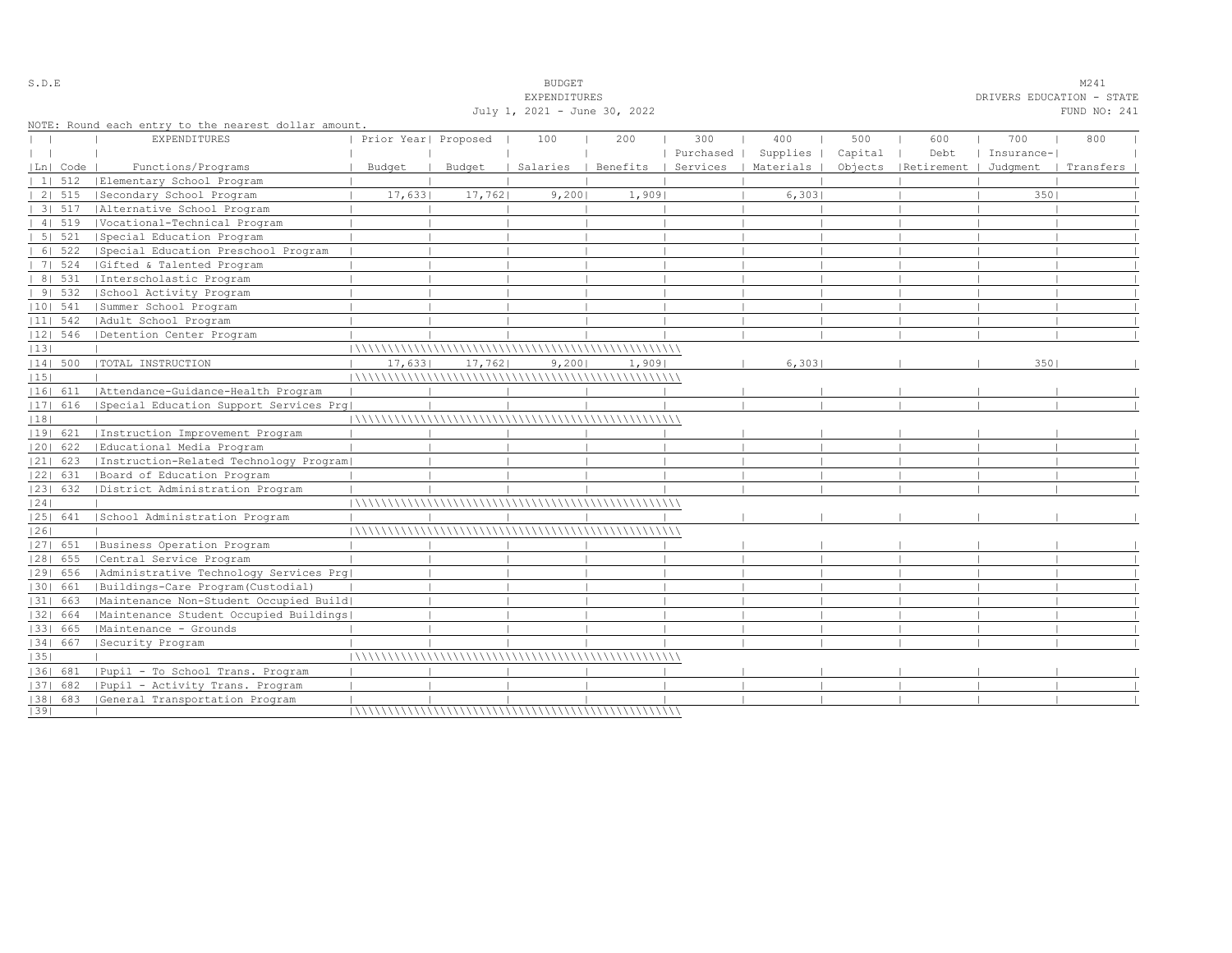|    |                |                                                      |                      |         | <b>EXPENDITURES</b>          |       |           |                                            |         |                                 | DRIVERS EDUCATION - STATE |              |  |
|----|----------------|------------------------------------------------------|----------------------|---------|------------------------------|-------|-----------|--------------------------------------------|---------|---------------------------------|---------------------------|--------------|--|
|    |                |                                                      |                      |         | July 1, 2021 - June 30, 2022 |       |           |                                            |         |                                 |                           | FUND NO: 241 |  |
|    |                | NOTE: Round each entry to the nearest dollar amount. |                      |         |                              |       |           |                                            |         |                                 |                           |              |  |
|    |                | <b>EXPENDITURES</b>                                  | Prior Year  Proposed |         | 100                          | 200   | 300       | 400                                        | 500     | 600                             | 700                       | 800          |  |
|    |                |                                                      |                      |         |                              |       | Purchased | Supplies                                   | Capital | Debt                            | Insurance-                |              |  |
|    | Ln  Code       | Functions/Programs                                   | Budget               | Budget  |                              |       |           | Salaries   Benefits   Services   Materials |         | Objects   Retirement   Judgment |                           | Transfers    |  |
|    | $11 \quad 512$ | Elementary School Program                            |                      |         |                              |       |           |                                            |         |                                 |                           |              |  |
|    | 2   515        | Secondary School Program                             | 17,6331              | 17,7621 | 9,2001                       | 1,909 |           | 6,303                                      |         |                                 | 3501                      |              |  |
|    | $31\ 517$      | Alternative School Program                           |                      |         |                              |       |           |                                            |         |                                 |                           |              |  |
|    | 4   519        | Vocational-Technical Program                         |                      |         |                              |       |           |                                            |         |                                 |                           |              |  |
|    | 5   521        | Special Education Program                            |                      |         |                              |       |           |                                            |         |                                 |                           |              |  |
|    | 6   522        | Special Education Preschool Program                  |                      |         |                              |       |           |                                            |         |                                 |                           |              |  |
|    | 7   524        | Gifted & Talented Program                            |                      |         |                              |       |           |                                            |         |                                 |                           |              |  |
|    | 8   531        | Interscholastic Program                              |                      |         |                              |       |           |                                            |         |                                 |                           |              |  |
|    | 91532          | School Activity Program                              |                      |         |                              |       |           |                                            |         |                                 |                           |              |  |
|    | $ 10 $ 541     | Summer School Program                                |                      |         |                              |       |           |                                            |         |                                 |                           |              |  |
|    | $ 11 $ 542     | Adult School Program                                 |                      |         |                              |       |           |                                            |         |                                 |                           |              |  |
|    | $ 12 $ 546     | Detention Center Program                             |                      |         |                              |       |           |                                            |         |                                 |                           |              |  |
| 13 |                |                                                      |                      |         |                              |       |           |                                            |         |                                 |                           |              |  |
|    | 14  500        | TOTAL INSTRUCTION                                    | 17,633               | 17,762  | 9,200                        | 1,909 |           | 6,303                                      |         |                                 | 350                       |              |  |
| 15 |                |                                                      |                      |         |                              |       |           |                                            |         |                                 |                           |              |  |
|    | 16  611        | Attendance-Guidance-Health Program                   |                      |         |                              |       |           |                                            |         |                                 |                           |              |  |
|    | 17  616        | Special Education Support Services Prg               |                      |         |                              |       |           |                                            |         |                                 |                           |              |  |
| 18 |                |                                                      |                      |         |                              |       |           |                                            |         |                                 |                           |              |  |
|    | 19  621        | Instruction Improvement Program                      |                      |         |                              |       |           |                                            |         |                                 |                           |              |  |
|    | $ 20 $ 622     | Educational Media Program                            |                      |         |                              |       |           |                                            |         |                                 |                           |              |  |
|    | $ 21 $ 623     | Instruction-Related Technology Program               |                      |         |                              |       |           |                                            |         |                                 |                           |              |  |
|    | 22  631        | Board of Education Program                           |                      |         |                              |       |           |                                            |         |                                 |                           |              |  |
|    | 23  632        | District Administration Program                      |                      |         |                              |       |           |                                            |         |                                 |                           |              |  |
| 24 |                |                                                      |                      |         |                              |       |           |                                            |         |                                 |                           |              |  |
|    | 25  641        | School Administration Program                        |                      |         |                              |       |           |                                            |         |                                 |                           |              |  |
| 26 |                |                                                      |                      |         |                              |       |           |                                            |         |                                 |                           |              |  |
|    |                | [27] 651   Business Operation Program                |                      |         |                              |       |           |                                            |         |                                 |                           |              |  |
|    | $ 28 $ 655     | Central Service Program                              |                      |         |                              |       |           |                                            |         |                                 |                           |              |  |
|    | 29  656        | Administrative Technology Services Prg               |                      |         |                              |       |           |                                            |         |                                 |                           |              |  |
|    | 30  661        | Buildings-Care Program(Custodial)                    |                      |         |                              |       |           |                                            |         |                                 |                           |              |  |
|    | 31  663        | Maintenance Non-Student Occupied Build               |                      |         |                              |       |           |                                            |         |                                 |                           |              |  |
|    | 32  664        | Maintenance Student Occupied Buildings               |                      |         |                              |       |           |                                            |         |                                 |                           |              |  |
|    | 33   665       | Maintenance - Grounds                                |                      |         |                              |       |           |                                            |         |                                 |                           |              |  |
|    | 34  667        | Security Program                                     |                      |         |                              |       |           |                                            |         |                                 |                           |              |  |
| 35 |                |                                                      |                      |         |                              |       |           |                                            |         |                                 |                           |              |  |
|    | 1361 681       | Pupil - To School Trans. Program                     |                      |         |                              |       |           |                                            |         |                                 |                           |              |  |
|    | 37  682        | Pupil - Activity Trans. Program                      |                      |         |                              |       |           |                                            |         |                                 |                           |              |  |
|    |                | [38] 683 [General Transportation Program             |                      |         |                              |       |           |                                            |         |                                 |                           |              |  |
| 39 |                |                                                      |                      |         |                              |       |           |                                            |         |                                 |                           |              |  |

S.D.E S.D. E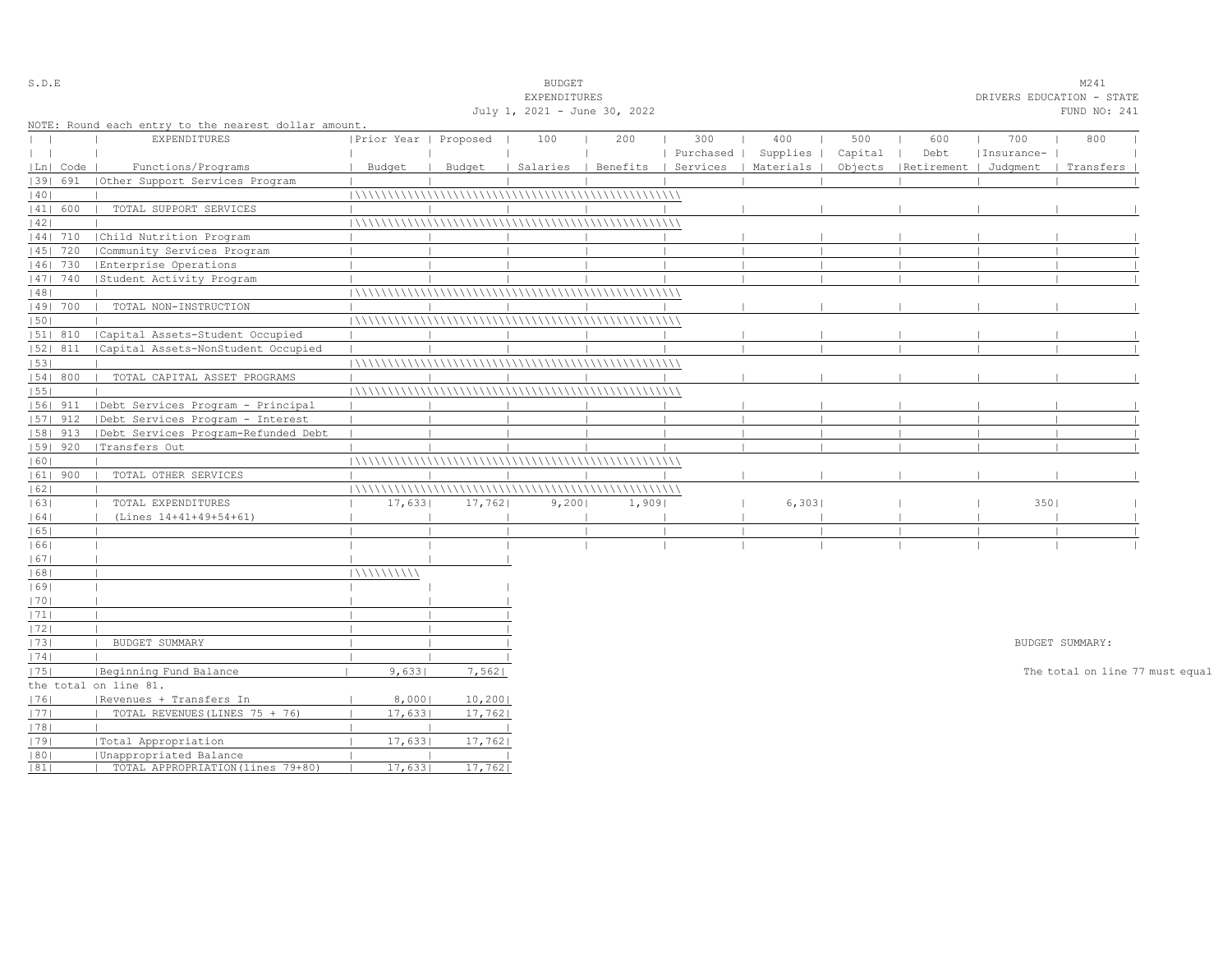| S.D.E      |                                                                              |                                                                                                                                                                                                                                                                                                                                                                                                                                                                                                                                                                                                             |                                                                               | <b>BUDGET</b>                                                            |                                                          |                                                        |                                         |                      |                           |     | M241                                  |                                                                                                        |
|------------|------------------------------------------------------------------------------|-------------------------------------------------------------------------------------------------------------------------------------------------------------------------------------------------------------------------------------------------------------------------------------------------------------------------------------------------------------------------------------------------------------------------------------------------------------------------------------------------------------------------------------------------------------------------------------------------------------|-------------------------------------------------------------------------------|--------------------------------------------------------------------------|----------------------------------------------------------|--------------------------------------------------------|-----------------------------------------|----------------------|---------------------------|-----|---------------------------------------|--------------------------------------------------------------------------------------------------------|
|            |                                                                              |                                                                                                                                                                                                                                                                                                                                                                                                                                                                                                                                                                                                             |                                                                               |                                                                          |                                                          |                                                        |                                         |                      |                           |     |                                       |                                                                                                        |
|            |                                                                              |                                                                                                                                                                                                                                                                                                                                                                                                                                                                                                                                                                                                             |                                                                               |                                                                          |                                                          |                                                        |                                         |                      |                           |     | FUND NO: 241                          |                                                                                                        |
|            |                                                                              |                                                                                                                                                                                                                                                                                                                                                                                                                                                                                                                                                                                                             |                                                                               |                                                                          |                                                          |                                                        |                                         |                      |                           |     |                                       |                                                                                                        |
|            | <b>EXPENDITURES</b>                                                          |                                                                                                                                                                                                                                                                                                                                                                                                                                                                                                                                                                                                             |                                                                               | 100                                                                      | 200                                                      | 300                                                    | 400                                     | 500                  | 600                       | 700 | 800                                   |                                                                                                        |
|            |                                                                              |                                                                                                                                                                                                                                                                                                                                                                                                                                                                                                                                                                                                             |                                                                               |                                                                          |                                                          |                                                        |                                         | Capital              | Debt                      |     |                                       |                                                                                                        |
| Ln   Code  | Functions/Programs                                                           | Budget                                                                                                                                                                                                                                                                                                                                                                                                                                                                                                                                                                                                      | Budget                                                                        |                                                                          |                                                          |                                                        |                                         | Objects              |                           |     |                                       |                                                                                                        |
| 1391 691   | Other Support Services Program                                               |                                                                                                                                                                                                                                                                                                                                                                                                                                                                                                                                                                                                             |                                                                               |                                                                          |                                                          |                                                        |                                         |                      |                           |     |                                       |                                                                                                        |
|            |                                                                              |                                                                                                                                                                                                                                                                                                                                                                                                                                                                                                                                                                                                             |                                                                               |                                                                          |                                                          |                                                        |                                         |                      |                           |     |                                       |                                                                                                        |
| 41  600    | TOTAL SUPPORT SERVICES                                                       |                                                                                                                                                                                                                                                                                                                                                                                                                                                                                                                                                                                                             |                                                                               |                                                                          |                                                          |                                                        |                                         |                      |                           |     |                                       |                                                                                                        |
|            |                                                                              |                                                                                                                                                                                                                                                                                                                                                                                                                                                                                                                                                                                                             |                                                                               |                                                                          |                                                          |                                                        |                                         |                      |                           |     |                                       |                                                                                                        |
| $ 44 $ 710 |                                                                              |                                                                                                                                                                                                                                                                                                                                                                                                                                                                                                                                                                                                             |                                                                               |                                                                          |                                                          |                                                        |                                         |                      |                           |     |                                       |                                                                                                        |
| 45   720   | Community Services Program                                                   |                                                                                                                                                                                                                                                                                                                                                                                                                                                                                                                                                                                                             |                                                                               |                                                                          |                                                          |                                                        |                                         |                      |                           |     |                                       |                                                                                                        |
| 46   730   | Enterprise Operations                                                        |                                                                                                                                                                                                                                                                                                                                                                                                                                                                                                                                                                                                             |                                                                               |                                                                          |                                                          |                                                        |                                         |                      |                           |     |                                       |                                                                                                        |
| 47   740   |                                                                              |                                                                                                                                                                                                                                                                                                                                                                                                                                                                                                                                                                                                             |                                                                               |                                                                          |                                                          |                                                        |                                         |                      |                           |     |                                       |                                                                                                        |
|            |                                                                              |                                                                                                                                                                                                                                                                                                                                                                                                                                                                                                                                                                                                             |                                                                               |                                                                          |                                                          |                                                        |                                         |                      |                           |     |                                       |                                                                                                        |
| 49  700    | TOTAL NON-INSTRUCTION                                                        |                                                                                                                                                                                                                                                                                                                                                                                                                                                                                                                                                                                                             |                                                                               |                                                                          |                                                          |                                                        |                                         |                      |                           |     |                                       |                                                                                                        |
|            |                                                                              |                                                                                                                                                                                                                                                                                                                                                                                                                                                                                                                                                                                                             |                                                                               |                                                                          |                                                          |                                                        |                                         |                      |                           |     |                                       |                                                                                                        |
| 51  810    |                                                                              |                                                                                                                                                                                                                                                                                                                                                                                                                                                                                                                                                                                                             |                                                                               |                                                                          |                                                          |                                                        |                                         |                      |                           |     |                                       |                                                                                                        |
| 52  811    |                                                                              |                                                                                                                                                                                                                                                                                                                                                                                                                                                                                                                                                                                                             |                                                                               |                                                                          |                                                          |                                                        |                                         |                      |                           |     |                                       |                                                                                                        |
|            |                                                                              |                                                                                                                                                                                                                                                                                                                                                                                                                                                                                                                                                                                                             |                                                                               |                                                                          |                                                          |                                                        |                                         |                      |                           |     |                                       |                                                                                                        |
|            |                                                                              |                                                                                                                                                                                                                                                                                                                                                                                                                                                                                                                                                                                                             |                                                                               |                                                                          |                                                          |                                                        |                                         |                      |                           |     |                                       |                                                                                                        |
|            |                                                                              |                                                                                                                                                                                                                                                                                                                                                                                                                                                                                                                                                                                                             |                                                                               |                                                                          |                                                          |                                                        |                                         |                      |                           |     |                                       |                                                                                                        |
|            |                                                                              |                                                                                                                                                                                                                                                                                                                                                                                                                                                                                                                                                                                                             |                                                                               |                                                                          |                                                          |                                                        |                                         |                      |                           |     |                                       |                                                                                                        |
|            |                                                                              |                                                                                                                                                                                                                                                                                                                                                                                                                                                                                                                                                                                                             |                                                                               |                                                                          |                                                          |                                                        |                                         |                      |                           |     |                                       |                                                                                                        |
|            |                                                                              |                                                                                                                                                                                                                                                                                                                                                                                                                                                                                                                                                                                                             |                                                                               |                                                                          |                                                          |                                                        |                                         |                      |                           |     |                                       |                                                                                                        |
|            |                                                                              |                                                                                                                                                                                                                                                                                                                                                                                                                                                                                                                                                                                                             |                                                                               |                                                                          |                                                          |                                                        |                                         |                      |                           |     |                                       |                                                                                                        |
|            |                                                                              |                                                                                                                                                                                                                                                                                                                                                                                                                                                                                                                                                                                                             |                                                                               |                                                                          |                                                          |                                                        |                                         |                      |                           |     |                                       |                                                                                                        |
|            |                                                                              |                                                                                                                                                                                                                                                                                                                                                                                                                                                                                                                                                                                                             |                                                                               |                                                                          |                                                          |                                                        |                                         |                      |                           |     |                                       |                                                                                                        |
|            |                                                                              |                                                                                                                                                                                                                                                                                                                                                                                                                                                                                                                                                                                                             |                                                                               |                                                                          |                                                          |                                                        |                                         |                      |                           |     |                                       |                                                                                                        |
|            |                                                                              |                                                                                                                                                                                                                                                                                                                                                                                                                                                                                                                                                                                                             |                                                                               |                                                                          |                                                          |                                                        |                                         |                      |                           |     |                                       |                                                                                                        |
|            |                                                                              |                                                                                                                                                                                                                                                                                                                                                                                                                                                                                                                                                                                                             |                                                                               |                                                                          |                                                          |                                                        |                                         |                      |                           |     |                                       |                                                                                                        |
|            |                                                                              |                                                                                                                                                                                                                                                                                                                                                                                                                                                                                                                                                                                                             |                                                                               |                                                                          |                                                          |                                                        |                                         |                      |                           |     |                                       |                                                                                                        |
|            |                                                                              |                                                                                                                                                                                                                                                                                                                                                                                                                                                                                                                                                                                                             |                                                                               |                                                                          |                                                          |                                                        |                                         |                      |                           |     |                                       |                                                                                                        |
|            |                                                                              |                                                                                                                                                                                                                                                                                                                                                                                                                                                                                                                                                                                                             |                                                                               |                                                                          |                                                          |                                                        |                                         |                      |                           |     |                                       |                                                                                                        |
|            |                                                                              |                                                                                                                                                                                                                                                                                                                                                                                                                                                                                                                                                                                                             |                                                                               |                                                                          |                                                          |                                                        |                                         |                      |                           |     |                                       |                                                                                                        |
|            |                                                                              |                                                                                                                                                                                                                                                                                                                                                                                                                                                                                                                                                                                                             |                                                                               |                                                                          |                                                          |                                                        |                                         |                      |                           |     |                                       |                                                                                                        |
|            |                                                                              |                                                                                                                                                                                                                                                                                                                                                                                                                                                                                                                                                                                                             |                                                                               |                                                                          |                                                          |                                                        |                                         |                      |                           |     |                                       |                                                                                                        |
|            |                                                                              |                                                                                                                                                                                                                                                                                                                                                                                                                                                                                                                                                                                                             |                                                                               |                                                                          |                                                          |                                                        |                                         |                      |                           |     |                                       |                                                                                                        |
|            |                                                                              |                                                                                                                                                                                                                                                                                                                                                                                                                                                                                                                                                                                                             |                                                                               |                                                                          |                                                          |                                                        |                                         |                      |                           |     |                                       |                                                                                                        |
|            |                                                                              |                                                                                                                                                                                                                                                                                                                                                                                                                                                                                                                                                                                                             |                                                                               |                                                                          |                                                          |                                                        |                                         |                      |                           |     |                                       |                                                                                                        |
|            |                                                                              |                                                                                                                                                                                                                                                                                                                                                                                                                                                                                                                                                                                                             |                                                                               |                                                                          |                                                          |                                                        |                                         |                      |                           |     |                                       |                                                                                                        |
|            |                                                                              |                                                                                                                                                                                                                                                                                                                                                                                                                                                                                                                                                                                                             |                                                                               |                                                                          |                                                          |                                                        |                                         |                      |                           |     |                                       |                                                                                                        |
|            |                                                                              |                                                                                                                                                                                                                                                                                                                                                                                                                                                                                                                                                                                                             |                                                                               |                                                                          |                                                          |                                                        |                                         |                      |                           |     |                                       |                                                                                                        |
|            |                                                                              |                                                                                                                                                                                                                                                                                                                                                                                                                                                                                                                                                                                                             |                                                                               |                                                                          |                                                          |                                                        |                                         |                      |                           |     |                                       |                                                                                                        |
|            |                                                                              |                                                                                                                                                                                                                                                                                                                                                                                                                                                                                                                                                                                                             |                                                                               |                                                                          |                                                          |                                                        |                                         |                      |                           |     |                                       |                                                                                                        |
|            |                                                                              |                                                                                                                                                                                                                                                                                                                                                                                                                                                                                                                                                                                                             |                                                                               |                                                                          |                                                          |                                                        |                                         |                      |                           |     |                                       |                                                                                                        |
|            |                                                                              |                                                                                                                                                                                                                                                                                                                                                                                                                                                                                                                                                                                                             |                                                                               |                                                                          |                                                          |                                                        |                                         |                      |                           |     |                                       |                                                                                                        |
|            |                                                                              |                                                                                                                                                                                                                                                                                                                                                                                                                                                                                                                                                                                                             |                                                                               |                                                                          |                                                          |                                                        |                                         |                      |                           |     |                                       |                                                                                                        |
|            |                                                                              |                                                                                                                                                                                                                                                                                                                                                                                                                                                                                                                                                                                                             |                                                                               |                                                                          |                                                          |                                                        |                                         |                      |                           |     |                                       |                                                                                                        |
|            | 54   800<br>$ 56 $ 911<br>$ 57 $ 912<br> 58  913<br>  59   920<br>$ 61 $ 900 | Child Nutrition Program<br>  Student Activity Program<br>  Capital Assets-Student Occupied<br> Capital Assets-NonStudent Occupied<br>TOTAL CAPITAL ASSET PROGRAMS<br>  Debt Services Program - Principal<br> Debt Services Program - Interest<br>  Debt Services Program-Refunded Debt<br> Transfers Out<br>TOTAL OTHER SERVICES<br>TOTAL EXPENDITURES<br>(Lines 14+41+49+54+61)<br>BUDGET SUMMARY<br> Beginning Fund Balance<br>the total on line 81.<br> Revenues + Transfers In<br>TOTAL REVENUES (LINES 75 + 76)<br> Total Appropriation<br>Unappropriated Balance<br>TOTAL APPROPRIATION (lines 79+80) | NOTE: Round each entry to the nearest dollar amount.<br>111111111111<br>9,633 | Prior Year   Proposed<br>17,633<br>8,0001<br>17,633<br>17,633<br>17,6331 | 17,762<br>7,562<br>10, 200<br>17,762<br>17,762<br>17,762 | EXPENDITURES<br>July 1, 2021 - June 30, 2022<br>9,2001 | Salaries   Benefits   Services<br>1,909 | Purchased  <br>6,303 | Supplies  <br>  Materials |     | Insurance-<br>  Retirement   Judgment | DRIVERS EDUCATION - STATE<br>  Transfers<br>3501<br>BUDGET SUMMARY:<br>The total on line 77 must equal |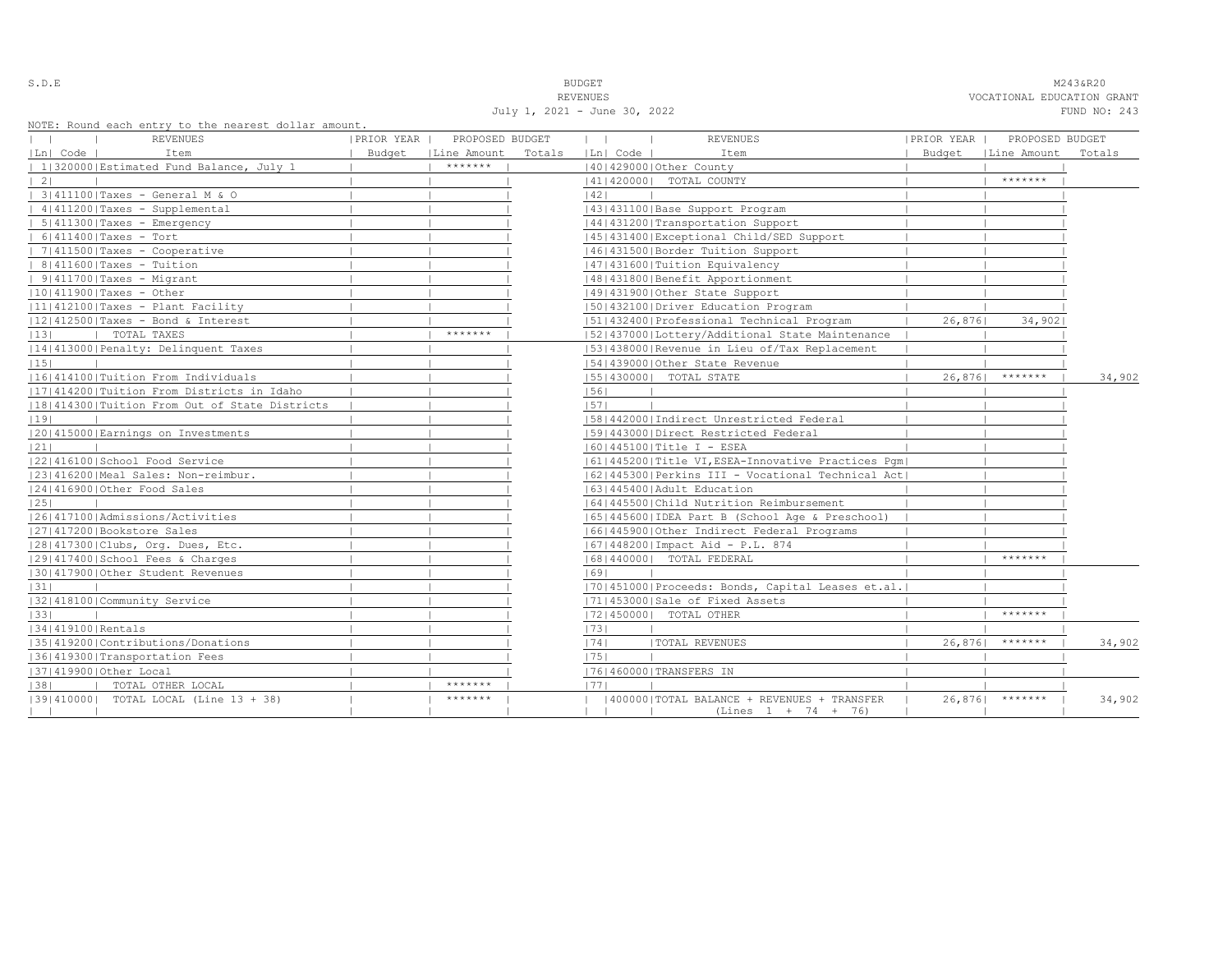S.D.E **BUDGET** M243&R20 REVENUES VOCATIONAL EDUCATION GRANT July 1, 2021 - June 30, 2022 FUND NO: 243

NOTE: Round each entry to the nearest dolla

| NOTE: Round each entry to the nearest dollar amount.<br>REVENUES | PRIOR YEAR | PROPOSED BUDGET      |        | $\mathbf{1}$<br>$\mathbb{R}$ | <b>REVENUES</b>                                      | PRIOR YEAR | PROPOSED BUDGET      |        |
|------------------------------------------------------------------|------------|----------------------|--------|------------------------------|------------------------------------------------------|------------|----------------------|--------|
| Ln  Code  <br>Item                                               |            | Budget   Line Amount | Totals | Ln  Code                     | Item                                                 |            | Budget   Line Amount | Totals |
| 1 320000 Estimated Fund Balance, July 1                          |            | *******              |        |                              | 140142900010ther County                              |            |                      |        |
| $\vert 2 \vert$                                                  |            |                      |        |                              | 41   420000   TOTAL COUNTY                           |            | *******              |        |
| 3 411100 Taxes - General M & O                                   |            |                      |        | 42                           |                                                      |            |                      |        |
| 4 411200 Taxes - Supplemental                                    |            |                      |        |                              | 43   431100   Base Support Program                   |            |                      |        |
| 5 411300 Taxes - Emergency                                       |            |                      |        |                              | 44   431200   Transportation Support                 |            |                      |        |
| $  6 411400 $ Taxes - Tort                                       |            |                      |        |                              | 45   431400   Exceptional Child/SED Support          |            |                      |        |
| $  7 411500 $ Taxes - Cooperative                                |            |                      |        |                              | 46   431500   Border Tuition Support                 |            |                      |        |
| $  8 411600 $ Taxes - Tuition                                    |            |                      |        |                              | 1471431600   Tuition Equivalency                     |            |                      |        |
| $  9 411700 $ Taxes - Migrant                                    |            |                      |        |                              | 48   431800   Benefit Apportionment                  |            |                      |        |
| $ 10 411900 $ Taxes - Other                                      |            |                      |        |                              | 49 431900 Other State Support                        |            |                      |        |
| $ 11 412100 $ Taxes - Plant Facility                             |            |                      |        |                              | 1501432100   Driver Education Program                |            |                      |        |
| $ 12 412500 $ Taxes - Bond & Interest                            |            |                      |        |                              | 51 432400 Professional Technical Program             | 26,876     | 34,902               |        |
| TOTAL TAXES<br> 13 <br><b>Contract Contract Street</b>           |            | *******              |        |                              | [52] 437000 [Lottery/Additional State Maintenance    |            |                      |        |
| 14 413000 Penalty: Delinquent Taxes                              |            |                      |        |                              | 1531438000 Revenue in Lieu of/Tax Replacement        |            |                      |        |
| 15                                                               |            |                      |        |                              | 54 439000 Other State Revenue                        |            |                      |        |
| 16 414100 Tuition From Individuals                               |            |                      |        |                              | 55   430000   TOTAL STATE                            |            | $26,876$ *******     | 34,902 |
| [17] 414200   Tuition From Districts in Idaho                    |            |                      |        | 56                           |                                                      |            |                      |        |
| 18 414300 Tuition From Out of State Districts                    |            |                      |        | 1571                         |                                                      |            |                      |        |
| 19                                                               |            |                      |        |                              | [58]442000]Indirect Unrestricted Federal             |            |                      |        |
| 20 415000 Earnings on Investments                                |            |                      |        |                              | 1591443000   Direct Restricted Federal               |            |                      |        |
| 21                                                               |            |                      |        |                              | 16014451001Title I - ESEA                            |            |                      |        |
| 22 416100 School Food Service                                    |            |                      |        |                              | 61 445200 Title VI, ESEA-Innovative Practices Pqm    |            |                      |        |
| 23 416200 Meal Sales: Non-reimbur.                               |            |                      |        |                              | 62 445300 Perkins III - Vocational Technical Act     |            |                      |        |
| 24 416900 Other Food Sales                                       |            |                      |        |                              | 1631445400 Adult Education                           |            |                      |        |
| 25                                                               |            |                      |        |                              | 1641445500 Child Nutrition Reimbursement             |            |                      |        |
| 1261417100   Admissions/Activities                               |            |                      |        |                              | 65   445600   IDEA Part B (School Age & Preschool)   |            |                      |        |
| 27 417200 Bookstore Sales                                        |            |                      |        |                              | 16614459001Other Indirect Federal Programs           |            |                      |        |
| 28 417300 Clubs, Org. Dues, Etc.                                 |            |                      |        |                              | 67   448200   Impact Aid - P.L. 874                  |            |                      |        |
| 12914174001School Fees & Charges                                 |            |                      |        |                              | 68   440000   TOTAL FEDERAL                          |            | *******              |        |
| 130141790010ther Student Revenues                                |            |                      |        | 1691                         |                                                      |            |                      |        |
| 31                                                               |            |                      |        |                              | [70] 451000   Proceeds: Bonds, Capital Leases et.al. |            |                      |        |
| 32 418100 Community Service                                      |            |                      |        |                              | 71 453000 Sale of Fixed Assets                       |            |                      |        |
| 33                                                               |            |                      |        |                              | 17214500001 TOTAL OTHER                              |            | *******              |        |
| 1341419100 Rentals                                               |            |                      |        | 73                           |                                                      |            |                      |        |
| 35 419200 Contributions/Donations                                |            |                      |        | 74                           | <b>ITOTAL REVENUES</b>                               | 26,876     | *******              | 34,902 |
| 36 419300 Transportation Fees                                    |            |                      |        | 75                           |                                                      |            |                      |        |
| 37 419900 Other Local                                            |            |                      |        |                              | 76 460000 TRANSFERS IN                               |            |                      |        |
| 38 <br>TOTAL OTHER LOCAL                                         |            | *******              |        | 1771                         |                                                      |            |                      |        |
| $ 39 410000 $ TOTAL LOCAL (Line 13 + 38)                         |            | *******              |        |                              | (400000)TOTAL BALANCE + REVENUES + TRANSFER          |            | $26,876$ *******     | 34,902 |
|                                                                  |            |                      |        |                              | $(Lines 1 + 74 + 76)$                                |            |                      |        |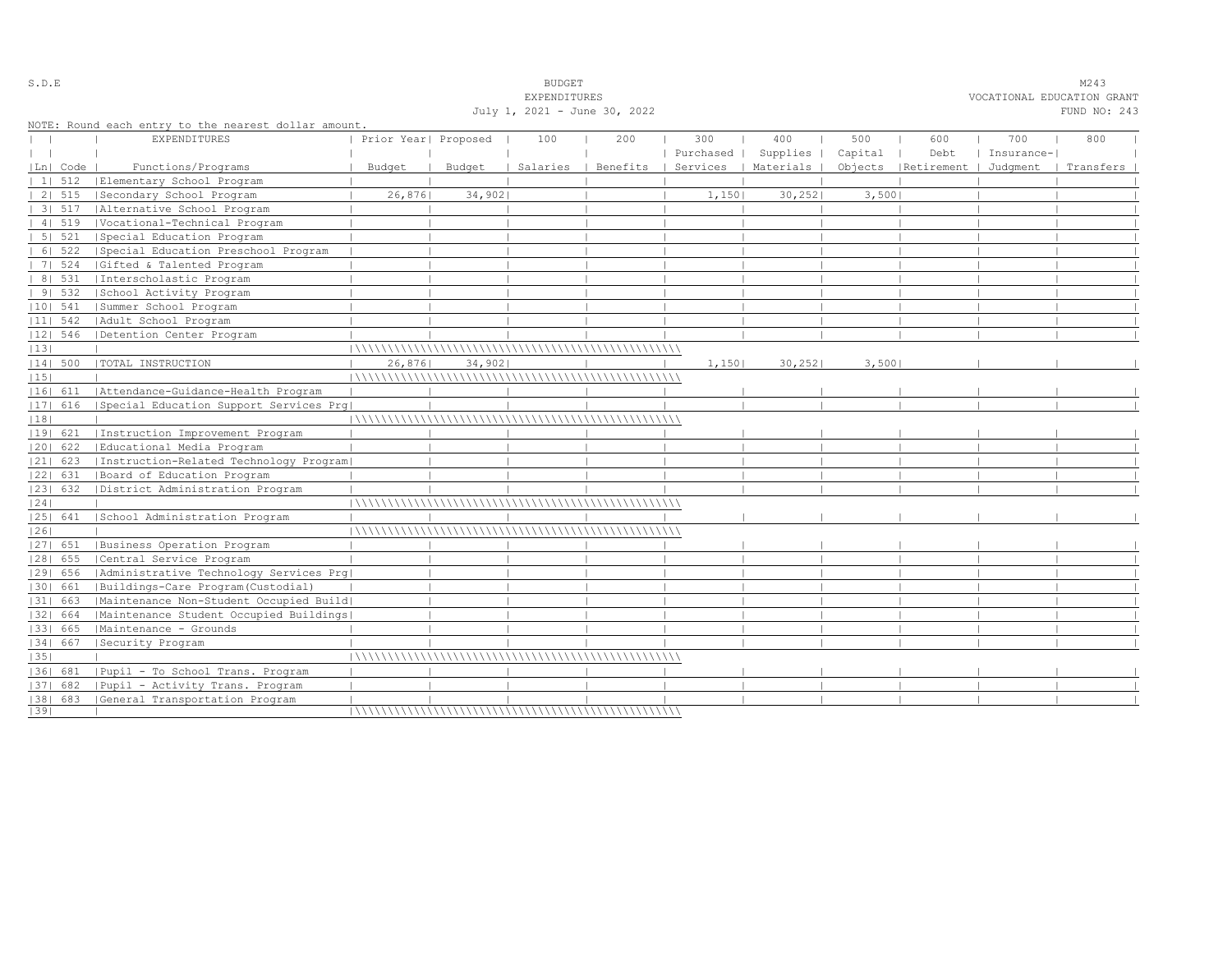|    |                |                                                      |                                              |        | EXPENDITURES |     |                                 |          |         |                                 | VOCATIONAL EDUCATION GRANT |           |  |
|----|----------------|------------------------------------------------------|----------------------------------------------|--------|--------------|-----|---------------------------------|----------|---------|---------------------------------|----------------------------|-----------|--|
|    |                |                                                      | July 1, 2021 - June 30, 2022<br>FUND NO: 243 |        |              |     |                                 |          |         |                                 |                            |           |  |
|    |                | NOTE: Round each entry to the nearest dollar amount. |                                              |        |              |     |                                 |          |         |                                 |                            |           |  |
|    |                | <b>EXPENDITURES</b>                                  | Prior Year  Proposed                         |        | 100          | 200 | 300                             | 400      | 500     | 600                             | 700                        | 800       |  |
|    |                |                                                      |                                              |        |              |     | Purchased                       | Supplies | Capital | Debt                            | Insurance-                 |           |  |
|    | Ln  Code       | Functions/Programs                                   | Budget                                       | Budget | Salaries     |     | Benefits   Services   Materials |          |         | Objects   Retirement   Judqment |                            | Transfers |  |
|    | $11 \quad 512$ | Elementary School Program                            |                                              |        |              |     |                                 |          |         |                                 |                            |           |  |
|    | 2   515        | Secondary School Program                             | 26,876                                       | 34,902 |              |     | 1,150                           | 30, 252  | 3,5001  |                                 |                            |           |  |
|    | 31.517         | Alternative School Program                           |                                              |        |              |     |                                 |          |         |                                 |                            |           |  |
|    | 41519          | Vocational-Technical Program                         |                                              |        |              |     |                                 |          |         |                                 |                            |           |  |
|    | 5   521        | Special Education Program                            |                                              |        |              |     |                                 |          |         |                                 |                            |           |  |
|    | 6   522        | Special Education Preschool Program                  |                                              |        |              |     |                                 |          |         |                                 |                            |           |  |
|    | 7   524        | Gifted & Talented Program                            |                                              |        |              |     |                                 |          |         |                                 |                            |           |  |
|    | 8   531        | Interscholastic Program                              |                                              |        |              |     |                                 |          |         |                                 |                            |           |  |
|    | 91532          | School Activity Program                              |                                              |        |              |     |                                 |          |         |                                 |                            |           |  |
|    | $ 10 $ 541     | Summer School Program                                |                                              |        |              |     |                                 |          |         |                                 |                            |           |  |
|    | $ 11 $ 542     | Adult School Program                                 |                                              |        |              |     |                                 |          |         |                                 |                            |           |  |
|    | $ 12 $ 546     | Detention Center Program                             |                                              |        |              |     |                                 |          |         |                                 |                            |           |  |
| 13 |                |                                                      |                                              |        |              |     |                                 |          |         |                                 |                            |           |  |
|    | 14  500        | TOTAL INSTRUCTION                                    | 26,876                                       | 34,902 |              |     | 1,150                           | 30, 252  | 3,500   |                                 |                            |           |  |
| 15 |                |                                                      |                                              |        |              |     |                                 |          |         |                                 |                            |           |  |
|    | 16  611        | Attendance-Guidance-Health Program                   |                                              |        |              |     |                                 |          |         |                                 |                            |           |  |
|    | 17  616        | Special Education Support Services Prg               |                                              |        |              |     |                                 |          |         |                                 |                            |           |  |
| 18 |                |                                                      |                                              |        |              |     |                                 |          |         |                                 |                            |           |  |
|    | 19  621        | Instruction Improvement Program                      |                                              |        |              |     |                                 |          |         |                                 |                            |           |  |
|    | $ 20 $ 622     | Educational Media Program                            |                                              |        |              |     |                                 |          |         |                                 |                            |           |  |
|    | $ 21 $ 623     | [Instruction-Related Technology Program]             |                                              |        |              |     |                                 |          |         |                                 |                            |           |  |
|    | 22  631        | Board of Education Program                           |                                              |        |              |     |                                 |          |         |                                 |                            |           |  |
|    | 23  632        | District Administration Program                      |                                              |        |              |     |                                 |          |         |                                 |                            |           |  |
| 24 |                |                                                      |                                              |        |              |     |                                 |          |         |                                 |                            |           |  |
|    | 25  641        | School Administration Program                        |                                              |        |              |     |                                 |          |         |                                 |                            |           |  |
| 26 |                |                                                      |                                              |        |              |     |                                 |          |         |                                 |                            |           |  |
|    |                | [27] 651   Business Operation Program                |                                              |        |              |     |                                 |          |         |                                 |                            |           |  |
|    | $ 28 $ 655     | Central Service Program                              |                                              |        |              |     |                                 |          |         |                                 |                            |           |  |
|    | 29  656        | Administrative Technology Services Prg               |                                              |        |              |     |                                 |          |         |                                 |                            |           |  |
|    | 30  661        | Buildings-Care Program(Custodial)                    |                                              |        |              |     |                                 |          |         |                                 |                            |           |  |
|    | 31  663        | Maintenance Non-Student Occupied Build               |                                              |        |              |     |                                 |          |         |                                 |                            |           |  |
|    | 32  664        | Maintenance Student Occupied Buildings               |                                              |        |              |     |                                 |          |         |                                 |                            |           |  |
|    | 33   665       | Maintenance - Grounds                                |                                              |        |              |     |                                 |          |         |                                 |                            |           |  |
|    | 34  667        | Security Program                                     |                                              |        |              |     |                                 |          |         |                                 |                            |           |  |
| 35 |                |                                                      |                                              |        |              |     |                                 |          |         |                                 |                            |           |  |
|    | 1361 681       | Pupil - To School Trans. Program                     |                                              |        |              |     |                                 |          |         |                                 |                            |           |  |
|    | $ 37 $ 682     | Pupil - Activity Trans. Program                      |                                              |        |              |     |                                 |          |         |                                 |                            |           |  |
|    |                | [38] 683 [General Transportation Program             |                                              |        |              |     |                                 |          |         |                                 |                            |           |  |
| 39 |                |                                                      |                                              |        |              |     |                                 |          |         |                                 |                            |           |  |

S.D.E SUDGET M243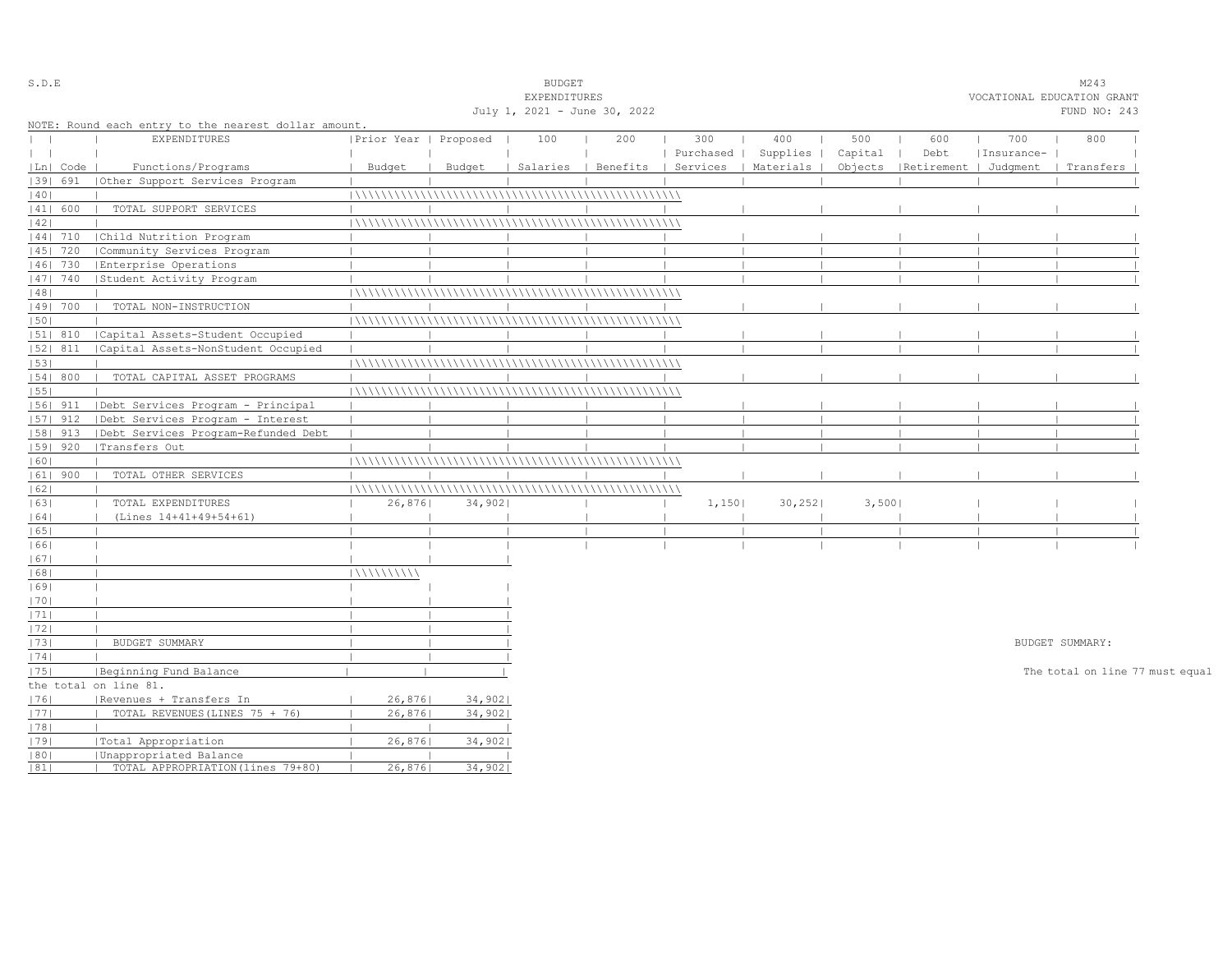| S.D.E         |            |                                                      |                       |        | <b>BUDGET</b>                |     |           |                                            |         |                                 |            | M243                            |  |
|---------------|------------|------------------------------------------------------|-----------------------|--------|------------------------------|-----|-----------|--------------------------------------------|---------|---------------------------------|------------|---------------------------------|--|
|               |            |                                                      |                       |        | EXPENDITURES                 |     |           |                                            |         |                                 |            | VOCATIONAL EDUCATION GRANT      |  |
|               |            |                                                      |                       |        | July 1, 2021 - June 30, 2022 |     |           |                                            |         |                                 |            | FUND NO: 243                    |  |
|               |            | NOTE: Round each entry to the nearest dollar amount. |                       |        |                              |     |           |                                            |         |                                 |            |                                 |  |
| $\mathbf{L}$  |            | <b>EXPENDITURES</b>                                  | Prior Year   Proposed |        | 100                          | 200 | 300       | 400                                        | 500     | 600                             | 700        | 800                             |  |
| $\vert \vert$ |            |                                                      |                       |        |                              |     | Purchased | Supplies                                   | Capital | Debt                            | Insurance- |                                 |  |
|               | Ln  Code   | Functions/Programs                                   | Budget                | Budget |                              |     |           | Salaries   Benefits   Services   Materials |         | Objects   Retirement   Judgment |            | Transfers                       |  |
|               | 1391 691   | Other Support Services Program                       |                       |        |                              |     |           |                                            |         |                                 |            |                                 |  |
| 40            |            |                                                      |                       |        |                              |     |           |                                            |         |                                 |            |                                 |  |
|               | 41  600    | TOTAL SUPPORT SERVICES                               |                       |        |                              |     |           |                                            |         |                                 |            |                                 |  |
| 42            |            |                                                      |                       |        |                              |     |           |                                            |         |                                 |            |                                 |  |
|               | $ 44 $ 710 | Child Nutrition Program                              |                       |        |                              |     |           |                                            |         |                                 |            |                                 |  |
|               | 45   720   | Community Services Program                           |                       |        |                              |     |           |                                            |         |                                 |            |                                 |  |
|               | 46  730    | Enterprise Operations                                |                       |        |                              |     |           |                                            |         |                                 |            |                                 |  |
|               | 47  740    | Student Activity Program                             |                       |        |                              |     |           |                                            |         |                                 |            |                                 |  |
| 48            |            |                                                      |                       |        |                              |     |           |                                            |         |                                 |            |                                 |  |
|               | 49  700    | TOTAL NON-INSTRUCTION                                |                       |        |                              |     |           |                                            |         |                                 |            |                                 |  |
| 50            |            |                                                      |                       |        |                              |     |           |                                            |         |                                 |            |                                 |  |
|               | $ 51 $ 810 | Capital Assets-Student Occupied                      |                       |        |                              |     |           |                                            |         |                                 |            |                                 |  |
|               | 52  811    | Capital Assets-NonStudent Occupied                   |                       |        |                              |     |           |                                            |         |                                 |            |                                 |  |
| 53            |            |                                                      |                       |        |                              |     |           |                                            |         |                                 |            |                                 |  |
|               | 54   800   | TOTAL CAPITAL ASSET PROGRAMS                         |                       |        |                              |     |           |                                            |         |                                 |            |                                 |  |
| 55            |            |                                                      |                       |        |                              |     |           |                                            |         |                                 |            |                                 |  |
|               | $ 56 $ 911 | Debt Services Program - Principal                    |                       |        |                              |     |           |                                            |         |                                 |            |                                 |  |
|               | 57  912    | Debt Services Program - Interest                     |                       |        |                              |     |           |                                            |         |                                 |            |                                 |  |
|               | 58   913   | Debt Services Program-Refunded Debt                  |                       |        |                              |     |           |                                            |         |                                 |            |                                 |  |
|               | $ 59 $ 920 | Transfers Out                                        |                       |        |                              |     |           |                                            |         |                                 |            |                                 |  |
| 60            |            |                                                      |                       |        |                              |     |           |                                            |         |                                 |            |                                 |  |
|               | $ 61 $ 900 | TOTAL OTHER SERVICES                                 |                       |        |                              |     |           |                                            |         |                                 |            |                                 |  |
| 62            |            |                                                      |                       |        |                              |     |           |                                            |         |                                 |            |                                 |  |
| 63            |            | TOTAL EXPENDITURES                                   | 26,876                | 34,902 |                              |     | 1,150     | 30, 252                                    | 3,500   |                                 |            |                                 |  |
| 64            |            | (Lines 14+41+49+54+61)                               |                       |        |                              |     |           |                                            |         |                                 |            |                                 |  |
| 65            |            |                                                      |                       |        |                              |     |           |                                            |         | $\blacksquare$                  |            |                                 |  |
| 1661          |            |                                                      |                       |        |                              |     |           |                                            |         |                                 |            |                                 |  |
| 67            |            |                                                      |                       |        |                              |     |           |                                            |         |                                 |            |                                 |  |
| 68            |            |                                                      | 111111111111          |        |                              |     |           |                                            |         |                                 |            |                                 |  |
| 69            |            |                                                      |                       |        |                              |     |           |                                            |         |                                 |            |                                 |  |
| 70            |            |                                                      |                       |        |                              |     |           |                                            |         |                                 |            |                                 |  |
| 71            |            |                                                      |                       |        |                              |     |           |                                            |         |                                 |            |                                 |  |
| 72            |            |                                                      |                       |        |                              |     |           |                                            |         |                                 |            |                                 |  |
| 73            |            | BUDGET SUMMARY                                       |                       |        |                              |     |           |                                            |         |                                 |            | BUDGET SUMMARY:                 |  |
| 74            |            |                                                      |                       |        |                              |     |           |                                            |         |                                 |            |                                 |  |
| 75            |            | Beginning Fund Balance                               |                       |        |                              |     |           |                                            |         |                                 |            | The total on line 77 must equal |  |
|               |            | the total on line 81.                                |                       |        |                              |     |           |                                            |         |                                 |            |                                 |  |
| 1761          |            | Revenues + Transfers In                              | 26,8761               | 34,902 |                              |     |           |                                            |         |                                 |            |                                 |  |
| 1771          |            | TOTAL REVENUES (LINES 75 + 76)                       | 26,876                | 34,902 |                              |     |           |                                            |         |                                 |            |                                 |  |
| 78            |            |                                                      |                       |        |                              |     |           |                                            |         |                                 |            |                                 |  |
| 79            |            | Total Appropriation                                  | 26,876                | 34,902 |                              |     |           |                                            |         |                                 |            |                                 |  |
| 80            |            | Unappropriated Balance                               |                       |        |                              |     |           |                                            |         |                                 |            |                                 |  |
| 81            |            | TOTAL APPROPRIATION (lines 79+80)                    | 26,876                | 34,902 |                              |     |           |                                            |         |                                 |            |                                 |  |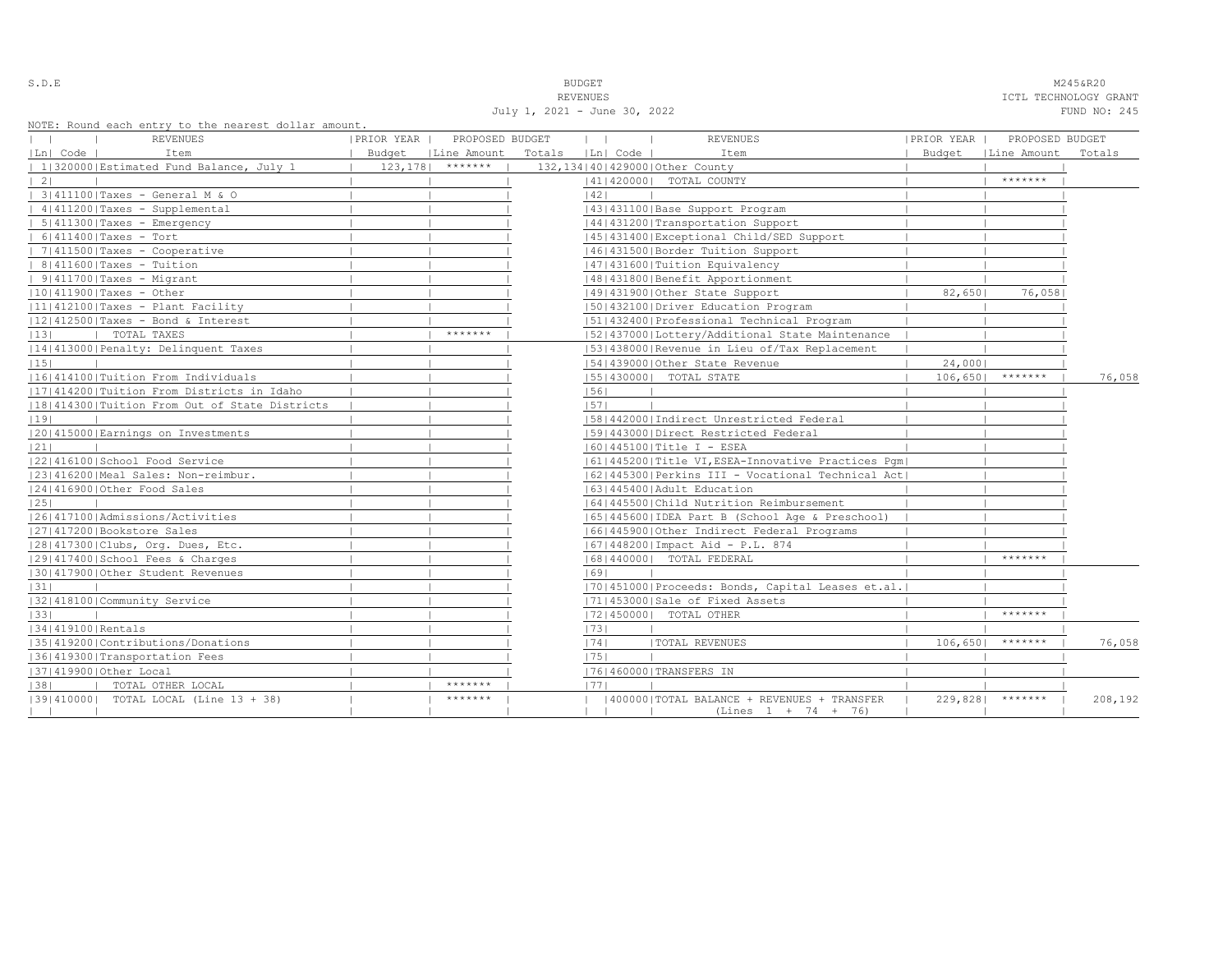| ٠<br>u<br>× |  |  |  |  |  |
|-------------|--|--|--|--|--|
|-------------|--|--|--|--|--|

S.D.E **BUDGET** M245&R20

REVENUES TO A REVENUES AND REVENUES OF A REVENUES OF A REVENUES OF A REVENUES OF A REVENUE OF A REVENUE OF A REVENUE OF A REVENUE OF A REVENUE OF A REVENUE OF A REVENUE OF A REVENUE OF A REVENUE OF A REVENUE OF A REVENUE O July 1, 2021 - June 30, 2022 FUND NO: 245

NOTE: Round each entry to the nearest dollar amount.

|                   | NOIL. NOUNG CACH CHILLY LO LHC HEALEST GOILAL AMOUNT. |            |                      |                  |                                                    |            |                      |         |
|-------------------|-------------------------------------------------------|------------|----------------------|------------------|----------------------------------------------------|------------|----------------------|---------|
|                   | REVENUES                                              | PRIOR YEAR | PROPOSED BUDGET      | $\mathbf{1}$     | <b>REVENUES</b>                                    | PRIOR YEAR | PROPOSED BUDGET      |         |
| Ln  Code          | Item                                                  |            | Budget   Line Amount | Totals [Ln] Code | Item                                               |            | Budget   Line Amount | Totals  |
|                   | 1 320000 Estimated Fund Balance, July 1               | 123, 178   | *******              |                  | 132, 134   40   429000   Other County              |            |                      |         |
| $\vert 2 \vert$   |                                                       |            |                      |                  | 41   420000   TOTAL COUNTY                         |            | *******              |         |
|                   | 3 411100 Taxes - General M & O                        |            |                      | 42               |                                                    |            |                      |         |
|                   | 4 411200 Taxes - Supplemental                         |            |                      |                  | 43   431100   Base Support Program                 |            |                      |         |
|                   | $  5   411300  $ Taxes - Emergency                    |            |                      |                  | 44   431200   Transportation Support               |            |                      |         |
|                   | $  6 411400 $ Taxes - Tort                            |            |                      |                  | 45 431400 Exceptional Child/SED Support            |            |                      |         |
|                   | $  7 411500 $ Taxes - Cooperative                     |            |                      |                  | 46   431500   Border Tuition Support               |            |                      |         |
|                   | $  8 411600 $ Taxes - Tuition                         |            |                      |                  | 1471431600   Tuition Equivalency                   |            |                      |         |
|                   | $  9 411700 $ Taxes - Migrant                         |            |                      |                  | 48   431800   Benefit Apportionment                |            |                      |         |
|                   | $ 10 411900 $ Taxes - Other                           |            |                      |                  | 49 431900 Other State Support                      | 82,6501    | 76,058               |         |
|                   | $ 11 412100 $ Taxes - Plant Facility                  |            |                      |                  | 1501432100 Driver Education Program                |            |                      |         |
|                   | $ 12 412500 $ Taxes - Bond & Interest                 |            |                      |                  | 15114324001Professional Technical Program          |            |                      |         |
| 13                | TOTAL TAXES                                           |            | *******              |                  | 52 437000 Lottery/Additional State Maintenance     |            |                      |         |
|                   | 14 413000 Penalty: Delinquent Taxes                   |            |                      |                  | 15314380001Revenue in Lieu of/Tax Replacement      |            |                      |         |
| 15                |                                                       |            |                      |                  | 154143900010ther State Revenue                     | 24,0001    |                      |         |
|                   | 1161414100   Tuition From Individuals                 |            |                      |                  | 55   430000   TOTAL STATE                          | 106,650    | *******              | 76,058  |
|                   | 11714142001Tuition From Districts in Idaho            |            |                      | 56               |                                                    |            |                      |         |
|                   | 18 414300 Tuition From Out of State Districts         |            |                      | 57               |                                                    |            |                      |         |
| 19                |                                                       |            |                      |                  | 15814420001Indirect Unrestricted Federal           |            |                      |         |
|                   | 20 415000 Earnings on Investments                     |            |                      |                  | 1591443000 Direct Restricted Federal               |            |                      |         |
| 21                |                                                       |            |                      |                  | 16014451001Title I - ESEA                          |            |                      |         |
|                   | 22 416100 School Food Service                         |            |                      |                  | 61 445200 Title VI, ESEA-Innovative Practices Pqm  |            |                      |         |
|                   | 23 416200 Meal Sales: Non-reimbur.                    |            |                      |                  | 62 445300 Perkins III - Vocational Technical Act   |            |                      |         |
|                   | 24 416900 Other Food Sales                            |            |                      |                  | 1631445400 Adult Education                         |            |                      |         |
| 25                |                                                       |            |                      |                  | 1641445500 Child Nutrition Reimbursement           |            |                      |         |
|                   | 1261417100 Admissions/Activities                      |            |                      |                  | 65  445600  IDEA Part B (School Age & Preschool)   |            |                      |         |
|                   | 27 417200 Bookstore Sales                             |            |                      |                  | 16614459001Other Indirect Federal Programs         |            |                      |         |
|                   | 28 417300 Clubs, Org. Dues, Etc.                      |            |                      |                  | 67   448200   Impact Aid - P.L. 874                |            |                      |         |
|                   | 29 417400 School Fees & Charges                       |            |                      |                  | 68   440000   TOTAL FEDERAL                        |            | *******              |         |
|                   | 130141790010ther Student Revenues                     |            |                      | 1691             |                                                    |            |                      |         |
| 31                |                                                       |            |                      |                  | [70] 451000 Proceeds: Bonds, Capital Leases et.al. |            |                      |         |
|                   | 32 418100 Community Service                           |            |                      |                  | 17114530001Sale of Fixed Assets                    |            |                      |         |
| 33                |                                                       |            |                      |                  | 17214500001 TOTAL OTHER                            |            | *******              |         |
| 34 419100 Rentals |                                                       |            |                      | 73               |                                                    |            |                      |         |
|                   | 35 419200 Contributions/Donations                     |            |                      | 74               | <b> TOTAL REVENUES</b>                             | 106,6501   | *******              | 76,058  |
|                   | 36 419300 Transportation Fees                         |            |                      | 75               |                                                    |            |                      |         |
|                   | 37 419900 Other Local                                 |            |                      |                  | 76 460000 TRANSFERS IN                             |            |                      |         |
| 38                | TOTAL OTHER LOCAL                                     |            | *******              | 1771             |                                                    |            |                      |         |
|                   | 1391410000   TOTAL LOCAL (Line 13 + 38)               |            | *******              |                  | (400000) TOTAL BALANCE + REVENUES + TRANSFER       |            | $229,828$   *******  | 208,192 |
|                   |                                                       |            |                      |                  | $(Lines 1 + 74 + 76)$                              |            |                      |         |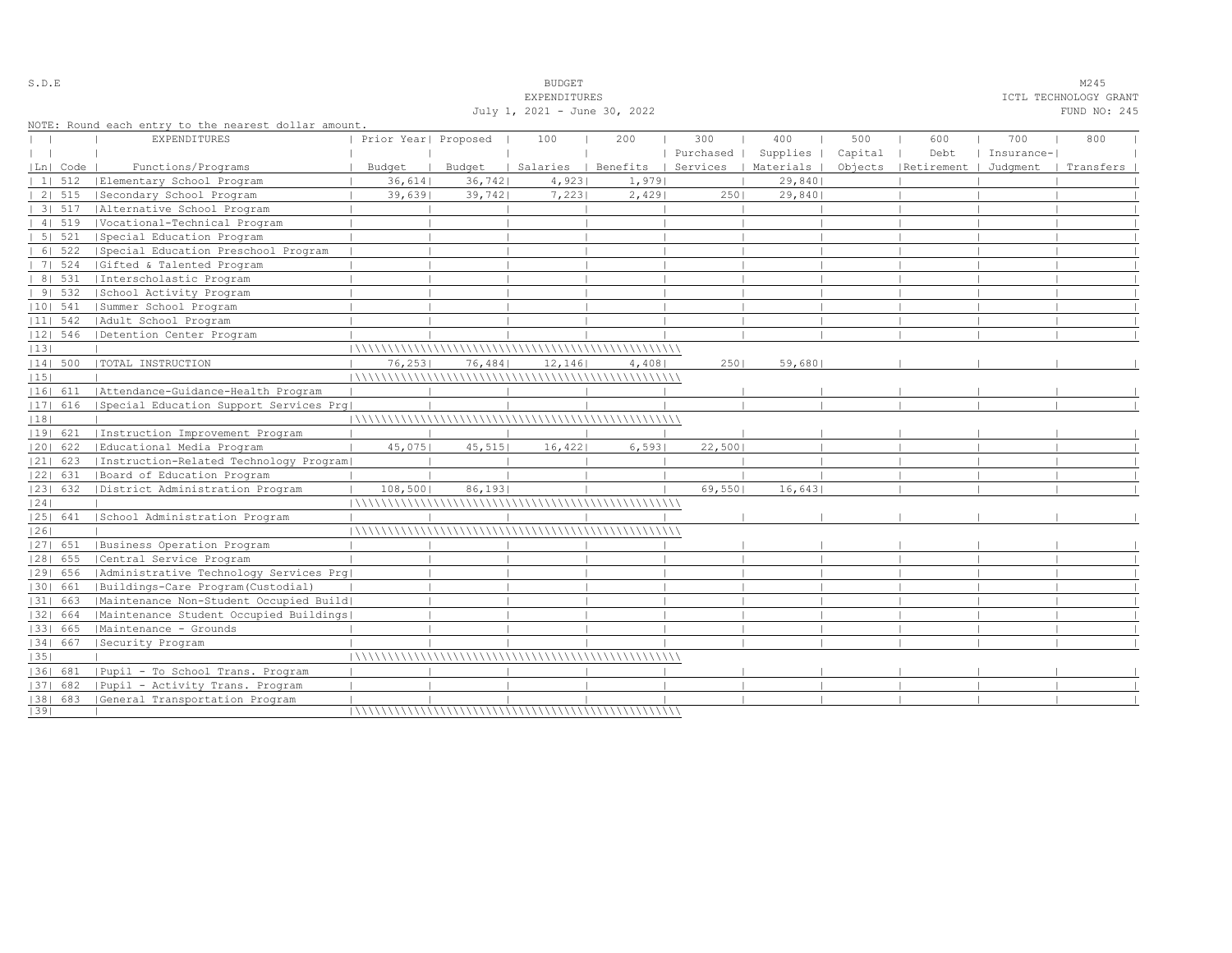|                   |            |                                                     |                      |        | July 1, 2021 - June 30, 2022 |        |           |                                            |         |                                 |            | FUND NO: 245 |
|-------------------|------------|-----------------------------------------------------|----------------------|--------|------------------------------|--------|-----------|--------------------------------------------|---------|---------------------------------|------------|--------------|
|                   |            | NOTE: Round each entry to the nearest dollar amount |                      |        |                              |        |           |                                            |         |                                 |            |              |
|                   |            | <b>EXPENDITURES</b>                                 | Prior Year  Proposed |        | 100                          | 200    | 300       | 400                                        | 500     | 600                             | 700        | 800          |
| $\vert \ \ \vert$ |            |                                                     |                      |        |                              |        | Purchased | Supplies                                   | Capital | Debt                            | Insurance- |              |
|                   | Ln  Code   | Functions/Programs                                  | Budget               | Budget |                              |        |           | Salaries   Benefits   Services   Materials |         | Objects   Retirement   Judqment |            | Transfers    |
|                   | 11512      | Elementary School Program                           | 36,614               | 36,742 | 4,923                        | 1,9791 |           | 29,8401                                    |         |                                 |            |              |
|                   | 2 515      | Secondary School Program                            | 39,6391              | 39,742 | 7,223                        | 2,429  | 2501      | 29,840                                     |         |                                 |            |              |
|                   | 31 517     | Alternative School Program                          |                      |        |                              |        |           |                                            |         |                                 |            |              |
|                   | 41519      | Vocational-Technical Program                        |                      |        |                              |        |           |                                            |         |                                 |            |              |
|                   | 5   521    | Special Education Program                           |                      |        |                              |        |           |                                            |         |                                 |            |              |
|                   | 6   522    | Special Education Preschool Program                 |                      |        |                              |        |           |                                            |         |                                 |            |              |
|                   | 7   524    | Gifted & Talented Program                           |                      |        |                              |        |           |                                            |         |                                 |            |              |
|                   | 8   531    | Interscholastic Program                             |                      |        |                              |        |           |                                            |         |                                 |            |              |
|                   | 91532      | School Activity Program                             |                      |        |                              |        |           |                                            |         |                                 |            |              |
|                   | $ 10 $ 541 | Summer School Program                               |                      |        |                              |        |           |                                            |         |                                 |            |              |
|                   | $ 11 $ 542 | Adult School Program                                |                      |        |                              |        |           |                                            |         |                                 |            |              |
|                   | $ 12 $ 546 | Detention Center Program                            |                      |        |                              |        |           |                                            |         |                                 |            |              |
| 13                |            |                                                     |                      |        |                              |        |           |                                            |         |                                 |            |              |
|                   | 14  500    | TOTAL INSTRUCTION                                   | 76,253               | 76,484 | 12,146                       | 4,408  | 2501      | 59,680                                     |         |                                 |            |              |
| 15                |            |                                                     |                      |        |                              |        |           |                                            |         |                                 |            |              |
|                   | 16  611    | Attendance-Guidance-Health Program                  |                      |        |                              |        |           |                                            |         |                                 |            |              |
|                   | $ 17 $ 616 | Special Education Support Services Prq              |                      |        |                              |        |           |                                            |         |                                 |            |              |
| 18                |            |                                                     |                      |        |                              |        |           |                                            |         |                                 |            |              |
|                   | 19  621    | Instruction Improvement Program                     |                      |        |                              |        |           |                                            |         |                                 |            |              |
|                   | 20  622    | Educational Media Program                           | 45,075               | 45,515 | 16,422                       | 6,5931 | 22,500    |                                            |         |                                 |            |              |
|                   | $ 21 $ 623 | [Instruction-Related Technology Program]            |                      |        |                              |        |           |                                            |         |                                 |            |              |
|                   | $ 22 $ 631 | Board of Education Program                          |                      |        |                              |        |           |                                            |         |                                 |            |              |
|                   | 23  632    | District Administration Program                     | 108,500              | 86,193 |                              |        | 69,550    | 16,643                                     |         |                                 |            |              |
| 24                |            |                                                     |                      |        |                              |        |           |                                            |         |                                 |            |              |
|                   | 25  641    | School Administration Program                       |                      |        |                              |        |           |                                            |         |                                 |            |              |
| 26                |            |                                                     |                      |        |                              |        |           |                                            |         |                                 |            |              |
|                   | 27  651    | Business Operation Program                          |                      |        |                              |        |           |                                            |         |                                 |            |              |
|                   | 28  655    | Central Service Program                             |                      |        |                              |        |           |                                            |         |                                 |            |              |
|                   | 29  656    | Administrative Technology Services Prg              |                      |        |                              |        |           |                                            |         |                                 |            |              |
|                   | 30  661    | Buildings-Care Program (Custodial)                  |                      |        |                              |        |           |                                            |         |                                 |            |              |
|                   | $ 31 $ 663 | Maintenance Non-Student Occupied Build              |                      |        |                              |        |           |                                            |         |                                 |            |              |
|                   | 32  664    | Maintenance Student Occupied Buildings              |                      |        |                              |        |           |                                            |         |                                 |            |              |
|                   | 33  665    | Maintenance - Grounds                               |                      |        |                              |        |           |                                            |         |                                 |            |              |
|                   | 34  667    | Security Program                                    |                      |        |                              |        |           |                                            |         |                                 |            |              |
| 35                |            |                                                     |                      |        |                              |        |           |                                            |         |                                 |            |              |
|                   | 36  681    | Pupil - To School Trans. Program                    |                      |        |                              |        |           |                                            |         |                                 |            |              |
|                   | $ 37 $ 682 | Pupil - Activity Trans. Program                     |                      |        |                              |        |           |                                            |         |                                 |            |              |
|                   | 38  683    | General Transportation Program                      |                      |        |                              |        |           |                                            |         |                                 |            |              |
| 39                |            |                                                     |                      |        |                              |        |           |                                            |         |                                 |            |              |

S.D.E SOME SALE SOME STRUCK STRUCK STRUCK SOMETHING SOMETHING SOMETHING SOMETHING SOMETHING SOMETHING SOMETHING SOMETHING SOMETHING SOMETHING SOMETHING SOMETHING SOMETHING SOMETHING SOMETHING SOMETHING SOMETHING SOMETHING EXPENDITURES ICTL TECHNOLOGY GRANT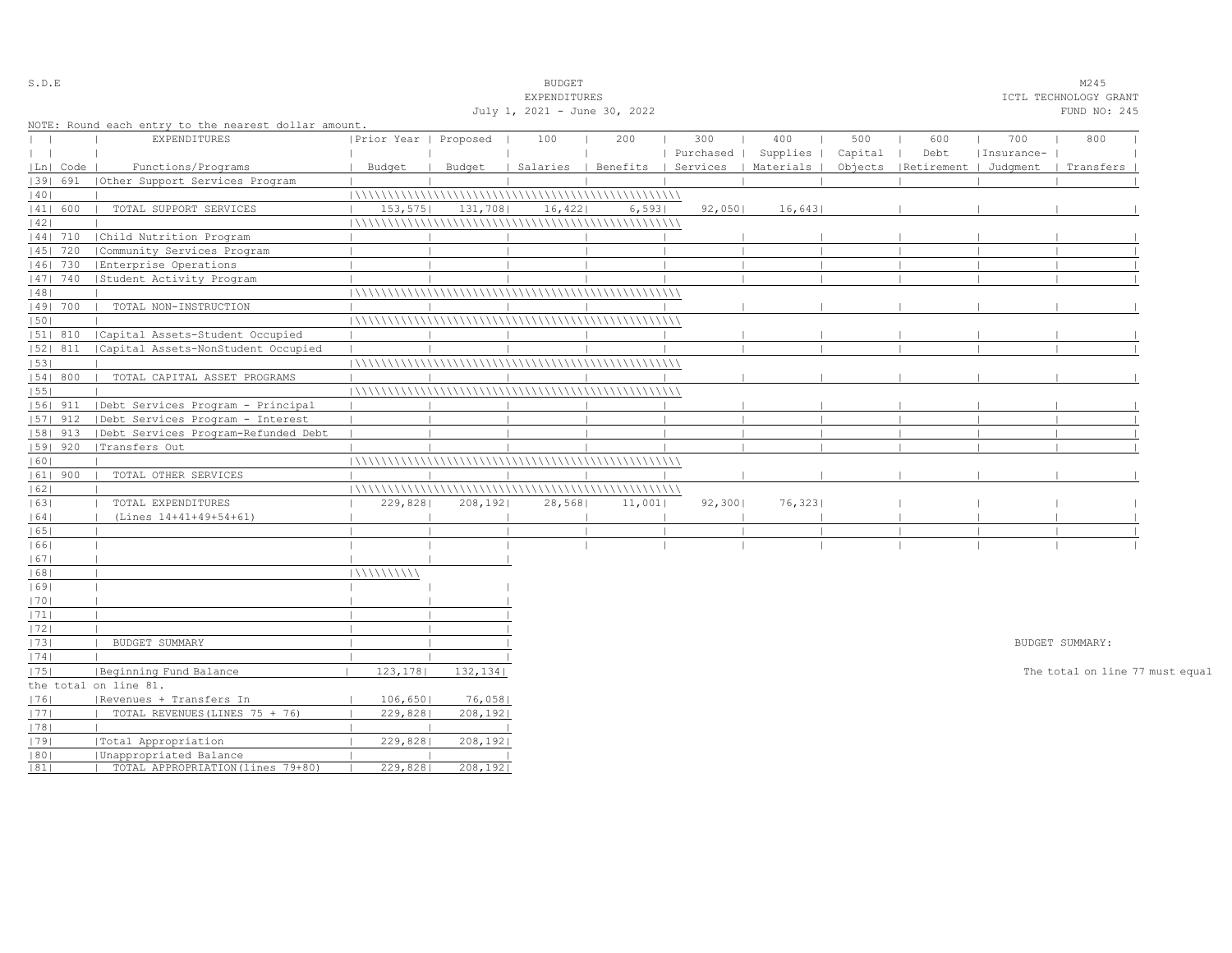| S.D.E                            |            |                                                      |                       |          | <b>BUDGET</b>                |        |           |                                            |         |                                 |            | M245                            |  |
|----------------------------------|------------|------------------------------------------------------|-----------------------|----------|------------------------------|--------|-----------|--------------------------------------------|---------|---------------------------------|------------|---------------------------------|--|
|                                  |            |                                                      |                       |          | EXPENDITURES                 |        |           |                                            |         |                                 |            | ICTL TECHNOLOGY GRANT           |  |
|                                  |            |                                                      |                       |          | July 1, 2021 - June 30, 2022 |        |           |                                            |         |                                 |            | FUND NO: 245                    |  |
|                                  |            | NOTE: Round each entry to the nearest dollar amount. |                       |          |                              |        |           |                                            |         |                                 |            |                                 |  |
| $\begin{array}{ccc} \end{array}$ |            | <b>EXPENDITURES</b>                                  | Prior Year   Proposed |          | 100                          | 200    | 300       | 400                                        | 500     | 600                             | 700        | 800                             |  |
| $\mathbf{1}$                     |            |                                                      |                       |          |                              |        | Purchased | Supplies                                   | Capital | Debt                            | Insurance- |                                 |  |
|                                  | Ln   Code  | Functions/Programs                                   | Budget                | Budget   |                              |        |           | Salaries   Benefits   Services   Materials |         | Objects   Retirement   Judgment |            | Transfers                       |  |
|                                  | 1391 691   | (Other Support Services Program                      |                       |          |                              |        |           |                                            |         |                                 |            |                                 |  |
| 40                               |            |                                                      |                       |          |                              |        |           |                                            |         |                                 |            |                                 |  |
|                                  | 41  600    | TOTAL SUPPORT SERVICES                               | 153, 575              | 131,708  | 16,422                       | 6,5931 | 92,050    | 16,643                                     |         |                                 |            |                                 |  |
| 42                               |            |                                                      |                       |          |                              |        |           |                                            |         |                                 |            |                                 |  |
|                                  | 44  710    | Child Nutrition Program                              |                       |          |                              |        |           |                                            |         |                                 |            |                                 |  |
|                                  | 45   720   | Community Services Program                           |                       |          |                              |        |           |                                            |         |                                 |            |                                 |  |
|                                  | 46  730    | Enterprise Operations                                |                       |          |                              |        |           |                                            |         |                                 |            |                                 |  |
|                                  | 47  740    | Student Activity Program                             |                       |          |                              |        |           |                                            |         |                                 |            |                                 |  |
| 48                               |            |                                                      |                       |          |                              |        |           |                                            |         |                                 |            |                                 |  |
|                                  | 49  700    | TOTAL NON-INSTRUCTION                                |                       |          |                              |        |           |                                            |         |                                 |            |                                 |  |
| 50                               |            |                                                      |                       |          |                              |        |           |                                            |         |                                 |            |                                 |  |
|                                  | 51  810    | Capital Assets-Student Occupied                      |                       |          |                              |        |           |                                            |         |                                 |            |                                 |  |
|                                  | 52  811    | Capital Assets-NonStudent Occupied                   |                       |          |                              |        |           |                                            |         |                                 |            |                                 |  |
| 53                               |            |                                                      |                       |          |                              |        |           |                                            |         |                                 |            |                                 |  |
|                                  | 54   800   | TOTAL CAPITAL ASSET PROGRAMS                         |                       |          |                              |        |           |                                            |         |                                 |            |                                 |  |
| 55                               |            |                                                      |                       |          |                              |        |           |                                            |         |                                 |            |                                 |  |
|                                  | 56  911    | Debt Services Program - Principal                    |                       |          |                              |        |           |                                            |         |                                 |            |                                 |  |
|                                  | $ 57 $ 912 | Debt Services Program - Interest                     |                       |          |                              |        |           |                                            |         |                                 |            |                                 |  |
|                                  | $ 58 $ 913 | Debt Services Program-Refunded Debt                  |                       |          |                              |        |           |                                            |         |                                 |            |                                 |  |
|                                  | $ 59 $ 920 | Transfers Out                                        |                       |          |                              |        |           |                                            |         |                                 |            |                                 |  |
| 60                               |            |                                                      |                       |          |                              |        |           |                                            |         |                                 |            |                                 |  |
|                                  | $ 61 $ 900 | TOTAL OTHER SERVICES                                 |                       |          |                              |        |           |                                            |         |                                 |            |                                 |  |
| 62                               |            |                                                      |                       |          |                              |        |           |                                            |         |                                 |            |                                 |  |
| 63                               |            | TOTAL EXPENDITURES                                   | 229,828               | 208, 192 | 28,568                       | 11,001 | 92,300    | 76,323                                     |         |                                 |            |                                 |  |
| 64                               |            | (Lines 14+41+49+54+61)                               |                       |          |                              |        |           |                                            |         |                                 |            |                                 |  |
| 65                               |            |                                                      |                       |          |                              |        |           |                                            |         |                                 |            |                                 |  |
| 1661                             |            |                                                      |                       |          |                              |        |           |                                            |         |                                 |            |                                 |  |
| 67                               |            |                                                      |                       |          |                              |        |           |                                            |         |                                 |            |                                 |  |
| 68                               |            |                                                      | 111111111111          |          |                              |        |           |                                            |         |                                 |            |                                 |  |
| 1691                             |            |                                                      |                       |          |                              |        |           |                                            |         |                                 |            |                                 |  |
| 70                               |            |                                                      |                       |          |                              |        |           |                                            |         |                                 |            |                                 |  |
| 71                               |            |                                                      |                       |          |                              |        |           |                                            |         |                                 |            |                                 |  |
| 72                               |            |                                                      |                       |          |                              |        |           |                                            |         |                                 |            |                                 |  |
| 73                               |            | BUDGET SUMMARY                                       |                       |          |                              |        |           |                                            |         |                                 |            | BUDGET SUMMARY:                 |  |
| 74                               |            |                                                      |                       |          |                              |        |           |                                            |         |                                 |            |                                 |  |
| 75                               |            | Beginning Fund Balance                               | 123, 178              | 132, 134 |                              |        |           |                                            |         |                                 |            | The total on line 77 must equal |  |
|                                  |            | the total on line 81.                                |                       |          |                              |        |           |                                            |         |                                 |            |                                 |  |
| 76                               |            | Revenues + Transfers In                              | 106,650               | 76,0581  |                              |        |           |                                            |         |                                 |            |                                 |  |
| 77                               |            | TOTAL REVENUES (LINES 75 + 76)                       | 229,828               | 208, 192 |                              |        |           |                                            |         |                                 |            |                                 |  |
| 78                               |            |                                                      |                       |          |                              |        |           |                                            |         |                                 |            |                                 |  |
| 79                               |            | Total Appropriation                                  | 229,828               | 208, 192 |                              |        |           |                                            |         |                                 |            |                                 |  |
| 80                               |            | Unappropriated Balance                               |                       |          |                              |        |           |                                            |         |                                 |            |                                 |  |
| 81                               |            | TOTAL APPROPRIATION (lines 79+80)                    | 229,828               | 208,1921 |                              |        |           |                                            |         |                                 |            |                                 |  |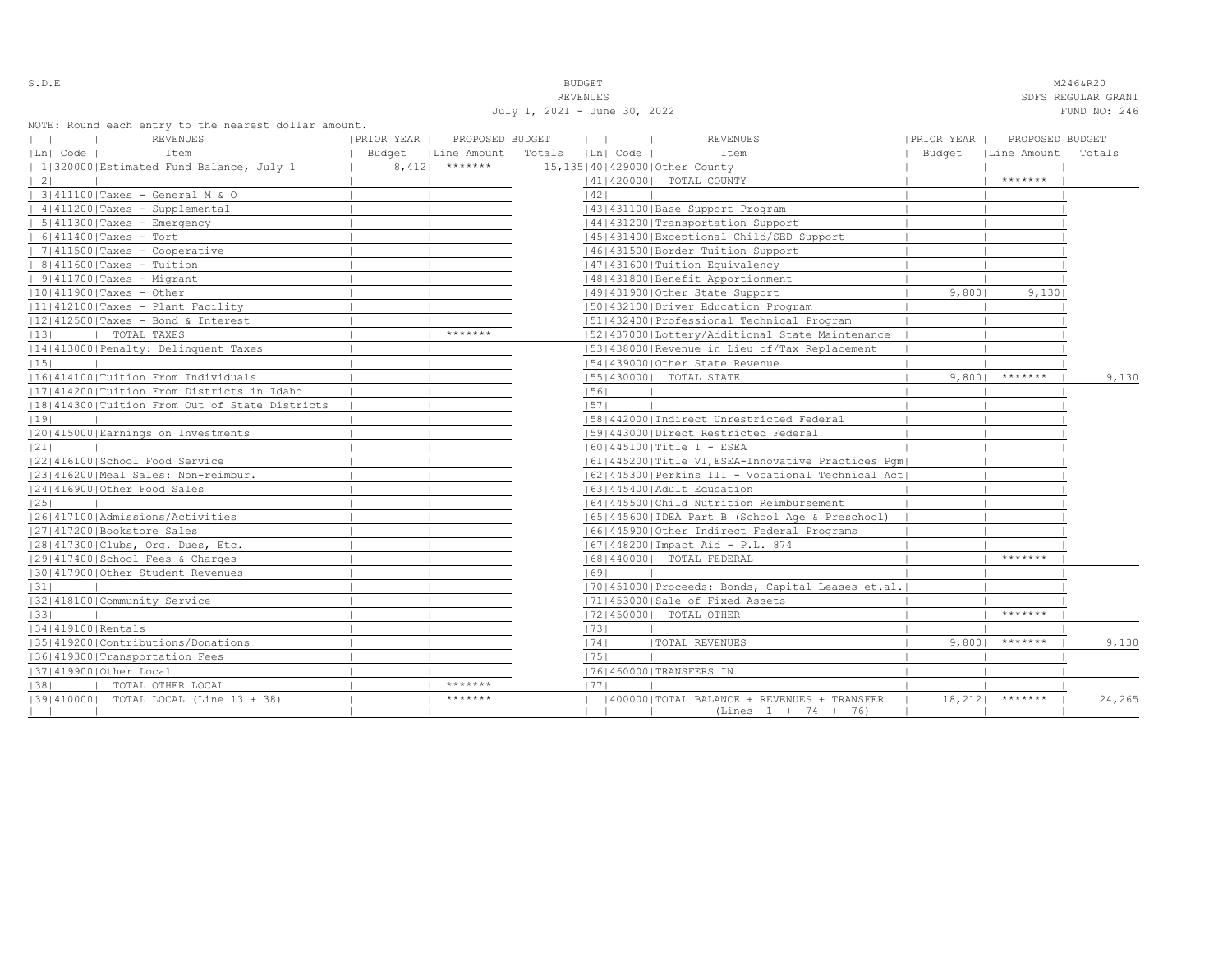| ۰.<br>$\sim$<br>- |  |  | i |  |  |
|-------------------|--|--|---|--|--|
|-------------------|--|--|---|--|--|

S.D.E **BUDGET** M246&R20

REVENUES SOFS REGULAR GRANT SERVENUES SOFS REGULAR GRANT SOFS REGULAR GRANT July 1, 2021 - June 30, 2022 FUND NO: 246

|  |  |  | NOTE: Round each entry to the nearest dollar amount. |  |  |
|--|--|--|------------------------------------------------------|--|--|
|  |  |  |                                                      |  |  |

|                   | NOTE: ROUNQ each entry to the hearest dollar amount,<br>REVENUES | PRIOR YEAR | PROPOSED BUDGET                         |                   | $\mathbf{1}$ | <b>REVENUES</b>                                                                         | PRIOR YEAR | PROPOSED BUDGET      |        |
|-------------------|------------------------------------------------------------------|------------|-----------------------------------------|-------------------|--------------|-----------------------------------------------------------------------------------------|------------|----------------------|--------|
|                   |                                                                  |            |                                         |                   |              |                                                                                         |            |                      |        |
| Ln  Code          | Item<br>  1 320000 Estimated Fund Balance, July 1                |            | Budget   Line Amount<br>$8,412$ ******* | Totals   Ln  Code |              | Item<br>15, 135   40   429000   Other County                                            |            | Budget   Line Amount | Totals |
| $\vert 2 \vert$   |                                                                  |            |                                         |                   |              | 41   420000   TOTAL COUNTY                                                              |            | $*********$          |        |
|                   | 3 411100 Taxes - General M & O                                   |            |                                         |                   | 1421         |                                                                                         |            |                      |        |
|                   | $ 4 411200 $ Taxes - Supplemental                                |            |                                         |                   |              | 43   431100   Base Support Program                                                      |            |                      |        |
|                   | $  5 411300 $ Taxes - Emergency                                  |            |                                         |                   |              | 44   431200   Transportation Support                                                    |            |                      |        |
|                   | $  6 411400 $ Taxes - Tort                                       |            |                                         |                   |              | 1451431400 Exceptional Child/SED Support                                                |            |                      |        |
|                   | $  7 411500 $ Taxes - Cooperative                                |            |                                         |                   |              | 46 431500 Border Tuition Support                                                        |            |                      |        |
|                   | $  8 411600 $ Taxes - Tuition                                    |            |                                         |                   |              | 47   431600   Tuition Equivalency                                                       |            |                      |        |
|                   | $  9 411700 $ Taxes - Migrant                                    |            |                                         |                   |              | 48   431800   Benefit Apportionment                                                     |            |                      |        |
|                   | $ 10 411900 $ Taxes - Other                                      |            |                                         |                   |              | 49 431900 Other State Support                                                           | 9,8001     | 9,130                |        |
|                   | 11 412100 Taxes - Plant Facility                                 |            |                                         |                   |              | 1501432100   Driver Education Program                                                   |            |                      |        |
|                   | $ 12 412500 $ Taxes - Bond & Interest                            |            |                                         |                   |              | 51 432400 Professional Technical Program                                                |            |                      |        |
| 13                | I TOTAL TAXES                                                    |            | *******                                 |                   |              | 15214370001Lottery/Additional State Maintenance                                         |            |                      |        |
|                   | 14 413000 Penalty: Delinquent Taxes                              |            |                                         |                   |              | [53] 438000 Revenue in Lieu of/Tax Replacement                                          |            |                      |        |
| 15                |                                                                  |            |                                         |                   |              | 154143900010ther State Revenue                                                          |            |                      |        |
|                   | 11614141001Tuition From Individuals                              |            |                                         |                   |              | 55   430000   TOTAL STATE                                                               |            | $9,800$   *******    | 9,130  |
|                   | [17] 414200   Tuition From Districts in Idaho                    |            |                                         |                   | 56           |                                                                                         |            |                      |        |
|                   | 18 414300 Tuition From Out of State Districts                    |            |                                         |                   | 57           |                                                                                         |            |                      |        |
| 19                |                                                                  |            |                                         |                   |              | 15814420001Indirect Unrestricted Federal                                                |            |                      |        |
|                   |                                                                  |            |                                         |                   |              | 15914430001Direct Restricted Federal                                                    |            |                      |        |
| 21                | 20 415000 Earnings on Investments                                |            |                                         |                   |              |                                                                                         |            |                      |        |
|                   | 12214161001School Food Service                                   |            |                                         |                   |              | $ 60 445100 $ Title I - ESEA<br>  61   445200   Title VI, ESEA-Innovative Practices Pqm |            |                      |        |
|                   | 23 416200 Meal Sales: Non-reimbur.                               |            |                                         |                   |              | [62]445300 Perkins III - Vocational Technical Act]                                      |            |                      |        |
|                   | 24 416900 Other Food Sales                                       |            |                                         |                   |              | 1631445400 Adult Education                                                              |            |                      |        |
| 25                |                                                                  |            |                                         |                   |              | 16414455001Child Nutrition Reimbursement                                                |            |                      |        |
|                   | 1261417100   Admissions/Activities                               |            |                                         |                   |              |                                                                                         |            |                      |        |
|                   |                                                                  |            |                                         |                   |              | 65   445600   IDEA Part B (School Age & Preschool)                                      |            |                      |        |
|                   | 27 417200 Bookstore Sales                                        |            |                                         |                   |              | 16614459001Other Indirect Federal Programs                                              |            |                      |        |
|                   | 28 417300 Clubs, Org. Dues, Etc.                                 |            |                                         |                   |              | [67] 448200   Impact Aid - P.L. 874                                                     |            | *******              |        |
|                   | 12914174001School Fees & Charges                                 |            |                                         |                   |              | 16814400001 TOTAL FEDERAL                                                               |            |                      |        |
|                   | 130141790010ther Student Revenues                                |            |                                         |                   | 69           |                                                                                         |            |                      |        |
| 31                |                                                                  |            |                                         |                   |              | [70] 451000 Proceeds: Bonds, Capital Leases et.al.                                      |            |                      |        |
|                   | 13214181001Community Service                                     |            |                                         |                   |              | 17114530001Sale of Fixed Assets                                                         |            | *******              |        |
| 33                |                                                                  |            |                                         |                   |              | 17214500001 TOTAL OTHER                                                                 |            |                      |        |
| 34 419100 Rentals |                                                                  |            |                                         |                   | 73           |                                                                                         |            | $9,800$   *******    |        |
|                   | 35 419200 Contributions/Donations                                |            |                                         |                   | 74           | <b> TOTAL REVENUES</b>                                                                  |            |                      | 9,130  |
|                   | 36 419300 Transportation Fees                                    |            |                                         |                   | 75           |                                                                                         |            |                      |        |
|                   | 37 419900 Other Local                                            |            | $*********$                             |                   |              | 17614600001TRANSFERS IN                                                                 |            |                      |        |
| 38                | TOTAL OTHER LOCAL                                                |            | *******                                 |                   | 1771         |                                                                                         |            |                      |        |
|                   | [39] 410000] TOTAL LOCAL (Line 13 + 38)                          |            |                                         |                   |              | 400000 TOTAL BALANCE + REVENUES + TRANSFER<br>$(Lines 1 + 74 + 76)$                     |            | $18,212$   *******   | 24,265 |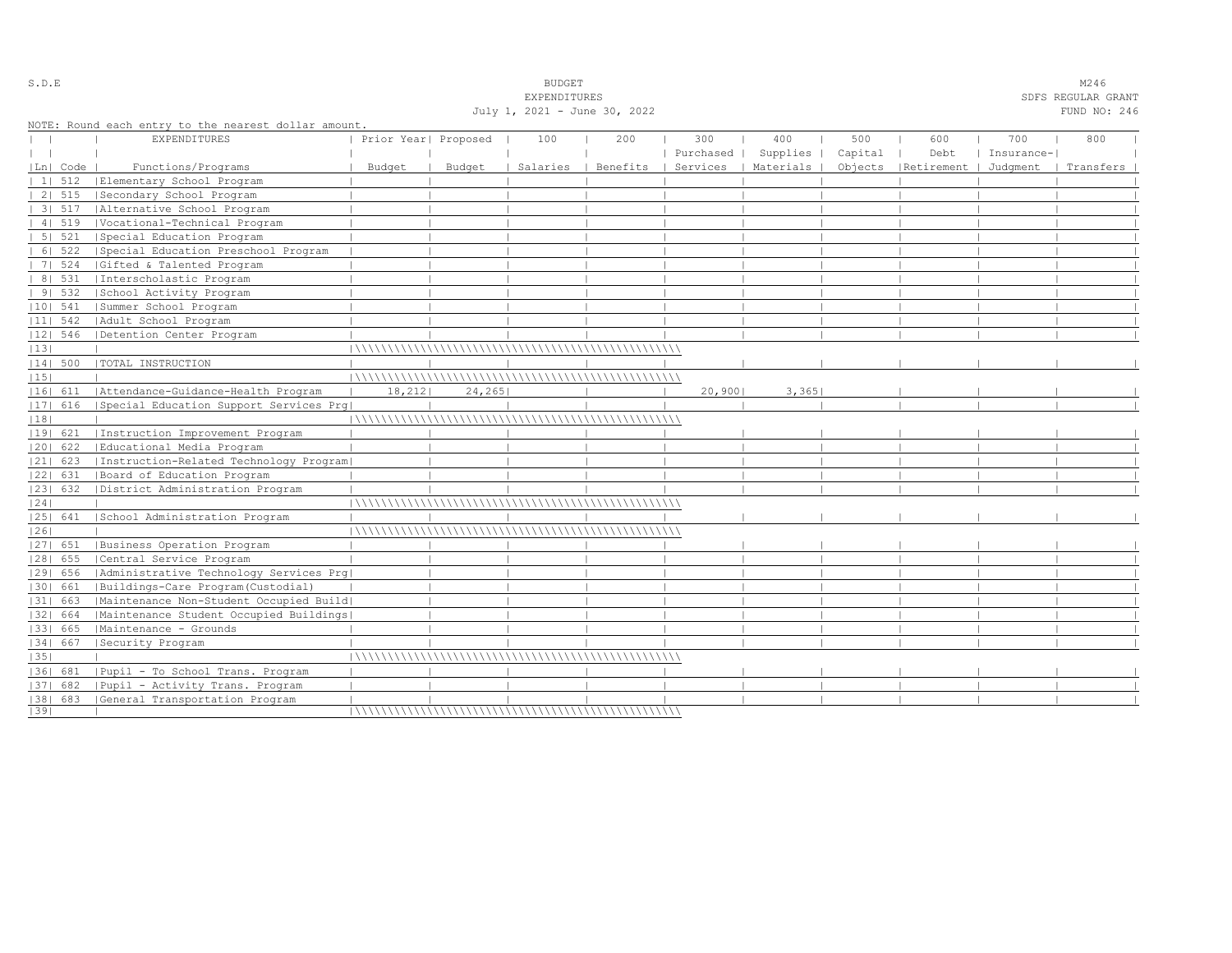|            |                |                                                      |                      |        | <b>EXPENDITURES</b>          |          |           |                      |         |                                 |            | SDFS REGULAR GRANT |
|------------|----------------|------------------------------------------------------|----------------------|--------|------------------------------|----------|-----------|----------------------|---------|---------------------------------|------------|--------------------|
|            |                |                                                      |                      |        | July 1, 2021 - June 30, 2022 |          |           |                      |         |                                 |            | FUND NO: 246       |
|            |                | NOTE: Round each entry to the nearest dollar amount. |                      |        |                              |          |           |                      |         |                                 |            |                    |
|            |                | EXPENDITURES                                         | Prior Year  Proposed |        | 100                          | 200      | 300       | 400                  | 500     | 600                             | 700        | 800                |
|            |                |                                                      |                      |        |                              |          | Purchased | Supplies             | Capital | Debt                            | Insurance- |                    |
|            | Ln  Code       | Functions/Programs                                   | Budget               | Budget | Salaries                     | Benefits |           | Services   Materials |         | Objects   Retirement   Judgment |            | Transfers          |
|            | $11 \quad 512$ | Elementary School Program                            |                      |        |                              |          |           |                      |         |                                 |            |                    |
|            | 2   515        | Secondary School Program                             |                      |        |                              |          |           |                      |         |                                 |            |                    |
|            | 3   517        | Alternative School Program                           |                      |        |                              |          |           |                      |         |                                 |            |                    |
|            | 41519          | Vocational-Technical Program                         |                      |        |                              |          |           |                      |         |                                 |            |                    |
|            | 5 521          | Special Education Program                            |                      |        |                              |          |           |                      |         |                                 |            |                    |
|            | 6 522          | Special Education Preschool Program                  |                      |        |                              |          |           |                      |         |                                 |            |                    |
|            | 7 524          | Gifted & Talented Program                            |                      |        |                              |          |           |                      |         |                                 |            |                    |
|            | 8   531        | Interscholastic Program                              |                      |        |                              |          |           |                      |         |                                 |            |                    |
|            | 91532          | School Activity Program                              |                      |        |                              |          |           |                      |         |                                 |            |                    |
| $ 10 $ 541 |                | Summer School Program                                |                      |        |                              |          |           |                      |         |                                 |            |                    |
| $ 11 $ 542 |                | Adult School Program                                 |                      |        |                              |          |           |                      |         |                                 |            |                    |
| $ 12 $ 546 |                | Detention Center Program                             |                      |        |                              |          |           |                      |         |                                 |            |                    |
| 13         |                |                                                      |                      |        |                              |          |           |                      |         |                                 |            |                    |
| $ 14 $ 500 |                | TOTAL INSTRUCTION                                    |                      |        |                              |          |           |                      |         |                                 |            |                    |
| 15         |                |                                                      |                      |        |                              |          |           |                      |         |                                 |            |                    |
| 16  611    |                | Attendance-Guidance-Health Program                   | 18, 212              | 24,265 |                              |          | 20,900    | 3,365                |         |                                 |            |                    |
| 17  616    |                | Special Education Support Services Prq               |                      |        |                              |          |           |                      |         |                                 |            |                    |
| 18         |                |                                                      |                      |        |                              |          |           |                      |         |                                 |            |                    |
| 19  621    |                | Instruction Improvement Program                      |                      |        |                              |          |           |                      |         |                                 |            |                    |
| 20  622    |                | Educational Media Program                            |                      |        |                              |          |           |                      |         |                                 |            |                    |
| $ 21 $ 623 |                | [Instruction-Related Technology Program]             |                      |        |                              |          |           |                      |         |                                 |            |                    |
| 22  631    |                | Board of Education Program                           |                      |        |                              |          |           |                      |         |                                 |            |                    |
| 23  632    |                | District Administration Program                      |                      |        |                              |          |           |                      |         |                                 |            |                    |
| 24         |                |                                                      |                      |        |                              |          |           |                      |         |                                 |            |                    |
| 25  641    |                | School Administration Program                        |                      |        |                              |          |           |                      |         |                                 |            |                    |
| 26         |                |                                                      |                      |        |                              |          |           |                      |         |                                 |            |                    |
| 27  651    |                | Business Operation Program                           |                      |        |                              |          |           |                      |         |                                 |            |                    |
| $ 28 $ 655 |                | Central Service Program                              |                      |        |                              |          |           |                      |         |                                 |            |                    |
| 29  656    |                | Administrative Technology Services Prg               |                      |        |                              |          |           |                      |         |                                 |            |                    |
| 30   661   |                | Buildings-Care Program(Custodial)                    |                      |        |                              |          |           |                      |         |                                 |            |                    |
| 31  663    |                | Maintenance Non-Student Occupied Build               |                      |        |                              |          |           |                      |         |                                 |            |                    |
| 32  664    |                | Maintenance Student Occupied Buildings               |                      |        |                              |          |           |                      |         |                                 |            |                    |
| 33   665   |                | Maintenance - Grounds                                |                      |        |                              |          |           |                      |         |                                 |            |                    |
| 34   667   |                | Security Program                                     |                      |        |                              |          |           |                      |         |                                 |            |                    |
| 35         |                |                                                      |                      |        |                              |          |           |                      |         |                                 |            |                    |
| 1361 681   |                | Pupil - To School Trans. Program                     |                      |        |                              |          |           |                      |         |                                 |            |                    |
| 37  682    |                | Pupil - Activity Trans. Program                      |                      |        |                              |          |           |                      |         |                                 |            |                    |
|            |                | [38] 683 [General Transportation Program             |                      |        |                              |          |           |                      |         |                                 |            |                    |
| 39         |                |                                                      |                      |        |                              |          |           |                      |         |                                 |            |                    |

S.D.E SOME SALL SOMETHING STRUCK STRUCK STRUCK STRUCK SOMETHING STRUCK STRUCK STRUCK STRUCK STRUCK STRUCK STRUCK STRUCK STRUCK STRUCK STRUCK STRUCK STRUCK STRUCK STRUCK STRUCK STRUCK STRUCK STRUCK STRUCK STRUCK STRUCK STRU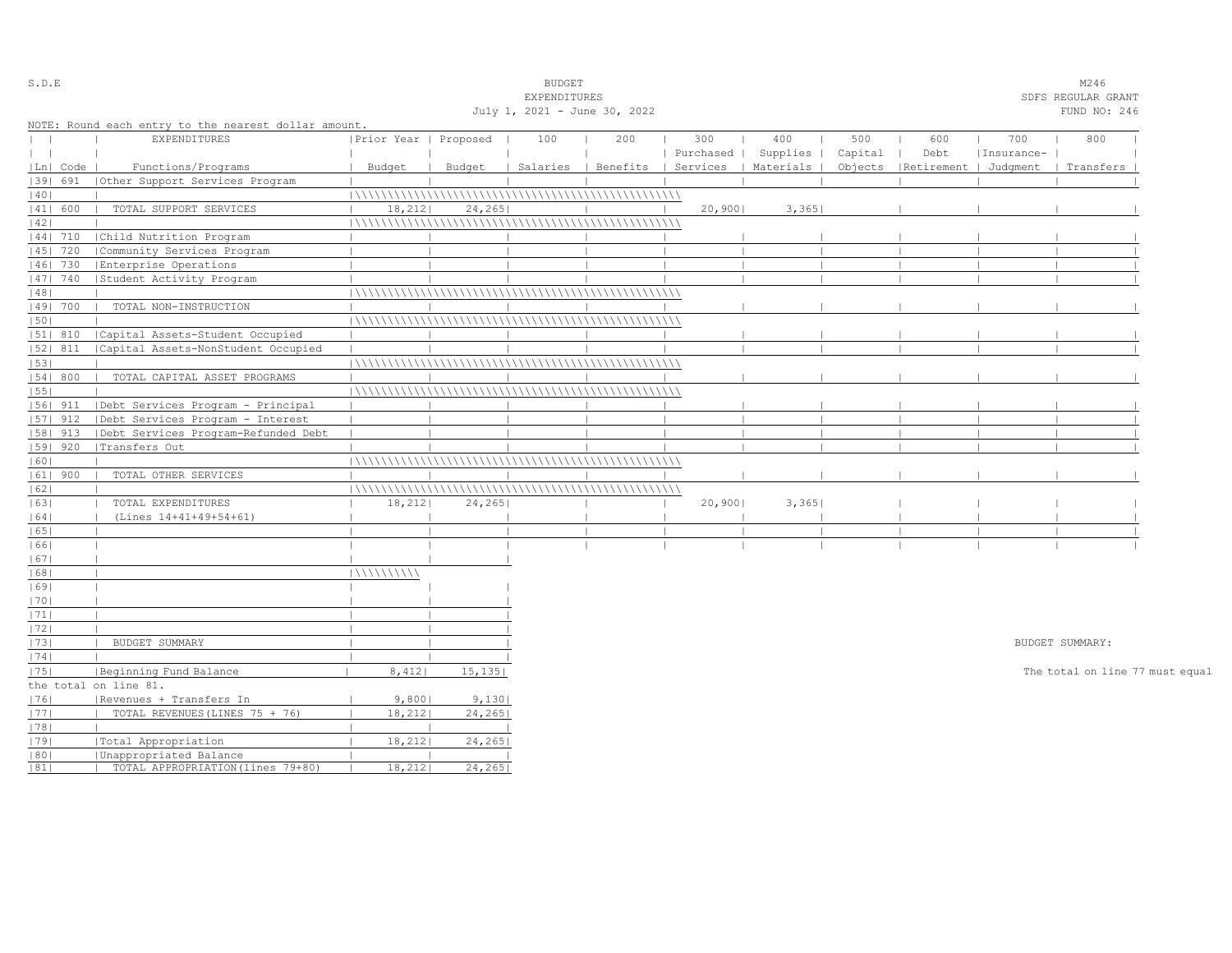| S.D.E         |            |                                                      |                       |         | <b>BUDGET</b>                |     |           |                                            |         |                       |            | M246                            |  |
|---------------|------------|------------------------------------------------------|-----------------------|---------|------------------------------|-----|-----------|--------------------------------------------|---------|-----------------------|------------|---------------------------------|--|
|               |            |                                                      |                       |         | EXPENDITURES                 |     |           |                                            |         |                       |            | SDFS REGULAR GRANT              |  |
|               |            |                                                      |                       |         | July 1, 2021 - June 30, 2022 |     |           |                                            |         |                       |            | FUND NO: 246                    |  |
|               |            | NOTE: Round each entry to the nearest dollar amount. |                       |         |                              |     |           |                                            |         |                       |            |                                 |  |
| $\mathbf{L}$  |            | <b>EXPENDITURES</b>                                  | Prior Year   Proposed |         | 100                          | 200 | 300       | 400                                        | 500     | 600                   | 700        | 800                             |  |
| $\vert \vert$ |            |                                                      |                       |         |                              |     | Purchased | Supplies                                   | Capital | Debt                  | Insurance- |                                 |  |
|               | Ln   Code  | Functions/Programs                                   | Budget                | Budget  |                              |     |           | Salaries   Benefits   Services   Materials | Objects | Retirement   Judgment |            | Transfers                       |  |
|               | 39  691    | Other Support Services Program                       |                       |         |                              |     |           |                                            |         |                       |            |                                 |  |
| 40            |            |                                                      |                       |         |                              |     |           |                                            |         |                       |            |                                 |  |
|               | 41  600    | TOTAL SUPPORT SERVICES                               | 18, 212               | 24, 265 |                              |     | 20,900    | 3,365                                      |         |                       |            |                                 |  |
| 42            |            |                                                      |                       |         |                              |     |           |                                            |         |                       |            |                                 |  |
|               | 44  710    | Child Nutrition Program                              |                       |         |                              |     |           |                                            |         |                       |            |                                 |  |
|               | 45   720   | Community Services Program                           |                       |         |                              |     |           |                                            |         |                       |            |                                 |  |
|               | 46   730   | Enterprise Operations                                |                       |         |                              |     |           |                                            |         |                       |            |                                 |  |
|               | 47   740   | Student Activity Program                             |                       |         |                              |     |           |                                            |         |                       |            |                                 |  |
| 48            |            |                                                      |                       |         |                              |     |           |                                            |         |                       |            |                                 |  |
|               | 49  700    | TOTAL NON-INSTRUCTION                                |                       |         |                              |     |           |                                            |         |                       |            |                                 |  |
| 50            |            |                                                      |                       |         |                              |     |           |                                            |         |                       |            |                                 |  |
|               | 51  810    | Capital Assets-Student Occupied                      |                       |         |                              |     |           |                                            |         |                       |            |                                 |  |
|               | 52  811    | Capital Assets-NonStudent Occupied                   |                       |         |                              |     |           |                                            |         |                       |            |                                 |  |
| 53            |            |                                                      |                       |         |                              |     |           |                                            |         |                       |            |                                 |  |
|               | 54   800   | TOTAL CAPITAL ASSET PROGRAMS                         |                       |         |                              |     |           |                                            |         |                       |            |                                 |  |
| 55            |            |                                                      |                       |         |                              |     |           |                                            |         |                       |            |                                 |  |
|               | 56  911    | Debt Services Program - Principal                    |                       |         |                              |     |           |                                            |         |                       |            |                                 |  |
|               | 57  912    | Debt Services Program - Interest                     |                       |         |                              |     |           |                                            |         |                       |            |                                 |  |
|               | 58  913    | Debt Services Program-Refunded Debt                  |                       |         |                              |     |           |                                            |         |                       |            |                                 |  |
|               | 59   920   | Transfers Out                                        |                       |         |                              |     |           |                                            |         |                       |            |                                 |  |
| 60            |            |                                                      |                       |         |                              |     |           |                                            |         |                       |            |                                 |  |
|               | $ 61 $ 900 | TOTAL OTHER SERVICES                                 |                       |         |                              |     |           |                                            |         |                       |            |                                 |  |
| 62            |            |                                                      |                       |         |                              |     |           |                                            |         |                       |            |                                 |  |
| 63            |            | TOTAL EXPENDITURES                                   | 18, 212               | 24, 265 |                              |     | 20,900    | 3,365                                      |         |                       |            |                                 |  |
| 64            |            | (Lines 14+41+49+54+61)                               |                       |         |                              |     |           |                                            |         |                       |            |                                 |  |
| 65            |            |                                                      |                       |         |                              |     |           |                                            |         |                       |            |                                 |  |
| 66            |            |                                                      |                       |         |                              |     |           |                                            |         |                       |            |                                 |  |
| 67            |            |                                                      |                       |         |                              |     |           |                                            |         |                       |            |                                 |  |
| 68            |            |                                                      | 111111111111          |         |                              |     |           |                                            |         |                       |            |                                 |  |
| 69            |            |                                                      |                       |         |                              |     |           |                                            |         |                       |            |                                 |  |
| 70            |            |                                                      |                       |         |                              |     |           |                                            |         |                       |            |                                 |  |
| 1711          |            |                                                      |                       |         |                              |     |           |                                            |         |                       |            |                                 |  |
| 72            |            |                                                      |                       |         |                              |     |           |                                            |         |                       |            |                                 |  |
| 73            |            | BUDGET SUMMARY                                       |                       |         |                              |     |           |                                            |         |                       |            | BUDGET SUMMARY:                 |  |
| 74            |            |                                                      |                       |         |                              |     |           |                                            |         |                       |            |                                 |  |
| 75            |            | Beginning Fund Balance                               | 8,412                 | 15, 135 |                              |     |           |                                            |         |                       |            | The total on line 77 must equal |  |
|               |            | the total on line 81.                                |                       |         |                              |     |           |                                            |         |                       |            |                                 |  |
| 76            |            | Revenues + Transfers In                              | 9,8001                | 9,130   |                              |     |           |                                            |         |                       |            |                                 |  |
| 77            |            | TOTAL REVENUES (LINES 75 + 76)                       | 18, 212               | 24, 265 |                              |     |           |                                            |         |                       |            |                                 |  |
| 78            |            |                                                      |                       |         |                              |     |           |                                            |         |                       |            |                                 |  |
| 79            |            | Total Appropriation                                  | 18, 212               | 24, 265 |                              |     |           |                                            |         |                       |            |                                 |  |
| 80            |            | Unappropriated Balance                               |                       |         |                              |     |           |                                            |         |                       |            |                                 |  |
| 81            |            | TOTAL APPROPRIATION (lines 79+80)                    | 18,212                | 24,265  |                              |     |           |                                            |         |                       |            |                                 |  |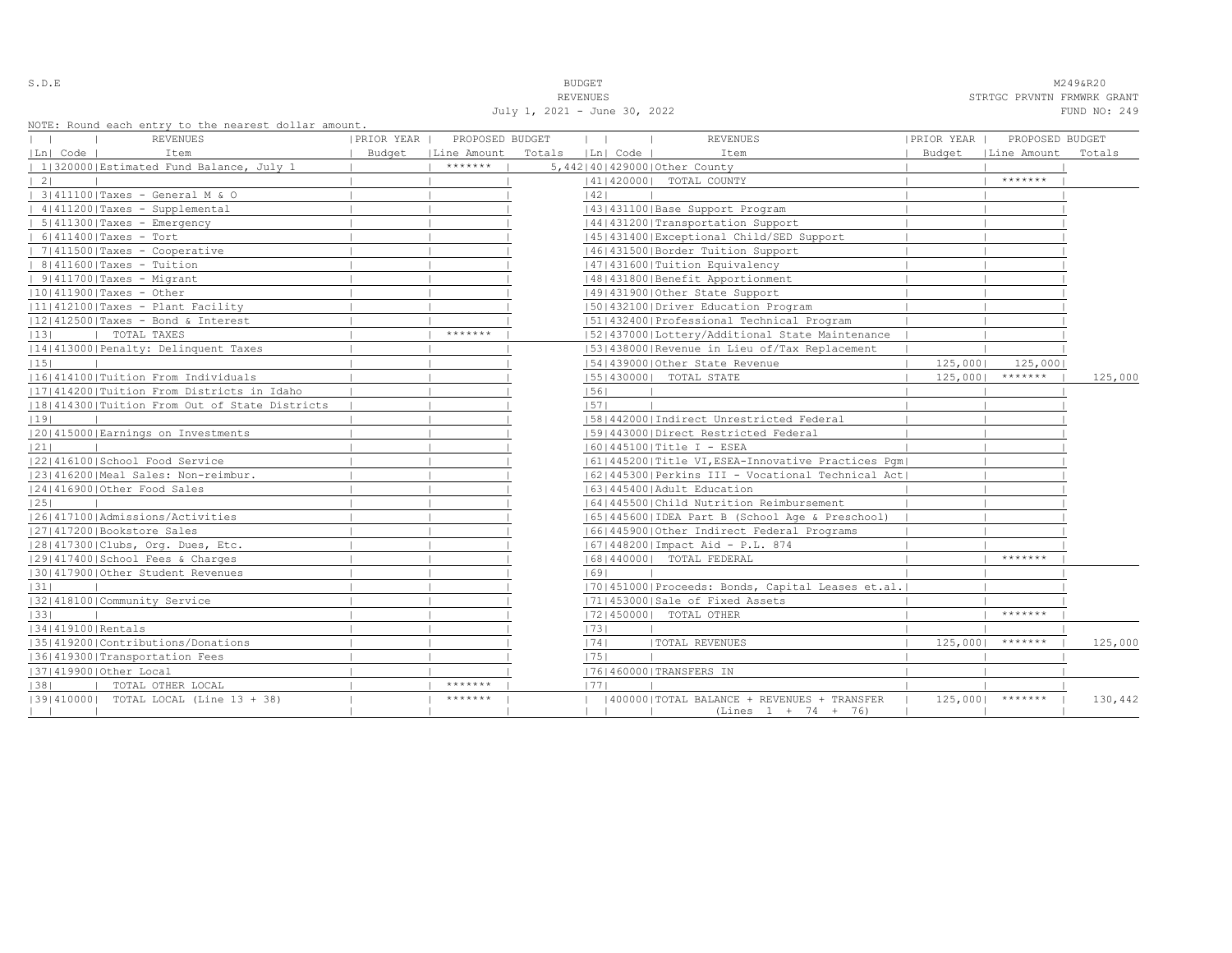| i<br>۰.<br>-<br>÷ |  |  |  |  |  |
|-------------------|--|--|--|--|--|
|-------------------|--|--|--|--|--|

S.D.E **BUDGET** M249&R20 REVENUES STRTGC PRVNTN FRMWRK GRANT July 1, 2021 - June 30, 2022 FUND NO: 249

|                   | NOIL, ROUNG BACH BNULY LO LNB NBALBSL GOILAL AMOUNT. |            |                 |                   |                                                                       |            |                     |         |
|-------------------|------------------------------------------------------|------------|-----------------|-------------------|-----------------------------------------------------------------------|------------|---------------------|---------|
|                   | REVENUES                                             | PRIOR YEAR | PROPOSED BUDGET | $\mathbf{1}$      | <b>REVENUES</b>                                                       | PRIOR YEAR | PROPOSED BUDGET     |         |
| Ln  Code          | Item                                                 | Budget     | Line Amount     | Totals   Ln  Code | Item                                                                  | Budget     | Line Amount         | Totals  |
|                   | 1 320000 Estimated Fund Balance, July 1              |            | *******         |                   | 5,442 40 429000 Other County                                          |            |                     |         |
| $\vert 2 \vert$   |                                                      |            |                 |                   | 41   420000   TOTAL COUNTY                                            |            | $* * * * * * * *$   |         |
|                   | 3 411100 Taxes - General M & O                       |            |                 | 42                |                                                                       |            |                     |         |
|                   | $ 4 411200 $ Taxes - Supplemental                    |            |                 |                   | 43   431100   Base Support Program                                    |            |                     |         |
|                   | $  5   411300  $ Taxes - Emergency                   |            |                 |                   | 44 431200 Transportation Support                                      |            |                     |         |
|                   | $  6 411400 $ Taxes - Tort                           |            |                 |                   | 45 431400 Exceptional Child/SED Support                               |            |                     |         |
|                   | $  7 411500 $ Taxes - Cooperative                    |            |                 |                   | 46  431500   Border Tuition Support                                   |            |                     |         |
|                   | $  8 411600 $ Taxes - Tuition                        |            |                 |                   | 47   431600   Tuition Equivalency                                     |            |                     |         |
|                   | $  9 411700 $ Taxes - Migrant                        |            |                 |                   | 1481431800   Benefit Apportionment                                    |            |                     |         |
|                   | $ 10 411900 $ Taxes - Other                          |            |                 |                   | 49 431900 Other State Support                                         |            |                     |         |
|                   | $ 11 412100 $ Taxes - Plant Facility                 |            |                 |                   | 50 432100 Driver Education Program                                    |            |                     |         |
|                   | $ 12 412500 $ Taxes - Bond & Interest                |            |                 |                   | 51 432400 Professional Technical Program                              |            |                     |         |
| 13                | TOTAL TAXES                                          |            | *******         |                   | 52 437000 Lottery/Additional State Maintenance                        |            |                     |         |
|                   | 14 413000 Penalty: Delinquent Taxes                  |            |                 |                   | 53 438000 Revenue in Lieu of/Tax Replacement                          |            |                     |         |
| 15                |                                                      |            |                 |                   | 154143900010ther State Revenue                                        | 125,000    | 125,000             |         |
|                   | 16 414100 Tuition From Individuals                   |            |                 |                   | 55   430000   TOTAL STATE                                             | 125,000    | $******$            | 125,000 |
|                   | [17] 414200   Tuition From Districts in Idaho        |            |                 | 56                |                                                                       |            |                     |         |
|                   | 18 414300 Tuition From Out of State Districts        |            |                 | 1571              |                                                                       |            |                     |         |
| 19                |                                                      |            |                 |                   | 58 442000 Indirect Unrestricted Federal                               |            |                     |         |
|                   | 20 415000 Earnings on Investments                    |            |                 |                   | 1591443000 Direct Restricted Federal                                  |            |                     |         |
| 21                |                                                      |            |                 |                   | $ 60 445100 $ Title I - ESEA                                          |            |                     |         |
|                   | 22 416100 School Food Service                        |            |                 |                   | 61 445200 Title VI, ESEA-Innovative Practices Pqm                     |            |                     |         |
|                   | 23 416200 Meal Sales: Non-reimbur.                   |            |                 |                   | 62 445300 Perkins III - Vocational Technical Act                      |            |                     |         |
|                   | 12414169001Other Food Sales                          |            |                 |                   | 1631445400 Adult Education                                            |            |                     |         |
| 25                |                                                      |            |                 |                   | 1641445500 Child Nutrition Reimbursement                              |            |                     |         |
|                   | 1261417100   Admissions/Activities                   |            |                 |                   | (65)445600   IDEA Part B (School Age & Preschool)                     |            |                     |         |
|                   | 27 417200 Bookstore Sales                            |            |                 |                   | 16614459001Other Indirect Federal Programs                            |            |                     |         |
|                   | 28 417300 Clubs, Org. Dues, Etc.                     |            |                 |                   | 67   448200   Impact Aid - P.L. 874                                   |            |                     |         |
|                   | 12914174001School Fees & Charges                     |            |                 |                   | 68   440000   TOTAL FEDERAL                                           |            | *******             |         |
|                   | 130141790010ther Student Revenues                    |            |                 | 1691              |                                                                       |            |                     |         |
| 31                |                                                      |            |                 |                   | [70] 451000 Proceeds: Bonds, Capital Leases et.al.                    |            |                     |         |
|                   | 32 418100 Community Service                          |            |                 |                   | 17114530001Sale of Fixed Assets                                       |            |                     |         |
| 33                |                                                      |            |                 |                   | 17214500001 TOTAL OTHER                                               |            | *******             |         |
|                   |                                                      |            |                 |                   |                                                                       |            |                     |         |
| 34 419100 Rentals | 13514192001Contributions/Donations                   |            |                 | 73                |                                                                       |            | $* * * * * * * * *$ |         |
|                   |                                                      |            |                 | 74                | <b> TOTAL REVENUES</b>                                                | $125,000$  |                     | 125,000 |
|                   | 36 419300 Transportation Fees                        |            |                 | 75                |                                                                       |            |                     |         |
|                   | 37 419900 Other Local                                |            | $*********$     |                   | 76 460000 TRANSFERS IN                                                |            |                     |         |
| 38                | TOTAL OTHER LOCAL                                    |            | *******         | 1771              |                                                                       |            |                     |         |
|                   | (39(410000) TOTAL LOCAL (Line 13 + 38)               |            |                 |                   | 400000   TOTAL BALANCE + REVENUES + TRANSFER<br>$(Lines 1 + 74 + 76)$ |            | $125,0001$ *******  | 130,442 |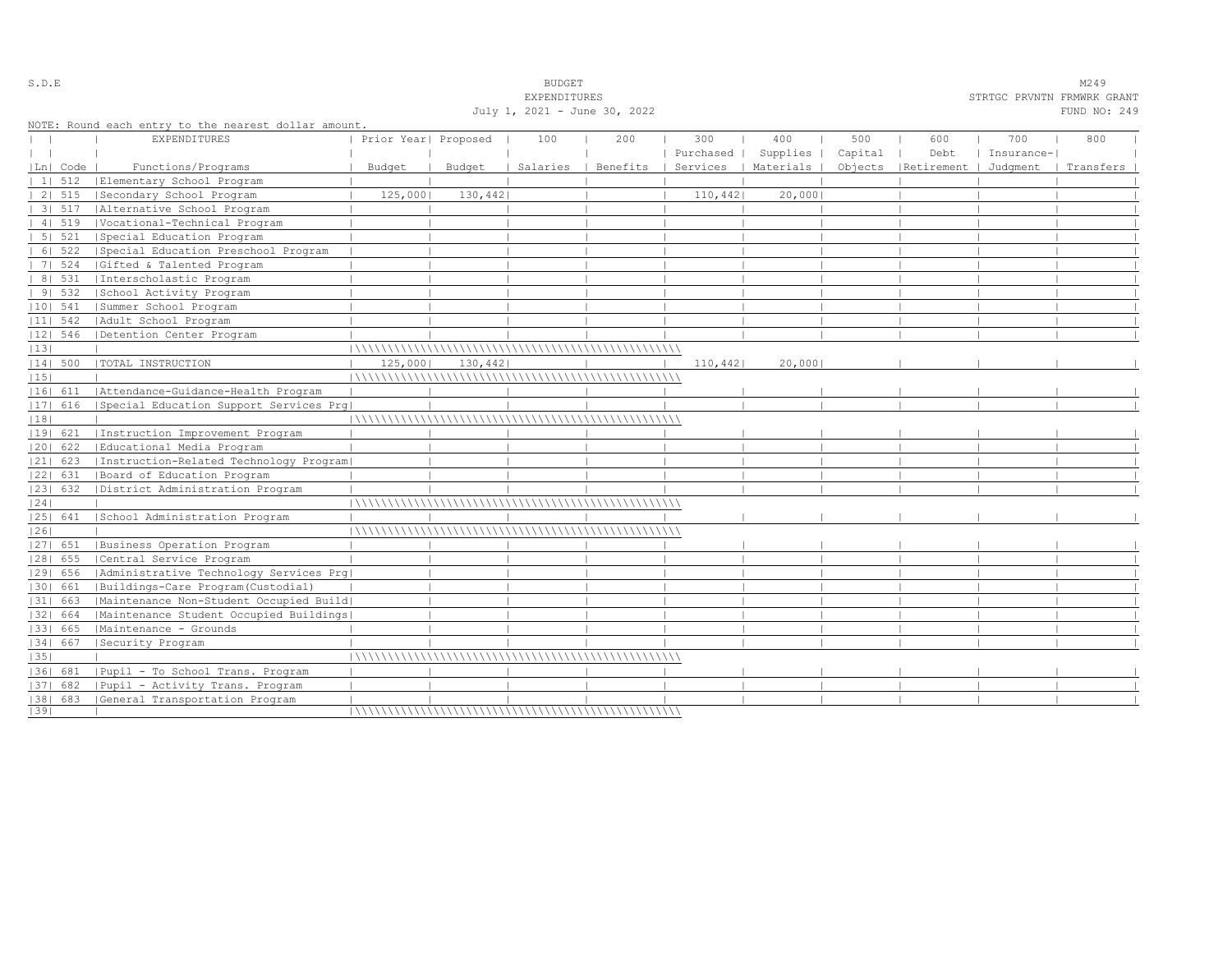| July 1, 2021 - June 30, 2022<br>FUND NO: 249<br>NOTE: Round each entry to the nearest dollar amount.<br><b>EXPENDITURES</b><br>400<br>500<br>Prior Year  Proposed<br>100<br>300<br>600<br>700<br>800<br>200<br>Purchased  <br>Supplies  <br>Capital<br>Debt<br>Insurance- <br>  Benefits  <br>Services   Materials  <br>Objects   Retirement   Judqment<br> Ln  Code<br>Functions/Programs<br>Budget<br>Budget<br>Salaries<br>  Transfers<br>$11 \quad 512$<br>Elementary School Program<br>125,000<br>130,442<br>110,442<br>20,000<br>2   515<br>Secondary School Program<br>31.517<br>  Alternative School Program<br>41519<br> Vocational-Technical Program<br>5   521<br>Special Education Program<br>6   522<br>  Special Education Preschool Program<br>7   524<br> Gifted & Talented Program<br>8   531<br>  Interscholastic Program<br>91532<br>School Activity Program<br>$ 10 $ 541<br>Summer School Program<br>$ 11 $ 542<br>  Adult School Program<br> 12  546<br>Detention Center Program<br>20,000<br> 14  500<br> TOTAL INSTRUCTION<br>125,000<br>130,442<br>110,442<br>  Attendance-Guidance-Health Program<br> 16  611<br> 17  616<br>  Special Education Support Services Prg<br> 18 <br> 19  621<br>Instruction Improvement Program<br> 20  622<br>  Educational Media Program<br>$ 21 $ 623<br>[Instruction-Related Technology Program]<br> 22  631<br> Board of Education Program<br> 23  632<br>  District Administration Program<br> 24 <br>School Administration Program<br> 25  641<br> 26 <br>Business Operation Program<br>$ 27 $ 651<br>$ 28 $ 655<br> Central Service Program<br> 29  656<br>  Administrative Technology Services Prg<br> Buildings-Care Program(Custodial)<br> 30  661<br> 31  663<br> Maintenance Non-Student Occupied Build <br> 32  664<br> Maintenance Student Occupied Buildings <br> Maintenance - Grounds<br>  33   665<br>  34   667<br> Security Program<br> 35 <br>  Pupil - To School Trans. Program<br>1361 681<br>  Pupil - Activity Trans. Program<br>$ 37 $ 682<br>[38] 683 [General Transportation Program |    |  |  | EXPENDITURES |  |  | STRTGC PRVNTN FRMWRK GRANT |  |
|--------------------------------------------------------------------------------------------------------------------------------------------------------------------------------------------------------------------------------------------------------------------------------------------------------------------------------------------------------------------------------------------------------------------------------------------------------------------------------------------------------------------------------------------------------------------------------------------------------------------------------------------------------------------------------------------------------------------------------------------------------------------------------------------------------------------------------------------------------------------------------------------------------------------------------------------------------------------------------------------------------------------------------------------------------------------------------------------------------------------------------------------------------------------------------------------------------------------------------------------------------------------------------------------------------------------------------------------------------------------------------------------------------------------------------------------------------------------------------------------------------------------------------------------------------------------------------------------------------------------------------------------------------------------------------------------------------------------------------------------------------------------------------------------------------------------------------------------------------------------------------------------------------------------------------------------------------------------------------------------------------------------------------------------------------------------------|----|--|--|--------------|--|--|----------------------------|--|
|                                                                                                                                                                                                                                                                                                                                                                                                                                                                                                                                                                                                                                                                                                                                                                                                                                                                                                                                                                                                                                                                                                                                                                                                                                                                                                                                                                                                                                                                                                                                                                                                                                                                                                                                                                                                                                                                                                                                                                                                                                                                          |    |  |  |              |  |  |                            |  |
|                                                                                                                                                                                                                                                                                                                                                                                                                                                                                                                                                                                                                                                                                                                                                                                                                                                                                                                                                                                                                                                                                                                                                                                                                                                                                                                                                                                                                                                                                                                                                                                                                                                                                                                                                                                                                                                                                                                                                                                                                                                                          |    |  |  |              |  |  |                            |  |
|                                                                                                                                                                                                                                                                                                                                                                                                                                                                                                                                                                                                                                                                                                                                                                                                                                                                                                                                                                                                                                                                                                                                                                                                                                                                                                                                                                                                                                                                                                                                                                                                                                                                                                                                                                                                                                                                                                                                                                                                                                                                          |    |  |  |              |  |  |                            |  |
|                                                                                                                                                                                                                                                                                                                                                                                                                                                                                                                                                                                                                                                                                                                                                                                                                                                                                                                                                                                                                                                                                                                                                                                                                                                                                                                                                                                                                                                                                                                                                                                                                                                                                                                                                                                                                                                                                                                                                                                                                                                                          |    |  |  |              |  |  |                            |  |
|                                                                                                                                                                                                                                                                                                                                                                                                                                                                                                                                                                                                                                                                                                                                                                                                                                                                                                                                                                                                                                                                                                                                                                                                                                                                                                                                                                                                                                                                                                                                                                                                                                                                                                                                                                                                                                                                                                                                                                                                                                                                          |    |  |  |              |  |  |                            |  |
|                                                                                                                                                                                                                                                                                                                                                                                                                                                                                                                                                                                                                                                                                                                                                                                                                                                                                                                                                                                                                                                                                                                                                                                                                                                                                                                                                                                                                                                                                                                                                                                                                                                                                                                                                                                                                                                                                                                                                                                                                                                                          |    |  |  |              |  |  |                            |  |
|                                                                                                                                                                                                                                                                                                                                                                                                                                                                                                                                                                                                                                                                                                                                                                                                                                                                                                                                                                                                                                                                                                                                                                                                                                                                                                                                                                                                                                                                                                                                                                                                                                                                                                                                                                                                                                                                                                                                                                                                                                                                          |    |  |  |              |  |  |                            |  |
|                                                                                                                                                                                                                                                                                                                                                                                                                                                                                                                                                                                                                                                                                                                                                                                                                                                                                                                                                                                                                                                                                                                                                                                                                                                                                                                                                                                                                                                                                                                                                                                                                                                                                                                                                                                                                                                                                                                                                                                                                                                                          |    |  |  |              |  |  |                            |  |
|                                                                                                                                                                                                                                                                                                                                                                                                                                                                                                                                                                                                                                                                                                                                                                                                                                                                                                                                                                                                                                                                                                                                                                                                                                                                                                                                                                                                                                                                                                                                                                                                                                                                                                                                                                                                                                                                                                                                                                                                                                                                          |    |  |  |              |  |  |                            |  |
|                                                                                                                                                                                                                                                                                                                                                                                                                                                                                                                                                                                                                                                                                                                                                                                                                                                                                                                                                                                                                                                                                                                                                                                                                                                                                                                                                                                                                                                                                                                                                                                                                                                                                                                                                                                                                                                                                                                                                                                                                                                                          |    |  |  |              |  |  |                            |  |
|                                                                                                                                                                                                                                                                                                                                                                                                                                                                                                                                                                                                                                                                                                                                                                                                                                                                                                                                                                                                                                                                                                                                                                                                                                                                                                                                                                                                                                                                                                                                                                                                                                                                                                                                                                                                                                                                                                                                                                                                                                                                          |    |  |  |              |  |  |                            |  |
|                                                                                                                                                                                                                                                                                                                                                                                                                                                                                                                                                                                                                                                                                                                                                                                                                                                                                                                                                                                                                                                                                                                                                                                                                                                                                                                                                                                                                                                                                                                                                                                                                                                                                                                                                                                                                                                                                                                                                                                                                                                                          |    |  |  |              |  |  |                            |  |
|                                                                                                                                                                                                                                                                                                                                                                                                                                                                                                                                                                                                                                                                                                                                                                                                                                                                                                                                                                                                                                                                                                                                                                                                                                                                                                                                                                                                                                                                                                                                                                                                                                                                                                                                                                                                                                                                                                                                                                                                                                                                          |    |  |  |              |  |  |                            |  |
|                                                                                                                                                                                                                                                                                                                                                                                                                                                                                                                                                                                                                                                                                                                                                                                                                                                                                                                                                                                                                                                                                                                                                                                                                                                                                                                                                                                                                                                                                                                                                                                                                                                                                                                                                                                                                                                                                                                                                                                                                                                                          |    |  |  |              |  |  |                            |  |
|                                                                                                                                                                                                                                                                                                                                                                                                                                                                                                                                                                                                                                                                                                                                                                                                                                                                                                                                                                                                                                                                                                                                                                                                                                                                                                                                                                                                                                                                                                                                                                                                                                                                                                                                                                                                                                                                                                                                                                                                                                                                          |    |  |  |              |  |  |                            |  |
|                                                                                                                                                                                                                                                                                                                                                                                                                                                                                                                                                                                                                                                                                                                                                                                                                                                                                                                                                                                                                                                                                                                                                                                                                                                                                                                                                                                                                                                                                                                                                                                                                                                                                                                                                                                                                                                                                                                                                                                                                                                                          |    |  |  |              |  |  |                            |  |
|                                                                                                                                                                                                                                                                                                                                                                                                                                                                                                                                                                                                                                                                                                                                                                                                                                                                                                                                                                                                                                                                                                                                                                                                                                                                                                                                                                                                                                                                                                                                                                                                                                                                                                                                                                                                                                                                                                                                                                                                                                                                          |    |  |  |              |  |  |                            |  |
|                                                                                                                                                                                                                                                                                                                                                                                                                                                                                                                                                                                                                                                                                                                                                                                                                                                                                                                                                                                                                                                                                                                                                                                                                                                                                                                                                                                                                                                                                                                                                                                                                                                                                                                                                                                                                                                                                                                                                                                                                                                                          | 13 |  |  |              |  |  |                            |  |
|                                                                                                                                                                                                                                                                                                                                                                                                                                                                                                                                                                                                                                                                                                                                                                                                                                                                                                                                                                                                                                                                                                                                                                                                                                                                                                                                                                                                                                                                                                                                                                                                                                                                                                                                                                                                                                                                                                                                                                                                                                                                          |    |  |  |              |  |  |                            |  |
|                                                                                                                                                                                                                                                                                                                                                                                                                                                                                                                                                                                                                                                                                                                                                                                                                                                                                                                                                                                                                                                                                                                                                                                                                                                                                                                                                                                                                                                                                                                                                                                                                                                                                                                                                                                                                                                                                                                                                                                                                                                                          | 15 |  |  |              |  |  |                            |  |
|                                                                                                                                                                                                                                                                                                                                                                                                                                                                                                                                                                                                                                                                                                                                                                                                                                                                                                                                                                                                                                                                                                                                                                                                                                                                                                                                                                                                                                                                                                                                                                                                                                                                                                                                                                                                                                                                                                                                                                                                                                                                          |    |  |  |              |  |  |                            |  |
|                                                                                                                                                                                                                                                                                                                                                                                                                                                                                                                                                                                                                                                                                                                                                                                                                                                                                                                                                                                                                                                                                                                                                                                                                                                                                                                                                                                                                                                                                                                                                                                                                                                                                                                                                                                                                                                                                                                                                                                                                                                                          |    |  |  |              |  |  |                            |  |
|                                                                                                                                                                                                                                                                                                                                                                                                                                                                                                                                                                                                                                                                                                                                                                                                                                                                                                                                                                                                                                                                                                                                                                                                                                                                                                                                                                                                                                                                                                                                                                                                                                                                                                                                                                                                                                                                                                                                                                                                                                                                          |    |  |  |              |  |  |                            |  |
|                                                                                                                                                                                                                                                                                                                                                                                                                                                                                                                                                                                                                                                                                                                                                                                                                                                                                                                                                                                                                                                                                                                                                                                                                                                                                                                                                                                                                                                                                                                                                                                                                                                                                                                                                                                                                                                                                                                                                                                                                                                                          |    |  |  |              |  |  |                            |  |
|                                                                                                                                                                                                                                                                                                                                                                                                                                                                                                                                                                                                                                                                                                                                                                                                                                                                                                                                                                                                                                                                                                                                                                                                                                                                                                                                                                                                                                                                                                                                                                                                                                                                                                                                                                                                                                                                                                                                                                                                                                                                          |    |  |  |              |  |  |                            |  |
|                                                                                                                                                                                                                                                                                                                                                                                                                                                                                                                                                                                                                                                                                                                                                                                                                                                                                                                                                                                                                                                                                                                                                                                                                                                                                                                                                                                                                                                                                                                                                                                                                                                                                                                                                                                                                                                                                                                                                                                                                                                                          |    |  |  |              |  |  |                            |  |
|                                                                                                                                                                                                                                                                                                                                                                                                                                                                                                                                                                                                                                                                                                                                                                                                                                                                                                                                                                                                                                                                                                                                                                                                                                                                                                                                                                                                                                                                                                                                                                                                                                                                                                                                                                                                                                                                                                                                                                                                                                                                          |    |  |  |              |  |  |                            |  |
|                                                                                                                                                                                                                                                                                                                                                                                                                                                                                                                                                                                                                                                                                                                                                                                                                                                                                                                                                                                                                                                                                                                                                                                                                                                                                                                                                                                                                                                                                                                                                                                                                                                                                                                                                                                                                                                                                                                                                                                                                                                                          |    |  |  |              |  |  |                            |  |
|                                                                                                                                                                                                                                                                                                                                                                                                                                                                                                                                                                                                                                                                                                                                                                                                                                                                                                                                                                                                                                                                                                                                                                                                                                                                                                                                                                                                                                                                                                                                                                                                                                                                                                                                                                                                                                                                                                                                                                                                                                                                          |    |  |  |              |  |  |                            |  |
|                                                                                                                                                                                                                                                                                                                                                                                                                                                                                                                                                                                                                                                                                                                                                                                                                                                                                                                                                                                                                                                                                                                                                                                                                                                                                                                                                                                                                                                                                                                                                                                                                                                                                                                                                                                                                                                                                                                                                                                                                                                                          |    |  |  |              |  |  |                            |  |
|                                                                                                                                                                                                                                                                                                                                                                                                                                                                                                                                                                                                                                                                                                                                                                                                                                                                                                                                                                                                                                                                                                                                                                                                                                                                                                                                                                                                                                                                                                                                                                                                                                                                                                                                                                                                                                                                                                                                                                                                                                                                          |    |  |  |              |  |  |                            |  |
|                                                                                                                                                                                                                                                                                                                                                                                                                                                                                                                                                                                                                                                                                                                                                                                                                                                                                                                                                                                                                                                                                                                                                                                                                                                                                                                                                                                                                                                                                                                                                                                                                                                                                                                                                                                                                                                                                                                                                                                                                                                                          |    |  |  |              |  |  |                            |  |
|                                                                                                                                                                                                                                                                                                                                                                                                                                                                                                                                                                                                                                                                                                                                                                                                                                                                                                                                                                                                                                                                                                                                                                                                                                                                                                                                                                                                                                                                                                                                                                                                                                                                                                                                                                                                                                                                                                                                                                                                                                                                          |    |  |  |              |  |  |                            |  |
|                                                                                                                                                                                                                                                                                                                                                                                                                                                                                                                                                                                                                                                                                                                                                                                                                                                                                                                                                                                                                                                                                                                                                                                                                                                                                                                                                                                                                                                                                                                                                                                                                                                                                                                                                                                                                                                                                                                                                                                                                                                                          |    |  |  |              |  |  |                            |  |
|                                                                                                                                                                                                                                                                                                                                                                                                                                                                                                                                                                                                                                                                                                                                                                                                                                                                                                                                                                                                                                                                                                                                                                                                                                                                                                                                                                                                                                                                                                                                                                                                                                                                                                                                                                                                                                                                                                                                                                                                                                                                          |    |  |  |              |  |  |                            |  |
|                                                                                                                                                                                                                                                                                                                                                                                                                                                                                                                                                                                                                                                                                                                                                                                                                                                                                                                                                                                                                                                                                                                                                                                                                                                                                                                                                                                                                                                                                                                                                                                                                                                                                                                                                                                                                                                                                                                                                                                                                                                                          |    |  |  |              |  |  |                            |  |
|                                                                                                                                                                                                                                                                                                                                                                                                                                                                                                                                                                                                                                                                                                                                                                                                                                                                                                                                                                                                                                                                                                                                                                                                                                                                                                                                                                                                                                                                                                                                                                                                                                                                                                                                                                                                                                                                                                                                                                                                                                                                          |    |  |  |              |  |  |                            |  |
|                                                                                                                                                                                                                                                                                                                                                                                                                                                                                                                                                                                                                                                                                                                                                                                                                                                                                                                                                                                                                                                                                                                                                                                                                                                                                                                                                                                                                                                                                                                                                                                                                                                                                                                                                                                                                                                                                                                                                                                                                                                                          |    |  |  |              |  |  |                            |  |
|                                                                                                                                                                                                                                                                                                                                                                                                                                                                                                                                                                                                                                                                                                                                                                                                                                                                                                                                                                                                                                                                                                                                                                                                                                                                                                                                                                                                                                                                                                                                                                                                                                                                                                                                                                                                                                                                                                                                                                                                                                                                          |    |  |  |              |  |  |                            |  |
|                                                                                                                                                                                                                                                                                                                                                                                                                                                                                                                                                                                                                                                                                                                                                                                                                                                                                                                                                                                                                                                                                                                                                                                                                                                                                                                                                                                                                                                                                                                                                                                                                                                                                                                                                                                                                                                                                                                                                                                                                                                                          |    |  |  |              |  |  |                            |  |
|                                                                                                                                                                                                                                                                                                                                                                                                                                                                                                                                                                                                                                                                                                                                                                                                                                                                                                                                                                                                                                                                                                                                                                                                                                                                                                                                                                                                                                                                                                                                                                                                                                                                                                                                                                                                                                                                                                                                                                                                                                                                          |    |  |  |              |  |  |                            |  |
|                                                                                                                                                                                                                                                                                                                                                                                                                                                                                                                                                                                                                                                                                                                                                                                                                                                                                                                                                                                                                                                                                                                                                                                                                                                                                                                                                                                                                                                                                                                                                                                                                                                                                                                                                                                                                                                                                                                                                                                                                                                                          |    |  |  |              |  |  |                            |  |
|                                                                                                                                                                                                                                                                                                                                                                                                                                                                                                                                                                                                                                                                                                                                                                                                                                                                                                                                                                                                                                                                                                                                                                                                                                                                                                                                                                                                                                                                                                                                                                                                                                                                                                                                                                                                                                                                                                                                                                                                                                                                          |    |  |  |              |  |  |                            |  |
|                                                                                                                                                                                                                                                                                                                                                                                                                                                                                                                                                                                                                                                                                                                                                                                                                                                                                                                                                                                                                                                                                                                                                                                                                                                                                                                                                                                                                                                                                                                                                                                                                                                                                                                                                                                                                                                                                                                                                                                                                                                                          | 39 |  |  |              |  |  |                            |  |

S.D.E SUDGET M249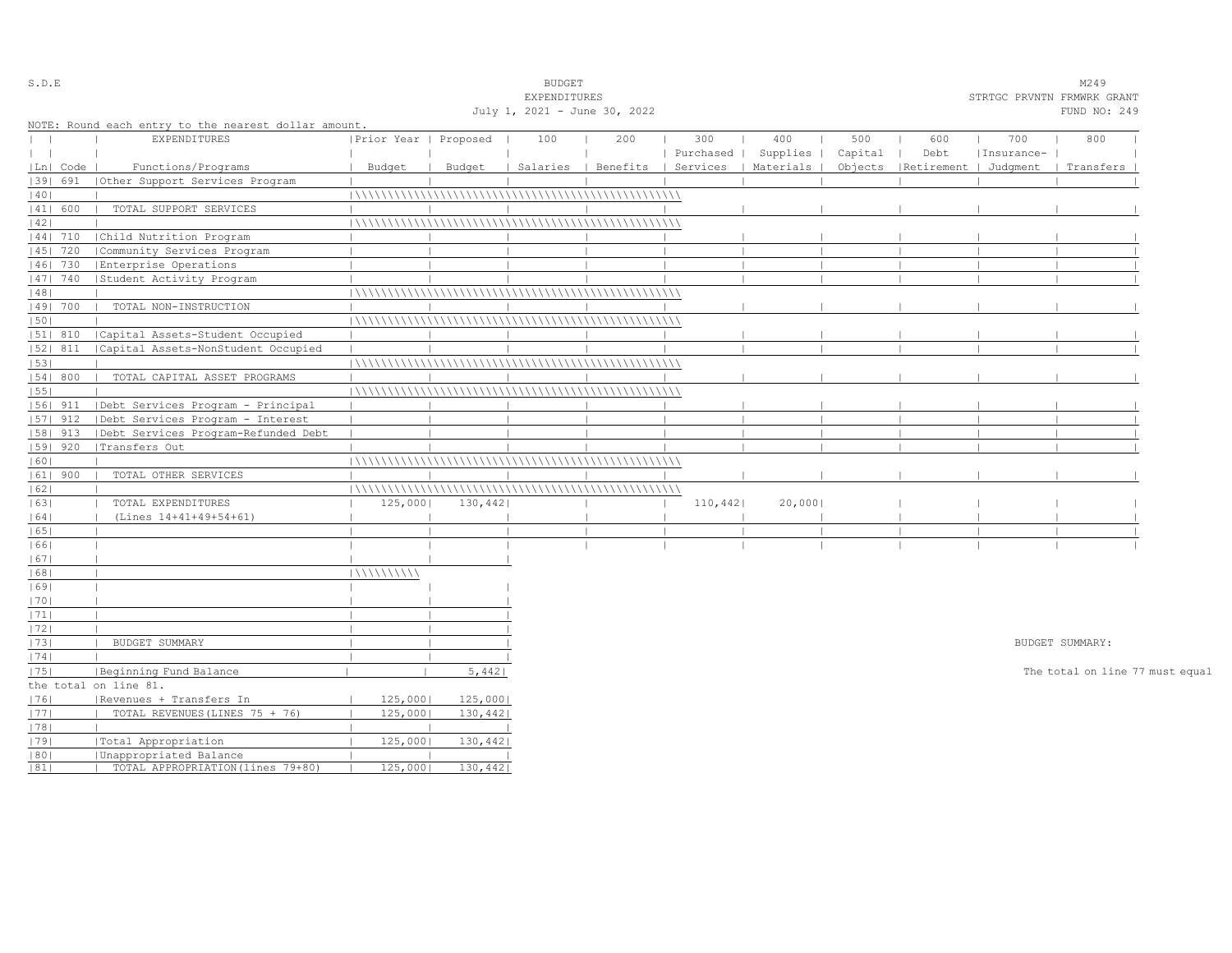| S.D.E        |            |                                                      |                       |          | <b>BUDGET</b>                |                                |           |           |         |                       |            | M249                            |  |
|--------------|------------|------------------------------------------------------|-----------------------|----------|------------------------------|--------------------------------|-----------|-----------|---------|-----------------------|------------|---------------------------------|--|
|              |            |                                                      |                       |          | EXPENDITURES                 |                                |           |           |         |                       |            | STRTGC PRVNTN FRMWRK GRANT      |  |
|              |            |                                                      |                       |          | July 1, 2021 - June 30, 2022 |                                |           |           |         |                       |            | FUND NO: 249                    |  |
|              |            | NOTE: Round each entry to the nearest dollar amount. |                       |          |                              |                                |           |           |         |                       |            |                                 |  |
| $\mathbf{L}$ |            | <b>EXPENDITURES</b>                                  | Prior Year   Proposed |          | 100                          | 200                            | 300       | 400       | 500     | 600                   | 700        | 800                             |  |
| $\perp$      |            |                                                      |                       |          |                              |                                | Purchased | Supplies  | Capital | Debt                  | Insurance- |                                 |  |
|              | Ln   Code  | Functions/Programs                                   | Budget                | Budget   |                              | Salaries   Benefits   Services |           | Materials | Objects | Retirement   Judgment |            | Transfers                       |  |
|              | 39  691    | Other Support Services Program                       |                       |          |                              |                                |           |           |         |                       |            |                                 |  |
| 40           |            |                                                      |                       |          |                              |                                |           |           |         |                       |            |                                 |  |
|              | 41  600    | TOTAL SUPPORT SERVICES                               |                       |          |                              |                                |           |           |         |                       |            |                                 |  |
| 42           |            |                                                      |                       |          |                              |                                |           |           |         |                       |            |                                 |  |
|              | $ 44 $ 710 | Child Nutrition Program                              |                       |          |                              |                                |           |           |         |                       |            |                                 |  |
|              | 45   720   | Community Services Program                           |                       |          |                              |                                |           |           |         |                       |            |                                 |  |
|              | 46  730    | Enterprise Operations                                |                       |          |                              |                                |           |           |         |                       |            |                                 |  |
|              | 47   740   | Student Activity Program                             |                       |          |                              |                                |           |           |         |                       |            |                                 |  |
| 48           |            |                                                      |                       |          |                              |                                |           |           |         |                       |            |                                 |  |
|              | 49  700    | TOTAL NON-INSTRUCTION                                |                       |          |                              |                                |           |           |         |                       |            |                                 |  |
| 50           |            |                                                      |                       |          |                              |                                |           |           |         |                       |            |                                 |  |
|              | 51  810    | Capital Assets-Student Occupied                      |                       |          |                              |                                |           |           |         |                       |            |                                 |  |
|              | 52  811    | Capital Assets-NonStudent Occupied                   |                       |          |                              |                                |           |           |         |                       |            |                                 |  |
| 53           |            |                                                      |                       |          |                              |                                |           |           |         |                       |            |                                 |  |
|              | 54   800   | TOTAL CAPITAL ASSET PROGRAMS                         |                       |          |                              |                                |           |           |         |                       |            |                                 |  |
| 55           |            |                                                      |                       |          |                              |                                |           |           |         |                       |            |                                 |  |
|              | $ 56 $ 911 | Debt Services Program - Principal                    |                       |          |                              |                                |           |           |         |                       |            |                                 |  |
|              | 57  912    | Debt Services Program - Interest                     |                       |          |                              |                                |           |           |         |                       |            |                                 |  |
|              | 58  913    | Debt Services Program-Refunded Debt                  |                       |          |                              |                                |           |           |         |                       |            |                                 |  |
|              | 59   920   | Transfers Out                                        |                       |          |                              |                                |           |           |         |                       |            |                                 |  |
| 60           |            |                                                      |                       |          |                              |                                |           |           |         |                       |            |                                 |  |
|              | $ 61 $ 900 | TOTAL OTHER SERVICES                                 |                       |          |                              |                                |           |           |         |                       |            |                                 |  |
| 62           |            |                                                      |                       |          |                              |                                |           |           |         |                       |            |                                 |  |
| 63           |            | TOTAL EXPENDITURES                                   | 125,000               | 130,442  |                              |                                | 110,442   | 20,000    |         |                       |            |                                 |  |
| 64           |            | (Lines 14+41+49+54+61)                               |                       |          |                              |                                |           |           |         |                       |            |                                 |  |
| 65           |            |                                                      |                       |          |                              |                                |           |           |         |                       |            |                                 |  |
| 66           |            |                                                      |                       |          |                              |                                |           |           |         |                       |            |                                 |  |
| 67           |            |                                                      |                       |          |                              |                                |           |           |         |                       |            |                                 |  |
| 68           |            |                                                      | 111111111111          |          |                              |                                |           |           |         |                       |            |                                 |  |
| 69           |            |                                                      |                       |          |                              |                                |           |           |         |                       |            |                                 |  |
| 70           |            |                                                      |                       |          |                              |                                |           |           |         |                       |            |                                 |  |
| 1711         |            |                                                      |                       |          |                              |                                |           |           |         |                       |            |                                 |  |
| 72           |            |                                                      |                       |          |                              |                                |           |           |         |                       |            |                                 |  |
| 73           |            | BUDGET SUMMARY                                       |                       |          |                              |                                |           |           |         |                       |            | BUDGET SUMMARY:                 |  |
| 74           |            |                                                      |                       |          |                              |                                |           |           |         |                       |            |                                 |  |
| 75           |            | Beginning Fund Balance                               |                       | 5,442    |                              |                                |           |           |         |                       |            | The total on line 77 must equal |  |
|              |            | the total on line 81.                                |                       |          |                              |                                |           |           |         |                       |            |                                 |  |
| 76           |            | Revenues + Transfers In                              | 125,000               | 125,000  |                              |                                |           |           |         |                       |            |                                 |  |
| 77           |            | TOTAL REVENUES (LINES 75 + 76)                       | 125,000               | 130,442  |                              |                                |           |           |         |                       |            |                                 |  |
| 78           |            |                                                      |                       |          |                              |                                |           |           |         |                       |            |                                 |  |
| 79           |            | Total Appropriation                                  | 125,000               | 130,442  |                              |                                |           |           |         |                       |            |                                 |  |
| 80           |            | Unappropriated Balance                               |                       |          |                              |                                |           |           |         |                       |            |                                 |  |
| 81           |            | TOTAL APPROPRIATION (lines 79+80)                    | 125,000               | 130,4421 |                              |                                |           |           |         |                       |            |                                 |  |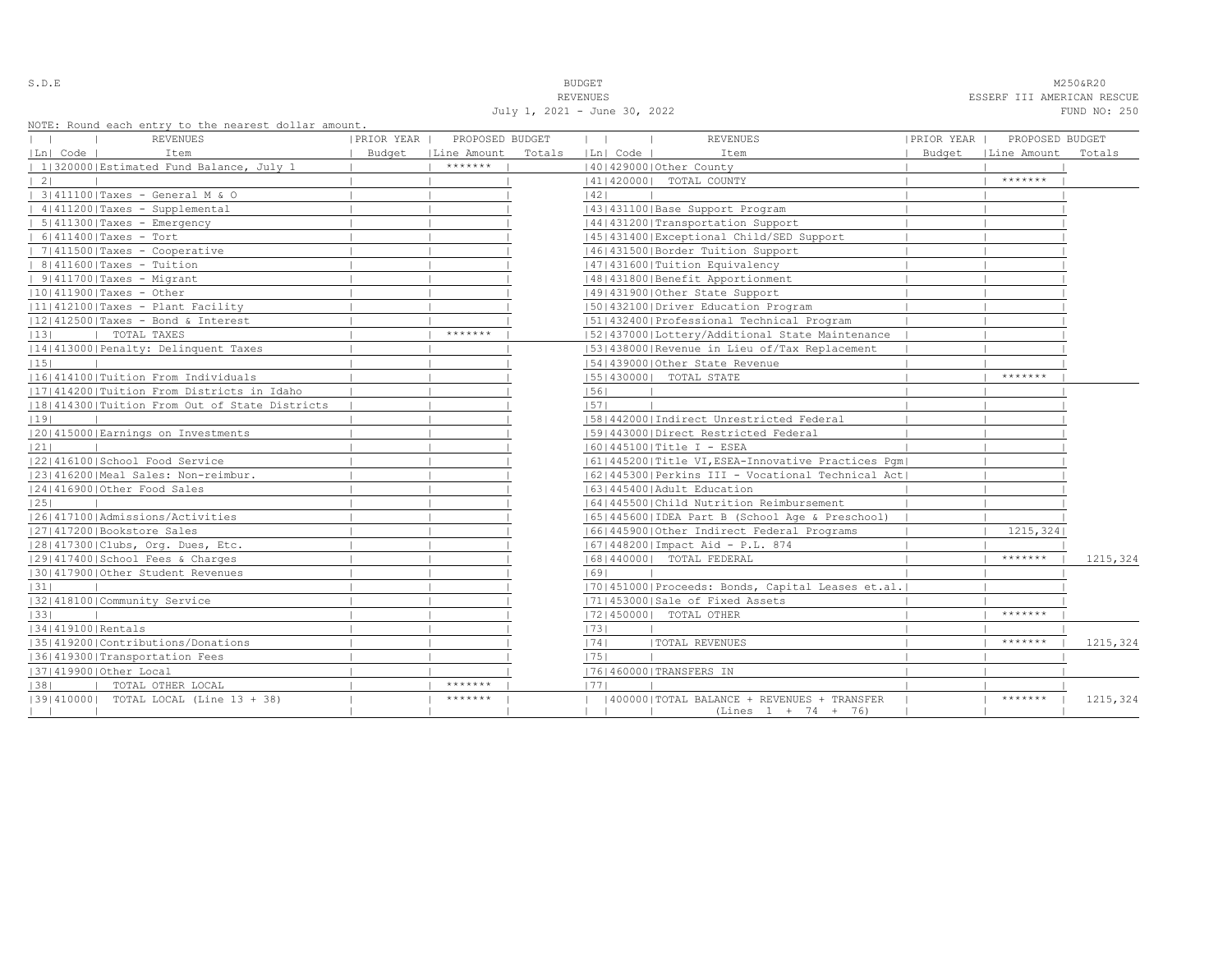S.D.E NOTE THAT IS A RESERVE TO A RESERVE THAT IS A RESERVED ON THE RESERVED ON A RESERVED ON A RESORT OF DESCRIPTION OF THE RESORT OF THE RESORT OF THE RESORT OF THE RESORT OF THE RESORT OF THE RESORT OF THE RESORT OF THE REVENUES ESSERF III AMERICAN RESCUE

July 1, 2021 - June 30, 2022 FUND NO: 250

|  |  |  | NOTE: Round each entry to the nearest dollar amount. |  |  |
|--|--|--|------------------------------------------------------|--|--|
|  |  |  |                                                      |  |  |

| Ln  Code  <br>Item<br>Budget<br>Line Amount<br>Totals<br> Ln  Code  <br>Item<br>Budget<br>  Line Amount<br>*******<br>  1 320000 Estimated Fund Balance, July 1<br>140142900010ther County<br>*******<br>$\vert 2 \vert$<br>  41   420000   TOTAL COUNTY<br>  3 411100 Taxes - General M & O<br> 42 <br>  4 411200 Taxes - Supplemental<br>  43   431100   Base Support Program<br>$  5   411300  $ Taxes - Emergency<br>14414312001Transportation Support<br>$6 411400 $ Taxes - Tort<br> 45 431400 Exceptional Child/SED Support<br>$  7 411500 $ Taxes - Cooperative<br>  46  431500   Border Tuition Support<br>  47   431600   Tuition Equivalency<br>  48   431800   Benefit Apportionment<br> 49 431900 Other State Support<br>1501432100 Driver Education Program<br> 51 432400 Professional Technical Program | PROPOSED BUDGET |
|------------------------------------------------------------------------------------------------------------------------------------------------------------------------------------------------------------------------------------------------------------------------------------------------------------------------------------------------------------------------------------------------------------------------------------------------------------------------------------------------------------------------------------------------------------------------------------------------------------------------------------------------------------------------------------------------------------------------------------------------------------------------------------------------------------------------|-----------------|
|                                                                                                                                                                                                                                                                                                                                                                                                                                                                                                                                                                                                                                                                                                                                                                                                                        | Totals          |
| $  8 411600 $ Taxes - Tuition<br>$  9   411700  $ Taxes - Migrant<br>$ 10 411900 $ Taxes - Other<br>$ 11 412100 $ Taxes - Plant Facility<br>$ 12 412500 $ Taxes - Bond & Interest                                                                                                                                                                                                                                                                                                                                                                                                                                                                                                                                                                                                                                      |                 |
|                                                                                                                                                                                                                                                                                                                                                                                                                                                                                                                                                                                                                                                                                                                                                                                                                        |                 |
|                                                                                                                                                                                                                                                                                                                                                                                                                                                                                                                                                                                                                                                                                                                                                                                                                        |                 |
|                                                                                                                                                                                                                                                                                                                                                                                                                                                                                                                                                                                                                                                                                                                                                                                                                        |                 |
|                                                                                                                                                                                                                                                                                                                                                                                                                                                                                                                                                                                                                                                                                                                                                                                                                        |                 |
|                                                                                                                                                                                                                                                                                                                                                                                                                                                                                                                                                                                                                                                                                                                                                                                                                        |                 |
|                                                                                                                                                                                                                                                                                                                                                                                                                                                                                                                                                                                                                                                                                                                                                                                                                        |                 |
|                                                                                                                                                                                                                                                                                                                                                                                                                                                                                                                                                                                                                                                                                                                                                                                                                        |                 |
|                                                                                                                                                                                                                                                                                                                                                                                                                                                                                                                                                                                                                                                                                                                                                                                                                        |                 |
|                                                                                                                                                                                                                                                                                                                                                                                                                                                                                                                                                                                                                                                                                                                                                                                                                        |                 |
|                                                                                                                                                                                                                                                                                                                                                                                                                                                                                                                                                                                                                                                                                                                                                                                                                        |                 |
|                                                                                                                                                                                                                                                                                                                                                                                                                                                                                                                                                                                                                                                                                                                                                                                                                        |                 |
| *******<br>TOTAL TAXES<br>[52] 437000 [Lottery/Additional State Maintenance<br> 13                                                                                                                                                                                                                                                                                                                                                                                                                                                                                                                                                                                                                                                                                                                                     |                 |
| 14 413000 Penalty: Delinquent Taxes<br>15314380001Revenue in Lieu of/Tax Replacement                                                                                                                                                                                                                                                                                                                                                                                                                                                                                                                                                                                                                                                                                                                                   |                 |
| 15 <br>154143900010ther State Revenue                                                                                                                                                                                                                                                                                                                                                                                                                                                                                                                                                                                                                                                                                                                                                                                  |                 |
| *******<br> 16 414100 Tuition From Individuals<br>15514300001 TOTAL STATE                                                                                                                                                                                                                                                                                                                                                                                                                                                                                                                                                                                                                                                                                                                                              |                 |
| 17 414200 Tuition From Districts in Idaho<br> 56                                                                                                                                                                                                                                                                                                                                                                                                                                                                                                                                                                                                                                                                                                                                                                       |                 |
| 18 414300 Tuition From Out of State Districts<br> 57                                                                                                                                                                                                                                                                                                                                                                                                                                                                                                                                                                                                                                                                                                                                                                   |                 |
| [58]442000]Indirect Unrestricted Federal<br> 19                                                                                                                                                                                                                                                                                                                                                                                                                                                                                                                                                                                                                                                                                                                                                                        |                 |
| 20 415000 Earnings on Investments<br>1591443000   Direct Restricted Federal                                                                                                                                                                                                                                                                                                                                                                                                                                                                                                                                                                                                                                                                                                                                            |                 |
| 21 <br>16014451001Title I - ESEA                                                                                                                                                                                                                                                                                                                                                                                                                                                                                                                                                                                                                                                                                                                                                                                       |                 |
| 22 416100 School Food Service<br>  61  445200  Title VI, ESEA-Innovative Practices Pqm                                                                                                                                                                                                                                                                                                                                                                                                                                                                                                                                                                                                                                                                                                                                 |                 |
| 23 416200 Meal Sales: Non-reimbur.<br> 62 445300 Perkins III - Vocational Technical Act                                                                                                                                                                                                                                                                                                                                                                                                                                                                                                                                                                                                                                                                                                                                |                 |
| 24 416900 Other Food Sales<br>1631445400 Adult Education                                                                                                                                                                                                                                                                                                                                                                                                                                                                                                                                                                                                                                                                                                                                                               |                 |
| 25 <br>1641445500 Child Nutrition Reimbursement                                                                                                                                                                                                                                                                                                                                                                                                                                                                                                                                                                                                                                                                                                                                                                        |                 |
| 26 417100 Admissions/Activities<br>  65  445600  IDEA Part B (School Age & Preschool)                                                                                                                                                                                                                                                                                                                                                                                                                                                                                                                                                                                                                                                                                                                                  |                 |
| 1215, 324<br> 27 417200 Bookstore Sales<br>16614459001Other Indirect Federal Programs                                                                                                                                                                                                                                                                                                                                                                                                                                                                                                                                                                                                                                                                                                                                  |                 |
| 28 417300 Clubs, Org. Dues, Etc.<br>16714482001Impact Aid - P.L. 874                                                                                                                                                                                                                                                                                                                                                                                                                                                                                                                                                                                                                                                                                                                                                   |                 |
| *******<br>12914174001School Fees & Charges<br>16814400001 TOTAL FEDERAL                                                                                                                                                                                                                                                                                                                                                                                                                                                                                                                                                                                                                                                                                                                                               | 1215,324        |
| 30 417900 Other Student Revenues<br> 69                                                                                                                                                                                                                                                                                                                                                                                                                                                                                                                                                                                                                                                                                                                                                                                |                 |
| [70] 451000 Proceeds: Bonds, Capital Leases et.al.<br> 31                                                                                                                                                                                                                                                                                                                                                                                                                                                                                                                                                                                                                                                                                                                                                              |                 |
| 32 418100 Community Service<br>17114530001Sale of Fixed Assets                                                                                                                                                                                                                                                                                                                                                                                                                                                                                                                                                                                                                                                                                                                                                         |                 |
| *******<br> 33 <br> 72 450000  TOTAL OTHER                                                                                                                                                                                                                                                                                                                                                                                                                                                                                                                                                                                                                                                                                                                                                                             |                 |
| 34 419100 Rentals<br> 73                                                                                                                                                                                                                                                                                                                                                                                                                                                                                                                                                                                                                                                                                                                                                                                               |                 |
| *******<br> 35 419200 Contributions/Donations<br> 74 <br><b> TOTAL REVENUES</b>                                                                                                                                                                                                                                                                                                                                                                                                                                                                                                                                                                                                                                                                                                                                        | 1215,324        |
| 1751<br>13614193001Transportation Fees                                                                                                                                                                                                                                                                                                                                                                                                                                                                                                                                                                                                                                                                                                                                                                                 |                 |
| 17614600001TRANSFERS IN<br> 37 419900 Other Local                                                                                                                                                                                                                                                                                                                                                                                                                                                                                                                                                                                                                                                                                                                                                                      |                 |
| *******<br>TOTAL OTHER LOCAL<br> 38 <br>1771                                                                                                                                                                                                                                                                                                                                                                                                                                                                                                                                                                                                                                                                                                                                                                           |                 |
| *******<br>[39] 410000] TOTAL LOCAL (Line 13 + 38)<br>*******<br>(400000) TOTAL BALANCE + REVENUES + TRANSFER<br>$(Lines 1 + 74 + 76)$                                                                                                                                                                                                                                                                                                                                                                                                                                                                                                                                                                                                                                                                                 | 1215,324        |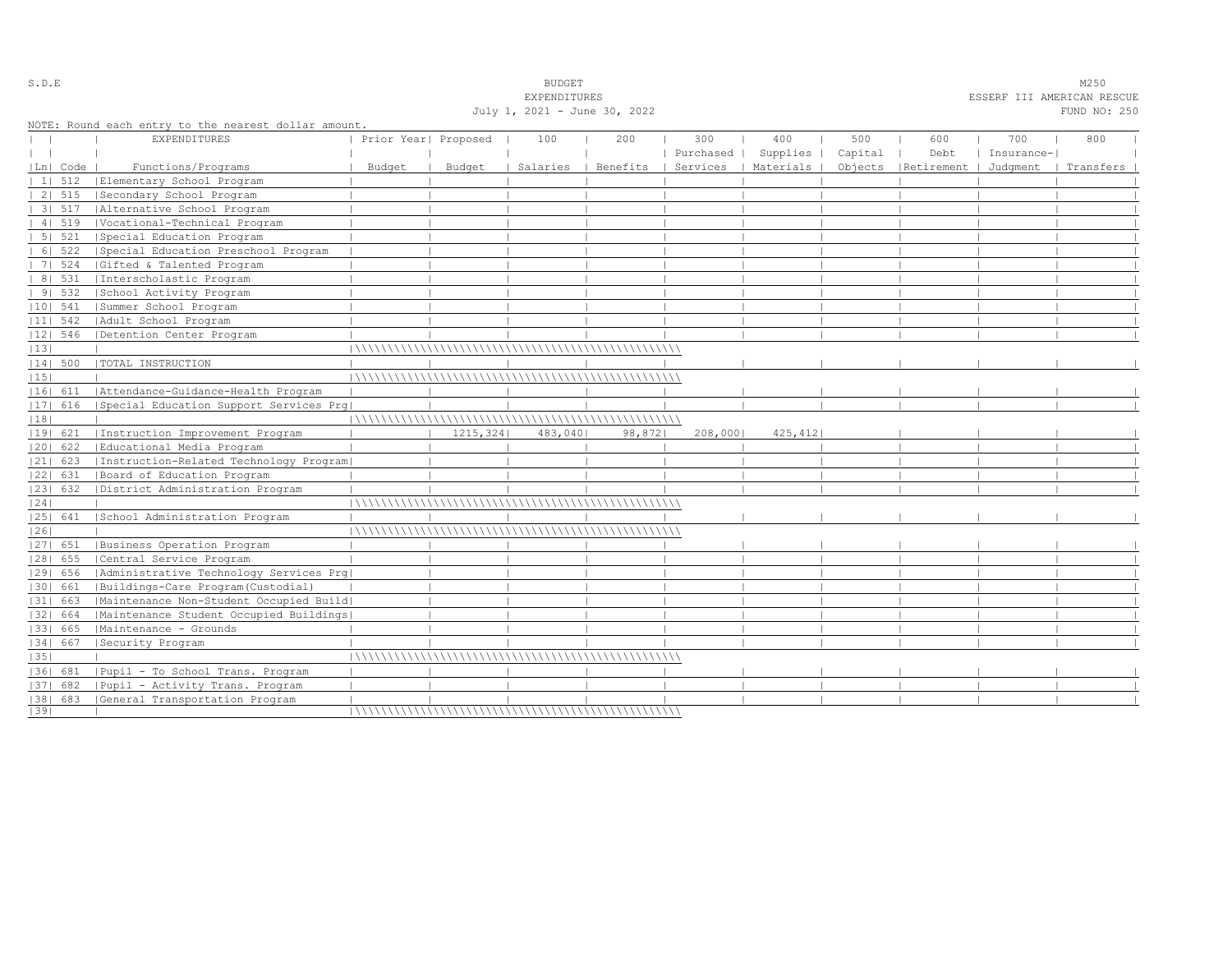|    |            |                                                                             |                      |           | July 1, 2021 - June 30, 2022 |          |                  |                      |                |                                 |                   | TITL SELLE CISIN INDUCTION<br>FUND NO: 250 |  |
|----|------------|-----------------------------------------------------------------------------|----------------------|-----------|------------------------------|----------|------------------|----------------------|----------------|---------------------------------|-------------------|--------------------------------------------|--|
|    |            | NOTE: Round each entry to the nearest dollar amount.<br><b>EXPENDITURES</b> | Prior Year  Proposed |           | 100                          | 200      | 300<br>Purchased | 400<br>Supplies      | 500<br>Capital | 600<br>Debt                     | 700<br>Insurance- | 800                                        |  |
|    | Ln   Code  | Functions/Programs                                                          | Budget               | Budget    | Salaries                     | Benefits |                  | Services   Materials |                | Objects   Retirement   Judgment |                   | Transfers                                  |  |
|    | 1 512      | Elementary School Program                                                   |                      |           |                              |          |                  |                      |                |                                 |                   |                                            |  |
|    | 2   515    | Secondary School Program                                                    |                      |           |                              |          |                  |                      |                |                                 |                   |                                            |  |
|    | 3   517    | Alternative School Program                                                  |                      |           |                              |          |                  |                      |                |                                 |                   |                                            |  |
|    | 4   519    | Vocational-Technical Program                                                |                      |           |                              |          |                  |                      |                |                                 |                   |                                            |  |
|    | 5 521      | Special Education Program                                                   |                      |           |                              |          |                  |                      |                |                                 |                   |                                            |  |
|    | 6 522      | Special Education Preschool Program                                         |                      |           |                              |          |                  |                      |                |                                 |                   |                                            |  |
|    | 7   524    | Gifted & Talented Program                                                   |                      |           |                              |          |                  |                      |                |                                 |                   |                                            |  |
|    |            | 8  531   Interscholastic Program                                            |                      |           |                              |          |                  |                      |                |                                 |                   |                                            |  |
|    | 9 532      | School Activity Program                                                     |                      |           |                              |          |                  |                      |                |                                 |                   |                                            |  |
|    | $ 10 $ 541 | Summer School Program                                                       |                      |           |                              |          |                  |                      |                |                                 |                   |                                            |  |
|    | $ 11 $ 542 | Adult School Program                                                        |                      |           |                              |          |                  |                      |                |                                 |                   |                                            |  |
|    | $ 12 $ 546 | Detention Center Program                                                    |                      |           |                              |          |                  |                      |                |                                 |                   |                                            |  |
| 13 |            |                                                                             |                      |           |                              |          |                  |                      |                |                                 |                   |                                            |  |
|    | $ 14 $ 500 | TOTAL INSTRUCTION                                                           |                      |           |                              |          |                  |                      |                |                                 |                   |                                            |  |
| 15 |            |                                                                             |                      |           |                              |          |                  |                      |                |                                 |                   |                                            |  |
|    |            | 16  611   Attendance-Guidance-Health Program                                |                      |           |                              |          |                  |                      |                |                                 |                   |                                            |  |
|    | $ 17 $ 616 | Special Education Support Services Prq                                      |                      |           |                              |          |                  |                      |                |                                 |                   |                                            |  |
| 18 |            |                                                                             |                      |           |                              |          |                  |                      |                |                                 |                   |                                            |  |
|    | 19  621    | Instruction Improvement Program                                             |                      | 1215, 324 | 483,040                      | 98,872   | 208,000          | 425,412              |                |                                 |                   |                                            |  |
|    | 20  622    | Educational Media Program                                                   |                      |           |                              |          |                  |                      |                |                                 |                   |                                            |  |
|    | 21  623    | Instruction-Related Technology Program                                      |                      |           |                              |          |                  |                      |                |                                 |                   |                                            |  |
|    | 22  631    | Board of Education Program                                                  |                      |           |                              |          |                  |                      |                |                                 |                   |                                            |  |
|    | 23  632    | District Administration Program                                             |                      |           |                              |          |                  |                      |                |                                 |                   |                                            |  |
| 24 |            |                                                                             |                      |           |                              |          |                  |                      |                |                                 |                   |                                            |  |
|    | 25  641    | School Administration Program                                               |                      |           |                              |          |                  |                      |                |                                 |                   |                                            |  |
| 26 |            |                                                                             |                      |           |                              |          |                  |                      |                |                                 |                   |                                            |  |
|    | 27  651    | Business Operation Program                                                  |                      |           |                              |          |                  |                      |                |                                 |                   |                                            |  |
|    | $ 28 $ 655 | Central Service Program                                                     |                      |           |                              |          |                  |                      |                |                                 |                   |                                            |  |
|    | 29  656    | Administrative Technology Services Prg                                      |                      |           |                              |          |                  |                      |                |                                 |                   |                                            |  |
|    | 30  661    | Buildings-Care Program (Custodial)                                          |                      |           |                              |          |                  |                      |                |                                 |                   |                                            |  |
|    | 31  663    | Maintenance Non-Student Occupied Build                                      |                      |           |                              |          |                  |                      |                |                                 |                   |                                            |  |
|    | 32  664    | Maintenance Student Occupied Buildings                                      |                      |           |                              |          |                  |                      |                |                                 |                   |                                            |  |
|    | 33  665    | Maintenance - Grounds                                                       |                      |           |                              |          |                  |                      |                |                                 |                   |                                            |  |
|    | 34  667    | Security Program                                                            |                      |           |                              |          |                  |                      |                |                                 |                   |                                            |  |
| 35 |            |                                                                             |                      |           |                              |          |                  |                      |                |                                 |                   |                                            |  |
|    |            | 36  681   Pupil - To School Trans. Program                                  |                      |           |                              |          |                  |                      |                |                                 |                   |                                            |  |
|    | 37  682    | Pupil - Activity Trans. Program                                             |                      |           |                              |          |                  |                      |                |                                 |                   |                                            |  |
|    |            | [38] 683 [General Transportation Program                                    |                      |           |                              |          |                  |                      |                |                                 |                   |                                            |  |
| 39 |            |                                                                             |                      |           |                              |          |                  |                      |                |                                 |                   |                                            |  |

S.D.E SOME SALE SOME STRAINING STRAINING STRAINING STRAINING STRAINING STRAINING STRAINING STRAINING STRAINING STRAINING STRAINING STRAINING STRAINING STRAINING STRAINING STRAINING STRAINING STRAINING STRAINING STRAINING S

EXPENDITURES ESSERF III AMERICAN RESCUE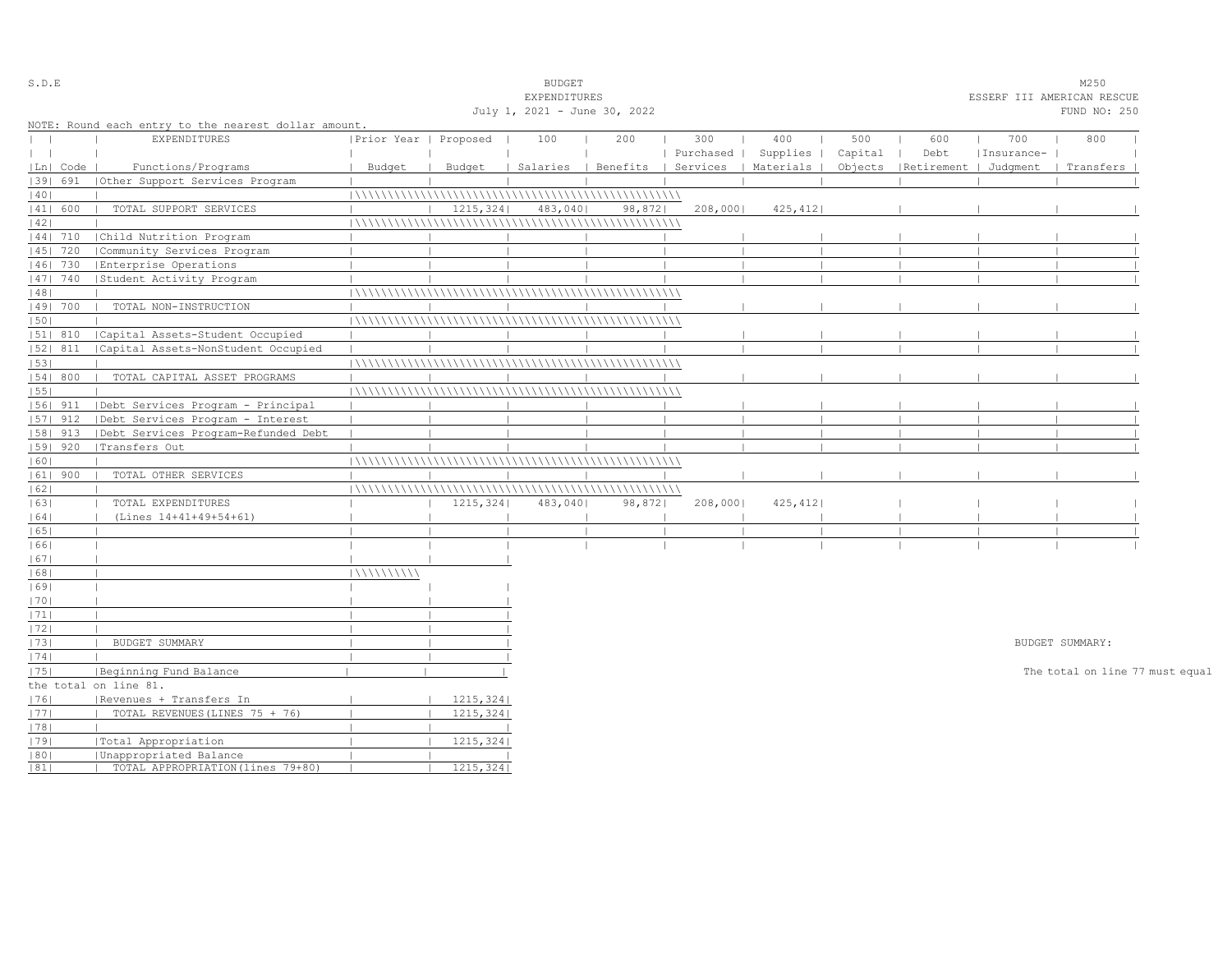| S.D.E         |            |                                                      |                       |           | <b>BUDGET</b>                |        |           |                                            |         |                                 |            | M250                            |  |
|---------------|------------|------------------------------------------------------|-----------------------|-----------|------------------------------|--------|-----------|--------------------------------------------|---------|---------------------------------|------------|---------------------------------|--|
|               |            |                                                      |                       |           | EXPENDITURES                 |        |           |                                            |         |                                 |            | ESSERF III AMERICAN RESCUE      |  |
|               |            |                                                      |                       |           | July 1, 2021 - June 30, 2022 |        |           |                                            |         |                                 |            | FUND NO: 250                    |  |
|               |            | NOTE: Round each entry to the nearest dollar amount. |                       |           |                              |        |           |                                            |         |                                 |            |                                 |  |
| $\mathbf{L}$  |            | <b>EXPENDITURES</b>                                  | Prior Year   Proposed |           | 100                          | 200    | 300       | 400                                        | 500     | 600                             | 700        | 800                             |  |
| $\vert \vert$ |            |                                                      |                       |           |                              |        | Purchased | Supplies                                   | Capital | Debt                            | Insurance- |                                 |  |
|               | Ln   Code  | Functions/Programs                                   | Budget                | Budget    |                              |        |           | Salaries   Benefits   Services   Materials |         | Objects   Retirement   Judgment |            | Transfers                       |  |
|               | 1391 691   | Other Support Services Program                       |                       |           |                              |        |           |                                            |         |                                 |            |                                 |  |
| 40            |            |                                                      |                       |           |                              |        |           |                                            |         |                                 |            |                                 |  |
|               | 41  600    | TOTAL SUPPORT SERVICES                               |                       | 1215, 324 | 483,040                      | 98,872 | 208,000   | 425,412                                    |         |                                 |            |                                 |  |
| 42            |            |                                                      |                       |           |                              |        |           |                                            |         |                                 |            |                                 |  |
|               | $ 44 $ 710 | Child Nutrition Program                              |                       |           |                              |        |           |                                            |         |                                 |            |                                 |  |
|               | 45   720   | Community Services Program                           |                       |           |                              |        |           |                                            |         |                                 |            |                                 |  |
|               | 46  730    | Enterprise Operations                                |                       |           |                              |        |           |                                            |         |                                 |            |                                 |  |
|               | 47   740   | Student Activity Program                             |                       |           |                              |        |           |                                            |         |                                 |            |                                 |  |
| 48            |            |                                                      |                       |           |                              |        |           |                                            |         |                                 |            |                                 |  |
|               | 49  700    | TOTAL NON-INSTRUCTION                                |                       |           |                              |        |           |                                            |         |                                 |            |                                 |  |
| 50            |            |                                                      |                       |           |                              |        |           |                                            |         |                                 |            |                                 |  |
|               | 51  810    | Capital Assets-Student Occupied                      |                       |           |                              |        |           |                                            |         |                                 |            |                                 |  |
|               | 52  811    | Capital Assets-NonStudent Occupied                   |                       |           |                              |        |           |                                            |         |                                 |            |                                 |  |
| 53            |            |                                                      |                       |           |                              |        |           |                                            |         |                                 |            |                                 |  |
|               | 54   800   | TOTAL CAPITAL ASSET PROGRAMS                         |                       |           |                              |        |           |                                            |         |                                 |            |                                 |  |
| 55            |            |                                                      |                       |           |                              |        |           |                                            |         |                                 |            |                                 |  |
|               | $ 56 $ 911 | Debt Services Program - Principal                    |                       |           |                              |        |           |                                            |         |                                 |            |                                 |  |
|               | $ 57 $ 912 | Debt Services Program - Interest                     |                       |           |                              |        |           |                                            |         |                                 |            |                                 |  |
|               | 58  913    | Debt Services Program-Refunded Debt                  |                       |           |                              |        |           |                                            |         |                                 |            |                                 |  |
|               | $ 59 $ 920 | Transfers Out                                        |                       |           |                              |        |           |                                            |         |                                 |            |                                 |  |
| 60            |            |                                                      |                       |           |                              |        |           |                                            |         |                                 |            |                                 |  |
|               | $ 61 $ 900 | TOTAL OTHER SERVICES                                 |                       |           |                              |        |           |                                            |         |                                 |            |                                 |  |
| 62            |            |                                                      |                       |           |                              |        |           |                                            |         |                                 |            |                                 |  |
| 63            |            | TOTAL EXPENDITURES                                   |                       | 1215, 324 | 483,040                      | 98,872 | 208,000   | 425, 412                                   |         |                                 |            |                                 |  |
| 64            |            | (Lines 14+41+49+54+61)                               |                       |           |                              |        |           |                                            |         |                                 |            |                                 |  |
| 65            |            |                                                      |                       |           |                              |        |           |                                            |         |                                 |            |                                 |  |
| 66            |            |                                                      |                       |           |                              |        |           |                                            |         |                                 |            |                                 |  |
| 67            |            |                                                      |                       |           |                              |        |           |                                            |         |                                 |            |                                 |  |
| 68            |            |                                                      | 111111111111          |           |                              |        |           |                                            |         |                                 |            |                                 |  |
| 69            |            |                                                      |                       |           |                              |        |           |                                            |         |                                 |            |                                 |  |
| 70            |            |                                                      |                       |           |                              |        |           |                                            |         |                                 |            |                                 |  |
| 1711          |            |                                                      |                       |           |                              |        |           |                                            |         |                                 |            |                                 |  |
| 72            |            |                                                      |                       |           |                              |        |           |                                            |         |                                 |            |                                 |  |
| 73            |            | BUDGET SUMMARY                                       |                       |           |                              |        |           |                                            |         |                                 |            | BUDGET SUMMARY:                 |  |
| 74            |            |                                                      |                       |           |                              |        |           |                                            |         |                                 |            |                                 |  |
| 75            |            | Beginning Fund Balance                               |                       |           |                              |        |           |                                            |         |                                 |            | The total on line 77 must equal |  |
|               |            | the total on line 81.                                |                       |           |                              |        |           |                                            |         |                                 |            |                                 |  |
| 76            |            | Revenues + Transfers In                              |                       | 1215, 324 |                              |        |           |                                            |         |                                 |            |                                 |  |
| 77            |            | TOTAL REVENUES (LINES 75 + 76)                       |                       | 1215, 324 |                              |        |           |                                            |         |                                 |            |                                 |  |
| 78            |            |                                                      |                       |           |                              |        |           |                                            |         |                                 |            |                                 |  |
| 79            |            | Total Appropriation                                  |                       | 1215, 324 |                              |        |           |                                            |         |                                 |            |                                 |  |
| 80            |            | Unappropriated Balance                               |                       |           |                              |        |           |                                            |         |                                 |            |                                 |  |
| 81            |            | TOTAL APPROPRIATION (lines 79+80)                    |                       | 1215,324  |                              |        |           |                                            |         |                                 |            |                                 |  |
|               |            |                                                      |                       |           |                              |        |           |                                            |         |                                 |            |                                 |  |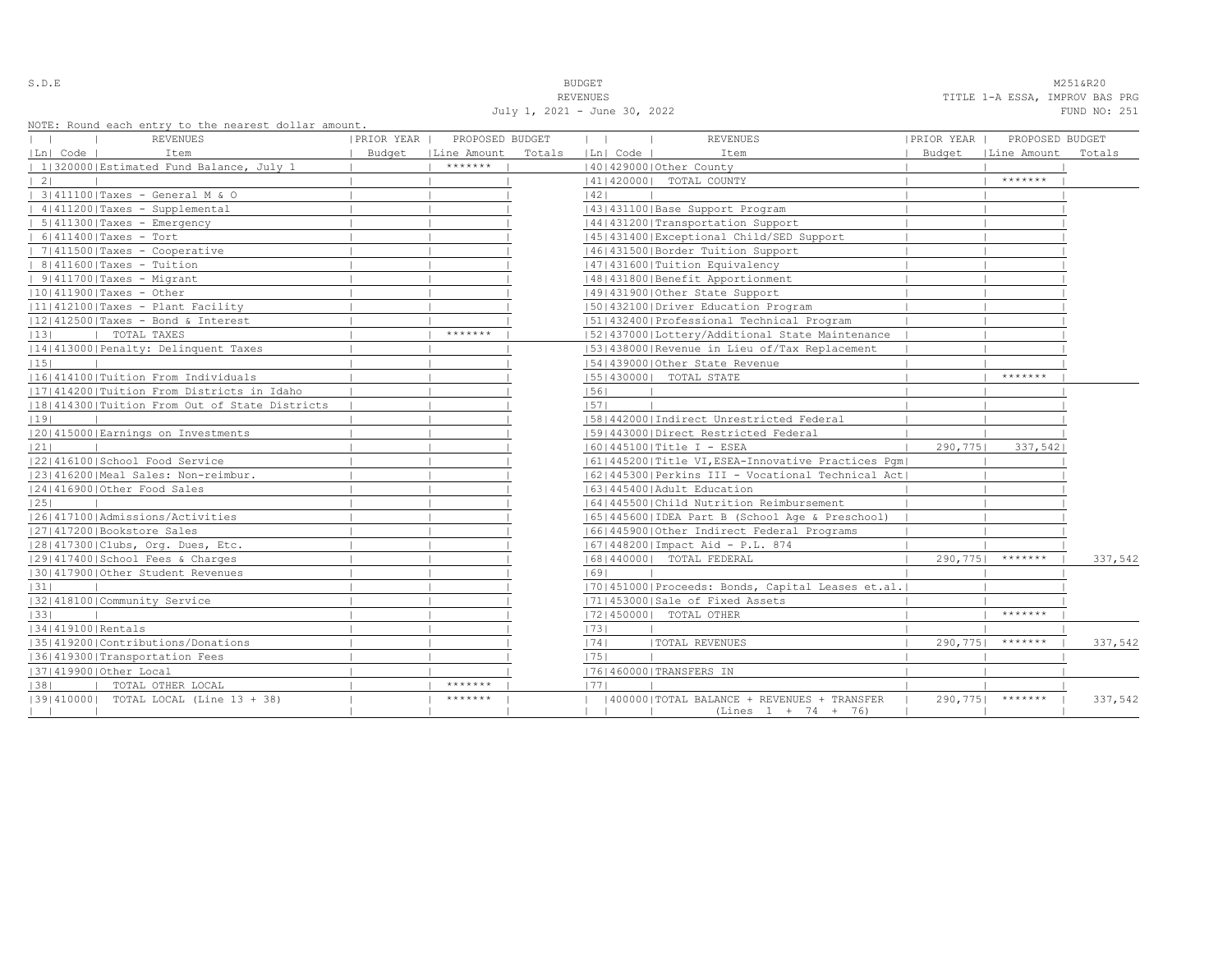S.D.E NOTE THAT IS A RESERVE TO A RESERVE THAT IS A RESERVED ON THE RESERVED ON A RESERVED ON A RESERVED ON A STRIKE OF THE RESPONDING TO A RESERVED ON A RESPONDING TO A RESPOND TO A RESPOND TO A RESPOND TO A RESPOND TO A REVENUES TITLE 1-A ESSA, IMPROV BAS PRG

| NOTE: Round each entry to the nearest dollar amount. |            |                      |        | July 1, 2021 - June 30, 2022 |                                                      |            |                      | FUND NO: 251 |
|------------------------------------------------------|------------|----------------------|--------|------------------------------|------------------------------------------------------|------------|----------------------|--------------|
| <b>REVENUES</b>                                      | PRIOR YEAR | PROPOSED BUDGET      |        | $\mathbf{1}$                 | <b>REVENUES</b>                                      | PRIOR YEAR | PROPOSED BUDGET      |              |
| Ln  Code  <br>Item                                   |            | Budget   Line Amount | Totals | Ln  Code                     | Item                                                 |            | Budget   Line Amount | Totals       |
| 1 320000 Estimated Fund Balance, July 1              |            | *******              |        |                              | 40   429000   Other County                           |            |                      |              |
| $\vert 2 \vert$                                      |            |                      |        |                              | 41   420000   TOTAL COUNTY                           |            | *******              |              |
| 3 411100 Taxes - General M & O                       |            |                      |        | 42                           |                                                      |            |                      |              |
| $ 4 411200 $ Taxes - Supplemental                    |            |                      |        |                              | 43   431100   Base Support Program                   |            |                      |              |
| $  5   411300  $ Taxes - Emergency                   |            |                      |        |                              | 44 431200 Transportation Support                     |            |                      |              |
| $  6 411400 $ Taxes - Tort                           |            |                      |        |                              | 45 431400 Exceptional Child/SED Support              |            |                      |              |
| $  7 411500 $ Taxes - Cooperative                    |            |                      |        |                              | 46 431500 Border Tuition Support                     |            |                      |              |
| $  8 411600 $ Taxes - Tuition                        |            |                      |        |                              | 47   431600   Tuition Equivalency                    |            |                      |              |
| $  9 411700 $ Taxes - Migrant                        |            |                      |        |                              | 48   431800   Benefit Apportionment                  |            |                      |              |
| $ 10 411900 $ Taxes - Other                          |            |                      |        |                              | 49 431900 Other State Support                        |            |                      |              |
| $ 11 412100 $ Taxes - Plant Facility                 |            |                      |        |                              | [50] 432100 Driver Education Program                 |            |                      |              |
| $ 12 412500 $ Taxes - Bond & Interest                |            |                      |        |                              | 51 432400 Professional Technical Program             |            |                      |              |
| TOTAL TAXES<br> 13                                   |            | *******              |        |                              | [52] 437000 [Lottery/Additional State Maintenance    |            |                      |              |
| 14 413000 Penalty: Delinquent Taxes                  |            |                      |        |                              | 53 438000 Revenue in Lieu of/Tax Replacement         |            |                      |              |
| 15                                                   |            |                      |        |                              | 154143900010ther State Revenue                       |            |                      |              |
| 16 414100 Tuition From Individuals                   |            |                      |        |                              | 15514300001 TOTAL STATE                              |            | *******              |              |
| 17 414200 Tuition From Districts in Idaho            |            |                      |        | 56                           |                                                      |            |                      |              |
| 18 414300 Tuition From Out of State Districts        |            |                      |        | 57                           |                                                      |            |                      |              |
| 19                                                   |            |                      |        |                              | 58 442000 Indirect Unrestricted Federal              |            |                      |              |
| 20 415000 Earnings on Investments                    |            |                      |        |                              | 15914430001Direct Restricted Federal                 |            |                      |              |
| 21                                                   |            |                      |        |                              | 60   445100   Title I - ESEA                         | 290,775    | 337,5421             |              |
| 22 416100 School Food Service                        |            |                      |        |                              | 61 445200 Title VI, ESEA-Innovative Practices Pqm    |            |                      |              |
| 23 416200 Meal Sales: Non-reimbur.                   |            |                      |        |                              | 62   445300   Perkins III - Vocational Technical Act |            |                      |              |
| 24 416900 Other Food Sales                           |            |                      |        |                              | 16314454001Adult Education                           |            |                      |              |
| 25                                                   |            |                      |        |                              | 1641445500 Child Nutrition Reimbursement             |            |                      |              |
| 1261417100 Admissions/Activities                     |            |                      |        |                              | 65  445600  IDEA Part B (School Age & Preschool)     |            |                      |              |
| 27 417200 Bookstore Sales                            |            |                      |        |                              | 16614459001Other Indirect Federal Programs           |            |                      |              |
| 28 417300 Clubs, Org. Dues, Etc.                     |            |                      |        |                              | 67   448200   Impact Aid - P.L. 874                  |            |                      |              |
| 29 417400 School Fees & Charges                      |            |                      |        |                              | 68   440000   TOTAL FEDERAL                          |            | $290,775$   *******  | 337,542      |
| 130141790010ther Student Revenues                    |            |                      |        | 69                           |                                                      |            |                      |              |
| 31                                                   |            |                      |        |                              | 70 451000 Proceeds: Bonds, Capital Leases et.al.     |            |                      |              |
| 32 418100 Community Service                          |            |                      |        |                              | 71 453000 Sale of Fixed Assets                       |            |                      |              |
| 33                                                   |            |                      |        |                              | 17214500001 TOTAL OTHER                              |            | *******              |              |
| 34   419100   Rentals                                |            |                      |        | 73                           |                                                      |            |                      |              |
| 35 419200 Contributions/Donations                    |            |                      |        | 74                           | <b> TOTAL REVENUES</b>                               | 290,775    | *******              | 337,542      |
| 36 419300 Transportation Fees                        |            |                      |        | 75                           |                                                      |            |                      |              |
| 37 419900 Other Local                                |            |                      |        |                              | 17614600001TRANSFERS IN                              |            |                      |              |
| TOTAL OTHER LOCAL<br> 38                             |            | *******              |        | 1771                         |                                                      |            |                      |              |
| [39] 410000] TOTAL LOCAL (Line 13 + 38)              |            | *******              |        |                              | 400000   TOTAL BALANCE + REVENUES + TRANSFER         |            | 290,775  *******     | 337,542      |
|                                                      |            |                      |        |                              | $(Lines 1 + 74 + 76)$                                |            |                      |              |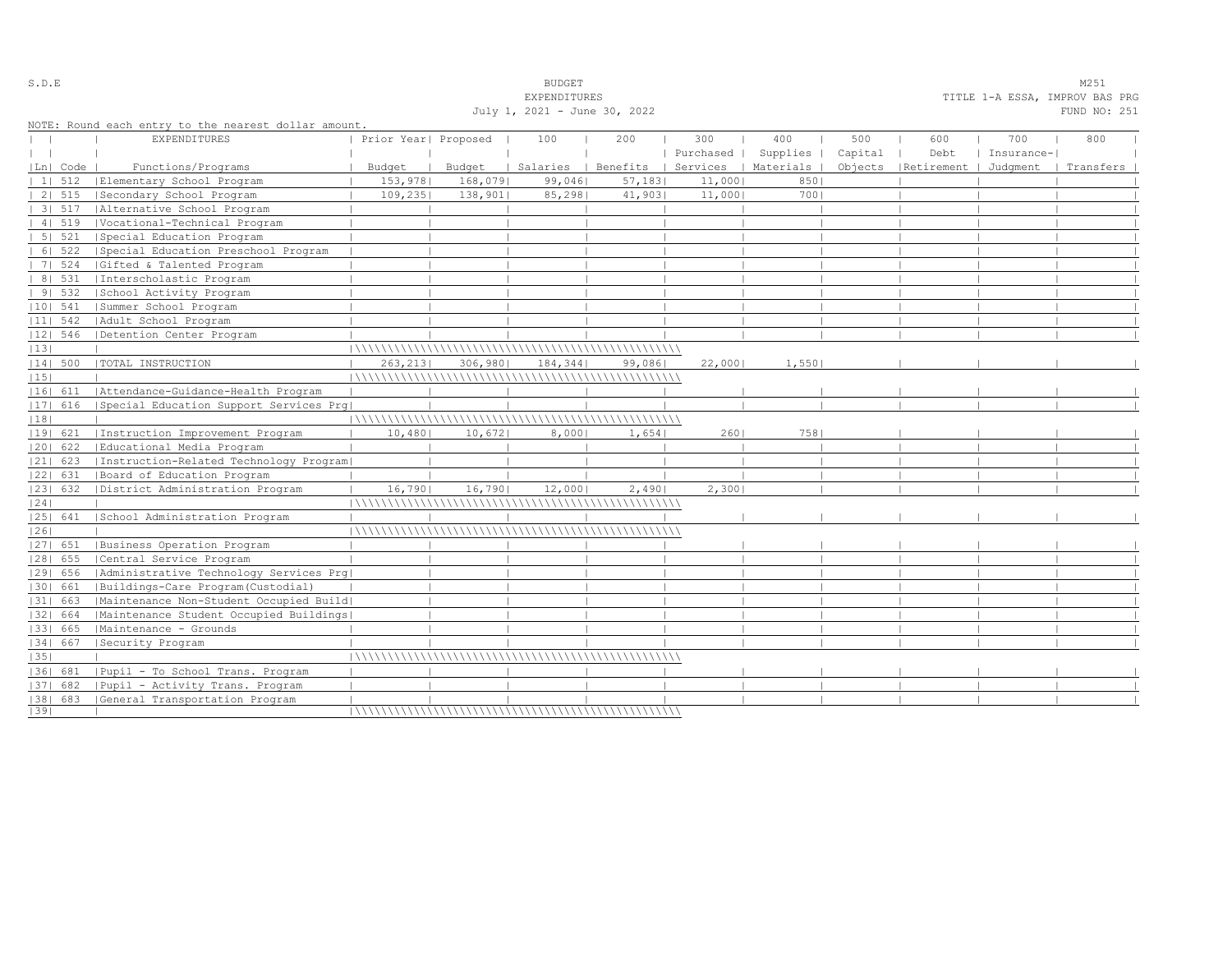|    |            |                                                      |                      |         | EXPENDITURES                 |         |           |                      |         |                                 | TITLE 1-A ESSA, IMPROV BAS PRG |              |
|----|------------|------------------------------------------------------|----------------------|---------|------------------------------|---------|-----------|----------------------|---------|---------------------------------|--------------------------------|--------------|
|    |            |                                                      |                      |         | July 1, 2021 - June 30, 2022 |         |           |                      |         |                                 |                                | FUND NO: 251 |
|    |            | NOTE: Round each entry to the nearest dollar amount. |                      |         |                              |         |           |                      |         |                                 |                                |              |
|    |            | <b>EXPENDITURES</b>                                  | Prior Year  Proposed |         | 100                          | 200     | 300       | 400                  | 500     | 600                             | 700                            | 800          |
|    |            |                                                      |                      |         |                              |         | Purchased | Supplies             | Capital | Debt                            | Insurance-                     |              |
|    | Ln  Code   | Functions/Programs                                   | Budget               | Budget  | Salaries   Benefits          |         |           | Services   Materials |         | Objects   Retirement   Judqment |                                | Transfers    |
|    | 1   512    | Elementary School Program                            | 153,978              | 168,079 | 99,046                       | 57, 183 | 11,000    | 850                  |         |                                 |                                |              |
|    | 2   515    | Secondary School Program                             | 109, 235             | 138,901 | 85, 298                      | 41,903  | 11,000    | 7001                 |         |                                 |                                |              |
|    | 3   517    | Alternative School Program                           |                      |         |                              |         |           |                      |         |                                 |                                |              |
|    | 41519      | Vocational-Technical Program                         |                      |         |                              |         |           |                      |         |                                 |                                |              |
|    | 5 521      | Special Education Program                            |                      |         |                              |         |           |                      |         |                                 |                                |              |
|    | 6   522    | Special Education Preschool Program                  |                      |         |                              |         |           |                      |         |                                 |                                |              |
|    | 7   524    | Gifted & Talented Program                            |                      |         |                              |         |           |                      |         |                                 |                                |              |
|    |            | 8   531   Interscholastic Program                    |                      |         |                              |         |           |                      |         |                                 |                                |              |
|    | 9   532    | School Activity Program                              |                      |         |                              |         |           |                      |         |                                 |                                |              |
|    | $ 10 $ 541 | Summer School Program                                |                      |         |                              |         |           |                      |         |                                 |                                |              |
|    |            | 11  542   Adult School Program                       |                      |         |                              |         |           |                      |         |                                 |                                |              |
|    | $ 12 $ 546 | Detention Center Program                             |                      |         |                              |         |           |                      |         |                                 |                                |              |
| 13 |            |                                                      |                      |         |                              |         |           |                      |         |                                 |                                |              |
|    |            | 14  500   TOTAL INSTRUCTION                          | 263, 213             | 306,980 | 184,344                      | 99,086  | 22,000    | 1,550                |         |                                 |                                |              |
| 15 |            |                                                      |                      |         |                              |         |           |                      |         |                                 |                                |              |
|    | 16  611    | Attendance-Guidance-Health Program                   |                      |         |                              |         |           |                      |         |                                 |                                |              |
|    | $ 17 $ 616 | Special Education Support Services Prq               |                      |         |                              |         |           |                      |         |                                 |                                |              |
| 18 |            |                                                      |                      |         |                              |         |           |                      |         |                                 |                                |              |
|    | 19  621    | Instruction Improvement Program                      | 10,480               | 10,672  | 8,000                        | 1,654   | 2601      | 758                  |         |                                 |                                |              |
|    | 20  622    | Educational Media Program                            |                      |         |                              |         |           |                      |         |                                 |                                |              |
|    | $ 21 $ 623 | Instruction-Related Technology Program               |                      |         |                              |         |           |                      |         |                                 |                                |              |
|    | $ 22 $ 631 | Board of Education Program                           |                      |         |                              |         |           |                      |         |                                 |                                |              |
|    | $ 23 $ 632 | District Administration Program                      | 16,7901              | 16,7901 | 12,000                       | 2,4901  | 2,300     |                      |         |                                 |                                |              |
| 24 |            |                                                      |                      |         |                              |         |           |                      |         |                                 |                                |              |
|    |            | 25  641   School Administration Program              |                      |         |                              |         |           |                      |         |                                 |                                |              |
| 26 |            |                                                      |                      |         |                              |         |           |                      |         |                                 |                                |              |
|    | 27  651    | Business Operation Program                           |                      |         |                              |         |           |                      |         |                                 |                                |              |
|    | $ 28 $ 655 | Central Service Program                              |                      |         |                              |         |           |                      |         |                                 |                                |              |
|    | 1291 656   | Administrative Technology Services Prg               |                      |         |                              |         |           |                      |         |                                 |                                |              |
|    | 1301 661   | Buildings-Care Program (Custodial)                   |                      |         |                              |         |           |                      |         |                                 |                                |              |
|    | $ 31 $ 663 | Maintenance Non-Student Occupied Build               |                      |         |                              |         |           |                      |         |                                 |                                |              |
|    | 32  664    | Maintenance Student Occupied Buildings               |                      |         |                              |         |           |                      |         |                                 |                                |              |
|    | 33  665    | Maintenance - Grounds                                |                      |         |                              |         |           |                      |         |                                 |                                |              |
|    |            | 34  667   Security Program                           |                      |         |                              |         |           |                      |         |                                 |                                |              |
| 35 |            |                                                      |                      |         |                              |         |           |                      |         |                                 |                                |              |
|    | 36  681    | Pupil - To School Trans. Program                     |                      |         |                              |         |           |                      |         |                                 |                                |              |
|    | 1371 682   | Pupil - Activity Trans. Program                      |                      |         |                              |         |           |                      |         |                                 |                                |              |
|    | 38  683    | General Transportation Program                       |                      |         |                              |         |           |                      |         |                                 |                                |              |
| 39 |            |                                                      |                      |         |                              |         |           |                      |         |                                 |                                |              |

# S.D.E S.D. E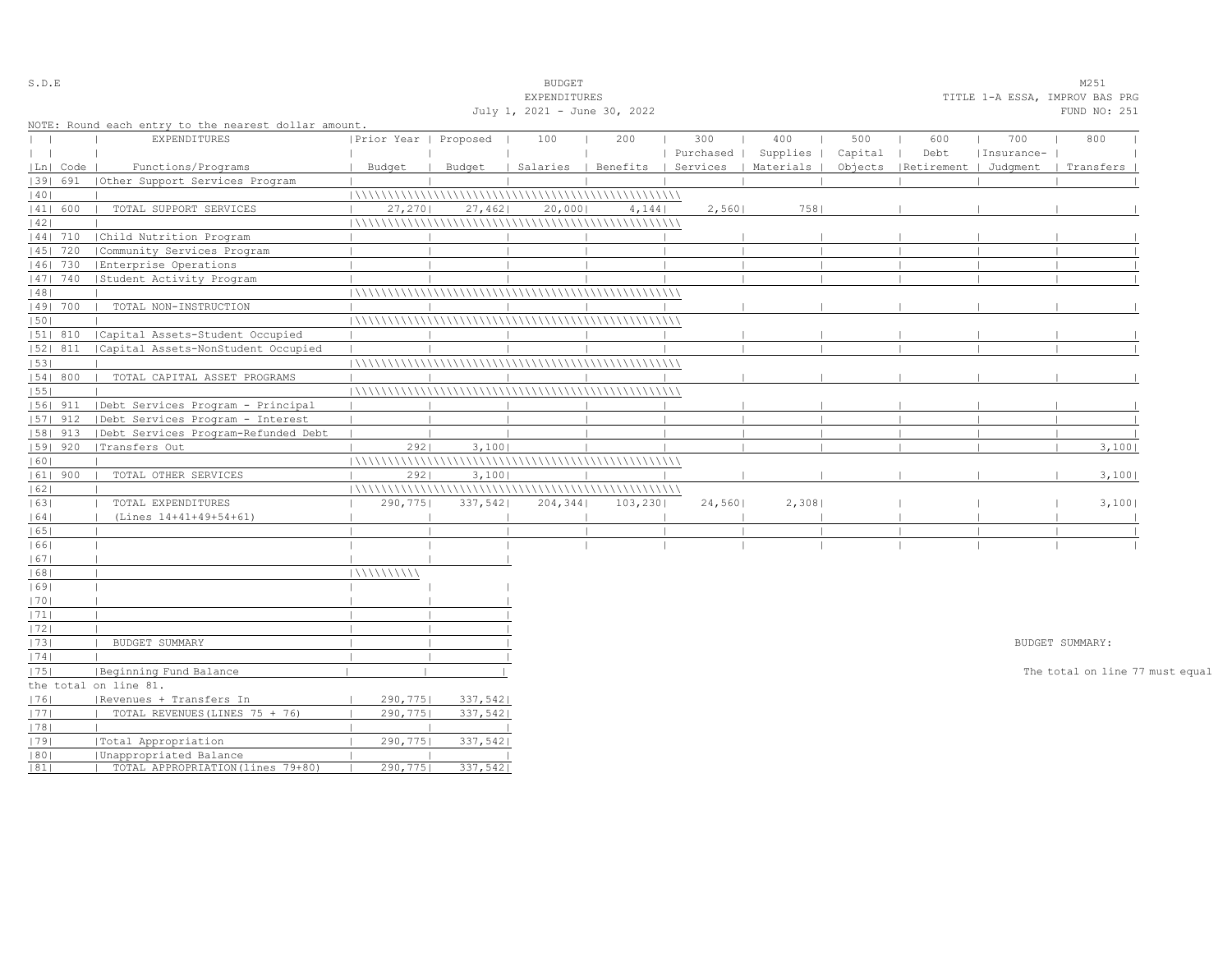| S.D.E                            |            |                                                      |                       |         | <b>BUDGET</b>                |          |           |                                            |         |                                 |            | M251                            |  |
|----------------------------------|------------|------------------------------------------------------|-----------------------|---------|------------------------------|----------|-----------|--------------------------------------------|---------|---------------------------------|------------|---------------------------------|--|
|                                  |            |                                                      |                       |         | EXPENDITURES                 |          |           |                                            |         |                                 |            | TITLE 1-A ESSA, IMPROV BAS PRG  |  |
|                                  |            |                                                      |                       |         | July 1, 2021 - June 30, 2022 |          |           |                                            |         |                                 |            | FUND NO: 251                    |  |
|                                  |            | NOTE: Round each entry to the nearest dollar amount. |                       |         |                              |          |           |                                            |         |                                 |            |                                 |  |
| $\begin{array}{ccc} \end{array}$ |            | <b>EXPENDITURES</b>                                  | Prior Year   Proposed |         | 100                          | 200      | 300       | 400                                        | 500     | 600                             | 700        | 800                             |  |
| $\mathbf{1}$                     |            |                                                      |                       |         |                              |          | Purchased | Supplies                                   | Capital | Debt                            | Insurance- |                                 |  |
|                                  | Ln   Code  | Functions/Programs                                   | Budget                | Budget  |                              |          |           | Salaries   Benefits   Services   Materials |         | Objects   Retirement   Judgment |            | Transfers                       |  |
|                                  | 1391 691   | (Other Support Services Program                      |                       |         |                              |          |           |                                            |         |                                 |            |                                 |  |
| 40                               |            |                                                      |                       |         |                              |          |           |                                            |         |                                 |            |                                 |  |
|                                  | 41  600    | TOTAL SUPPORT SERVICES                               | 27,270                | 27,462  | 20,000                       | 4,144    | 2,560     | 758                                        |         |                                 |            |                                 |  |
| 42                               |            |                                                      |                       |         |                              |          |           |                                            |         |                                 |            |                                 |  |
|                                  | 44  710    | Child Nutrition Program                              |                       |         |                              |          |           |                                            |         |                                 |            |                                 |  |
|                                  | 45   720   | Community Services Program                           |                       |         |                              |          |           |                                            |         |                                 |            |                                 |  |
|                                  | 46  730    | Enterprise Operations                                |                       |         |                              |          |           |                                            |         |                                 |            |                                 |  |
|                                  | 47  740    | Student Activity Program                             |                       |         |                              |          |           |                                            |         |                                 |            |                                 |  |
| 48                               |            |                                                      |                       |         |                              |          |           |                                            |         |                                 |            |                                 |  |
|                                  | 49  700    | TOTAL NON-INSTRUCTION                                |                       |         |                              |          |           |                                            |         |                                 |            |                                 |  |
| 50                               |            |                                                      |                       |         |                              |          |           |                                            |         |                                 |            |                                 |  |
|                                  | 51  810    | Capital Assets-Student Occupied                      |                       |         |                              |          |           |                                            |         |                                 |            |                                 |  |
|                                  | 52  811    | Capital Assets-NonStudent Occupied                   |                       |         |                              |          |           |                                            |         |                                 |            |                                 |  |
| 53                               |            |                                                      |                       |         |                              |          |           |                                            |         |                                 |            |                                 |  |
|                                  | 54   800   | TOTAL CAPITAL ASSET PROGRAMS                         |                       |         |                              |          |           |                                            |         |                                 |            |                                 |  |
| 55                               |            |                                                      |                       |         |                              |          |           |                                            |         |                                 |            |                                 |  |
|                                  | 56  911    | Debt Services Program - Principal                    |                       |         |                              |          |           |                                            |         |                                 |            |                                 |  |
|                                  | $ 57 $ 912 | Debt Services Program - Interest                     |                       |         |                              |          |           |                                            |         |                                 |            |                                 |  |
|                                  |            |                                                      |                       |         |                              |          |           |                                            |         |                                 |            |                                 |  |
|                                  | $ 58 $ 913 | Debt Services Program-Refunded Debt                  |                       |         |                              |          |           |                                            |         |                                 |            |                                 |  |
|                                  | $ 59 $ 920 | Transfers Out                                        | 2921                  | 3,100   |                              |          |           |                                            |         |                                 |            | 3,100                           |  |
| 60                               |            |                                                      |                       |         |                              |          |           |                                            |         |                                 |            |                                 |  |
|                                  | $ 61 $ 900 | TOTAL OTHER SERVICES                                 | 2921                  | 3,100   |                              |          |           |                                            |         |                                 |            | 3,100                           |  |
| 62                               |            |                                                      |                       |         |                              |          |           |                                            |         |                                 |            |                                 |  |
| 63                               |            | TOTAL EXPENDITURES                                   | 290,775               | 337,542 | 204, 344                     | 103, 230 | 24,560    | 2,308                                      |         |                                 |            | 3,100                           |  |
| 64                               |            | (Lines 14+41+49+54+61)                               |                       |         |                              |          |           |                                            |         |                                 |            |                                 |  |
| 65                               |            |                                                      |                       |         |                              |          |           |                                            |         |                                 |            |                                 |  |
| 1661                             |            |                                                      |                       |         |                              |          |           |                                            |         |                                 |            |                                 |  |
| 67                               |            |                                                      |                       |         |                              |          |           |                                            |         |                                 |            |                                 |  |
| 68                               |            |                                                      | 111111111111          |         |                              |          |           |                                            |         |                                 |            |                                 |  |
| 1691                             |            |                                                      |                       |         |                              |          |           |                                            |         |                                 |            |                                 |  |
| 70                               |            |                                                      |                       |         |                              |          |           |                                            |         |                                 |            |                                 |  |
| 71                               |            |                                                      |                       |         |                              |          |           |                                            |         |                                 |            |                                 |  |
| 72                               |            |                                                      |                       |         |                              |          |           |                                            |         |                                 |            |                                 |  |
| 73                               |            | BUDGET SUMMARY                                       |                       |         |                              |          |           |                                            |         |                                 |            | BUDGET SUMMARY:                 |  |
| 74                               |            |                                                      |                       |         |                              |          |           |                                            |         |                                 |            |                                 |  |
| 75                               |            | Beginning Fund Balance                               |                       |         |                              |          |           |                                            |         |                                 |            | The total on line 77 must equal |  |
|                                  |            | the total on line 81.                                |                       |         |                              |          |           |                                            |         |                                 |            |                                 |  |
| 76                               |            | Revenues + Transfers In                              | 290,7751              | 337,542 |                              |          |           |                                            |         |                                 |            |                                 |  |
| 77                               |            | TOTAL REVENUES (LINES 75 + 76)                       | 290,7751              | 337,542 |                              |          |           |                                            |         |                                 |            |                                 |  |
| 78                               |            |                                                      |                       |         |                              |          |           |                                            |         |                                 |            |                                 |  |
| 79                               |            | Total Appropriation                                  | 290,775               | 337,542 |                              |          |           |                                            |         |                                 |            |                                 |  |
| 80                               |            | Unappropriated Balance                               |                       |         |                              |          |           |                                            |         |                                 |            |                                 |  |
| 81                               |            | TOTAL APPROPRIATION (lines 79+80)                    | 290,775               | 337,542 |                              |          |           |                                            |         |                                 |            |                                 |  |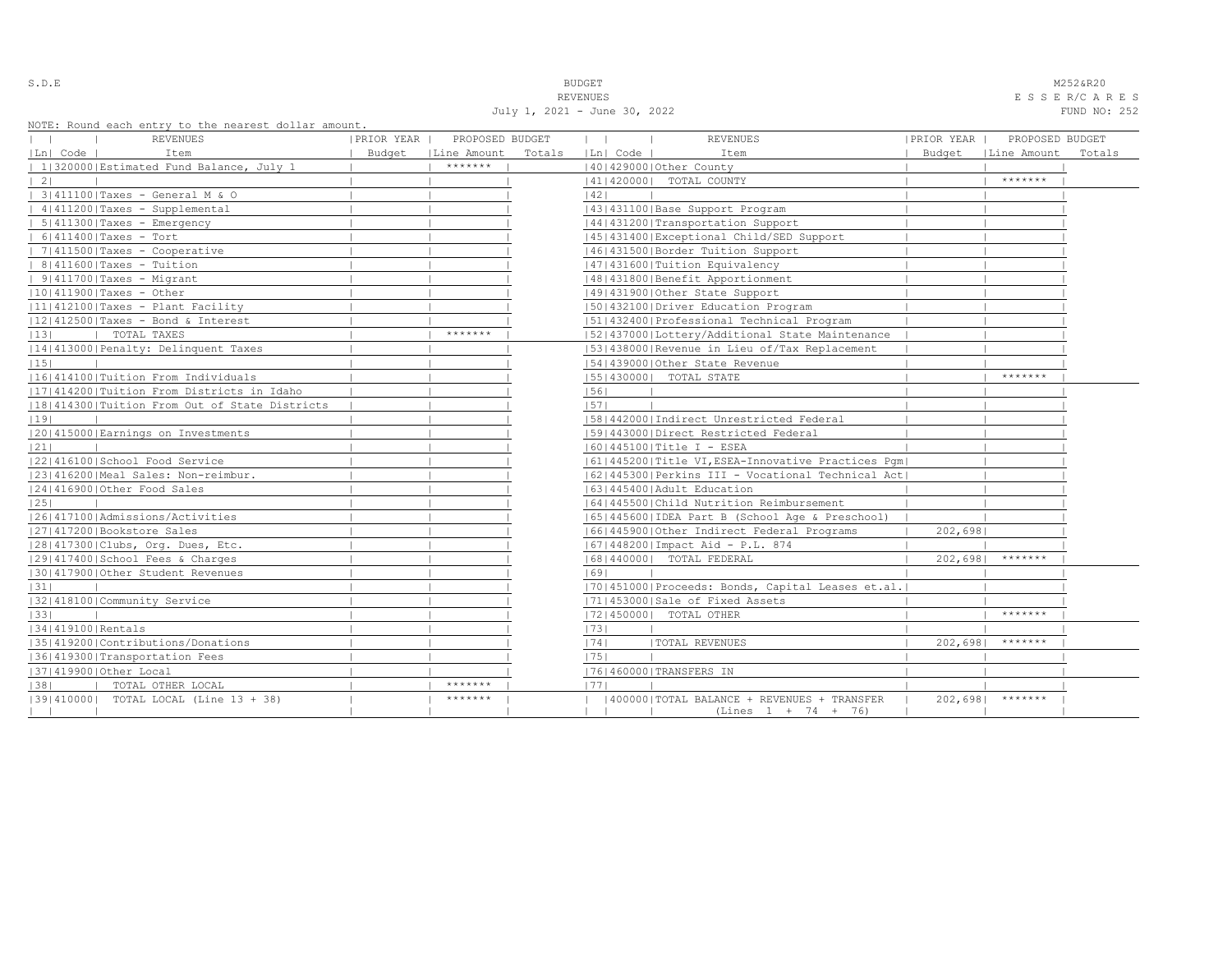July 1, 2021 - June 30, 2022 FUND NO: 252

S.D.E **BUDGET** M252&R20 REVENUES E S S E R/C A R E S

| NOIL, ROUNQ BACH BNULY LO LNB NBALBSL QOILAL AMOUNL.<br><b>REVENUES</b> | PRIOR YEAR | PROPOSED BUDGET |        | $\mathbf{1}$ | <b>REVENUES</b>                                      | PRIOR YEAR | PROPOSED BUDGET |        |
|-------------------------------------------------------------------------|------------|-----------------|--------|--------------|------------------------------------------------------|------------|-----------------|--------|
| Ln  Code  <br>Item                                                      | Budget     | Line Amount     | Totals | Ln  Code     | Item                                                 | Budget     | Line Amount     | Totals |
| 1 320000 Estimated Fund Balance, July 1                                 |            | $*********$     |        |              | 140142900010ther County                              |            |                 |        |
| 21                                                                      |            |                 |        |              | 41   420000   TOTAL COUNTY                           |            | *******         |        |
| 3 411100 Taxes - General M & O                                          |            |                 |        | 42           |                                                      |            |                 |        |
| 4   411200   Taxes - Supplemental                                       |            |                 |        |              | 43   431100   Base Support Program                   |            |                 |        |
| $5 411300 $ Taxes - Emergency                                           |            |                 |        |              | 44   431200   Transportation Support                 |            |                 |        |
| $6 411400 $ Taxes - Tort                                                |            |                 |        |              | 45   431400   Exceptional Child/SED Support          |            |                 |        |
| 7   411500   Taxes - Cooperative                                        |            |                 |        |              | 46  431500   Border Tuition Support                  |            |                 |        |
| $  8 411600 $ Taxes - Tuition                                           |            |                 |        |              | 47   431600   Tuition Equivalency                    |            |                 |        |
| $ 91411700 $ Taxes - Migrant                                            |            |                 |        |              | 48   431800   Benefit Apportionment                  |            |                 |        |
| $ 10 411900 $ Taxes - Other                                             |            |                 |        |              | 49 431900 Other State Support                        |            |                 |        |
| $ 11 412100 $ Taxes - Plant Facility                                    |            |                 |        |              | 50 432100 Driver Education Program                   |            |                 |        |
| 12 412500 Taxes - Bond & Interest                                       |            |                 |        |              | 51 432400 Professional Technical Program             |            |                 |        |
| 13 <br>  TOTAL TAXES                                                    |            | *******         |        |              | 52 437000 Lottery/Additional State Maintenance       |            |                 |        |
| 14 413000 Penalty: Delinquent Taxes                                     |            |                 |        |              | 53 438000 Revenue in Lieu of/Tax Replacement         |            |                 |        |
| 15                                                                      |            |                 |        |              | 154143900010ther State Revenue                       |            |                 |        |
| [16]414100]Tuition From Individuals                                     |            |                 |        |              | 55   430000   TOTAL STATE                            |            | *******         |        |
| 17 414200 Tuition From Districts in Idaho                               |            |                 |        | 56           |                                                      |            |                 |        |
| 18 414300 Tuition From Out of State Districts                           |            |                 |        | 57           |                                                      |            |                 |        |
| 19                                                                      |            |                 |        |              | [58]442000 [Indirect Unrestricted Federal            |            |                 |        |
| 20 415000 Earnings on Investments                                       |            |                 |        |              | 1591443000   Direct Restricted Federal               |            |                 |        |
| 21                                                                      |            |                 |        |              | $ 60 445100 $ Title I - ESEA                         |            |                 |        |
| 22 416100 School Food Service                                           |            |                 |        |              | 61 445200 Title VI, ESEA-Innovative Practices Pqm    |            |                 |        |
| 23 416200 Meal Sales: Non-reimbur.                                      |            |                 |        |              | 62   445300   Perkins III - Vocational Technical Act |            |                 |        |
| 12414169001Other Food Sales                                             |            |                 |        |              | 1631445400 Adult Education                           |            |                 |        |
| 25                                                                      |            |                 |        |              | 1641445500 Child Nutrition Reimbursement             |            |                 |        |
| 1261417100   Admissions/Activities                                      |            |                 |        |              | [65]445600 [IDEA Part B (School Age & Preschool)     |            |                 |        |
| 27 417200 Bookstore Sales                                               |            |                 |        |              | 66 445900 Other Indirect Federal Programs            | 202,698    |                 |        |
| 28 417300 Clubs, Org. Dues, Etc.                                        |            |                 |        |              | 67   448200   Impact Aid - P.L. 874                  |            |                 |        |
| 12914174001School Fees & Charges                                        |            |                 |        |              | 68   440000   TOTAL FEDERAL                          | 202,6981   | *******         |        |
| 130141790010ther Student Revenues                                       |            |                 |        | 1691         |                                                      |            |                 |        |
| 31                                                                      |            |                 |        |              | [70] 451000   Proceeds: Bonds, Capital Leases et.al. |            |                 |        |
| 13214181001Community Service                                            |            |                 |        |              | 71 453000 Sale of Fixed Assets                       |            |                 |        |
| 33                                                                      |            |                 |        |              | 72 450000  TOTAL OTHER                               |            | *******         |        |
| 34   419100   Rentals                                                   |            |                 |        | 73           |                                                      |            |                 |        |
| 35 419200 Contributions/Donations                                       |            |                 |        | 74           | <b>TOTAL REVENUES</b>                                | 202,698    | *******         |        |
| 36 419300 Transportation Fees                                           |            |                 |        | 75           |                                                      |            |                 |        |
| 37   419900   Other Local                                               |            |                 |        |              | 76 460000 TRANSFERS IN                               |            |                 |        |
| TOTAL OTHER LOCAL<br> 38                                                |            | $*********$     |        | 1771         |                                                      |            |                 |        |
| [39] 410000] TOTAL LOCAL (Line 13 + 38)                                 |            | *******         |        |              | 400000 TOTAL BALANCE + REVENUES + TRANSFER           | 202,6981   | *******         |        |
|                                                                         |            |                 |        |              | $(Lines 1 + 74 + 76)$                                |            |                 |        |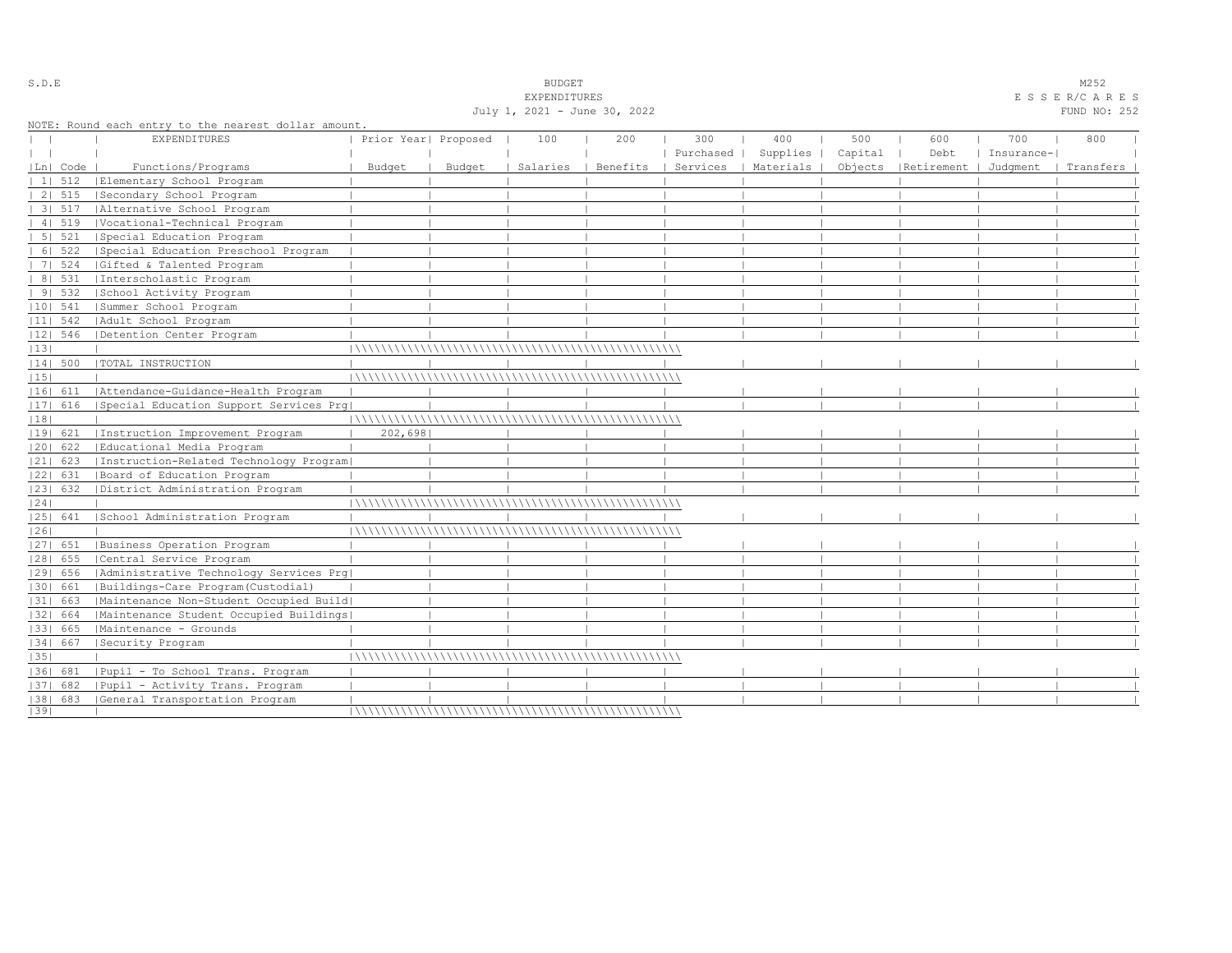|    |                |                                                                            |                      |        | July 1, 2021 - June 30, 2022 |          |           |                      |         |                       |            | FUND NO: 252 |  |
|----|----------------|----------------------------------------------------------------------------|----------------------|--------|------------------------------|----------|-----------|----------------------|---------|-----------------------|------------|--------------|--|
|    |                | NOTE: Round each entry to the nearest dollar amount<br><b>EXPENDITURES</b> | Prior Year  Proposed |        | 100                          | 200      | 300       | 400                  | 500     | 600                   | 700        | 800          |  |
|    |                |                                                                            |                      |        |                              |          | Purchased | Supplies             | Capital | Debt                  | Insurance- |              |  |
|    | Ln   Code      | Functions/Programs                                                         | Budget               | Budget | Salaries                     | Benefits |           | Services   Materials | Objects | Retirement   Judgment |            | Transfers    |  |
|    | $11 \quad 512$ | Elementary School Program                                                  |                      |        |                              |          |           |                      |         |                       |            |              |  |
|    | 2   515        | Secondary School Program                                                   |                      |        |                              |          |           |                      |         |                       |            |              |  |
|    | 3 517          | Alternative School Program                                                 |                      |        |                              |          |           |                      |         |                       |            |              |  |
|    | 4   519        | Vocational-Technical Program                                               |                      |        |                              |          |           |                      |         |                       |            |              |  |
|    | 5 521          | Special Education Program                                                  |                      |        |                              |          |           |                      |         |                       |            |              |  |
|    | 6   522        | Special Education Preschool Program                                        |                      |        |                              |          |           |                      |         |                       |            |              |  |
|    | 7   524        | Gifted & Talented Program                                                  |                      |        |                              |          |           |                      |         |                       |            |              |  |
|    | 8   531        | Interscholastic Program                                                    |                      |        |                              |          |           |                      |         |                       |            |              |  |
|    | 91532          | School Activity Program                                                    |                      |        |                              |          |           |                      |         |                       |            |              |  |
|    | $ 10 $ 541     | Summer School Program                                                      |                      |        |                              |          |           |                      |         |                       |            |              |  |
|    | $ 11 $ 542     | Adult School Program                                                       |                      |        |                              |          |           |                      |         |                       |            |              |  |
|    | 12  546        | Detention Center Program                                                   |                      |        |                              |          |           |                      |         |                       |            |              |  |
| 13 |                |                                                                            |                      |        |                              |          |           |                      |         |                       |            |              |  |
|    | 14  500        | TOTAL INSTRUCTION                                                          |                      |        |                              |          |           |                      |         |                       |            |              |  |
| 15 |                |                                                                            |                      |        |                              |          |           |                      |         |                       |            |              |  |
|    | 16  611        | Attendance-Guidance-Health Program                                         |                      |        |                              |          |           |                      |         |                       |            |              |  |
|    | 17  616        | Special Education Support Services Prq                                     |                      |        |                              |          |           |                      |         |                       |            |              |  |
| 18 |                |                                                                            |                      |        |                              |          |           |                      |         |                       |            |              |  |
|    | 19  621        | Instruction Improvement Program                                            | 202,698              |        |                              |          |           |                      |         |                       |            |              |  |
|    | $ 20 $ 622     | Educational Media Program                                                  |                      |        |                              |          |           |                      |         |                       |            |              |  |
|    | $ 21 $ 623     | [Instruction-Related Technology Program]                                   |                      |        |                              |          |           |                      |         |                       |            |              |  |
|    | 22  631        | Board of Education Program                                                 |                      |        |                              |          |           |                      |         |                       |            |              |  |
|    | 23  632        | District Administration Program                                            |                      |        |                              |          |           |                      |         |                       |            |              |  |
| 24 |                |                                                                            |                      |        |                              |          |           |                      |         |                       |            |              |  |
|    | 25  641        | School Administration Program                                              |                      |        |                              |          |           |                      |         |                       |            |              |  |
| 26 |                |                                                                            |                      |        |                              |          |           |                      |         |                       |            |              |  |
|    | 27  651        | Business Operation Program                                                 |                      |        |                              |          |           |                      |         |                       |            |              |  |
|    | $ 28 $ 655     | Central Service Program                                                    |                      |        |                              |          |           |                      |         |                       |            |              |  |
|    | 29  656        | Administrative Technology Services Prg                                     |                      |        |                              |          |           |                      |         |                       |            |              |  |
|    | 30  661        | Buildings-Care Program(Custodial)                                          |                      |        |                              |          |           |                      |         |                       |            |              |  |
|    | 31  663        | Maintenance Non-Student Occupied Build                                     |                      |        |                              |          |           |                      |         |                       |            |              |  |
|    | 32  664        | Maintenance Student Occupied Buildings                                     |                      |        |                              |          |           |                      |         |                       |            |              |  |
|    | 33  665        | Maintenance - Grounds                                                      |                      |        |                              |          |           |                      |         |                       |            |              |  |
|    | 34  667        | Security Program                                                           |                      |        |                              |          |           |                      |         |                       |            |              |  |
| 35 |                |                                                                            |                      |        |                              |          |           |                      |         |                       |            |              |  |
|    |                | 36  681   Pupil - To School Trans. Program                                 |                      |        |                              |          |           |                      |         |                       |            |              |  |
|    | 37  682        | Pupil - Activity Trans. Program                                            |                      |        |                              |          |           |                      |         |                       |            |              |  |
|    | $ 38 $ 683     | General Transportation Program                                             |                      |        |                              |          |           |                      |         |                       |            |              |  |
| 39 |                |                                                                            |                      |        |                              |          |           |                      |         |                       |            |              |  |

S.D.E SOME SALE SOME STRAINING STRAINING STRAINING STRAINING STRAINING STRAINING STRAINING STRAINING STRAINING STRAINING STRAINING STRAINING STRAINING STRAINING STRAINING STRAINING STRAINING STRAINING STRAINING STRAINING S

EXPENDITURES E S S E R/C A R E S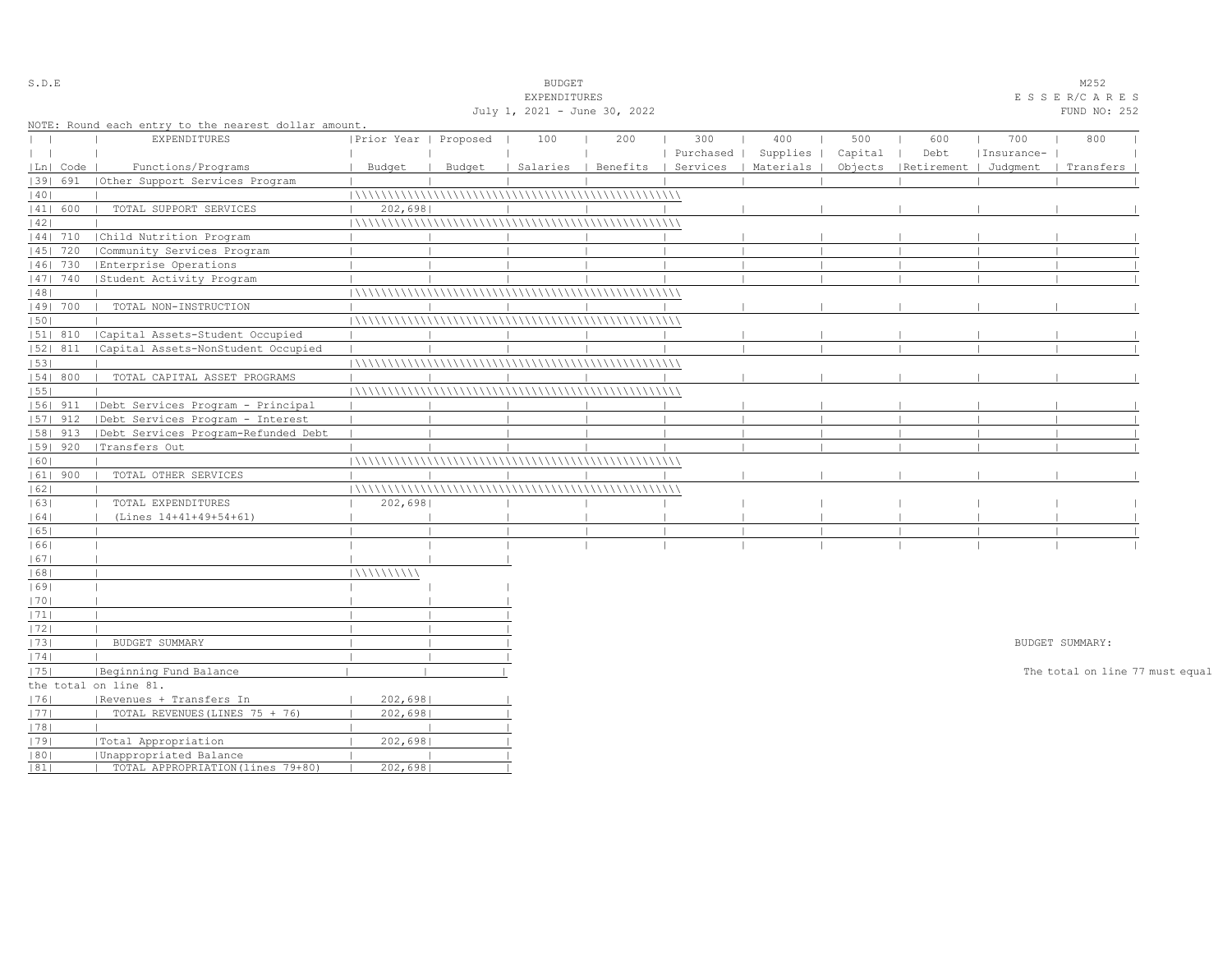| S.D.E         |            |                                                      |                       |        | <b>BUDGET</b>                |                                |           |           |         |                       |            | M252                            |  |
|---------------|------------|------------------------------------------------------|-----------------------|--------|------------------------------|--------------------------------|-----------|-----------|---------|-----------------------|------------|---------------------------------|--|
|               |            |                                                      |                       |        | EXPENDITURES                 |                                |           |           |         |                       |            | ESSER/CARES                     |  |
|               |            |                                                      |                       |        | July 1, 2021 - June 30, 2022 |                                |           |           |         |                       |            | FUND NO: 252                    |  |
|               |            | NOTE: Round each entry to the nearest dollar amount. |                       |        |                              |                                |           |           |         |                       |            |                                 |  |
| $\mathbf{L}$  |            | <b>EXPENDITURES</b>                                  | Prior Year   Proposed |        | 100                          | 200                            | 300       | 400       | 500     | 600                   | 700        | 800                             |  |
| $\vert \vert$ |            |                                                      |                       |        |                              |                                | Purchased | Supplies  | Capital | Debt                  | Insurance- |                                 |  |
|               | Ln   Code  | Functions/Programs                                   | Budget                | Budget |                              | Salaries   Benefits   Services |           | Materials | Objects | Retirement   Judgment |            | Transfers                       |  |
|               | 39  691    | Other Support Services Program                       |                       |        |                              |                                |           |           |         |                       |            |                                 |  |
| 40            |            |                                                      |                       |        |                              |                                |           |           |         |                       |            |                                 |  |
|               | 41  600    | TOTAL SUPPORT SERVICES                               | 202,698               |        |                              |                                |           |           |         |                       |            |                                 |  |
| 42            |            |                                                      |                       |        |                              |                                |           |           |         |                       |            |                                 |  |
|               | $ 44 $ 710 | Child Nutrition Program                              |                       |        |                              |                                |           |           |         |                       |            |                                 |  |
|               | 45   720   | Community Services Program                           |                       |        |                              |                                |           |           |         |                       |            |                                 |  |
|               | 46  730    | Enterprise Operations                                |                       |        |                              |                                |           |           |         |                       |            |                                 |  |
|               | 47  740    | Student Activity Program                             |                       |        |                              |                                |           |           |         |                       |            |                                 |  |
| 48            |            |                                                      |                       |        |                              |                                |           |           |         |                       |            |                                 |  |
|               | 49  700    | TOTAL NON-INSTRUCTION                                |                       |        |                              |                                |           |           |         |                       |            |                                 |  |
| 50            |            |                                                      |                       |        |                              |                                |           |           |         |                       |            |                                 |  |
|               | 51  810    | Capital Assets-Student Occupied                      |                       |        |                              |                                |           |           |         |                       |            |                                 |  |
|               | 52  811    | Capital Assets-NonStudent Occupied                   |                       |        |                              |                                |           |           |         |                       |            |                                 |  |
| 53            |            |                                                      |                       |        |                              |                                |           |           |         |                       |            |                                 |  |
|               | 54   800   | TOTAL CAPITAL ASSET PROGRAMS                         |                       |        |                              |                                |           |           |         |                       |            |                                 |  |
| 55            |            |                                                      |                       |        |                              |                                |           |           |         |                       |            |                                 |  |
|               | $ 56 $ 911 | Debt Services Program - Principal                    |                       |        |                              |                                |           |           |         |                       |            |                                 |  |
|               | $ 57 $ 912 | Debt Services Program - Interest                     |                       |        |                              |                                |           |           |         |                       |            |                                 |  |
|               |            |                                                      |                       |        |                              |                                |           |           |         |                       |            |                                 |  |
|               | 58  913    | Debt Services Program-Refunded Debt                  |                       |        |                              |                                |           |           |         |                       |            |                                 |  |
|               | 59   920   | Transfers Out                                        |                       |        |                              |                                |           |           |         |                       |            |                                 |  |
| 60            |            |                                                      |                       |        |                              |                                |           |           |         |                       |            |                                 |  |
|               | $ 61 $ 900 | TOTAL OTHER SERVICES                                 |                       |        |                              |                                |           |           |         |                       |            |                                 |  |
| 62            |            |                                                      |                       |        |                              |                                |           |           |         |                       |            |                                 |  |
| 63            |            | TOTAL EXPENDITURES                                   | 202,698               |        |                              |                                |           |           |         |                       |            |                                 |  |
| 64            |            | (Lines 14+41+49+54+61)                               |                       |        |                              |                                |           |           |         |                       |            |                                 |  |
| 65            |            |                                                      |                       |        |                              |                                |           |           |         |                       |            |                                 |  |
| 66            |            |                                                      |                       |        |                              |                                |           |           |         |                       |            |                                 |  |
| 67            |            |                                                      |                       |        |                              |                                |           |           |         |                       |            |                                 |  |
| 68            |            |                                                      | 111111111111          |        |                              |                                |           |           |         |                       |            |                                 |  |
| 69            |            |                                                      |                       |        |                              |                                |           |           |         |                       |            |                                 |  |
| 70            |            |                                                      |                       |        |                              |                                |           |           |         |                       |            |                                 |  |
| 1711          |            |                                                      |                       |        |                              |                                |           |           |         |                       |            |                                 |  |
| 72            |            |                                                      |                       |        |                              |                                |           |           |         |                       |            |                                 |  |
| 73            |            | BUDGET SUMMARY                                       |                       |        |                              |                                |           |           |         |                       |            | BUDGET SUMMARY:                 |  |
| 74            |            |                                                      |                       |        |                              |                                |           |           |         |                       |            |                                 |  |
| 75            |            | Beginning Fund Balance                               |                       |        |                              |                                |           |           |         |                       |            | The total on line 77 must equal |  |
|               |            | the total on line 81.                                |                       |        |                              |                                |           |           |         |                       |            |                                 |  |
| 76            |            | Revenues + Transfers In                              | 202,6981              |        |                              |                                |           |           |         |                       |            |                                 |  |
| 77            |            | TOTAL REVENUES (LINES 75 + 76)                       | 202,698               |        |                              |                                |           |           |         |                       |            |                                 |  |
| 78            |            |                                                      |                       |        |                              |                                |           |           |         |                       |            |                                 |  |
| 79            |            | Total Appropriation                                  | 202,698               |        |                              |                                |           |           |         |                       |            |                                 |  |
| 80            |            | Unappropriated Balance                               |                       |        |                              |                                |           |           |         |                       |            |                                 |  |
| 81            |            | TOTAL APPROPRIATION (lines 79+80)                    | 202,698               |        |                              |                                |           |           |         |                       |            |                                 |  |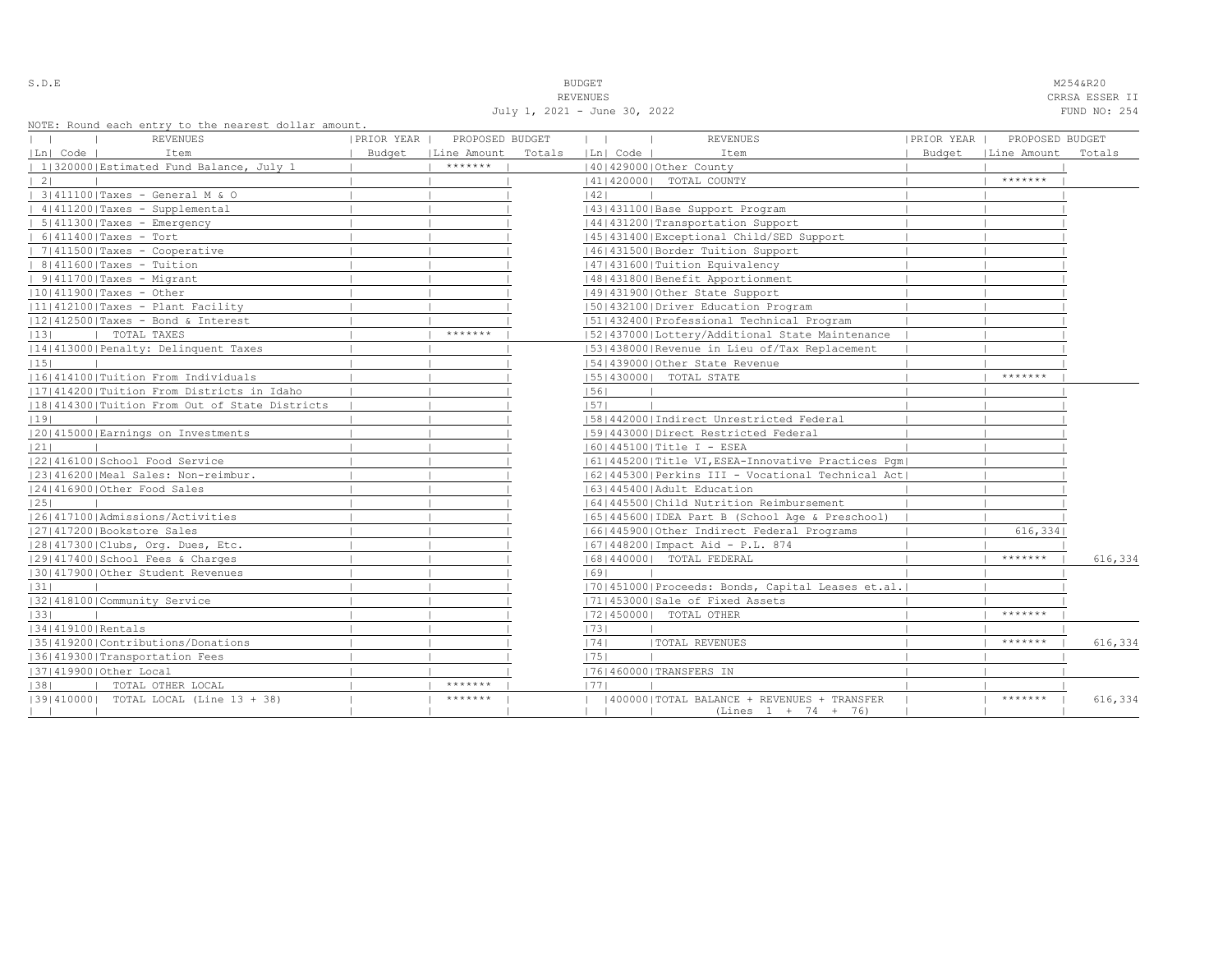S.D.E NOTE THAT IS A RESOLUTION OF THE SECOND MASS IN THE SECOND MASS OF THE MASS OF THE MASS OF THE MASS OF THE MASS OF THE MASS OF THE MASS OF THE MASS OF THE MASS OF THE MASS OF THE MASS OF THE MASS OF THE MASS OF THE M REVENUES CRRSA ESSER II

|                   |                                                                         |            | July 1, 2021 - June 30, 2022 |              |          |                                                                     |            |                             | FUND NO: 254 |
|-------------------|-------------------------------------------------------------------------|------------|------------------------------|--------------|----------|---------------------------------------------------------------------|------------|-----------------------------|--------------|
| $\vert \ \ \vert$ | NOTE: Round each entry to the nearest dollar amount.<br><b>REVENUES</b> | PRIOR YEAR | PROPOSED BUDGET              | $\mathbf{1}$ |          | <b>REVENUES</b>                                                     | PRIOR YEAR | PROPOSED BUDGET             |              |
| Ln  Code          | Item                                                                    |            | Budget   Line Amount Totals  |              | Ln  Code | Item                                                                |            | Budget   Line Amount Totals |              |
|                   | 1 320000 Estimated Fund Balance, July 1                                 |            | $*********$                  |              |          | 140142900010ther County                                             |            |                             |              |
| $\vert 2 \vert$   |                                                                         |            |                              |              |          | 41   420000   TOTAL COUNTY                                          |            | *******                     |              |
|                   | 3 411100 Taxes - General M & O                                          |            |                              | 1421         |          |                                                                     |            |                             |              |
|                   | 4 411200 Taxes - Supplemental                                           |            |                              |              |          | 43   431100   Base Support Program                                  |            |                             |              |
|                   | $  5 411300 $ Taxes - Emergency                                         |            |                              |              |          | 44   431200   Transportation Support                                |            |                             |              |
|                   | $  6 411400 $ Taxes - Tort                                              |            |                              |              |          | 45 431400 Exceptional Child/SED Support                             |            |                             |              |
|                   | $  7 411500 $ Taxes - Cooperative                                       |            |                              |              |          | 46 431500 Border Tuition Support                                    |            |                             |              |
|                   | $  8 411600 $ Taxes - Tuition                                           |            |                              |              |          | 47   431600   Tuition Equivalency                                   |            |                             |              |
|                   | $  9 411700 $ Taxes - Migrant                                           |            |                              |              |          | 48   431800   Benefit Apportionment                                 |            |                             |              |
|                   | $ 10 411900 $ Taxes - Other                                             |            |                              |              |          | 49 431900 Other State Support                                       |            |                             |              |
|                   | $ 11 412100 $ Taxes - Plant Facility                                    |            |                              |              |          | 50 432100 Driver Education Program                                  |            |                             |              |
|                   | $ 12 412500 $ Taxes - Bond & Interest                                   |            |                              |              |          | 51 432400 Professional Technical Program                            |            |                             |              |
| 13                | TOTAL TAXES                                                             |            | *******                      |              |          | 52 437000 Lottery/Additional State Maintenance                      |            |                             |              |
|                   | 14 413000 Penalty: Delinquent Taxes                                     |            |                              |              |          | 53 438000 Revenue in Lieu of/Tax Replacement                        |            |                             |              |
| 15                |                                                                         |            |                              |              |          | 154143900010ther State Revenue                                      |            |                             |              |
|                   | 1161414100 Tuition From Individuals                                     |            |                              |              |          | 55   430000   TOTAL STATE                                           |            | *******                     |              |
|                   | [17] 414200   Tuition From Districts in Idaho                           |            |                              | 56           |          |                                                                     |            |                             |              |
|                   | 18 414300 Tuition From Out of State Districts                           |            |                              | 57           |          |                                                                     |            |                             |              |
| 19                |                                                                         |            |                              |              |          | [58]442000]Indirect Unrestricted Federal                            |            |                             |              |
|                   | 1201415000 Earnings on Investments                                      |            |                              |              |          | 59 443000 Direct Restricted Federal                                 |            |                             |              |
| 21                |                                                                         |            |                              |              |          | $ 60 445100 $ Title I - ESEA                                        |            |                             |              |
|                   | 22 416100 School Food Service                                           |            |                              |              |          | 61  445200  Title VI, ESEA-Innovative Practices Pgm                 |            |                             |              |
|                   | 23 416200 Meal Sales: Non-reimbur.                                      |            |                              |              |          | 62 445300 Perkins III - Vocational Technical Act                    |            |                             |              |
|                   | 24 416900 Other Food Sales                                              |            |                              |              |          | 1631445400 Adult Education                                          |            |                             |              |
| 25                |                                                                         |            |                              |              |          | 64   445500   Child Nutrition Reimbursement                         |            |                             |              |
|                   | 1261417100 Admissions/Activities                                        |            |                              |              |          | 65  445600  IDEA Part B (School Age & Preschool)                    |            |                             |              |
|                   | 27 417200 Bookstore Sales                                               |            |                              |              |          | 66 445900 Other Indirect Federal Programs                           |            | 616,334                     |              |
|                   | 28 417300 Clubs, Org. Dues, Etc.                                        |            |                              |              |          | $ 67 448200 $ Impact Aid - P.L. 874                                 |            |                             |              |
|                   | 12914174001School Fees & Charges                                        |            |                              |              |          | 68   440000   TOTAL FEDERAL                                         |            | $*********$                 | 616,334      |
|                   | 30 417900 Other Student Revenues                                        |            |                              | 1691         |          |                                                                     |            |                             |              |
| 31                |                                                                         |            |                              |              |          | 70 451000 Proceeds: Bonds, Capital Leases et.al.                    |            |                             |              |
|                   | 32 418100 Community Service                                             |            |                              |              |          | 71 453000 Sale of Fixed Assets                                      |            |                             |              |
| 33                |                                                                         |            |                              |              |          | 17214500001 TOTAL OTHER                                             |            | *******                     |              |
| 34 419100 Rentals |                                                                         |            |                              | 73           |          |                                                                     |            |                             |              |
|                   | 35 419200 Contributions/Donations                                       |            |                              | 1741         |          | <b> TOTAL REVENUES</b>                                              |            | *******                     | 616,334      |
|                   | 36 419300 Transportation Fees                                           |            |                              | 75           |          |                                                                     |            |                             |              |
|                   | 37 419900 Other Local                                                   |            |                              |              |          | 76 460000 TRANSFERS IN                                              |            |                             |              |
| 38                | TOTAL OTHER LOCAL                                                       |            | *******                      | 1771         |          |                                                                     |            |                             |              |
| $\mathbf{1}$      | $ 39 410000 $ TOTAL LOCAL (Line 13 + 38)                                |            | *******                      |              |          | 400000 TOTAL BALANCE + REVENUES + TRANSFER<br>$(Lines 1 + 74 + 76)$ |            | *******                     | 616,334      |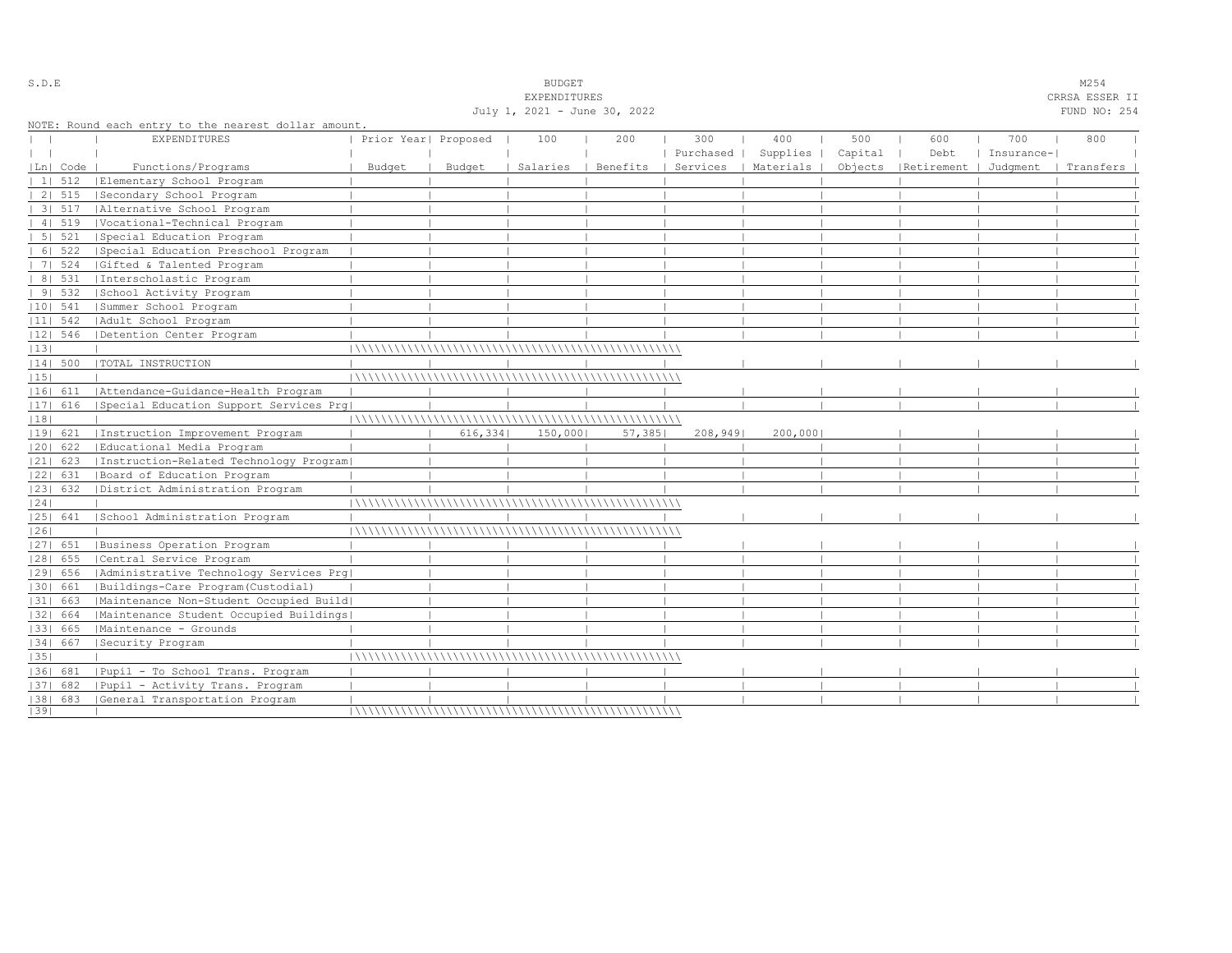|              |            |                                                      |                      |         | July 1, 2021 - June 30, 2022 |          |           |           |         |                                 |            | FUND NO: 254 |  |
|--------------|------------|------------------------------------------------------|----------------------|---------|------------------------------|----------|-----------|-----------|---------|---------------------------------|------------|--------------|--|
|              |            | NOTE: Round each entry to the nearest dollar amount. |                      |         |                              |          |           |           |         |                                 |            |              |  |
|              |            | EXPENDITURES                                         | Prior Year  Proposed |         | 100                          | 200      | 300       | 400       | 500     | 600                             | 700        | 800          |  |
| $\mathbf{1}$ |            |                                                      |                      |         |                              |          | Purchased | Supplies  | Capital | Debt                            | Insurance- |              |  |
|              | Ln  Code   | Functions/Programs                                   | Budget               | Budget  | Salaries                     | Benefits | Services  | Materials |         | Objects   Retirement   Judgment |            | Transfers    |  |
|              | 1 512      | Elementary School Program                            |                      |         |                              |          |           |           |         |                                 |            |              |  |
|              | 2 515      | Secondary School Program                             |                      |         |                              |          |           |           |         |                                 |            |              |  |
|              | 31 517     | Alternative School Program                           |                      |         |                              |          |           |           |         |                                 |            |              |  |
|              | 4   519    | Vocational-Technical Program                         |                      |         |                              |          |           |           |         |                                 |            |              |  |
|              | 5 521      | Special Education Program                            |                      |         |                              |          |           |           |         |                                 |            |              |  |
|              | 6 522      | Special Education Preschool Program                  |                      |         |                              |          |           |           |         |                                 |            |              |  |
|              | 7   524    | Gifted & Talented Program                            |                      |         |                              |          |           |           |         |                                 |            |              |  |
|              | 8   531    | Interscholastic Program                              |                      |         |                              |          |           |           |         |                                 |            |              |  |
|              | 91532      | School Activity Program                              |                      |         |                              |          |           |           |         |                                 |            |              |  |
|              | $ 10 $ 541 | Summer School Program                                |                      |         |                              |          |           |           |         |                                 |            |              |  |
|              | $ 11 $ 542 | Adult School Program                                 |                      |         |                              |          |           |           |         |                                 |            |              |  |
|              | 12  546    | Detention Center Program                             |                      |         |                              |          |           |           |         |                                 |            |              |  |
| 13           |            |                                                      |                      |         |                              |          |           |           |         |                                 |            |              |  |
|              | 14  500    | TOTAL INSTRUCTION                                    |                      |         |                              |          |           |           |         |                                 |            |              |  |
| 15           |            |                                                      |                      |         |                              |          |           |           |         |                                 |            |              |  |
|              | 16  611    | Attendance-Guidance-Health Program                   |                      |         |                              |          |           |           |         |                                 |            |              |  |
|              | $ 17 $ 616 | Special Education Support Services Prq               |                      |         |                              |          |           |           |         |                                 |            |              |  |
| 18           |            |                                                      |                      |         |                              |          |           |           |         |                                 |            |              |  |
|              | 19  621    | Instruction Improvement Program                      |                      | 616,334 | 150,000                      | 57,385   | 208,949   | 200,000   |         |                                 |            |              |  |
|              | 20  622    | Educational Media Program                            |                      |         |                              |          |           |           |         |                                 |            |              |  |
|              | $ 21 $ 623 | [Instruction-Related Technology Program]             |                      |         |                              |          |           |           |         |                                 |            |              |  |
|              | $ 22 $ 631 | Board of Education Program                           |                      |         |                              |          |           |           |         |                                 |            |              |  |
|              | 23  632    | District Administration Program                      |                      |         |                              |          |           |           |         |                                 |            |              |  |
| 24           |            |                                                      |                      |         |                              |          |           |           |         |                                 |            |              |  |
|              | 25  641    | School Administration Program                        |                      |         |                              |          |           |           |         |                                 |            |              |  |
| 26           |            |                                                      |                      |         |                              |          |           |           |         |                                 |            |              |  |
|              | $ 27 $ 651 | Business Operation Program                           |                      |         |                              |          |           |           |         |                                 |            |              |  |
|              | $ 28 $ 655 | Central Service Program                              |                      |         |                              |          |           |           |         |                                 |            |              |  |
|              | 29  656    | Administrative Technology Services Prg               |                      |         |                              |          |           |           |         |                                 |            |              |  |
|              | 30  661    | Buildings-Care Program(Custodial)                    |                      |         |                              |          |           |           |         |                                 |            |              |  |
|              | $ 31 $ 663 | Maintenance Non-Student Occupied Build               |                      |         |                              |          |           |           |         |                                 |            |              |  |
|              | 32  664    | Maintenance Student Occupied Buildings               |                      |         |                              |          |           |           |         |                                 |            |              |  |
|              | 33  665    | Maintenance - Grounds                                |                      |         |                              |          |           |           |         |                                 |            |              |  |
|              | 34  667    | Security Program                                     |                      |         |                              |          |           |           |         |                                 |            |              |  |
| 35           |            |                                                      |                      |         |                              |          |           |           |         |                                 |            |              |  |
|              | 36  681    | Pupil - To School Trans. Program                     |                      |         |                              |          |           |           |         |                                 |            |              |  |
|              | $ 37 $ 682 | Pupil - Activity Trans. Program                      |                      |         |                              |          |           |           |         |                                 |            |              |  |
|              | $ 38 $ 683 | General Transportation Program                       |                      |         |                              |          |           |           |         |                                 |            |              |  |
| 39           |            |                                                      |                      |         |                              |          |           |           |         |                                 |            |              |  |

### S.D.E SOME SALE SOME STRAINING STRAINING STRAINING STRAINING STRAINING STRAINING STRAINING STRAINING STRAINING STRAINING STRAINING STRAINING STRAINING STRAINING STRAINING STRAINING STRAINING STRAINING STRAINING STRAINING S EXPENDITURES CRRSA ESSER II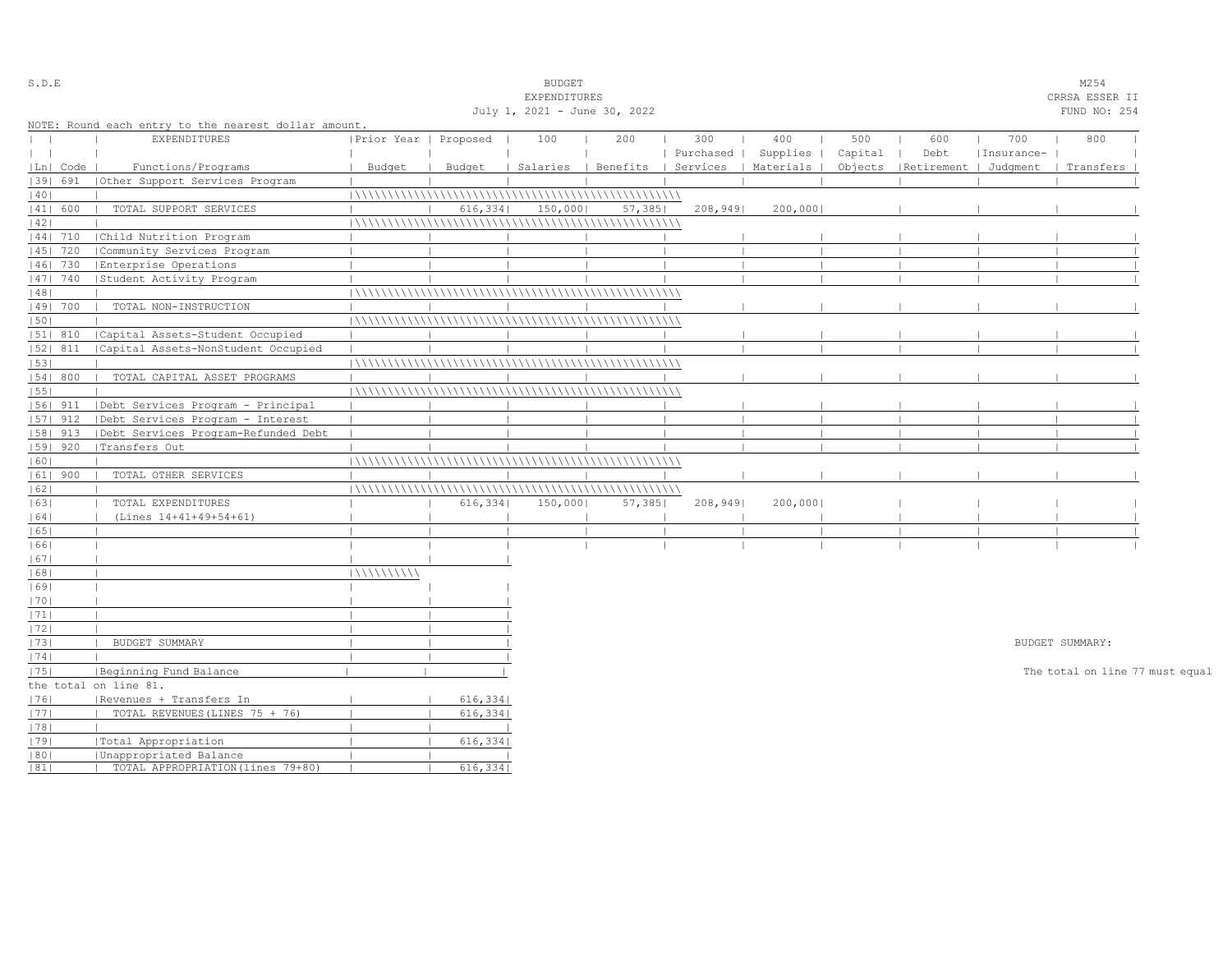| S.D.E         |            |                                                      |                       |          | <b>BUDGET</b>                |        |           |                                            |         |                                 |            | M254                            |  |
|---------------|------------|------------------------------------------------------|-----------------------|----------|------------------------------|--------|-----------|--------------------------------------------|---------|---------------------------------|------------|---------------------------------|--|
|               |            |                                                      |                       |          | EXPENDITURES                 |        |           |                                            |         |                                 |            | CRRSA ESSER II                  |  |
|               |            |                                                      |                       |          | July 1, 2021 - June 30, 2022 |        |           |                                            |         |                                 |            | FUND NO: 254                    |  |
|               |            | NOTE: Round each entry to the nearest dollar amount. |                       |          |                              |        |           |                                            |         |                                 |            |                                 |  |
| $\mathbf{L}$  |            | EXPENDITURES                                         | Prior Year   Proposed |          | 100                          | 200    | 300       | 400                                        | 500     | 600                             | 700        | 800                             |  |
| $\vert \vert$ |            |                                                      |                       |          |                              |        | Purchased | Supplies                                   | Capital | Debt                            | Insurance- |                                 |  |
|               | Ln  Code   | Functions/Programs                                   | Budget                | Budget   |                              |        |           | Salaries   Benefits   Services   Materials |         | Objects   Retirement   Judgment |            | Transfers                       |  |
|               | 1391 691   | Other Support Services Program                       |                       |          |                              |        |           |                                            |         |                                 |            |                                 |  |
| 40            |            |                                                      |                       |          |                              |        |           |                                            |         |                                 |            |                                 |  |
|               | 41  600    | TOTAL SUPPORT SERVICES                               |                       | 616, 334 | 150,000                      | 57,385 | 208,949   | 200,000                                    |         |                                 |            |                                 |  |
| 42            |            |                                                      |                       |          |                              |        |           |                                            |         |                                 |            |                                 |  |
|               | $ 44 $ 710 | Child Nutrition Program                              |                       |          |                              |        |           |                                            |         |                                 |            |                                 |  |
|               | 45   720   | Community Services Program                           |                       |          |                              |        |           |                                            |         |                                 |            |                                 |  |
|               | 46  730    | Enterprise Operations                                |                       |          |                              |        |           |                                            |         |                                 |            |                                 |  |
|               | 47  740    | Student Activity Program                             |                       |          |                              |        |           |                                            |         |                                 |            |                                 |  |
| 48            |            |                                                      |                       |          |                              |        |           |                                            |         |                                 |            |                                 |  |
|               | 49  700    | TOTAL NON-INSTRUCTION                                |                       |          |                              |        |           |                                            |         |                                 |            |                                 |  |
| 50            |            |                                                      |                       |          |                              |        |           |                                            |         |                                 |            |                                 |  |
|               | $ 51 $ 810 | Capital Assets-Student Occupied                      |                       |          |                              |        |           |                                            |         |                                 |            |                                 |  |
|               | 52  811    | Capital Assets-NonStudent Occupied                   |                       |          |                              |        |           |                                            |         |                                 |            |                                 |  |
| 53            |            |                                                      |                       |          |                              |        |           |                                            |         |                                 |            |                                 |  |
|               | 54   800   | TOTAL CAPITAL ASSET PROGRAMS                         |                       |          |                              |        |           |                                            |         |                                 |            |                                 |  |
| 55            |            |                                                      |                       |          |                              |        |           |                                            |         |                                 |            |                                 |  |
|               | $ 56 $ 911 | Debt Services Program - Principal                    |                       |          |                              |        |           |                                            |         |                                 |            |                                 |  |
|               | 57  912    | Debt Services Program - Interest                     |                       |          |                              |        |           |                                            |         |                                 |            |                                 |  |
|               | 58   913   | Debt Services Program-Refunded Debt                  |                       |          |                              |        |           |                                            |         |                                 |            |                                 |  |
|               | 59   920   | Transfers Out                                        |                       |          |                              |        |           |                                            |         |                                 |            |                                 |  |
| 60            |            |                                                      |                       |          |                              |        |           |                                            |         |                                 |            |                                 |  |
|               | $ 61 $ 900 | TOTAL OTHER SERVICES                                 |                       |          |                              |        |           |                                            |         |                                 |            |                                 |  |
| 62            |            |                                                      |                       |          |                              |        |           |                                            |         |                                 |            |                                 |  |
| 63            |            | TOTAL EXPENDITURES                                   |                       | 616,334  | 150,000                      | 57,385 | 208,949   | 200,000                                    |         |                                 |            |                                 |  |
| 64            |            | (Lines 14+41+49+54+61)                               |                       |          |                              |        |           |                                            |         |                                 |            |                                 |  |
| 65            |            |                                                      |                       |          |                              |        |           |                                            |         |                                 |            |                                 |  |
| 1661          |            |                                                      |                       |          |                              |        |           |                                            |         |                                 |            |                                 |  |
| 67            |            |                                                      |                       |          |                              |        |           |                                            |         |                                 |            |                                 |  |
| 68            |            |                                                      | 111111111111          |          |                              |        |           |                                            |         |                                 |            |                                 |  |
| 69            |            |                                                      |                       |          |                              |        |           |                                            |         |                                 |            |                                 |  |
| 70            |            |                                                      |                       |          |                              |        |           |                                            |         |                                 |            |                                 |  |
| 71            |            |                                                      |                       |          |                              |        |           |                                            |         |                                 |            |                                 |  |
| 72            |            |                                                      |                       |          |                              |        |           |                                            |         |                                 |            |                                 |  |
| 73            |            | BUDGET SUMMARY                                       |                       |          |                              |        |           |                                            |         |                                 |            | BUDGET SUMMARY:                 |  |
| 74            |            |                                                      |                       |          |                              |        |           |                                            |         |                                 |            |                                 |  |
| 75            |            | Beginning Fund Balance                               |                       |          |                              |        |           |                                            |         |                                 |            | The total on line 77 must equal |  |
|               |            | the total on line 81.                                |                       |          |                              |        |           |                                            |         |                                 |            |                                 |  |
| 1761          |            | Revenues + Transfers In                              |                       | 616,334  |                              |        |           |                                            |         |                                 |            |                                 |  |
| 1771          |            | TOTAL REVENUES (LINES 75 + 76)                       |                       | 616, 334 |                              |        |           |                                            |         |                                 |            |                                 |  |
| 78            |            |                                                      |                       |          |                              |        |           |                                            |         |                                 |            |                                 |  |
| 79            |            | Total Appropriation                                  |                       | 616,334  |                              |        |           |                                            |         |                                 |            |                                 |  |
| 80            |            | Unappropriated Balance                               |                       |          |                              |        |           |                                            |         |                                 |            |                                 |  |
| 81            |            | TOTAL APPROPRIATION (lines 79+80)                    |                       | 616,334  |                              |        |           |                                            |         |                                 |            |                                 |  |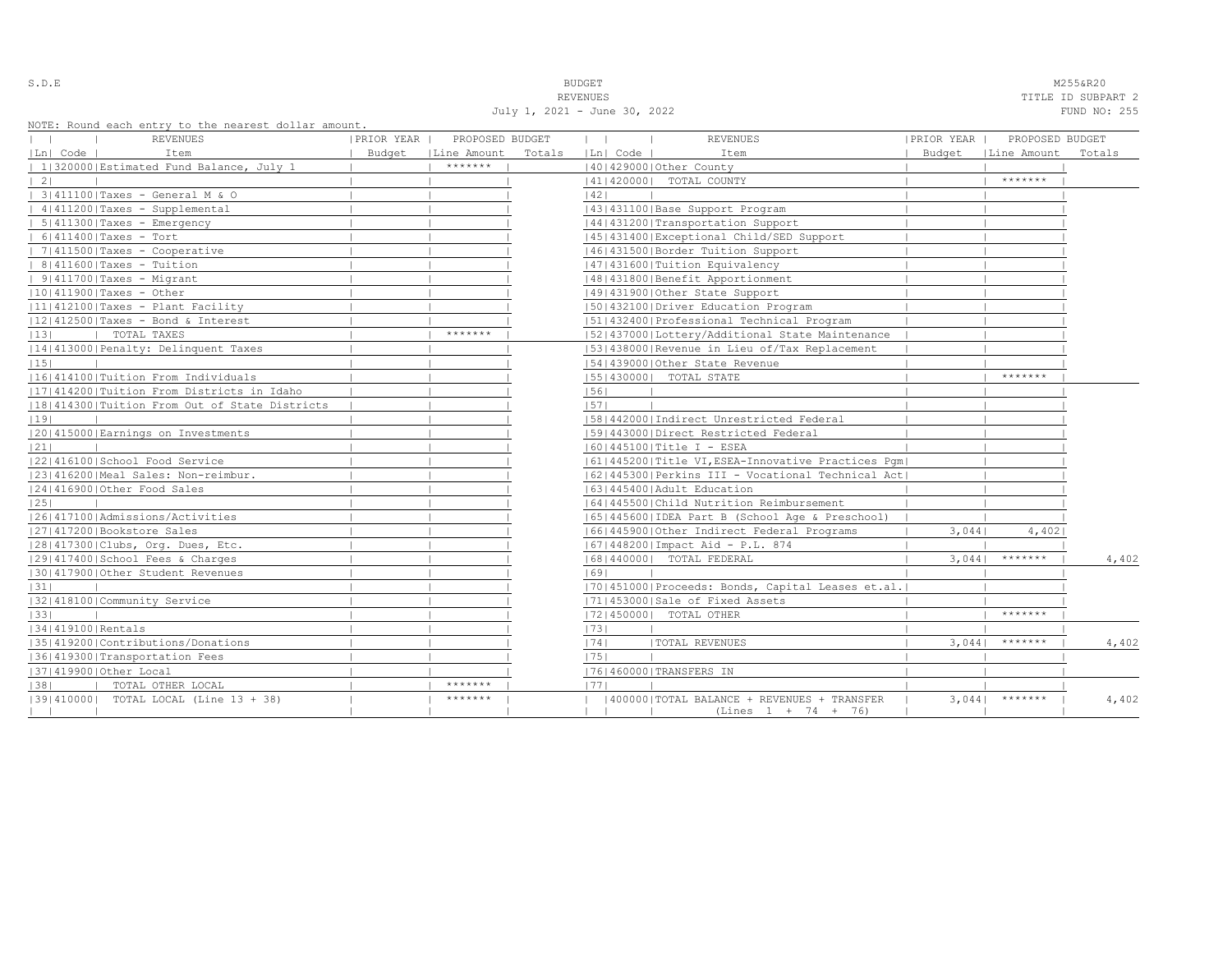S.D.E NOTE: NEXT AND SUDGET MESSAGROUPS AND SUDGET MANUSCRIPT OF A SUBSEXUAL MANUSCRIPT OF A SUBSEXUAL MANUSCRIPT OF A SUBSEXUAL MANUSCRIPT OF A SUBSEXUAL MANUSCRIPT OF A SUBSEXUAL MANUSCRIPT OF A SUBSEXUAL MANUSCRIPT OF A

 REVENUES TITLE ID SUBPART 2 July 1, 2021 - June 30, 2022 FUND NO: 255

|  |  |  | NOTE: Round each entry to the nearest dollar amount. |  |
|--|--|--|------------------------------------------------------|--|
|  |  |  |                                                      |  |

| NOIL. NOUNG CACH CHILLY LO LHC HEALEST GOILAL AMOUNT. |                      |                 |        |                              |                                                      |            |                      |        |
|-------------------------------------------------------|----------------------|-----------------|--------|------------------------------|------------------------------------------------------|------------|----------------------|--------|
| REVENUES                                              | PRIOR YEAR           | PROPOSED BUDGET |        | $\mathbf{1}$<br>$\mathbf{1}$ | <b>REVENUES</b>                                      | PRIOR YEAR | PROPOSED BUDGET      |        |
| Ln  Code  <br>Item                                    | Budget   Line Amount |                 | Totals | Ln  Code                     | Item                                                 |            | Budget   Line Amount | Totals |
| 1 320000 Estimated Fund Balance, July 1               |                      | *******         |        |                              | 40   429000   Other County                           |            |                      |        |
| $\vert 2 \vert$                                       |                      |                 |        |                              | 41   420000   TOTAL COUNTY                           |            | *******              |        |
| 3 411100 Taxes - General M & O                        |                      |                 |        | 42                           |                                                      |            |                      |        |
| $ 4 411200 $ Taxes - Supplemental                     |                      |                 |        |                              | 43   431100   Base Support Program                   |            |                      |        |
| $  5 411300 $ Taxes - Emergency                       |                      |                 |        |                              | 14414312001Transportation Support                    |            |                      |        |
| $  6 411400 $ Taxes - Tort                            |                      |                 |        |                              | 45   431400   Exceptional Child/SED Support          |            |                      |        |
| $  7 411500 $ Taxes - Cooperative                     |                      |                 |        |                              | 1461431500 Border Tuition Support                    |            |                      |        |
| $  8 411600 $ Taxes - Tuition                         |                      |                 |        |                              | 1471431600   Tuition Equivalency                     |            |                      |        |
| $  9 411700 $ Taxes - Migrant                         |                      |                 |        |                              | 1481431800   Benefit Apportionment                   |            |                      |        |
| $ 10 411900 $ Taxes - Other                           |                      |                 |        |                              | 49 431900 Other State Support                        |            |                      |        |
| $ 11 412100 $ Taxes - Plant Facility                  |                      |                 |        |                              | 50 432100 Driver Education Program                   |            |                      |        |
| $ 12 412500 $ Taxes - Bond & Interest                 |                      |                 |        |                              | 15114324001Professional Technical Program            |            |                      |        |
| 13 <br>  TOTAL TAXES                                  |                      | *******         |        |                              | 52 437000 Lottery/Additional State Maintenance       |            |                      |        |
| 14 413000 Penalty: Delinquent Taxes                   |                      |                 |        |                              | [53] 438000 Revenue in Lieu of/Tax Replacement       |            |                      |        |
| 15                                                    |                      |                 |        |                              | 154143900010ther State Revenue                       |            |                      |        |
| 16 414100 Tuition From Individuals                    |                      |                 |        |                              | 55   430000   TOTAL STATE                            |            | *******              |        |
| [17] 414200   Tuition From Districts in Idaho         |                      |                 |        | 56                           |                                                      |            |                      |        |
| 18 414300 Tuition From Out of State Districts         |                      |                 |        | 57                           |                                                      |            |                      |        |
| 19                                                    |                      |                 |        |                              | 15814420001Indirect Unrestricted Federal             |            |                      |        |
| 20 415000 Earnings on Investments                     |                      |                 |        |                              | 1591443000   Direct Restricted Federal               |            |                      |        |
| 21                                                    |                      |                 |        |                              | $ 60 445100 $ Title I - ESEA                         |            |                      |        |
| 22 416100 School Food Service                         |                      |                 |        |                              | 61 445200 Title VI, ESEA-Innovative Practices Pqm    |            |                      |        |
| 23 416200 Meal Sales: Non-reimbur.                    |                      |                 |        |                              | 62   445300   Perkins III - Vocational Technical Act |            |                      |        |
| 12414169001Other Food Sales                           |                      |                 |        |                              | 1631445400 Adult Education                           |            |                      |        |
| 25                                                    |                      |                 |        |                              | 1641445500 Child Nutrition Reimbursement             |            |                      |        |
| 1261417100   Admissions/Activities                    |                      |                 |        |                              | 65 445600 IDEA Part B (School Age & Preschool)       |            |                      |        |
| 27 417200 Bookstore Sales                             |                      |                 |        |                              | 16614459001Other Indirect Federal Programs           | 3,044      | 4,402                |        |
| 28 417300 Clubs, Org. Dues, Etc.                      |                      |                 |        |                              | $ 67 448200 $ Impact Aid - P.L. 874                  |            |                      |        |
| 12914174001School Fees & Charges                      |                      |                 |        |                              | 68   440000   TOTAL FEDERAL                          | 3.0441     | *******              | 4,402  |
| 130141790010ther Student Revenues                     |                      |                 |        | 69                           |                                                      |            |                      |        |
| 31                                                    |                      |                 |        |                              | [70] 451000 Proceeds: Bonds, Capital Leases et.al.   |            |                      |        |
| 32 418100 Community Service                           |                      |                 |        |                              | 71 453000 Sale of Fixed Assets                       |            |                      |        |
| 33                                                    |                      |                 |        |                              | 17214500001 TOTAL OTHER                              |            | *******              |        |
| 34 419100 Rentals                                     |                      |                 |        | 73                           |                                                      |            |                      |        |
| 13514192001Contributions/Donations                    |                      |                 |        | 74                           | TOTAL REVENUES                                       | 3.0441     | $******$             | 4,402  |
| 36 419300 Transportation Fees                         |                      |                 |        | 1751                         |                                                      |            |                      |        |
| 37 419900 Other Local                                 |                      |                 |        |                              | 17614600001TRANSFERS IN                              |            |                      |        |
| TOTAL OTHER LOCAL<br> 38                              |                      | *******         |        | 1771                         |                                                      |            |                      |        |
| [39] 410000] TOTAL LOCAL (Line 13 + 38)               |                      | *******         |        |                              | (400000) TOTAL BALANCE + REVENUES + TRANSFER         |            | $3,0441$ *******     | 4,402  |
| $\perp$                                               |                      |                 |        |                              | $(Lines 1 + 74 + 76)$                                |            |                      |        |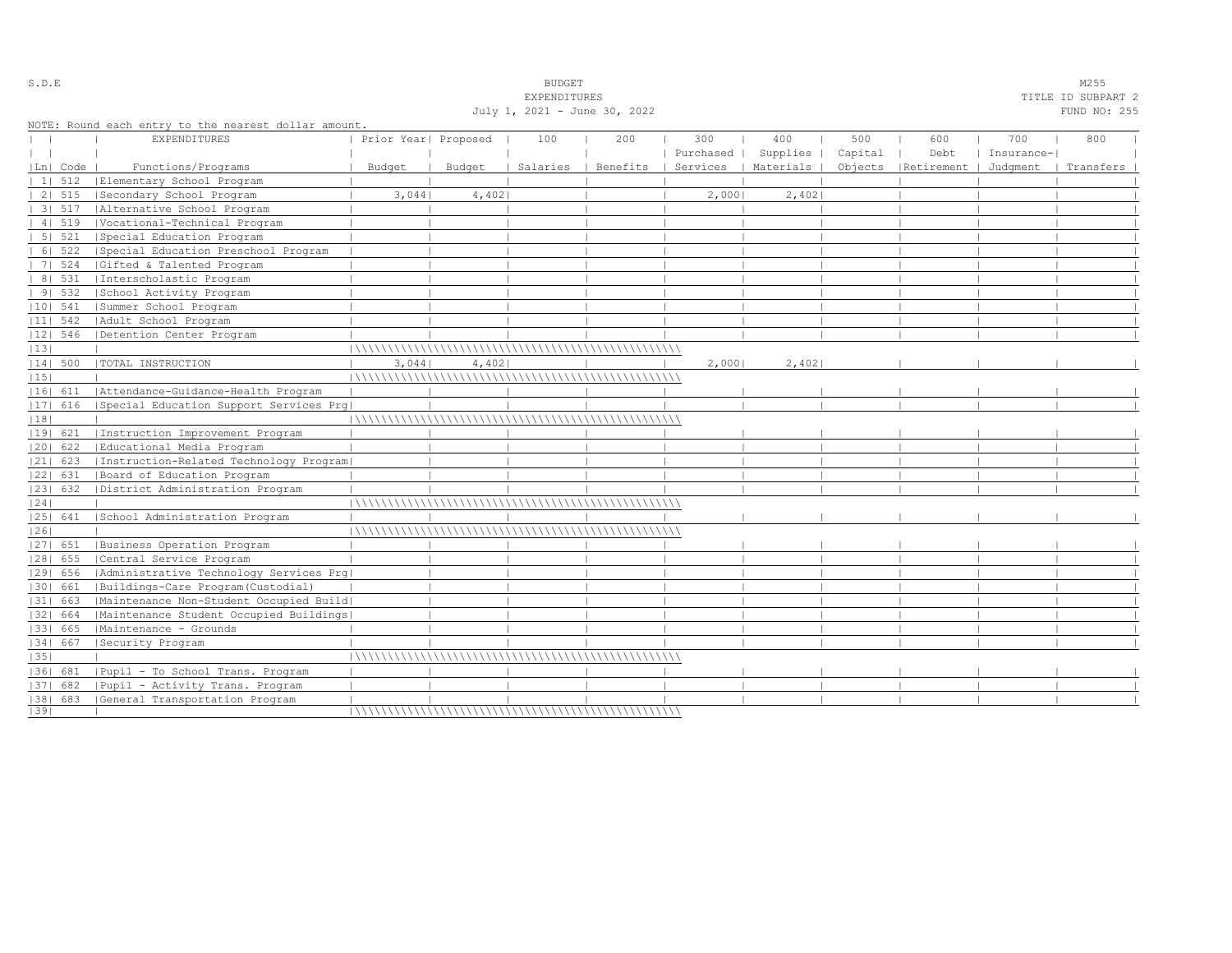|      |                |                                                      |                      |        | <b>EXPENDITURES</b> |                              |                      |          |         |                                 |            | TITLE ID SUBPART 2 |
|------|----------------|------------------------------------------------------|----------------------|--------|---------------------|------------------------------|----------------------|----------|---------|---------------------------------|------------|--------------------|
|      |                |                                                      |                      |        |                     | July 1, 2021 - June 30, 2022 |                      |          |         |                                 |            | FUND NO: 255       |
|      |                | NOTE: Round each entry to the nearest dollar amount. |                      |        |                     |                              |                      |          |         |                                 |            |                    |
|      |                | <b>EXPENDITURES</b>                                  | Prior Year  Proposed |        | 100                 | 200                          | 300                  | 400      | 500     | 600                             | 700        | 800                |
|      |                |                                                      |                      |        |                     |                              | Purchased            | Supplies | Capital | Debt                            | Insurance- |                    |
|      | Ln  Code       | Functions/Programs                                   | Budget               | Budget | Salaries            | Benefits                     | Services   Materials |          |         | Objects   Retirement   Judgment |            | Transfers          |
|      | $11 \quad 512$ | Elementary School Program                            |                      |        |                     |                              |                      |          |         |                                 |            |                    |
|      |                | 2  515   Secondary School Program                    | 3,044                | 4,402  |                     |                              | 2,000                | 2,402    |         |                                 |            |                    |
|      | 31.517         | Alternative School Program                           |                      |        |                     |                              |                      |          |         |                                 |            |                    |
|      | 41519          | Vocational-Technical Program                         |                      |        |                     |                              |                      |          |         |                                 |            |                    |
|      | $51 \quad 521$ | Special Education Program                            |                      |        |                     |                              |                      |          |         |                                 |            |                    |
|      | 6   522        | Special Education Preschool Program                  |                      |        |                     |                              |                      |          |         |                                 |            |                    |
|      | 7   524        | Gifted & Talented Program                            |                      |        |                     |                              |                      |          |         |                                 |            |                    |
|      | 8   531        | Interscholastic Program                              |                      |        |                     |                              |                      |          |         |                                 |            |                    |
|      | 9 532          | School Activity Program                              |                      |        |                     |                              |                      |          |         |                                 |            |                    |
|      | $ 10 $ 541     | Summer School Program                                |                      |        |                     |                              |                      |          |         |                                 |            |                    |
|      | $ 11 $ 542     | Adult School Program                                 |                      |        |                     |                              |                      |          |         |                                 |            |                    |
|      | 12  546        | Detention Center Program                             |                      |        |                     |                              |                      |          |         |                                 |            |                    |
| 13   |                |                                                      |                      |        |                     |                              |                      |          |         |                                 |            |                    |
|      | 14  500        | TOTAL INSTRUCTION                                    | 3,044                | 4,402  |                     |                              | 2,0001               | 2,402    |         |                                 |            |                    |
| 15   |                |                                                      |                      |        |                     |                              |                      |          |         |                                 |            |                    |
|      | 16  611        | Attendance-Guidance-Health Program                   |                      |        |                     |                              |                      |          |         |                                 |            |                    |
|      | $ 17 $ 616     | Special Education Support Services Prg               |                      |        |                     |                              |                      |          |         |                                 |            |                    |
| 18   |                |                                                      |                      |        |                     |                              |                      |          |         |                                 |            |                    |
|      | 19  621        | Instruction Improvement Program                      |                      |        |                     |                              |                      |          |         |                                 |            |                    |
|      | $ 20 $ 622     | Educational Media Program                            |                      |        |                     |                              |                      |          |         |                                 |            |                    |
|      | $ 21 $ 623     | Instruction-Related Technology Program               |                      |        |                     |                              |                      |          |         |                                 |            |                    |
|      | 22  631        | Board of Education Program                           |                      |        |                     |                              |                      |          |         |                                 |            |                    |
|      | 23  632        | District Administration Program                      |                      |        |                     |                              |                      |          |         |                                 |            |                    |
| 24   |                |                                                      |                      |        |                     |                              |                      |          |         |                                 |            |                    |
|      | 25  641        | School Administration Program                        |                      |        |                     |                              |                      |          |         |                                 |            |                    |
| 26   |                |                                                      |                      |        |                     |                              |                      |          |         |                                 |            |                    |
|      |                | [27] 651   Business Operation Program                |                      |        |                     |                              |                      |          |         |                                 |            |                    |
|      | 28  655        | Central Service Program                              |                      |        |                     |                              |                      |          |         |                                 |            |                    |
|      | 29  656        | Administrative Technology Services Prg               |                      |        |                     |                              |                      |          |         |                                 |            |                    |
|      | 30  661        | Buildings-Care Program(Custodial)                    |                      |        |                     |                              |                      |          |         |                                 |            |                    |
|      | 31  663        | Maintenance Non-Student Occupied Build               |                      |        |                     |                              |                      |          |         |                                 |            |                    |
|      | 1321 664       | Maintenance Student Occupied Buildings               |                      |        |                     |                              |                      |          |         |                                 |            |                    |
|      | 33   665       | Maintenance - Grounds                                |                      |        |                     |                              |                      |          |         |                                 |            |                    |
|      | 34  667        | Security Program                                     |                      |        |                     |                              |                      |          |         |                                 |            |                    |
| 35   |                |                                                      |                      |        |                     |                              |                      |          |         |                                 |            |                    |
|      | 1361 681       | Pupil - To School Trans. Program                     |                      |        |                     |                              |                      |          |         |                                 |            |                    |
|      | 37  682        | Pupil - Activity Trans. Program                      |                      |        |                     |                              |                      |          |         |                                 |            |                    |
|      |                | [38] 683 [General Transportation Program             |                      |        |                     |                              |                      |          |         |                                 |            |                    |
| 1391 |                |                                                      |                      |        |                     |                              |                      |          |         |                                 |            |                    |

### S.D.E BUDGET M255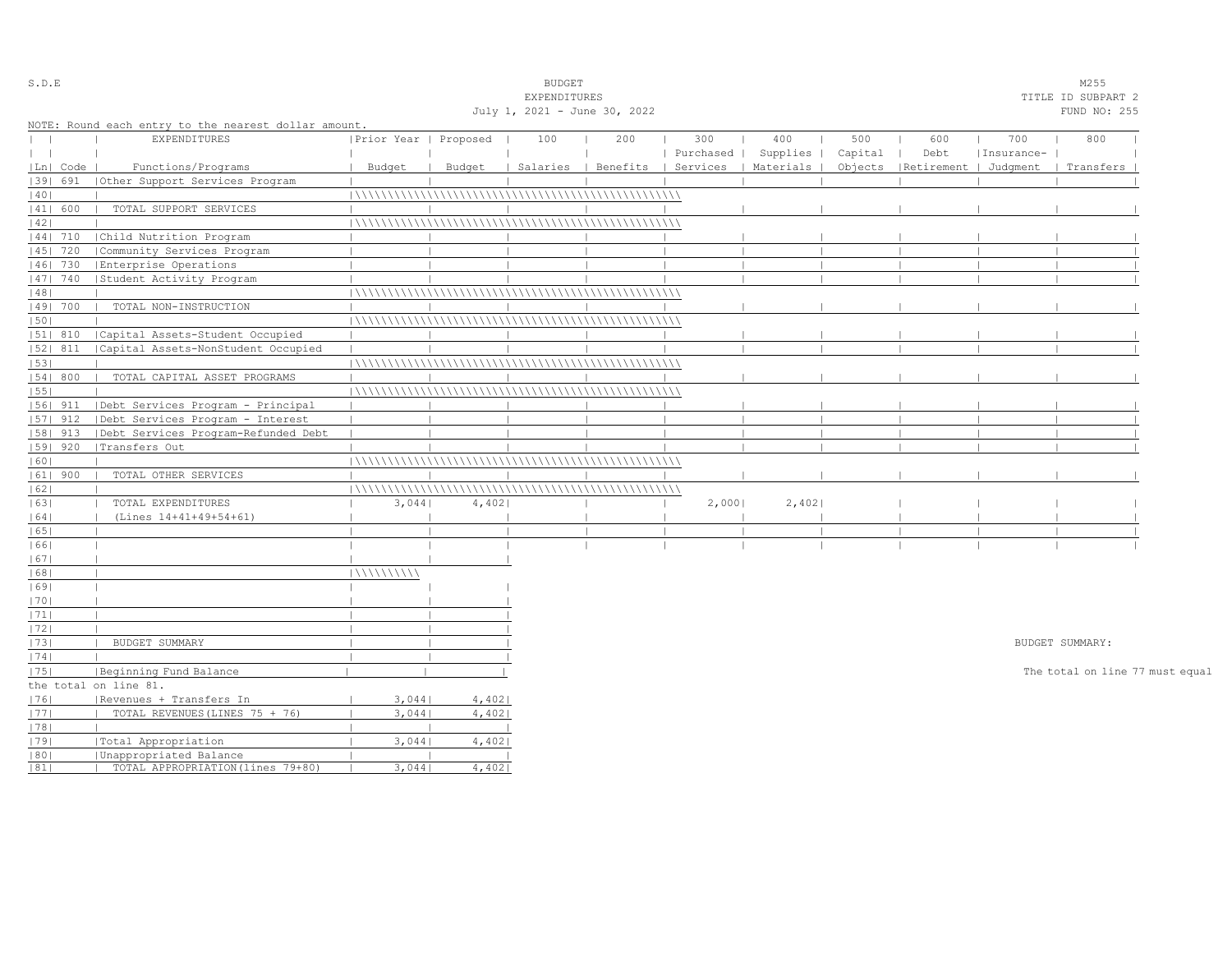| S.D.E   |            |                                                      |                       |        | <b>BUDGET</b>                |     |        |                                            |         |                                 |            | M255                            |  |
|---------|------------|------------------------------------------------------|-----------------------|--------|------------------------------|-----|--------|--------------------------------------------|---------|---------------------------------|------------|---------------------------------|--|
|         |            |                                                      |                       |        | EXPENDITURES                 |     |        |                                            |         |                                 |            | TITLE ID SUBPART 2              |  |
|         |            |                                                      |                       |        | July 1, 2021 - June 30, 2022 |     |        |                                            |         |                                 |            | FUND NO: 255                    |  |
|         |            | NOTE: Round each entry to the nearest dollar amount. |                       |        |                              |     |        |                                            |         |                                 |            |                                 |  |
|         |            | EXPENDITURES                                         | Prior Year   Proposed |        | 100                          | 200 | 300    | 400                                        | 500     | 600                             | 700        | 800                             |  |
| $\perp$ |            |                                                      |                       |        |                              |     |        | Purchased   Supplies                       | Capital | Debt                            | Insurance- |                                 |  |
|         | Ln  Code   | Functions/Programs                                   | Budget                | Budget |                              |     |        | Salaries   Benefits   Services   Materials |         | Objects   Retirement   Judgment |            | Transfers                       |  |
|         | 1391 691   | Other Support Services Program                       |                       |        |                              |     |        |                                            |         |                                 |            |                                 |  |
| 40      |            |                                                      |                       |        |                              |     |        |                                            |         |                                 |            |                                 |  |
|         | 41  600    | TOTAL SUPPORT SERVICES                               |                       |        |                              |     |        |                                            |         |                                 |            |                                 |  |
| 42      |            |                                                      |                       |        |                              |     |        |                                            |         |                                 |            |                                 |  |
|         | 44  710    | Child Nutrition Program                              |                       |        |                              |     |        |                                            |         |                                 |            |                                 |  |
|         | 1451 720   | Community Services Program                           |                       |        |                              |     |        |                                            |         |                                 |            |                                 |  |
|         | 1461 730   | Enterprise Operations                                |                       |        |                              |     |        |                                            |         |                                 |            |                                 |  |
|         | 47   740   | Student Activity Program                             |                       |        |                              |     |        |                                            |         |                                 |            |                                 |  |
| 48      |            |                                                      |                       |        |                              |     |        |                                            |         |                                 |            |                                 |  |
|         | 49  700    | TOTAL NON-INSTRUCTION                                |                       |        |                              |     |        |                                            |         |                                 |            |                                 |  |
| 50      |            |                                                      |                       |        |                              |     |        |                                            |         |                                 |            |                                 |  |
|         | $ 51 $ 810 | Capital Assets-Student Occupied                      |                       |        |                              |     |        |                                            |         |                                 |            |                                 |  |
|         | $ 52 $ 811 | Capital Assets-NonStudent Occupied                   |                       |        |                              |     |        |                                            |         |                                 |            |                                 |  |
| 53      |            |                                                      |                       |        |                              |     |        |                                            |         |                                 |            |                                 |  |
|         | 54 800     | TOTAL CAPITAL ASSET PROGRAMS                         |                       |        |                              |     |        |                                            |         |                                 |            |                                 |  |
| 55      |            |                                                      |                       |        |                              |     |        |                                            |         |                                 |            |                                 |  |
|         | $ 56 $ 911 | Debt Services Program - Principal                    |                       |        |                              |     |        |                                            |         |                                 |            |                                 |  |
|         | 57  912    | Debt Services Program - Interest                     |                       |        |                              |     |        |                                            |         |                                 |            |                                 |  |
|         | 58   913   | Debt Services Program-Refunded Debt                  |                       |        |                              |     |        |                                            |         |                                 |            |                                 |  |
|         | 1591 920   | Transfers Out                                        |                       |        |                              |     |        |                                            |         |                                 |            |                                 |  |
| 60      |            |                                                      |                       |        |                              |     |        |                                            |         |                                 |            |                                 |  |
|         | $ 61 $ 900 | TOTAL OTHER SERVICES                                 |                       |        |                              |     |        |                                            |         |                                 |            |                                 |  |
| 62      |            |                                                      |                       |        |                              |     |        |                                            |         |                                 |            |                                 |  |
| 63      |            | TOTAL EXPENDITURES                                   | 3,044                 | 4,402  |                              |     | 2,0001 | 2,402                                      |         |                                 |            |                                 |  |
| 64      |            | (Lines 14+41+49+54+61)                               |                       |        |                              |     |        |                                            |         |                                 |            |                                 |  |
| 65      |            |                                                      |                       |        |                              |     |        |                                            |         |                                 |            |                                 |  |
| 1661    |            |                                                      |                       |        |                              |     |        |                                            |         |                                 |            |                                 |  |
| 67      |            |                                                      |                       |        |                              |     |        |                                            |         |                                 |            |                                 |  |
| 68      |            |                                                      | 1\\\\\\\\\\\\         |        |                              |     |        |                                            |         |                                 |            |                                 |  |
| 69      |            |                                                      |                       |        |                              |     |        |                                            |         |                                 |            |                                 |  |
| 1701    |            |                                                      |                       |        |                              |     |        |                                            |         |                                 |            |                                 |  |
| 1711    |            |                                                      |                       |        |                              |     |        |                                            |         |                                 |            |                                 |  |
| 72      |            |                                                      |                       |        |                              |     |        |                                            |         |                                 |            |                                 |  |
| 73      |            | BUDGET SUMMARY                                       |                       |        |                              |     |        |                                            |         |                                 |            | BUDGET SUMMARY:                 |  |
| 74      |            |                                                      |                       |        |                              |     |        |                                            |         |                                 |            |                                 |  |
| 75      |            | Beginning Fund Balance                               |                       |        |                              |     |        |                                            |         |                                 |            | The total on line 77 must equal |  |
|         |            | the total on line 81.                                |                       |        |                              |     |        |                                            |         |                                 |            |                                 |  |
| 1761    |            | Revenues + Transfers In                              | 3,044                 | 4,402  |                              |     |        |                                            |         |                                 |            |                                 |  |
| 1771    |            | TOTAL REVENUES (LINES 75 + 76)                       | 3,044                 | 4,402  |                              |     |        |                                            |         |                                 |            |                                 |  |
| 78      |            |                                                      |                       |        |                              |     |        |                                            |         |                                 |            |                                 |  |
| 1791    |            | Total Appropriation                                  | 3,044                 | 4,402  |                              |     |        |                                            |         |                                 |            |                                 |  |
| 80      |            | Unappropriated Balance                               |                       |        |                              |     |        |                                            |         |                                 |            |                                 |  |
| 81      |            | TOTAL APPROPRIATION (lines 79+80)                    | 3,044                 | 4,402  |                              |     |        |                                            |         |                                 |            |                                 |  |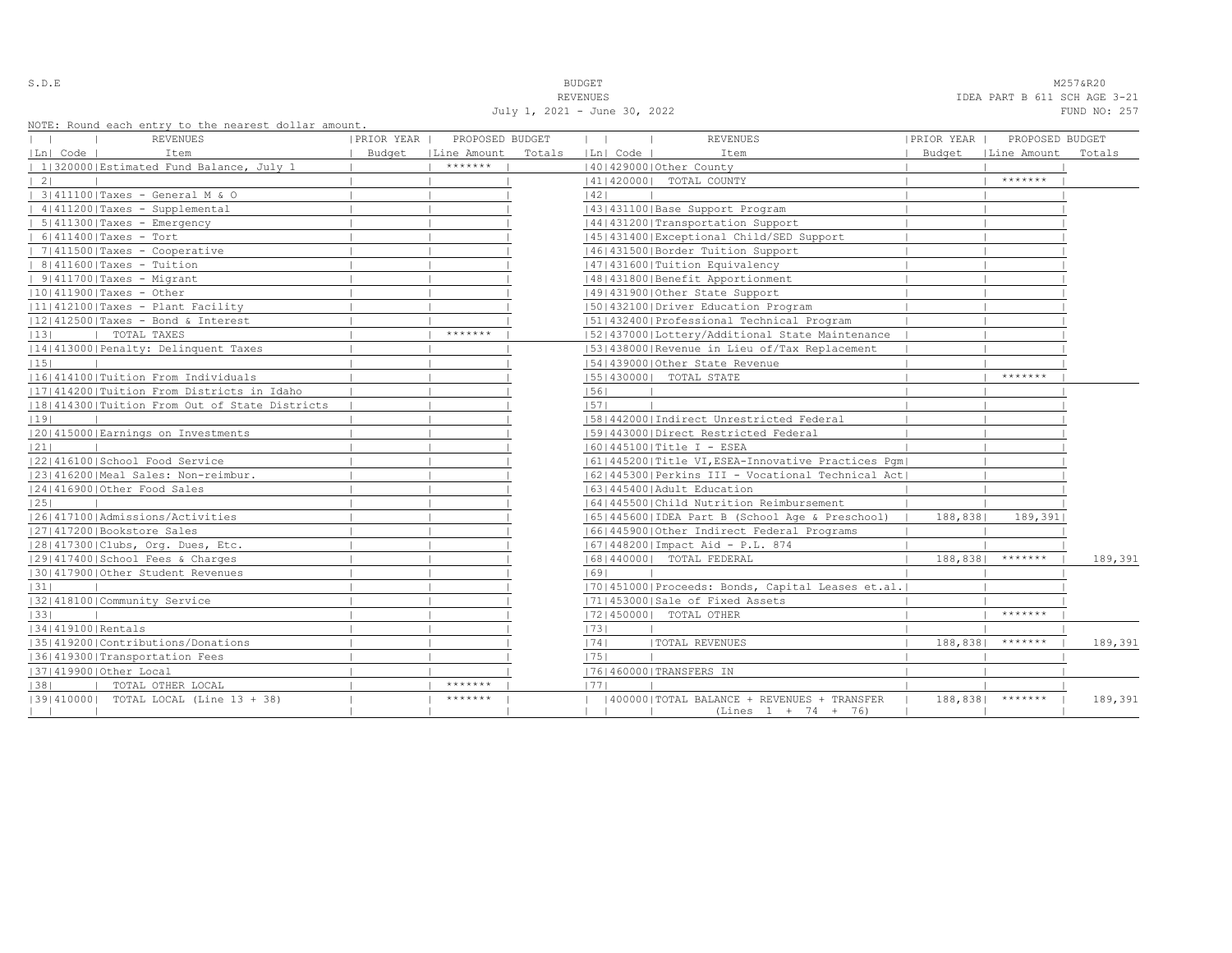S.D.E **BUDGET** M257&R20 REVENUES **IDEA PART B 611 SCH AGE 3-21** July 1, 2021 - June 30, 2022 FUND NO: 257

|                   | NOTE: Round each entry to the nearest dollar amount.<br>REVENUES | PRIOR YEAR | PROPOSED BUDGET      |        | $\mathbf{1}$ | $\blacksquare$ | <b>REVENUES</b>                                      | PRIOR YEAR | PROPOSED BUDGET      |         |
|-------------------|------------------------------------------------------------------|------------|----------------------|--------|--------------|----------------|------------------------------------------------------|------------|----------------------|---------|
| Ln  Code          | Item                                                             |            | Budget   Line Amount | Totals |              | Ln  Code       | Item                                                 |            | Budget   Line Amount | Totals  |
|                   | 1 320000 Estimated Fund Balance, July 1                          |            | *******              |        |              |                | 140142900010ther County                              |            |                      |         |
| 21                |                                                                  |            |                      |        |              |                | 41   420000   TOTAL COUNTY                           |            | *******              |         |
|                   | 3 411100 Taxes - General M & O                                   |            |                      |        | 42           |                |                                                      |            |                      |         |
|                   | $ 4 411200 $ Taxes - Supplemental                                |            |                      |        |              |                | 43   431100   Base Support Program                   |            |                      |         |
|                   | $  5   411300  $ Taxes - Emergency                               |            |                      |        |              |                | 44   431200   Transportation Support                 |            |                      |         |
|                   | $  6 411400 $ Taxes - Tort                                       |            |                      |        |              |                | 45 431400 Exceptional Child/SED Support              |            |                      |         |
|                   | 7 411500 Taxes - Cooperative                                     |            |                      |        |              |                | 46 431500 Border Tuition Support                     |            |                      |         |
|                   | $  8 411600 $ Taxes - Tuition                                    |            |                      |        |              |                | 47   431600   Tuition Equivalency                    |            |                      |         |
|                   | $  9   411700  $ Taxes - Migrant                                 |            |                      |        |              |                | 48   431800   Benefit Apportionment                  |            |                      |         |
|                   | $ 10 411900 $ Taxes - Other                                      |            |                      |        |              |                | 49 431900 Other State Support                        |            |                      |         |
|                   | 11 412100 Taxes - Plant Facility                                 |            |                      |        |              |                | 50 432100 Driver Education Program                   |            |                      |         |
|                   | $ 12 412500 $ Taxes - Bond & Interest                            |            |                      |        |              |                | 51 432400 Professional Technical Program             |            |                      |         |
| 13                | TOTAL TAXES                                                      |            | *******              |        |              |                | [52] 437000 [Lottery/Additional State Maintenance    |            |                      |         |
|                   | 14 413000 Penalty: Delinquent Taxes                              |            |                      |        |              |                | [53] 438000 Revenue in Lieu of/Tax Replacement       |            |                      |         |
| 15                |                                                                  |            |                      |        |              |                | 154143900010ther State Revenue                       |            |                      |         |
|                   | 16 414100 Tuition From Individuals                               |            |                      |        |              |                | [55] 430000] TOTAL STATE                             |            | *******              |         |
|                   | 11714142001Tuition From Districts in Idaho                       |            |                      |        | 56           |                |                                                      |            |                      |         |
|                   | 18 414300 Tuition From Out of State Districts                    |            |                      |        | 57           |                |                                                      |            |                      |         |
| 19                |                                                                  |            |                      |        |              |                | 58 442000 Indirect Unrestricted Federal              |            |                      |         |
|                   | 20 415000 Earnings on Investments                                |            |                      |        |              |                | 1591443000 Direct Restricted Federal                 |            |                      |         |
| 21                |                                                                  |            |                      |        |              |                | $ 60 445100 $ Title I - ESEA                         |            |                      |         |
|                   | 22 416100 School Food Service                                    |            |                      |        |              |                | 61 445200 Title VI, ESEA-Innovative Practices Pqm    |            |                      |         |
|                   | 23 416200 Meal Sales: Non-reimbur.                               |            |                      |        |              |                | 62   445300   Perkins III - Vocational Technical Act |            |                      |         |
|                   | 12414169001Other Food Sales                                      |            |                      |        |              |                | 16314454001Adult Education                           |            |                      |         |
| 25                |                                                                  |            |                      |        |              |                | 1641445500 Child Nutrition Reimbursement             |            |                      |         |
|                   | 1261417100   Admissions/Activities                               |            |                      |        |              |                | 65   445600   IDEA Part B (School Age & Preschool)   | 188,8381   | 189,391              |         |
|                   | 27 417200 Bookstore Sales                                        |            |                      |        |              |                | 16614459001Other Indirect Federal Programs           |            |                      |         |
|                   | 28 417300 Clubs, Org. Dues, Etc.                                 |            |                      |        |              |                | 67   448200   Impact Aid - P.L. 874                  |            |                      |         |
|                   | 29 417400 School Fees & Charges                                  |            |                      |        |              |                | 68   440000   TOTAL FEDERAL                          | 188,838    | *******              | 189,391 |
|                   | 130141790010ther Student Revenues                                |            |                      |        | 69           |                |                                                      |            |                      |         |
| 31                |                                                                  |            |                      |        |              |                | [70] 451000 Proceeds: Bonds, Capital Leases et.al.   |            |                      |         |
|                   | 32 418100 Community Service                                      |            |                      |        |              |                | 17114530001Sale of Fixed Assets                      |            |                      |         |
| 33                |                                                                  |            |                      |        |              |                | 72 450000  TOTAL OTHER                               |            | *******              |         |
| 34 419100 Rentals |                                                                  |            |                      |        | 73           |                |                                                      |            |                      |         |
|                   | 35 419200 Contributions/Donations                                |            |                      |        | 74           |                | <b> TOTAL REVENUES</b>                               | 188,838    | *******              | 189,391 |
|                   | 36 419300 Transportation Fees                                    |            |                      |        | 75           |                |                                                      |            |                      |         |
|                   | 37 419900 Other Local                                            |            |                      |        |              |                | 17614600001TRANSFERS IN                              |            |                      |         |
| 38                | TOTAL OTHER LOCAL                                                |            | *******              |        | 1771         |                |                                                      |            |                      |         |
|                   | [39] 410000] TOTAL LOCAL (Line 13 + 38)                          |            | *******              |        |              |                | (400000) TOTAL BALANCE + REVENUES + TRANSFER         | 188,838    | $*********$          | 189,391 |
|                   |                                                                  |            |                      |        |              |                | $(Lines 1 + 74 + 76)$                                |            |                      |         |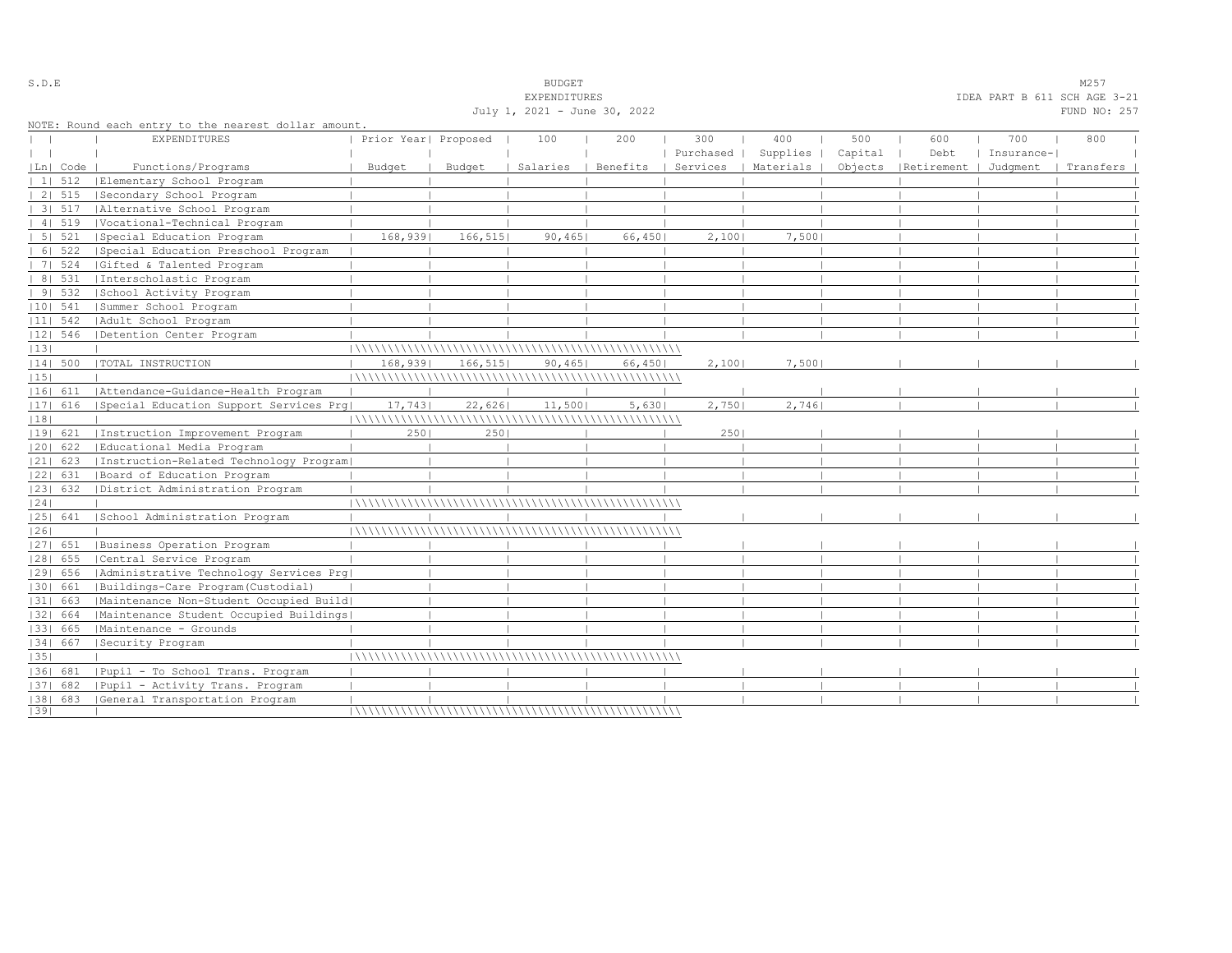| July 1, 2021 - June 30, 2022<br>FUND NO: 257<br>NOTE: Round each entry to the nearest dollar amount.<br>400<br>500<br><b>EXPENDITURES</b><br>Prior Year  Proposed<br>100<br>300<br>600<br>700<br>800<br>200<br>Purchased  <br>Supplies  <br>Capital<br>Debt<br>Insurance-<br>Services   Materials  <br>Objects   Retirement   Judgment<br> Ln  Code<br>Functions/Programs<br>Budget<br>Budget<br>Salaries<br>Benefits<br>Transfers<br>1   512<br>Elementary School Program<br>2   515<br> Secondary School Program<br>31 517<br>  Alternative School Program<br>41 519<br> Vocational-Technical Program<br>5   521<br>  Special Education Program<br>168,939<br>166, 515<br>66,450<br>7,500<br>90,465<br>2,100<br>6   522<br> Special Education Preschool Program<br>7   524<br> Gifted & Talented Program<br>8   531<br>Interscholastic Program<br>91532<br>School Activity Program<br>$ 10 $ 541<br> Summer School Program<br>$ 11 $ 542<br>  Adult School Program<br>$ 12 $ 546<br>Detention Center Program<br> 13 <br> TOTAL INSTRUCTION<br>7,500<br> 14  500<br>168,939 <br>166, 515<br>90,465<br>66,450 <br>2,1001<br> 15 <br> 16  611   Attendance-Guidance-Health Program<br>$ 17 $ 616<br> Special Education Support Services Prq <br>22,626<br>11,500<br>5,630<br>2,750<br>2,746<br>17,743<br> 18 <br> 19  621<br>Instruction Improvement Program<br>2501<br>2501<br>2501<br> 20  622<br> Educational Media Program<br>  Instruction-Related Technology Program <br>$ 21 $ 623<br> 22  631<br> Board of Education Program<br> 23  632<br>  District Administration Program<br> 24 <br> School Administration Program<br> 25  641<br> 26 <br> 27  651<br> Business Operation Program<br>$ 28 $ 655<br>Central Service Program<br>  Administrative Technology Services Prg <br> 29  656<br> Buildings-Care Program (Custodial)<br> 30  661<br> 31  663<br> Maintenance Non-Student Occupied Build <br> Maintenance Student Occupied Buildings <br> 32  664<br> Maintenance - Grounds<br> 33  665<br> 34  667<br>Security Program<br> 35 <br>  Pupil - To School Trans. Program<br>1361 681<br>  Pupil - Activity Trans. Program<br>$ 37 $ 682<br>[38] 683 [General Transportation Program<br> 39 |  |  | EXPENDITURES |  |  | IDEA PART B 611 SCH AGE 3-21 |  |
|----------------------------------------------------------------------------------------------------------------------------------------------------------------------------------------------------------------------------------------------------------------------------------------------------------------------------------------------------------------------------------------------------------------------------------------------------------------------------------------------------------------------------------------------------------------------------------------------------------------------------------------------------------------------------------------------------------------------------------------------------------------------------------------------------------------------------------------------------------------------------------------------------------------------------------------------------------------------------------------------------------------------------------------------------------------------------------------------------------------------------------------------------------------------------------------------------------------------------------------------------------------------------------------------------------------------------------------------------------------------------------------------------------------------------------------------------------------------------------------------------------------------------------------------------------------------------------------------------------------------------------------------------------------------------------------------------------------------------------------------------------------------------------------------------------------------------------------------------------------------------------------------------------------------------------------------------------------------------------------------------------------------------------------------------------------------------------------------------------------------------------------------------------------------------------------------------------|--|--|--------------|--|--|------------------------------|--|
|                                                                                                                                                                                                                                                                                                                                                                                                                                                                                                                                                                                                                                                                                                                                                                                                                                                                                                                                                                                                                                                                                                                                                                                                                                                                                                                                                                                                                                                                                                                                                                                                                                                                                                                                                                                                                                                                                                                                                                                                                                                                                                                                                                                                          |  |  |              |  |  |                              |  |
|                                                                                                                                                                                                                                                                                                                                                                                                                                                                                                                                                                                                                                                                                                                                                                                                                                                                                                                                                                                                                                                                                                                                                                                                                                                                                                                                                                                                                                                                                                                                                                                                                                                                                                                                                                                                                                                                                                                                                                                                                                                                                                                                                                                                          |  |  |              |  |  |                              |  |
|                                                                                                                                                                                                                                                                                                                                                                                                                                                                                                                                                                                                                                                                                                                                                                                                                                                                                                                                                                                                                                                                                                                                                                                                                                                                                                                                                                                                                                                                                                                                                                                                                                                                                                                                                                                                                                                                                                                                                                                                                                                                                                                                                                                                          |  |  |              |  |  |                              |  |
|                                                                                                                                                                                                                                                                                                                                                                                                                                                                                                                                                                                                                                                                                                                                                                                                                                                                                                                                                                                                                                                                                                                                                                                                                                                                                                                                                                                                                                                                                                                                                                                                                                                                                                                                                                                                                                                                                                                                                                                                                                                                                                                                                                                                          |  |  |              |  |  |                              |  |
|                                                                                                                                                                                                                                                                                                                                                                                                                                                                                                                                                                                                                                                                                                                                                                                                                                                                                                                                                                                                                                                                                                                                                                                                                                                                                                                                                                                                                                                                                                                                                                                                                                                                                                                                                                                                                                                                                                                                                                                                                                                                                                                                                                                                          |  |  |              |  |  |                              |  |
|                                                                                                                                                                                                                                                                                                                                                                                                                                                                                                                                                                                                                                                                                                                                                                                                                                                                                                                                                                                                                                                                                                                                                                                                                                                                                                                                                                                                                                                                                                                                                                                                                                                                                                                                                                                                                                                                                                                                                                                                                                                                                                                                                                                                          |  |  |              |  |  |                              |  |
|                                                                                                                                                                                                                                                                                                                                                                                                                                                                                                                                                                                                                                                                                                                                                                                                                                                                                                                                                                                                                                                                                                                                                                                                                                                                                                                                                                                                                                                                                                                                                                                                                                                                                                                                                                                                                                                                                                                                                                                                                                                                                                                                                                                                          |  |  |              |  |  |                              |  |
|                                                                                                                                                                                                                                                                                                                                                                                                                                                                                                                                                                                                                                                                                                                                                                                                                                                                                                                                                                                                                                                                                                                                                                                                                                                                                                                                                                                                                                                                                                                                                                                                                                                                                                                                                                                                                                                                                                                                                                                                                                                                                                                                                                                                          |  |  |              |  |  |                              |  |
|                                                                                                                                                                                                                                                                                                                                                                                                                                                                                                                                                                                                                                                                                                                                                                                                                                                                                                                                                                                                                                                                                                                                                                                                                                                                                                                                                                                                                                                                                                                                                                                                                                                                                                                                                                                                                                                                                                                                                                                                                                                                                                                                                                                                          |  |  |              |  |  |                              |  |
|                                                                                                                                                                                                                                                                                                                                                                                                                                                                                                                                                                                                                                                                                                                                                                                                                                                                                                                                                                                                                                                                                                                                                                                                                                                                                                                                                                                                                                                                                                                                                                                                                                                                                                                                                                                                                                                                                                                                                                                                                                                                                                                                                                                                          |  |  |              |  |  |                              |  |
|                                                                                                                                                                                                                                                                                                                                                                                                                                                                                                                                                                                                                                                                                                                                                                                                                                                                                                                                                                                                                                                                                                                                                                                                                                                                                                                                                                                                                                                                                                                                                                                                                                                                                                                                                                                                                                                                                                                                                                                                                                                                                                                                                                                                          |  |  |              |  |  |                              |  |
|                                                                                                                                                                                                                                                                                                                                                                                                                                                                                                                                                                                                                                                                                                                                                                                                                                                                                                                                                                                                                                                                                                                                                                                                                                                                                                                                                                                                                                                                                                                                                                                                                                                                                                                                                                                                                                                                                                                                                                                                                                                                                                                                                                                                          |  |  |              |  |  |                              |  |
|                                                                                                                                                                                                                                                                                                                                                                                                                                                                                                                                                                                                                                                                                                                                                                                                                                                                                                                                                                                                                                                                                                                                                                                                                                                                                                                                                                                                                                                                                                                                                                                                                                                                                                                                                                                                                                                                                                                                                                                                                                                                                                                                                                                                          |  |  |              |  |  |                              |  |
|                                                                                                                                                                                                                                                                                                                                                                                                                                                                                                                                                                                                                                                                                                                                                                                                                                                                                                                                                                                                                                                                                                                                                                                                                                                                                                                                                                                                                                                                                                                                                                                                                                                                                                                                                                                                                                                                                                                                                                                                                                                                                                                                                                                                          |  |  |              |  |  |                              |  |
|                                                                                                                                                                                                                                                                                                                                                                                                                                                                                                                                                                                                                                                                                                                                                                                                                                                                                                                                                                                                                                                                                                                                                                                                                                                                                                                                                                                                                                                                                                                                                                                                                                                                                                                                                                                                                                                                                                                                                                                                                                                                                                                                                                                                          |  |  |              |  |  |                              |  |
|                                                                                                                                                                                                                                                                                                                                                                                                                                                                                                                                                                                                                                                                                                                                                                                                                                                                                                                                                                                                                                                                                                                                                                                                                                                                                                                                                                                                                                                                                                                                                                                                                                                                                                                                                                                                                                                                                                                                                                                                                                                                                                                                                                                                          |  |  |              |  |  |                              |  |
|                                                                                                                                                                                                                                                                                                                                                                                                                                                                                                                                                                                                                                                                                                                                                                                                                                                                                                                                                                                                                                                                                                                                                                                                                                                                                                                                                                                                                                                                                                                                                                                                                                                                                                                                                                                                                                                                                                                                                                                                                                                                                                                                                                                                          |  |  |              |  |  |                              |  |
|                                                                                                                                                                                                                                                                                                                                                                                                                                                                                                                                                                                                                                                                                                                                                                                                                                                                                                                                                                                                                                                                                                                                                                                                                                                                                                                                                                                                                                                                                                                                                                                                                                                                                                                                                                                                                                                                                                                                                                                                                                                                                                                                                                                                          |  |  |              |  |  |                              |  |
|                                                                                                                                                                                                                                                                                                                                                                                                                                                                                                                                                                                                                                                                                                                                                                                                                                                                                                                                                                                                                                                                                                                                                                                                                                                                                                                                                                                                                                                                                                                                                                                                                                                                                                                                                                                                                                                                                                                                                                                                                                                                                                                                                                                                          |  |  |              |  |  |                              |  |
|                                                                                                                                                                                                                                                                                                                                                                                                                                                                                                                                                                                                                                                                                                                                                                                                                                                                                                                                                                                                                                                                                                                                                                                                                                                                                                                                                                                                                                                                                                                                                                                                                                                                                                                                                                                                                                                                                                                                                                                                                                                                                                                                                                                                          |  |  |              |  |  |                              |  |
|                                                                                                                                                                                                                                                                                                                                                                                                                                                                                                                                                                                                                                                                                                                                                                                                                                                                                                                                                                                                                                                                                                                                                                                                                                                                                                                                                                                                                                                                                                                                                                                                                                                                                                                                                                                                                                                                                                                                                                                                                                                                                                                                                                                                          |  |  |              |  |  |                              |  |
|                                                                                                                                                                                                                                                                                                                                                                                                                                                                                                                                                                                                                                                                                                                                                                                                                                                                                                                                                                                                                                                                                                                                                                                                                                                                                                                                                                                                                                                                                                                                                                                                                                                                                                                                                                                                                                                                                                                                                                                                                                                                                                                                                                                                          |  |  |              |  |  |                              |  |
|                                                                                                                                                                                                                                                                                                                                                                                                                                                                                                                                                                                                                                                                                                                                                                                                                                                                                                                                                                                                                                                                                                                                                                                                                                                                                                                                                                                                                                                                                                                                                                                                                                                                                                                                                                                                                                                                                                                                                                                                                                                                                                                                                                                                          |  |  |              |  |  |                              |  |
|                                                                                                                                                                                                                                                                                                                                                                                                                                                                                                                                                                                                                                                                                                                                                                                                                                                                                                                                                                                                                                                                                                                                                                                                                                                                                                                                                                                                                                                                                                                                                                                                                                                                                                                                                                                                                                                                                                                                                                                                                                                                                                                                                                                                          |  |  |              |  |  |                              |  |
|                                                                                                                                                                                                                                                                                                                                                                                                                                                                                                                                                                                                                                                                                                                                                                                                                                                                                                                                                                                                                                                                                                                                                                                                                                                                                                                                                                                                                                                                                                                                                                                                                                                                                                                                                                                                                                                                                                                                                                                                                                                                                                                                                                                                          |  |  |              |  |  |                              |  |
|                                                                                                                                                                                                                                                                                                                                                                                                                                                                                                                                                                                                                                                                                                                                                                                                                                                                                                                                                                                                                                                                                                                                                                                                                                                                                                                                                                                                                                                                                                                                                                                                                                                                                                                                                                                                                                                                                                                                                                                                                                                                                                                                                                                                          |  |  |              |  |  |                              |  |
|                                                                                                                                                                                                                                                                                                                                                                                                                                                                                                                                                                                                                                                                                                                                                                                                                                                                                                                                                                                                                                                                                                                                                                                                                                                                                                                                                                                                                                                                                                                                                                                                                                                                                                                                                                                                                                                                                                                                                                                                                                                                                                                                                                                                          |  |  |              |  |  |                              |  |
|                                                                                                                                                                                                                                                                                                                                                                                                                                                                                                                                                                                                                                                                                                                                                                                                                                                                                                                                                                                                                                                                                                                                                                                                                                                                                                                                                                                                                                                                                                                                                                                                                                                                                                                                                                                                                                                                                                                                                                                                                                                                                                                                                                                                          |  |  |              |  |  |                              |  |
|                                                                                                                                                                                                                                                                                                                                                                                                                                                                                                                                                                                                                                                                                                                                                                                                                                                                                                                                                                                                                                                                                                                                                                                                                                                                                                                                                                                                                                                                                                                                                                                                                                                                                                                                                                                                                                                                                                                                                                                                                                                                                                                                                                                                          |  |  |              |  |  |                              |  |
|                                                                                                                                                                                                                                                                                                                                                                                                                                                                                                                                                                                                                                                                                                                                                                                                                                                                                                                                                                                                                                                                                                                                                                                                                                                                                                                                                                                                                                                                                                                                                                                                                                                                                                                                                                                                                                                                                                                                                                                                                                                                                                                                                                                                          |  |  |              |  |  |                              |  |
|                                                                                                                                                                                                                                                                                                                                                                                                                                                                                                                                                                                                                                                                                                                                                                                                                                                                                                                                                                                                                                                                                                                                                                                                                                                                                                                                                                                                                                                                                                                                                                                                                                                                                                                                                                                                                                                                                                                                                                                                                                                                                                                                                                                                          |  |  |              |  |  |                              |  |
|                                                                                                                                                                                                                                                                                                                                                                                                                                                                                                                                                                                                                                                                                                                                                                                                                                                                                                                                                                                                                                                                                                                                                                                                                                                                                                                                                                                                                                                                                                                                                                                                                                                                                                                                                                                                                                                                                                                                                                                                                                                                                                                                                                                                          |  |  |              |  |  |                              |  |
|                                                                                                                                                                                                                                                                                                                                                                                                                                                                                                                                                                                                                                                                                                                                                                                                                                                                                                                                                                                                                                                                                                                                                                                                                                                                                                                                                                                                                                                                                                                                                                                                                                                                                                                                                                                                                                                                                                                                                                                                                                                                                                                                                                                                          |  |  |              |  |  |                              |  |
|                                                                                                                                                                                                                                                                                                                                                                                                                                                                                                                                                                                                                                                                                                                                                                                                                                                                                                                                                                                                                                                                                                                                                                                                                                                                                                                                                                                                                                                                                                                                                                                                                                                                                                                                                                                                                                                                                                                                                                                                                                                                                                                                                                                                          |  |  |              |  |  |                              |  |
|                                                                                                                                                                                                                                                                                                                                                                                                                                                                                                                                                                                                                                                                                                                                                                                                                                                                                                                                                                                                                                                                                                                                                                                                                                                                                                                                                                                                                                                                                                                                                                                                                                                                                                                                                                                                                                                                                                                                                                                                                                                                                                                                                                                                          |  |  |              |  |  |                              |  |
|                                                                                                                                                                                                                                                                                                                                                                                                                                                                                                                                                                                                                                                                                                                                                                                                                                                                                                                                                                                                                                                                                                                                                                                                                                                                                                                                                                                                                                                                                                                                                                                                                                                                                                                                                                                                                                                                                                                                                                                                                                                                                                                                                                                                          |  |  |              |  |  |                              |  |
|                                                                                                                                                                                                                                                                                                                                                                                                                                                                                                                                                                                                                                                                                                                                                                                                                                                                                                                                                                                                                                                                                                                                                                                                                                                                                                                                                                                                                                                                                                                                                                                                                                                                                                                                                                                                                                                                                                                                                                                                                                                                                                                                                                                                          |  |  |              |  |  |                              |  |
|                                                                                                                                                                                                                                                                                                                                                                                                                                                                                                                                                                                                                                                                                                                                                                                                                                                                                                                                                                                                                                                                                                                                                                                                                                                                                                                                                                                                                                                                                                                                                                                                                                                                                                                                                                                                                                                                                                                                                                                                                                                                                                                                                                                                          |  |  |              |  |  |                              |  |
|                                                                                                                                                                                                                                                                                                                                                                                                                                                                                                                                                                                                                                                                                                                                                                                                                                                                                                                                                                                                                                                                                                                                                                                                                                                                                                                                                                                                                                                                                                                                                                                                                                                                                                                                                                                                                                                                                                                                                                                                                                                                                                                                                                                                          |  |  |              |  |  |                              |  |
|                                                                                                                                                                                                                                                                                                                                                                                                                                                                                                                                                                                                                                                                                                                                                                                                                                                                                                                                                                                                                                                                                                                                                                                                                                                                                                                                                                                                                                                                                                                                                                                                                                                                                                                                                                                                                                                                                                                                                                                                                                                                                                                                                                                                          |  |  |              |  |  |                              |  |
|                                                                                                                                                                                                                                                                                                                                                                                                                                                                                                                                                                                                                                                                                                                                                                                                                                                                                                                                                                                                                                                                                                                                                                                                                                                                                                                                                                                                                                                                                                                                                                                                                                                                                                                                                                                                                                                                                                                                                                                                                                                                                                                                                                                                          |  |  |              |  |  |                              |  |
|                                                                                                                                                                                                                                                                                                                                                                                                                                                                                                                                                                                                                                                                                                                                                                                                                                                                                                                                                                                                                                                                                                                                                                                                                                                                                                                                                                                                                                                                                                                                                                                                                                                                                                                                                                                                                                                                                                                                                                                                                                                                                                                                                                                                          |  |  |              |  |  |                              |  |
|                                                                                                                                                                                                                                                                                                                                                                                                                                                                                                                                                                                                                                                                                                                                                                                                                                                                                                                                                                                                                                                                                                                                                                                                                                                                                                                                                                                                                                                                                                                                                                                                                                                                                                                                                                                                                                                                                                                                                                                                                                                                                                                                                                                                          |  |  |              |  |  |                              |  |
|                                                                                                                                                                                                                                                                                                                                                                                                                                                                                                                                                                                                                                                                                                                                                                                                                                                                                                                                                                                                                                                                                                                                                                                                                                                                                                                                                                                                                                                                                                                                                                                                                                                                                                                                                                                                                                                                                                                                                                                                                                                                                                                                                                                                          |  |  |              |  |  |                              |  |

S.D.E S.D. E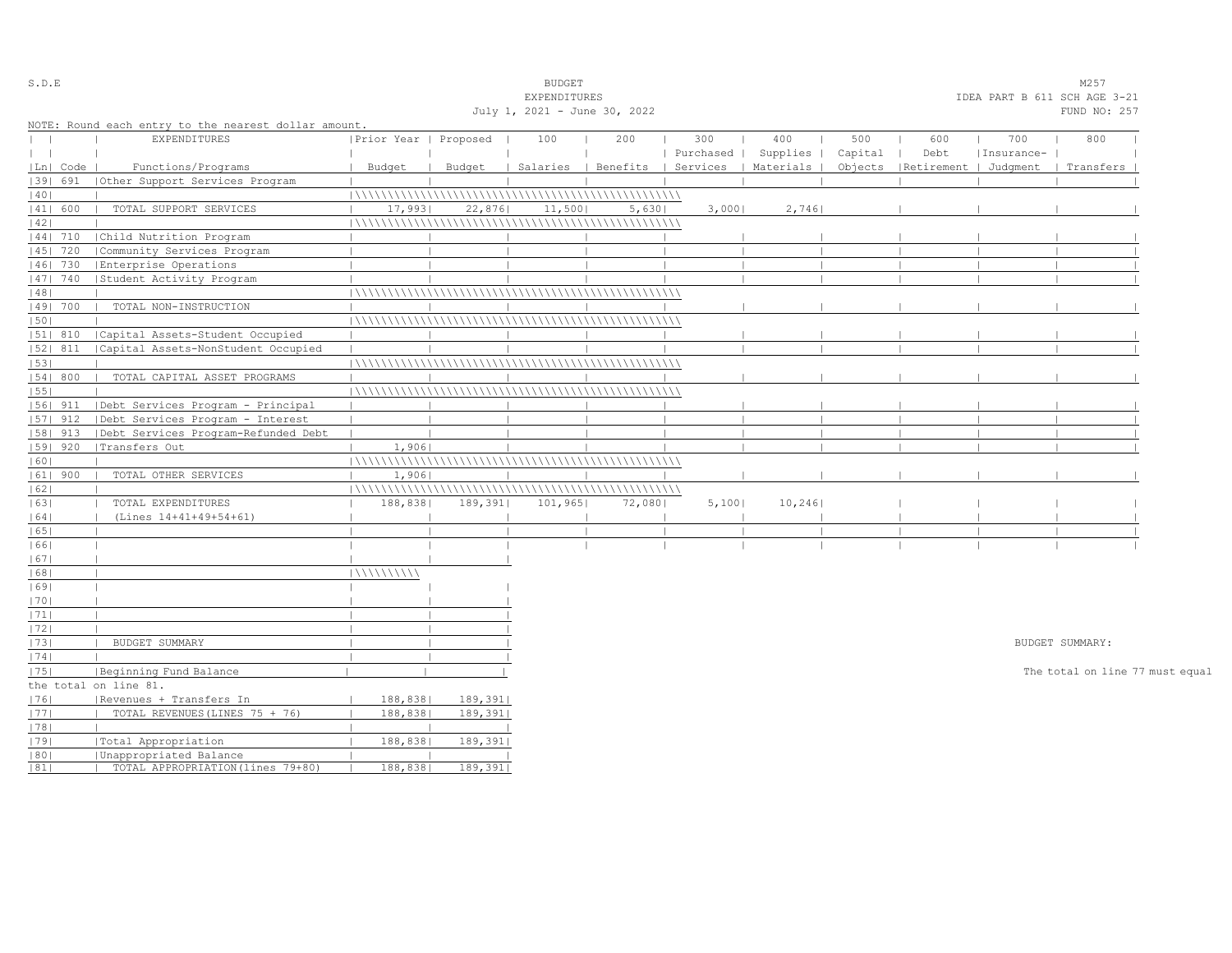| S.D.E                            |            |                                                             |                         |         | <b>BUDGET</b>                |        |           |                                            |         |                                 |            | M257                            |  |
|----------------------------------|------------|-------------------------------------------------------------|-------------------------|---------|------------------------------|--------|-----------|--------------------------------------------|---------|---------------------------------|------------|---------------------------------|--|
|                                  |            |                                                             |                         |         | EXPENDITURES                 |        |           |                                            |         |                                 |            | IDEA PART B 611 SCH AGE 3-21    |  |
|                                  |            |                                                             |                         |         | July 1, 2021 - June 30, 2022 |        |           |                                            |         |                                 |            | FUND NO: 257                    |  |
|                                  |            | NOTE: Round each entry to the nearest dollar amount.        |                         |         |                              |        |           |                                            |         |                                 |            |                                 |  |
| $\begin{array}{ccc} \end{array}$ |            | <b>EXPENDITURES</b>                                         | Prior Year   Proposed   |         | 100                          | 200    | 300       | 400                                        | 500     | 600                             | 700        | 800                             |  |
| $\mathbf{1}$                     |            |                                                             |                         |         |                              |        | Purchased | Supplies                                   | Capital | Debt                            | Insurance- |                                 |  |
|                                  | Ln   Code  | Functions/Programs                                          | Budget                  | Budget  |                              |        |           | Salaries   Benefits   Services   Materials |         | Objects   Retirement   Judgment |            | Transfers                       |  |
|                                  | 1391 691   | (Other Support Services Program                             |                         |         |                              |        |           |                                            |         |                                 |            |                                 |  |
| 40                               |            |                                                             |                         |         |                              |        |           |                                            |         |                                 |            |                                 |  |
|                                  | 41  600    | TOTAL SUPPORT SERVICES                                      | 17,993                  | 22,876  | 11,500                       | 5,630  | 3,000     | 2,746                                      |         |                                 |            |                                 |  |
| 42                               |            |                                                             |                         |         |                              |        |           |                                            |         |                                 |            |                                 |  |
|                                  | 44  710    | Child Nutrition Program                                     |                         |         |                              |        |           |                                            |         |                                 |            |                                 |  |
|                                  | 45   720   | Community Services Program                                  |                         |         |                              |        |           |                                            |         |                                 |            |                                 |  |
|                                  | 46  730    | Enterprise Operations                                       |                         |         |                              |        |           |                                            |         |                                 |            |                                 |  |
|                                  | 47  740    | Student Activity Program                                    |                         |         |                              |        |           |                                            |         |                                 |            |                                 |  |
| 48                               |            |                                                             |                         |         |                              |        |           |                                            |         |                                 |            |                                 |  |
|                                  | 49  700    | TOTAL NON-INSTRUCTION                                       |                         |         |                              |        |           |                                            |         |                                 |            |                                 |  |
| 50                               |            |                                                             |                         |         |                              |        |           |                                            |         |                                 |            |                                 |  |
|                                  | 51  810    | Capital Assets-Student Occupied                             |                         |         |                              |        |           |                                            |         |                                 |            |                                 |  |
|                                  | 52  811    | Capital Assets-NonStudent Occupied                          |                         |         |                              |        |           |                                            |         |                                 |            |                                 |  |
| 53                               |            |                                                             |                         |         |                              |        |           |                                            |         |                                 |            |                                 |  |
|                                  | 54   800   | TOTAL CAPITAL ASSET PROGRAMS                                |                         |         |                              |        |           |                                            |         |                                 |            |                                 |  |
| 55                               |            |                                                             |                         |         |                              |        |           |                                            |         |                                 |            |                                 |  |
|                                  | 56  911    | Debt Services Program - Principal                           |                         |         |                              |        |           |                                            |         |                                 |            |                                 |  |
|                                  | $ 57 $ 912 | Debt Services Program - Interest                            |                         |         |                              |        |           |                                            |         |                                 |            |                                 |  |
|                                  | $ 58 $ 913 | Debt Services Program-Refunded Debt                         |                         |         |                              |        |           |                                            |         |                                 |            |                                 |  |
|                                  | $ 59 $ 920 | Transfers Out                                               | 1,906<br>$\blacksquare$ |         |                              |        |           |                                            |         |                                 |            |                                 |  |
| 60                               |            |                                                             |                         |         |                              |        |           |                                            |         |                                 |            |                                 |  |
|                                  | $ 61 $ 900 | TOTAL OTHER SERVICES                                        | 1,906<br>$\mathbf{L}$   |         |                              |        |           |                                            |         |                                 |            |                                 |  |
| 62                               |            |                                                             |                         |         |                              |        |           |                                            |         |                                 |            |                                 |  |
| 63                               |            | TOTAL EXPENDITURES                                          | 188,838                 | 189,391 | 101,965                      | 72,080 | 5,100     | 10, 246                                    |         |                                 |            |                                 |  |
| 64                               |            | (Lines 14+41+49+54+61)                                      |                         |         |                              |        |           |                                            |         |                                 |            |                                 |  |
| 65                               |            |                                                             |                         |         |                              |        |           |                                            |         |                                 |            |                                 |  |
| 1661                             |            |                                                             |                         |         |                              |        |           |                                            |         |                                 |            |                                 |  |
| 67                               |            |                                                             |                         |         |                              |        |           |                                            |         |                                 |            |                                 |  |
| 68                               |            |                                                             | 111111111111            |         |                              |        |           |                                            |         |                                 |            |                                 |  |
| 1691                             |            |                                                             |                         |         |                              |        |           |                                            |         |                                 |            |                                 |  |
| 1701                             |            |                                                             |                         |         |                              |        |           |                                            |         |                                 |            |                                 |  |
| 71                               |            |                                                             |                         |         |                              |        |           |                                            |         |                                 |            |                                 |  |
| 72                               |            |                                                             |                         |         |                              |        |           |                                            |         |                                 |            |                                 |  |
| 73                               |            | BUDGET SUMMARY                                              |                         |         |                              |        |           |                                            |         |                                 |            | BUDGET SUMMARY:                 |  |
| 74                               |            |                                                             |                         |         |                              |        |           |                                            |         |                                 |            |                                 |  |
| 75                               |            | Beginning Fund Balance                                      |                         |         |                              |        |           |                                            |         |                                 |            | The total on line 77 must equal |  |
|                                  |            | the total on line 81.                                       |                         |         |                              |        |           |                                            |         |                                 |            |                                 |  |
| 76                               |            | Revenues + Transfers In                                     | 188,838                 | 189,391 |                              |        |           |                                            |         |                                 |            |                                 |  |
| 77                               |            | TOTAL REVENUES (LINES 75 + 76)                              | 188,838                 | 189,391 |                              |        |           |                                            |         |                                 |            |                                 |  |
|                                  |            |                                                             |                         |         |                              |        |           |                                            |         |                                 |            |                                 |  |
| 78                               |            |                                                             |                         |         |                              |        |           |                                            |         |                                 |            |                                 |  |
| 79                               |            | Total Appropriation                                         | 188,838                 | 189,391 |                              |        |           |                                            |         |                                 |            |                                 |  |
| 80 <br> 81                       |            | Unappropriated Balance<br>TOTAL APPROPRIATION (lines 79+80) | 188,838                 | 189,391 |                              |        |           |                                            |         |                                 |            |                                 |  |
|                                  |            |                                                             |                         |         |                              |        |           |                                            |         |                                 |            |                                 |  |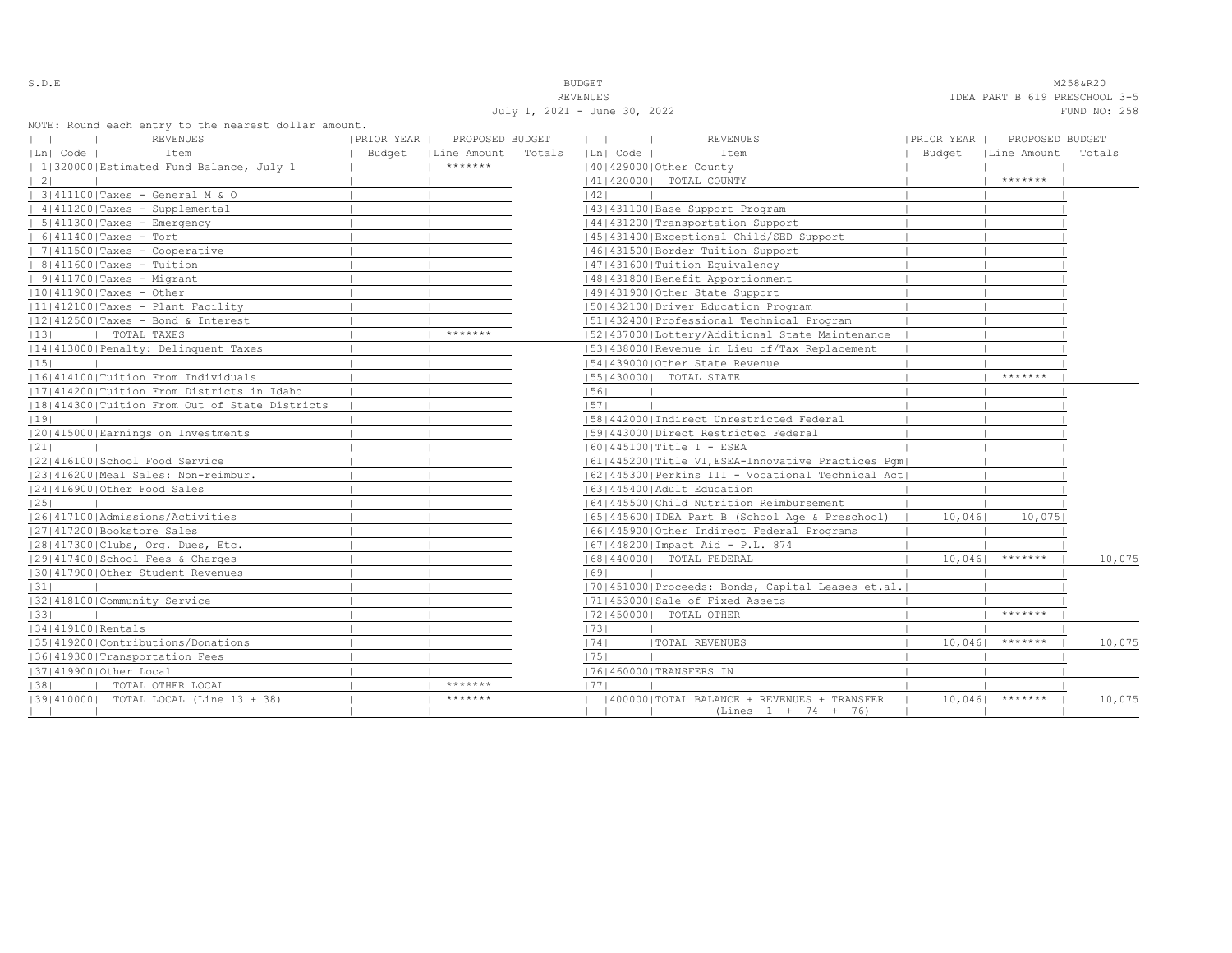July 1, 2021 - June 30, 2022 FUND NO: 258

S.D.E NOTE THAT IS A RESERVED TO A RESERVED THAT IS A RESERVED ON A RESERVED ON A RESERVED ON A RESERVED ON A RESERVED ON A RESERVED ON A RESERVED ON A RESERVED ON A RESERVED ON A RESERVED ON A RESERVED ON A RESERVED ON A REVENUES TO EXAMPLE THE REVENUES OF THE SERVER OF THE SERVER OF THE SERVER OF THE SERVER OF THE SERVER OF THE SERVER OF THE SERVER OF THE SERVER OF THE SERVER OF THE SERVER OF THE SERVER OF THE SERVER OF THE SERVER OF THE

|                   | NOTE: ROUNQ each entry to the hearest dollar amount,<br>REVENUES | PRIOR YEAR | PROPOSED BUDGET      |        | $\mathbf{1}$ | <b>REVENUES</b>                                                       | PRIOR YEAR |        | PROPOSED BUDGET      |        |
|-------------------|------------------------------------------------------------------|------------|----------------------|--------|--------------|-----------------------------------------------------------------------|------------|--------|----------------------|--------|
| Ln  Code          | Item                                                             |            | Budget   Line Amount | Totals | Ln  Code     | Item                                                                  |            |        | Budget   Line Amount | Totals |
|                   | 1 320000 Estimated Fund Balance, July 1                          |            | *******              |        |              | 140142900010ther County                                               |            |        |                      |        |
| $\vert 2 \vert$   |                                                                  |            |                      |        |              | 41   420000   TOTAL COUNTY                                            |            |        | *******              |        |
|                   | 3 411100 Taxes - General M & O                                   |            |                      |        | 42           |                                                                       |            |        |                      |        |
|                   | $ 4 411200 $ Taxes - Supplemental                                |            |                      |        |              | 43   431100   Base Support Program                                    |            |        |                      |        |
|                   | $  5 411300 $ Taxes - Emergency                                  |            |                      |        |              | 44   431200   Transportation Support                                  |            |        |                      |        |
|                   | $  6 411400 $ Taxes - Tort                                       |            |                      |        |              | 45 431400 Exceptional Child/SED Support                               |            |        |                      |        |
|                   | $  7 411500 $ Taxes - Cooperative                                |            |                      |        |              | 46 431500 Border Tuition Support                                      |            |        |                      |        |
|                   | $  8 411600 $ Taxes - Tuition                                    |            |                      |        |              | 47   431600   Tuition Equivalency                                     |            |        |                      |        |
|                   | $  9 411700 $ Taxes - Migrant                                    |            |                      |        |              | 48   431800   Benefit Apportionment                                   |            |        |                      |        |
|                   | $ 10 411900 $ Taxes - Other                                      |            |                      |        |              | 49 431900 Other State Support                                         |            |        |                      |        |
|                   | 11 412100 Taxes - Plant Facility                                 |            |                      |        |              | 1501432100   Driver Education Program                                 |            |        |                      |        |
|                   | $ 12 412500 $ Taxes - Bond & Interest                            |            |                      |        |              | 51 432400 Professional Technical Program                              |            |        |                      |        |
| 13                | I TOTAL TAXES                                                    |            | *******              |        |              | 15214370001Lottery/Additional State Maintenance                       |            |        |                      |        |
|                   | 14 413000 Penalty: Delinquent Taxes                              |            |                      |        |              | [53] 438000 Revenue in Lieu of/Tax Replacement                        |            |        |                      |        |
| 15                |                                                                  |            |                      |        |              | 154143900010ther State Revenue                                        |            |        |                      |        |
|                   | 11614141001Tuition From Individuals                              |            |                      |        |              | [55] 430000] TOTAL STATE                                              |            |        | *******              |        |
|                   | [17] 414200   Tuition From Districts in Idaho                    |            |                      |        | 56           |                                                                       |            |        |                      |        |
|                   | 18 414300 Tuition From Out of State Districts                    |            |                      |        | 57           |                                                                       |            |        |                      |        |
| 19                |                                                                  |            |                      |        |              | 15814420001Indirect Unrestricted Federal                              |            |        |                      |        |
|                   | 20 415000 Earnings on Investments                                |            |                      |        |              | 1591443000   Direct Restricted Federal                                |            |        |                      |        |
| 21                |                                                                  |            |                      |        |              | $ 60 445100 $ Title I - ESEA                                          |            |        |                      |        |
|                   | 22 416100 School Food Service                                    |            |                      |        |              | 61 445200 Title VI, ESEA-Innovative Practices Pqm                     |            |        |                      |        |
|                   | 23 416200 Meal Sales: Non-reimbur.                               |            |                      |        |              | 62 445300 Perkins III - Vocational Technical Act                      |            |        |                      |        |
|                   | 24 416900 Other Food Sales                                       |            |                      |        |              | 16314454001Adult Education                                            |            |        |                      |        |
| 25                |                                                                  |            |                      |        |              | 16414455001Child Nutrition Reimbursement                              |            |        |                      |        |
|                   | 1261417100 Admissions/Activities                                 |            |                      |        |              | 65   445600   IDEA Part B (School Age & Preschool)                    |            | 10,046 | 10,075               |        |
|                   | 27 417200 Bookstore Sales                                        |            |                      |        |              | 66 445900 Other Indirect Federal Programs                             |            |        |                      |        |
|                   | 28 417300 Clubs, Org. Dues, Etc.                                 |            |                      |        |              | $ 67 448200 $ Impact Aid - P.L. 874                                   |            |        |                      |        |
|                   | 12914174001School Fees & Charges                                 |            |                      |        |              | 16814400001 TOTAL FEDERAL                                             |            | 10,046 | $*********$          | 10,075 |
|                   | 130141790010ther Student Revenues                                |            |                      |        | 69           |                                                                       |            |        |                      |        |
| 31                |                                                                  |            |                      |        |              | [70] 451000 Proceeds: Bonds, Capital Leases et.al.                    |            |        |                      |        |
|                   | 13214181001Community Service                                     |            |                      |        |              | 17114530001Sale of Fixed Assets                                       |            |        |                      |        |
| 33                |                                                                  |            |                      |        |              | 17214500001 TOTAL OTHER                                               |            |        | *******              |        |
| 34 419100 Rentals |                                                                  |            |                      |        | 73           |                                                                       |            |        |                      |        |
|                   | 35 419200 Contributions/Donations                                |            |                      |        | 74           | <b> TOTAL REVENUES</b>                                                |            | 10,046 | $* * * * * * * * *$  | 10,075 |
|                   | 36 419300 Transportation Fees                                    |            |                      |        | 75           |                                                                       |            |        |                      |        |
|                   | 37 419900 Other Local                                            |            |                      |        |              | 17614600001TRANSFERS IN                                               |            |        |                      |        |
| 38                | TOTAL OTHER LOCAL                                                |            | *******              |        | 1771         |                                                                       |            |        |                      |        |
|                   | [39] 410000] TOTAL LOCAL (Line 13 + 38)                          |            | *******              |        |              | (400000) TOTAL BALANCE + REVENUES + TRANSFER<br>$(Lines 1 + 74 + 76)$ |            |        | $10,046$ *******     | 10,075 |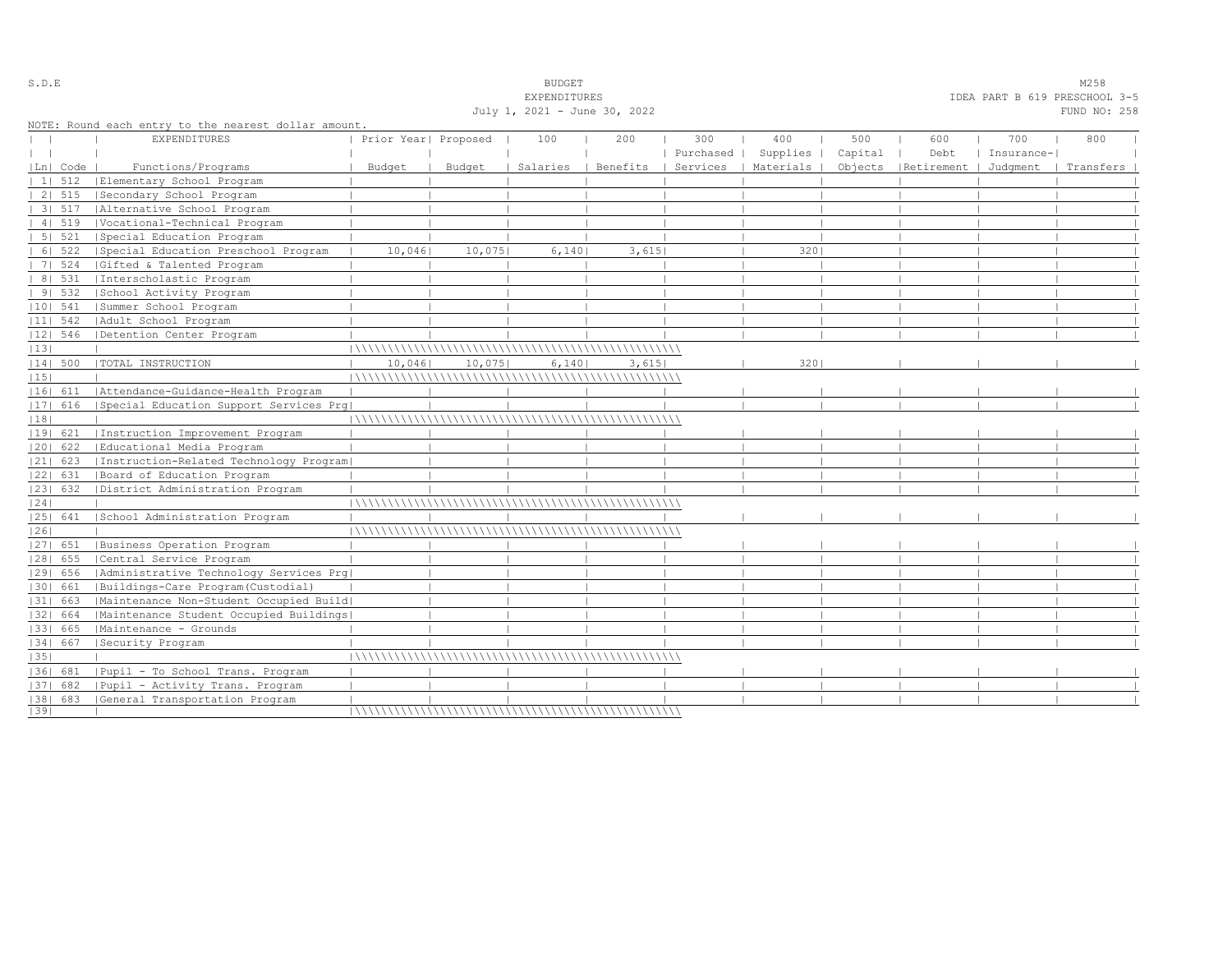|    |            |                                                      |                      |        | <b>EXPENDITURES</b>          |          |           |                      |         |                       | IDEA PART B 619 PRESCHOOL 3-5 |              |  |
|----|------------|------------------------------------------------------|----------------------|--------|------------------------------|----------|-----------|----------------------|---------|-----------------------|-------------------------------|--------------|--|
|    |            |                                                      |                      |        | July 1, 2021 - June 30, 2022 |          |           |                      |         |                       |                               | FUND NO: 258 |  |
|    |            | NOTE: Round each entry to the nearest dollar amount. |                      |        |                              |          |           |                      |         |                       |                               |              |  |
|    |            | <b>EXPENDITURES</b>                                  | Prior Year  Proposed |        | 100                          | 200      | 300       | 400                  | 500     | 600                   | 700                           | 800          |  |
|    |            |                                                      |                      |        |                              |          | Purchased | Supplies             | Capital | Debt                  | Insurance-                    |              |  |
|    | Ln  Code   | Functions/Programs                                   | Budget               | Budget | Salaries                     | Benefits |           | Services   Materials | Objects | Retirement   Judqment |                               | Transfers    |  |
|    | 1   512    | Elementary School Program                            |                      |        |                              |          |           |                      |         |                       |                               |              |  |
|    | 2   515    | Secondary School Program                             |                      |        |                              |          |           |                      |         |                       |                               |              |  |
|    | 31.517     | Alternative School Program                           |                      |        |                              |          |           |                      |         |                       |                               |              |  |
|    | 4   519    | Vocational-Technical Program                         |                      |        |                              |          |           |                      |         |                       |                               |              |  |
|    | 5 521      | Special Education Program                            |                      |        |                              |          |           |                      |         |                       |                               |              |  |
|    | 6   522    | Special Education Preschool Program                  | 10,046               | 10,075 | 6,140                        | 3,615    |           | 3201                 |         |                       |                               |              |  |
|    | 7   524    | Gifted & Talented Program                            |                      |        |                              |          |           |                      |         |                       |                               |              |  |
|    | 8   531    | Interscholastic Program                              |                      |        |                              |          |           |                      |         |                       |                               |              |  |
|    | 91532      | School Activity Program                              |                      |        |                              |          |           |                      |         |                       |                               |              |  |
|    | $ 10 $ 541 | Summer School Program                                |                      |        |                              |          |           |                      |         |                       |                               |              |  |
|    | $ 11 $ 542 | Adult School Program                                 |                      |        |                              |          |           |                      |         |                       |                               |              |  |
|    | $ 12 $ 546 | Detention Center Program                             |                      |        |                              |          |           |                      |         |                       |                               |              |  |
| 13 |            |                                                      |                      |        |                              |          |           |                      |         |                       |                               |              |  |
|    | 14  500    | TOTAL INSTRUCTION                                    | 10,0461              | 10,075 | 6,140                        | 3,615    |           | 320                  |         |                       |                               |              |  |
| 15 |            |                                                      |                      |        |                              |          |           |                      |         |                       |                               |              |  |
|    | 16  611    | Attendance-Guidance-Health Program                   |                      |        |                              |          |           |                      |         |                       |                               |              |  |
|    | 17  616    | Special Education Support Services Prq               |                      |        |                              |          |           |                      |         |                       |                               |              |  |
| 18 |            |                                                      |                      |        |                              |          |           |                      |         |                       |                               |              |  |
|    | 19  621    | Instruction Improvement Program                      |                      |        |                              |          |           |                      |         |                       |                               |              |  |
|    | 20  622    | Educational Media Program                            |                      |        |                              |          |           |                      |         |                       |                               |              |  |
|    | $ 21 $ 623 | [Instruction-Related Technology Program]             |                      |        |                              |          |           |                      |         |                       |                               |              |  |
|    | 22  631    | Board of Education Program                           |                      |        |                              |          |           |                      |         |                       |                               |              |  |
|    | 23  632    | District Administration Program                      |                      |        |                              |          |           |                      |         |                       |                               |              |  |
| 24 |            |                                                      |                      |        |                              |          |           |                      |         |                       |                               |              |  |
|    | 25  641    | School Administration Program                        |                      |        |                              |          |           |                      |         |                       |                               |              |  |
| 26 |            |                                                      |                      |        |                              |          |           |                      |         |                       |                               |              |  |
|    | 27  651    | Business Operation Program                           |                      |        |                              |          |           |                      |         |                       |                               |              |  |
|    | 28  655    | Central Service Program                              |                      |        |                              |          |           |                      |         |                       |                               |              |  |
|    | 29  656    | Administrative Technology Services Prg               |                      |        |                              |          |           |                      |         |                       |                               |              |  |
|    | 1301 661   | Buildings-Care Program(Custodial)                    |                      |        |                              |          |           |                      |         |                       |                               |              |  |
|    | 31  663    | Maintenance Non-Student Occupied Build               |                      |        |                              |          |           |                      |         |                       |                               |              |  |
|    | 32  664    | Maintenance Student Occupied Buildings               |                      |        |                              |          |           |                      |         |                       |                               |              |  |
|    | 1331 665   | Maintenance - Grounds                                |                      |        |                              |          |           |                      |         |                       |                               |              |  |
|    | 34   667   | Security Program                                     |                      |        |                              |          |           |                      |         |                       |                               |              |  |
| 35 |            |                                                      |                      |        |                              |          |           |                      |         |                       |                               |              |  |
|    | 1361 681   | Pupil - To School Trans. Program                     |                      |        |                              |          |           |                      |         |                       |                               |              |  |
|    | 37  682    | Pupil - Activity Trans. Program                      |                      |        |                              |          |           |                      |         |                       |                               |              |  |
|    |            | [38] 683 [General Transportation Program             |                      |        |                              |          |           |                      |         |                       |                               |              |  |
| 39 |            |                                                      |                      |        |                              |          |           |                      |         |                       |                               |              |  |

S.D.E SOME SALE SOME STRUCK STRUCK STRUCK SOMETHING SOMETHING SOMETHING SOMETHING SOMETHING SOMETHING SOMETHING SOMETHING SOMETHING SOMETHING SOMETHING SOMETHING SOMETHING SOMETHING SOMETHING SOMETHING SOMETHING SOMETHING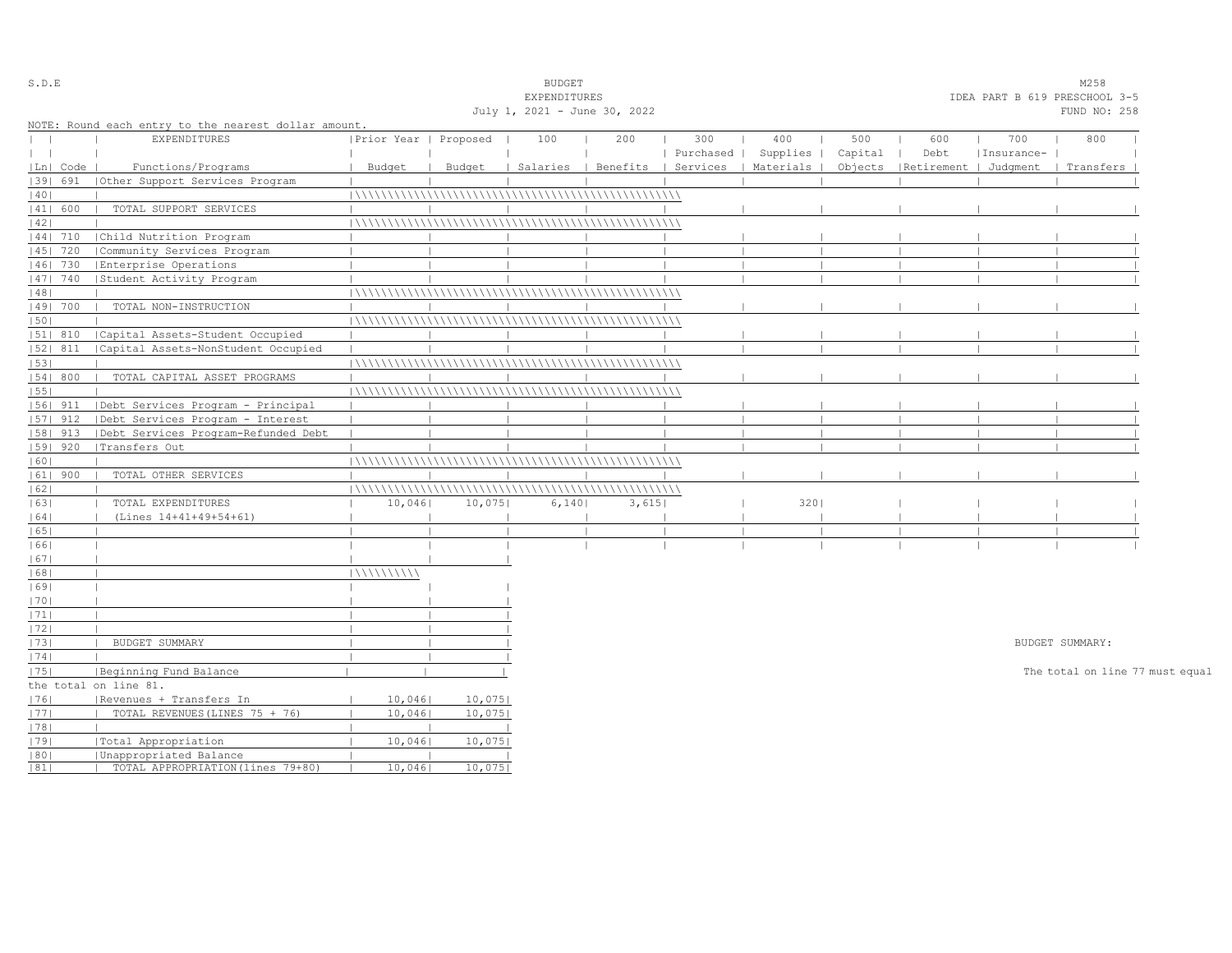| S.D.E         |            |                                                      |                       |        | <b>BUDGET</b>                |                                |           |                               |         |                       |            | M258                            |  |
|---------------|------------|------------------------------------------------------|-----------------------|--------|------------------------------|--------------------------------|-----------|-------------------------------|---------|-----------------------|------------|---------------------------------|--|
|               |            |                                                      |                       |        | EXPENDITURES                 |                                |           | IDEA PART B 619 PRESCHOOL 3-5 |         |                       |            |                                 |  |
|               |            |                                                      |                       |        | July 1, 2021 - June 30, 2022 |                                |           |                               |         |                       |            | FUND NO: 258                    |  |
|               |            | NOTE: Round each entry to the nearest dollar amount. |                       |        |                              |                                |           |                               |         |                       |            |                                 |  |
| $\mathbf{L}$  |            | <b>EXPENDITURES</b>                                  | Prior Year   Proposed |        | 100                          | 200                            | 300       | 400                           | 500     | 600                   | 700        | 800                             |  |
| $\vert \vert$ |            |                                                      |                       |        |                              |                                | Purchased | Supplies                      | Capital | Debt                  | Insurance- |                                 |  |
|               | Ln   Code  | Functions/Programs                                   | Budget                | Budget |                              | Salaries   Benefits   Services |           | Materials                     | Objects | Retirement   Judgment |            | Transfers                       |  |
|               | 1391 691   | Other Support Services Program                       |                       |        |                              |                                |           |                               |         |                       |            |                                 |  |
| 40            |            |                                                      |                       |        |                              |                                |           |                               |         |                       |            |                                 |  |
|               | 41  600    | TOTAL SUPPORT SERVICES                               |                       |        |                              |                                |           |                               |         |                       |            |                                 |  |
| 42            |            |                                                      |                       |        |                              |                                |           |                               |         |                       |            |                                 |  |
|               | $ 44 $ 710 | Child Nutrition Program                              |                       |        |                              |                                |           |                               |         |                       |            |                                 |  |
|               | 45   720   | Community Services Program                           |                       |        |                              |                                |           |                               |         |                       |            |                                 |  |
|               | 46  730    | Enterprise Operations                                |                       |        |                              |                                |           |                               |         |                       |            |                                 |  |
|               | 47   740   | Student Activity Program                             |                       |        |                              |                                |           |                               |         |                       |            |                                 |  |
| 48            |            |                                                      |                       |        |                              |                                |           |                               |         |                       |            |                                 |  |
|               | 49  700    | TOTAL NON-INSTRUCTION                                |                       |        |                              |                                |           |                               |         |                       |            |                                 |  |
| 50            |            |                                                      |                       |        |                              |                                |           |                               |         |                       |            |                                 |  |
|               | 51  810    | Capital Assets-Student Occupied                      |                       |        |                              |                                |           |                               |         |                       |            |                                 |  |
|               | 52  811    | Capital Assets-NonStudent Occupied                   |                       |        |                              |                                |           |                               |         |                       |            |                                 |  |
| 53            |            |                                                      |                       |        |                              |                                |           |                               |         |                       |            |                                 |  |
|               | 54   800   | TOTAL CAPITAL ASSET PROGRAMS                         |                       |        |                              |                                |           |                               |         |                       |            |                                 |  |
| 55            |            |                                                      |                       |        |                              |                                |           |                               |         |                       |            |                                 |  |
|               | $ 56 $ 911 | Debt Services Program - Principal                    |                       |        |                              |                                |           |                               |         |                       |            |                                 |  |
|               | $ 57 $ 912 | Debt Services Program - Interest                     |                       |        |                              |                                |           |                               |         |                       |            |                                 |  |
|               | 58  913    | Debt Services Program-Refunded Debt                  |                       |        |                              |                                |           |                               |         |                       |            |                                 |  |
|               | 59   920   | Transfers Out                                        |                       |        |                              |                                |           |                               |         |                       |            |                                 |  |
| 60            |            |                                                      |                       |        |                              |                                |           |                               |         |                       |            |                                 |  |
|               | $ 61 $ 900 | TOTAL OTHER SERVICES                                 |                       |        |                              |                                |           |                               |         |                       |            |                                 |  |
| 62            |            |                                                      |                       |        |                              |                                |           |                               |         |                       |            |                                 |  |
| 63            |            | TOTAL EXPENDITURES                                   | 10,046                | 10,075 | 6,140                        | 3,615                          |           | 3201                          |         |                       |            |                                 |  |
| 64            |            | (Lines 14+41+49+54+61)                               |                       |        |                              |                                |           |                               |         |                       |            |                                 |  |
| 65            |            |                                                      |                       |        |                              |                                |           |                               |         |                       |            |                                 |  |
| 66            |            |                                                      |                       |        |                              |                                |           |                               |         |                       |            |                                 |  |
| 67            |            |                                                      |                       |        |                              |                                |           |                               |         |                       |            |                                 |  |
| 68            |            |                                                      | 111111111111          |        |                              |                                |           |                               |         |                       |            |                                 |  |
| 69            |            |                                                      |                       |        |                              |                                |           |                               |         |                       |            |                                 |  |
| 70            |            |                                                      |                       |        |                              |                                |           |                               |         |                       |            |                                 |  |
| 1711          |            |                                                      |                       |        |                              |                                |           |                               |         |                       |            |                                 |  |
| 72            |            |                                                      |                       |        |                              |                                |           |                               |         |                       |            |                                 |  |
| 73            |            | BUDGET SUMMARY                                       |                       |        |                              |                                |           |                               |         |                       |            | BUDGET SUMMARY:                 |  |
| 74            |            |                                                      |                       |        |                              |                                |           |                               |         |                       |            |                                 |  |
| 75            |            | Beginning Fund Balance                               |                       |        |                              |                                |           |                               |         |                       |            | The total on line 77 must equal |  |
|               |            | the total on line 81.                                |                       |        |                              |                                |           |                               |         |                       |            |                                 |  |
| 76            |            | Revenues + Transfers In                              | 10,046                | 10,075 |                              |                                |           |                               |         |                       |            |                                 |  |
| 77            |            | TOTAL REVENUES (LINES 75 + 76)                       | 10,046                | 10,075 |                              |                                |           |                               |         |                       |            |                                 |  |
| 78            |            |                                                      |                       |        |                              |                                |           |                               |         |                       |            |                                 |  |
| 79            |            | Total Appropriation                                  | 10,046                | 10,075 |                              |                                |           |                               |         |                       |            |                                 |  |
| 80            |            | Unappropriated Balance                               |                       |        |                              |                                |           |                               |         |                       |            |                                 |  |
| 81            |            | TOTAL APPROPRIATION (lines 79+80)                    | 10,0461               | 10,075 |                              |                                |           |                               |         |                       |            |                                 |  |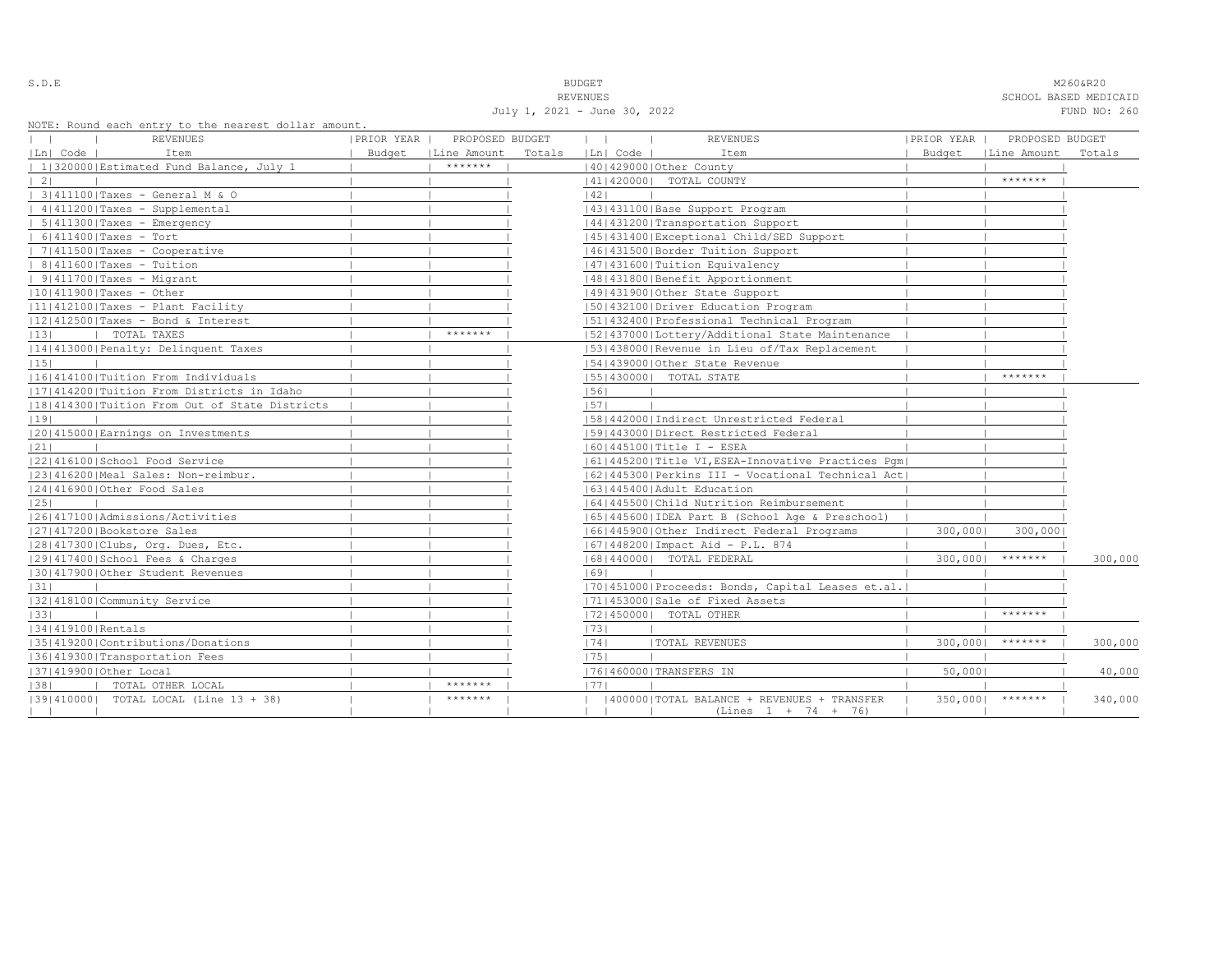S.D.E NOTE THAT IS A RESERVE TO A RESERVE THAT IS A RESERVED ON THE M260&R20 REVENUES SCHOOL BASED MEDICAID July 1, 2021 - June 30, 2022 FUND NO: 260

|                   | NOTE: Round each entry to the nearest dollar amount.<br>REVENUES | PRIOR YEAR | PROPOSED BUDGET      |        | $\mathbf{1}$ | $\sim$ 1.1 | <b>REVENUES</b>                                      | PRIOR YEAR | PROPOSED BUDGET      |         |
|-------------------|------------------------------------------------------------------|------------|----------------------|--------|--------------|------------|------------------------------------------------------|------------|----------------------|---------|
| Ln  Code          | Item                                                             |            | Budget   Line Amount | Totals |              | Ln  Code   | Item                                                 |            | Budget   Line Amount | Totals  |
|                   | 1 320000 Estimated Fund Balance, July 1                          |            | *******              |        |              |            | 140142900010ther County                              |            |                      |         |
| 2                 |                                                                  |            |                      |        |              |            | 41   420000   TOTAL COUNTY                           |            | *******              |         |
|                   | 3 411100 Taxes - General M & O                                   |            |                      |        | 42           |            |                                                      |            |                      |         |
|                   | $ 4 411200 $ Taxes - Supplemental                                |            |                      |        |              |            | 43   431100   Base Support Program                   |            |                      |         |
|                   | $  5   411300  $ Taxes - Emergency                               |            |                      |        |              |            | 44   431200   Transportation Support                 |            |                      |         |
|                   | $  6 411400 $ Taxes - Tort                                       |            |                      |        |              |            | 45 431400 Exceptional Child/SED Support              |            |                      |         |
|                   | 7 411500 Taxes - Cooperative                                     |            |                      |        |              |            | 46 431500 Border Tuition Support                     |            |                      |         |
|                   | $  8 411600 $ Taxes - Tuition                                    |            |                      |        |              |            | 47   431600   Tuition Equivalency                    |            |                      |         |
|                   | $  9 411700 $ Taxes - Migrant                                    |            |                      |        |              |            | 48   431800   Benefit Apportionment                  |            |                      |         |
|                   | $ 10 411900 $ Taxes - Other                                      |            |                      |        |              |            | 49 431900 Other State Support                        |            |                      |         |
|                   | 11 412100 Taxes - Plant Facility                                 |            |                      |        |              |            | 50 432100 Driver Education Program                   |            |                      |         |
|                   | $ 12 412500 $ Taxes - Bond & Interest                            |            |                      |        |              |            | 51 432400 Professional Technical Program             |            |                      |         |
| 13                | TOTAL TAXES                                                      |            | *******              |        |              |            | [52] 437000 [Lottery/Additional State Maintenance    |            |                      |         |
|                   | 14 413000 Penalty: Delinquent Taxes                              |            |                      |        |              |            | [53] 438000 Revenue in Lieu of/Tax Replacement       |            |                      |         |
| 15                |                                                                  |            |                      |        |              |            | 154143900010ther State Revenue                       |            |                      |         |
|                   | 16 414100 Tuition From Individuals                               |            |                      |        |              |            | [55] 430000] TOTAL STATE                             |            | *******              |         |
|                   | 11714142001Tuition From Districts in Idaho                       |            |                      |        | 56           |            |                                                      |            |                      |         |
|                   | 18 414300 Tuition From Out of State Districts                    |            |                      |        | 57           |            |                                                      |            |                      |         |
| 19                |                                                                  |            |                      |        |              |            | 58 442000 Indirect Unrestricted Federal              |            |                      |         |
|                   | 20 415000 Earnings on Investments                                |            |                      |        |              |            | 1591443000 Direct Restricted Federal                 |            |                      |         |
| 21                |                                                                  |            |                      |        |              |            | $ 60 445100 $ Title I - ESEA                         |            |                      |         |
|                   | 22 416100 School Food Service                                    |            |                      |        |              |            | 61 445200 Title VI, ESEA-Innovative Practices Pqm    |            |                      |         |
|                   | 23 416200 Meal Sales: Non-reimbur.                               |            |                      |        |              |            | 62   445300   Perkins III - Vocational Technical Act |            |                      |         |
|                   | 12414169001Other Food Sales                                      |            |                      |        |              |            | 1631445400 Adult Education                           |            |                      |         |
| 25                |                                                                  |            |                      |        |              |            | 1641445500 Child Nutrition Reimbursement             |            |                      |         |
|                   | 1261417100   Admissions/Activities                               |            |                      |        |              |            | 65  445600  IDEA Part B (School Age & Preschool)     |            |                      |         |
|                   | 27 417200 Bookstore Sales                                        |            |                      |        |              |            | 16614459001Other Indirect Federal Programs           | 300,000    | 300,000              |         |
|                   | 28 417300 Clubs, Org. Dues, Etc.                                 |            |                      |        |              |            | 67   448200   Impact Aid - P.L. 874                  |            |                      |         |
|                   | 29 417400 School Fees & Charges                                  |            |                      |        |              |            | 68   440000   TOTAL FEDERAL                          | 300,000    | *******              | 300,000 |
|                   | 130141790010ther Student Revenues                                |            |                      |        | 69           |            |                                                      |            |                      |         |
| 31                |                                                                  |            |                      |        |              |            | [70] 451000 Proceeds: Bonds, Capital Leases et.al.   |            |                      |         |
|                   | 32 418100 Community Service                                      |            |                      |        |              |            | 71 453000 Sale of Fixed Assets                       |            |                      |         |
| 33                |                                                                  |            |                      |        |              |            | 72 450000  TOTAL OTHER                               |            | *******              |         |
| 34 419100 Rentals |                                                                  |            |                      |        | 73           |            |                                                      |            |                      |         |
|                   | 35 419200 Contributions/Donations                                |            |                      |        | 74           |            | <b> TOTAL REVENUES</b>                               | 300,000    | *******              | 300,000 |
|                   | 36 419300 Transportation Fees                                    |            |                      |        | 75           |            |                                                      |            |                      |         |
|                   | 37 419900 Other Local                                            |            |                      |        |              |            | 76 460000 TRANSFERS IN                               | 50,0001    |                      | 40,000  |
| 38                | TOTAL OTHER LOCAL                                                |            | *******              |        | 1771         |            |                                                      |            |                      |         |
|                   | [39] 410000] TOTAL LOCAL (Line 13 + 38)                          |            | *******              |        |              |            | (400000) TOTAL BALANCE + REVENUES + TRANSFER         | 350,0001   | *******              | 340,000 |
|                   |                                                                  |            |                      |        |              |            | $(Lines 1 + 74 + 76)$                                |            |                      |         |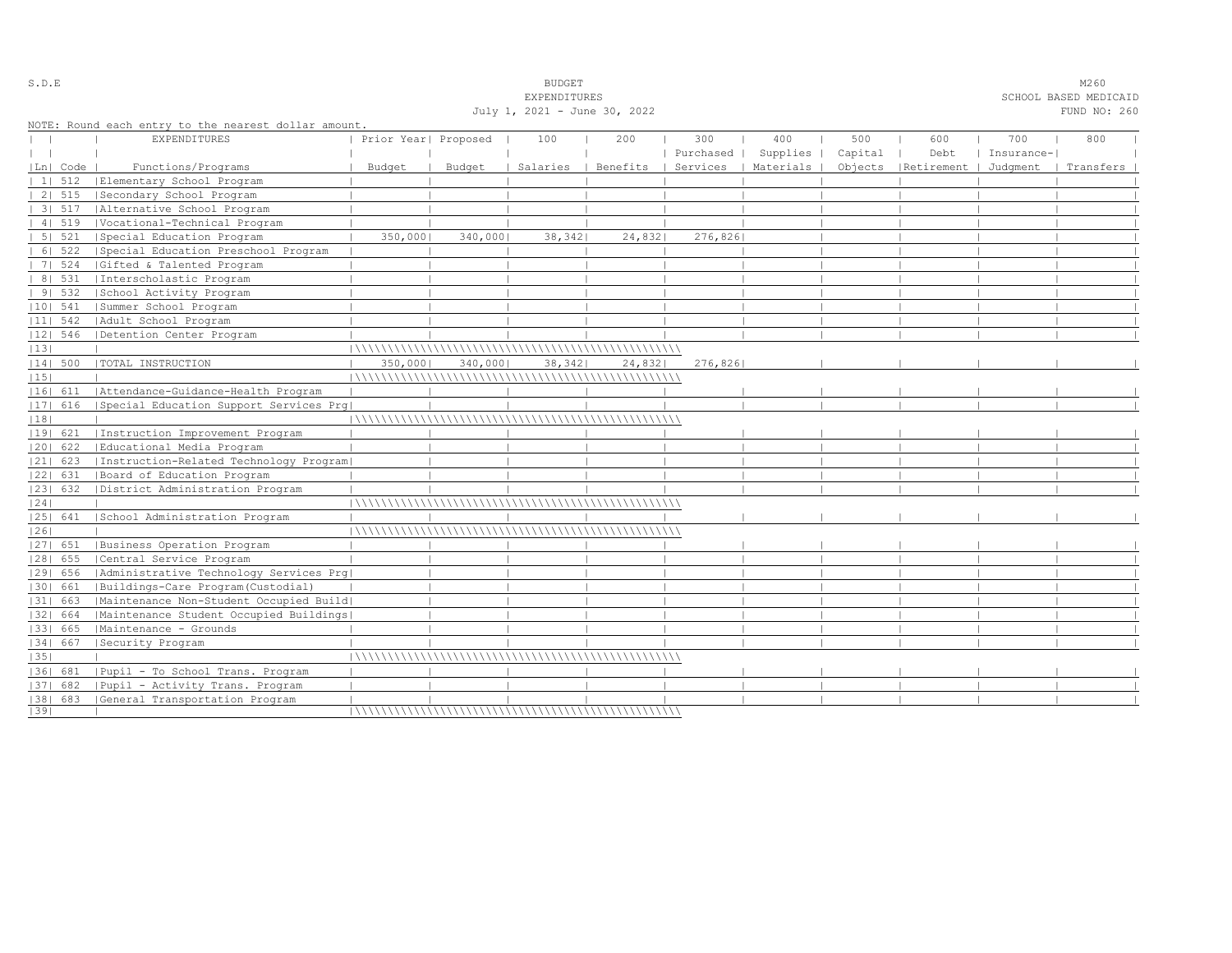|    |            |                                                                             |                      |          | July 1, 2021 - June 30, 2022 |          |           |           |         |            |            | FUND NO: 260 |
|----|------------|-----------------------------------------------------------------------------|----------------------|----------|------------------------------|----------|-----------|-----------|---------|------------|------------|--------------|
|    |            | NOTE: Round each entry to the nearest dollar amount.<br><b>EXPENDITURES</b> | Prior Year  Proposed |          | 100                          | 200      | 300       | 400       | 500     | 600        | 700        | 800          |
|    |            |                                                                             |                      |          |                              |          | Purchased | Supplies  | Capital | Debt       | Insurance- |              |
|    | Ln  Code   | Functions/Programs                                                          | Budget               | Budget   | Salaries                     | Benefits | Services  | Materials | Objects | Retirement | Judqment   | Transfers    |
|    | 1  512     | Elementary School Program                                                   |                      |          |                              |          |           |           |         |            |            |              |
|    | 2   515    | Secondary School Program                                                    |                      |          |                              |          |           |           |         |            |            |              |
|    | 31 517     | Alternative School Program                                                  |                      |          |                              |          |           |           |         |            |            |              |
|    | 4   519    | Vocational-Technical Program                                                |                      |          |                              |          |           |           |         |            |            |              |
|    | 5 521      | Special Education Program                                                   | 350,000              | 340,0001 | 38,342                       | 24,832   | 276,826   |           |         |            |            |              |
|    | 6   522    | Special Education Preschool Program                                         |                      |          |                              |          |           |           |         |            |            |              |
|    | 7   524    | Gifted & Talented Program                                                   |                      |          |                              |          |           |           |         |            |            |              |
|    | 8   531    | Interscholastic Program                                                     |                      |          |                              |          |           |           |         |            |            |              |
|    | 91532      | School Activity Program                                                     |                      |          |                              |          |           |           |         |            |            |              |
|    | $ 10 $ 541 | Summer School Program                                                       |                      |          |                              |          |           |           |         |            |            |              |
|    | $ 11 $ 542 | Adult School Program                                                        |                      |          |                              |          |           |           |         |            |            |              |
|    |            |                                                                             |                      |          |                              |          |           |           |         |            |            |              |
|    | $ 12 $ 546 | Detention Center Program                                                    |                      |          |                              |          |           |           |         |            |            |              |
| 13 |            |                                                                             |                      |          |                              |          |           |           |         |            |            |              |
|    | 14  500    | TOTAL INSTRUCTION                                                           | 350,000              | 340,000  | 38,342                       | 24,832   | 276,826   |           |         |            |            |              |
| 15 |            |                                                                             |                      |          |                              |          |           |           |         |            |            |              |
|    |            | 16  611   Attendance-Guidance-Health Program                                |                      |          |                              |          |           |           |         |            |            |              |
|    | 17  616    | Special Education Support Services Prg                                      |                      |          |                              |          |           |           |         |            |            |              |
| 18 |            |                                                                             |                      |          |                              |          |           |           |         |            |            |              |
|    | 19  621    | Instruction Improvement Program                                             |                      |          |                              |          |           |           |         |            |            |              |
|    | 20  622    | Educational Media Program                                                   |                      |          |                              |          |           |           |         |            |            |              |
|    | $ 21 $ 623 | Instruction-Related Technology Program                                      |                      |          |                              |          |           |           |         |            |            |              |
|    | 22  631    | Board of Education Program                                                  |                      |          |                              |          |           |           |         |            |            |              |
|    | 23  632    | District Administration Program                                             |                      |          |                              |          |           |           |         |            |            |              |
| 24 |            |                                                                             |                      |          |                              |          |           |           |         |            |            |              |
|    | 25  641    | School Administration Program                                               |                      |          |                              |          |           |           |         |            |            |              |
| 26 |            |                                                                             |                      |          |                              |          |           |           |         |            |            |              |
|    | 27  651    | Business Operation Program                                                  |                      |          |                              |          |           |           |         |            |            |              |
|    | 28  655    | Central Service Program                                                     |                      |          |                              |          |           |           |         |            |            |              |
|    | 29  656    | Administrative Technology Services Prg                                      |                      |          |                              |          |           |           |         |            |            |              |
|    | 30  661    | Buildings-Care Program(Custodial)                                           |                      |          |                              |          |           |           |         |            |            |              |
|    | 31  663    | Maintenance Non-Student Occupied Build                                      |                      |          |                              |          |           |           |         |            |            |              |
|    | 32   664   | Maintenance Student Occupied Buildings                                      |                      |          |                              |          |           |           |         |            |            |              |
|    | 33  665    | Maintenance - Grounds                                                       |                      |          |                              |          |           |           |         |            |            |              |
|    | $ 34 $ 667 | Security Program                                                            |                      |          |                              |          |           |           |         |            |            |              |
| 35 |            |                                                                             |                      |          |                              |          |           |           |         |            |            |              |
|    | 36  681    | Pupil - To School Trans, Program                                            |                      |          |                              |          |           |           |         |            |            |              |
|    | 37  682    | Pupil - Activity Trans. Program                                             |                      |          |                              |          |           |           |         |            |            |              |
|    | $ 38 $ 683 | General Transportation Program                                              |                      |          |                              |          |           |           |         |            |            |              |
| 39 |            |                                                                             |                      |          |                              |          |           |           |         |            |            |              |

S.D.E SOME SALE SOME STRUCK STRUCK STRUCK SOMETHING SOMETHING SOMETHING SOMETHING SOMETHING SOMETHING SOMETHING SOMETHING SOMETHING SOMETHING SOMETHING SOMETHING SOMETHING SOMETHING SOMETHING SOMETHING SOMETHING SOMETHING

EXPENDITURES SCHOOL BASED MEDICAID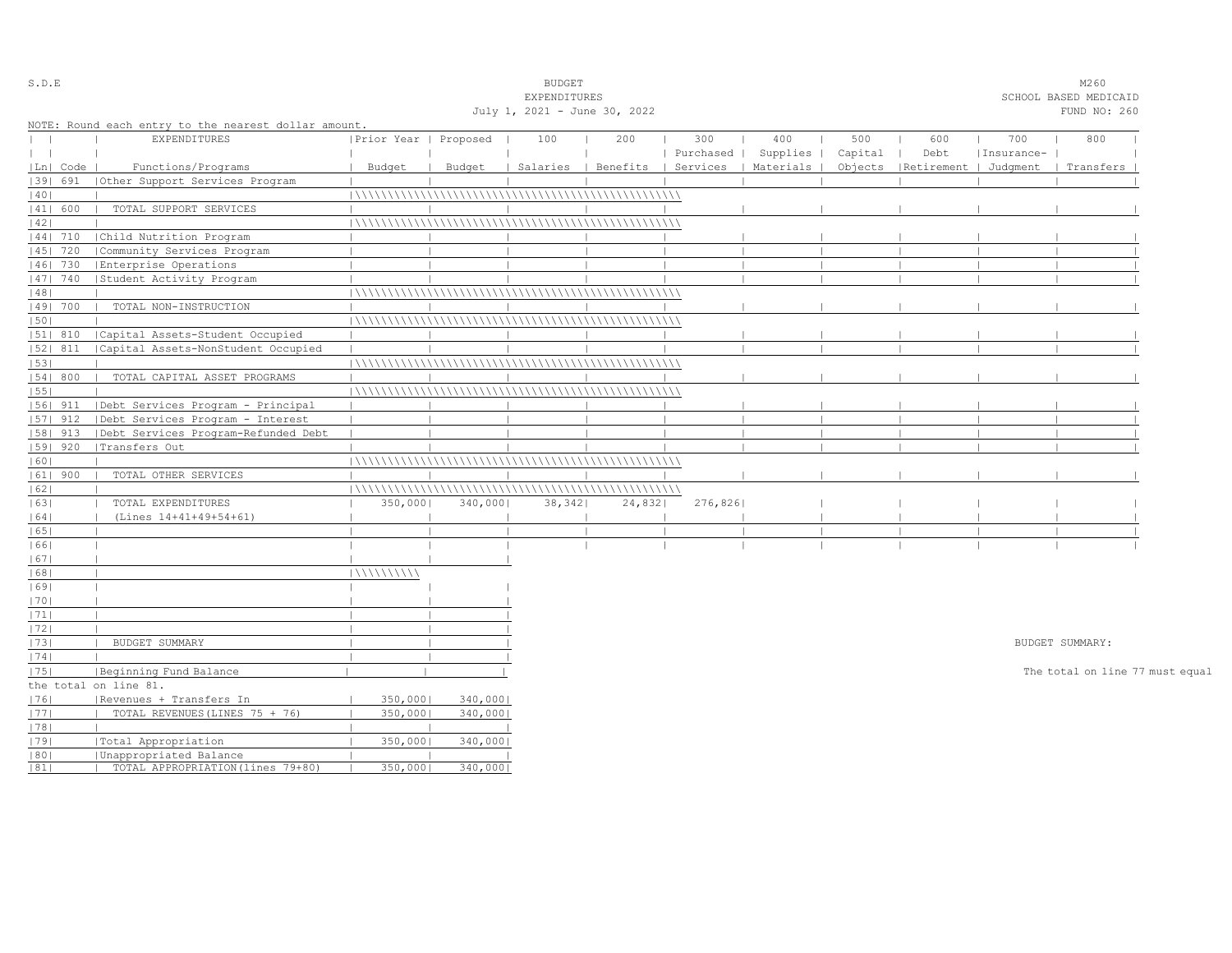| S.D.E      |                                                      |                       |          | <b>BUDGET</b>                |                                            |           |          |         |                       |            | M260                            |  |
|------------|------------------------------------------------------|-----------------------|----------|------------------------------|--------------------------------------------|-----------|----------|---------|-----------------------|------------|---------------------------------|--|
|            |                                                      |                       |          | EXPENDITURES                 |                                            |           |          |         |                       |            | SCHOOL BASED MEDICAID           |  |
|            |                                                      |                       |          | July 1, 2021 - June 30, 2022 |                                            |           |          |         |                       |            | FUND NO: 260                    |  |
|            | NOTE: Round each entry to the nearest dollar amount. |                       |          |                              |                                            |           |          |         |                       |            |                                 |  |
|            | EXPENDITURES                                         | Prior Year   Proposed |          | 100                          | 200                                        | 300       | 400      | 500     | 600                   | 700        | 800                             |  |
| $\perp$    |                                                      |                       |          |                              |                                            | Purchased | Supplies | Capital | Debt                  | Insurance- |                                 |  |
| Ln   Code  | Functions/Programs                                   | Budget                | Budget   |                              | Salaries   Benefits   Services   Materials |           |          | Objects | Retirement   Judgment |            | Transfers                       |  |
| 1391 691   | Other Support Services Program                       |                       |          |                              |                                            |           |          |         |                       |            |                                 |  |
| 40         |                                                      |                       |          |                              |                                            |           |          |         |                       |            |                                 |  |
| 41  600    | TOTAL SUPPORT SERVICES                               |                       |          |                              |                                            |           |          |         |                       |            |                                 |  |
| 42         |                                                      |                       |          |                              |                                            |           |          |         |                       |            |                                 |  |
| 44  710    | Child Nutrition Program                              |                       |          |                              |                                            |           |          |         |                       |            |                                 |  |
| 45   720   | Community Services Program                           |                       |          |                              |                                            |           |          |         |                       |            |                                 |  |
| 46  730    | Enterprise Operations                                |                       |          |                              |                                            |           |          |         |                       |            |                                 |  |
| $ 47 $ 740 | Student Activity Program                             |                       |          |                              |                                            |           |          |         |                       |            |                                 |  |
| 48         |                                                      |                       |          |                              |                                            |           |          |         |                       |            |                                 |  |
| 49  700    | TOTAL NON-INSTRUCTION                                |                       |          |                              |                                            |           |          |         |                       |            |                                 |  |
| 50         |                                                      |                       |          |                              |                                            |           |          |         |                       |            |                                 |  |
| 51  810    | Capital Assets-Student Occupied                      |                       |          |                              |                                            |           |          |         |                       |            |                                 |  |
| $ 52 $ 811 | Capital Assets-NonStudent Occupied                   |                       |          |                              |                                            |           |          |         |                       |            |                                 |  |
| 53         |                                                      |                       |          |                              |                                            |           |          |         |                       |            |                                 |  |
| 54   800   | TOTAL CAPITAL ASSET PROGRAMS                         |                       |          |                              |                                            |           |          |         |                       |            |                                 |  |
| 1551       |                                                      |                       |          |                              |                                            |           |          |         |                       |            |                                 |  |
| 56  911    | Debt Services Program - Principal                    |                       |          |                              |                                            |           |          |         |                       |            |                                 |  |
| 57  912    | Debt Services Program - Interest                     |                       |          |                              |                                            |           |          |         |                       |            |                                 |  |
| 58  913    | Debt Services Program-Refunded Debt                  |                       |          |                              |                                            |           |          |         |                       |            |                                 |  |
| 59   920   | Transfers Out                                        |                       |          |                              |                                            |           |          |         |                       |            |                                 |  |
| 60         |                                                      |                       |          |                              |                                            |           |          |         |                       |            |                                 |  |
| $ 61 $ 900 | TOTAL OTHER SERVICES                                 |                       |          |                              |                                            |           |          |         |                       |            |                                 |  |
| 62         |                                                      |                       |          |                              |                                            |           |          |         |                       |            |                                 |  |
| 63         | TOTAL EXPENDITURES                                   | 350,000               | 340,000  | 38,342                       | 24,832                                     | 276,826   |          |         |                       |            |                                 |  |
| 64         | (Lines 14+41+49+54+61)                               |                       |          |                              |                                            |           |          |         |                       |            |                                 |  |
| 65         |                                                      |                       |          |                              |                                            |           |          |         |                       |            |                                 |  |
| 661        |                                                      |                       |          |                              |                                            |           |          |         |                       |            |                                 |  |
| 67         |                                                      |                       |          |                              |                                            |           |          |         |                       |            |                                 |  |
| 68         |                                                      | 111111111111          |          |                              |                                            |           |          |         |                       |            |                                 |  |
| 69         |                                                      |                       |          |                              |                                            |           |          |         |                       |            |                                 |  |
| 70         |                                                      |                       |          |                              |                                            |           |          |         |                       |            |                                 |  |
| 71         |                                                      |                       |          |                              |                                            |           |          |         |                       |            |                                 |  |
| 1721       |                                                      |                       |          |                              |                                            |           |          |         |                       |            |                                 |  |
| 73         | BUDGET SUMMARY                                       |                       |          |                              |                                            |           |          |         |                       |            | BUDGET SUMMARY:                 |  |
| 74         |                                                      |                       |          |                              |                                            |           |          |         |                       |            |                                 |  |
| 75         | Beginning Fund Balance                               |                       |          |                              |                                            |           |          |         |                       |            | The total on line 77 must equal |  |
|            | the total on line 81.                                |                       |          |                              |                                            |           |          |         |                       |            |                                 |  |
| 1761       | Revenues + Transfers In                              | 350,0001              | 340,000  |                              |                                            |           |          |         |                       |            |                                 |  |
| 77         | TOTAL REVENUES (LINES 75 + 76)                       | 350,000               | 340,000  |                              |                                            |           |          |         |                       |            |                                 |  |
| 78         |                                                      |                       |          |                              |                                            |           |          |         |                       |            |                                 |  |
| 1791       |                                                      | 350,000               | 340,000  |                              |                                            |           |          |         |                       |            |                                 |  |
| 80         | Total Appropriation<br>Unappropriated Balance        |                       |          |                              |                                            |           |          |         |                       |            |                                 |  |
| 81         | TOTAL APPROPRIATION (lines 79+80)                    | 350,000               | 340,0001 |                              |                                            |           |          |         |                       |            |                                 |  |
|            |                                                      |                       |          |                              |                                            |           |          |         |                       |            |                                 |  |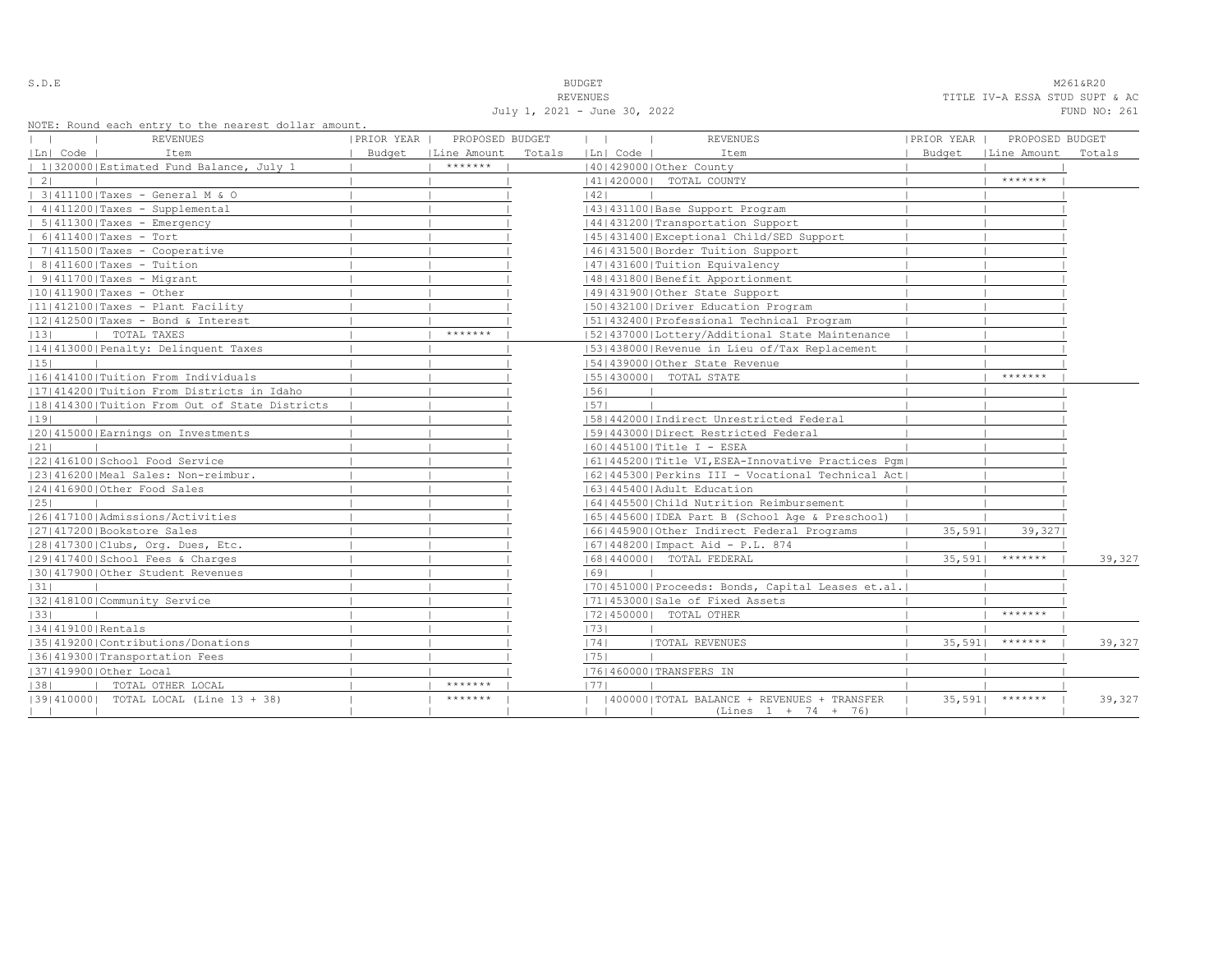S.D.E NOTE THAT IS A RESERVE TO A RESERVE THAT IS A RESERVE TO A RESERVE THAT IS A RESERVED ON A RESERVED ON A RESERVED ON A RESERVED ON A RESERVED ON A RESERVED ON A RESERVED ON A RESERVED ON A RESERVED ON A RESERVED ON A REVENUES TITLE IV-A ESSA STUD SUPT & AC July 1, 2021 - June 30, 2022 FUND NO: 261

| NOTE: ROUNQ each entry to the hearest dollar amount, |            |                      |        |              |                                                      |            |                      |        |
|------------------------------------------------------|------------|----------------------|--------|--------------|------------------------------------------------------|------------|----------------------|--------|
| REVENUES                                             | PRIOR YEAR | PROPOSED BUDGET      |        | $\mathbf{1}$ | <b>REVENUES</b>                                      | PRIOR YEAR | PROPOSED BUDGET      |        |
| Ln  Code  <br>Item                                   |            | Budget   Line Amount | Totals | Ln  Code     | Item                                                 |            | Budget   Line Amount | Totals |
| 1 320000 Estimated Fund Balance, July 1              |            | *******              |        |              | 40   429000   Other County                           |            |                      |        |
| $\vert 2 \vert$                                      |            |                      |        |              | 14114200001 TOTAL COUNTY                             |            | *******              |        |
| 3 411100 Taxes - General M & O                       |            |                      |        | 42           |                                                      |            |                      |        |
| $ 4 411200 $ Taxes - Supplemental                    |            |                      |        |              | 43   431100   Base Support Program                   |            |                      |        |
| $  5 411300 $ Taxes - Emergency                      |            |                      |        |              | 14414312001Transportation Support                    |            |                      |        |
| $  6 411400 $ Taxes - Tort                           |            |                      |        |              | 45 431400 Exceptional Child/SED Support              |            |                      |        |
| $  7 411500 $ Taxes - Cooperative                    |            |                      |        |              | 46   431500   Border Tuition Support                 |            |                      |        |
| $  8 411600 $ Taxes - Tuition                        |            |                      |        |              | 1471431600   Tuition Equivalency                     |            |                      |        |
| $  9 411700 $ Taxes - Migrant                        |            |                      |        |              | 48   431800   Benefit Apportionment                  |            |                      |        |
| $ 10 411900 $ Taxes - Other                          |            |                      |        |              | 49 431900 Other State Support                        |            |                      |        |
| $ 11 412100 $ Taxes - Plant Facility                 |            |                      |        |              | 1501432100 Driver Education Program                  |            |                      |        |
| 12 412500 Taxes - Bond & Interest                    |            |                      |        |              | 15114324001Professional Technical Program            |            |                      |        |
| 13 <br>TOTAL TAXES<br>$\mathbf{I}$                   |            | *******              |        |              | 52 437000 Lottery/Additional State Maintenance       |            |                      |        |
| 14 413000 Penalty: Delinquent Taxes                  |            |                      |        |              | [53] 438000 Revenue in Lieu of/Tax Replacement       |            |                      |        |
| 15                                                   |            |                      |        |              | 154143900010ther State Revenue                       |            |                      |        |
| 16 414100 Tuition From Individuals                   |            |                      |        |              | 55   430000   TOTAL STATE                            |            | *******              |        |
| 17 414200 Tuition From Districts in Idaho            |            |                      |        | 56           |                                                      |            |                      |        |
| 18 414300 Tuition From Out of State Districts        |            |                      |        | 57           |                                                      |            |                      |        |
| 19                                                   |            |                      |        |              | 58 442000 Indirect Unrestricted Federal              |            |                      |        |
| 20 415000 Earnings on Investments                    |            |                      |        |              | 1591443000 Direct Restricted Federal                 |            |                      |        |
| 21                                                   |            |                      |        |              | 60   445100   Title I - ESEA                         |            |                      |        |
| 22 416100 School Food Service                        |            |                      |        |              | 61 445200  Title VI, ESEA-Innovative Practices Pqm   |            |                      |        |
| 23 416200 Meal Sales: Non-reimbur.                   |            |                      |        |              | 62   445300   Perkins III - Vocational Technical Act |            |                      |        |
| 24 416900 Other Food Sales                           |            |                      |        |              | 16314454001Adult Education                           |            |                      |        |
| 25                                                   |            |                      |        |              | 1641445500 Child Nutrition Reimbursement             |            |                      |        |
| 12614171001Admissions/Activities                     |            |                      |        |              | [65]445600 [IDEA Part B (School Age & Preschool)     |            |                      |        |
| 27 417200 Bookstore Sales                            |            |                      |        |              | 16614459001Other Indirect Federal Programs           | 35,591     | 39,327               |        |
| 28 417300 Clubs, Org. Dues, Etc.                     |            |                      |        |              | 16714482001Impact Aid - P.L. 874                     |            |                      |        |
| 29 417400 School Fees & Charges                      |            |                      |        |              | 16814400001 TOTAL FEDERAL                            | 35,591     | $* * * * * * * * *$  | 39,327 |
| 30 417900 Other Student Revenues                     |            |                      |        | 69           |                                                      |            |                      |        |
| 31                                                   |            |                      |        |              | [70] 451000 Proceeds: Bonds, Capital Leases et.al.   |            |                      |        |
| 32 418100 Community Service                          |            |                      |        |              | 17114530001Sale of Fixed Assets                      |            |                      |        |
| 33                                                   |            |                      |        |              | 17214500001 TOTAL OTHER                              |            | *******              |        |
| 34 419100 Rentals                                    |            |                      |        | 73           |                                                      |            |                      |        |
| 35 419200 Contributions/Donations                    |            |                      |        | 74           | <b> TOTAL REVENUES</b>                               | 35,591     | $* * * * * * * * *$  | 39,327 |
| 36 419300 Transportation Fees                        |            |                      |        | 1751         |                                                      |            |                      |        |
| 37 419900 Other Local                                |            |                      |        |              | 17614600001TRANSFERS IN                              |            |                      |        |
| 38 <br>  TOTAL OTHER LOCAL                           |            | *******              |        | 1771         |                                                      |            |                      |        |
| [39] 410000] TOTAL LOCAL (Line 13 + 38)              |            | *******              |        |              | 400000 TOTAL BALANCE + REVENUES + TRANSFER           | 35,591     | *******              | 39,327 |
|                                                      |            |                      |        |              | $(Lines 1 + 74 + 76)$                                |            |                      |        |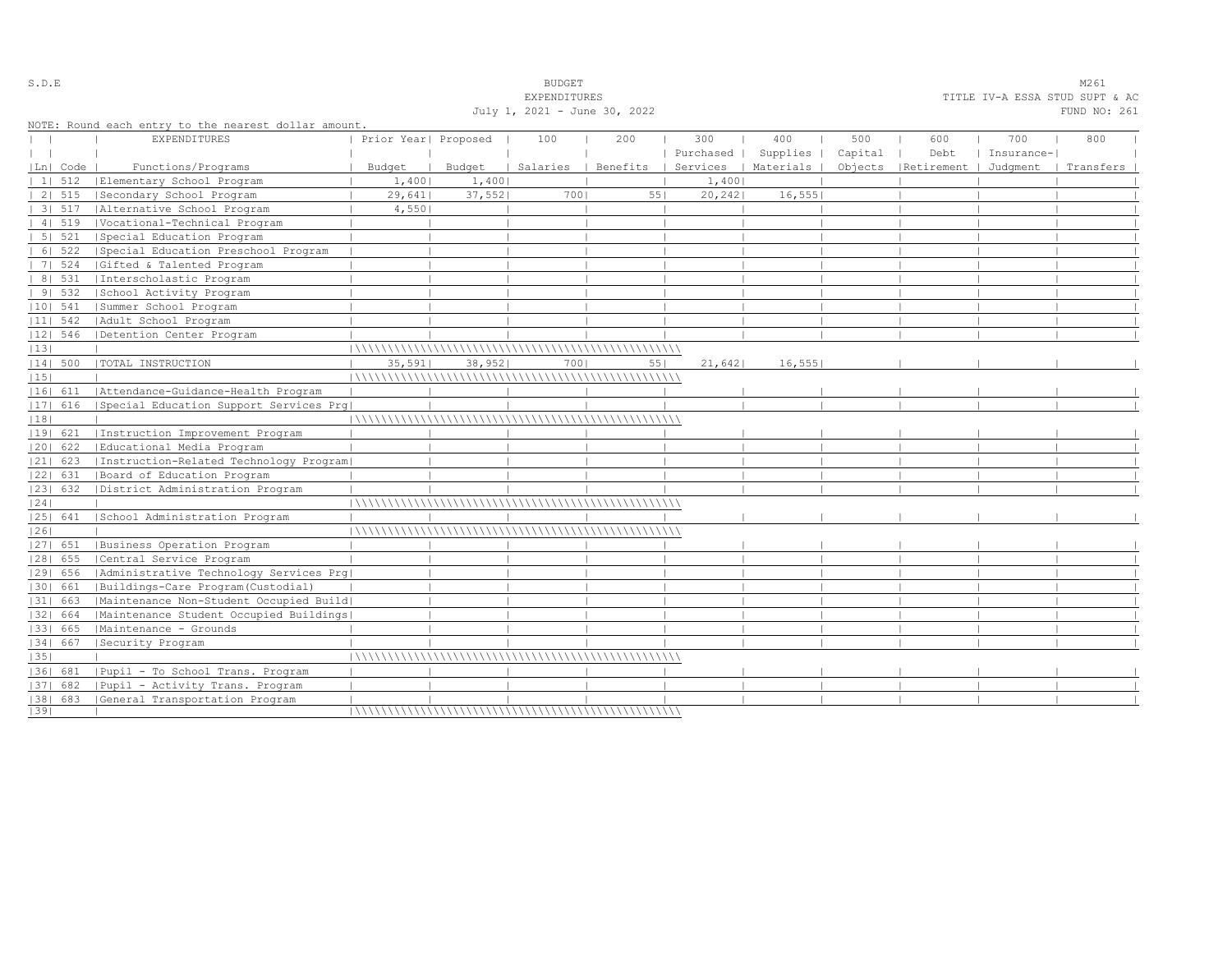|    |            |                                                                             |                      |        | July 1, 2021 - June 30, 2022 |          |         |                      |         |                                 |            | FUND NO: 261 |
|----|------------|-----------------------------------------------------------------------------|----------------------|--------|------------------------------|----------|---------|----------------------|---------|---------------------------------|------------|--------------|
|    |            | NOTE: Round each entry to the nearest dollar amount.<br><b>EXPENDITURES</b> | Prior Year  Proposed |        | 100                          | 200      | 300     | 400                  | 500     | 600                             | 700        | 800          |
|    |            |                                                                             |                      |        |                              |          |         | Purchased   Supplies | Capital | Debt                            | Insurance- |              |
|    | Ln  Code   | Functions/Programs                                                          | Budget               | Budget | Salaries                     | Benefits |         | Services   Materials |         | Objects   Retirement   Judgment |            | Transfers    |
|    | 1  512     | Elementary School Program                                                   | 1,400                | 1,400  |                              |          | 1,400   |                      |         |                                 |            |              |
|    | 2   515    | Secondary School Program                                                    | 29,641               | 37,552 | 7001                         | 551      | 20, 242 | 16, 555              |         |                                 |            |              |
|    |            | 3  517   Alternative School Program                                         | 4,550                |        |                              |          |         |                      |         |                                 |            |              |
|    | 41519      | Vocational-Technical Program                                                |                      |        |                              |          |         |                      |         |                                 |            |              |
|    | 5 521      | Special Education Program                                                   |                      |        |                              |          |         |                      |         |                                 |            |              |
|    | 6   522    | Special Education Preschool Program                                         |                      |        |                              |          |         |                      |         |                                 |            |              |
|    | 7   524    | Gifted & Talented Program                                                   |                      |        |                              |          |         |                      |         |                                 |            |              |
|    |            | 8   531   Interscholastic Program                                           |                      |        |                              |          |         |                      |         |                                 |            |              |
|    | 9   532    | School Activity Program                                                     |                      |        |                              |          |         |                      |         |                                 |            |              |
|    | $ 10 $ 541 | Summer School Program                                                       |                      |        |                              |          |         |                      |         |                                 |            |              |
|    | $ 11 $ 542 | Adult School Program                                                        |                      |        |                              |          |         |                      |         |                                 |            |              |
|    | $ 12 $ 546 | Detention Center Program                                                    |                      |        |                              |          |         |                      |         |                                 |            |              |
| 13 |            |                                                                             |                      |        |                              |          |         |                      |         |                                 |            |              |
|    | $ 14 $ 500 | TOTAL INSTRUCTION                                                           | 35,591               | 38,952 | 7001                         | 551      | 21,642  | 16,555               |         |                                 |            |              |
| 15 |            |                                                                             |                      |        |                              |          |         |                      |         |                                 |            |              |
|    |            | 16  611   Attendance-Guidance-Health Program                                |                      |        |                              |          |         |                      |         |                                 |            |              |
|    | $ 17 $ 616 | Special Education Support Services Prq                                      |                      |        |                              |          |         |                      |         |                                 |            |              |
| 18 |            |                                                                             |                      |        |                              |          |         |                      |         |                                 |            |              |
|    | 19  621    | Instruction Improvement Program                                             |                      |        |                              |          |         |                      |         |                                 |            |              |
|    | 20  622    | Educational Media Program                                                   |                      |        |                              |          |         |                      |         |                                 |            |              |
|    | $ 21 $ 623 | Instruction-Related Technology Program                                      |                      |        |                              |          |         |                      |         |                                 |            |              |
|    | 22  631    | Board of Education Program                                                  |                      |        |                              |          |         |                      |         |                                 |            |              |
|    |            | [23] 632 [District Administration Program                                   |                      |        |                              |          |         |                      |         |                                 |            |              |
| 24 |            |                                                                             |                      |        |                              |          |         |                      |         |                                 |            |              |
|    | 25  641    | School Administration Program                                               |                      |        |                              |          |         |                      |         |                                 |            |              |
| 26 |            |                                                                             |                      |        |                              |          |         |                      |         |                                 |            |              |
|    | 27  651    | Business Operation Program                                                  |                      |        |                              |          |         |                      |         |                                 |            |              |
|    | $ 28 $ 655 | Central Service Program                                                     |                      |        |                              |          |         |                      |         |                                 |            |              |
|    | 29  656    | Administrative Technology Services Prg                                      |                      |        |                              |          |         |                      |         |                                 |            |              |
|    | 30  661    | Buildings-Care Program (Custodial)                                          |                      |        |                              |          |         |                      |         |                                 |            |              |
|    | 31  663    | Maintenance Non-Student Occupied Build                                      |                      |        |                              |          |         |                      |         |                                 |            |              |
|    | 32  664    | Maintenance Student Occupied Buildings                                      |                      |        |                              |          |         |                      |         |                                 |            |              |
|    | 33  665    | Maintenance - Grounds                                                       |                      |        |                              |          |         |                      |         |                                 |            |              |
|    | 34  667    | Security Program                                                            |                      |        |                              |          |         |                      |         |                                 |            |              |
| 35 |            |                                                                             |                      |        |                              |          |         |                      |         |                                 |            |              |
|    | 1361 681   | Pupil - To School Trans. Program                                            |                      |        |                              |          |         |                      |         |                                 |            |              |
|    | $ 37 $ 682 | Pupil - Activity Trans. Program                                             |                      |        |                              |          |         |                      |         |                                 |            |              |
|    |            | [38] 683 [General Transportation Program                                    |                      |        |                              |          |         |                      |         |                                 |            |              |
| 39 |            |                                                                             |                      |        |                              |          |         |                      |         |                                 |            |              |

# S.D.E S.D. E

EXPENDITURES TITLE IV-A ESSA STUD SUPT & AC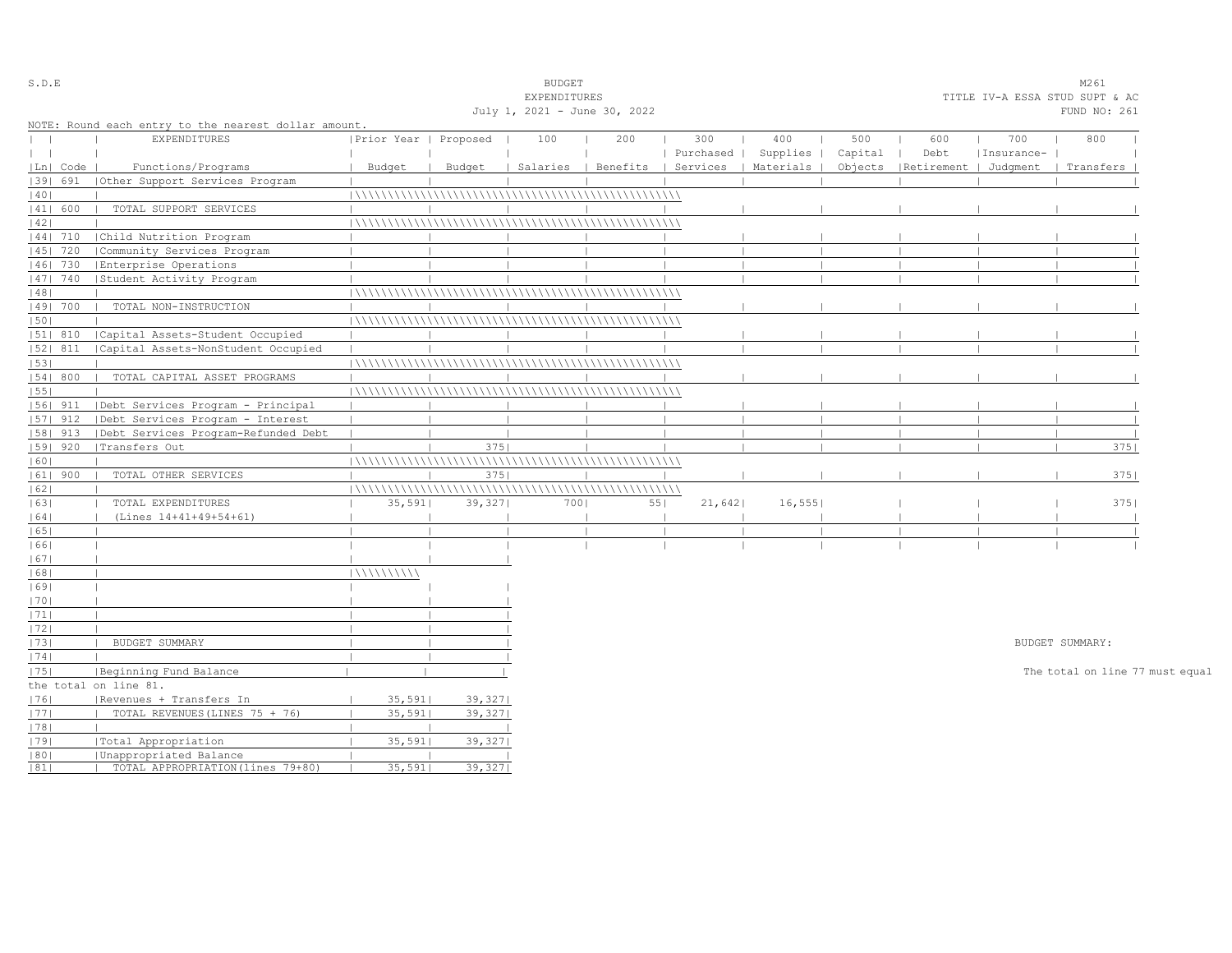| S.D.E         |            |                                                      |                       |         | <b>BUDGET</b>                |                                |           |           |         |                                |            | M261                            |  |
|---------------|------------|------------------------------------------------------|-----------------------|---------|------------------------------|--------------------------------|-----------|-----------|---------|--------------------------------|------------|---------------------------------|--|
|               |            |                                                      |                       |         | EXPENDITURES                 |                                |           |           |         | TITLE IV-A ESSA STUD SUPT & AC |            |                                 |  |
|               |            |                                                      |                       |         | July 1, 2021 - June 30, 2022 |                                |           |           |         |                                |            | FUND NO: 261                    |  |
|               |            | NOTE: Round each entry to the nearest dollar amount. |                       |         |                              |                                |           |           |         |                                |            |                                 |  |
| $\mathbf{L}$  |            | <b>EXPENDITURES</b>                                  | Prior Year   Proposed |         | 100                          | 200                            | 300       | 400       | 500     | 600                            | 700        | 800                             |  |
| $\vert \vert$ |            |                                                      |                       |         |                              |                                | Purchased | Supplies  | Capital | Debt                           | Insurance- |                                 |  |
|               | Ln   Code  | Functions/Programs                                   | Budget                | Budget  |                              | Salaries   Benefits   Services |           | Materials | Objects | Retirement   Judgment          |            | Transfers                       |  |
|               | 1391 691   | Other Support Services Program                       |                       |         |                              |                                |           |           |         |                                |            |                                 |  |
| 40            |            |                                                      |                       |         |                              |                                |           |           |         |                                |            |                                 |  |
|               | 41  600    | TOTAL SUPPORT SERVICES                               |                       |         |                              |                                |           |           |         |                                |            |                                 |  |
| 42            |            |                                                      |                       |         |                              |                                |           |           |         |                                |            |                                 |  |
|               | $ 44 $ 710 | Child Nutrition Program                              |                       |         |                              |                                |           |           |         |                                |            |                                 |  |
|               | 45   720   | Community Services Program                           |                       |         |                              |                                |           |           |         |                                |            |                                 |  |
|               | 46  730    | Enterprise Operations                                |                       |         |                              |                                |           |           |         |                                |            |                                 |  |
|               | 47   740   | Student Activity Program                             |                       |         |                              |                                |           |           |         |                                |            |                                 |  |
| 48            |            |                                                      |                       |         |                              |                                |           |           |         |                                |            |                                 |  |
|               | 49  700    | TOTAL NON-INSTRUCTION                                |                       |         |                              |                                |           |           |         |                                |            |                                 |  |
| 50            |            |                                                      |                       |         |                              |                                |           |           |         |                                |            |                                 |  |
|               | 51  810    | Capital Assets-Student Occupied                      |                       |         |                              |                                |           |           |         |                                |            |                                 |  |
|               | 52  811    | Capital Assets-NonStudent Occupied                   |                       |         |                              |                                |           |           |         |                                |            |                                 |  |
| 53            |            |                                                      |                       |         |                              |                                |           |           |         |                                |            |                                 |  |
|               | 54   800   | TOTAL CAPITAL ASSET PROGRAMS                         |                       |         |                              |                                |           |           |         |                                |            |                                 |  |
| 55            |            |                                                      |                       |         |                              |                                |           |           |         |                                |            |                                 |  |
|               | $ 56 $ 911 | Debt Services Program - Principal                    |                       |         |                              |                                |           |           |         |                                |            |                                 |  |
|               | $ 57 $ 912 | Debt Services Program - Interest                     |                       |         |                              |                                |           |           |         |                                |            |                                 |  |
|               | 58  913    | Debt Services Program-Refunded Debt                  |                       |         |                              |                                |           |           |         |                                |            |                                 |  |
|               | 59   920   | Transfers Out                                        |                       | 3751    |                              |                                |           |           |         |                                |            | 375                             |  |
| 60            |            |                                                      |                       |         |                              |                                |           |           |         |                                |            |                                 |  |
|               | $ 61 $ 900 | TOTAL OTHER SERVICES                                 |                       | 3751    |                              |                                |           |           |         |                                |            | 3751                            |  |
| 62            |            |                                                      |                       |         |                              |                                |           |           |         |                                |            |                                 |  |
| 63            |            | TOTAL EXPENDITURES                                   | 35,591                | 39,327  | 7001                         | 551                            | 21,642    | 16, 555   |         |                                |            | 3751                            |  |
| 64            |            | (Lines 14+41+49+54+61)                               |                       |         |                              |                                |           |           |         |                                |            |                                 |  |
| 65            |            |                                                      |                       |         |                              |                                |           |           |         |                                |            |                                 |  |
| 66            |            |                                                      |                       |         |                              |                                |           |           |         |                                |            |                                 |  |
| 67            |            |                                                      |                       |         |                              |                                |           |           |         |                                |            |                                 |  |
| 68            |            |                                                      | 111111111111          |         |                              |                                |           |           |         |                                |            |                                 |  |
| 69            |            |                                                      |                       |         |                              |                                |           |           |         |                                |            |                                 |  |
| 70            |            |                                                      |                       |         |                              |                                |           |           |         |                                |            |                                 |  |
| 1711          |            |                                                      |                       |         |                              |                                |           |           |         |                                |            |                                 |  |
| 72            |            |                                                      |                       |         |                              |                                |           |           |         |                                |            |                                 |  |
| 73            |            | BUDGET SUMMARY                                       |                       |         |                              |                                |           |           |         |                                |            | BUDGET SUMMARY:                 |  |
| 74            |            |                                                      |                       |         |                              |                                |           |           |         |                                |            |                                 |  |
| 75            |            | Beginning Fund Balance                               |                       |         |                              |                                |           |           |         |                                |            | The total on line 77 must equal |  |
|               |            | the total on line 81.                                |                       |         |                              |                                |           |           |         |                                |            |                                 |  |
| 76            |            | Revenues + Transfers In                              | 35,5911               | 39,327  |                              |                                |           |           |         |                                |            |                                 |  |
| 77            |            | TOTAL REVENUES (LINES 75 + 76)                       | 35,591                | 39,327  |                              |                                |           |           |         |                                |            |                                 |  |
| 78            |            |                                                      |                       |         |                              |                                |           |           |         |                                |            |                                 |  |
| 79            |            | Total Appropriation                                  | 35,591                | 39,327  |                              |                                |           |           |         |                                |            |                                 |  |
| 80            |            | Unappropriated Balance                               |                       |         |                              |                                |           |           |         |                                |            |                                 |  |
| 81            |            | TOTAL APPROPRIATION (lines 79+80)                    | 35,591                | 39,3271 |                              |                                |           |           |         |                                |            |                                 |  |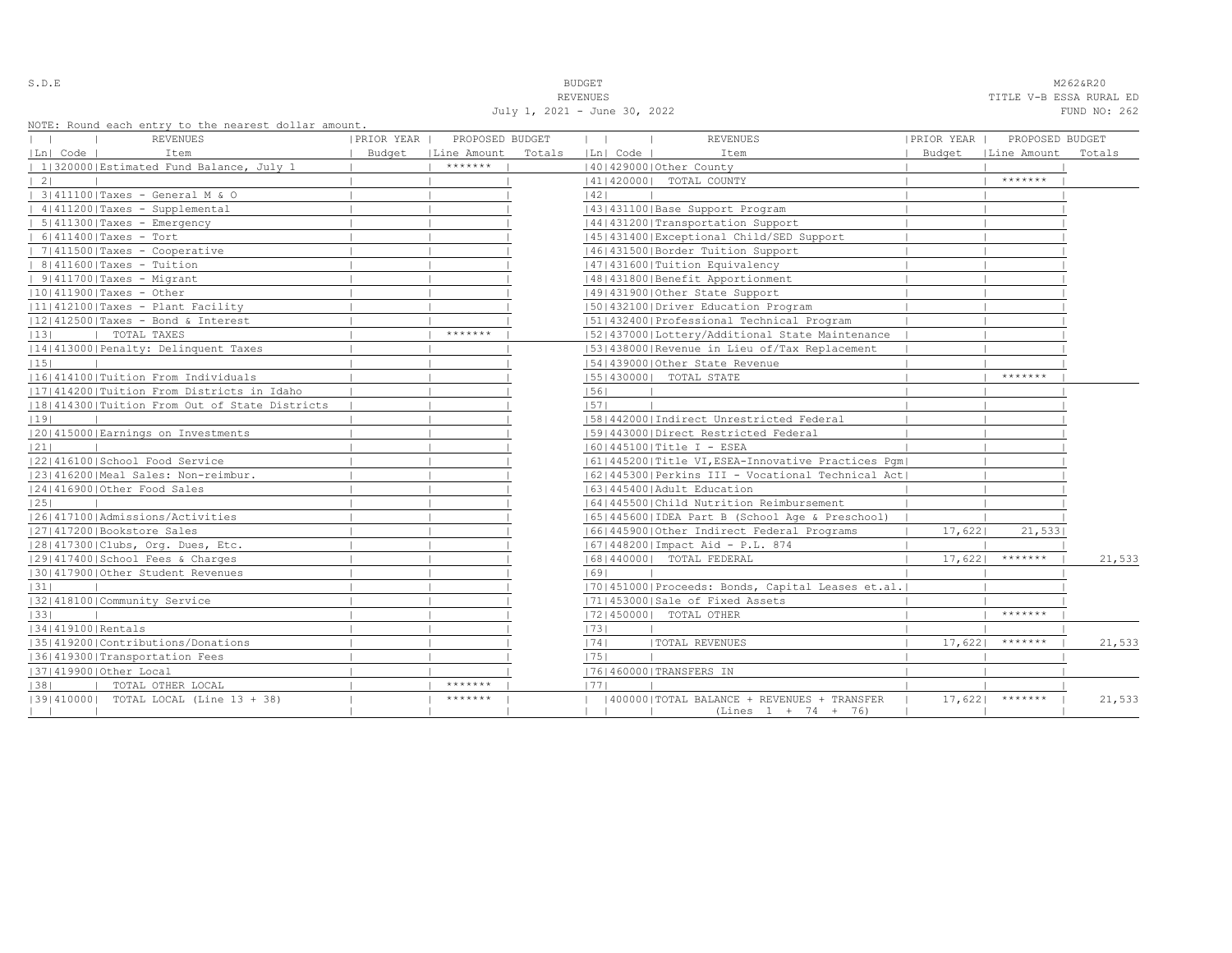S.D.E NOTE: NOTE: NOTE: NOTE: NOTE: NOTE: NOTE: NOTE: NOTE: NOTE: NOTE: NOTE: NOTE: NOTE: NOTE: NOTE: NOTE: NOTE: NOTE: NOTE: NOTE: NOTE: NOTE: NOTE: NOTE: NOTE: NOTE: NOTE: NOTE: NOTE: NOTE: NOTE: NOTE: NOTE: NOTE: NOTE:

|26|417100|Admissions/Activities | | | |65|445600|IDEA Part B (School Age & Preschool) | | | |27|417200|Bookstore Sales | | | |66|445900|Other Indirect Federal Programs | 17,622| 21,533| |28|417300|Clubs, Org. Dues, Etc. | | | |67|448200|Impact Aid - P.L. 874 | | |

|31| | | | | | | | | | | |70|451000|Proceeds: Bonds, Capital Leases et.al.| | | | | |32|418100|Community Service | | | |71|453000|Sale of Fixed Assets | | |

| 129 | 139 | 139 | 139 | 139 | 139 | 139 | 139 | 139 | 139 | 139 | 139 | 139 | 139 | 139 | 139 | 139 | 139 | 139 | 139 | 139 | 139 | 139 | 139 | 139 | 139 | 139 | 139 | 139 | 139 | 139 | 139 | 139 | 139 | 139 | 139 | 139

|36|419300|Transportation Fees | | | |75| | | | |

|30|417900|Other Student Revenues | | | |69| | | | |

|33| | | | | |72|450000| TOTAL OTHER | | \*\*\*\*\*\*\* |

|37|419900|Other Local | | | |76|460000|TRANSFERS IN | | |

| | | | | (Lines 1 + 74 + 76)

|38| | TOTAL OTHER LOCAL | | \*\*\*\*\*\*\* | |77| | | | |

|29|417400|School Fees & Charges | | | |68|440000| TOTAL FEDERAL | 17,622| \*\*\*\*\*\*\* | 21,533

|35|419200|Contributions/Donations | | | |74| |TOTAL REVENUES | 17,622| \*\*\*\*\*\*\* | 21,533

|39|410000| TOTAL LOCAL (Line 13 + 38) | | \*\*\*\*\*\*\* | | |400000|TOTAL BALANCE + REVENUES + TRANSFER | 17,622| \*\*\*\*\*\*\* | 21,533

REVENUES TITLE V-B ESSA RURAL ED

| KEVENUES                     | TITLE V-B ESSA KUKAL ED |  |              |  |
|------------------------------|-------------------------|--|--------------|--|
| July 1, 2021 - June 30, 2022 |                         |  | FUND NO: 262 |  |

| NOTE: Round each entry to the nearest dollar amount. |             |                 |        |                               |                                                   |            |                 |        |
|------------------------------------------------------|-------------|-----------------|--------|-------------------------------|---------------------------------------------------|------------|-----------------|--------|
| <b>REVENUES</b>                                      | IPRIOR YEAR | PROPOSED BUDGET |        |                               | <b>REVENUES</b>                                   | PRIOR YEAR | PROPOSED BUDGET |        |
| Item<br> Ln  Code                                    | Budget      | Line Amount     | Totals | Ln  Code                      | Item                                              | Budget     | Line Amount     | Totals |
| 1 320000 Estimated Fund Balance, July 1              |             | *******         |        | 40   429000   Other County    |                                                   |            |                 |        |
| 2 <sub>1</sub>                                       |             |                 |        | 41 420000                     | TOTAL COUNTY                                      |            | *******         |        |
| $3 411100 $ Taxes - General M & O                    |             |                 |        | 42                            |                                                   |            |                 |        |
| 4   411200   Taxes - Supplemental                    |             |                 |        |                               | 43   431100   Base Support Program                |            |                 |        |
| $5 411300 $ Taxes - Emergency                        |             |                 |        |                               | 44   431200   Transportation Support              |            |                 |        |
| $61411400$   Taxes - Tort                            |             |                 |        |                               | 45 431400 Exceptional Child/SED Support           |            |                 |        |
| 7 411500 Taxes - Cooperative                         |             |                 |        |                               | 46   431500   Border Tuition Support              |            |                 |        |
| $81411600$   Taxes - Tuition                         |             |                 |        |                               | 47 431600   Tuition Equivalency                   |            |                 |        |
| $9 411700 $ Taxes - Migrant                          |             |                 |        |                               | 48   431800   Benefit Apportionment               |            |                 |        |
| $ 10 411900 $ Taxes - Other                          |             |                 |        |                               | 49 431900 Other State Support                     |            |                 |        |
| 11 412100 Taxes - Plant Facility                     |             |                 |        |                               | 5014321001Driver Education Program                |            |                 |        |
| $ 12 412500 $ Taxes - Bond & Interest                |             |                 |        |                               | 51 432400 Professional Technical Program          |            |                 |        |
| TOTAL TAXES<br>1131                                  |             | *******         |        |                               | 5214370001Lottery/Additional State Maintenance    |            |                 |        |
| 14 413000 Penalty: Delinquent Taxes                  |             |                 |        |                               | [53]438000 Revenue in Lieu of/Tax Replacement     |            |                 |        |
| 1151                                                 |             |                 |        |                               | 15414390001Other State Revenue                    |            |                 |        |
| 16 414100 Tuition From Individuals                   |             |                 |        | 55   430000   TOTAL STATE     |                                                   |            | *******         |        |
| 11714142001Tuition From Districts in Idaho           |             |                 |        | 1561                          |                                                   |            |                 |        |
| 18 414300 Tuition From Out of State Districts        |             |                 |        | 57                            |                                                   |            |                 |        |
| 19                                                   |             |                 |        |                               | 15814420001Indirect Unrestricted Federal          |            |                 |        |
| 12014150001Earnings on Investments                   |             |                 |        |                               | 1591443000   Direct Restricted Federal            |            |                 |        |
| 21                                                   |             |                 |        | 60   445100   Title I - ESEA  |                                                   |            |                 |        |
| 12214161001School Food Service                       |             |                 |        |                               | 61 445200 Title VI, ESEA-Innovative Practices Pqm |            |                 |        |
| 23 416200 Meal Sales: Non-reimbur.                   |             |                 |        |                               | 62/445300/Perkins III - Vocational Technical Act  |            |                 |        |
| 24 416900 Other Food Sales                           |             |                 |        | 63   445400   Adult Education |                                                   |            |                 |        |
| 1251                                                 |             |                 |        |                               | 6414455001Child Nutrition Reimbursement           |            |                 |        |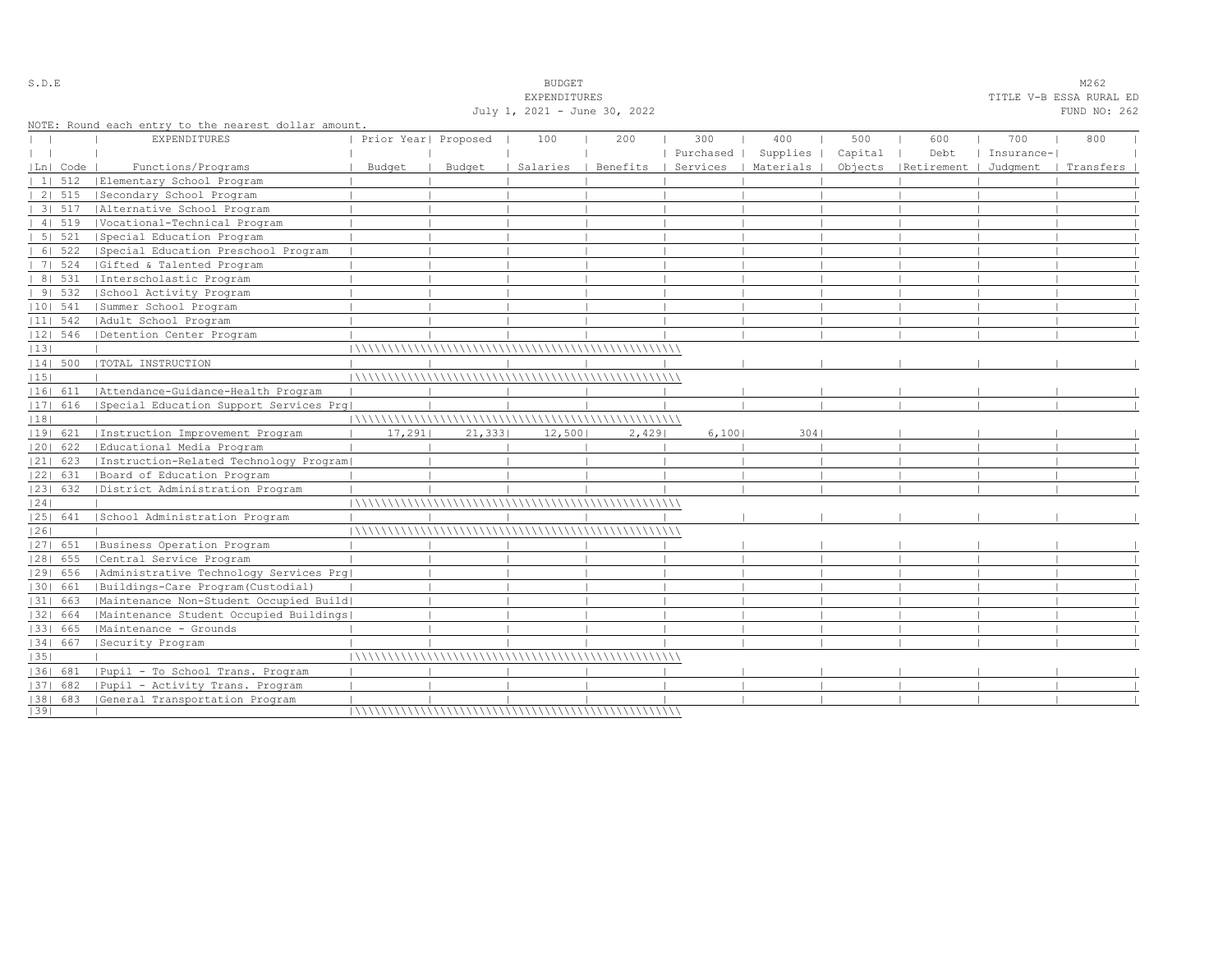|            |                |                                                      |                      |        | <b>EXPENDITURES</b>          |          |           |                      |         |                                 |            | TITLE V-B ESSA RURAL ED |
|------------|----------------|------------------------------------------------------|----------------------|--------|------------------------------|----------|-----------|----------------------|---------|---------------------------------|------------|-------------------------|
|            |                |                                                      |                      |        | July 1, 2021 - June 30, 2022 |          |           |                      |         |                                 |            | FUND NO: 262            |
|            |                | NOTE: Round each entry to the nearest dollar amount. |                      |        |                              |          |           |                      |         |                                 |            |                         |
|            |                | EXPENDITURES                                         | Prior Year  Proposed |        | 100                          | 200      | 300       | 400                  | 500     | 600                             | 700        | 800                     |
|            |                |                                                      |                      |        |                              |          | Purchased | Supplies             | Capital | Debt                            | Insurance- |                         |
|            | Ln  Code       | Functions/Programs                                   | Budget               | Budget | Salaries                     | Benefits |           | Services   Materials |         | Objects   Retirement   Judgment |            | Transfers               |
|            | $11 \quad 512$ | Elementary School Program                            |                      |        |                              |          |           |                      |         |                                 |            |                         |
|            | 2   515        | Secondary School Program                             |                      |        |                              |          |           |                      |         |                                 |            |                         |
|            | 3   517        | Alternative School Program                           |                      |        |                              |          |           |                      |         |                                 |            |                         |
|            | 41519          | Vocational-Technical Program                         |                      |        |                              |          |           |                      |         |                                 |            |                         |
|            | 5 521          | Special Education Program                            |                      |        |                              |          |           |                      |         |                                 |            |                         |
|            | 6   522        | Special Education Preschool Program                  |                      |        |                              |          |           |                      |         |                                 |            |                         |
|            | 7 524          | Gifted & Talented Program                            |                      |        |                              |          |           |                      |         |                                 |            |                         |
|            | 8   531        | Interscholastic Program                              |                      |        |                              |          |           |                      |         |                                 |            |                         |
|            | 91532          | School Activity Program                              |                      |        |                              |          |           |                      |         |                                 |            |                         |
| $ 10 $ 541 |                | Summer School Program                                |                      |        |                              |          |           |                      |         |                                 |            |                         |
| $ 11 $ 542 |                | Adult School Program                                 |                      |        |                              |          |           |                      |         |                                 |            |                         |
| $ 12 $ 546 |                | Detention Center Program                             |                      |        |                              |          |           |                      |         |                                 |            |                         |
| 13         |                |                                                      |                      |        |                              |          |           |                      |         |                                 |            |                         |
| $ 14 $ 500 |                | TOTAL INSTRUCTION                                    |                      |        |                              |          |           |                      |         |                                 |            |                         |
| 15         |                |                                                      |                      |        |                              |          |           |                      |         |                                 |            |                         |
| 16  611    |                | Attendance-Guidance-Health Program                   |                      |        |                              |          |           |                      |         |                                 |            |                         |
| 17  616    |                | Special Education Support Services Prq               |                      |        |                              |          |           |                      |         |                                 |            |                         |
| 18         |                |                                                      |                      |        |                              |          |           |                      |         |                                 |            |                         |
| 19  621    |                | Instruction Improvement Program                      | 17,291               | 21,333 | 12,500                       | 2,429    | 6,1001    | 3041                 |         |                                 |            |                         |
| 20  622    |                | Educational Media Program                            |                      |        |                              |          |           |                      |         |                                 |            |                         |
| $ 21 $ 623 |                | Instruction-Related Technology Program               |                      |        |                              |          |           |                      |         |                                 |            |                         |
| 22  631    |                | Board of Education Program                           |                      |        |                              |          |           |                      |         |                                 |            |                         |
| 23  632    |                | District Administration Program                      |                      |        |                              |          |           |                      |         |                                 |            |                         |
| 24         |                |                                                      |                      |        |                              |          |           |                      |         |                                 |            |                         |
| 25  641    |                | School Administration Program                        |                      |        |                              |          |           |                      |         |                                 |            |                         |
| 26         |                |                                                      |                      |        |                              |          |           |                      |         |                                 |            |                         |
| 27  651    |                | Business Operation Program                           |                      |        |                              |          |           |                      |         |                                 |            |                         |
| $ 28 $ 655 |                | Central Service Program                              |                      |        |                              |          |           |                      |         |                                 |            |                         |
| 29  656    |                | Administrative Technology Services Prg               |                      |        |                              |          |           |                      |         |                                 |            |                         |
| 30  661    |                | Buildings-Care Program(Custodial)                    |                      |        |                              |          |           |                      |         |                                 |            |                         |
| 31  663    |                | Maintenance Non-Student Occupied Build               |                      |        |                              |          |           |                      |         |                                 |            |                         |
| 32  664    |                | Maintenance Student Occupied Buildings               |                      |        |                              |          |           |                      |         |                                 |            |                         |
| 33  665    |                | Maintenance - Grounds                                |                      |        |                              |          |           |                      |         |                                 |            |                         |
| 34   667   |                | Security Program                                     |                      |        |                              |          |           |                      |         |                                 |            |                         |
| 35         |                |                                                      |                      |        |                              |          |           |                      |         |                                 |            |                         |
| 1361 681   |                | Pupil - To School Trans. Program                     |                      |        |                              |          |           |                      |         |                                 |            |                         |
| 37  682    |                | Pupil - Activity Trans. Program                      |                      |        |                              |          |           |                      |         |                                 |            |                         |
|            |                | [38] 683 [General Transportation Program             |                      |        |                              |          |           |                      |         |                                 |            |                         |
| 39         |                |                                                      |                      |        |                              |          |           |                      |         |                                 |            |                         |

S.D.E SOME SALE SOME STRUCK STRUCK STRUCK SOMETHING SOMETHING SOMETHING SOMETHING SOMETHING SOMETHING SOMETHING SOMETHING SOMETHING SOMETHING SOMETHING SOMETHING SOMETHING SOMETHING SOMETHING SOMETHING SOMETHING SOMETHING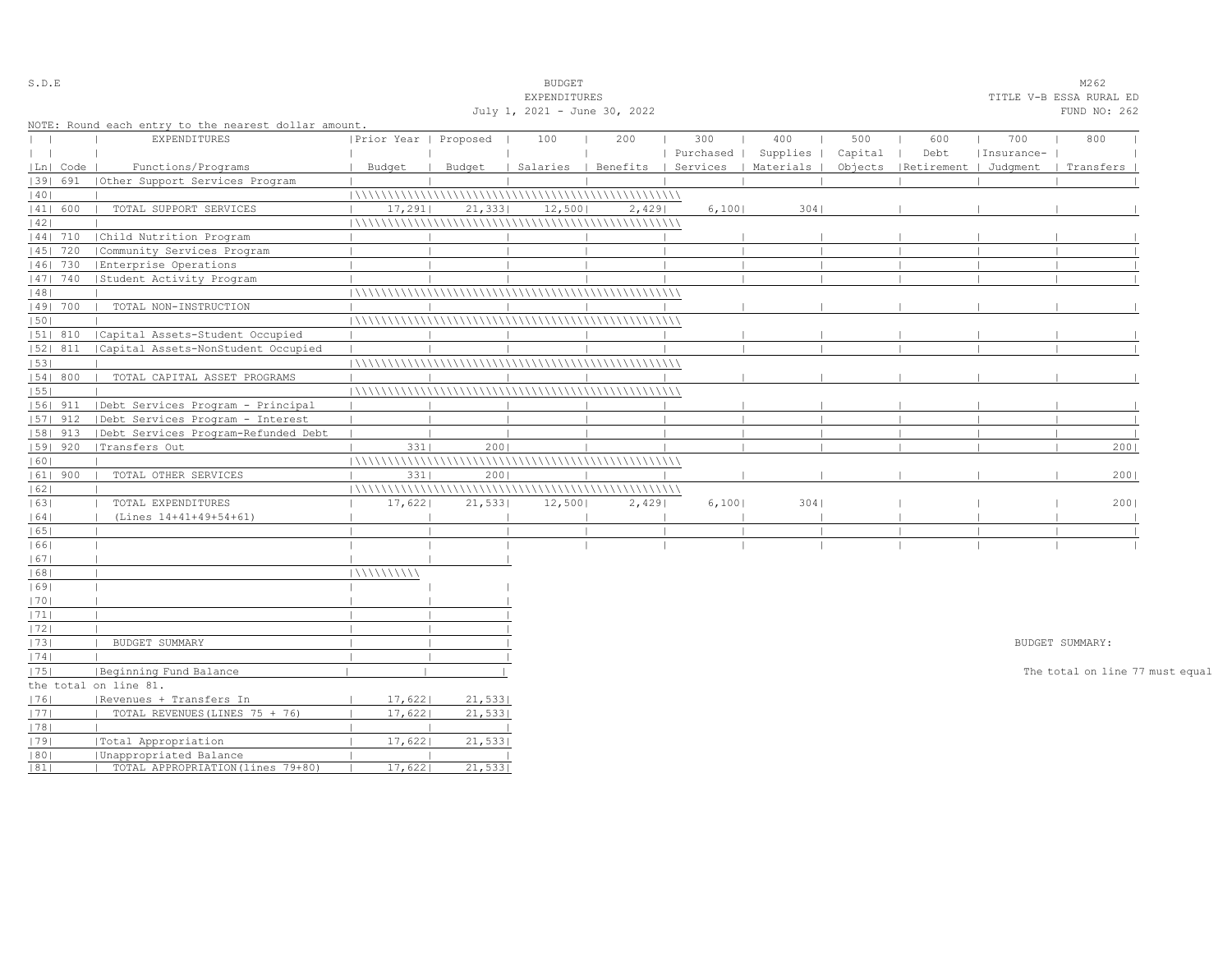| S.D.E        |            |                                                      |                       |         | <b>BUDGET</b>                |       |           |                                            |         |                                 |            | M262                            |  |
|--------------|------------|------------------------------------------------------|-----------------------|---------|------------------------------|-------|-----------|--------------------------------------------|---------|---------------------------------|------------|---------------------------------|--|
|              |            |                                                      |                       |         | EXPENDITURES                 |       |           |                                            |         |                                 |            | TITLE V-B ESSA RURAL ED         |  |
|              |            |                                                      |                       |         | July 1, 2021 - June 30, 2022 |       |           |                                            |         |                                 |            | FUND NO: 262                    |  |
|              |            | NOTE: Round each entry to the nearest dollar amount. |                       |         |                              |       |           |                                            |         |                                 |            |                                 |  |
| $\mathbf{I}$ |            | EXPENDITURES                                         | Prior Year   Proposed |         | 100                          | 200   | 300       | 400                                        | 500     | 600                             | 700        | 800                             |  |
| $\perp$      |            |                                                      |                       |         |                              |       | Purchased | Supplies                                   | Capital | Debt                            | Insurance- |                                 |  |
|              | Ln  Code   | Functions/Programs                                   | Budget                | Budget  |                              |       |           | Salaries   Benefits   Services   Materials |         | Objects   Retirement   Judqment |            | Transfers                       |  |
|              | 1391 691   | (Other Support Services Program                      |                       |         |                              |       |           |                                            |         |                                 |            |                                 |  |
| 40           |            |                                                      |                       |         |                              |       |           |                                            |         |                                 |            |                                 |  |
|              | 41  600    | TOTAL SUPPORT SERVICES                               | 17,291                | 21, 333 | 12,500                       | 2,429 | 6,1001    | 3041                                       |         |                                 |            |                                 |  |
| 42           |            |                                                      |                       |         |                              |       |           |                                            |         |                                 |            |                                 |  |
|              | 44  710    | Child Nutrition Program                              |                       |         |                              |       |           |                                            |         |                                 |            |                                 |  |
|              | $ 45 $ 720 | Community Services Program                           |                       |         |                              |       |           |                                            |         |                                 |            |                                 |  |
|              | 46  730    | Enterprise Operations                                |                       |         |                              |       |           |                                            |         |                                 |            |                                 |  |
|              | 47  740    | Student Activity Program                             |                       |         |                              |       |           |                                            |         |                                 |            |                                 |  |
| 48           |            |                                                      |                       |         |                              |       |           |                                            |         |                                 |            |                                 |  |
|              | 49  700    | TOTAL NON-INSTRUCTION                                |                       |         |                              |       |           |                                            |         |                                 |            |                                 |  |
| 50           |            |                                                      |                       |         |                              |       |           |                                            |         |                                 |            |                                 |  |
|              | 51  810    | Capital Assets-Student Occupied                      |                       |         |                              |       |           |                                            |         |                                 |            |                                 |  |
|              | $ 52 $ 811 | Capital Assets-NonStudent Occupied                   |                       |         |                              |       |           |                                            |         |                                 |            |                                 |  |
| 53           |            |                                                      |                       |         |                              |       |           |                                            |         |                                 |            |                                 |  |
|              | 54 800     | TOTAL CAPITAL ASSET PROGRAMS                         |                       |         |                              |       |           |                                            |         |                                 |            |                                 |  |
| 55           |            |                                                      |                       |         |                              |       |           |                                            |         |                                 |            |                                 |  |
|              | $ 56 $ 911 | Debt Services Program - Principal                    |                       |         |                              |       |           |                                            |         |                                 |            |                                 |  |
|              | $ 57 $ 912 | Debt Services Program - Interest                     |                       |         |                              |       |           |                                            |         |                                 |            |                                 |  |
|              | $ 58 $ 913 | Debt Services Program-Refunded Debt                  |                       |         |                              |       |           |                                            |         |                                 |            |                                 |  |
|              | 59   920   | Transfers Out                                        | 3311                  | 2001    |                              |       |           |                                            |         |                                 |            | 2001                            |  |
| 60           |            |                                                      |                       |         |                              |       |           |                                            |         |                                 |            |                                 |  |
|              | $ 61 $ 900 | TOTAL OTHER SERVICES                                 | 3311                  | 2001    |                              |       |           |                                            |         |                                 |            | 2001                            |  |
| 62           |            |                                                      |                       |         |                              |       |           |                                            |         |                                 |            |                                 |  |
| 63           |            | TOTAL EXPENDITURES                                   | 17,622                | 21,533  | 12,500                       | 2,429 | 6,100     | 3041                                       |         |                                 |            | 2001                            |  |
| 64           |            | (Lines 14+41+49+54+61)                               |                       |         |                              |       |           |                                            |         |                                 |            |                                 |  |
| 65           |            |                                                      |                       |         |                              |       |           |                                            |         |                                 |            |                                 |  |
| 66           |            |                                                      |                       |         |                              |       |           |                                            |         |                                 |            |                                 |  |
| 67           |            |                                                      |                       |         |                              |       |           |                                            |         |                                 |            |                                 |  |
| 68           |            |                                                      | 11111111111           |         |                              |       |           |                                            |         |                                 |            |                                 |  |
| 69           |            |                                                      |                       |         |                              |       |           |                                            |         |                                 |            |                                 |  |
| 70           |            |                                                      |                       |         |                              |       |           |                                            |         |                                 |            |                                 |  |
| 71           |            |                                                      |                       |         |                              |       |           |                                            |         |                                 |            |                                 |  |
| 72           |            |                                                      |                       |         |                              |       |           |                                            |         |                                 |            |                                 |  |
| 73           |            | BUDGET SUMMARY                                       |                       |         |                              |       |           |                                            |         |                                 |            | BUDGET SUMMARY:                 |  |
| 74           |            |                                                      |                       |         |                              |       |           |                                            |         |                                 |            |                                 |  |
| 75           |            | Beginning Fund Balance                               |                       |         |                              |       |           |                                            |         |                                 |            | The total on line 77 must equal |  |
|              |            | the total on line 81.                                |                       |         |                              |       |           |                                            |         |                                 |            |                                 |  |
| 1761         |            | Revenues + Transfers In                              | 17,622                | 21,533  |                              |       |           |                                            |         |                                 |            |                                 |  |
| 77           |            | TOTAL REVENUES (LINES 75 + 76)                       | 17,622                | 21,533  |                              |       |           |                                            |         |                                 |            |                                 |  |
| 78           |            |                                                      |                       |         |                              |       |           |                                            |         |                                 |            |                                 |  |
| 79           |            | Total Appropriation                                  | 17,622                | 21,533  |                              |       |           |                                            |         |                                 |            |                                 |  |
| 80           |            | Unappropriated Balance                               |                       |         |                              |       |           |                                            |         |                                 |            |                                 |  |
| 81           |            | TOTAL APPROPRIATION (lines 79+80)                    | 17,622                | 21,533  |                              |       |           |                                            |         |                                 |            |                                 |  |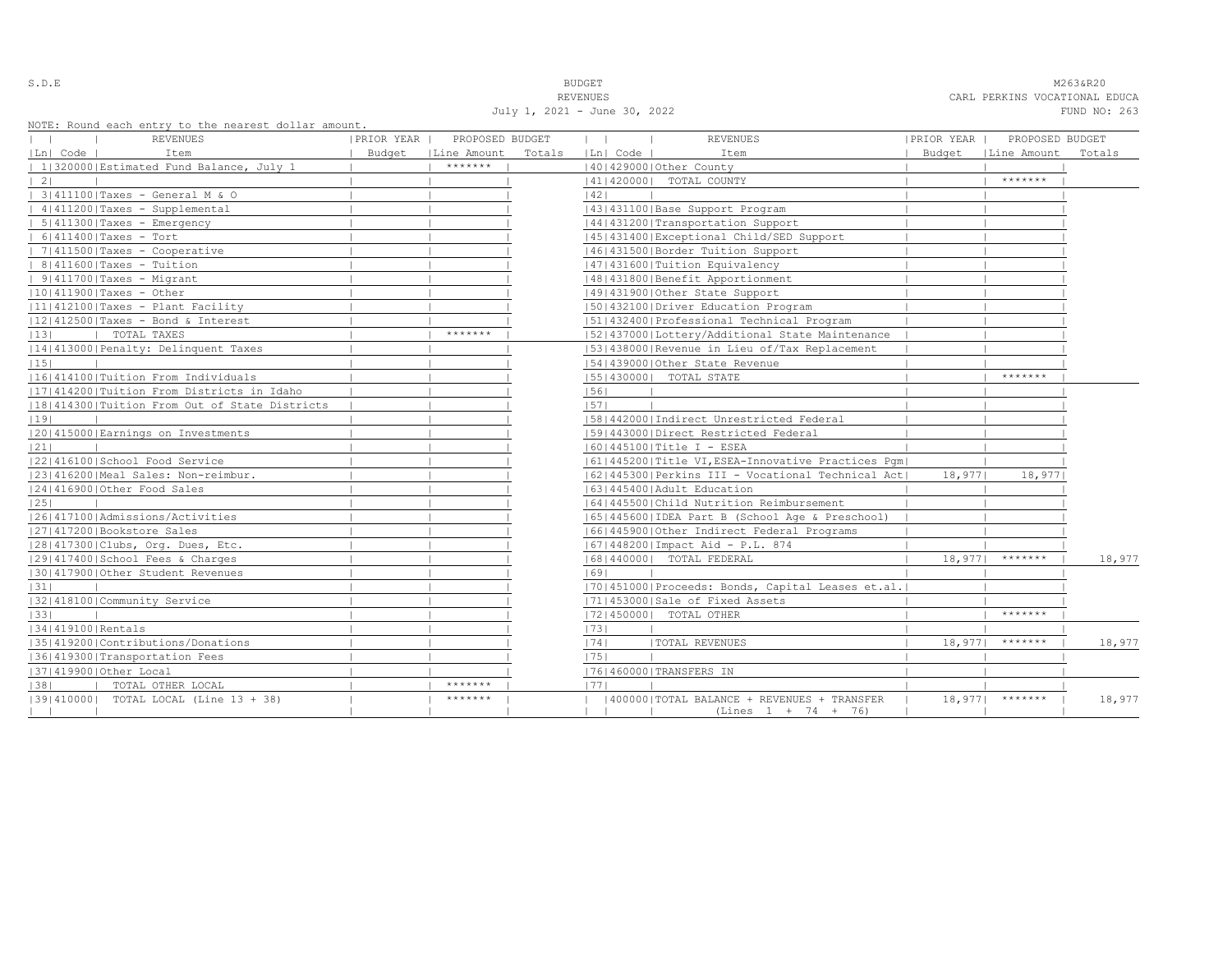July 1, 2021 - June 30, 2022 FUND NO: 263

S.D.E NOTE: NEXT A SERVER THE SERVER OF STRAIN SERVER THE SERVER OF STRAIN SERVER AND STRAIN M263&R20 REVENUES CARL PERKINS VOCATIONAL EDUCA

|                    | NOTE: Round each entry to the nearest dollar amount.<br>REVENUES | PRIOR YEAR | PROPOSED BUDGET      |        | $\mathbf{1}$ |          | <b>REVENUES</b>                                    | PRIOR YEAR | PROPOSED BUDGET      |        |
|--------------------|------------------------------------------------------------------|------------|----------------------|--------|--------------|----------|----------------------------------------------------|------------|----------------------|--------|
| Ln  Code           | Item                                                             |            | Budget   Line Amount | Totals |              | Ln  Code | Item                                               |            | Budget   Line Amount | Totals |
|                    | 1 320000 Estimated Fund Balance, July 1                          |            | *******              |        |              |          | 140142900010ther County                            |            |                      |        |
| 21                 |                                                                  |            |                      |        |              |          | 41   420000   TOTAL COUNTY                         |            | *******              |        |
|                    | 3 411100 Taxes - General M & O                                   |            |                      |        | 42           |          |                                                    |            |                      |        |
|                    | $ 4 411200 $ Taxes - Supplemental                                |            |                      |        |              |          | 43   431100   Base Support Program                 |            |                      |        |
|                    | $  5   411300  $ Taxes - Emergency                               |            |                      |        |              |          | 44   431200   Transportation Support               |            |                      |        |
|                    | $  6 411400 $ Taxes - Tort                                       |            |                      |        |              |          | 45 431400 Exceptional Child/SED Support            |            |                      |        |
|                    | 7 411500 Taxes - Cooperative                                     |            |                      |        |              |          | 46 431500 Border Tuition Support                   |            |                      |        |
|                    | $  8 411600 $ Taxes - Tuition                                    |            |                      |        |              |          | 47   431600   Tuition Equivalency                  |            |                      |        |
|                    | $  9   411700  $ Taxes - Migrant                                 |            |                      |        |              |          | 48   431800   Benefit Apportionment                |            |                      |        |
|                    | $ 10 411900 $ Taxes - Other                                      |            |                      |        |              |          | 49 431900 Other State Support                      |            |                      |        |
|                    | 11 412100 Taxes - Plant Facility                                 |            |                      |        |              |          | 50 432100 Driver Education Program                 |            |                      |        |
|                    | $ 12 412500 $ Taxes - Bond & Interest                            |            |                      |        |              |          | 51 432400 Professional Technical Program           |            |                      |        |
| 13                 | TOTAL TAXES                                                      |            | *******              |        |              |          | 15214370001Lottery/Additional State Maintenance    |            |                      |        |
|                    | 14 413000 Penalty: Delinquent Taxes                              |            |                      |        |              |          | [53] 438000 Revenue in Lieu of/Tax Replacement     |            |                      |        |
| 15                 |                                                                  |            |                      |        |              |          | 154143900010ther State Revenue                     |            |                      |        |
|                    | 16 414100 Tuition From Individuals                               |            |                      |        |              |          | [55] 430000] TOTAL STATE                           |            | *******              |        |
|                    | 11714142001Tuition From Districts in Idaho                       |            |                      |        | 56           |          |                                                    |            |                      |        |
|                    | 18 414300 Tuition From Out of State Districts                    |            |                      |        | 57           |          |                                                    |            |                      |        |
| 19                 |                                                                  |            |                      |        |              |          | 58 442000 Indirect Unrestricted Federal            |            |                      |        |
|                    | 20 415000 Earnings on Investments                                |            |                      |        |              |          | 1591443000 Direct Restricted Federal               |            |                      |        |
| 21                 |                                                                  |            |                      |        |              |          | $ 60 445100 $ Title I - ESEA                       |            |                      |        |
|                    | 22 416100 School Food Service                                    |            |                      |        |              |          | 61 445200 Title VI, ESEA-Innovative Practices Pqm  |            |                      |        |
|                    | 23 416200 Meal Sales: Non-reimbur.                               |            |                      |        |              |          | 62 445300 Perkins III - Vocational Technical Act   | 18,9771    | 18,977               |        |
|                    | 12414169001Other Food Sales                                      |            |                      |        |              |          | 16314454001Adult Education                         |            |                      |        |
| 25                 |                                                                  |            |                      |        |              |          | 1641445500 Child Nutrition Reimbursement           |            |                      |        |
|                    | 1261417100   Admissions/Activities                               |            |                      |        |              |          | 65  445600  IDEA Part B (School Age & Preschool)   |            |                      |        |
|                    | 27 417200 Bookstore Sales                                        |            |                      |        |              |          | 16614459001Other Indirect Federal Programs         |            |                      |        |
|                    | 28 417300 Clubs, Org. Dues, Etc.                                 |            |                      |        |              |          | 67   448200   Impact Aid - P.L. 874                |            |                      |        |
|                    | 29 417400 School Fees & Charges                                  |            |                      |        |              |          | 68   440000   TOTAL FEDERAL                        | 18,977     | *******              | 18,977 |
|                    | 130141790010ther Student Revenues                                |            |                      |        | 69           |          |                                                    |            |                      |        |
| 31                 |                                                                  |            |                      |        |              |          | [70] 451000 Proceeds: Bonds, Capital Leases et.al. |            |                      |        |
|                    | 32 418100 Community Service                                      |            |                      |        |              |          | 17114530001Sale of Fixed Assets                    |            |                      |        |
| 33                 |                                                                  |            |                      |        |              |          | 72 450000  TOTAL OTHER                             |            | *******              |        |
| 1341419100 Rentals |                                                                  |            |                      |        | 73           |          |                                                    |            |                      |        |
|                    | 35 419200 Contributions/Donations                                |            |                      |        | 74           |          | <b> TOTAL REVENUES</b>                             | 18,977     | *******              | 18,977 |
|                    | 36 419300 Transportation Fees                                    |            |                      |        | 75           |          |                                                    |            |                      |        |
|                    | 37 419900 Other Local                                            |            |                      |        |              |          | 17614600001TRANSFERS IN                            |            |                      |        |
| 38                 | TOTAL OTHER LOCAL                                                |            | *******              |        | 1771         |          |                                                    |            |                      |        |
|                    | [39] 410000] TOTAL LOCAL (Line 13 + 38)                          |            | *******              |        |              |          | 400000   TOTAL BALANCE + REVENUES + TRANSFER       |            | $18,977$   *******   | 18,977 |
|                    |                                                                  |            |                      |        |              |          | $(Lines 1 + 74 + 76)$                              |            |                      |        |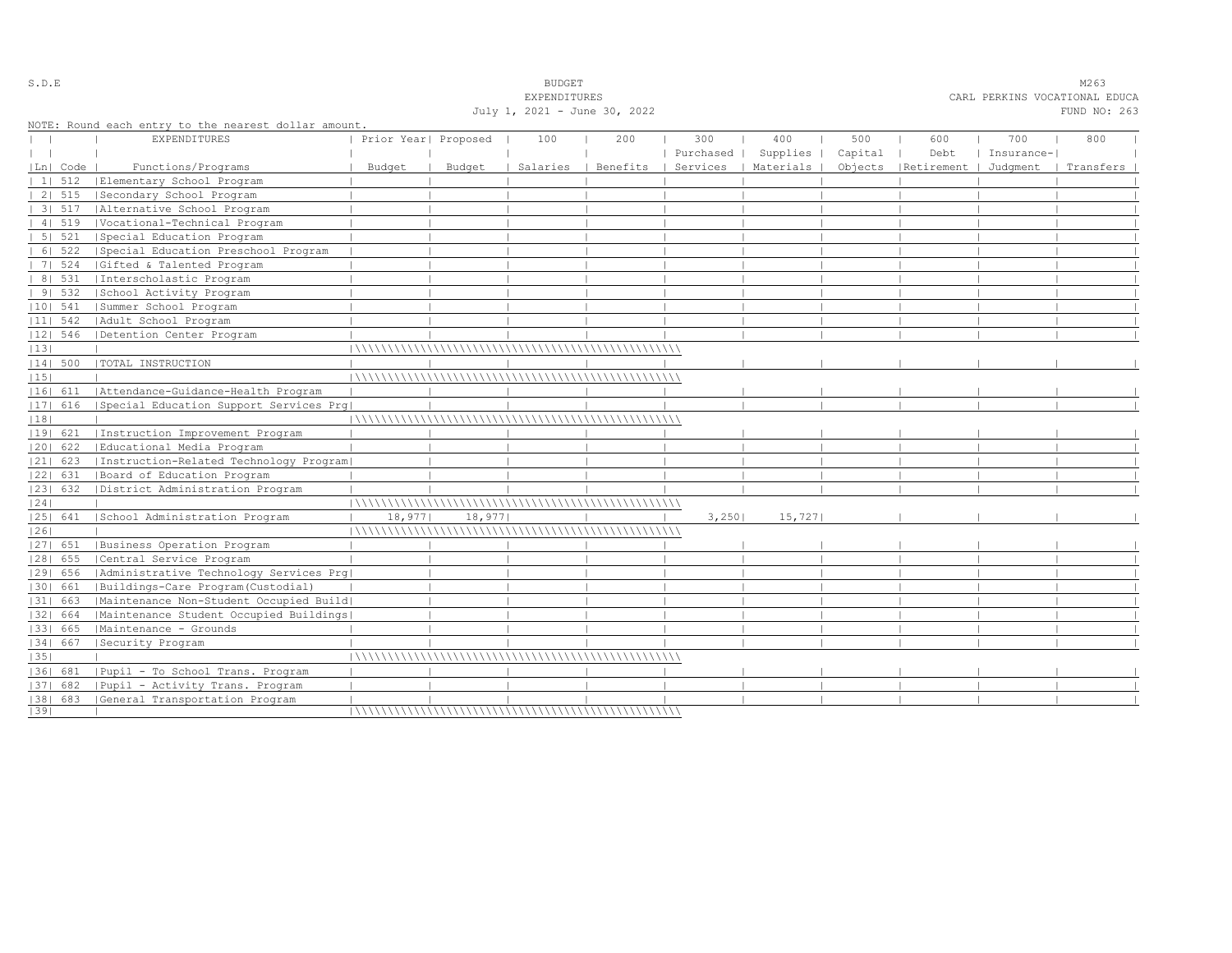|    |            |                                                      |                      |        | EXPENDITURES                 |          |                  |                      |                |                                 | CARL PERKINS VOCATIONAL EDUCA |              |  |
|----|------------|------------------------------------------------------|----------------------|--------|------------------------------|----------|------------------|----------------------|----------------|---------------------------------|-------------------------------|--------------|--|
|    |            |                                                      |                      |        | July 1, 2021 - June 30, 2022 |          |                  |                      |                |                                 |                               | FUND NO: 263 |  |
|    |            | NOTE: Round each entry to the nearest dollar amount. |                      |        |                              |          |                  |                      |                |                                 |                               |              |  |
|    |            | <b>EXPENDITURES</b>                                  | Prior Year  Proposed |        | 100                          | 200      | 300<br>Purchased | 400<br>Supplies      | 500<br>Capital | 600<br>Debt                     | 700<br>Insurance-             | 800          |  |
|    | Ln   Code  | Functions/Programs                                   | Budget               | Budget | Salaries                     | Benefits |                  | Services   Materials |                | Objects   Retirement   Judqment |                               | Transfers    |  |
|    | 1   512    | Elementary School Program                            |                      |        |                              |          |                  |                      |                |                                 |                               |              |  |
|    | 2   515    | Secondary School Program                             |                      |        |                              |          |                  |                      |                |                                 |                               |              |  |
|    | $31\ 517$  | Alternative School Program                           |                      |        |                              |          |                  |                      |                |                                 |                               |              |  |
|    | 4   519    | Vocational-Technical Program                         |                      |        |                              |          |                  |                      |                |                                 |                               |              |  |
|    | 5   521    | Special Education Program                            |                      |        |                              |          |                  |                      |                |                                 |                               |              |  |
|    | 6   522    | Special Education Preschool Program                  |                      |        |                              |          |                  |                      |                |                                 |                               |              |  |
|    | 7   524    | Gifted & Talented Program                            |                      |        |                              |          |                  |                      |                |                                 |                               |              |  |
|    | 8   531    | Interscholastic Program                              |                      |        |                              |          |                  |                      |                |                                 |                               |              |  |
|    | 9 532      | School Activity Program                              |                      |        |                              |          |                  |                      |                |                                 |                               |              |  |
|    | $ 10 $ 541 | Summer School Program                                |                      |        |                              |          |                  |                      |                |                                 |                               |              |  |
|    | $ 11 $ 542 | Adult School Program                                 |                      |        |                              |          |                  |                      |                |                                 |                               |              |  |
|    | $ 12 $ 546 | Detention Center Program                             |                      |        |                              |          |                  |                      |                |                                 |                               |              |  |
| 13 |            |                                                      |                      |        |                              |          |                  |                      |                |                                 |                               |              |  |
|    | 14  500    | TOTAL INSTRUCTION                                    |                      |        |                              |          |                  |                      |                |                                 |                               |              |  |
| 15 |            |                                                      |                      |        |                              |          |                  |                      |                |                                 |                               |              |  |
|    |            | 16  611   Attendance-Guidance-Health Program         |                      |        |                              |          |                  |                      |                |                                 |                               |              |  |
|    | 17  616    | Special Education Support Services Prg               |                      |        |                              |          |                  |                      |                |                                 |                               |              |  |
| 18 |            |                                                      |                      |        |                              |          |                  |                      |                |                                 |                               |              |  |
|    | 19  621    | Instruction Improvement Program                      |                      |        |                              |          |                  |                      |                |                                 |                               |              |  |
|    | $ 20 $ 622 | Educational Media Program                            |                      |        |                              |          |                  |                      |                |                                 |                               |              |  |
|    | $ 21 $ 623 | Instruction-Related Technology Program               |                      |        |                              |          |                  |                      |                |                                 |                               |              |  |
|    | 22  631    | Board of Education Program                           |                      |        |                              |          |                  |                      |                |                                 |                               |              |  |
|    | 23  632    | District Administration Program                      |                      |        |                              |          |                  |                      |                |                                 |                               |              |  |
| 24 |            |                                                      |                      |        |                              |          |                  |                      |                |                                 |                               |              |  |
|    | 25  641    | School Administration Program                        | 18,977               | 18,977 |                              |          | 3,250            | 15,727               |                |                                 |                               |              |  |
| 26 |            |                                                      |                      |        |                              |          |                  |                      |                |                                 |                               |              |  |
|    | $ 27 $ 651 | Business Operation Program                           |                      |        |                              |          |                  |                      |                |                                 |                               |              |  |
|    | 28  655    | Central Service Program                              |                      |        |                              |          |                  |                      |                |                                 |                               |              |  |
|    | 29  656    | Administrative Technology Services Prg               |                      |        |                              |          |                  |                      |                |                                 |                               |              |  |
|    | 1301 661   | Buildings-Care Program (Custodial)                   |                      |        |                              |          |                  |                      |                |                                 |                               |              |  |
|    | 31  663    | Maintenance Non-Student Occupied Build               |                      |        |                              |          |                  |                      |                |                                 |                               |              |  |
|    | 32  664    | Maintenance Student Occupied Buildings               |                      |        |                              |          |                  |                      |                |                                 |                               |              |  |
|    | 33  665    | Maintenance - Grounds                                |                      |        |                              |          |                  |                      |                |                                 |                               |              |  |
|    | 34  667    | Security Program                                     |                      |        |                              |          |                  |                      |                |                                 |                               |              |  |
| 35 |            |                                                      |                      |        |                              |          |                  |                      |                |                                 |                               |              |  |
|    | 1361 681   | Pupil - To School Trans. Program                     |                      |        |                              |          |                  |                      |                |                                 |                               |              |  |
|    | $ 37 $ 682 | Pupil - Activity Trans. Program                      |                      |        |                              |          |                  |                      |                |                                 |                               |              |  |
|    |            | [38] 683 [General Transportation Program             |                      |        |                              |          |                  |                      |                |                                 |                               |              |  |
| 39 |            |                                                      |                      |        |                              |          |                  |                      |                |                                 |                               |              |  |

S.D.E BUDGET M263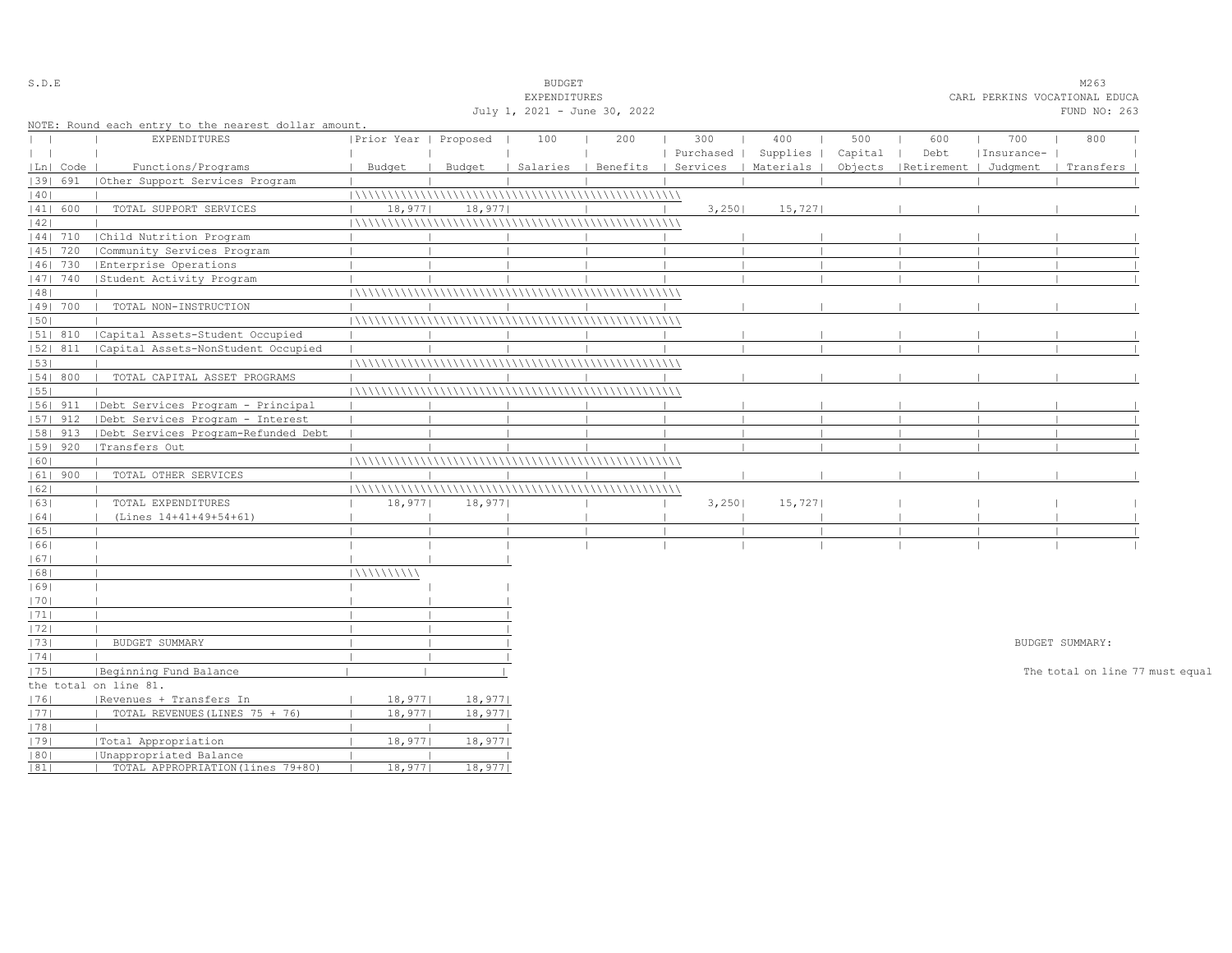| S.D.E                            |            |                                                      |                       |                              | <b>BUDGET</b> |     | M263      |                                            |         |                                 |            |                                 |  |
|----------------------------------|------------|------------------------------------------------------|-----------------------|------------------------------|---------------|-----|-----------|--------------------------------------------|---------|---------------------------------|------------|---------------------------------|--|
|                                  |            |                                                      |                       |                              | EXPENDITURES  |     |           |                                            |         |                                 |            | CARL PERKINS VOCATIONAL EDUCA   |  |
|                                  |            |                                                      |                       | July 1, 2021 - June 30, 2022 | FUND NO: 263  |     |           |                                            |         |                                 |            |                                 |  |
|                                  |            | NOTE: Round each entry to the nearest dollar amount. |                       |                              |               |     |           |                                            |         |                                 |            |                                 |  |
| $\begin{array}{ccc} \end{array}$ |            | <b>EXPENDITURES</b>                                  | Prior Year   Proposed |                              | 100           | 200 | 300       | 400                                        | 500     | 600                             | 700        | 800                             |  |
| $\mathbf{1}$                     |            |                                                      |                       |                              |               |     | Purchased | Supplies                                   | Capital | Debt                            | Insurance- |                                 |  |
|                                  | Ln   Code  | Functions/Programs                                   | Budget                | Budget                       |               |     |           | Salaries   Benefits   Services   Materials |         | Objects   Retirement   Judgment |            | Transfers                       |  |
|                                  | 1391 691   | (Other Support Services Program                      |                       |                              |               |     |           |                                            |         |                                 |            |                                 |  |
| 40                               |            |                                                      |                       |                              |               |     |           |                                            |         |                                 |            |                                 |  |
|                                  | 41  600    | TOTAL SUPPORT SERVICES                               | 18,977                | 18,977                       |               |     | 3,250     | 15,727                                     |         |                                 |            |                                 |  |
| 42                               |            |                                                      |                       |                              |               |     |           |                                            |         |                                 |            |                                 |  |
|                                  | 44  710    | Child Nutrition Program                              |                       |                              |               |     |           |                                            |         |                                 |            |                                 |  |
|                                  | 45   720   | Community Services Program                           |                       |                              |               |     |           |                                            |         |                                 |            |                                 |  |
|                                  | 46  730    | Enterprise Operations                                |                       |                              |               |     |           |                                            |         |                                 |            |                                 |  |
|                                  | 47  740    | Student Activity Program                             |                       |                              |               |     |           |                                            |         |                                 |            |                                 |  |
| 48                               |            |                                                      |                       |                              |               |     |           |                                            |         |                                 |            |                                 |  |
|                                  | 49  700    | TOTAL NON-INSTRUCTION                                |                       |                              |               |     |           |                                            |         |                                 |            |                                 |  |
| 50                               |            |                                                      |                       |                              |               |     |           |                                            |         |                                 |            |                                 |  |
|                                  | 51  810    | Capital Assets-Student Occupied                      |                       |                              |               |     |           |                                            |         |                                 |            |                                 |  |
|                                  | 52  811    | Capital Assets-NonStudent Occupied                   |                       |                              |               |     |           |                                            |         |                                 |            |                                 |  |
| 53                               |            |                                                      |                       |                              |               |     |           |                                            |         |                                 |            |                                 |  |
|                                  | 54   800   | TOTAL CAPITAL ASSET PROGRAMS                         |                       |                              |               |     |           |                                            |         |                                 |            |                                 |  |
| 55                               |            |                                                      |                       |                              |               |     |           |                                            |         |                                 |            |                                 |  |
|                                  | 56  911    | Debt Services Program - Principal                    |                       |                              |               |     |           |                                            |         |                                 |            |                                 |  |
|                                  | $ 57 $ 912 | Debt Services Program - Interest                     |                       |                              |               |     |           |                                            |         |                                 |            |                                 |  |
|                                  | $ 58 $ 913 | Debt Services Program-Refunded Debt                  |                       |                              |               |     |           |                                            |         |                                 |            |                                 |  |
|                                  | $ 59 $ 920 | Transfers Out                                        |                       |                              |               |     |           |                                            |         |                                 |            |                                 |  |
| 60                               |            |                                                      |                       |                              |               |     |           |                                            |         |                                 |            |                                 |  |
|                                  | $ 61 $ 900 | TOTAL OTHER SERVICES                                 |                       |                              |               |     |           |                                            |         |                                 |            |                                 |  |
| 62                               |            |                                                      |                       |                              |               |     |           |                                            |         |                                 |            |                                 |  |
| 63                               |            | TOTAL EXPENDITURES                                   | 18,977                | 18,977                       |               |     | 3,250     | 15,727                                     |         |                                 |            |                                 |  |
| 64                               |            | (Lines 14+41+49+54+61)                               |                       |                              |               |     |           |                                            |         |                                 |            |                                 |  |
| 65                               |            |                                                      |                       |                              |               |     |           |                                            |         |                                 |            |                                 |  |
| 1661                             |            |                                                      |                       |                              |               |     |           |                                            |         |                                 |            |                                 |  |
| 67                               |            |                                                      |                       |                              |               |     |           |                                            |         |                                 |            |                                 |  |
| 68                               |            |                                                      | 111111111111          |                              |               |     |           |                                            |         |                                 |            |                                 |  |
| 1691                             |            |                                                      |                       |                              |               |     |           |                                            |         |                                 |            |                                 |  |
| 1701                             |            |                                                      |                       |                              |               |     |           |                                            |         |                                 |            |                                 |  |
| 71                               |            |                                                      |                       |                              |               |     |           |                                            |         |                                 |            |                                 |  |
| 72                               |            |                                                      |                       |                              |               |     |           |                                            |         |                                 |            |                                 |  |
| 73                               |            | BUDGET SUMMARY                                       |                       |                              |               |     |           |                                            |         |                                 |            | BUDGET SUMMARY:                 |  |
| 74                               |            |                                                      |                       |                              |               |     |           |                                            |         |                                 |            |                                 |  |
| 75                               |            | Beginning Fund Balance                               |                       |                              |               |     |           |                                            |         |                                 |            | The total on line 77 must equal |  |
|                                  |            | the total on line 81.                                |                       |                              |               |     |           |                                            |         |                                 |            |                                 |  |
| 76                               |            | Revenues + Transfers In                              | 18,977                | 18,977                       |               |     |           |                                            |         |                                 |            |                                 |  |
| 77                               |            | TOTAL REVENUES (LINES 75 + 76)                       | 18,977                | 18,977                       |               |     |           |                                            |         |                                 |            |                                 |  |
| 78                               |            |                                                      |                       |                              |               |     |           |                                            |         |                                 |            |                                 |  |
| 79                               |            | Total Appropriation                                  | 18,977                | 18,977                       |               |     |           |                                            |         |                                 |            |                                 |  |
| 80                               |            | Unappropriated Balance                               |                       |                              |               |     |           |                                            |         |                                 |            |                                 |  |
| 81                               |            | TOTAL APPROPRIATION (lines 79+80)                    | 18,9771               | 18,977                       |               |     |           |                                            |         |                                 |            |                                 |  |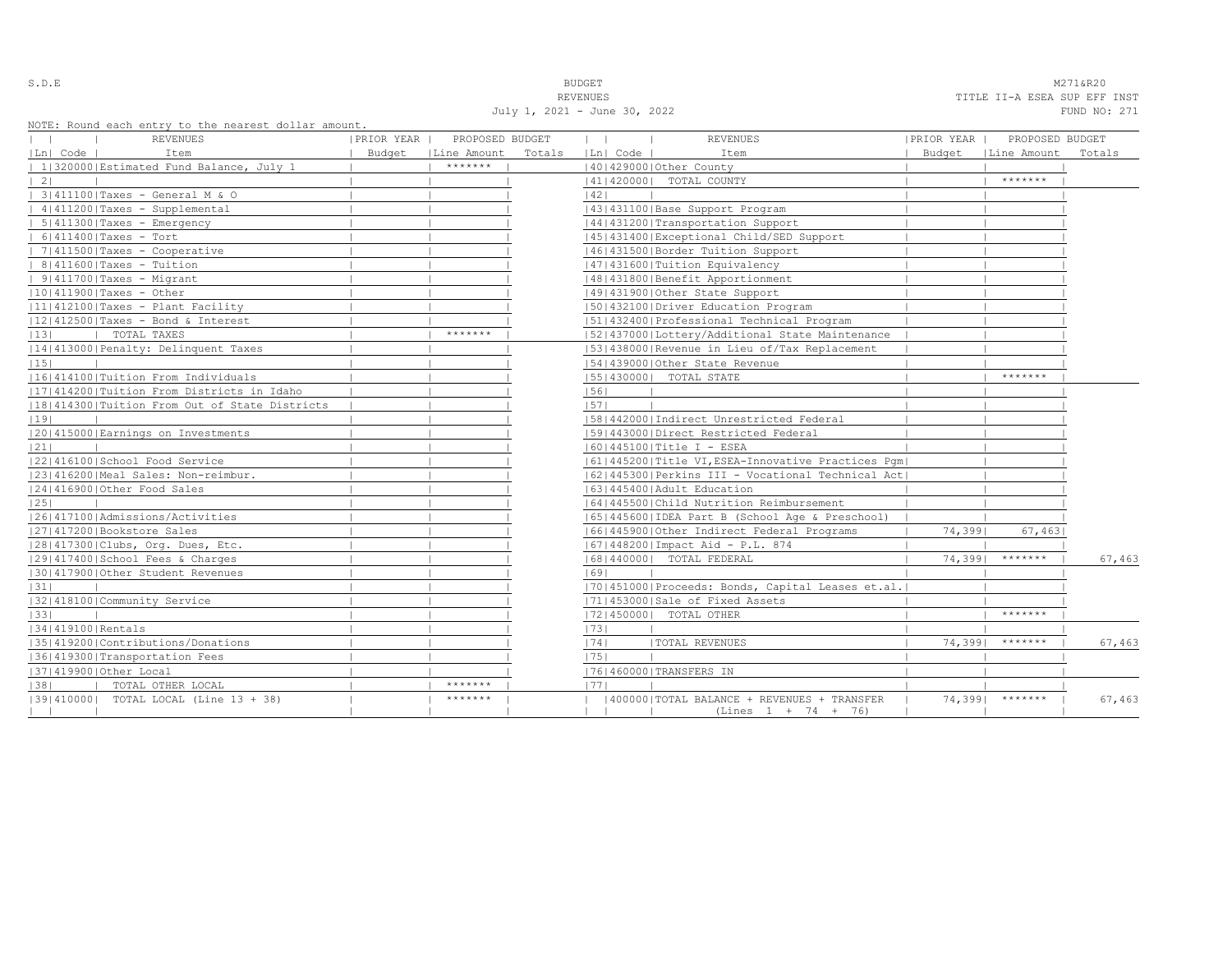S.D.E NAMES AND STRUCK STRUCK STRUCK STRUCK STRUCK STRUCK STRUCK STRUCK STRUCK STRUCK STRUCK STRUCK STRUCK STRUCK STRUCK STRUCK STRUCK STRUCK STRUCK STRUCK STRUCK STRUCK STRUCK STRUCK STRUCK STRUCK STRUCK STRUCK STRUCK STR REVENUES TITLE II-A ESEA SUP EFF INST July 1, 2021 - June 30, 2022 FUND NO: 271

NOTE: Round each entry to the nearest dollar amount.

| NOIL, ROUNG BACH BNULY LO LNB NBALBSL GOILAL AMOUNL. |                                 |        |                                                      |            |                   |        |
|------------------------------------------------------|---------------------------------|--------|------------------------------------------------------|------------|-------------------|--------|
| REVENUES                                             | PRIOR YEAR  <br>PROPOSED BUDGET |        | $\mathbf{1}$<br>$\sim$ 1.<br><b>REVENUES</b>         | PRIOR YEAR | PROPOSED BUDGET   |        |
| Ln  Code  <br>Item                                   | Line Amount<br>Budget           | Totals | Ln  Code  <br>Item                                   | Budget     | Line Amount       | Totals |
| 1 320000 Estimated Fund Balance, July 1              | *******                         |        | 140142900010ther County                              |            |                   |        |
| $\vert 2 \vert$                                      |                                 |        | 41   420000   TOTAL COUNTY                           |            | *******           |        |
| 3 411100 Taxes - General M & O                       |                                 |        | 42                                                   |            |                   |        |
| 4 411200 Taxes - Supplemental                        |                                 |        | 43   431100   Base Support Program                   |            |                   |        |
| $  5   411300  $ Taxes - Emergency                   |                                 |        | 44   431200   Transportation Support                 |            |                   |        |
| $  6 411400 $ Taxes - Tort                           |                                 |        | 45   431400   Exceptional Child/SED Support          |            |                   |        |
| $  7 411500 $ Taxes - Cooperative                    |                                 |        | 1461431500 Border Tuition Support                    |            |                   |        |
| $  8 411600 $ Taxes - Tuition                        |                                 |        | 47   431600   Tuition Equivalency                    |            |                   |        |
| $  9 411700 $ Taxes - Migrant                        |                                 |        | 48   431800   Benefit Apportionment                  |            |                   |        |
| $ 10 411900 $ Taxes - Other                          |                                 |        | 49 431900 Other State Support                        |            |                   |        |
| $ 11 412100 $ Taxes - Plant Facility                 |                                 |        | 1501432100   Driver Education Program                |            |                   |        |
| $ 12 412500 $ Taxes - Bond & Interest                |                                 |        | 51 432400 Professional Technical Program             |            |                   |        |
| TOTAL TAXES<br> 13                                   | *******                         |        | 15214370001Lottery/Additional State Maintenance      |            |                   |        |
| 14 413000 Penalty: Delinquent Taxes                  |                                 |        | 53   438000   Revenue in Lieu of/Tax Replacement     |            |                   |        |
| 15                                                   |                                 |        | 154143900010ther State Revenue                       |            |                   |        |
| 16 414100 Tuition From Individuals                   |                                 |        | 55   430000   TOTAL STATE                            |            | *******           |        |
| 17 414200 Tuition From Districts in Idaho            |                                 |        | 56                                                   |            |                   |        |
| 1181414300 Tuition From Out of State Districts       |                                 |        | 57                                                   |            |                   |        |
| 19                                                   |                                 |        | 58 442000 Indirect Unrestricted Federal              |            |                   |        |
| 20 415000 Earnings on Investments                    |                                 |        | 1591443000 Direct Restricted Federal                 |            |                   |        |
| 21                                                   |                                 |        | 16014451001Title I - ESEA                            |            |                   |        |
| 22 416100 School Food Service                        |                                 |        | 61 445200 Title VI, ESEA-Innovative Practices Pqm    |            |                   |        |
| 23 416200 Meal Sales: Non-reimbur.                   |                                 |        | 62 445300 Perkins III - Vocational Technical Act     |            |                   |        |
| 24 416900 Other Food Sales                           |                                 |        | 63   445400   Adult Education                        |            |                   |        |
| 25                                                   |                                 |        | 1641445500 Child Nutrition Reimbursement             |            |                   |        |
| 26 417100 Admissions/Activities                      |                                 |        | 65  445600  IDEA Part B (School Age & Preschool)     |            |                   |        |
| 27 417200 Bookstore Sales                            |                                 |        | 16614459001Other Indirect Federal Programs           | 74,3991    | 67,463            |        |
| 28 417300 Clubs, Org. Dues, Etc.                     |                                 |        | 67   448200   Impact Aid - P.L. 874                  |            |                   |        |
| 29 417400 School Fees & Charges                      |                                 |        | 68   440000   TOTAL FEDERAL                          | 74,3991    | *******           | 67,463 |
| 130141790010ther Student Revenues                    |                                 |        | 69                                                   |            |                   |        |
| 31                                                   |                                 |        | [70] 451000   Proceeds: Bonds, Capital Leases et.al. |            |                   |        |
| 32 418100 Community Service                          |                                 |        | 71 453000 Sale of Fixed Assets                       |            |                   |        |
| 33                                                   |                                 |        | 72 450000  TOTAL OTHER                               |            | *******           |        |
| 34 419100 Rentals                                    |                                 |        | 73                                                   |            |                   |        |
| 35 419200 Contributions/Donations                    |                                 |        | <b> TOTAL REVENUES</b><br> 74                        | 74,3991    | $*********$       | 67,463 |
| 36 419300 Transportation Fees                        |                                 |        | 1751                                                 |            |                   |        |
| 37 419900 Other Local                                |                                 |        | 17614600001TRANSFERS IN                              |            |                   |        |
| TOTAL OTHER LOCAL<br> 38                             | *******                         |        | 1771                                                 |            |                   |        |
| [39] 410000] TOTAL LOCAL (Line 13 + 38)              | *******                         |        | (400000) TOTAL BALANCE + REVENUES + TRANSFER         |            | $74,3991$ ******* | 67,463 |
|                                                      |                                 |        | $(Lines 1 + 74 + 76)$                                |            |                   |        |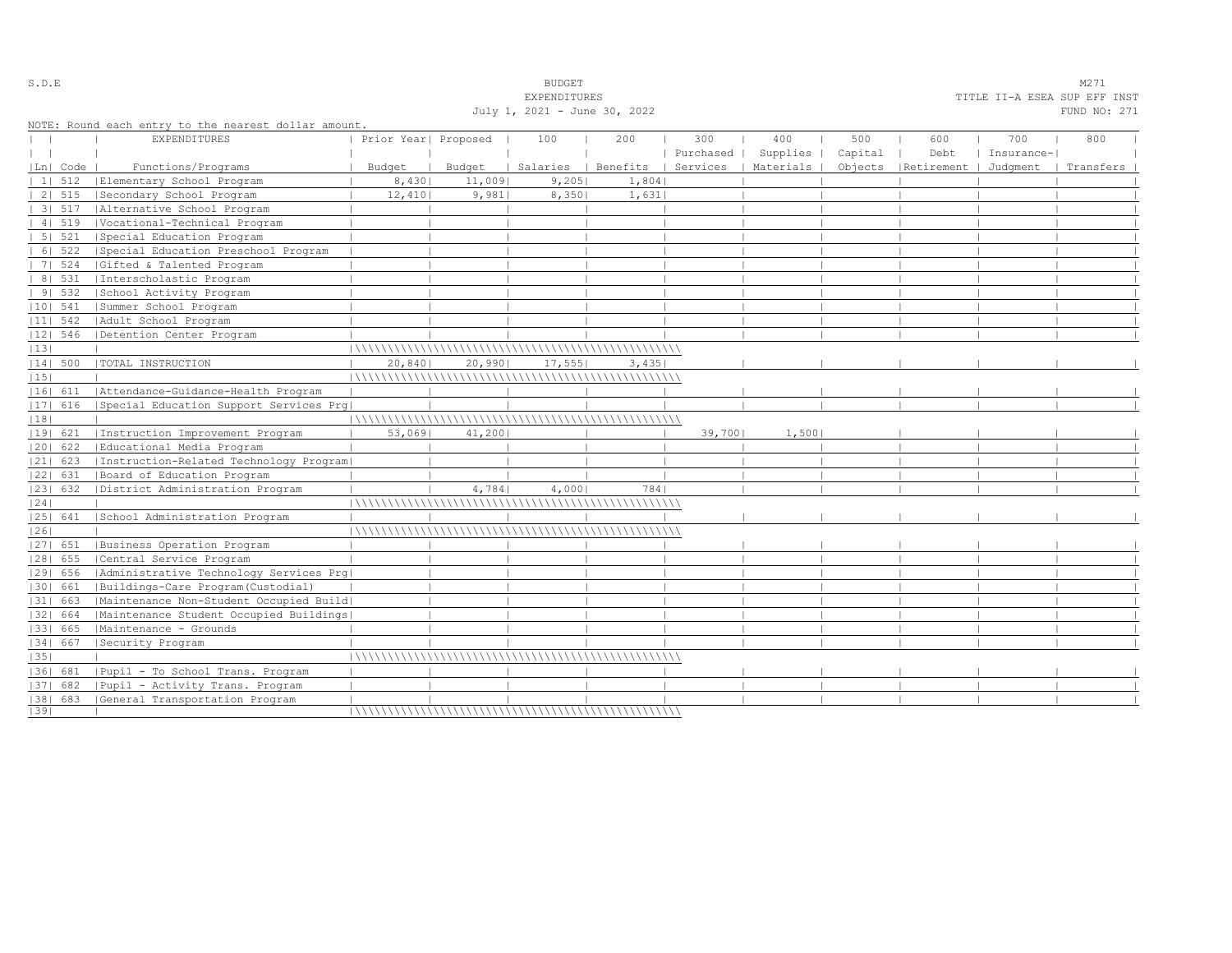|                  |                                                                             |                      |                 | EYREMDIIOKES                 |                                |        |                                |     |                                 |            | ITITE TI-H ESEH SUP EII INST |
|------------------|-----------------------------------------------------------------------------|----------------------|-----------------|------------------------------|--------------------------------|--------|--------------------------------|-----|---------------------------------|------------|------------------------------|
|                  |                                                                             |                      |                 | July 1, 2021 - June 30, 2022 |                                |        |                                |     |                                 |            | FUND NO: 271                 |
|                  | NOTE: Round each entry to the nearest dollar amount.<br><b>EXPENDITURES</b> | Prior Year  Proposed |                 | 100                          | 200                            | 300    | 400                            | 500 | 600                             | 700        | 800                          |
|                  |                                                                             |                      |                 |                              |                                |        | Purchased   Supplies   Capital |     | Debt                            | Insurance- |                              |
| Ln  Code         |                                                                             |                      |                 |                              |                                |        | Services   Materials           |     |                                 |            |                              |
| 1   512          | Functions/Programs                                                          | Budget               | Budget          |                              | Salaries   Benefits  <br>1,804 |        |                                |     | Objects   Retirement   Judgment |            | Transfers                    |
| 2   515          | Elementary School Program<br>Secondary School Program                       | 8,430<br>12,410      | 11,009<br>9,981 | 9,205<br>8,350               | 1,631                          |        |                                |     |                                 |            |                              |
| 3   517          | Alternative School Program                                                  |                      |                 |                              |                                |        |                                |     |                                 |            |                              |
|                  |                                                                             |                      |                 |                              |                                |        |                                |     |                                 |            |                              |
| 4   519<br>51521 | Vocational-Technical Program                                                |                      |                 |                              |                                |        |                                |     |                                 |            |                              |
| 61522            | Special Education Program                                                   |                      |                 |                              |                                |        |                                |     |                                 |            |                              |
|                  | Special Education Preschool Program                                         |                      |                 |                              |                                |        |                                |     |                                 |            |                              |
| 7   524          | Gifted & Talented Program                                                   |                      |                 |                              |                                |        |                                |     |                                 |            |                              |
| 8   531          | Interscholastic Program                                                     |                      |                 |                              |                                |        |                                |     |                                 |            |                              |
| 91532            | School Activity Program                                                     |                      |                 |                              |                                |        |                                |     |                                 |            |                              |
| 10  541          | Summer School Program                                                       |                      |                 |                              |                                |        |                                |     |                                 |            |                              |
| $ 11 $ 542       | Adult School Program                                                        |                      |                 |                              |                                |        |                                |     |                                 |            |                              |
|                  | 12  546   Detention Center Program                                          |                      |                 |                              |                                |        |                                |     |                                 |            |                              |
| 13               |                                                                             |                      |                 |                              |                                |        |                                |     |                                 |            |                              |
| 14  500          | TOTAL INSTRUCTION                                                           | 20,840               | 20,990          | 17,555                       | 3,435                          |        |                                |     |                                 |            |                              |
| 15               |                                                                             |                      |                 |                              |                                |        |                                |     |                                 |            |                              |
|                  | 16  611   Attendance-Guidance-Health Program                                |                      |                 |                              |                                |        |                                |     |                                 |            |                              |
| $ 17 $ 616       | Special Education Support Services Prq                                      |                      |                 |                              |                                |        |                                |     |                                 |            |                              |
| 18               |                                                                             |                      |                 |                              |                                |        |                                |     |                                 |            |                              |
| 19  621          | Instruction Improvement Program                                             | 53,0691              | 41,200          |                              |                                | 39,700 | 1,500                          |     |                                 |            |                              |
|                  | [20] 622   Educational Media Program                                        |                      |                 |                              |                                |        |                                |     |                                 |            |                              |
| 21  623          | Instruction-Related Technology Program                                      |                      |                 |                              |                                |        |                                |     |                                 |            |                              |
| 22  631          | Board of Education Program                                                  |                      |                 |                              |                                |        |                                |     |                                 |            |                              |
| 23  632          | District Administration Program                                             |                      | 4,784           | 4,000                        | 7841                           |        |                                |     |                                 |            |                              |
| 24               |                                                                             |                      |                 |                              |                                |        |                                |     |                                 |            |                              |
|                  | 25  641   School Administration Program                                     |                      |                 |                              |                                |        |                                |     |                                 |            |                              |
| 26               |                                                                             |                      |                 |                              |                                |        |                                |     |                                 |            |                              |
| 27  651          | Business Operation Program                                                  |                      |                 |                              |                                |        |                                |     |                                 |            |                              |
| $ 28 $ 655       | Central Service Program                                                     |                      |                 |                              |                                |        |                                |     |                                 |            |                              |
| 29  656          | Administrative Technology Services Prg                                      |                      |                 |                              |                                |        |                                |     |                                 |            |                              |
| 30  661          | Buildings-Care Program(Custodial)                                           |                      |                 |                              |                                |        |                                |     |                                 |            |                              |
| $ 31 $ 663       | Maintenance Non-Student Occupied Build                                      |                      |                 |                              |                                |        |                                |     |                                 |            |                              |
| 32  664          | Maintenance Student Occupied Buildings                                      |                      |                 |                              |                                |        |                                |     |                                 |            |                              |
| 33  665          | Maintenance - Grounds                                                       |                      |                 |                              |                                |        |                                |     |                                 |            |                              |
| 34  667          | Security Program                                                            |                      |                 |                              |                                |        |                                |     |                                 |            |                              |
| 35               |                                                                             |                      |                 |                              |                                |        |                                |     |                                 |            |                              |
| 36  681          | Pupil - To School Trans. Program                                            |                      |                 |                              |                                |        |                                |     |                                 |            |                              |
| 1371 682         | Pupil - Activity Trans. Program                                             |                      |                 |                              |                                |        |                                |     |                                 |            |                              |
|                  | [38] 683 [General Transportation Program                                    |                      |                 |                              |                                |        |                                |     |                                 |            |                              |
| 39               |                                                                             |                      |                 |                              |                                |        |                                |     |                                 |            |                              |

S.D.E S.D. E

EXPENDITURES TITLE II-A ESEA SUP EFF INST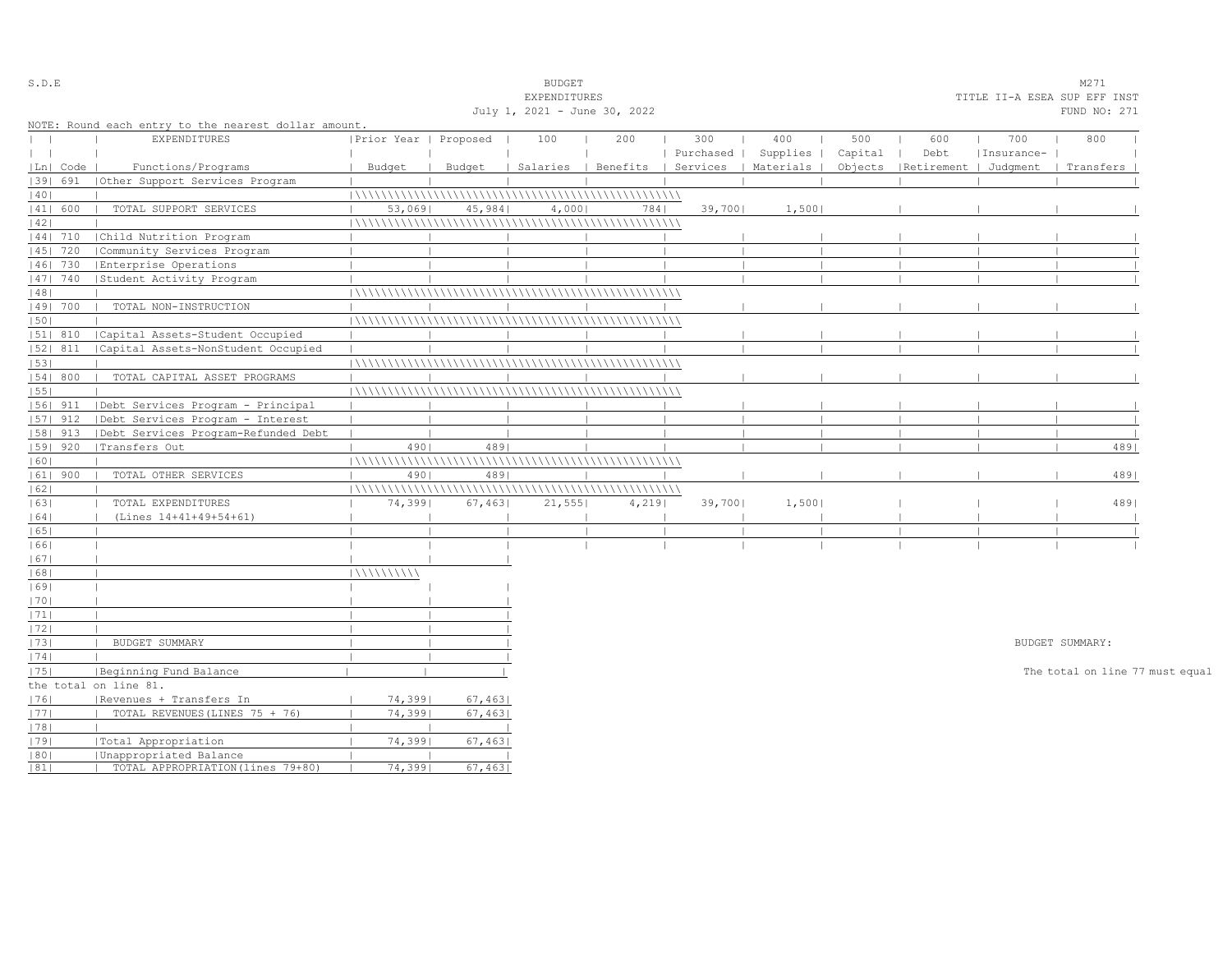| S.D.E                            |                 |                                                      |                       |         | <b>BUDGET</b>                |       |           |                                            |         |                                 |            | M271                            |  |
|----------------------------------|-----------------|------------------------------------------------------|-----------------------|---------|------------------------------|-------|-----------|--------------------------------------------|---------|---------------------------------|------------|---------------------------------|--|
|                                  |                 |                                                      |                       |         | EXPENDITURES                 |       |           |                                            |         |                                 |            | TITLE II-A ESEA SUP EFF INST    |  |
|                                  |                 |                                                      |                       |         | July 1, 2021 - June 30, 2022 |       |           |                                            |         |                                 |            | FUND NO: 271                    |  |
|                                  |                 | NOTE: Round each entry to the nearest dollar amount. |                       |         |                              |       |           |                                            |         |                                 |            |                                 |  |
| $\begin{array}{ccc} \end{array}$ |                 | EXPENDITURES                                         | Prior Year   Proposed |         | 100                          | 200   | 300       | 400                                        | 500     | 600                             | 700        | 800                             |  |
| $\mathbf{1}$                     |                 |                                                      |                       |         |                              |       | Purchased | Supplies                                   | Capital | Debt                            | Insurance- |                                 |  |
|                                  | $ Ln $ Code $ $ | Functions/Programs                                   | Budget                | Budget  |                              |       |           | Salaries   Benefits   Services   Materials |         | Objects   Retirement   Judqment |            | Transfers                       |  |
|                                  | 39  691         | (Other Support Services Program                      |                       |         |                              |       |           |                                            |         |                                 |            |                                 |  |
| 40                               |                 |                                                      |                       |         |                              |       |           |                                            |         |                                 |            |                                 |  |
|                                  | 41  600         | TOTAL SUPPORT SERVICES                               | 53,0691               | 45,984  | 4,0001                       | 7841  | 39,7001   | 1,500                                      |         |                                 |            |                                 |  |
| 42                               |                 |                                                      |                       |         |                              |       |           |                                            |         |                                 |            |                                 |  |
|                                  | $ 44 $ 710      | Child Nutrition Program                              |                       |         |                              |       |           |                                            |         |                                 |            |                                 |  |
|                                  | $ 45 $ 720      | Community Services Program                           |                       |         |                              |       |           |                                            |         |                                 |            |                                 |  |
|                                  | 46  730         | Enterprise Operations                                |                       |         |                              |       |           |                                            |         |                                 |            |                                 |  |
|                                  | $ 47 $ 740      | Student Activity Program                             |                       |         |                              |       |           |                                            |         |                                 |            |                                 |  |
| 48                               |                 |                                                      |                       |         |                              |       |           |                                            |         |                                 |            |                                 |  |
|                                  | 49  700         | TOTAL NON-INSTRUCTION                                |                       |         |                              |       |           |                                            |         |                                 |            |                                 |  |
| 1501                             |                 |                                                      |                       |         |                              |       |           |                                            |         |                                 |            |                                 |  |
|                                  | $ 51 $ 810      | Capital Assets-Student Occupied                      |                       |         |                              |       |           |                                            |         |                                 |            |                                 |  |
|                                  | 52  811         | Capital Assets-NonStudent Occupied                   |                       |         |                              |       |           |                                            |         |                                 |            |                                 |  |
| 53                               |                 |                                                      |                       |         |                              |       |           |                                            |         |                                 |            |                                 |  |
|                                  | 54 800          | TOTAL CAPITAL ASSET PROGRAMS                         |                       |         |                              |       |           |                                            |         |                                 |            |                                 |  |
| 55                               |                 |                                                      |                       |         |                              |       |           |                                            |         |                                 |            |                                 |  |
|                                  |                 | 56  911   Debt Services Program - Principal          |                       |         |                              |       |           |                                            |         |                                 |            |                                 |  |
|                                  |                 |                                                      |                       |         |                              |       |           |                                            |         |                                 |            |                                 |  |
|                                  | $ 57 $ 912      | Debt Services Program - Interest                     |                       |         |                              |       |           |                                            |         |                                 |            |                                 |  |
|                                  | 58   913        | Debt Services Program-Refunded Debt                  |                       |         |                              |       |           |                                            |         |                                 |            |                                 |  |
|                                  | 59   920        | Transfers Out                                        | 4901                  | 4891    |                              |       |           |                                            |         |                                 |            | 4891                            |  |
| 60                               |                 |                                                      |                       |         |                              |       |           |                                            |         |                                 |            |                                 |  |
|                                  | $ 61 $ 900      | TOTAL OTHER SERVICES                                 | 4901                  | 489     |                              |       |           |                                            |         |                                 |            | 4891                            |  |
| 62                               |                 |                                                      |                       |         |                              |       |           |                                            |         |                                 |            |                                 |  |
| 63                               |                 | TOTAL EXPENDITURES                                   | 74,3991               | 67,463  | 21,555                       | 4,219 | 39,700    | 1,500                                      |         |                                 |            | 4891                            |  |
| 64                               |                 | (Lines 14+41+49+54+61)                               |                       |         |                              |       |           |                                            |         |                                 |            |                                 |  |
| 65                               |                 |                                                      |                       |         |                              |       |           |                                            |         |                                 |            |                                 |  |
| 66                               |                 |                                                      |                       |         |                              |       |           |                                            |         |                                 |            |                                 |  |
| 67                               |                 |                                                      |                       |         |                              |       |           |                                            |         |                                 |            |                                 |  |
| 68                               |                 | $\blacksquare$                                       | 111111111111          |         |                              |       |           |                                            |         |                                 |            |                                 |  |
| 69                               |                 | $\perp$                                              |                       |         |                              |       |           |                                            |         |                                 |            |                                 |  |
| 70                               |                 |                                                      |                       |         |                              |       |           |                                            |         |                                 |            |                                 |  |
| 71                               |                 | $\blacksquare$                                       |                       |         |                              |       |           |                                            |         |                                 |            |                                 |  |
| 72                               |                 |                                                      |                       |         |                              |       |           |                                            |         |                                 |            |                                 |  |
| 73                               |                 | BUDGET SUMMARY                                       |                       |         |                              |       |           |                                            |         |                                 |            | BUDGET SUMMARY:                 |  |
| 74                               |                 |                                                      |                       |         |                              |       |           |                                            |         |                                 |            |                                 |  |
| 75                               |                 | Beginning Fund Balance                               |                       |         |                              |       |           |                                            |         |                                 |            | The total on line 77 must equal |  |
|                                  |                 | the total on line 81.                                |                       |         |                              |       |           |                                            |         |                                 |            |                                 |  |
| 76                               |                 | Revenues + Transfers In                              | 74,3991               | 67,463  |                              |       |           |                                            |         |                                 |            |                                 |  |
| 77                               |                 | TOTAL REVENUES (LINES 75 + 76)                       | 74,3991               | 67,463  |                              |       |           |                                            |         |                                 |            |                                 |  |
| 78                               |                 |                                                      |                       |         |                              |       |           |                                            |         |                                 |            |                                 |  |
| 79                               |                 | Total Appropriation                                  | 74,3991               | 67,463  |                              |       |           |                                            |         |                                 |            |                                 |  |
| 80                               |                 | Unappropriated Balance                               |                       |         |                              |       |           |                                            |         |                                 |            |                                 |  |
| 81                               |                 | TOTAL APPROPRIATION (lines 79+80)                    | 74,3991               | 67,4631 |                              |       |           |                                            |         |                                 |            |                                 |  |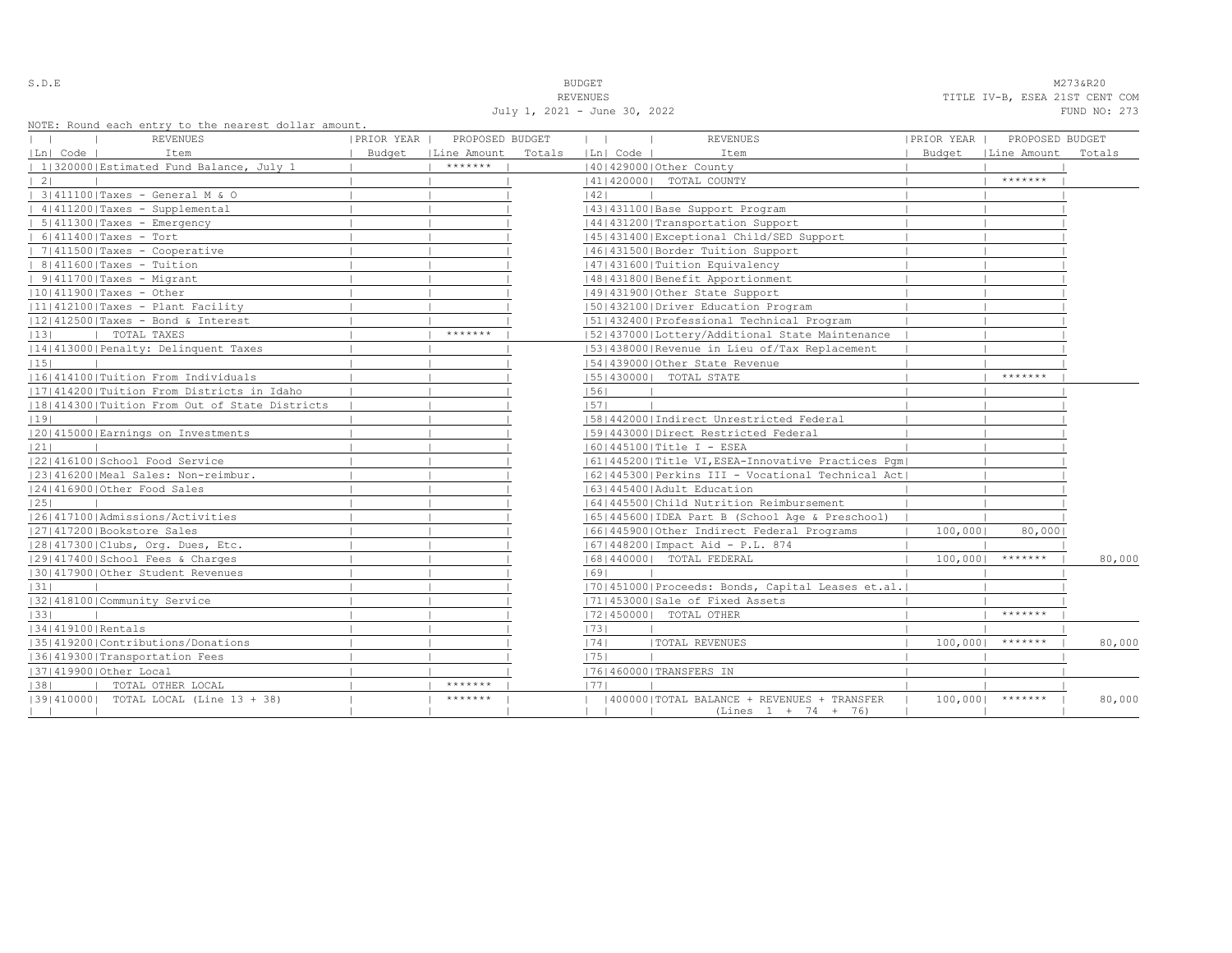S.D.E **BUDGET** M273&R20 REVENUES TITLE IV-B, ESEA 21ST CENT COM July 1, 2021 - June 30, 2022 FUND NO: 273

NOTE: Round each entry to the nearest dolla

|                                 | NOTE: Round each entry to the nearest dollar amount.<br>REVENUES | PRIOR YEAR | PROPOSED BUDGET      |        | $\mathbf{1}$ |          | <b>REVENUES</b>                                      | PRIOR YEAR | PROPOSED BUDGET      |        |
|---------------------------------|------------------------------------------------------------------|------------|----------------------|--------|--------------|----------|------------------------------------------------------|------------|----------------------|--------|
| $ Ln $ Code $ $                 | Item                                                             |            | Budget   Line Amount | Totals |              | Ln  Code | Item                                                 |            | Budget   Line Amount | Totals |
|                                 | 1 320000 Estimated Fund Balance, July 1                          |            | *******              |        |              |          | 40 429000 Other County                               |            |                      |        |
| $\vert 2 \vert$                 |                                                                  |            |                      |        |              |          | 41   420000   TOTAL COUNTY                           |            | *******              |        |
|                                 | 3 411100 Taxes - General M & O                                   |            |                      |        | 1421         |          |                                                      |            |                      |        |
|                                 | $ 4 411200 $ Taxes - Supplemental                                |            |                      |        |              |          | 43   431100   Base Support Program                   |            |                      |        |
|                                 | $  5 411300 $ Taxes - Emergency                                  |            |                      |        |              |          | 44   431200   Transportation Support                 |            |                      |        |
|                                 | $  6 411400 $ Taxes - Tort                                       |            |                      |        |              |          | 45   431400   Exceptional Child/SED Support          |            |                      |        |
|                                 | $ 7 411500 $ Taxes - Cooperative                                 |            |                      |        |              |          | 46   431500   Border Tuition Support                 |            |                      |        |
|                                 | $  8 411600 $ Taxes - Tuition                                    |            |                      |        |              |          | 47   431600   Tuition Equivalency                    |            |                      |        |
|                                 | $ 9 411700 $ Taxes - Migrant                                     |            |                      |        |              |          | 48   431800   Benefit Apportionment                  |            |                      |        |
|                                 | $ 10 411900 $ Taxes - Other                                      |            |                      |        |              |          | 49 431900 Other State Support                        |            |                      |        |
|                                 | $ 11 412100 $ Taxes - Plant Facility                             |            |                      |        |              |          | 1501432100 Driver Education Program                  |            |                      |        |
|                                 | $ 12 412500 $ Taxes - Bond & Interest                            |            |                      |        |              |          | 15114324001Professional Technical Program            |            |                      |        |
| 13 <br><b>Contract Contract</b> | TOTAL TAXES                                                      |            | *******              |        |              |          | 52 437000 Lottery/Additional State Maintenance       |            |                      |        |
|                                 | 14 413000 Penalty: Delinquent Taxes                              |            |                      |        |              |          | 53 438000 Revenue in Lieu of/Tax Replacement         |            |                      |        |
| 15                              |                                                                  |            |                      |        |              |          | 154143900010ther State Revenue                       |            |                      |        |
|                                 | 1161414100   Tuition From Individuals                            |            |                      |        |              |          | [55] 430000] TOTAL STATE                             |            | *******              |        |
|                                 | 17 414200 Tuition From Districts in Idaho                        |            |                      |        | 56           |          |                                                      |            |                      |        |
|                                 | 18 414300 Tuition From Out of State Districts                    |            |                      |        | 57           |          |                                                      |            |                      |        |
| 19                              |                                                                  |            |                      |        |              |          | 15814420001Indirect Unrestricted Federal             |            |                      |        |
|                                 | 20 415000 Earnings on Investments                                |            |                      |        |              |          | 1591443000 Direct Restricted Federal                 |            |                      |        |
| 21                              |                                                                  |            |                      |        |              |          | 60   445100   Title I - ESEA                         |            |                      |        |
|                                 | 22 416100 School Food Service                                    |            |                      |        |              |          | 61 445200 Title VI, ESEA-Innovative Practices Pqm    |            |                      |        |
|                                 | 23 416200 Meal Sales: Non-reimbur.                               |            |                      |        |              |          | 62   445300   Perkins III - Vocational Technical Act |            |                      |        |
|                                 | 12414169001Other Food Sales                                      |            |                      |        |              |          | 16314454001Adult Education                           |            |                      |        |
| 25                              |                                                                  |            |                      |        |              |          | 1641445500 Child Nutrition Reimbursement             |            |                      |        |
|                                 | 1261417100   Admissions/Activities                               |            |                      |        |              |          | 65   445600   IDEA Part B (School Age & Preschool)   |            |                      |        |
|                                 | 27 417200 Bookstore Sales                                        |            |                      |        |              |          | 66 445900 Other Indirect Federal Programs            | 100,000    | 80,000               |        |
|                                 | 28 417300 Clubs, Org. Dues, Etc.                                 |            |                      |        |              |          | 67   448200   Impact Aid - P.L. 874                  |            |                      |        |
|                                 | 29 417400 School Fees & Charges                                  |            |                      |        |              |          | 16814400001 TOTAL FEDERAL                            | 100,000    | $*********$          | 80,000 |
|                                 | 30 417900 Other Student Revenues                                 |            |                      |        | 69           |          |                                                      |            |                      |        |
| 31                              |                                                                  |            |                      |        |              |          | 70 451000 Proceeds: Bonds, Capital Leases et.al.     |            |                      |        |
|                                 | 32 418100 Community Service                                      |            |                      |        |              |          | 17114530001Sale of Fixed Assets                      |            |                      |        |
| 33                              |                                                                  |            |                      |        |              |          | 17214500001 TOTAL OTHER                              |            | *******              |        |
| 34 419100 Rentals               |                                                                  |            |                      |        | 73           |          |                                                      |            |                      |        |
|                                 | 35 419200 Contributions/Donations                                |            |                      |        | 74           |          | <b> TOTAL REVENUES</b>                               | 100,000    | *******              | 80,000 |
|                                 | 13614193001Transportation Fees                                   |            |                      |        | 75           |          |                                                      |            |                      |        |
|                                 | 37 419900 Other Local                                            |            |                      |        |              |          | 17614600001TRANSFERS IN                              |            |                      |        |
| 38                              | TOTAL OTHER LOCAL                                                |            | *******              |        | 1771         |          |                                                      |            |                      |        |
|                                 | [39] 410000] TOTAL LOCAL (Line 13 + 38)                          |            | *******              |        |              |          | (400000) TOTAL BALANCE + REVENUES + TRANSFER         |            | $100,000$   *******  | 80,000 |
|                                 |                                                                  |            |                      |        |              |          | $(Lines 1 + 74 + 76)$                                |            |                      |        |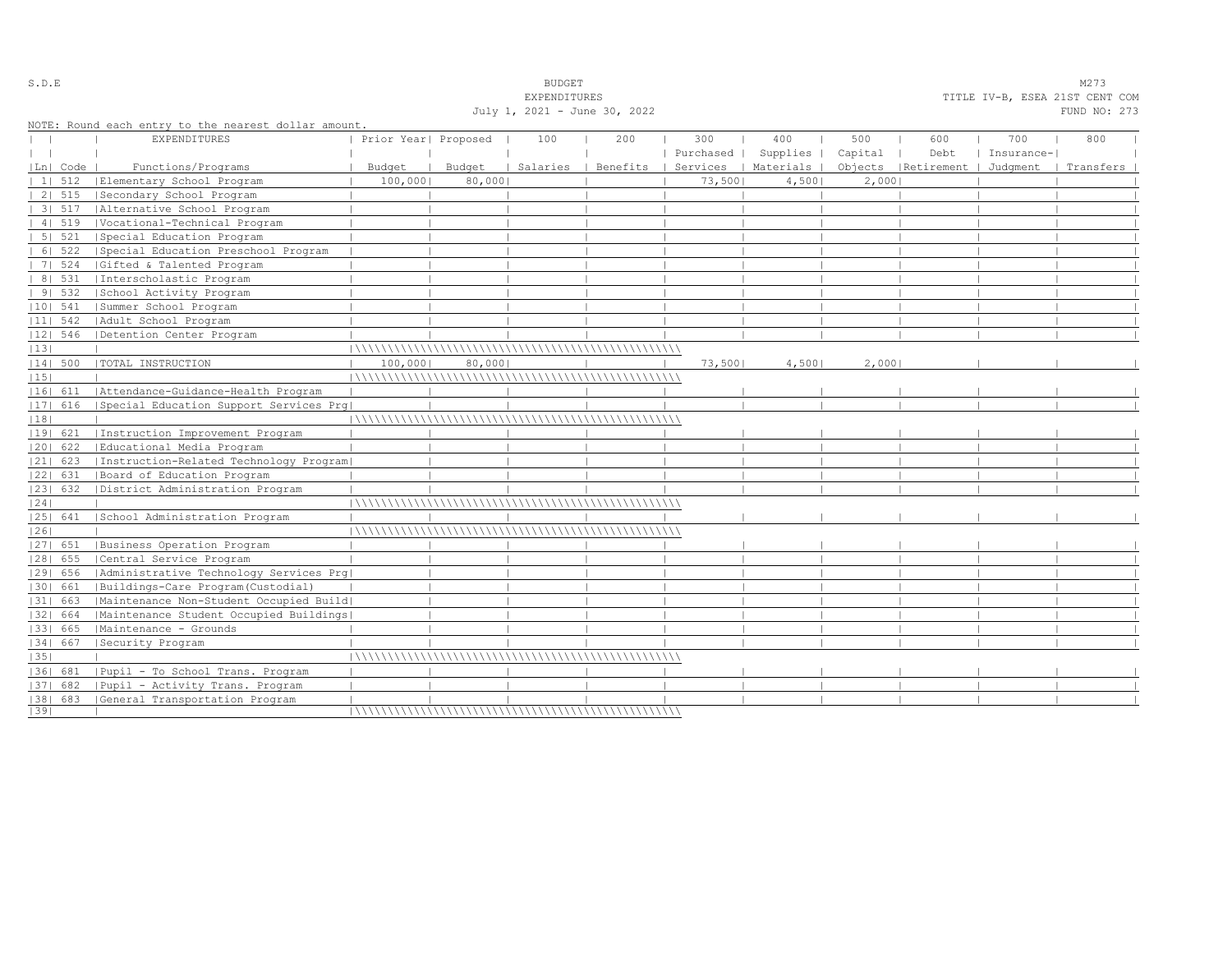| July 1, 2021 - June 30, 2022<br>FUND NO: 273<br>NOTE: Round each entry to the nearest dollar amount.<br>400<br><b>EXPENDITURES</b><br>Prior Year  Proposed<br>100<br>200<br>300<br>500<br>600<br>700<br>800<br>Purchased   Supplies   Capital<br>Debt<br>  Insurance- <br>Functions/Programs<br>  Benefits   Services   Materials   Objects   Retirement   Judgment<br>Budget<br>Budget<br>Salaries<br>  Transfers<br> Ln  Code<br>  Elementary School Program<br>100,000<br>80,0001<br>73,5001<br>$11 \quad 512$<br>4,5001<br>2,0001<br>Secondary School Program<br>2   515<br>3  517   Alternative School Program<br>41519<br> Vocational-Technical Program<br>5 521<br>Special Education Program<br>6   522<br> Special Education Preschool Program<br>7   524<br> Gifted & Talented Program | TITLE IV-B, ESEA 21ST CENT COM |
|-------------------------------------------------------------------------------------------------------------------------------------------------------------------------------------------------------------------------------------------------------------------------------------------------------------------------------------------------------------------------------------------------------------------------------------------------------------------------------------------------------------------------------------------------------------------------------------------------------------------------------------------------------------------------------------------------------------------------------------------------------------------------------------------------|--------------------------------|
|                                                                                                                                                                                                                                                                                                                                                                                                                                                                                                                                                                                                                                                                                                                                                                                                 |                                |
|                                                                                                                                                                                                                                                                                                                                                                                                                                                                                                                                                                                                                                                                                                                                                                                                 |                                |
|                                                                                                                                                                                                                                                                                                                                                                                                                                                                                                                                                                                                                                                                                                                                                                                                 |                                |
|                                                                                                                                                                                                                                                                                                                                                                                                                                                                                                                                                                                                                                                                                                                                                                                                 |                                |
|                                                                                                                                                                                                                                                                                                                                                                                                                                                                                                                                                                                                                                                                                                                                                                                                 |                                |
|                                                                                                                                                                                                                                                                                                                                                                                                                                                                                                                                                                                                                                                                                                                                                                                                 |                                |
|                                                                                                                                                                                                                                                                                                                                                                                                                                                                                                                                                                                                                                                                                                                                                                                                 |                                |
|                                                                                                                                                                                                                                                                                                                                                                                                                                                                                                                                                                                                                                                                                                                                                                                                 |                                |
|                                                                                                                                                                                                                                                                                                                                                                                                                                                                                                                                                                                                                                                                                                                                                                                                 |                                |
|                                                                                                                                                                                                                                                                                                                                                                                                                                                                                                                                                                                                                                                                                                                                                                                                 |                                |
|                                                                                                                                                                                                                                                                                                                                                                                                                                                                                                                                                                                                                                                                                                                                                                                                 |                                |
|                                                                                                                                                                                                                                                                                                                                                                                                                                                                                                                                                                                                                                                                                                                                                                                                 |                                |
| 8   531<br>Interscholastic Program                                                                                                                                                                                                                                                                                                                                                                                                                                                                                                                                                                                                                                                                                                                                                              |                                |
| 91532<br>School Activity Program                                                                                                                                                                                                                                                                                                                                                                                                                                                                                                                                                                                                                                                                                                                                                                |                                |
| $ 10 $ 541<br> Summer School Program                                                                                                                                                                                                                                                                                                                                                                                                                                                                                                                                                                                                                                                                                                                                                            |                                |
| $ 11 $ 542<br>  Adult School Program                                                                                                                                                                                                                                                                                                                                                                                                                                                                                                                                                                                                                                                                                                                                                            |                                |
| $ 12 $ 546<br>  Detention Center Program                                                                                                                                                                                                                                                                                                                                                                                                                                                                                                                                                                                                                                                                                                                                                        |                                |
| 13                                                                                                                                                                                                                                                                                                                                                                                                                                                                                                                                                                                                                                                                                                                                                                                              |                                |
| 2,000<br>$ 14 $ 500<br>  TOTAL INSTRUCTION<br>100,000<br>80,0001<br>73,5001<br>4,5001                                                                                                                                                                                                                                                                                                                                                                                                                                                                                                                                                                                                                                                                                                           |                                |
| 15                                                                                                                                                                                                                                                                                                                                                                                                                                                                                                                                                                                                                                                                                                                                                                                              |                                |
| Attendance-Guidance-Health Program<br> 16  611                                                                                                                                                                                                                                                                                                                                                                                                                                                                                                                                                                                                                                                                                                                                                  |                                |
| 17  616<br>Special Education Support Services Prq                                                                                                                                                                                                                                                                                                                                                                                                                                                                                                                                                                                                                                                                                                                                               |                                |
| 18                                                                                                                                                                                                                                                                                                                                                                                                                                                                                                                                                                                                                                                                                                                                                                                              |                                |
| Instruction Improvement Program<br> 19  621                                                                                                                                                                                                                                                                                                                                                                                                                                                                                                                                                                                                                                                                                                                                                     |                                |
| 20  622<br>  Educational Media Program                                                                                                                                                                                                                                                                                                                                                                                                                                                                                                                                                                                                                                                                                                                                                          |                                |
| Instruction-Related Technology Program <br>$ 21 $ 623                                                                                                                                                                                                                                                                                                                                                                                                                                                                                                                                                                                                                                                                                                                                           |                                |
| 22  631<br> Board of Education Program                                                                                                                                                                                                                                                                                                                                                                                                                                                                                                                                                                                                                                                                                                                                                          |                                |
| 23  632   District Administration Program                                                                                                                                                                                                                                                                                                                                                                                                                                                                                                                                                                                                                                                                                                                                                       |                                |
| 24                                                                                                                                                                                                                                                                                                                                                                                                                                                                                                                                                                                                                                                                                                                                                                                              |                                |
| School Administration Program<br> 25  641                                                                                                                                                                                                                                                                                                                                                                                                                                                                                                                                                                                                                                                                                                                                                       |                                |
| 26                                                                                                                                                                                                                                                                                                                                                                                                                                                                                                                                                                                                                                                                                                                                                                                              |                                |
| Business Operation Program<br> 27  651                                                                                                                                                                                                                                                                                                                                                                                                                                                                                                                                                                                                                                                                                                                                                          |                                |
| 28  655<br> Central Service Program                                                                                                                                                                                                                                                                                                                                                                                                                                                                                                                                                                                                                                                                                                                                                             |                                |
| 29  656<br>  Administrative Technology Services Prg                                                                                                                                                                                                                                                                                                                                                                                                                                                                                                                                                                                                                                                                                                                                             |                                |
| Buildings-Care Program(Custodial)<br> 30  661                                                                                                                                                                                                                                                                                                                                                                                                                                                                                                                                                                                                                                                                                                                                                   |                                |
| Maintenance Non-Student Occupied Build <br> 31  663                                                                                                                                                                                                                                                                                                                                                                                                                                                                                                                                                                                                                                                                                                                                             |                                |
| 32  664<br> Maintenance Student Occupied Buildings                                                                                                                                                                                                                                                                                                                                                                                                                                                                                                                                                                                                                                                                                                                                              |                                |
| Maintenance - Grounds<br> 33  665                                                                                                                                                                                                                                                                                                                                                                                                                                                                                                                                                                                                                                                                                                                                                               |                                |
| 34  667<br>Security Program                                                                                                                                                                                                                                                                                                                                                                                                                                                                                                                                                                                                                                                                                                                                                                     |                                |
| 35                                                                                                                                                                                                                                                                                                                                                                                                                                                                                                                                                                                                                                                                                                                                                                                              |                                |
| Pupil - To School Trans. Program<br>1361 681                                                                                                                                                                                                                                                                                                                                                                                                                                                                                                                                                                                                                                                                                                                                                    |                                |
| Pupil - Activity Trans. Program                                                                                                                                                                                                                                                                                                                                                                                                                                                                                                                                                                                                                                                                                                                                                                 |                                |
| $ 37 $ 682                                                                                                                                                                                                                                                                                                                                                                                                                                                                                                                                                                                                                                                                                                                                                                                      |                                |
| [38] 683 [General Transportation Program<br> 39                                                                                                                                                                                                                                                                                                                                                                                                                                                                                                                                                                                                                                                                                                                                                 |                                |

S.D.E SOME SALE SOME STRUCK STRUCK STRUCK SOMETHING SOMETHING SOMETHING SOMETHING SOMETHING SOMETHING SOMETHING SOMETHING SOMETHING SOMETHING SOMETHING SOMETHING SOMETHING SOMETHING SOMETHING SOMETHING SOMETHING SOMETHING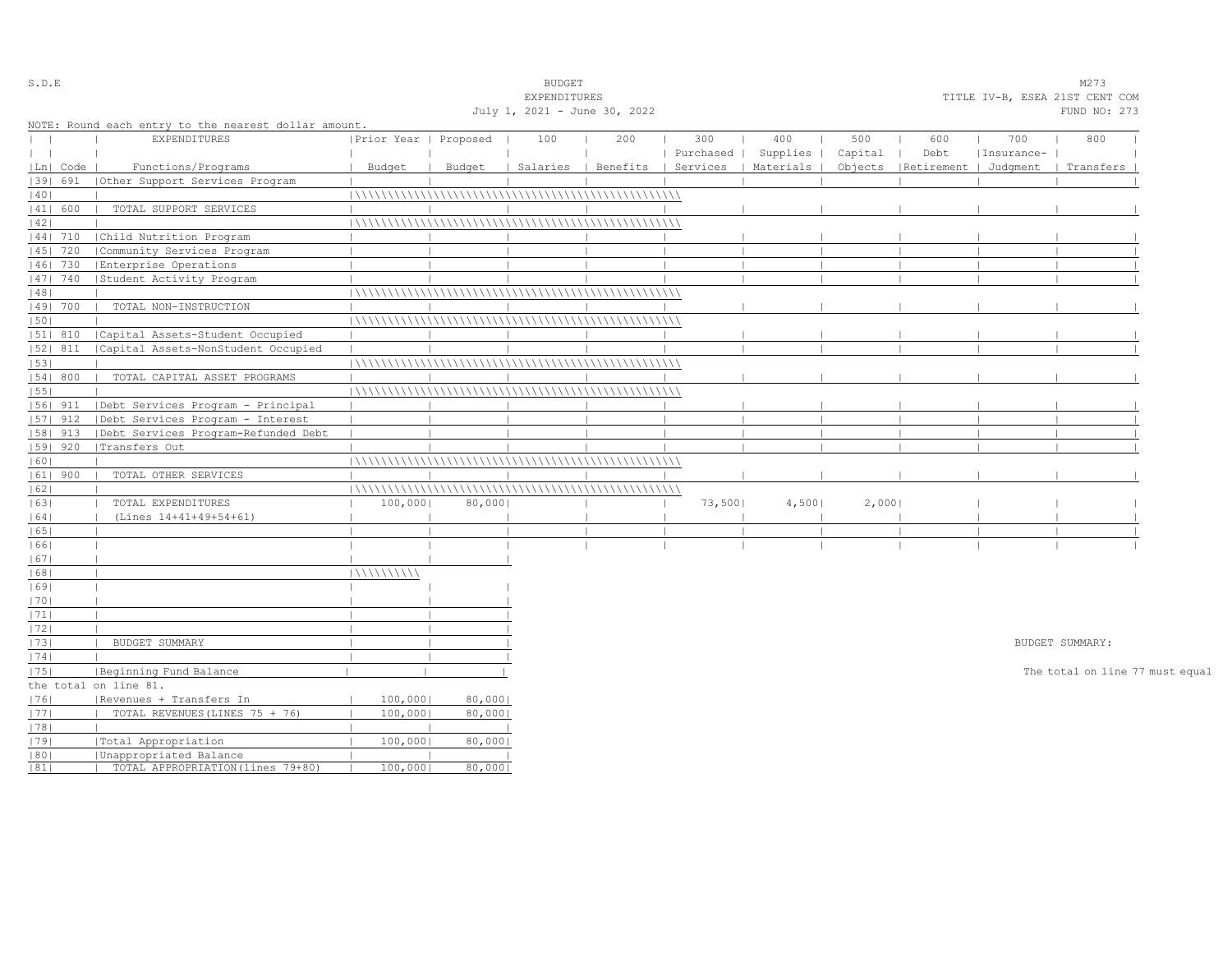| S.D.E         |            |                                                      |                       |        | <b>BUDGET</b>                |                                |           |           |         |                       |            | M273                            |  |
|---------------|------------|------------------------------------------------------|-----------------------|--------|------------------------------|--------------------------------|-----------|-----------|---------|-----------------------|------------|---------------------------------|--|
|               |            |                                                      |                       |        | EXPENDITURES                 |                                |           |           |         |                       |            | TITLE IV-B, ESEA 21ST CENT COM  |  |
|               |            |                                                      |                       |        | July 1, 2021 - June 30, 2022 |                                |           |           |         |                       |            | FUND NO: 273                    |  |
|               |            | NOTE: Round each entry to the nearest dollar amount. |                       |        |                              |                                |           |           |         |                       |            |                                 |  |
| $\mathbf{L}$  |            | <b>EXPENDITURES</b>                                  | Prior Year   Proposed |        | 100                          | 200                            | 300       | 400       | 500     | 600                   | 700        | 800                             |  |
| $\vert \vert$ |            |                                                      |                       |        |                              |                                | Purchased | Supplies  | Capital | Debt                  | Insurance- |                                 |  |
|               | Ln   Code  | Functions/Programs                                   | Budget                | Budget |                              | Salaries   Benefits   Services |           | Materials | Objects | Retirement   Judgment |            | Transfers                       |  |
|               | 1391 691   | Other Support Services Program                       |                       |        |                              |                                |           |           |         |                       |            |                                 |  |
| 40            |            |                                                      |                       |        |                              |                                |           |           |         |                       |            |                                 |  |
|               | 41  600    | TOTAL SUPPORT SERVICES                               |                       |        |                              |                                |           |           |         |                       |            |                                 |  |
| 42            |            |                                                      |                       |        |                              |                                |           |           |         |                       |            |                                 |  |
|               | $ 44 $ 710 | Child Nutrition Program                              |                       |        |                              |                                |           |           |         |                       |            |                                 |  |
|               | 45   720   | Community Services Program                           |                       |        |                              |                                |           |           |         |                       |            |                                 |  |
|               | 46  730    | Enterprise Operations                                |                       |        |                              |                                |           |           |         |                       |            |                                 |  |
|               | 47   740   | Student Activity Program                             |                       |        |                              |                                |           |           |         |                       |            |                                 |  |
| 48            |            |                                                      |                       |        |                              |                                |           |           |         |                       |            |                                 |  |
|               | 49  700    | TOTAL NON-INSTRUCTION                                |                       |        |                              |                                |           |           |         |                       |            |                                 |  |
| 50            |            |                                                      |                       |        |                              |                                |           |           |         |                       |            |                                 |  |
|               | 51  810    | Capital Assets-Student Occupied                      |                       |        |                              |                                |           |           |         |                       |            |                                 |  |
|               | 52  811    | Capital Assets-NonStudent Occupied                   |                       |        |                              |                                |           |           |         |                       |            |                                 |  |
| 53            |            |                                                      |                       |        |                              |                                |           |           |         |                       |            |                                 |  |
|               | 54   800   | TOTAL CAPITAL ASSET PROGRAMS                         |                       |        |                              |                                |           |           |         |                       |            |                                 |  |
| 55            |            |                                                      |                       |        |                              |                                |           |           |         |                       |            |                                 |  |
|               | 56  911    | Debt Services Program - Principal                    |                       |        |                              |                                |           |           |         |                       |            |                                 |  |
|               | $ 57 $ 912 | Debt Services Program - Interest                     |                       |        |                              |                                |           |           |         |                       |            |                                 |  |
|               | 58  913    | Debt Services Program-Refunded Debt                  |                       |        |                              |                                |           |           |         |                       |            |                                 |  |
|               | $ 59 $ 920 | Transfers Out                                        |                       |        |                              |                                |           |           |         |                       |            |                                 |  |
| 60            |            |                                                      |                       |        |                              |                                |           |           |         |                       |            |                                 |  |
|               | $ 61 $ 900 | TOTAL OTHER SERVICES                                 |                       |        |                              |                                |           |           |         |                       |            |                                 |  |
| 62            |            |                                                      |                       |        |                              |                                |           |           |         |                       |            |                                 |  |
| 63            |            | TOTAL EXPENDITURES                                   | 100,000               | 80,000 |                              |                                | 73,500    | 4,500     | 2,000   |                       |            |                                 |  |
| 64            |            | (Lines 14+41+49+54+61)                               |                       |        |                              |                                |           |           |         |                       |            |                                 |  |
| 65            |            |                                                      |                       |        |                              |                                |           |           |         |                       |            |                                 |  |
| 66            |            |                                                      |                       |        |                              |                                |           |           |         |                       |            |                                 |  |
| 67            |            |                                                      |                       |        |                              |                                |           |           |         |                       |            |                                 |  |
| 68            |            |                                                      | 111111111111          |        |                              |                                |           |           |         |                       |            |                                 |  |
| 69            |            |                                                      |                       |        |                              |                                |           |           |         |                       |            |                                 |  |
| 70            |            |                                                      |                       |        |                              |                                |           |           |         |                       |            |                                 |  |
| 1711          |            |                                                      |                       |        |                              |                                |           |           |         |                       |            |                                 |  |
| 72            |            |                                                      |                       |        |                              |                                |           |           |         |                       |            |                                 |  |
| 73            |            | BUDGET SUMMARY                                       |                       |        |                              |                                |           |           |         |                       |            | BUDGET SUMMARY:                 |  |
| 74            |            |                                                      |                       |        |                              |                                |           |           |         |                       |            |                                 |  |
| 75            |            | Beginning Fund Balance                               |                       |        |                              |                                |           |           |         |                       |            | The total on line 77 must equal |  |
|               |            | the total on line 81.                                |                       |        |                              |                                |           |           |         |                       |            |                                 |  |
| 76            |            | Revenues + Transfers In                              | 100,000               | 80,000 |                              |                                |           |           |         |                       |            |                                 |  |
| 77            |            | TOTAL REVENUES (LINES 75 + 76)                       | 100,000               | 80,000 |                              |                                |           |           |         |                       |            |                                 |  |
| 78            |            |                                                      |                       |        |                              |                                |           |           |         |                       |            |                                 |  |
| 79            |            | Total Appropriation                                  | 100,000               | 80,000 |                              |                                |           |           |         |                       |            |                                 |  |
| 80            |            | Unappropriated Balance                               |                       |        |                              |                                |           |           |         |                       |            |                                 |  |
| 81            |            | TOTAL APPROPRIATION (lines 79+80)                    | 100,000               | 80,000 |                              |                                |           |           |         |                       |            |                                 |  |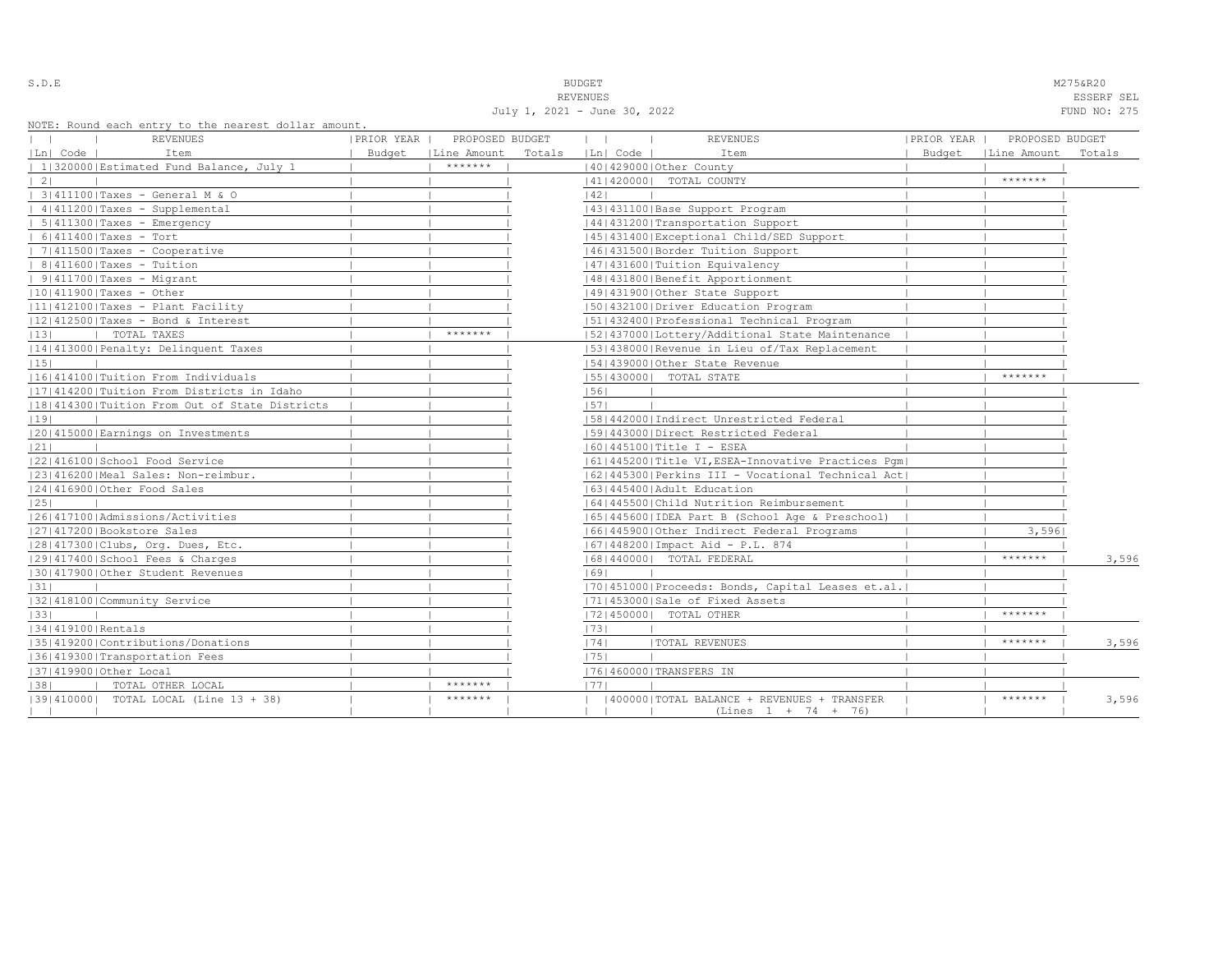S.D.E NAMES AND STRUCK STRUCK STRUCK STRUCK STRUCK STRUCK STRUCK STRUCK STRUCK STRUCK STRUCK STRUCK STRUCK STRUCK STRUCK STRUCK STRUCK STRUCK STRUCK STRUCK STRUCK STRUCK STRUCK STRUCK STRUCK STRUCK STRUCK STRUCK STRUCK STR REVENUES ESSERF SEL

| July 1, 2021 - June 30, 2022 | FUND NO: 275 |  |
|------------------------------|--------------|--|

| NOTE: Round each entry to the nearest dollar amount. |            |                 |        |          |                                                    |            |                      |        |
|------------------------------------------------------|------------|-----------------|--------|----------|----------------------------------------------------|------------|----------------------|--------|
| <b>REVENUES</b><br>$\mathbf{1}$                      | PRIOR YEAR | PROPOSED BUDGET |        |          | <b>REVENUES</b>                                    | PRIOR YEAR | PROPOSED BUDGET      |        |
| $ Ln $ Code $ $<br>Item                              | Budget     | Line Amount     | Totals | Ln  Code | Item                                               |            | Budget   Line Amount | Totals |
| 1 320000 Estimated Fund Balance, July 1              |            | *******         |        |          | 40   429000   Other County                         |            |                      |        |
| $\vert 2 \vert$                                      |            |                 |        |          | 41   420000   TOTAL COUNTY                         |            | $*********$          |        |
| $ $ 3 411100 Taxes - General M & O                   |            |                 |        | 42       |                                                    |            |                      |        |
| $ 4 411200 $ Taxes - Supplemental                    |            |                 |        |          | 43   431100   Base Support Program                 |            |                      |        |
| $  5   411300  $ Taxes - Emergency                   |            |                 |        |          | 44   431200   Transportation Support               |            |                      |        |
| $  6 411400 $ Taxes - Tort                           |            |                 |        |          | 45   431400   Exceptional Child/SED Support        |            |                      |        |
| $  7   411500  $ Taxes - Cooperative                 |            |                 |        |          | 46  431500   Border Tuition Support                |            |                      |        |
| $  8 411600 $ Taxes - Tuition                        |            |                 |        |          | 47   431600   Tuition Equivalency                  |            |                      |        |
| $ 9 411700 $ Taxes - Migrant                         |            |                 |        |          | 48   431800   Benefit Apportionment                |            |                      |        |
| $ 10 411900 $ Taxes - Other                          |            |                 |        |          | 49 431900 Other State Support                      |            |                      |        |
| $ 11 412100 $ Taxes - Plant Facility                 |            |                 |        |          | 50 432100 Driver Education Program                 |            |                      |        |
| $ 12 412500 $ Taxes - Bond & Interest                |            |                 |        |          | 51 432400 Professional Technical Program           |            |                      |        |
| TOTAL TAXES<br> 13                                   |            | *******         |        |          | 52 437000 Lottery/Additional State Maintenance     |            |                      |        |
| 14 413000 Penalty: Delinquent Taxes                  |            |                 |        |          | 53 438000 Revenue in Lieu of/Tax Replacement       |            |                      |        |
| 15                                                   |            |                 |        |          | 54 439000 Other State Revenue                      |            |                      |        |
| 16 414100 Tuition From Individuals                   |            |                 |        |          | 55   430000   TOTAL STATE                          |            | *******              |        |
| 17 414200 Tuition From Districts in Idaho            |            |                 |        | 56       |                                                    |            |                      |        |
| 18 414300 Tuition From Out of State Districts        |            |                 |        | 57       |                                                    |            |                      |        |
| 19                                                   |            |                 |        |          | [58]442000 [Indirect Unrestricted Federal          |            |                      |        |
| 20 415000 Earnings on Investments                    |            |                 |        |          | 15914430001Direct Restricted Federal               |            |                      |        |
| 21                                                   |            |                 |        |          | $ 60 445100 $ Title I - ESEA                       |            |                      |        |
| 22 416100 School Food Service                        |            |                 |        |          | 61 445200 Title VI, ESEA-Innovative Practices Pqm  |            |                      |        |
| 23 416200 Meal Sales: Non-reimbur.                   |            |                 |        |          | [62]445300 Perkins III - Vocational Technical Act] |            |                      |        |
| 24 416900 Other Food Sales                           |            |                 |        |          | 63   445400   Adult Education                      |            |                      |        |
| 25                                                   |            |                 |        |          | 1641445500 Child Nutrition Reimbursement           |            |                      |        |
| 1261417100 Admissions/Activities                     |            |                 |        |          | [65]445600 [IDEA Part B (School Age & Preschool)   |            |                      |        |
| 27 417200 Bookstore Sales                            |            |                 |        |          | 16614459001Other Indirect Federal Programs         |            | 3,5961               |        |
| 28 417300 Clubs, Org. Dues, Etc.                     |            |                 |        |          | 67   448200   Impact Aid - P.L. 874                |            |                      |        |
| 29 417400 School Fees & Charges                      |            |                 |        |          | 16814400001 TOTAL FEDERAL                          |            | *******              | 3,596  |
| 30 417900 Other Student Revenues                     |            |                 |        | 1691     |                                                    |            |                      |        |
| 31                                                   |            |                 |        |          | [70] 451000 Proceeds: Bonds, Capital Leases et.al. |            |                      |        |
| 32 418100 Community Service                          |            |                 |        |          | 71 453000 Sale of Fixed Assets                     |            |                      |        |
| 33                                                   |            |                 |        |          | 17214500001 TOTAL OTHER                            |            | *******              |        |
| 34 419100 Rentals                                    |            |                 |        | 73       |                                                    |            |                      |        |
| 1351419200 Contributions/Donations                   |            |                 |        | 74       | <b> TOTAL REVENUES</b>                             |            | $*********$          | 3,596  |
| 36 419300 Transportation Fees                        |            |                 |        | 1751     |                                                    |            |                      |        |
| 37 419900 Other Local                                |            |                 |        |          | 76 460000 TRANSFERS IN                             |            |                      |        |
| TOTAL OTHER LOCAL<br> 38                             |            | *******         |        | 1771     |                                                    |            |                      |        |
| 13914100001 TOTAL LOCAL (Line 13 + 38)               |            | $*********$     |        |          | 400000   TOTAL BALANCE + REVENUES + TRANSFER       |            | *******              | 3,596  |
|                                                      |            |                 |        |          | (Lines 1 + 74 + 76)                                |            |                      |        |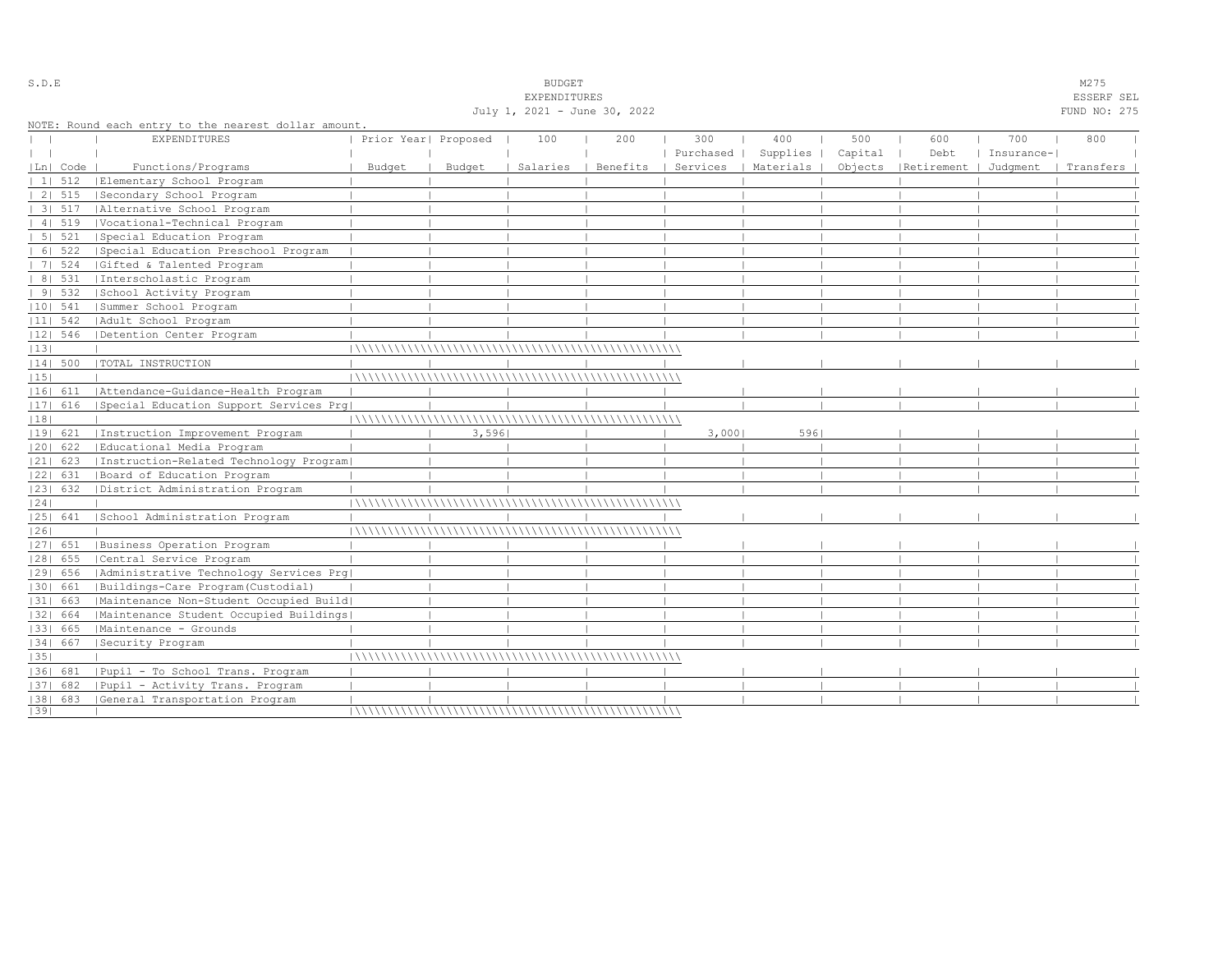|              |                |                                                      |                      |        | July 1, 2021 - June 30, 2022 |                     |                      |      |         |                                                        |            | uoomin ama<br>FUND NO: 275 |
|--------------|----------------|------------------------------------------------------|----------------------|--------|------------------------------|---------------------|----------------------|------|---------|--------------------------------------------------------|------------|----------------------------|
|              |                | NOTE: Round each entry to the nearest dollar amount. |                      |        |                              |                     |                      |      |         |                                                        |            |                            |
|              |                | EXPENDITURES                                         | Prior Year  Proposed |        | 100                          | 200                 | 300                  | 400  | 500     | 600                                                    | 700        | 800                        |
| $\mathbf{1}$ |                |                                                      |                      |        |                              |                     | Purchased   Supplies |      | Capital | Debt                                                   | Insurance- |                            |
|              | Ln  Code       | Functions/Programs                                   | Budget               | Budget |                              | Salaries   Benefits |                      |      |         | Services   Materials   Objects   Retirement   Judgment |            | Transfers                  |
|              | 11512          | Elementary School Program                            |                      |        |                              |                     |                      |      |         |                                                        |            |                            |
|              | 2   515        | Secondary School Program                             |                      |        |                              |                     |                      |      |         |                                                        |            |                            |
|              | $31 \quad 517$ | Alternative School Program                           |                      |        |                              |                     |                      |      |         |                                                        |            |                            |
|              | 4   519        | Vocational-Technical Program                         |                      |        |                              |                     |                      |      |         |                                                        |            |                            |
|              | 5   521        | Special Education Program                            |                      |        |                              |                     |                      |      |         |                                                        |            |                            |
|              | 6   522        | Special Education Preschool Program                  |                      |        |                              |                     |                      |      |         |                                                        |            |                            |
|              | 7   524        | Gifted & Talented Program                            |                      |        |                              |                     |                      |      |         |                                                        |            |                            |
|              |                | 8  531   Interscholastic Program                     |                      |        |                              |                     |                      |      |         |                                                        |            |                            |
|              | 9   532        | School Activity Program                              |                      |        |                              |                     |                      |      |         |                                                        |            |                            |
|              | $ 10 $ 541     | Summer School Program                                |                      |        |                              |                     |                      |      |         |                                                        |            |                            |
|              | $ 11 $ 542     | Adult School Program                                 |                      |        |                              |                     |                      |      |         |                                                        |            |                            |
|              | $ 12 $ 546     | Detention Center Program                             |                      |        |                              |                     |                      |      |         |                                                        |            |                            |
| 13           |                |                                                      |                      |        |                              |                     |                      |      |         |                                                        |            |                            |
|              | 14  500        | TOTAL INSTRUCTION                                    |                      |        |                              |                     |                      |      |         |                                                        |            |                            |
| 15           |                |                                                      |                      |        |                              |                     |                      |      |         |                                                        |            |                            |
|              | $ 16 $ 611     | Attendance-Guidance-Health Program                   |                      |        |                              |                     |                      |      |         |                                                        |            |                            |
|              | $ 17 $ 616     | Special Education Support Services Prq               |                      |        |                              |                     |                      |      |         |                                                        |            |                            |
| 18           |                |                                                      |                      |        |                              |                     |                      |      |         |                                                        |            |                            |
|              | 19  621        | Instruction Improvement Program                      |                      | 3,596  |                              |                     | 3,000                | 5961 |         |                                                        |            |                            |
|              | $ 20 $ 622     | Educational Media Program                            |                      |        |                              |                     |                      |      |         |                                                        |            |                            |
|              | $ 21 $ 623     | [Instruction-Related Technology Program]             |                      |        |                              |                     |                      |      |         |                                                        |            |                            |
|              | $ 22 $ 631     | Board of Education Program                           |                      |        |                              |                     |                      |      |         |                                                        |            |                            |
|              | 23  632        | District Administration Program                      |                      |        |                              |                     |                      |      |         |                                                        |            |                            |
| 24           |                |                                                      |                      |        |                              |                     |                      |      |         |                                                        |            |                            |
|              | 25  641        | School Administration Program                        |                      |        |                              |                     |                      |      |         |                                                        |            |                            |
| 26           |                |                                                      |                      |        |                              |                     |                      |      |         |                                                        |            |                            |
|              | $ 27 $ 651     | Business Operation Program                           |                      |        |                              |                     |                      |      |         |                                                        |            |                            |
|              | $ 28 $ 655     | Central Service Program                              |                      |        |                              |                     |                      |      |         |                                                        |            |                            |
|              | 29  656        | Administrative Technology Services Prg               |                      |        |                              |                     |                      |      |         |                                                        |            |                            |
|              | 30  661        | Buildings-Care Program(Custodial)                    |                      |        |                              |                     |                      |      |         |                                                        |            |                            |
|              | $ 31 $ 663     | Maintenance Non-Student Occupied Build               |                      |        |                              |                     |                      |      |         |                                                        |            |                            |
|              | 32  664        | Maintenance Student Occupied Buildings               |                      |        |                              |                     |                      |      |         |                                                        |            |                            |
|              | 33  665        | Maintenance - Grounds                                |                      |        |                              |                     |                      |      |         |                                                        |            |                            |
|              | $ 34 $ 667     | Security Program                                     |                      |        |                              |                     |                      |      |         |                                                        |            |                            |
| 35           |                |                                                      |                      |        |                              |                     |                      |      |         |                                                        |            |                            |
|              | 1361 681       | Pupil - To School Trans. Program                     |                      |        |                              |                     |                      |      |         |                                                        |            |                            |
|              | 37  682        | Pupil - Activity Trans. Program                      |                      |        |                              |                     |                      |      |         |                                                        |            |                            |
|              |                | [38] 683 [General Transportation Program             |                      |        |                              |                     |                      |      |         |                                                        |            |                            |
| 39           |                |                                                      |                      |        |                              |                     |                      |      |         |                                                        |            |                            |

# S.D.E SOME SALE SOME STRUCK STRUCK STRUCK SOMETHING SOMETHING SOMETHING SOMETHING SOMETHING SOMETHING SOMETHING SOMETHING SOMETHING SOMETHING SOMETHING SOMETHING SOMETHING SOMETHING SOMETHING SOMETHING SOMETHING SOMETHING

EXPENDITURES ESSERF SEL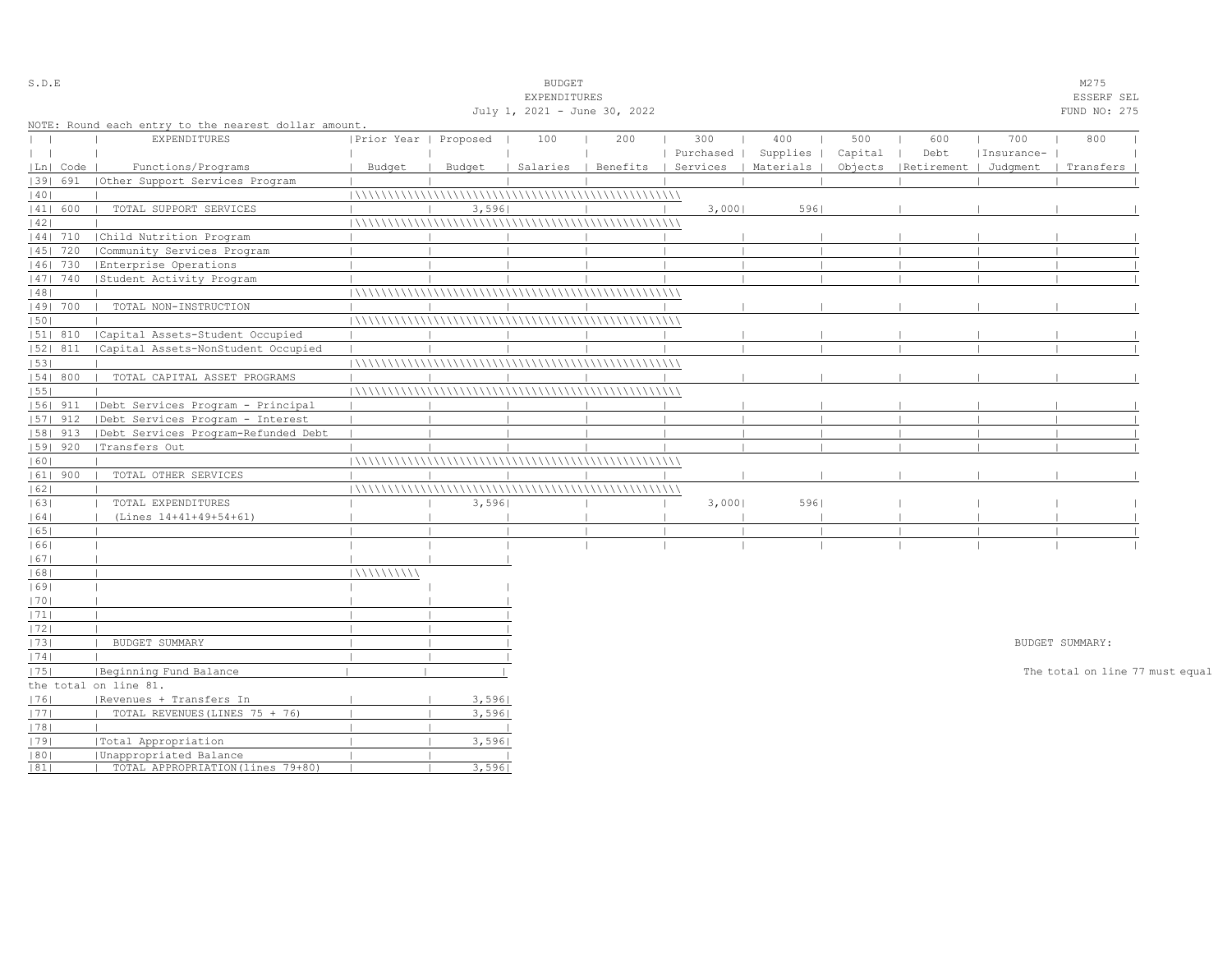| S.D.E         |            |                                                      |                       |        | <b>BUDGET</b>                |     |           |                                            |         |                       |            | M275                            |  |
|---------------|------------|------------------------------------------------------|-----------------------|--------|------------------------------|-----|-----------|--------------------------------------------|---------|-----------------------|------------|---------------------------------|--|
|               |            |                                                      |                       |        | EXPENDITURES                 |     |           |                                            |         |                       |            | ESSERF SEL                      |  |
|               |            |                                                      |                       |        | July 1, 2021 - June 30, 2022 |     |           |                                            |         |                       |            | FUND NO: 275                    |  |
|               |            | NOTE: Round each entry to the nearest dollar amount. |                       |        |                              |     |           |                                            |         |                       |            |                                 |  |
| $\mathbf{L}$  |            | <b>EXPENDITURES</b>                                  | Prior Year   Proposed |        | 100                          | 200 | 300       | 400                                        | 500     | 600                   | 700        | 800                             |  |
| $\vert \vert$ |            |                                                      |                       |        |                              |     | Purchased | Supplies                                   | Capital | Debt                  | Insurance- |                                 |  |
|               | Ln   Code  | Functions/Programs                                   | Budget                | Budget |                              |     |           | Salaries   Benefits   Services   Materials | Objects | Retirement   Judgment |            | Transfers                       |  |
|               | 39  691    | Other Support Services Program                       |                       |        |                              |     |           |                                            |         |                       |            |                                 |  |
| 40            |            |                                                      |                       |        |                              |     |           |                                            |         |                       |            |                                 |  |
|               | 41  600    | TOTAL SUPPORT SERVICES                               |                       | 3,596  |                              |     | 3,000     | 5961                                       |         |                       |            |                                 |  |
| 42            |            |                                                      |                       |        |                              |     |           |                                            |         |                       |            |                                 |  |
|               | $ 44 $ 710 | Child Nutrition Program                              |                       |        |                              |     |           |                                            |         |                       |            |                                 |  |
|               | 45   720   | Community Services Program                           |                       |        |                              |     |           |                                            |         |                       |            |                                 |  |
|               | 46  730    | Enterprise Operations                                |                       |        |                              |     |           |                                            |         |                       |            |                                 |  |
|               | 47   740   | Student Activity Program                             |                       |        |                              |     |           |                                            |         |                       |            |                                 |  |
| 48            |            |                                                      |                       |        |                              |     |           |                                            |         |                       |            |                                 |  |
|               | 49  700    | TOTAL NON-INSTRUCTION                                |                       |        |                              |     |           |                                            |         |                       |            |                                 |  |
| 50            |            |                                                      |                       |        |                              |     |           |                                            |         |                       |            |                                 |  |
|               | 51  810    | Capital Assets-Student Occupied                      |                       |        |                              |     |           |                                            |         |                       |            |                                 |  |
|               | 52  811    | Capital Assets-NonStudent Occupied                   |                       |        |                              |     |           |                                            |         |                       |            |                                 |  |
| 53            |            |                                                      |                       |        |                              |     |           |                                            |         |                       |            |                                 |  |
|               | 54   800   | TOTAL CAPITAL ASSET PROGRAMS                         |                       |        |                              |     |           |                                            |         |                       |            |                                 |  |
| 55            |            |                                                      |                       |        |                              |     |           |                                            |         |                       |            |                                 |  |
|               | $ 56 $ 911 | Debt Services Program - Principal                    |                       |        |                              |     |           |                                            |         |                       |            |                                 |  |
|               | $ 57 $ 912 | Debt Services Program - Interest                     |                       |        |                              |     |           |                                            |         |                       |            |                                 |  |
|               |            |                                                      |                       |        |                              |     |           |                                            |         |                       |            |                                 |  |
|               | 58  913    | Debt Services Program-Refunded Debt                  |                       |        |                              |     |           |                                            |         |                       |            |                                 |  |
|               | $ 59 $ 920 | Transfers Out                                        |                       |        |                              |     |           |                                            |         |                       |            |                                 |  |
| 60            |            |                                                      |                       |        |                              |     |           |                                            |         |                       |            |                                 |  |
|               | $ 61 $ 900 | TOTAL OTHER SERVICES                                 |                       |        |                              |     |           |                                            |         |                       |            |                                 |  |
| 62            |            |                                                      |                       |        |                              |     |           |                                            |         |                       |            |                                 |  |
| 63            |            | TOTAL EXPENDITURES                                   |                       | 3,596  |                              |     | 3,000     | 5961                                       |         |                       |            |                                 |  |
| 64            |            | (Lines 14+41+49+54+61)                               |                       |        |                              |     |           |                                            |         |                       |            |                                 |  |
| 65            |            |                                                      |                       |        |                              |     |           |                                            |         |                       |            |                                 |  |
| 66            |            |                                                      |                       |        |                              |     |           |                                            |         |                       |            |                                 |  |
| 67            |            |                                                      |                       |        |                              |     |           |                                            |         |                       |            |                                 |  |
| 68            |            |                                                      | 111111111111          |        |                              |     |           |                                            |         |                       |            |                                 |  |
| 69            |            |                                                      |                       |        |                              |     |           |                                            |         |                       |            |                                 |  |
| 70            |            |                                                      |                       |        |                              |     |           |                                            |         |                       |            |                                 |  |
| 1711          |            |                                                      |                       |        |                              |     |           |                                            |         |                       |            |                                 |  |
| 72            |            |                                                      |                       |        |                              |     |           |                                            |         |                       |            |                                 |  |
| 73            |            | BUDGET SUMMARY                                       |                       |        |                              |     |           |                                            |         |                       |            | BUDGET SUMMARY:                 |  |
| 74            |            |                                                      |                       |        |                              |     |           |                                            |         |                       |            |                                 |  |
| 75            |            | Beginning Fund Balance                               |                       |        |                              |     |           |                                            |         |                       |            | The total on line 77 must equal |  |
|               |            | the total on line 81.                                |                       |        |                              |     |           |                                            |         |                       |            |                                 |  |
| 76            |            | Revenues + Transfers In                              |                       | 3,596  |                              |     |           |                                            |         |                       |            |                                 |  |
| 77            |            | TOTAL REVENUES (LINES 75 + 76)                       |                       | 3,596  |                              |     |           |                                            |         |                       |            |                                 |  |
| 78            |            |                                                      |                       |        |                              |     |           |                                            |         |                       |            |                                 |  |
| 79            |            | Total Appropriation                                  |                       | 3,596  |                              |     |           |                                            |         |                       |            |                                 |  |
| 80            |            | Unappropriated Balance                               |                       |        |                              |     |           |                                            |         |                       |            |                                 |  |
| 81            |            | TOTAL APPROPRIATION (lines 79+80)                    |                       | 3,596  |                              |     |           |                                            |         |                       |            |                                 |  |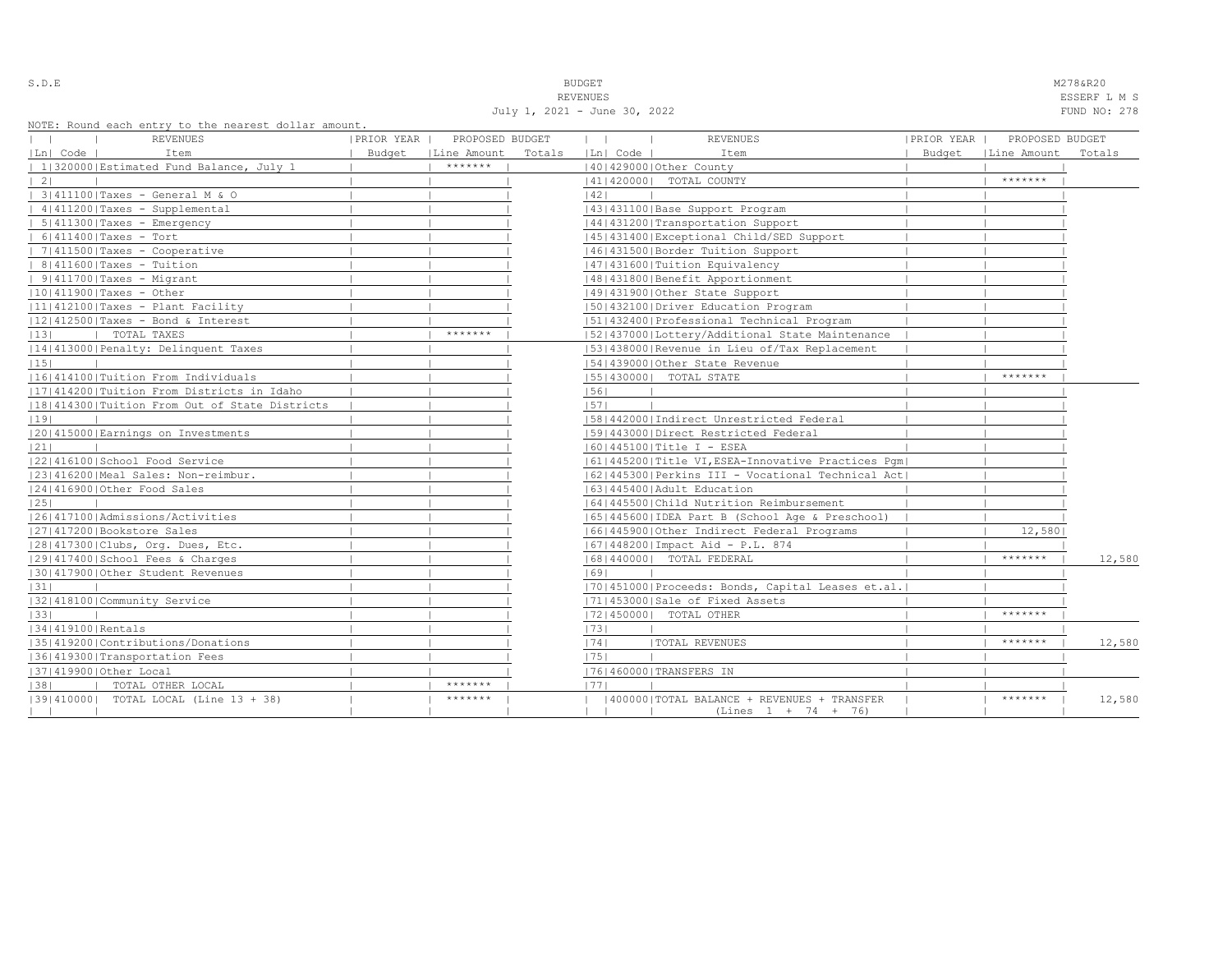| S.D.E | <b>BUDGET</b>   | M278&R20      |
|-------|-----------------|---------------|
|       |                 |               |
|       | <b>REVENUES</b> | <b>ESSERF</b> |

July 1, 2021 - June 30, 2022 FUND NO: 278

REVENUES ESSERF L M S

| REVENUES<br>$\mathbf{1}$                      | PRIOR YEAR | PROPOSED BUDGET      |        | $\mathbf{1}$    | <b>REVENUES</b>                                     | PRIOR YEAR | PROPOSED BUDGET |        |
|-----------------------------------------------|------------|----------------------|--------|-----------------|-----------------------------------------------------|------------|-----------------|--------|
| Ln  Code  <br>Item                            |            | Budget   Line Amount | Totals | $ Ln $ Code $ $ | Item                                                | Budget     | Line Amount     | Totals |
| 1 320000 Estimated Fund Balance, July 1       |            | *******              |        |                 | 140142900010ther County                             |            |                 |        |
| $\vert 2 \vert$                               |            |                      |        |                 | 41   420000   TOTAL COUNTY                          |            | $******$        |        |
| 3 411100 Taxes - General M & O                |            |                      |        | 42              |                                                     |            |                 |        |
| $ 4 411200 $ Taxes - Supplemental             |            |                      |        |                 | 43   431100   Base Support Program                  |            |                 |        |
| $  5   411300  $ Taxes - Emergency            |            |                      |        |                 | 44   431200   Transportation Support                |            |                 |        |
| $  6 411400 $ Taxes - Tort                    |            |                      |        |                 | 45   431400   Exceptional Child/SED Support         |            |                 |        |
| $  7 411500 $ Taxes - Cooperative             |            |                      |        |                 | 46 431500 Border Tuition Support                    |            |                 |        |
| $  8 411600 $ Taxes - Tuition                 |            |                      |        |                 | 47   431600   Tuition Equivalency                   |            |                 |        |
| $  9 411700 $ Taxes - Migrant                 |            |                      |        |                 | 48   431800   Benefit Apportionment                 |            |                 |        |
| $ 10 411900 $ Taxes - Other                   |            |                      |        |                 | 49 431900 Other State Support                       |            |                 |        |
| $ 11 412100 $ Taxes - Plant Facility          |            |                      |        |                 | 50 432100 Driver Education Program                  |            |                 |        |
| $ 12 412500 $ Taxes - Bond & Interest         |            |                      |        |                 | 51 432400 Professional Technical Program            |            |                 |        |
| TOTAL TAXES<br> 13                            |            | *******              |        |                 | 15214370001Lottery/Additional State Maintenance     |            |                 |        |
| 14 413000 Penalty: Delinquent Taxes           |            |                      |        |                 | 53 438000 Revenue in Lieu of/Tax Replacement        |            |                 |        |
| 15                                            |            |                      |        |                 | 54 439000 Other State Revenue                       |            |                 |        |
| 16 414100 Tuition From Individuals            |            |                      |        |                 | 55   430000   TOTAL STATE                           |            | *******         |        |
| 17 414200 Tuition From Districts in Idaho     |            |                      |        | 56              |                                                     |            |                 |        |
| 18 414300 Tuition From Out of State Districts |            |                      |        | 57              |                                                     |            |                 |        |
| 19                                            |            |                      |        |                 | [58]442000 [Indirect Unrestricted Federal           |            |                 |        |
| 20 415000 Earnings on Investments             |            |                      |        |                 | 1591443000   Direct Restricted Federal              |            |                 |        |
| 21                                            |            |                      |        |                 | $ 60 445100 $ Title I - ESEA                        |            |                 |        |
| 22 416100 School Food Service                 |            |                      |        |                 | 61  445200  Title VI, ESEA-Innovative Practices Pqm |            |                 |        |
| 23 416200 Meal Sales: Non-reimbur.            |            |                      |        |                 | [62]445300 Perkins III - Vocational Technical Act]  |            |                 |        |
| 24 416900 Other Food Sales                    |            |                      |        |                 | 1631445400 Adult Education                          |            |                 |        |
| 25                                            |            |                      |        |                 | 1641445500 Child Nutrition Reimbursement            |            |                 |        |
| 26 417100 Admissions/Activities               |            |                      |        |                 | 65   445600   IDEA Part B (School Age & Preschool)  |            |                 |        |
| 1271417200 Bookstore Sales                    |            |                      |        |                 | 16614459001Other Indirect Federal Programs          |            | 12,580          |        |
| 28 417300 Clubs, Org. Dues, Etc.              |            |                      |        |                 | 67   448200   Impact Aid - P.L. 874                 |            |                 |        |
| 29 417400 School Fees & Charges               |            |                      |        |                 | 16814400001 TOTAL FEDERAL                           |            | $******$        | 12,580 |
| 130141790010ther Student Revenues             |            |                      |        | 1691            |                                                     |            |                 |        |
| 31                                            |            |                      |        |                 | 70 451000 Proceeds: Bonds, Capital Leases et.al.    |            |                 |        |
| 32 418100 Community Service                   |            |                      |        |                 | 71 453000 Sale of Fixed Assets                      |            |                 |        |
| 33                                            |            |                      |        |                 | 17214500001 TOTAL OTHER                             |            | *******         |        |
| 34 419100 Rentals                             |            |                      |        | 73              |                                                     |            |                 |        |
| 1351419200   Contributions / Donations        |            |                      |        | 74              | <b> TOTAL REVENUES</b>                              |            | $******$        | 12,580 |
| 36 419300 Transportation Fees                 |            |                      |        | 75              |                                                     |            |                 |        |
| 37 419900 Other Local                         |            |                      |        |                 | 76 460000 TRANSFERS IN                              |            |                 |        |
| TOTAL OTHER LOCAL<br> 38                      |            | *******              |        | 1771            |                                                     |            |                 |        |
| [39] 410000] TOTAL LOCAL (Line 13 + 38)       |            | $*********$          |        |                 | 400000   TOTAL BALANCE + REVENUES + TRANSFER        |            | *******         | 12,580 |
|                                               |            |                      |        |                 | $(Lines 1 + 74 + 76)$                               |            |                 |        |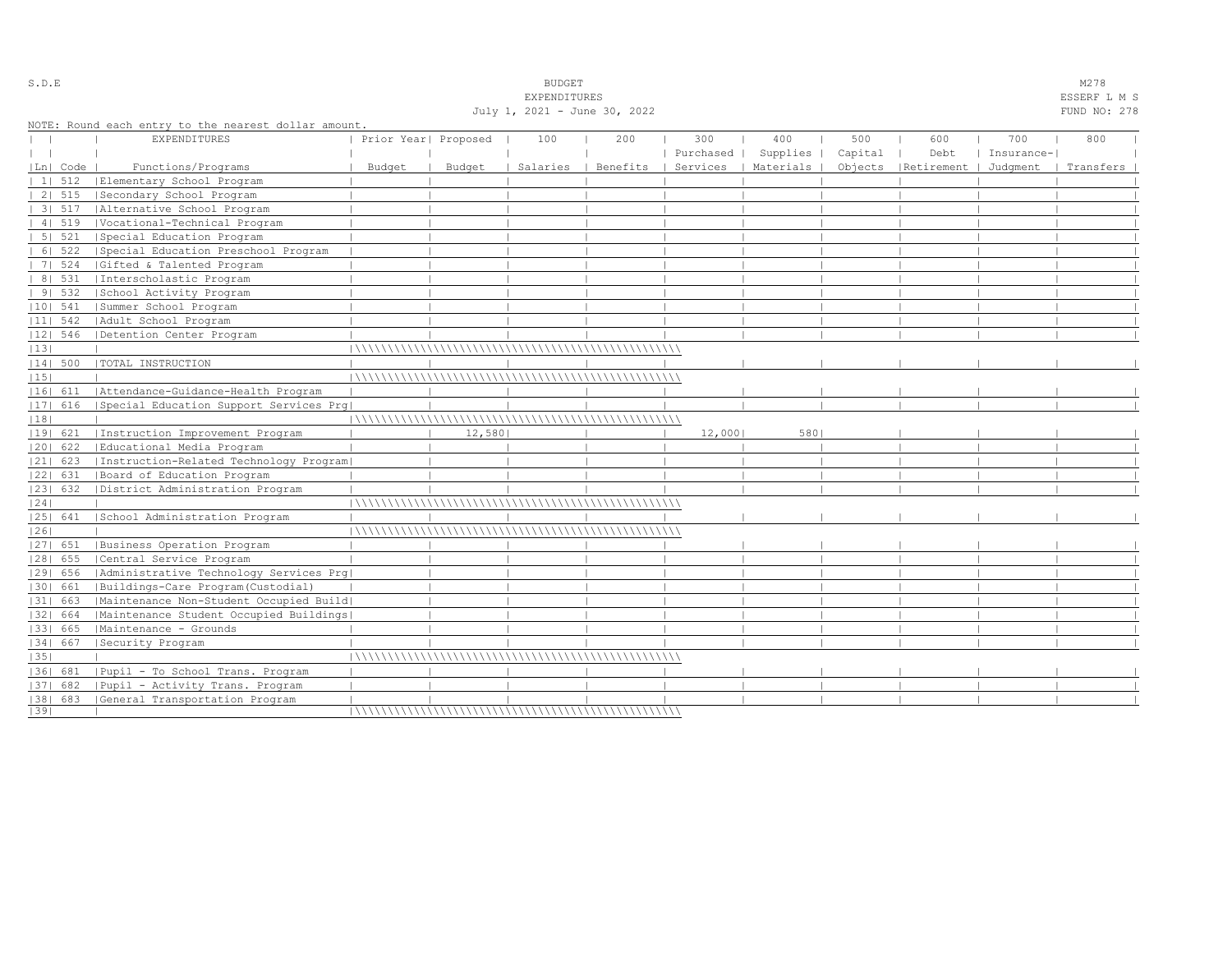|              |            |                                                                      |                      |        | July 1, 2021 - June 30, 2022 |          |                  |                      |                |             |                   | FUND NO: 278 |  |
|--------------|------------|----------------------------------------------------------------------|----------------------|--------|------------------------------|----------|------------------|----------------------|----------------|-------------|-------------------|--------------|--|
| $\mathbf{1}$ |            | NOTE: Round each entry to the nearest dollar amount.<br>EXPENDITURES | Prior Year  Proposed |        | 100                          | 200      | 300<br>Purchased | 400<br>Supplies      | 500<br>Capital | 600<br>Debt | 700<br>Insurance- | 800          |  |
|              | Ln  Code   | Functions/Programs                                                   | Budget               | Budget | Salaries                     | Benefits |                  | Services   Materials | Objects        | Retirement  | Judgment          | Transfers    |  |
|              | 111512     | Elementary School Program                                            |                      |        |                              |          |                  |                      |                |             |                   |              |  |
|              | 2   515    | Secondary School Program                                             |                      |        |                              |          |                  |                      |                |             |                   |              |  |
|              | 3 517      | Alternative School Program                                           |                      |        |                              |          |                  |                      |                |             |                   |              |  |
|              | 41519      | Vocational-Technical Program                                         |                      |        |                              |          |                  |                      |                |             |                   |              |  |
|              | $51 \ 521$ | Special Education Program                                            |                      |        |                              |          |                  |                      |                |             |                   |              |  |
|              | 6   522    | Special Education Preschool Program                                  |                      |        |                              |          |                  |                      |                |             |                   |              |  |
|              | 7   524    | Gifted & Talented Program                                            |                      |        |                              |          |                  |                      |                |             |                   |              |  |
|              | 8   531    | Interscholastic Program                                              |                      |        |                              |          |                  |                      |                |             |                   |              |  |
|              | 91532      | School Activity Program                                              |                      |        |                              |          |                  |                      |                |             |                   |              |  |
|              | $ 10 $ 541 | Summer School Program                                                |                      |        |                              |          |                  |                      |                |             |                   |              |  |
|              | $ 11 $ 542 | Adult School Program                                                 |                      |        |                              |          |                  |                      |                |             |                   |              |  |
|              | 12  546    | Detention Center Program                                             |                      |        |                              |          |                  |                      |                |             |                   |              |  |
| 13           |            |                                                                      |                      |        |                              |          |                  |                      |                |             |                   |              |  |
|              | $ 14 $ 500 | TOTAL INSTRUCTION                                                    |                      |        |                              |          |                  |                      |                |             |                   |              |  |
| 15           |            |                                                                      |                      |        |                              |          |                  |                      |                |             |                   |              |  |
|              | 16  611    | Attendance-Guidance-Health Program                                   |                      |        |                              |          |                  |                      |                |             |                   |              |  |
|              |            | [17] 616 [Special Education Support Services Prg]                    |                      |        |                              |          |                  |                      |                |             |                   |              |  |
| 18           |            |                                                                      |                      |        |                              |          |                  |                      |                |             |                   |              |  |
|              | 19  621    | Instruction Improvement Program                                      |                      | 12,580 |                              |          | 12,000           | 5801                 |                |             |                   |              |  |
|              | 20  622    | Educational Media Program                                            |                      |        |                              |          |                  |                      |                |             |                   |              |  |
|              | $ 21 $ 623 | Instruction-Related Technology Program                               |                      |        |                              |          |                  |                      |                |             |                   |              |  |
|              | 22  631    | Board of Education Program                                           |                      |        |                              |          |                  |                      |                |             |                   |              |  |
|              | 23  632    | District Administration Program                                      |                      |        |                              |          |                  |                      |                |             |                   |              |  |
| 24           |            |                                                                      |                      |        |                              |          |                  |                      |                |             |                   |              |  |
|              | 25  641    | School Administration Program                                        |                      |        |                              |          |                  |                      |                |             |                   |              |  |
| 26           |            |                                                                      |                      |        |                              |          |                  |                      |                |             |                   |              |  |
|              | 27  651    | Business Operation Program                                           |                      |        |                              |          |                  |                      |                |             |                   |              |  |
|              | $ 28 $ 655 | Central Service Program                                              |                      |        |                              |          |                  |                      |                |             |                   |              |  |
|              | 29  656    | Administrative Technology Services Prg                               |                      |        |                              |          |                  |                      |                |             |                   |              |  |
|              | 30  661    | Buildings-Care Program (Custodial)                                   |                      |        |                              |          |                  |                      |                |             |                   |              |  |
|              | 31  663    | Maintenance Non-Student Occupied Build                               |                      |        |                              |          |                  |                      |                |             |                   |              |  |
|              | 32  664    | Maintenance Student Occupied Buildings                               |                      |        |                              |          |                  |                      |                |             |                   |              |  |
|              | 33  665    | Maintenance - Grounds                                                |                      |        |                              |          |                  |                      |                |             |                   |              |  |
|              | 34  667    | Security Program                                                     |                      |        |                              |          |                  |                      |                |             |                   |              |  |
| 35           |            |                                                                      |                      |        |                              |          |                  |                      |                |             |                   |              |  |
|              | 36  681    | Pupil - To School Trans. Program                                     |                      |        |                              |          |                  |                      |                |             |                   |              |  |
|              | 37  682    | Pupil - Activity Trans. Program                                      |                      |        |                              |          |                  |                      |                |             |                   |              |  |
|              |            | [38] 683 [General Transportation Program                             |                      |        |                              |          |                  |                      |                |             |                   |              |  |
| 39           |            |                                                                      |                      |        |                              |          |                  |                      |                |             |                   |              |  |

S.D.E SOME SALE SOME STRUCK STRUCK STRUCK SOMETHING SOMETHING SOMETHING SOMETHING SOMETHING SOMETHING SOMETHING SOMETHING SOMETHING SOMETHING SOMETHING SOMETHING SOMETHING SOMETHING SOMETHING SOMETHING SOMETHING SOMETHING EXPENDITURES ESSERF L M S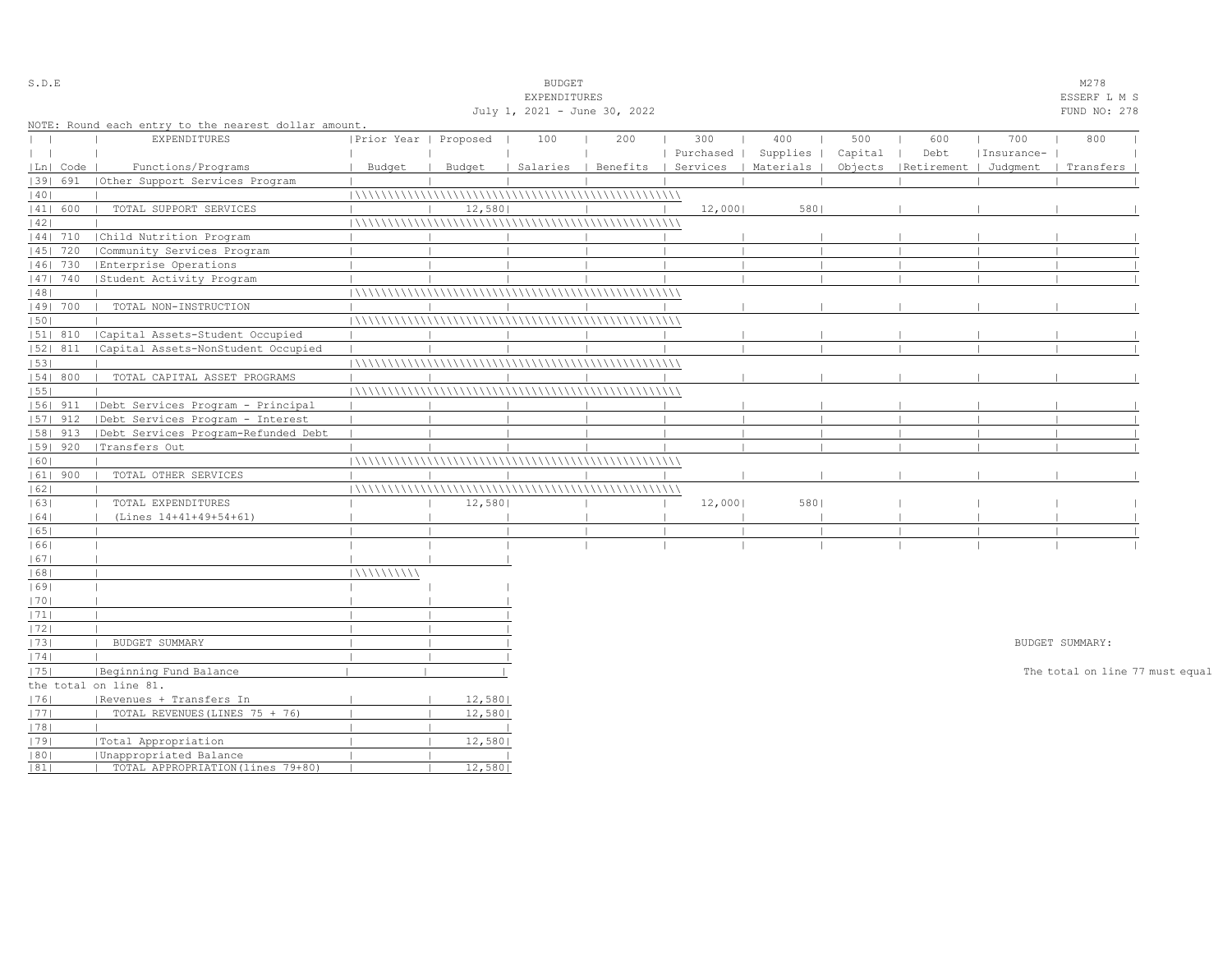| S.D.E         |            |                                                      |                       |        | <b>BUDGET</b>                |     |           |                                            |         |                       |            | M278                            |  |
|---------------|------------|------------------------------------------------------|-----------------------|--------|------------------------------|-----|-----------|--------------------------------------------|---------|-----------------------|------------|---------------------------------|--|
|               |            |                                                      |                       |        | EXPENDITURES                 |     |           |                                            |         |                       |            | ESSERF L M S                    |  |
|               |            |                                                      |                       |        | July 1, 2021 - June 30, 2022 |     |           |                                            |         |                       |            | FUND NO: 278                    |  |
|               |            | NOTE: Round each entry to the nearest dollar amount. |                       |        |                              |     |           |                                            |         |                       |            |                                 |  |
| $\mathbf{L}$  |            | <b>EXPENDITURES</b>                                  | Prior Year   Proposed |        | 100                          | 200 | 300       | 400                                        | 500     | 600                   | 700        | 800                             |  |
| $\vert \vert$ |            |                                                      |                       |        |                              |     | Purchased | Supplies                                   | Capital | Debt                  | Insurance- |                                 |  |
|               | Ln   Code  | Functions/Programs                                   | Budget                | Budget |                              |     |           | Salaries   Benefits   Services   Materials | Objects | Retirement   Judgment |            | Transfers                       |  |
|               | 39  691    | Other Support Services Program                       |                       |        |                              |     |           |                                            |         |                       |            |                                 |  |
| 40            |            |                                                      |                       |        |                              |     |           |                                            |         |                       |            |                                 |  |
|               | 41  600    | TOTAL SUPPORT SERVICES                               |                       | 12,580 |                              |     | 12,000    | 5801                                       |         |                       |            |                                 |  |
| 42            |            |                                                      |                       |        |                              |     |           |                                            |         |                       |            |                                 |  |
|               | $ 44 $ 710 | Child Nutrition Program                              |                       |        |                              |     |           |                                            |         |                       |            |                                 |  |
|               | 45   720   | Community Services Program                           |                       |        |                              |     |           |                                            |         |                       |            |                                 |  |
|               | 46  730    | Enterprise Operations                                |                       |        |                              |     |           |                                            |         |                       |            |                                 |  |
|               | 47   740   | Student Activity Program                             |                       |        |                              |     |           |                                            |         |                       |            |                                 |  |
| 48            |            |                                                      |                       |        |                              |     |           |                                            |         |                       |            |                                 |  |
|               | 49  700    | TOTAL NON-INSTRUCTION                                |                       |        |                              |     |           |                                            |         |                       |            |                                 |  |
| 50            |            |                                                      |                       |        |                              |     |           |                                            |         |                       |            |                                 |  |
|               | 51  810    | Capital Assets-Student Occupied                      |                       |        |                              |     |           |                                            |         |                       |            |                                 |  |
|               | 52  811    | Capital Assets-NonStudent Occupied                   |                       |        |                              |     |           |                                            |         |                       |            |                                 |  |
| 53            |            |                                                      |                       |        |                              |     |           |                                            |         |                       |            |                                 |  |
|               | 54   800   | TOTAL CAPITAL ASSET PROGRAMS                         |                       |        |                              |     |           |                                            |         |                       |            |                                 |  |
| 55            |            |                                                      |                       |        |                              |     |           |                                            |         |                       |            |                                 |  |
|               | 56  911    | Debt Services Program - Principal                    |                       |        |                              |     |           |                                            |         |                       |            |                                 |  |
|               | $ 57 $ 912 | Debt Services Program - Interest                     |                       |        |                              |     |           |                                            |         |                       |            |                                 |  |
|               | 58  913    | Debt Services Program-Refunded Debt                  |                       |        |                              |     |           |                                            |         |                       |            |                                 |  |
|               | 59   920   | Transfers Out                                        |                       |        |                              |     |           |                                            |         |                       |            |                                 |  |
| 60            |            |                                                      |                       |        |                              |     |           |                                            |         |                       |            |                                 |  |
|               | $ 61 $ 900 | TOTAL OTHER SERVICES                                 |                       |        |                              |     |           |                                            |         |                       |            |                                 |  |
| 62            |            |                                                      |                       |        |                              |     |           |                                            |         |                       |            |                                 |  |
| 63            |            | TOTAL EXPENDITURES                                   |                       | 12,580 |                              |     | 12,000    | 5801                                       |         |                       |            |                                 |  |
| 64            |            | (Lines 14+41+49+54+61)                               |                       |        |                              |     |           |                                            |         |                       |            |                                 |  |
| 65            |            |                                                      |                       |        |                              |     |           |                                            |         |                       |            |                                 |  |
| 66            |            |                                                      |                       |        |                              |     |           |                                            |         |                       |            |                                 |  |
| 67            |            |                                                      |                       |        |                              |     |           |                                            |         |                       |            |                                 |  |
| 68            |            |                                                      | 111111111111          |        |                              |     |           |                                            |         |                       |            |                                 |  |
| 69            |            |                                                      |                       |        |                              |     |           |                                            |         |                       |            |                                 |  |
| 70            |            |                                                      |                       |        |                              |     |           |                                            |         |                       |            |                                 |  |
| 1711          |            |                                                      |                       |        |                              |     |           |                                            |         |                       |            |                                 |  |
| 72            |            |                                                      |                       |        |                              |     |           |                                            |         |                       |            |                                 |  |
| 73            |            | BUDGET SUMMARY                                       |                       |        |                              |     |           |                                            |         |                       |            | BUDGET SUMMARY:                 |  |
| 74            |            |                                                      |                       |        |                              |     |           |                                            |         |                       |            |                                 |  |
| 75            |            | Beginning Fund Balance                               |                       |        |                              |     |           |                                            |         |                       |            | The total on line 77 must equal |  |
|               |            | the total on line 81.                                |                       |        |                              |     |           |                                            |         |                       |            |                                 |  |
| 76            |            | Revenues + Transfers In                              |                       | 12,580 |                              |     |           |                                            |         |                       |            |                                 |  |
| 77            |            | TOTAL REVENUES (LINES 75 + 76)                       |                       | 12,580 |                              |     |           |                                            |         |                       |            |                                 |  |
| 78            |            |                                                      |                       |        |                              |     |           |                                            |         |                       |            |                                 |  |
| 79            |            |                                                      |                       | 12,580 |                              |     |           |                                            |         |                       |            |                                 |  |
| 80            |            | Total Appropriation<br>Unappropriated Balance        |                       |        |                              |     |           |                                            |         |                       |            |                                 |  |
| 81            |            | TOTAL APPROPRIATION (lines 79+80)                    |                       | 12,580 |                              |     |           |                                            |         |                       |            |                                 |  |
|               |            |                                                      |                       |        |                              |     |           |                                            |         |                       |            |                                 |  |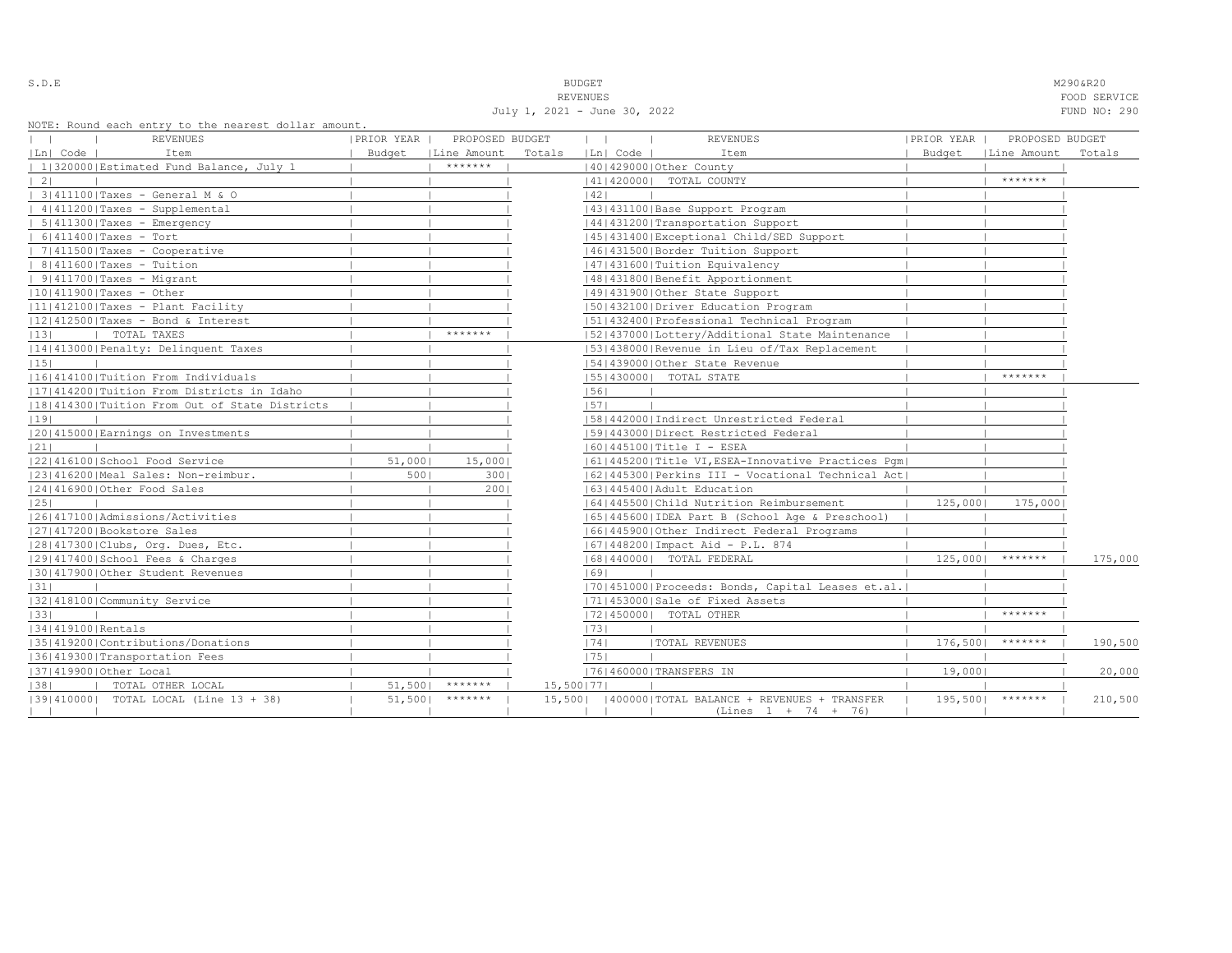S.D.E NOTE THAT IS A RESERVE TO A RESERVE THAT IS A RESERVED ON THE RESERVED OF THE M290&R20 REVENUES FOOD SERVICE

July 1, 2021 - June 30, 2022 FUND NO: 290

|  |  |  | NOTE: Round each entry to the nearest dollar amount. |  |  |
|--|--|--|------------------------------------------------------|--|--|
|  |  |  |                                                      |  |  |

| NOTE: Round each entry to the nearest dollar amount. |            |                      |        |              |                |                                                       |            |                      |         |
|------------------------------------------------------|------------|----------------------|--------|--------------|----------------|-------------------------------------------------------|------------|----------------------|---------|
| REVENUES                                             | PRIOR YEAR | PROPOSED BUDGET      |        | $\mathbf{1}$ | $\blacksquare$ | <b>REVENUES</b>                                       | PRIOR YEAR | PROPOSED BUDGET      |         |
| Ln  Code  <br>Item                                   |            | Budget   Line Amount | Totals |              | Ln  Code       | Item                                                  |            | Budget   Line Amount | Totals  |
| 1 320000 Estimated Fund Balance, July 1              |            | *******              |        |              |                | 140142900010ther County                               |            |                      |         |
| 21                                                   |            |                      |        |              |                | 14114200001 TOTAL COUNTY                              |            | *******              |         |
| 3 411100 Taxes - General M & O                       |            |                      |        | 42           |                |                                                       |            |                      |         |
| 4 411200 Taxes - Supplemental                        |            |                      |        |              |                | 43   431100   Base Support Program                    |            |                      |         |
| $  5   411300  $ Taxes - Emergency                   |            |                      |        |              |                | 44 431200 Transportation Support                      |            |                      |         |
| $  6 411400 $ Taxes - Tort                           |            |                      |        |              |                | 45 431400 Exceptional Child/SED Support               |            |                      |         |
| $  7   411500  $ Taxes - Cooperative                 |            |                      |        |              |                | 46   431500   Border Tuition Support                  |            |                      |         |
| $  8 411600 $ Taxes - Tuition                        |            |                      |        |              |                | 47   431600   Tuition Equivalency                     |            |                      |         |
| $  9 411700 $ Taxes - Migrant                        |            |                      |        |              |                | 48   431800   Benefit Apportionment                   |            |                      |         |
| $ 10 411900 $ Taxes - Other                          |            |                      |        |              |                | 49 431900 Other State Support                         |            |                      |         |
| $ 11 412100 $ Taxes - Plant Facility                 |            |                      |        |              |                | 50 432100 Driver Education Program                    |            |                      |         |
| $ 12 412500 $ Taxes - Bond & Interest                |            |                      |        |              |                | 51 432400 Professional Technical Program              |            |                      |         |
| 13 <br>TOTAL TAXES                                   |            | $*********$          |        |              |                | 52 437000 Lottery/Additional State Maintenance        |            |                      |         |
| 14 413000 Penalty: Delinquent Taxes                  |            |                      |        |              |                | 53 438000 Revenue in Lieu of/Tax Replacement          |            |                      |         |
| 15                                                   |            |                      |        |              |                | 154143900010ther State Revenue                        |            |                      |         |
| 16 414100 Tuition From Individuals                   |            |                      |        |              |                | 15514300001 TOTAL STATE                               |            | *******              |         |
| 17 414200 Tuition From Districts in Idaho            |            |                      |        | 56           |                |                                                       |            |                      |         |
| 18 414300 Tuition From Out of State Districts        |            |                      |        | 57           |                |                                                       |            |                      |         |
| 19                                                   |            |                      |        |              |                | [58]442000]Indirect Unrestricted Federal              |            |                      |         |
| 20 415000 Earnings on Investments                    |            |                      |        |              |                | 1591443000   Direct Restricted Federal                |            |                      |         |
| 21                                                   |            |                      |        |              |                | 60   445100   Title I - ESEA                          |            |                      |         |
| 22 416100 School Food Service                        | 51,000     | 15,000               |        |              |                | 61 445200 Title VI, ESEA-Innovative Practices Pqm     |            |                      |         |
| 23 416200 Meal Sales: Non-reimbur.                   | 500        | 3001                 |        |              |                | 62   445300   Perkins III - Vocational Technical Act  |            |                      |         |
| 24 416900 Other Food Sales                           |            | 2001                 |        |              |                | 1631445400 Adult Education                            |            |                      |         |
| 25                                                   |            |                      |        |              |                | 16414455001Child Nutrition Reimbursement              | 125,0001   | 175,000              |         |
| 1261417100   Admissions/Activities                   |            |                      |        |              |                | 65  445600  IDEA Part B (School Age & Preschool)      |            |                      |         |
| 27 417200 Bookstore Sales                            |            |                      |        |              |                | 16614459001Other Indirect Federal Programs            |            |                      |         |
| 28 417300 Clubs, Org. Dues, Etc.                     |            |                      |        |              |                | 67   448200   Impact Aid - P.L. 874                   |            |                      |         |
| 29 417400 School Fees & Charges                      |            |                      |        |              |                | 68   440000   TOTAL FEDERAL                           | 125,000    | *******              | 175,000 |
| 30 417900 Other Student Revenues                     |            |                      |        | 69           |                |                                                       |            |                      |         |
| 31                                                   |            |                      |        |              |                | [70] 451000 Proceeds: Bonds, Capital Leases et.al.    |            |                      |         |
| 32 418100 Community Service                          |            |                      |        |              |                | 71 453000 Sale of Fixed Assets                        |            |                      |         |
| 33                                                   |            |                      |        |              |                | 72 450000  TOTAL OTHER                                |            | *******              |         |
| 34 419100 Rentals                                    |            |                      |        | 73           |                |                                                       |            |                      |         |
| 35 419200 Contributions/Donations                    |            |                      |        | 74           |                | <b> TOTAL REVENUES</b>                                | 176,500    | *******              | 190,500 |
| 36 419300 Transportation Fees                        |            |                      |        | 1751         |                |                                                       |            |                      |         |
| 37 419900 Other Local                                |            |                      |        |              |                | 17614600001TRANSFERS IN                               | 19,0001    |                      | 20,000  |
| 38 <br>TOTAL OTHER LOCAL                             | 51,5001    | *******              |        | 15,500   77  |                |                                                       |            |                      |         |
| [39] 410000] TOTAL LOCAL (Line 13 + 38)              | 51,5001    | *******              |        |              |                | 15,500   400000   TOTAL BALANCE + REVENUES + TRANSFER | 195,500    | *******              | 210,500 |
|                                                      |            |                      |        |              |                | $(Lines 1 + 74 + 76)$                                 |            |                      |         |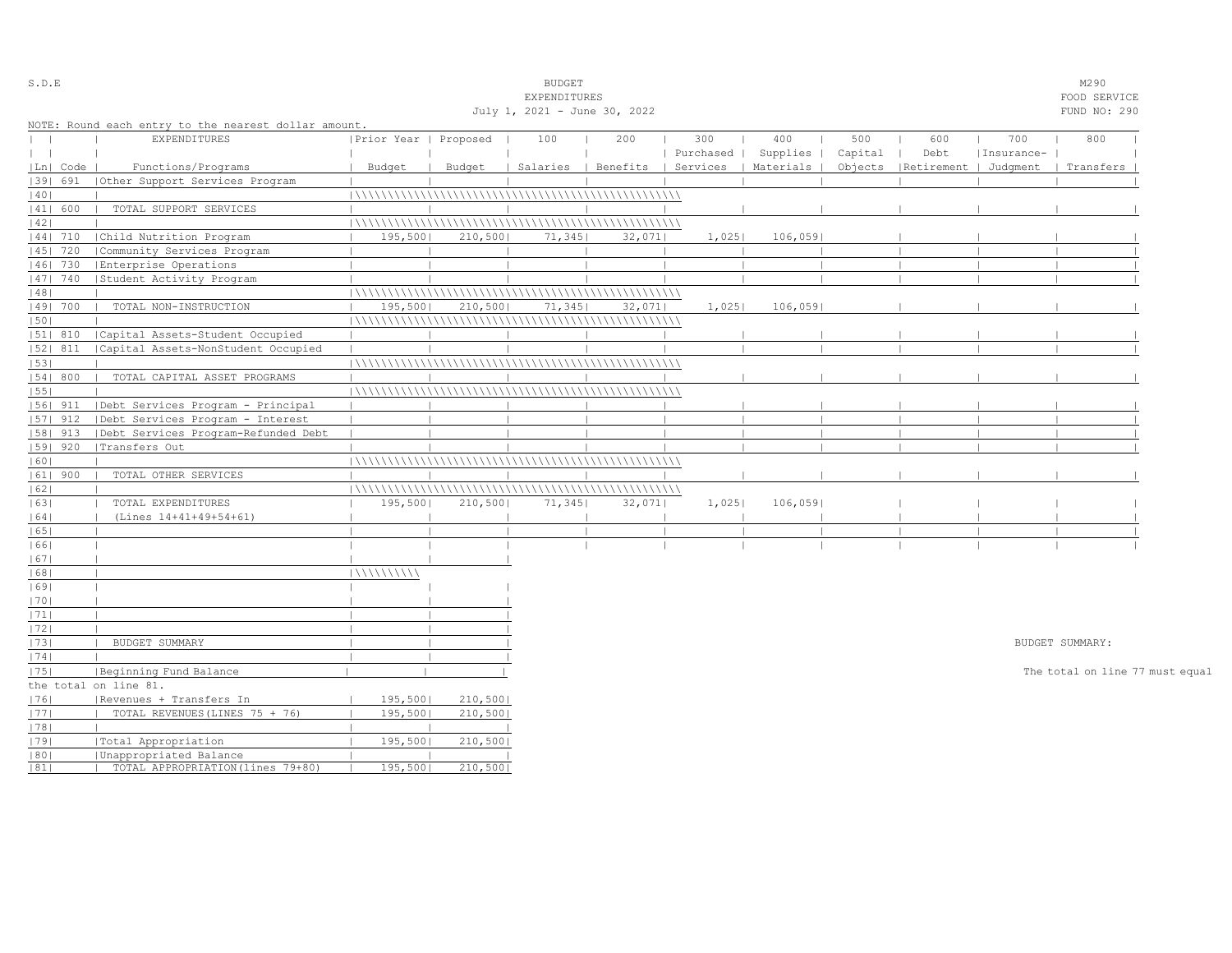| S.D.E         |            |                                                      |                       |         | <b>BUDGET</b>                |                                |           |           |         |                       |            | M290                            |  |
|---------------|------------|------------------------------------------------------|-----------------------|---------|------------------------------|--------------------------------|-----------|-----------|---------|-----------------------|------------|---------------------------------|--|
|               |            |                                                      |                       |         | EXPENDITURES                 |                                |           |           |         |                       |            | FOOD SERVICE                    |  |
|               |            |                                                      |                       |         | July 1, 2021 - June 30, 2022 |                                |           |           |         |                       |            | FUND NO: 290                    |  |
|               |            | NOTE: Round each entry to the nearest dollar amount. |                       |         |                              |                                |           |           |         |                       |            |                                 |  |
| $\mathbf{L}$  |            | <b>EXPENDITURES</b>                                  | Prior Year   Proposed |         | 100                          | 200                            | 300       | 400       | 500     | 600                   | 700        | 800                             |  |
| $\vert \vert$ |            |                                                      |                       |         |                              |                                | Purchased | Supplies  | Capital | Debt                  | Insurance- |                                 |  |
|               | Ln   Code  | Functions/Programs                                   | Budget                | Budget  |                              | Salaries   Benefits   Services |           | Materials | Objects | Retirement   Judgment |            | Transfers                       |  |
|               | 39  691    | Other Support Services Program                       |                       |         |                              |                                |           |           |         |                       |            |                                 |  |
| 40            |            |                                                      |                       |         |                              |                                |           |           |         |                       |            |                                 |  |
|               | 41  600    | TOTAL SUPPORT SERVICES                               |                       |         |                              |                                |           |           |         |                       |            |                                 |  |
| 42            |            |                                                      |                       |         |                              |                                |           |           |         |                       |            |                                 |  |
|               | 44  710    | Child Nutrition Program                              | 195,500               | 210,500 | 71,345                       | 32,071                         | 1,025     | 106,059   |         |                       |            |                                 |  |
|               | 45   720   | Community Services Program                           |                       |         |                              |                                |           |           |         |                       |            |                                 |  |
|               | $ 46 $ 730 | Enterprise Operations                                |                       |         |                              |                                |           |           |         |                       |            |                                 |  |
|               | 47   740   | Student Activity Program                             |                       |         |                              |                                |           |           |         |                       |            |                                 |  |
| 48            |            |                                                      |                       |         |                              |                                |           |           |         |                       |            |                                 |  |
|               | 49  700    | TOTAL NON-INSTRUCTION                                | 195,500               | 210,500 | 71,345                       | 32,071                         | 1,025     | 106,0591  |         |                       |            |                                 |  |
| 50            |            |                                                      |                       |         |                              |                                |           |           |         |                       |            |                                 |  |
|               | 51  810    | Capital Assets-Student Occupied                      |                       |         |                              |                                |           |           |         |                       |            |                                 |  |
|               | 52  811    | Capital Assets-NonStudent Occupied                   |                       |         |                              |                                |           |           |         |                       |            |                                 |  |
| 53            |            |                                                      |                       |         |                              |                                |           |           |         |                       |            |                                 |  |
|               | 54   800   | TOTAL CAPITAL ASSET PROGRAMS                         |                       |         |                              |                                |           |           |         |                       |            |                                 |  |
| 55            |            |                                                      |                       |         |                              |                                |           |           |         |                       |            |                                 |  |
|               | 56  911    | Debt Services Program - Principal                    |                       |         |                              |                                |           |           |         |                       |            |                                 |  |
|               | $ 57 $ 912 | Debt Services Program - Interest                     |                       |         |                              |                                |           |           |         |                       |            |                                 |  |
|               |            |                                                      |                       |         |                              |                                |           |           |         |                       |            |                                 |  |
|               | 58  913    | Debt Services Program-Refunded Debt                  |                       |         |                              |                                |           |           |         |                       |            |                                 |  |
|               | 59   920   | Transfers Out                                        |                       |         |                              |                                |           |           |         |                       |            |                                 |  |
| 60            |            |                                                      |                       |         |                              |                                |           |           |         |                       |            |                                 |  |
|               | $ 61 $ 900 | TOTAL OTHER SERVICES                                 |                       |         |                              |                                |           |           |         |                       |            |                                 |  |
| 62            |            |                                                      |                       |         |                              |                                |           |           |         |                       |            |                                 |  |
| 63            |            | TOTAL EXPENDITURES                                   | 195,500               | 210,500 | 71,345                       | 32,071                         | 1,025     | 106,059   |         |                       |            |                                 |  |
| 64            |            | (Lines 14+41+49+54+61)                               |                       |         |                              |                                |           |           |         |                       |            |                                 |  |
| 65            |            |                                                      |                       |         |                              |                                |           |           |         |                       |            |                                 |  |
| 66            |            |                                                      |                       |         |                              |                                |           |           |         |                       |            |                                 |  |
| 67            |            |                                                      |                       |         |                              |                                |           |           |         |                       |            |                                 |  |
| 68            |            |                                                      | 111111111111          |         |                              |                                |           |           |         |                       |            |                                 |  |
| 69            |            |                                                      |                       |         |                              |                                |           |           |         |                       |            |                                 |  |
| 70            |            |                                                      |                       |         |                              |                                |           |           |         |                       |            |                                 |  |
| 1711          |            |                                                      |                       |         |                              |                                |           |           |         |                       |            |                                 |  |
| 72            |            |                                                      |                       |         |                              |                                |           |           |         |                       |            |                                 |  |
| 73            |            | BUDGET SUMMARY                                       |                       |         |                              |                                |           |           |         |                       |            | BUDGET SUMMARY:                 |  |
| 74            |            |                                                      |                       |         |                              |                                |           |           |         |                       |            |                                 |  |
| 75            |            | Beginning Fund Balance                               |                       |         |                              |                                |           |           |         |                       |            | The total on line 77 must equal |  |
|               |            | the total on line 81.                                |                       |         |                              |                                |           |           |         |                       |            |                                 |  |
| 76            |            | Revenues + Transfers In                              | 195,500               | 210,500 |                              |                                |           |           |         |                       |            |                                 |  |
| 77            |            | TOTAL REVENUES (LINES 75 + 76)                       | 195,500               | 210,500 |                              |                                |           |           |         |                       |            |                                 |  |
| 78            |            |                                                      |                       |         |                              |                                |           |           |         |                       |            |                                 |  |
| 79            |            | Total Appropriation                                  | 195,500               | 210,500 |                              |                                |           |           |         |                       |            |                                 |  |
| 80            |            | Unappropriated Balance                               |                       |         |                              |                                |           |           |         |                       |            |                                 |  |
| 81            |            | TOTAL APPROPRIATION (lines 79+80)                    | 195,500               | 210,500 |                              |                                |           |           |         |                       |            |                                 |  |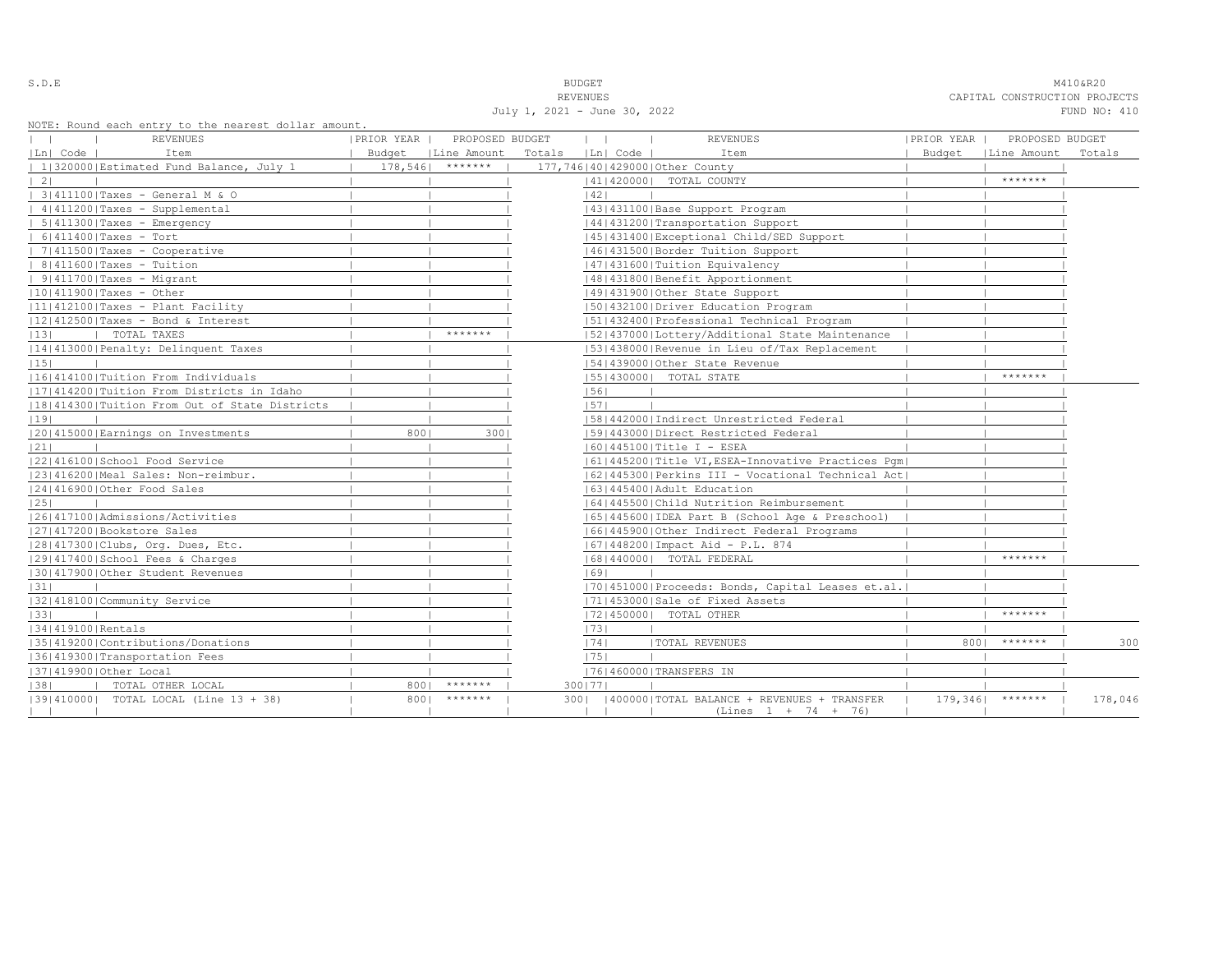| i<br>۰.<br>-<br>÷ |  |  |  |  |  |
|-------------------|--|--|--|--|--|
|-------------------|--|--|--|--|--|

S.D.E **BUDGET** M410&R20 REVENUES CAPITAL CONSTRUCTION PROJECTS July 1, 2021 - June 30, 2022 FUND NO: 410

NOTE: Round each entry to the nearest dollar amount.

| NOTE: Round each entry to the nearest dollar amount. |            |                      |                  |                                                      |            |                      |         |
|------------------------------------------------------|------------|----------------------|------------------|------------------------------------------------------|------------|----------------------|---------|
| REVENUES                                             | PRIOR YEAR | PROPOSED BUDGET      | $\mathbf{1}$     | <b>REVENUES</b>                                      | PRIOR YEAR | PROPOSED BUDGET      |         |
| Ln  Code  <br>Item                                   |            | Budget   Line Amount | Totals [Ln] Code | Item                                                 |            | Budget   Line Amount | Totals  |
| 1 320000 Estimated Fund Balance, July 1              |            | $178,546$   *******  |                  | 177,746 40 429000 Other County                       |            |                      |         |
| 21                                                   |            |                      |                  | 14114200001 TOTAL COUNTY                             |            | *******              |         |
| 3 411100 Taxes - General M & O                       |            |                      | 42               |                                                      |            |                      |         |
| 4 411200 Taxes - Supplemental                        |            |                      |                  | 43   431100   Base Support Program                   |            |                      |         |
| $  5   411300  $ Taxes - Emergency                   |            |                      |                  | 44 431200 Transportation Support                     |            |                      |         |
| $  6 411400 $ Taxes - Tort                           |            |                      |                  | 45 431400 Exceptional Child/SED Support              |            |                      |         |
| $  7 411500 $ Taxes - Cooperative                    |            |                      |                  | 46   431500   Border Tuition Support                 |            |                      |         |
| $  8 411600 $ Taxes - Tuition                        |            |                      |                  | 47   431600   Tuition Equivalency                    |            |                      |         |
| $  9 411700 $ Taxes - Migrant                        |            |                      |                  | 1481431800   Benefit Apportionment                   |            |                      |         |
| $ 10 411900 $ Taxes - Other                          |            |                      |                  | 49 431900 Other State Support                        |            |                      |         |
| $ 11 412100 $ Taxes - Plant Facility                 |            |                      |                  | 50 432100 Driver Education Program                   |            |                      |         |
| $ 12 412500 $ Taxes - Bond & Interest                |            |                      |                  | 51 432400 Professional Technical Program             |            |                      |         |
| 13 <br>TOTAL TAXES                                   |            | *******              |                  | 52 437000 Lottery/Additional State Maintenance       |            |                      |         |
| 14 413000 Penalty: Delinquent Taxes                  |            |                      |                  | 53 438000 Revenue in Lieu of/Tax Replacement         |            |                      |         |
| 15                                                   |            |                      |                  | 154143900010ther State Revenue                       |            |                      |         |
| 16 414100 Tuition From Individuals                   |            |                      |                  | 15514300001 TOTAL STATE                              |            | *******              |         |
| 17 414200 Tuition From Districts in Idaho            |            |                      | 56               |                                                      |            |                      |         |
| 18 414300 Tuition From Out of State Districts        |            |                      | 57               |                                                      |            |                      |         |
| 19                                                   |            |                      |                  | [58]442000]Indirect Unrestricted Federal             |            |                      |         |
| 20 415000 Earnings on Investments                    | 8001       | 3001                 |                  | 1591443000   Direct Restricted Federal               |            |                      |         |
| 21                                                   |            |                      |                  | 60   445100   Title I - ESEA                         |            |                      |         |
| 22 416100 School Food Service                        |            |                      |                  | 61 445200 Title VI, ESEA-Innovative Practices Pqm    |            |                      |         |
| 23 416200 Meal Sales: Non-reimbur.                   |            |                      |                  | 62   445300   Perkins III - Vocational Technical Act |            |                      |         |
| 24 416900 Other Food Sales                           |            |                      |                  | 1631445400 Adult Education                           |            |                      |         |
| 25                                                   |            |                      |                  | 16414455001Child Nutrition Reimbursement             |            |                      |         |
| 1261417100   Admissions/Activities                   |            |                      |                  | [65]445600 [IDEA Part B (School Age & Preschool)     |            |                      |         |
| 27 417200 Bookstore Sales                            |            |                      |                  | 16614459001Other Indirect Federal Programs           |            |                      |         |
| 28 417300 Clubs, Org. Dues, Etc.                     |            |                      |                  | [67] 448200   Impact Aid - P.L. 874                  |            |                      |         |
| 29 417400 School Fees & Charges                      |            |                      |                  | 16814400001 TOTAL FEDERAL                            |            | *******              |         |
| 30 417900 Other Student Revenues                     |            |                      | 69               |                                                      |            |                      |         |
| 31                                                   |            |                      |                  | [70] 451000 Proceeds: Bonds, Capital Leases et.al.   |            |                      |         |
| 32 418100 Community Service                          |            |                      |                  | 71 453000 Sale of Fixed Assets                       |            |                      |         |
| 33                                                   |            |                      |                  | 72 450000  TOTAL OTHER                               |            | *******              |         |
| 34 419100 Rentals                                    |            |                      | 73               |                                                      |            |                      |         |
| 35 419200 Contributions/Donations                    |            |                      | 74               | <b> TOTAL REVENUES</b>                               | 8001       | $* * * * * * * * *$  | 300     |
| 36 419300 Transportation Fees                        |            |                      | 1751             |                                                      |            |                      |         |
| 37 419900 Other Local                                |            |                      |                  | 17614600001TRANSFERS IN                              |            |                      |         |
| 38 <br>TOTAL OTHER LOCAL                             | 8001       | *******              | 3001771          |                                                      |            |                      |         |
| [39] 410000] TOTAL LOCAL (Line 13 + 38)              | 8001       | $*********$          | 3001             | 400000   TOTAL BALANCE + REVENUES + TRANSFER         |            | $179,346$   *******  | 178,046 |
|                                                      |            |                      |                  | $(Lines 1 + 74 + 76)$                                |            |                      |         |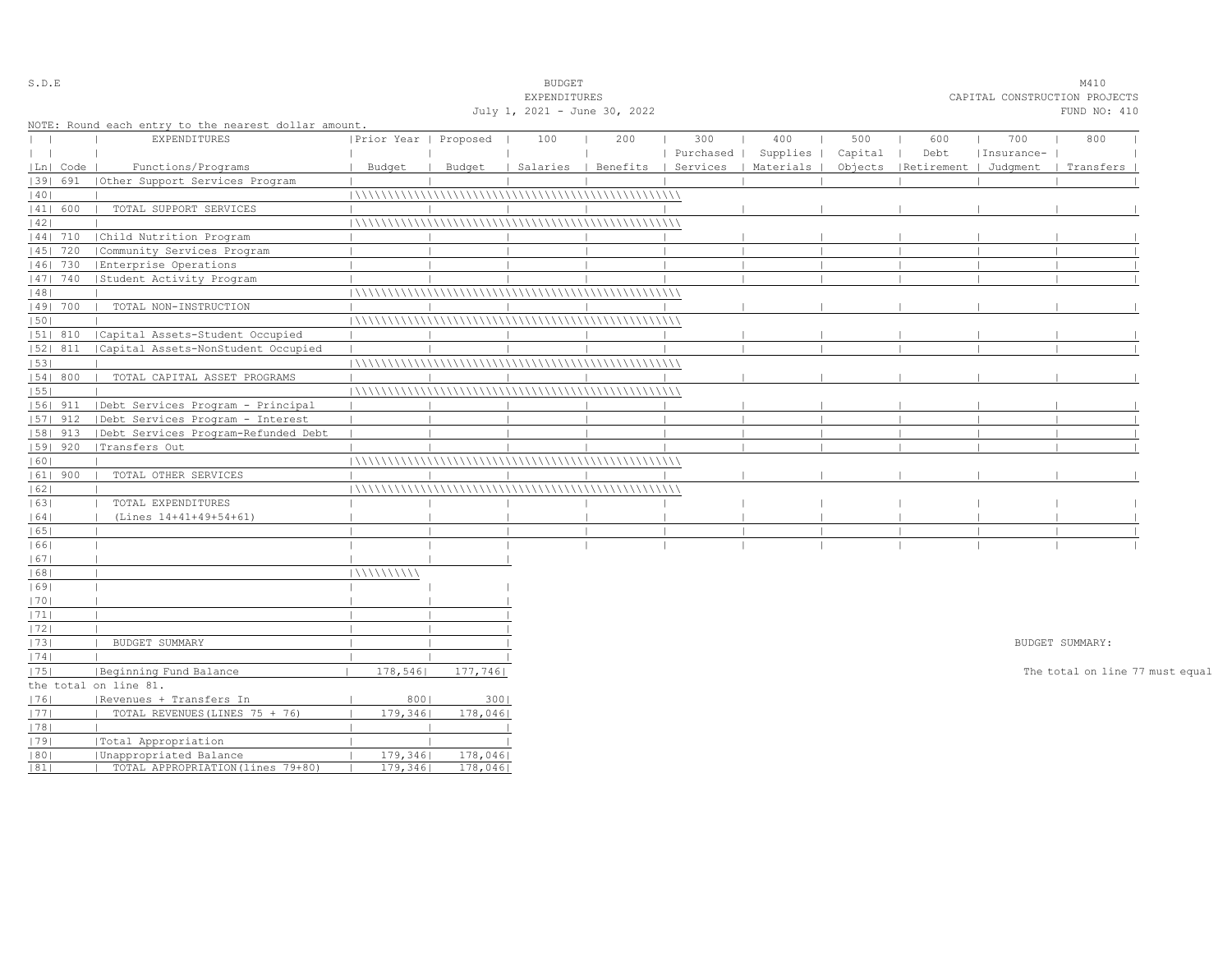| $S$ . D. E   |            |                                                      |                       |          | <b>BUDGET</b>                |          |     |                      |         |                                 |            | M410                            |  |
|--------------|------------|------------------------------------------------------|-----------------------|----------|------------------------------|----------|-----|----------------------|---------|---------------------------------|------------|---------------------------------|--|
|              |            |                                                      |                       |          | EXPENDITURES                 |          |     |                      |         |                                 |            | CAPITAL CONSTRUCTION PROJECTS   |  |
|              |            |                                                      |                       |          | July 1, 2021 - June 30, 2022 |          |     |                      |         |                                 |            | FUND NO: 410                    |  |
|              |            | NOTE: Round each entry to the nearest dollar amount. |                       |          |                              |          |     |                      |         |                                 |            |                                 |  |
| $\mathbf{1}$ |            | EXPENDITURES                                         | Prior Year   Proposed |          | 100                          | 200      | 300 | 400                  | 500     | 600                             | 700        | 800                             |  |
| $\mathbf{1}$ |            |                                                      |                       |          |                              |          |     | Purchased   Supplies | Capital | Debt                            | Insurance- |                                 |  |
|              | Ln   Code  | Functions/Programs                                   | Budget                | Budget   | Salaries                     | Benefits |     | Services   Materials |         | Objects   Retirement   Judgment |            | Transfers                       |  |
|              | 39  691    | (Other Support Services Program                      |                       |          |                              |          |     |                      |         |                                 |            |                                 |  |
| 40           |            |                                                      |                       |          |                              |          |     |                      |         |                                 |            |                                 |  |
|              | 41  600    | TOTAL SUPPORT SERVICES                               |                       |          |                              |          |     |                      |         |                                 |            |                                 |  |
| 42           |            |                                                      |                       |          |                              |          |     |                      |         |                                 |            |                                 |  |
|              | 44  710    | Child Nutrition Program                              |                       |          |                              |          |     |                      |         |                                 |            |                                 |  |
|              | $ 45 $ 720 | Community Services Program                           |                       |          |                              |          |     |                      |         |                                 |            |                                 |  |
|              | 46  730    | Enterprise Operations                                |                       |          |                              |          |     |                      |         |                                 |            |                                 |  |
|              | $ 47 $ 740 | Student Activity Program                             |                       |          |                              |          |     |                      |         |                                 |            |                                 |  |
| 48           |            |                                                      |                       |          |                              |          |     |                      |         |                                 |            |                                 |  |
|              | 49  700    | TOTAL NON-INSTRUCTION                                |                       |          |                              |          |     |                      |         |                                 |            |                                 |  |
| 50           |            |                                                      |                       |          |                              |          |     |                      |         |                                 |            |                                 |  |
|              | 51  810    | Capital Assets-Student Occupied                      |                       |          |                              |          |     |                      |         |                                 |            |                                 |  |
|              | 52  811    | Capital Assets-NonStudent Occupied                   |                       |          |                              |          |     |                      |         |                                 |            |                                 |  |
| 53           |            |                                                      |                       |          |                              |          |     |                      |         |                                 |            |                                 |  |
|              | 54 800     | TOTAL CAPITAL ASSET PROGRAMS                         |                       |          |                              |          |     |                      |         |                                 |            |                                 |  |
| 55           |            |                                                      |                       |          |                              |          |     |                      |         |                                 |            |                                 |  |
|              | $ 56 $ 911 | Debt Services Program - Principal                    |                       |          |                              |          |     |                      |         |                                 |            |                                 |  |
|              | $ 57 $ 912 | Debt Services Program - Interest                     |                       |          |                              |          |     |                      |         |                                 |            |                                 |  |
|              | 58   913   | Debt Services Program-Refunded Debt                  |                       |          |                              |          |     |                      |         |                                 |            |                                 |  |
|              |            | 59  920   Transfers Out                              |                       |          |                              |          |     |                      |         |                                 |            |                                 |  |
| 60           |            |                                                      |                       |          |                              |          |     |                      |         |                                 |            |                                 |  |
|              | $ 61 $ 900 | TOTAL OTHER SERVICES                                 |                       |          |                              |          |     |                      |         |                                 |            |                                 |  |
| 62           |            |                                                      |                       |          |                              |          |     |                      |         |                                 |            |                                 |  |
| 63           |            | TOTAL EXPENDITURES                                   |                       |          |                              |          |     |                      |         |                                 |            |                                 |  |
| 64           |            | (Lines 14+41+49+54+61)                               |                       |          |                              |          |     |                      |         |                                 |            |                                 |  |
| 65           |            |                                                      |                       |          |                              |          |     |                      |         |                                 |            |                                 |  |
| 66           |            |                                                      |                       |          |                              |          |     |                      |         |                                 |            |                                 |  |
| 67           |            |                                                      |                       |          |                              |          |     |                      |         |                                 |            |                                 |  |
| 68           |            |                                                      | 11111111111           |          |                              |          |     |                      |         |                                 |            |                                 |  |
| 69           |            |                                                      |                       |          |                              |          |     |                      |         |                                 |            |                                 |  |
| 70           |            |                                                      |                       |          |                              |          |     |                      |         |                                 |            |                                 |  |
| 71           |            |                                                      |                       |          |                              |          |     |                      |         |                                 |            |                                 |  |
| 72           |            |                                                      |                       |          |                              |          |     |                      |         |                                 |            |                                 |  |
| 73           |            | BUDGET SUMMARY                                       |                       |          |                              |          |     |                      |         |                                 |            | BUDGET SUMMARY:                 |  |
| 74           |            |                                                      |                       |          |                              |          |     |                      |         |                                 |            |                                 |  |
| 75           |            | Beginning Fund Balance                               | 178,546               | 177,746  |                              |          |     |                      |         |                                 |            | The total on line 77 must equal |  |
|              |            | the total on line 81.                                |                       |          |                              |          |     |                      |         |                                 |            |                                 |  |
| 76           |            | Revenues + Transfers In                              | 8001                  | 300      |                              |          |     |                      |         |                                 |            |                                 |  |
| 77           |            | TOTAL REVENUES (LINES 75 + 76)                       | 179,346               | 178,046  |                              |          |     |                      |         |                                 |            |                                 |  |
| 78           |            |                                                      |                       |          |                              |          |     |                      |         |                                 |            |                                 |  |
| 1791         |            | Total Appropriation                                  |                       |          |                              |          |     |                      |         |                                 |            |                                 |  |
| 1801         |            | Unappropriated Balance                               | 179,346               | 178,0461 |                              |          |     |                      |         |                                 |            |                                 |  |
| 1811         |            | TOTAL APPROPRIATION (lines 79+80)                    | 179,346               | 178,046  |                              |          |     |                      |         |                                 |            |                                 |  |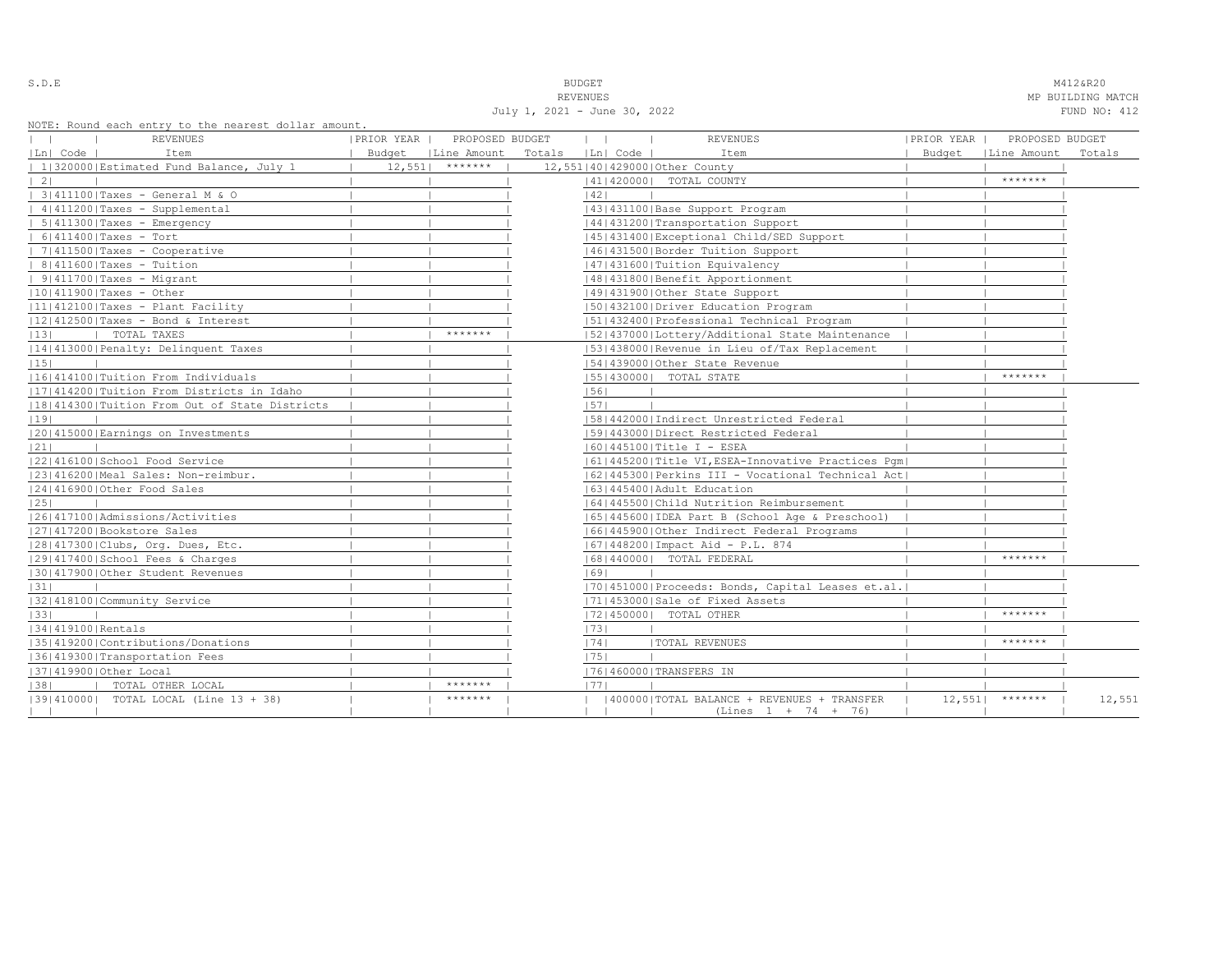| ٠<br>u<br>× |  |  |  |  |  |
|-------------|--|--|--|--|--|
|-------------|--|--|--|--|--|

S.D.E **BUDGET** M412&R20

REVENUES REVENUES REVENUES REVENUES REVENUES REVENUES REVENUES REVENUES REVENUES REVENUES REVENUES REVENUES REVENUES July 1, 2021 - June 30, 2022 FUND NO: 412

NOTE: Round each entry to the nearest dollar amount.

| NOTE: Round each entry to the nearest dollar amount.<br>REVENUES | PRIOR YEAR   PROPOSED BUDGET | $\mathbf{1}$<br>$\mathcal{L}$ | <b>REVENUES</b>                                    | PRIOR YEAR | PROPOSED BUDGET      |        |
|------------------------------------------------------------------|------------------------------|-------------------------------|----------------------------------------------------|------------|----------------------|--------|
| Ln  Code  <br>Item                                               | Budget   Line Amount         | Totals   Ln  Code             | Item                                               |            | Budget   Line Amount | Totals |
| 1 320000 Estimated Fund Balance, July 1                          | $12,551$ *******             |                               | 12,551 40 429000 Other County                      |            |                      |        |
| $\vert 2 \vert$                                                  |                              |                               | 14114200001 TOTAL COUNTY                           |            | *******              |        |
| 3 411100 Taxes - General M & O                                   |                              | 42                            |                                                    |            |                      |        |
| 4 411200 Taxes - Supplemental                                    |                              |                               | 43   431100   Base Support Program                 |            |                      |        |
| $  5   411300  $ Taxes - Emergency                               |                              |                               | 44   431200   Transportation Support               |            |                      |        |
| $  6 411400 $ Taxes - Tort                                       |                              |                               | 45 431400 Exceptional Child/SED Support            |            |                      |        |
| $  7   411500  $ Taxes - Cooperative                             |                              |                               | 46  431500   Border Tuition Support                |            |                      |        |
| $  8 411600 $ Taxes - Tuition                                    |                              |                               | 47   431600   Tuition Equivalency                  |            |                      |        |
| $  9 411700 $ Taxes - Migrant                                    |                              |                               | 48   431800   Benefit Apportionment                |            |                      |        |
| $ 10 411900 $ Taxes - Other                                      |                              |                               | 14914319001Other State Support                     |            |                      |        |
| 11 412100 Taxes - Plant Facility                                 |                              |                               | 50 432100 Driver Education Program                 |            |                      |        |
| $ 12 412500 $ Taxes - Bond & Interest                            |                              |                               | 51 432400 Professional Technical Program           |            |                      |        |
| 13 <br>TOTAL TAXES                                               | *******                      |                               | [52] 437000 [Lottery/Additional State Maintenance  |            |                      |        |
| 14 413000 Penalty: Delinquent Taxes                              |                              |                               | 53 438000 Revenue in Lieu of/Tax Replacement       |            |                      |        |
| 15                                                               |                              |                               | 154143900010ther State Revenue                     |            |                      |        |
| 16 414100 Tuition From Individuals                               |                              |                               | 55   430000   TOTAL STATE                          |            | *******              |        |
| 17 414200 Tuition From Districts in Idaho                        |                              | 56                            |                                                    |            |                      |        |
| 18 414300 Tuition From Out of State Districts                    |                              | 57                            |                                                    |            |                      |        |
| 19                                                               |                              |                               | [58]442000]Indirect Unrestricted Federal           |            |                      |        |
| 20 415000 Earnings on Investments                                |                              |                               | 1591443000   Direct Restricted Federal             |            |                      |        |
| 21                                                               |                              |                               | $ 60 445100 $ Title I - ESEA                       |            |                      |        |
| 22 416100 School Food Service                                    |                              |                               | 61 445200 Title VI, ESEA-Innovative Practices Pqm  |            |                      |        |
| 23 416200 Meal Sales: Non-reimbur.                               |                              |                               | [62]445300 Perkins III - Vocational Technical Act] |            |                      |        |
| 24 416900 Other Food Sales                                       |                              |                               | 1631445400 Adult Education                         |            |                      |        |
| 25                                                               |                              |                               | 16414455001Child Nutrition Reimbursement           |            |                      |        |
| 1261417100   Admissions/Activities                               |                              |                               | 65  445600  IDEA Part B (School Age & Preschool)   |            |                      |        |
| 27 417200 Bookstore Sales                                        |                              |                               | 16614459001Other Indirect Federal Programs         |            |                      |        |
| 28 417300 Clubs, Org. Dues, Etc.                                 |                              |                               | 67   448200   Impact Aid - P.L. 874                |            |                      |        |
| 29 417400 School Fees & Charges                                  |                              |                               | 68   440000   TOTAL FEDERAL                        |            | *******              |        |
| 30 417900 Other Student Revenues                                 |                              | 69                            |                                                    |            |                      |        |
| 31                                                               |                              |                               | [70] 451000 Proceeds: Bonds, Capital Leases et.al. |            |                      |        |
| 32 418100 Community Service                                      |                              |                               | 71 453000 Sale of Fixed Assets                     |            |                      |        |
| 33                                                               |                              |                               | 17214500001 TOTAL OTHER                            |            | *******              |        |
| 1341419100 Rentals                                               |                              | 73                            |                                                    |            |                      |        |
| 35 419200 Contributions/Donations                                |                              | 74                            | <b> TOTAL REVENUES</b>                             |            | *******              |        |
| 36 419300 Transportation Fees                                    |                              | 1751                          |                                                    |            |                      |        |
| 37 419900 Other Local                                            |                              |                               | 17614600001TRANSFERS IN                            |            |                      |        |
| 38 <br>TOTAL OTHER LOCAL                                         | *******                      | 1771                          |                                                    |            |                      |        |
| [39] 410000] TOTAL LOCAL (Line 13 + 38)                          | *******                      |                               | 400000   TOTAL BALANCE + REVENUES + TRANSFER       | 12,551     | *******              | 12,551 |
|                                                                  |                              |                               | $(Lines 1 + 74 + 76)$                              |            |                      |        |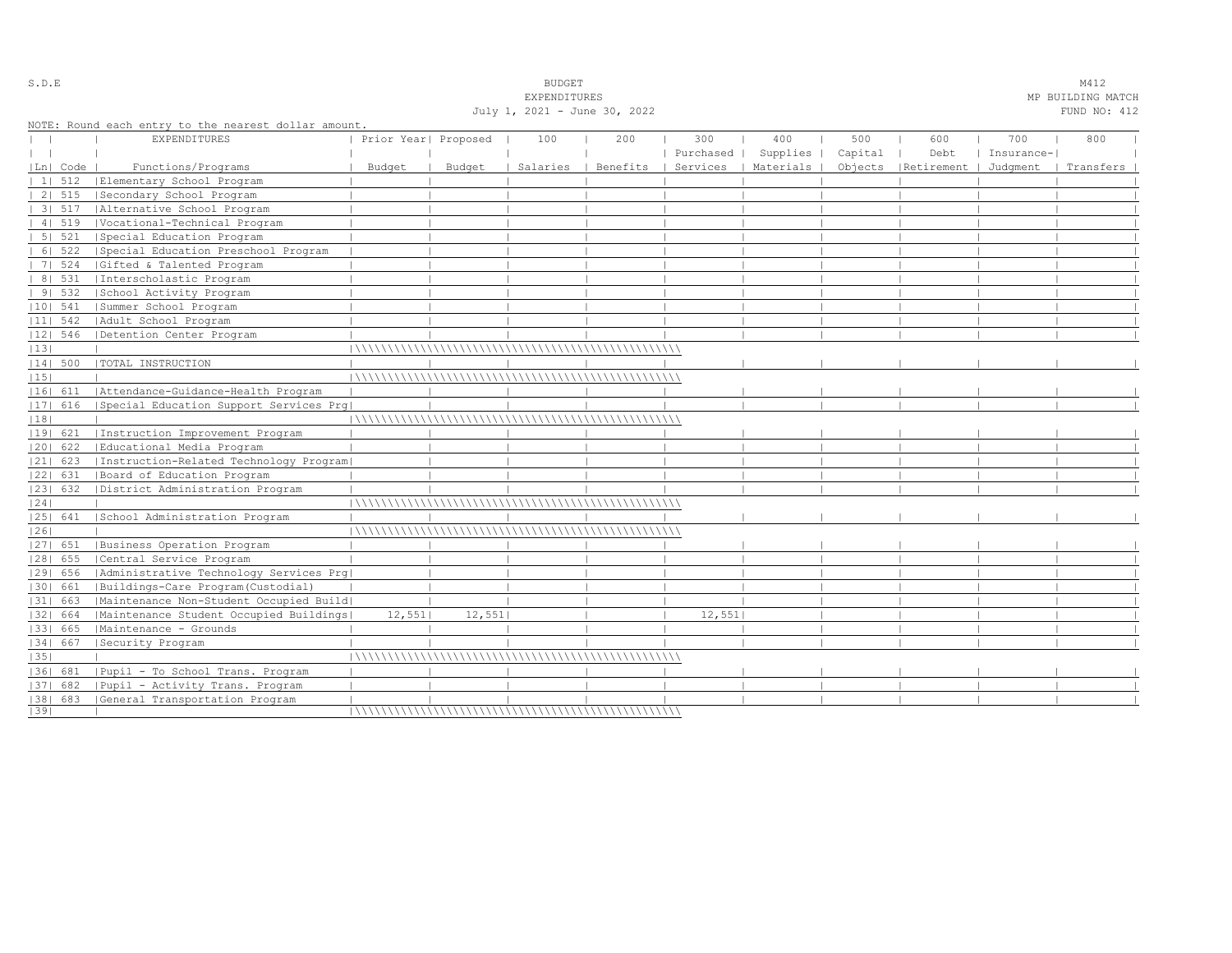|    |             |                                                      |                      |        | July 1, 2021 - June 30, 2022 |          |           |           |         |                       |            | FUND NO: 412 |  |
|----|-------------|------------------------------------------------------|----------------------|--------|------------------------------|----------|-----------|-----------|---------|-----------------------|------------|--------------|--|
|    |             | NOTE: Round each entry to the nearest dollar amount. |                      |        |                              |          |           |           |         |                       |            |              |  |
|    |             | <b>EXPENDITURES</b>                                  | Prior Year  Proposed |        | 100                          | 200      | 300       | 400       | 500     | 600                   | 700        | 800          |  |
|    |             |                                                      |                      |        |                              |          | Purchased | Supplies  | Capital | Debt                  | Insurance- |              |  |
|    | $ Ln $ Code | Functions/Programs                                   | Budget               | Budget | Salaries                     | Benefits | Services  | Materials | Objects | Retirement   Judqment |            | Transfers    |  |
|    | 11512       | Elementary School Program                            |                      |        |                              |          |           |           |         |                       |            |              |  |
|    | $21\ 515$   | Secondary School Program                             |                      |        |                              |          |           |           |         |                       |            |              |  |
|    | 3 517       | Alternative School Program                           |                      |        |                              |          |           |           |         |                       |            |              |  |
|    | 4   519     | Vocational-Technical Program                         |                      |        |                              |          |           |           |         |                       |            |              |  |
|    | 5 521       | Special Education Program                            |                      |        |                              |          |           |           |         |                       |            |              |  |
|    |             | 6  522   Special Education Preschool Program         |                      |        |                              |          |           |           |         |                       |            |              |  |
|    | 7   524     | Gifted & Talented Program                            |                      |        |                              |          |           |           |         |                       |            |              |  |
|    | 8   531     | Interscholastic Program                              |                      |        |                              |          |           |           |         |                       |            |              |  |
|    | 91532       | School Activity Program                              |                      |        |                              |          |           |           |         |                       |            |              |  |
|    | $ 10 $ 541  | Summer School Program                                |                      |        |                              |          |           |           |         |                       |            |              |  |
|    | $ 11 $ 542  | Adult School Program                                 |                      |        |                              |          |           |           |         |                       |            |              |  |
|    | $ 12 $ 546  | Detention Center Program                             |                      |        |                              |          |           |           |         |                       |            |              |  |
| 13 |             |                                                      |                      |        |                              |          |           |           |         |                       |            |              |  |
|    | 14  500     | TOTAL INSTRUCTION                                    |                      |        |                              |          |           |           |         |                       |            |              |  |
| 15 |             |                                                      |                      |        |                              |          |           |           |         |                       |            |              |  |
|    | 16  611     | Attendance-Guidance-Health Program                   |                      |        |                              |          |           |           |         |                       |            |              |  |
|    |             | [17] 616 [Special Education Support Services Prq]    |                      |        |                              |          |           |           |         |                       |            |              |  |
| 18 |             |                                                      |                      |        |                              |          |           |           |         |                       |            |              |  |
|    | 19  621     | Instruction Improvement Program                      |                      |        |                              |          |           |           |         |                       |            |              |  |
|    | 20  622     | Educational Media Program                            |                      |        |                              |          |           |           |         |                       |            |              |  |
|    | $ 21 $ 623  | Instruction-Related Technology Program               |                      |        |                              |          |           |           |         |                       |            |              |  |
|    | 22  631     | Board of Education Program                           |                      |        |                              |          |           |           |         |                       |            |              |  |
|    | 23  632     | District Administration Program                      |                      |        |                              |          |           |           |         |                       |            |              |  |
| 24 |             |                                                      |                      |        |                              |          |           |           |         |                       |            |              |  |
|    | 25  641     | School Administration Program                        |                      |        |                              |          |           |           |         |                       |            |              |  |
| 26 |             |                                                      |                      |        |                              |          |           |           |         |                       |            |              |  |
|    | 27  651     | Business Operation Program                           |                      |        |                              |          |           |           |         |                       |            |              |  |
|    | 28  655     | Central Service Program                              |                      |        |                              |          |           |           |         |                       |            |              |  |
|    | 29  656     | Administrative Technology Services Prg               |                      |        |                              |          |           |           |         |                       |            |              |  |
|    | 30  661     | Buildings-Care Program(Custodial)                    |                      |        |                              |          |           |           |         |                       |            |              |  |
|    | 31  663     | Maintenance Non-Student Occupied Build               |                      |        |                              |          |           |           |         |                       |            |              |  |
|    | 32  664     | Maintenance Student Occupied Buildings               | 12,551               | 12,551 |                              |          | 12,551    |           |         |                       |            |              |  |
|    | 33  665     | Maintenance - Grounds                                |                      |        |                              |          |           |           |         |                       |            |              |  |
|    | 34   667    | Security Program                                     |                      |        |                              |          |           |           |         |                       |            |              |  |
| 35 |             |                                                      |                      |        |                              |          |           |           |         |                       |            |              |  |
|    |             | [36] 681 [Pupil - To School Trans. Program           |                      |        |                              |          |           |           |         |                       |            |              |  |
|    | 37  682     | Pupil - Activity Trans. Program                      |                      |        |                              |          |           |           |         |                       |            |              |  |
|    |             | [38] 683 [General Transportation Program             |                      |        |                              |          |           |           |         |                       |            |              |  |
| 39 |             |                                                      |                      |        |                              |          |           |           |         |                       |            |              |  |

S.D.E SALE SALE SOME STRAINING STRAINING STRAINING STRAINING STRAINING STRAINING STRAINING STRAINING STRAINING STRAINING STRAINING STRAINING STRAINING STRAINING STRAINING STRAINING STRAINING STRAINING STRAINING STRAINING S

EXPENDITURES MP BUILDING MATCH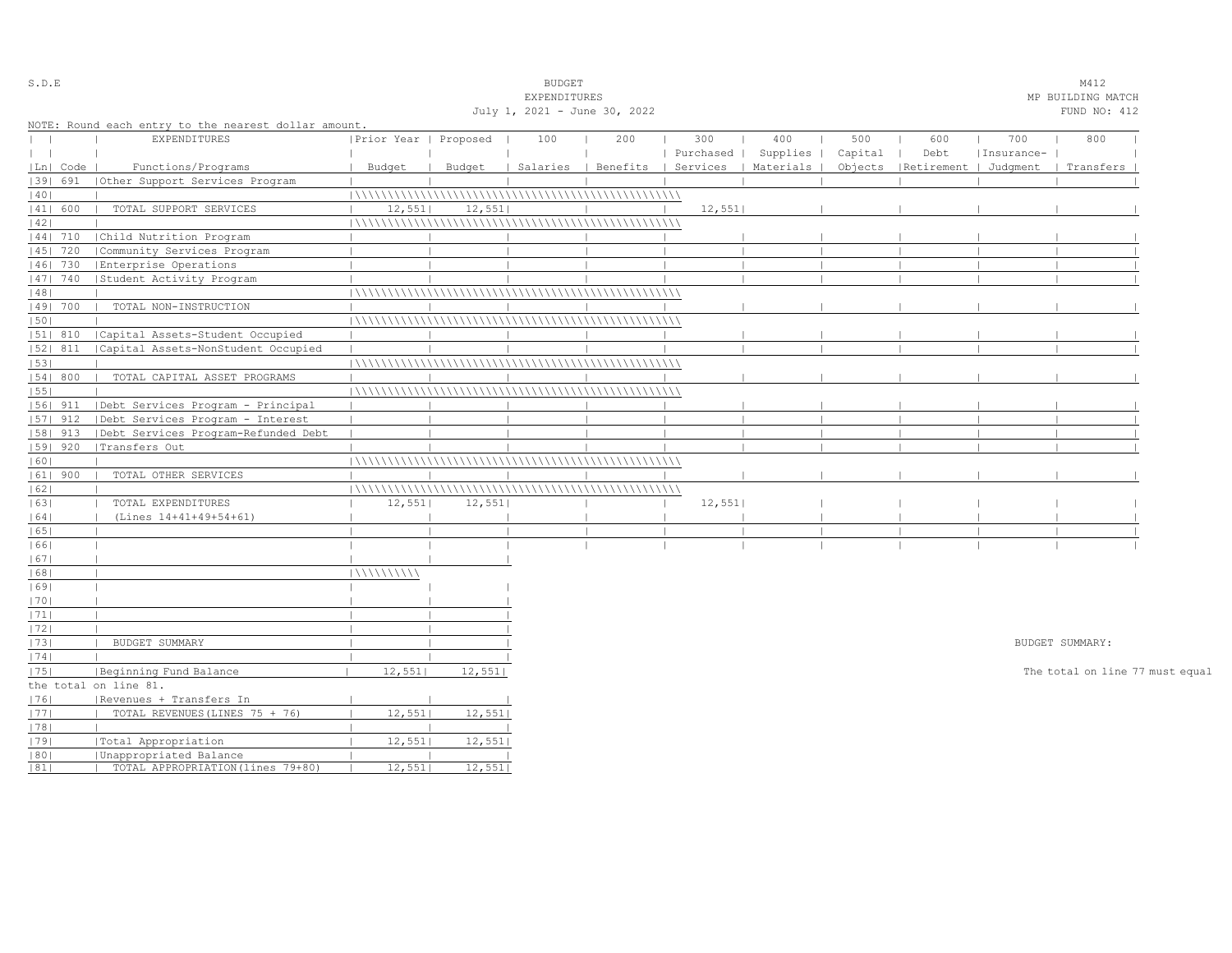| S.D.E        |            |                                                      |                       |        | <b>BUDGET</b>                |     |           |                                            |         |                                 |            | M412                            |  |
|--------------|------------|------------------------------------------------------|-----------------------|--------|------------------------------|-----|-----------|--------------------------------------------|---------|---------------------------------|------------|---------------------------------|--|
|              |            |                                                      |                       |        | EXPENDITURES                 |     |           |                                            |         |                                 |            | MP BUILDING MATCH               |  |
|              |            |                                                      |                       |        | July 1, 2021 - June 30, 2022 |     |           |                                            |         |                                 |            | FUND NO: 412                    |  |
|              |            | NOTE: Round each entry to the nearest dollar amount. |                       |        |                              |     |           |                                            |         |                                 |            |                                 |  |
| $\mathbf{I}$ |            | EXPENDITURES                                         | Prior Year   Proposed |        | 100                          | 200 | 300       | 400                                        | 500     | 600                             | 700        | 800                             |  |
| $\perp$      |            |                                                      |                       |        |                              |     | Purchased | Supplies                                   | Capital | Debt                            | Insurance- |                                 |  |
|              | Ln  Code   | Functions/Programs                                   | Budget                | Budget |                              |     |           | Salaries   Benefits   Services   Materials |         | Objects   Retirement   Judgment |            | Transfers                       |  |
|              | 1391 691   | (Other Support Services Program                      |                       |        |                              |     |           |                                            |         |                                 |            |                                 |  |
| 40           |            |                                                      |                       |        |                              |     |           |                                            |         |                                 |            |                                 |  |
|              | 41  600    | TOTAL SUPPORT SERVICES                               | 12,551                | 12,551 |                              |     | 12,551    |                                            |         |                                 |            |                                 |  |
| 42           |            |                                                      |                       |        |                              |     |           |                                            |         |                                 |            |                                 |  |
|              | 44  710    | Child Nutrition Program                              |                       |        |                              |     |           |                                            |         |                                 |            |                                 |  |
|              | $ 45 $ 720 | Community Services Program                           |                       |        |                              |     |           |                                            |         |                                 |            |                                 |  |
|              | 46  730    | Enterprise Operations                                |                       |        |                              |     |           |                                            |         |                                 |            |                                 |  |
|              | 47  740    | Student Activity Program                             |                       |        |                              |     |           |                                            |         |                                 |            |                                 |  |
| 48           |            |                                                      |                       |        |                              |     |           |                                            |         |                                 |            |                                 |  |
|              | 49  700    | TOTAL NON-INSTRUCTION                                |                       |        |                              |     |           |                                            |         |                                 |            |                                 |  |
| 50           |            |                                                      |                       |        |                              |     |           |                                            |         |                                 |            |                                 |  |
|              | 51  810    | Capital Assets-Student Occupied                      |                       |        |                              |     |           |                                            |         |                                 |            |                                 |  |
|              | $ 52 $ 811 | Capital Assets-NonStudent Occupied                   |                       |        |                              |     |           |                                            |         |                                 |            |                                 |  |
| 53           |            |                                                      |                       |        |                              |     |           |                                            |         |                                 |            |                                 |  |
|              | 54 800     | TOTAL CAPITAL ASSET PROGRAMS                         |                       |        |                              |     |           |                                            |         |                                 |            |                                 |  |
| 55           |            |                                                      |                       |        |                              |     |           |                                            |         |                                 |            |                                 |  |
|              | $ 56 $ 911 | Debt Services Program - Principal                    |                       |        |                              |     |           |                                            |         |                                 |            |                                 |  |
|              | $ 57 $ 912 | Debt Services Program - Interest                     |                       |        |                              |     |           |                                            |         |                                 |            |                                 |  |
|              | $ 58 $ 913 | Debt Services Program-Refunded Debt                  |                       |        |                              |     |           |                                            |         |                                 |            |                                 |  |
|              | 59   920   | Transfers Out                                        |                       |        |                              |     |           |                                            |         |                                 |            |                                 |  |
| 60           |            |                                                      |                       |        |                              |     |           |                                            |         |                                 |            |                                 |  |
|              | $ 61 $ 900 | TOTAL OTHER SERVICES                                 |                       |        |                              |     |           |                                            |         |                                 |            |                                 |  |
| 62           |            |                                                      |                       |        |                              |     |           |                                            |         |                                 |            |                                 |  |
| 63           |            | TOTAL EXPENDITURES                                   | 12,551                | 12,551 |                              |     | 12,551    |                                            |         |                                 |            |                                 |  |
| 64           |            | (Lines 14+41+49+54+61)                               |                       |        |                              |     |           |                                            |         |                                 |            |                                 |  |
| 65           |            |                                                      |                       |        |                              |     |           |                                            |         |                                 |            |                                 |  |
| 66           |            |                                                      |                       |        |                              |     |           |                                            |         |                                 |            |                                 |  |
| 67           |            |                                                      |                       |        |                              |     |           |                                            |         |                                 |            |                                 |  |
| 68           |            |                                                      | 11111111111           |        |                              |     |           |                                            |         |                                 |            |                                 |  |
| 69           |            |                                                      |                       |        |                              |     |           |                                            |         |                                 |            |                                 |  |
| 70           |            |                                                      |                       |        |                              |     |           |                                            |         |                                 |            |                                 |  |
| 71           |            |                                                      |                       |        |                              |     |           |                                            |         |                                 |            |                                 |  |
| 72           |            |                                                      |                       |        |                              |     |           |                                            |         |                                 |            |                                 |  |
| 73           |            | BUDGET SUMMARY                                       |                       |        |                              |     |           |                                            |         |                                 |            | BUDGET SUMMARY:                 |  |
| 74           |            |                                                      |                       |        |                              |     |           |                                            |         |                                 |            |                                 |  |
| 75           |            | Beginning Fund Balance                               | 12,551                | 12,551 |                              |     |           |                                            |         |                                 |            | The total on line 77 must equal |  |
|              |            | the total on line 81.                                |                       |        |                              |     |           |                                            |         |                                 |            |                                 |  |
| 1761         |            | Revenues + Transfers In                              |                       |        |                              |     |           |                                            |         |                                 |            |                                 |  |
| 77           |            | TOTAL REVENUES (LINES 75 + 76)                       | 12,551                | 12,551 |                              |     |           |                                            |         |                                 |            |                                 |  |
| 78           |            |                                                      |                       |        |                              |     |           |                                            |         |                                 |            |                                 |  |
| 79           |            | Total Appropriation                                  | 12,551                | 12,551 |                              |     |           |                                            |         |                                 |            |                                 |  |
| 80           |            | Unappropriated Balance                               |                       |        |                              |     |           |                                            |         |                                 |            |                                 |  |
| 81           |            | TOTAL APPROPRIATION (lines 79+80)                    | 12,551                | 12,551 |                              |     |           |                                            |         |                                 |            |                                 |  |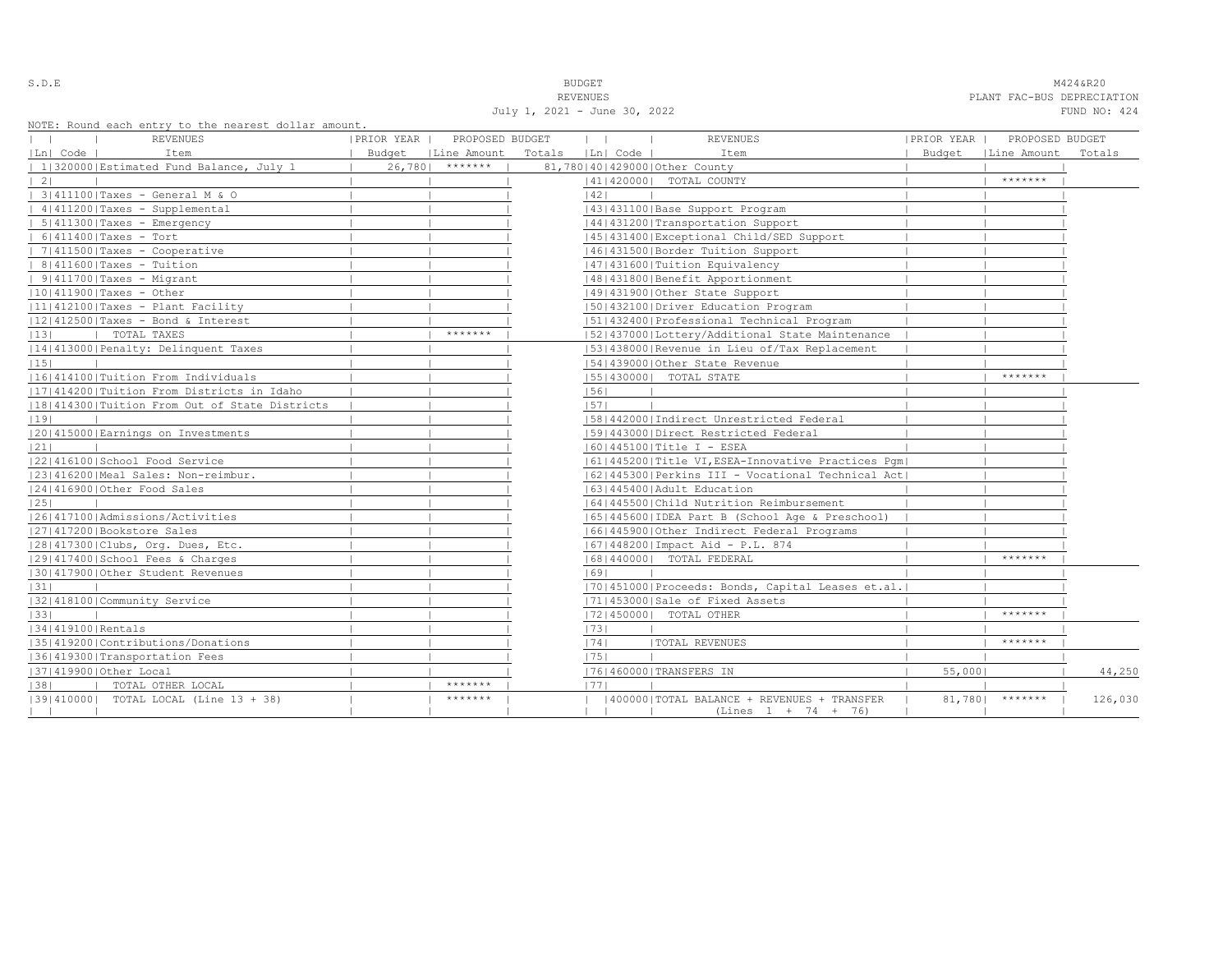S.D.E **BUDGET** M424&R20 REVENUES PLANT FAC-BUS DEPRECIATION July 1, 2021 - June 30, 2022 FUND NO: 424

NOTE: Round each entry to the nearest dolla

|                                         | NOTE: Round each entry to the nearest dollar amount.<br>REVENUES | PRIOR YEAR | PROPOSED BUDGET      |        | $\mathbf{1}$ | <b>REVENUES</b>                                                     | PRIOR YEAR | PROPOSED BUDGET      |         |
|-----------------------------------------|------------------------------------------------------------------|------------|----------------------|--------|--------------|---------------------------------------------------------------------|------------|----------------------|---------|
| Ln  Code                                | Item                                                             |            | Budget   Line Amount | Totals | Ln  Code     | Item                                                                |            | Budget   Line Amount | Totals  |
|                                         | 1 320000 Estimated Fund Balance, July 1                          | 26,780     | *******              |        |              | 81,780 40 429000 Other County                                       |            |                      |         |
| $\vert 2 \vert$                         |                                                                  |            |                      |        |              | 14114200001 TOTAL COUNTY                                            |            | *******              |         |
| 3 411100 Taxes - General M & O          |                                                                  |            |                      |        | 42           |                                                                     |            |                      |         |
| 4 411200 Taxes - Supplemental           |                                                                  |            |                      |        |              | 43   431100   Base Support Program                                  |            |                      |         |
| $  5   411300  $ Taxes - Emergency      |                                                                  |            |                      |        |              | 44   431200   Transportation Support                                |            |                      |         |
| $  6 411400 $ Taxes - Tort              |                                                                  |            |                      |        |              | 45 431400 Exceptional Child/SED Support                             |            |                      |         |
| $  7   411500  $ Taxes - Cooperative    |                                                                  |            |                      |        |              | 46  431500   Border Tuition Support                                 |            |                      |         |
| $  8 411600 $ Taxes - Tuition           |                                                                  |            |                      |        |              | 47   431600   Tuition Equivalency                                   |            |                      |         |
| $  9 411700 $ Taxes - Migrant           |                                                                  |            |                      |        |              | 48   431800   Benefit Apportionment                                 |            |                      |         |
| $ 10 411900 $ Taxes - Other             |                                                                  |            |                      |        |              | 14914319001Other State Support                                      |            |                      |         |
| 11 412100 Taxes - Plant Facility        |                                                                  |            |                      |        |              | 50 432100 Driver Education Program                                  |            |                      |         |
| $ 12 412500 $ Taxes - Bond & Interest   |                                                                  |            |                      |        |              | 51 432400 Professional Technical Program                            |            |                      |         |
| 13 <br>TOTAL TAXES                      |                                                                  |            | *******              |        |              | 52 437000 Lottery/Additional State Maintenance                      |            |                      |         |
| 14 413000 Penalty: Delinquent Taxes     |                                                                  |            |                      |        |              | 53 438000 Revenue in Lieu of/Tax Replacement                        |            |                      |         |
| 15                                      |                                                                  |            |                      |        |              | 154143900010ther State Revenue                                      |            |                      |         |
| 16 414100 Tuition From Individuals      |                                                                  |            |                      |        |              | 55   430000   TOTAL STATE                                           |            | *******              |         |
|                                         | 17 414200 Tuition From Districts in Idaho                        |            |                      |        | 56           |                                                                     |            |                      |         |
|                                         | 18 414300 Tuition From Out of State Districts                    |            |                      |        | 57           |                                                                     |            |                      |         |
| 19                                      |                                                                  |            |                      |        |              | [58]442000]Indirect Unrestricted Federal                            |            |                      |         |
| 20 415000 Earnings on Investments       |                                                                  |            |                      |        |              | 1591443000   Direct Restricted Federal                              |            |                      |         |
| 21                                      |                                                                  |            |                      |        |              | $ 60 445100 $ Title I - ESEA                                        |            |                      |         |
| 22 416100 School Food Service           |                                                                  |            |                      |        |              | 61 445200 Title VI, ESEA-Innovative Practices Pqm                   |            |                      |         |
| 23 416200 Meal Sales: Non-reimbur.      |                                                                  |            |                      |        |              | [62]445300 Perkins III - Vocational Technical Act]                  |            |                      |         |
| 24 416900 Other Food Sales              |                                                                  |            |                      |        |              | 1631445400 Adult Education                                          |            |                      |         |
| 25                                      |                                                                  |            |                      |        |              | 16414455001Child Nutrition Reimbursement                            |            |                      |         |
| 1261417100   Admissions/Activities      |                                                                  |            |                      |        |              | 65  445600  IDEA Part B (School Age & Preschool)                    |            |                      |         |
| 27 417200 Bookstore Sales               |                                                                  |            |                      |        |              | 16614459001Other Indirect Federal Programs                          |            |                      |         |
| 28 417300 Clubs, Org. Dues, Etc.        |                                                                  |            |                      |        |              | 67   448200   Impact Aid - P.L. 874                                 |            |                      |         |
| 29 417400 School Fees & Charges         |                                                                  |            |                      |        |              | 68   440000   TOTAL FEDERAL                                         |            | *******              |         |
| 30 417900 Other Student Revenues        |                                                                  |            |                      |        | 69           |                                                                     |            |                      |         |
| 31                                      |                                                                  |            |                      |        |              | [70] 451000 Proceeds: Bonds, Capital Leases et.al.                  |            |                      |         |
| 32 418100 Community Service             |                                                                  |            |                      |        |              | 71 453000 Sale of Fixed Assets                                      |            |                      |         |
| 33                                      |                                                                  |            |                      |        |              | 17214500001 TOTAL OTHER                                             |            | *******              |         |
| 1341419100 Rentals                      |                                                                  |            |                      |        | 73           |                                                                     |            |                      |         |
| 35 419200 Contributions/Donations       |                                                                  |            |                      |        | 74           | <b> TOTAL REVENUES</b>                                              |            | *******              |         |
| 36 419300 Transportation Fees           |                                                                  |            |                      |        | 1751         |                                                                     |            |                      |         |
| 37 419900 Other Local                   |                                                                  |            |                      |        |              | 17614600001TRANSFERS IN                                             | 55,0001    |                      | 44,250  |
| 38                                      | TOTAL OTHER LOCAL                                                |            | *******              |        | 1771         |                                                                     |            |                      |         |
| [39] 410000] TOTAL LOCAL (Line 13 + 38) |                                                                  |            | *******              |        |              | 400000 TOTAL BALANCE + REVENUES + TRANSFER<br>$(Lines 1 + 74 + 76)$ |            | $81,780$   *******   | 126,030 |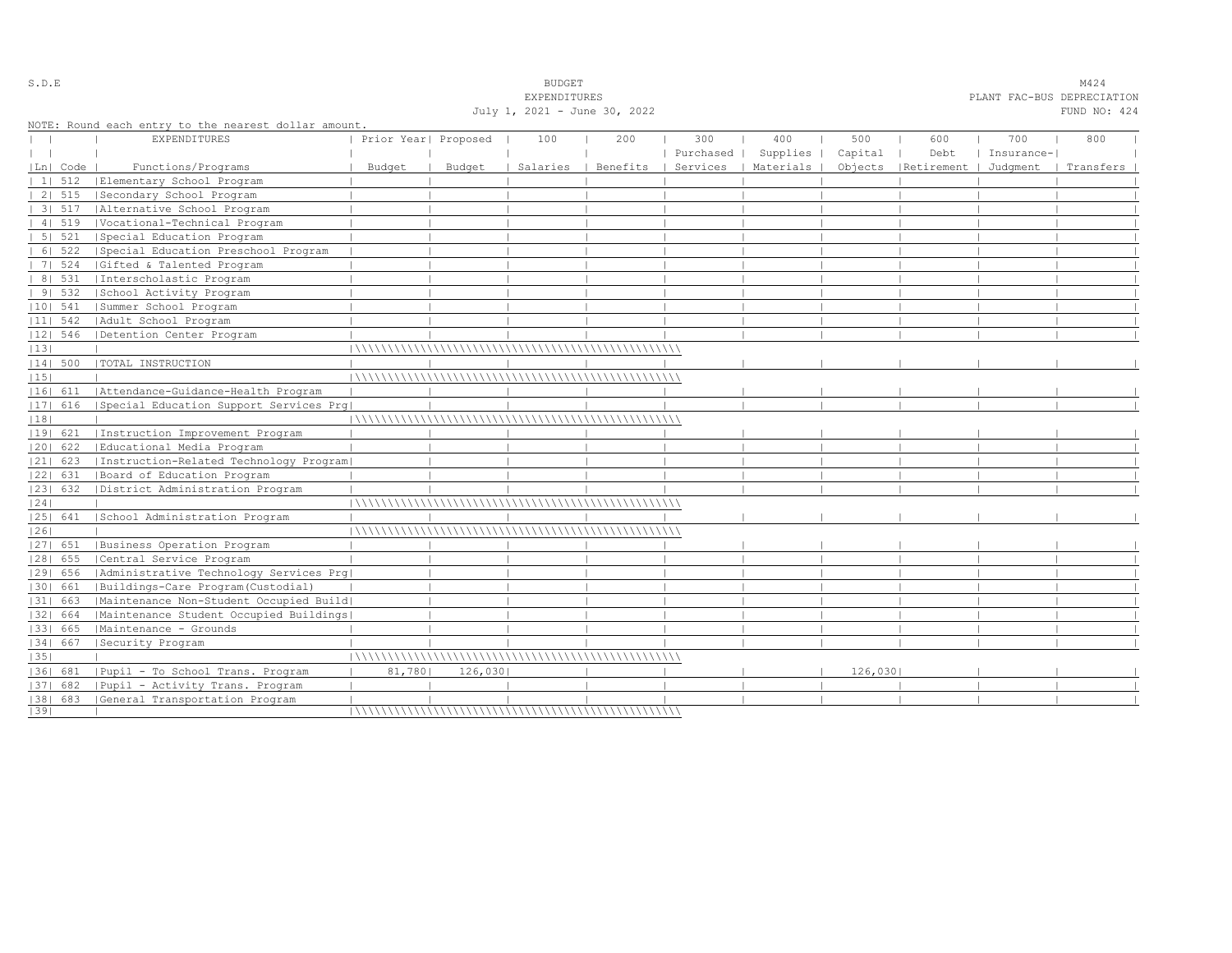|    |            |                                                                             |                      |         | July 1, 2021 - June 30, 2022 |          |           |                      |         |                      |            | FUND NO: 424 |  |
|----|------------|-----------------------------------------------------------------------------|----------------------|---------|------------------------------|----------|-----------|----------------------|---------|----------------------|------------|--------------|--|
|    |            | NOTE: Round each entry to the nearest dollar amount.<br><b>EXPENDITURES</b> | Prior Year  Proposed |         | 100                          | 200      | 300       | 400                  | 500     | 600                  | 700        | 800          |  |
|    |            |                                                                             |                      |         |                              |          | Purchased | Supplies             | Capital | Debt                 | Insurance- |              |  |
|    | Ln  Code   | Functions/Programs                                                          | Budget               | Budget  | Salaries                     | Benefits |           | Services   Materials |         | Objects   Retirement | Judgment   | Transfers    |  |
|    |            | 1  512   Elementary School Program                                          |                      |         |                              |          |           |                      |         |                      |            |              |  |
|    | 2   515    | Secondary School Program                                                    |                      |         |                              |          |           |                      |         |                      |            |              |  |
|    | 3   517    | Alternative School Program                                                  |                      |         |                              |          |           |                      |         |                      |            |              |  |
|    | 41519      | Vocational-Technical Program                                                |                      |         |                              |          |           |                      |         |                      |            |              |  |
|    | 5 521      | Special Education Program                                                   |                      |         |                              |          |           |                      |         |                      |            |              |  |
|    |            | 6  522   Special Education Preschool Program                                |                      |         |                              |          |           |                      |         |                      |            |              |  |
|    |            | 7  524   Gifted & Talented Program                                          |                      |         |                              |          |           |                      |         |                      |            |              |  |
|    | 8   531    | Interscholastic Program                                                     |                      |         |                              |          |           |                      |         |                      |            |              |  |
|    | 9 532      | School Activity Program                                                     |                      |         |                              |          |           |                      |         |                      |            |              |  |
|    | $ 10 $ 541 | Summer School Program                                                       |                      |         |                              |          |           |                      |         |                      |            |              |  |
|    | $ 11 $ 542 | Adult School Program                                                        |                      |         |                              |          |           |                      |         |                      |            |              |  |
|    | 12  546    | Detention Center Program                                                    |                      |         |                              |          |           |                      |         |                      |            |              |  |
| 13 |            |                                                                             |                      |         |                              |          |           |                      |         |                      |            |              |  |
|    | 14  500    | TOTAL INSTRUCTION                                                           |                      |         |                              |          |           |                      |         |                      |            |              |  |
| 15 |            |                                                                             |                      |         |                              |          |           |                      |         |                      |            |              |  |
|    |            | [16] 611   Attendance-Guidance-Health Program                               |                      |         |                              |          |           |                      |         |                      |            |              |  |
|    | $ 17 $ 616 | Special Education Support Services Prg                                      |                      |         |                              |          |           |                      |         |                      |            |              |  |
|    |            |                                                                             |                      |         |                              |          |           |                      |         |                      |            |              |  |
| 18 |            | Instruction Improvement Program                                             |                      |         |                              |          |           |                      |         |                      |            |              |  |
|    | 19  621    | Educational Media Program                                                   |                      |         |                              |          |           |                      |         |                      |            |              |  |
|    | $ 20 $ 622 |                                                                             |                      |         |                              |          |           |                      |         |                      |            |              |  |
|    |            | 21  623   Instruction-Related Technology Program                            |                      |         |                              |          |           |                      |         |                      |            |              |  |
|    | 22  631    | Board of Education Program                                                  |                      |         |                              |          |           |                      |         |                      |            |              |  |
|    | 23  632    | District Administration Program                                             |                      |         |                              |          |           |                      |         |                      |            |              |  |
| 24 |            |                                                                             |                      |         |                              |          |           |                      |         |                      |            |              |  |
|    | 25  641    | School Administration Program                                               |                      |         |                              |          |           |                      |         |                      |            |              |  |
| 26 |            |                                                                             |                      |         |                              |          |           |                      |         |                      |            |              |  |
|    | $ 27 $ 651 | Business Operation Program                                                  |                      |         |                              |          |           |                      |         |                      |            |              |  |
|    | $ 28 $ 655 | Central Service Program                                                     |                      |         |                              |          |           |                      |         |                      |            |              |  |
|    | 29  656    | Administrative Technology Services Prg                                      |                      |         |                              |          |           |                      |         |                      |            |              |  |
|    | 30  661    | Buildings-Care Program (Custodial)                                          |                      |         |                              |          |           |                      |         |                      |            |              |  |
|    | 31  663    | Maintenance Non-Student Occupied Build                                      |                      |         |                              |          |           |                      |         |                      |            |              |  |
|    | 32  664    | Maintenance Student Occupied Buildings                                      |                      |         |                              |          |           |                      |         |                      |            |              |  |
|    | 33  665    | Maintenance - Grounds                                                       |                      |         |                              |          |           |                      |         |                      |            |              |  |
|    | 34  667    | Security Program                                                            |                      |         |                              |          |           |                      |         |                      |            |              |  |
| 35 |            |                                                                             |                      |         |                              |          |           |                      |         |                      |            |              |  |
|    |            | 36  681   Pupil - To School Trans. Program                                  | 81,780               | 126,030 |                              |          |           |                      | 126,030 |                      |            |              |  |
|    | $ 37 $ 682 | Pupil - Activity Trans. Program                                             |                      |         |                              |          |           |                      |         |                      |            |              |  |
|    |            | [38] 683 [General Transportation Program                                    |                      |         |                              |          |           |                      |         |                      |            |              |  |
| 39 |            |                                                                             |                      |         |                              |          |           |                      |         |                      |            |              |  |

S.D.E SOME SALL SOMETRALL SOMETRALL SOMETRALL SOMETRALL SOMETRALL SOMETRALL SOMETRALL SOMETRALL SOMETRALL SOMETRALL SOMETRALL SOM SAME SOM STRUKT SOM STRUKT SOM STRUKT SOM STRUKT SOM STRUKT SOM STRUKT SOM STRUKT SOM STRUKT

EXPENDITURES PLANT FAC-BUS DEPRECIATION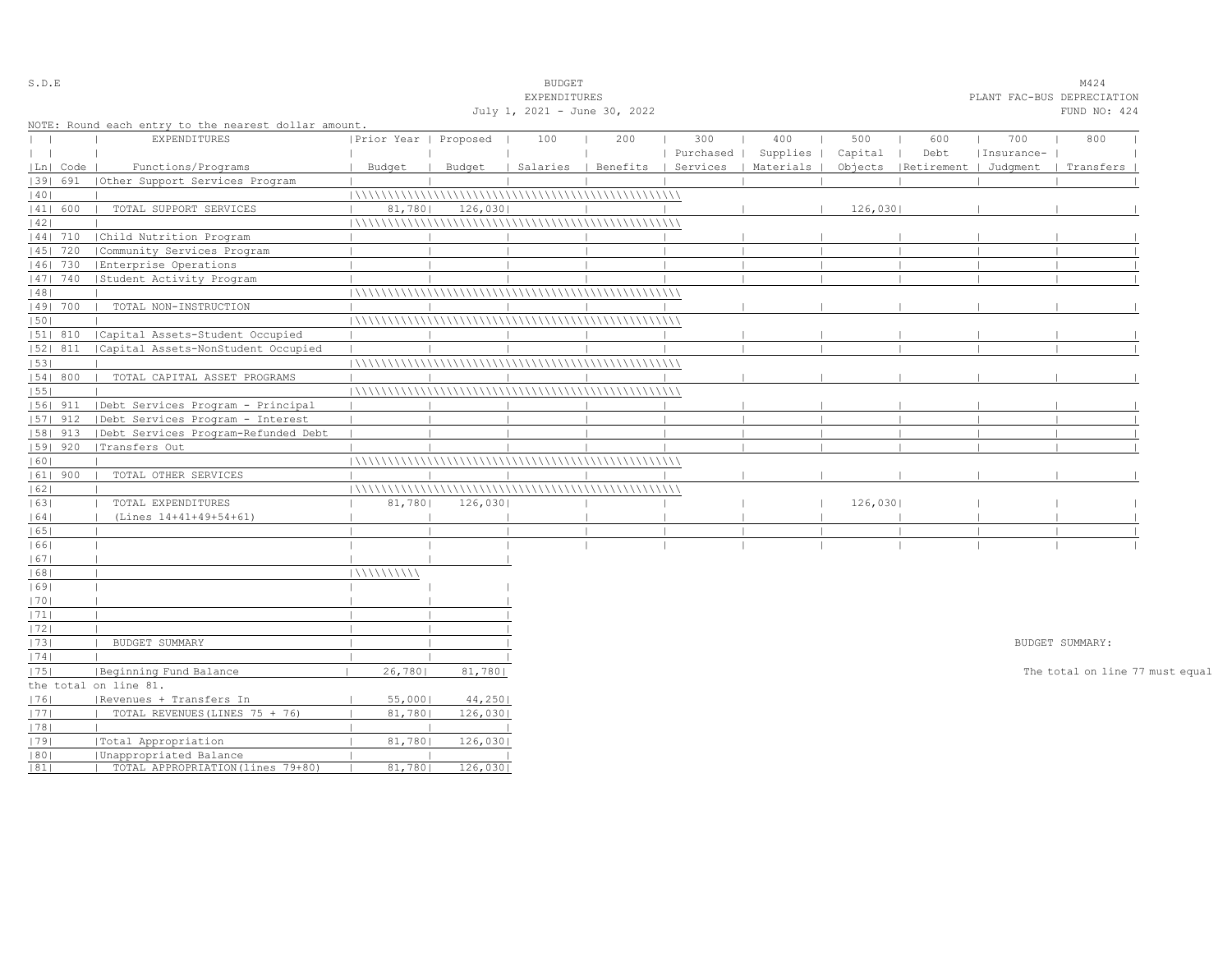|              |            |                                                      |                       |         | EXPENDITURES                 |     |                                            |          |          |                                 |            | PLANT FAC-BUS DEPRECIATION      |
|--------------|------------|------------------------------------------------------|-----------------------|---------|------------------------------|-----|--------------------------------------------|----------|----------|---------------------------------|------------|---------------------------------|
|              |            |                                                      |                       |         | July 1, 2021 - June 30, 2022 |     |                                            |          |          |                                 |            | FUND NO: 424                    |
|              |            | NOTE: Round each entry to the nearest dollar amount. |                       |         |                              |     |                                            |          |          |                                 |            |                                 |
|              |            | <b>EXPENDITURES</b>                                  | Prior Year   Proposed |         | 100                          | 200 | 300                                        | 400      | 500      | 600                             | 700        | 800                             |
| $\mathbf{1}$ |            |                                                      |                       |         |                              |     | Purchased                                  | Supplies | Capital  | Debt                            | Insurance- |                                 |
|              | Ln   Code  | Functions/Programs                                   | Budget                | Budget  |                              |     | Salaries   Benefits   Services   Materials |          |          | Objects   Retirement   Judgment |            | Transfers                       |
|              | 39  691    | (Other Support Services Program                      |                       |         |                              |     |                                            |          |          |                                 |            |                                 |
| 40           |            |                                                      |                       |         |                              |     |                                            |          |          |                                 |            |                                 |
|              | 41  600    | TOTAL SUPPORT SERVICES                               | 81,780                | 126,030 |                              |     |                                            |          | 126,0301 |                                 |            |                                 |
| 42           |            |                                                      |                       |         |                              |     |                                            |          |          |                                 |            |                                 |
|              |            | 44  710   Child Nutrition Program                    |                       |         |                              |     |                                            |          |          |                                 |            |                                 |
|              | $ 45 $ 720 | Community Services Program                           |                       |         |                              |     |                                            |          |          |                                 |            |                                 |
|              | $ 46 $ 730 | Enterprise Operations                                |                       |         |                              |     |                                            |          |          |                                 |            |                                 |
|              |            |                                                      |                       |         |                              |     |                                            |          |          |                                 |            |                                 |
|              |            | 47  740   Student Activity Program                   |                       |         |                              |     |                                            |          |          |                                 |            |                                 |
| 48           |            |                                                      |                       |         |                              |     |                                            |          |          |                                 |            |                                 |
|              | 49  700    | TOTAL NON-INSTRUCTION                                |                       |         |                              |     |                                            |          |          |                                 |            |                                 |
| 50           |            |                                                      |                       |         |                              |     |                                            |          |          |                                 |            |                                 |
|              | 51  810    | Capital Assets-Student Occupied                      |                       |         |                              |     |                                            |          |          |                                 |            |                                 |
|              | 52  811    | Capital Assets-NonStudent Occupied                   |                       |         |                              |     |                                            |          |          |                                 |            |                                 |
| 53           |            |                                                      |                       |         |                              |     |                                            |          |          |                                 |            |                                 |
|              | 54 800     | TOTAL CAPITAL ASSET PROGRAMS                         |                       |         |                              |     |                                            |          |          |                                 |            |                                 |
| 55           |            |                                                      |                       |         |                              |     |                                            |          |          |                                 |            |                                 |
|              | 1561 911   | Debt Services Program - Principal                    |                       |         |                              |     |                                            |          |          |                                 |            |                                 |
|              | $ 57 $ 912 | Debt Services Program - Interest                     |                       |         |                              |     |                                            |          |          |                                 |            |                                 |
|              | 58   913   | Debt Services Program-Refunded Debt                  |                       |         |                              |     |                                            |          |          |                                 |            |                                 |
|              | 59  920    | Transfers Out                                        |                       |         |                              |     |                                            |          |          |                                 |            |                                 |
| 60           |            |                                                      |                       |         |                              |     |                                            |          |          |                                 |            |                                 |
|              | $ 61 $ 900 | TOTAL OTHER SERVICES                                 |                       |         |                              |     |                                            |          |          |                                 |            |                                 |
| 62           |            |                                                      |                       |         |                              |     |                                            |          |          |                                 |            |                                 |
| 63           |            | TOTAL EXPENDITURES                                   | 81,780                | 126,030 |                              |     |                                            |          | 126,030  |                                 |            |                                 |
| 64           |            | (Lines 14+41+49+54+61)                               |                       |         |                              |     |                                            |          |          |                                 |            |                                 |
| 65           |            |                                                      |                       |         |                              |     |                                            |          |          |                                 |            |                                 |
| 66           |            |                                                      |                       |         |                              |     |                                            |          |          |                                 |            |                                 |
| 67           |            |                                                      |                       |         |                              |     |                                            |          |          |                                 |            |                                 |
| 68           |            |                                                      | 11111111111           |         |                              |     |                                            |          |          |                                 |            |                                 |
| 69           |            |                                                      |                       |         |                              |     |                                            |          |          |                                 |            |                                 |
| 70           |            |                                                      |                       |         |                              |     |                                            |          |          |                                 |            |                                 |
| 71           |            | $\Box$                                               |                       |         |                              |     |                                            |          |          |                                 |            |                                 |
| 72           |            | $\Box$                                               |                       |         |                              |     |                                            |          |          |                                 |            |                                 |
| 73           |            | BUDGET SUMMARY<br>$\mathbf{1}$                       |                       |         |                              |     |                                            |          |          |                                 |            | BUDGET SUMMARY:                 |
| 74           |            |                                                      |                       |         |                              |     |                                            |          |          |                                 |            |                                 |
| 75           |            | Beginning Fund Balance                               | 26,7801               | 81,780  |                              |     |                                            |          |          |                                 |            | The total on line 77 must equal |
|              |            | the total on line 81.                                |                       |         |                              |     |                                            |          |          |                                 |            |                                 |
| 76           |            | Revenues + Transfers In                              | 55,000                | 44,250  |                              |     |                                            |          |          |                                 |            |                                 |
|              |            | TOTAL REVENUES (LINES 75 + 76)                       |                       |         |                              |     |                                            |          |          |                                 |            |                                 |
| 77           |            |                                                      | 81,780                | 126,030 |                              |     |                                            |          |          |                                 |            |                                 |
| 78           |            |                                                      |                       |         |                              |     |                                            |          |          |                                 |            |                                 |
| 1791         |            | Total Appropriation                                  | 81,780                | 126,030 |                              |     |                                            |          |          |                                 |            |                                 |
| 80 <br> 81   |            | Unappropriated Balance                               | 81,780                | 126,030 |                              |     |                                            |          |          |                                 |            |                                 |
|              |            | TOTAL APPROPRIATION (lines 79+80)                    |                       |         |                              |     |                                            |          |          |                                 |            |                                 |

S.D.E SUDGET M424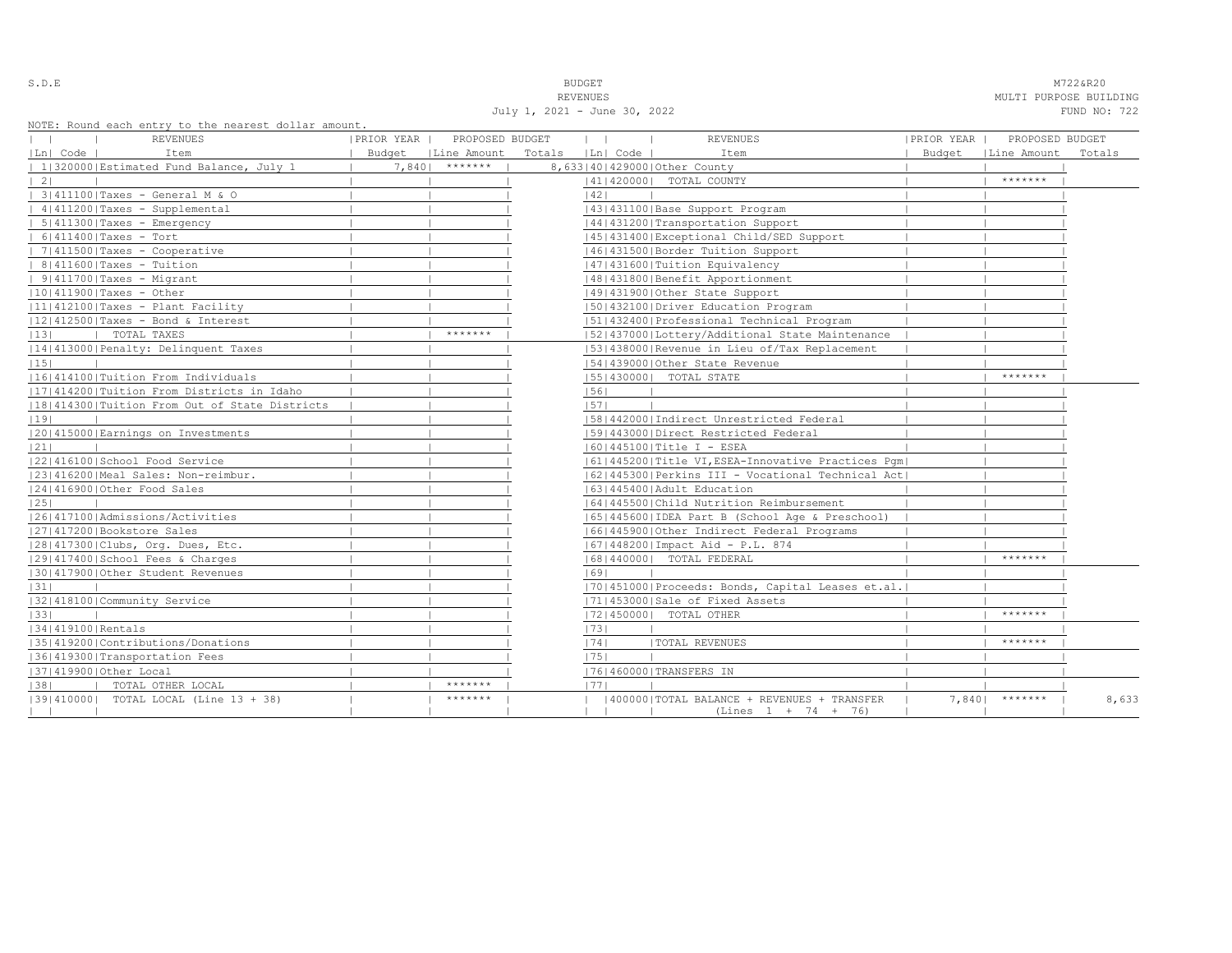S.D.E **BUDGET** M722&R20

REVENUES **MULTI PURPOSE BUILDING** July 1, 2021 - June 30, 2022 FUND NO: 722

NOTE: Round each entry to the nearest dollar amount.

| NOTE: ROUNQ each entry to the hearest dollar amount, |            |                      |                   |              |                                                     |            |                      |        |
|------------------------------------------------------|------------|----------------------|-------------------|--------------|-----------------------------------------------------|------------|----------------------|--------|
| REVENUES                                             | PRIOR YEAR | PROPOSED BUDGET      |                   | $\mathbf{1}$ | <b>REVENUES</b>                                     | PRIOR YEAR | PROPOSED BUDGET      |        |
| Ln  Code  <br>Item                                   |            | Budget   Line Amount | Totals   Ln  Code |              | Item                                                |            | Budget   Line Amount | Totals |
| 1 320000 Estimated Fund Balance, July 1              | 7,8401     | *******              |                   |              | 8,633 40 429000 Other County                        |            |                      |        |
| $\vert 2 \vert$                                      |            |                      |                   |              | 14114200001 TOTAL COUNTY                            |            | *******              |        |
| 3 411100 Taxes - General M & O                       |            |                      |                   | 42           |                                                     |            |                      |        |
| 4 411200 Taxes - Supplemental                        |            |                      |                   |              | 43   431100   Base Support Program                  |            |                      |        |
| $  5 411300 $ Taxes - Emergency                      |            |                      |                   |              | 14414312001Transportation Support                   |            |                      |        |
| $  6 411400 $ Taxes - Tort                           |            |                      |                   |              | 45 431400 Exceptional Child/SED Support             |            |                      |        |
| $  7 411500 $ Taxes - Cooperative                    |            |                      |                   |              | 46  431500   Border Tuition Support                 |            |                      |        |
| $  8 411600 $ Taxes - Tuition                        |            |                      |                   |              | 47   431600   Tuition Equivalency                   |            |                      |        |
| $  9 411700 $ Taxes - Migrant                        |            |                      |                   |              | 48   431800   Benefit Apportionment                 |            |                      |        |
| $ 10 411900 $ Taxes - Other                          |            |                      |                   |              | 49 431900 Other State Support                       |            |                      |        |
| $ 11 412100 $ Taxes - Plant Facility                 |            |                      |                   |              | 1501432100 Driver Education Program                 |            |                      |        |
| 12 412500 Taxes - Bond & Interest                    |            |                      |                   |              | 1511432400 Professional Technical Program           |            |                      |        |
| 13 <br>TOTAL TAXES<br>$\Box$                         |            | *******              |                   |              | 52 437000 Lottery/Additional State Maintenance      |            |                      |        |
| 14 413000 Penalty: Delinquent Taxes                  |            |                      |                   |              | [53] 438000 Revenue in Lieu of/Tax Replacement      |            |                      |        |
| 15                                                   |            |                      |                   |              | 154143900010ther State Revenue                      |            |                      |        |
| 16 414100 Tuition From Individuals                   |            |                      |                   |              | 55   430000   TOTAL STATE                           |            | *******              |        |
| 1171414200 Tuition From Districts in Idaho           |            |                      |                   | 56           |                                                     |            |                      |        |
| 18 414300 Tuition From Out of State Districts        |            |                      |                   | 57           |                                                     |            |                      |        |
| 19                                                   |            |                      |                   |              | 58 442000 Indirect Unrestricted Federal             |            |                      |        |
| 20 415000 Earnings on Investments                    |            |                      |                   |              | 1591443000 Direct Restricted Federal                |            |                      |        |
| 21                                                   |            |                      |                   |              | 60   445100   Title I - ESEA                        |            |                      |        |
| 22 416100 School Food Service                        |            |                      |                   |              | [61]445200]Title VI, ESEA-Innovative Practices Pqm] |            |                      |        |
| 23 416200 Meal Sales: Non-reimbur.                   |            |                      |                   |              | 62 445300 Perkins III - Vocational Technical Act    |            |                      |        |
| 24 416900 Other Food Sales                           |            |                      |                   |              | 1631445400 Adult Education                          |            |                      |        |
| 25                                                   |            |                      |                   |              | 1641445500 Child Nutrition Reimbursement            |            |                      |        |
| 12614171001Admissions/Activities                     |            |                      |                   |              | [65]445600 [IDEA Part B (School Age & Preschool)    |            |                      |        |
| 27 417200 Bookstore Sales                            |            |                      |                   |              | 16614459001Other Indirect Federal Programs          |            |                      |        |
| 28 417300 Clubs, Org. Dues, Etc.                     |            |                      |                   |              | 16714482001Impact Aid - P.L. 874                    |            |                      |        |
| 12914174001School Fees & Charges                     |            |                      |                   |              | 16814400001 TOTAL FEDERAL                           |            | *******              |        |
| 30 417900 Other Student Revenues                     |            |                      |                   | 69           |                                                     |            |                      |        |
| 31                                                   |            |                      |                   |              | [70] 451000 Proceeds: Bonds, Capital Leases et.al.  |            |                      |        |
| 32 418100 Community Service                          |            |                      |                   |              | 17114530001Sale of Fixed Assets                     |            |                      |        |
| 33                                                   |            |                      |                   |              | 17214500001 TOTAL OTHER                             |            | $*********$          |        |
| 34 419100 Rentals                                    |            |                      |                   | 73           |                                                     |            |                      |        |
| 35 419200 Contributions/Donations                    |            |                      |                   | 74           | <b> TOTAL REVENUES</b>                              |            | *******              |        |
| 36 419300 Transportation Fees                        |            |                      |                   | 1751         |                                                     |            |                      |        |
| 37 419900 Other Local                                |            |                      |                   |              | 17614600001TRANSFERS IN                             |            |                      |        |
| 38 <br>  TOTAL OTHER LOCAL                           |            | *******              |                   | 1771         |                                                     |            |                      |        |
| [39] 410000] TOTAL LOCAL (Line 13 + 38)              |            | *******              |                   |              | 400000   TOTAL BALANCE + REVENUES + TRANSFER        |            | $7,840$   *******    | 8,633  |
|                                                      |            |                      |                   |              | $(Lines 1 + 74 + 76)$                               |            |                      |        |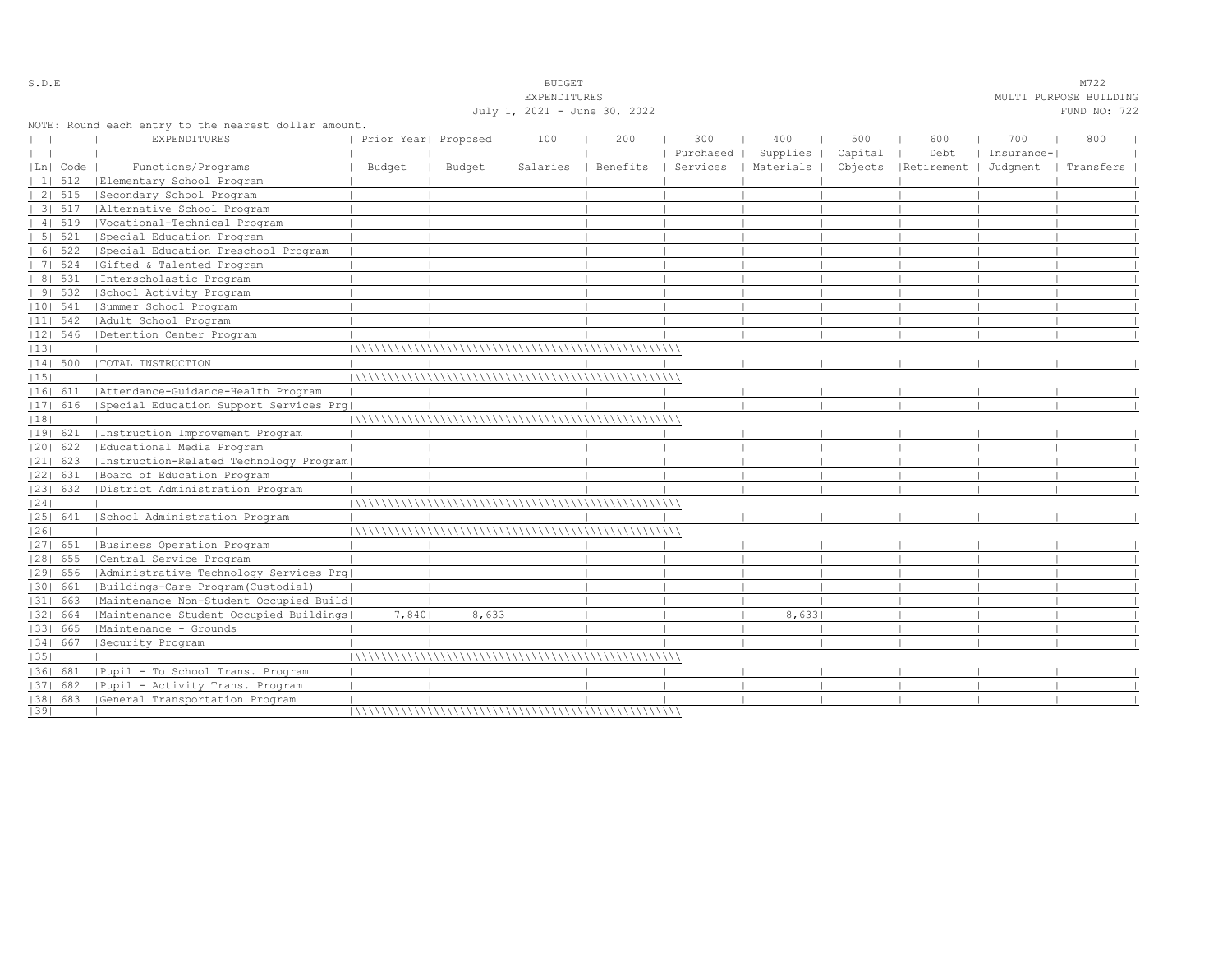|    |            |                                                      |                      |        | July 1, 2021 - June 30, 2022 |                     |                |          |         |                                                        |            | MODIA FONEOUR DOIBDING<br>FUND NO: 722 |  |
|----|------------|------------------------------------------------------|----------------------|--------|------------------------------|---------------------|----------------|----------|---------|--------------------------------------------------------|------------|----------------------------------------|--|
|    |            | NOTE: Round each entry to the nearest dollar amount. |                      |        |                              |                     |                |          |         |                                                        |            |                                        |  |
|    |            | <b>EXPENDITURES</b>                                  | Prior Year  Proposed |        | 100                          | 200                 | 300            | 400      | 500     | 600                                                    | 700        | 800                                    |  |
|    |            |                                                      |                      |        |                              |                     | Purchased      | Supplies | Capital | Debt                                                   | Insurance- |                                        |  |
|    | Ln  Code   | Functions/Programs                                   | Budget               | Budget |                              | Salaries   Benefits | $\blacksquare$ |          |         | Services   Materials   Objects   Retirement   Judgment |            | Transfers                              |  |
|    |            | 1  512   Elementary School Program                   |                      |        |                              |                     |                |          |         |                                                        |            |                                        |  |
|    | 2   515    | Secondary School Program                             |                      |        |                              |                     |                |          |         |                                                        |            |                                        |  |
|    |            | 3  517   Alternative School Program                  |                      |        |                              |                     |                |          |         |                                                        |            |                                        |  |
|    | 41519      | Vocational-Technical Program                         |                      |        |                              |                     |                |          |         |                                                        |            |                                        |  |
|    | 5   521    | Special Education Program                            |                      |        |                              |                     |                |          |         |                                                        |            |                                        |  |
|    | 6   522    | Special Education Preschool Program                  |                      |        |                              |                     |                |          |         |                                                        |            |                                        |  |
|    | 7   524    | Gifted & Talented Program                            |                      |        |                              |                     |                |          |         |                                                        |            |                                        |  |
|    |            | 8  531   Interscholastic Program                     |                      |        |                              |                     |                |          |         |                                                        |            |                                        |  |
|    | 91532      | School Activity Program                              |                      |        |                              |                     |                |          |         |                                                        |            |                                        |  |
|    | $ 10 $ 541 | Summer School Program                                |                      |        |                              |                     |                |          |         |                                                        |            |                                        |  |
|    | $ 11 $ 542 | Adult School Program                                 |                      |        |                              |                     |                |          |         |                                                        |            |                                        |  |
|    | $ 12 $ 546 | Detention Center Program                             |                      |        |                              |                     |                |          |         |                                                        |            |                                        |  |
| 13 |            |                                                      |                      |        |                              |                     |                |          |         |                                                        |            |                                        |  |
|    | 14  500    | TOTAL INSTRUCTION                                    |                      |        |                              |                     |                |          |         |                                                        |            |                                        |  |
| 15 |            |                                                      |                      |        |                              |                     |                |          |         |                                                        |            |                                        |  |
|    | 16  611    | Attendance-Guidance-Health Program                   |                      |        |                              |                     |                |          |         |                                                        |            |                                        |  |
|    | 17  616    | Special Education Support Services Prg               |                      |        |                              |                     |                |          |         |                                                        |            |                                        |  |
| 18 |            |                                                      |                      |        |                              |                     |                |          |         |                                                        |            |                                        |  |
|    | 19  621    | Instruction Improvement Program                      |                      |        |                              |                     |                |          |         |                                                        |            |                                        |  |
|    | $ 20 $ 622 | Educational Media Program                            |                      |        |                              |                     |                |          |         |                                                        |            |                                        |  |
|    | $ 21 $ 623 | Instruction-Related Technology Program               |                      |        |                              |                     |                |          |         |                                                        |            |                                        |  |
|    | $ 22 $ 631 | Board of Education Program                           |                      |        |                              |                     |                |          |         |                                                        |            |                                        |  |
|    |            | 23  632   District Administration Program            |                      |        |                              |                     |                |          |         |                                                        |            |                                        |  |
| 24 |            |                                                      |                      |        |                              |                     |                |          |         |                                                        |            |                                        |  |
|    |            | [25] 641 [School Administration Program              |                      |        |                              |                     |                |          |         |                                                        |            |                                        |  |
| 26 |            |                                                      |                      |        |                              |                     |                |          |         |                                                        |            |                                        |  |
|    | $ 27 $ 651 | Business Operation Program                           |                      |        |                              |                     |                |          |         |                                                        |            |                                        |  |
|    | 28  655    | Central Service Program                              |                      |        |                              |                     |                |          |         |                                                        |            |                                        |  |
|    | 29  656    | Administrative Technology Services Prg               |                      |        |                              |                     |                |          |         |                                                        |            |                                        |  |
|    | 30  661    | Buildings-Care Program(Custodial)                    |                      |        |                              |                     |                |          |         |                                                        |            |                                        |  |
|    | 31  663    | Maintenance Non-Student Occupied Build               |                      |        |                              |                     |                |          |         |                                                        |            |                                        |  |
|    | 32  664    | Maintenance Student Occupied Buildings               | 7,8401               | 8,6331 |                              |                     |                | 8,633    |         |                                                        |            |                                        |  |
|    | 33  665    | Maintenance - Grounds                                |                      |        |                              |                     |                |          |         |                                                        |            |                                        |  |
|    | 34  667    | Security Program                                     |                      |        |                              |                     |                |          |         |                                                        |            |                                        |  |
| 35 |            |                                                      |                      |        |                              |                     |                |          |         |                                                        |            |                                        |  |
|    |            | 36  681   Pupil - To School Trans. Program           |                      |        |                              |                     |                |          |         |                                                        |            |                                        |  |
|    | $ 37 $ 682 | Pupil - Activity Trans. Program                      |                      |        |                              |                     |                |          |         |                                                        |            |                                        |  |
|    |            | [38] 683 [General Transportation Program             |                      |        |                              |                     |                |          |         |                                                        |            |                                        |  |
| 39 |            |                                                      |                      |        |                              |                     |                |          |         |                                                        |            |                                        |  |

S.D.E STRAUGHT M722

EXPENDITURES MULTI PURPOSE BUILDING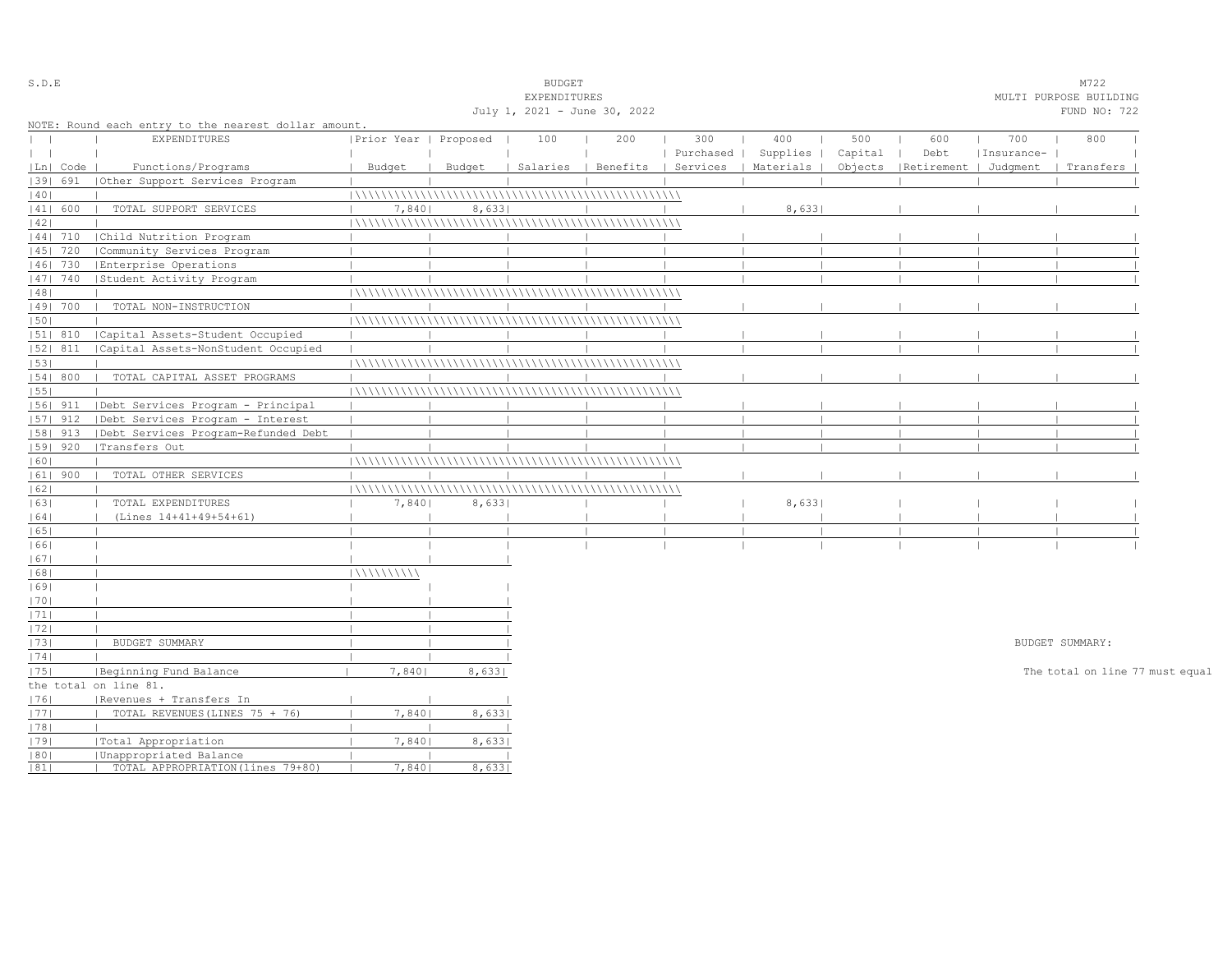| S.D.E        |            |                                                      |                       |        | <b>BUDGET</b>                |     |           |                                            |         |                                 |            | M722                            |  |
|--------------|------------|------------------------------------------------------|-----------------------|--------|------------------------------|-----|-----------|--------------------------------------------|---------|---------------------------------|------------|---------------------------------|--|
|              |            |                                                      |                       |        | EXPENDITURES                 |     |           |                                            |         |                                 |            | MULTI PURPOSE BUILDING          |  |
|              |            |                                                      |                       |        | July 1, 2021 - June 30, 2022 |     |           |                                            |         |                                 |            | FUND NO: 722                    |  |
|              |            | NOTE: Round each entry to the nearest dollar amount. |                       |        |                              |     |           |                                            |         |                                 |            |                                 |  |
| $\mathbf{I}$ |            | EXPENDITURES                                         | Prior Year   Proposed |        | 100                          | 200 | 300       | 400                                        | 500     | 600                             | 700        | 800                             |  |
| $\perp$      |            |                                                      |                       |        |                              |     | Purchased | Supplies                                   | Capital | Debt                            | Insurance- |                                 |  |
|              | Ln  Code   | Functions/Programs                                   | Budget                | Budget |                              |     |           | Salaries   Benefits   Services   Materials |         | Objects   Retirement   Judqment |            | Transfers                       |  |
|              | 1391 691   | (Other Support Services Program                      |                       |        |                              |     |           |                                            |         |                                 |            |                                 |  |
| 40           |            |                                                      |                       |        |                              |     |           |                                            |         |                                 |            |                                 |  |
|              | 41  600    | TOTAL SUPPORT SERVICES                               | 7,840                 | 8,633  |                              |     |           | 8,633                                      |         |                                 |            |                                 |  |
| 42           |            |                                                      |                       |        |                              |     |           |                                            |         |                                 |            |                                 |  |
|              | 44  710    | Child Nutrition Program                              |                       |        |                              |     |           |                                            |         |                                 |            |                                 |  |
|              | $ 45 $ 720 | Community Services Program                           |                       |        |                              |     |           |                                            |         |                                 |            |                                 |  |
|              | 46  730    | Enterprise Operations                                |                       |        |                              |     |           |                                            |         |                                 |            |                                 |  |
|              | 47  740    | Student Activity Program                             |                       |        |                              |     |           |                                            |         |                                 |            |                                 |  |
| 48           |            |                                                      |                       |        |                              |     |           |                                            |         |                                 |            |                                 |  |
|              | 49  700    | TOTAL NON-INSTRUCTION                                |                       |        |                              |     |           |                                            |         |                                 |            |                                 |  |
| 50           |            |                                                      |                       |        |                              |     |           |                                            |         |                                 |            |                                 |  |
|              | 51  810    | Capital Assets-Student Occupied                      |                       |        |                              |     |           |                                            |         |                                 |            |                                 |  |
|              | $ 52 $ 811 | Capital Assets-NonStudent Occupied                   |                       |        |                              |     |           |                                            |         |                                 |            |                                 |  |
| 53           |            |                                                      |                       |        |                              |     |           |                                            |         |                                 |            |                                 |  |
|              | 54 800     | TOTAL CAPITAL ASSET PROGRAMS                         |                       |        |                              |     |           |                                            |         |                                 |            |                                 |  |
| 55           |            |                                                      |                       |        |                              |     |           |                                            |         |                                 |            |                                 |  |
|              | $ 56 $ 911 | Debt Services Program - Principal                    |                       |        |                              |     |           |                                            |         |                                 |            |                                 |  |
|              | $ 57 $ 912 | Debt Services Program - Interest                     |                       |        |                              |     |           |                                            |         |                                 |            |                                 |  |
|              | $ 58 $ 913 | Debt Services Program-Refunded Debt                  |                       |        |                              |     |           |                                            |         |                                 |            |                                 |  |
|              | 59   920   | Transfers Out                                        |                       |        |                              |     |           |                                            |         |                                 |            |                                 |  |
| 60           |            |                                                      |                       |        |                              |     |           |                                            |         |                                 |            |                                 |  |
|              | $ 61 $ 900 | TOTAL OTHER SERVICES                                 |                       |        |                              |     |           |                                            |         |                                 |            |                                 |  |
| 62           |            |                                                      |                       |        |                              |     |           |                                            |         |                                 |            |                                 |  |
| 63           |            | TOTAL EXPENDITURES                                   | 7,840                 | 8,633  |                              |     |           | 8,633                                      |         |                                 |            |                                 |  |
| 64           |            | (Lines 14+41+49+54+61)                               |                       |        |                              |     |           |                                            |         |                                 |            |                                 |  |
| 65           |            |                                                      |                       |        |                              |     |           |                                            |         |                                 |            |                                 |  |
| 66           |            |                                                      |                       |        |                              |     |           |                                            |         |                                 |            |                                 |  |
| 67           |            |                                                      |                       |        |                              |     |           |                                            |         |                                 |            |                                 |  |
| 68           |            |                                                      | 11111111111           |        |                              |     |           |                                            |         |                                 |            |                                 |  |
| 69           |            |                                                      |                       |        |                              |     |           |                                            |         |                                 |            |                                 |  |
| 70           |            |                                                      |                       |        |                              |     |           |                                            |         |                                 |            |                                 |  |
| 71           |            |                                                      |                       |        |                              |     |           |                                            |         |                                 |            |                                 |  |
| 72           |            |                                                      |                       |        |                              |     |           |                                            |         |                                 |            |                                 |  |
| 73           |            | BUDGET SUMMARY                                       |                       |        |                              |     |           |                                            |         |                                 |            | BUDGET SUMMARY:                 |  |
| 74           |            |                                                      |                       |        |                              |     |           |                                            |         |                                 |            |                                 |  |
| 75           |            | Beginning Fund Balance                               | 7,8401                | 8,633  |                              |     |           |                                            |         |                                 |            | The total on line 77 must equal |  |
|              |            | the total on line 81.                                |                       |        |                              |     |           |                                            |         |                                 |            |                                 |  |
| 1761         |            | Revenues + Transfers In                              |                       |        |                              |     |           |                                            |         |                                 |            |                                 |  |
| 77           |            | TOTAL REVENUES (LINES 75 + 76)                       | 7,840                 | 8,633  |                              |     |           |                                            |         |                                 |            |                                 |  |
| 78           |            |                                                      |                       |        |                              |     |           |                                            |         |                                 |            |                                 |  |
| 79           |            | Total Appropriation                                  | 7,840                 | 8,633  |                              |     |           |                                            |         |                                 |            |                                 |  |
| 80           |            | Unappropriated Balance                               |                       |        |                              |     |           |                                            |         |                                 |            |                                 |  |
| 81           |            | TOTAL APPROPRIATION (lines 79+80)                    | 7,8401                | 8,6331 |                              |     |           |                                            |         |                                 |            |                                 |  |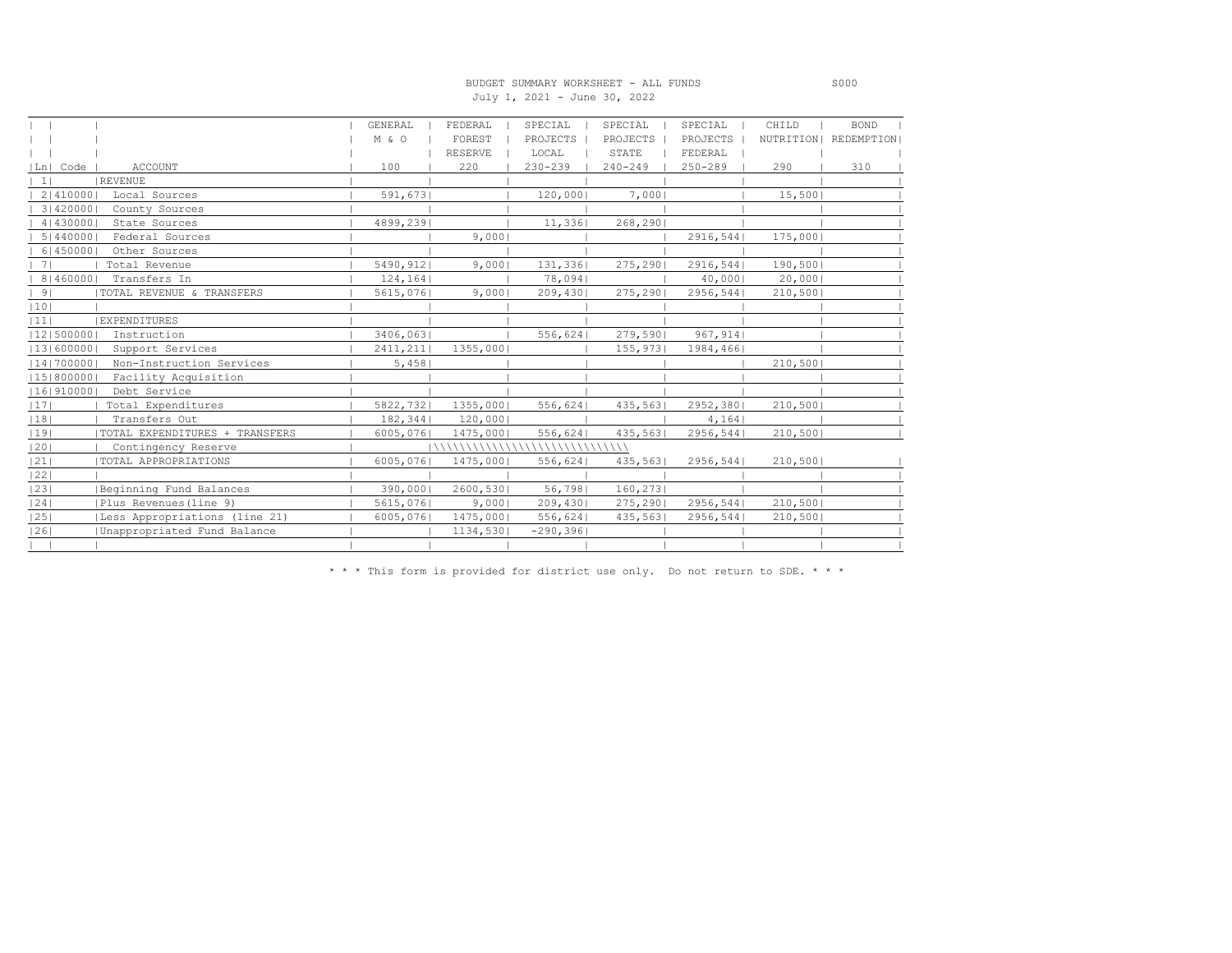#### BUDGET SUMMARY WORKSHEET - ALL FUNDS S000 July 1, 2021 - June 30, 2022

|                                        | GENERAL   | FEDERAL            | SPECIAL                      | SPECIAL     | SPECIAL     | CHILD   | <b>BOND</b>            |
|----------------------------------------|-----------|--------------------|------------------------------|-------------|-------------|---------|------------------------|
|                                        | M & O     | FOREST             | PROJECTS                     | PROJECTS    | PROJECTS    |         | NUTRITION   REDEMPTION |
|                                        |           | <b>RESERVE</b>     | LOCAL                        | STATE       | FEDERAL     |         |                        |
| Ln  Code<br><b>ACCOUNT</b>             | 100       | 220                | $230 - 239$                  | $240 - 249$ | $250 - 289$ | 290     | 310                    |
| REVENUE<br>$\vert$ 1                   |           |                    |                              |             |             |         |                        |
| 2   410000  <br>Local Sources          | 591,673   |                    | 120,000                      | 7,000       |             | 15,500  |                        |
| 31420000<br>County Sources             |           |                    |                              |             |             |         |                        |
| 4   430000<br>State Sources            | 4899,239  |                    | 11,336                       | 268, 290    |             |         |                        |
| 5   440000  <br>Federal Sources        |           | 9,000              |                              |             | 2916, 544   | 175,000 |                        |
| 6   450000<br>Other Sources            |           |                    |                              |             |             |         |                        |
| Total Revenue<br>7 <sub>1</sub>        | 5490,912  | 9,0001             | 131,336                      | 275, 290    | 2916, 544   | 190,500 |                        |
| 814600001<br>Transfers In              | 124, 164  |                    | 78,094                       |             | 40,000      | 20,000  |                        |
| 9 <br>  TOTAL REVENUE & TRANSFERS      | 5615,076  | 9,0001             | 209,430                      | 275, 290    | 2956, 544   | 210,500 |                        |
| 10                                     |           |                    |                              |             |             |         |                        |
| <b>EXPENDITURES</b><br> 11             |           |                    |                              |             |             |         |                        |
| 12 500000 <br>Instruction              | 3406,063  |                    | 556,624                      | 279,590     | 967, 914    |         |                        |
| 13 600000 <br>Support Services         | 2411, 211 | 1355,000           |                              | 155,973     | 1984,466    |         |                        |
| 14 700000 <br>Non-Instruction Services | 5,458     |                    |                              |             |             | 210,500 |                        |
| 15 800000 <br>Facility Acquisition     |           |                    |                              |             |             |         |                        |
| 16 910000<br>Debt Service              |           |                    |                              |             |             |         |                        |
| 17 <br>Total Expenditures              | 5822,732  | 1355,000           | 556,624                      | 435,563     | 2952,380    | 210,500 |                        |
| 18 <br>Transfers Out                   | 182,344   | 120,000            |                              |             | 4,164       |         |                        |
| 19 <br>TOTAL EXPENDITURES + TRANSFERS  | 6005,076  | 1475,000           | 556,624                      | 435,563     | 2956, 544   | 210,500 |                        |
| 20 <br>Contingency Reserve             |           | \\\\\\\\\\\\\\\\\\ | <b>\\\\\\\\\\\\\\\\\\\</b> \ |             |             |         |                        |
| 21 <br>TOTAL APPROPRIATIONS            | 6005,076  | 1475,000           | 556,624                      | 435,563     | 2956, 544   | 210,500 |                        |
| 22                                     |           |                    |                              |             |             |         |                        |
| 23 <br>Beginning Fund Balances         | 390,000   | 2600,530           | 56,798                       | 160, 273    |             |         |                        |
| 24 <br>Plus Revenues (line 9)          | 5615,076  | 9,000              | 209,430                      | 275, 290    | 2956, 544   | 210,500 |                        |
| 25 <br>Less Appropriations (line 21)   | 6005,076  | 1475,000           | 556,624                      | 435,563     | 2956,544    | 210,500 |                        |
| 26 <br>Unappropriated Fund Balance     |           | 1134,530           | $-290, 396$                  |             |             |         |                        |
|                                        |           |                    |                              |             |             |         |                        |

\* \* \* This form is provided for district use only. Do not return to SDE. \* \* \*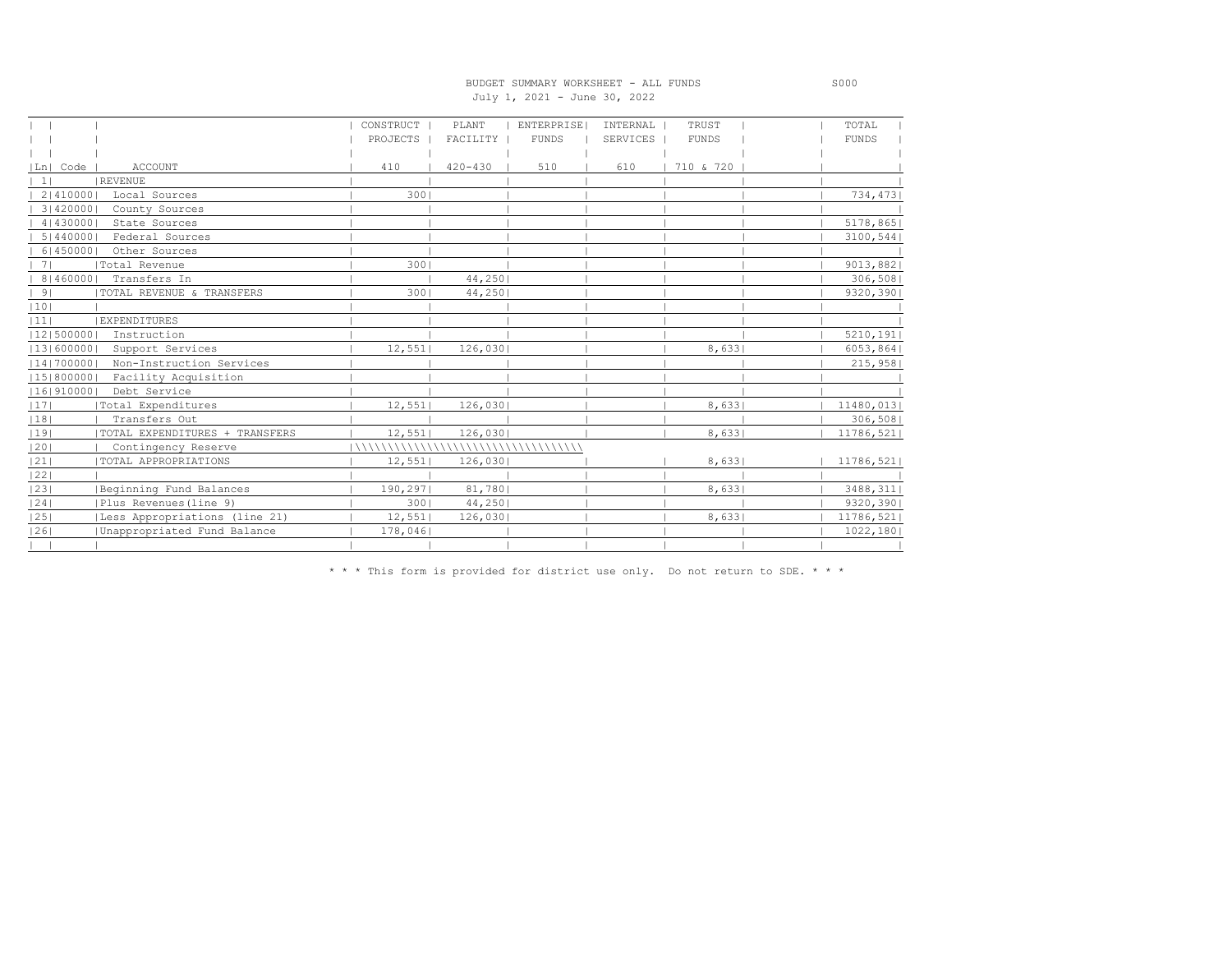### BUDGET SUMMARY WORKSHEET - ALL FUNDS S000 July 1, 2021 - June 30, 2022

|                                         | CONSTRUCT             | PLANT       | ENTERPRISE   | INTERNAL | TRUST        | TOTAL        |
|-----------------------------------------|-----------------------|-------------|--------------|----------|--------------|--------------|
|                                         | PROJECTS              | FACILITY    | <b>FUNDS</b> | SERVICES | <b>FUNDS</b> | <b>FUNDS</b> |
|                                         |                       |             |              |          |              |              |
| Ln  Code<br><b>ACCOUNT</b>              | 410                   | $420 - 430$ | 510          | 610      | 710 & 720    |              |
| REVENUE<br>$\frac{1}{2}$                |                       |             |              |          |              |              |
| 2   410000  <br>Local Sources           | 3001                  |             |              |          |              | 734,473      |
| 3   420000  <br>County Sources          |                       |             |              |          |              |              |
| 4   430000  <br>State Sources           |                       |             |              |          |              | 5178,865     |
| 5   440000  <br>Federal Sources         |                       |             |              |          |              | 3100, 544    |
| 614500001<br>Other Sources              |                       |             |              |          |              |              |
| Total Revenue<br>71                     | 3001                  |             |              |          |              | 9013,882     |
| 8   460000  <br>Transfers In            |                       | 44,250      |              |          |              | 306,508      |
| 9 <br>  TOTAL REVENUE & TRANSFERS       | 3001                  | 44,250      |              |          |              | 9320,390     |
| 10                                      |                       |             |              |          |              |              |
| <b>EXPENDITURES</b><br> 11              |                       |             |              |          |              |              |
| 12 500000 <br>Instruction               |                       |             |              |          |              | 5210, 191    |
| 13 600000 <br>Support Services          | 12,551                | 126,030     |              |          | 8,633        | 6053,864     |
| 14 700000 <br>Non-Instruction Services  |                       |             |              |          |              | 215,958      |
| Facility Acquisition<br> 15 800000      |                       |             |              |          |              |              |
| Debt Service<br> 16 910000              |                       |             |              |          |              |              |
| 17 <br> Total Expenditures              | 12,551                | 126,030     |              |          | 8,633        | 11480,013    |
| 18 <br>Transfers Out                    |                       |             |              |          |              | 306,508      |
| 19 <br>  TOTAL EXPENDITURES + TRANSFERS | 12,551                | 126,030     |              |          | 8,633        | 11786,521    |
| 20 <br>Contingency Reserve              | \\\\\\\\\\\\\\\\\\\\\ |             |              |          |              |              |
| 21 <br><b>TOTAL APPROPRIATIONS</b>      | 12,551                | 126,030     |              |          | 8,633        | 11786,521    |
| 22                                      |                       |             |              |          |              |              |
| 23 <br>Beginning Fund Balances          | 190,297               | 81,780      |              |          | 8,6331       | 3488, 311    |
| 24 <br>Plus Revenues (line 9)           | 3001                  | 44,250      |              |          |              | 9320,390     |
| 25 <br> Less Appropriations (line 21)   | 12,551                | 126,030     |              |          | 8,633        | 11786,521    |
| 26 <br>Unappropriated Fund Balance      | 178,046               |             |              |          |              | 1022, 180    |
|                                         |                       |             |              |          |              |              |

\* \* \* This form is provided for district use only. Do not return to SDE. \* \* \*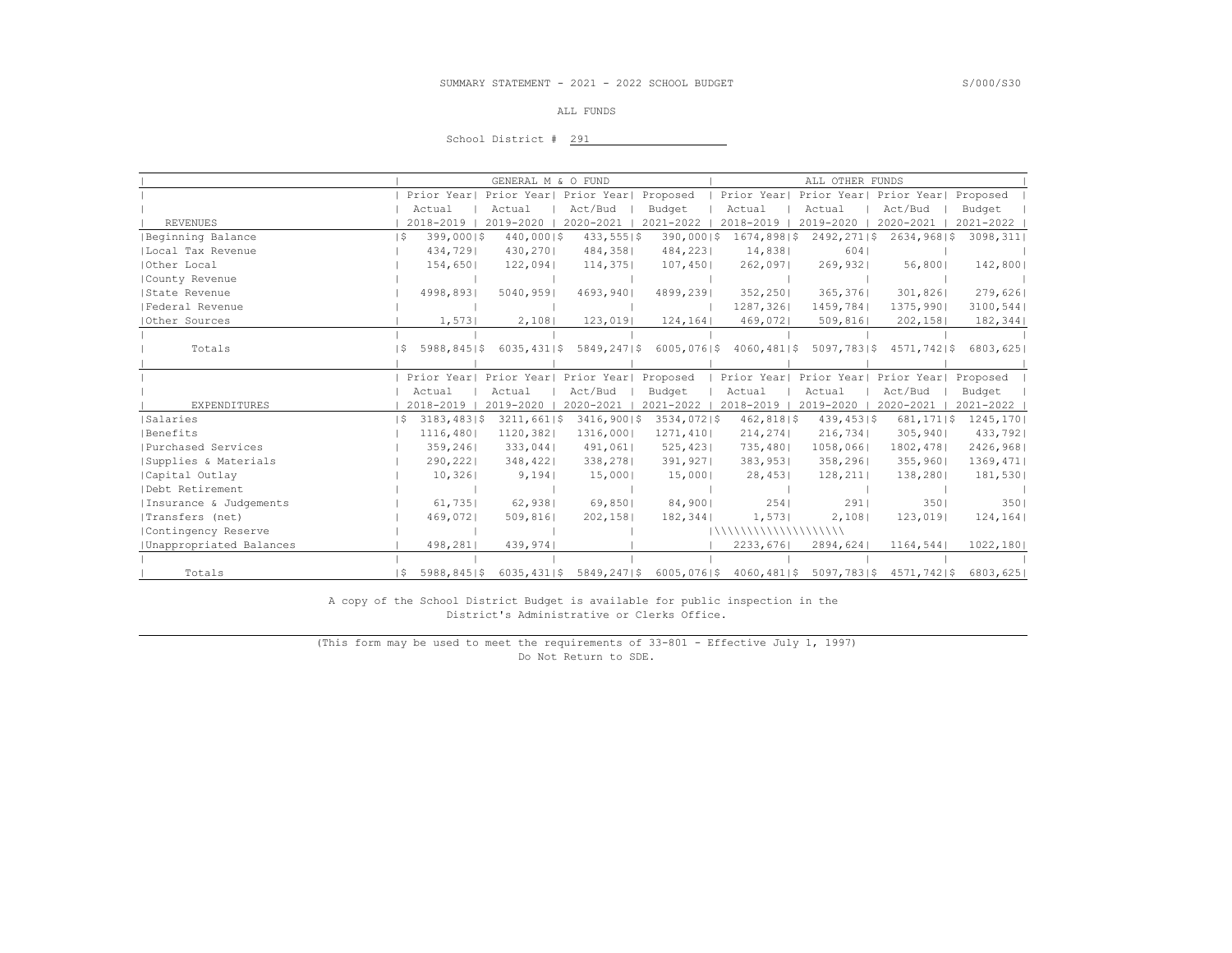#### ALL FUNDS

#### School District # 291

|                         |             | GENERAL M & O FUND                 |                               |                | ALL OTHER FUNDS         |                                     |                |           |
|-------------------------|-------------|------------------------------------|-------------------------------|----------------|-------------------------|-------------------------------------|----------------|-----------|
|                         | Prior Yearl | Prior Year                         | Prior Year                    | Proposed       | Prior Year              | Prior Year  Prior Year              |                | Proposed  |
|                         | Actual      | Actual                             | Act/Bud                       | Budget         | Actual                  | Actual                              | Act/Bud        | Budget    |
| <b>REVENUES</b>         | 2018-2019   | 2019-2020                          | 2020-2021                     | 2021-2022      | 2018-2019               | 2019-2020                           | 2020-2021      | 2021-2022 |
| Beginning Balance       | S           | 399,00015<br>$440,000$  \$         | $433,555$  \$                 | $390,000$  \$  | 1674,8981\$             | 2492, 271   \$                      | $2634,968$  \$ | 3098, 311 |
| Local Tax Revenue       |             | 430,270<br>434,7291                | 484,358                       | 484,2231       | 14,838                  | 6041                                |                |           |
| Other Local             |             | 154,650<br>122,094                 | 114,375                       | 107,450        | 262,097                 | 269,932                             | 56,800         | 142,800   |
| County Revenue          |             |                                    |                               |                |                         |                                     |                |           |
| State Revenue           |             | 4998,8931<br>5040,9591             | 4693,9401                     | 4899,2391      | 352, 2501               | 365,3761                            | 301,826        | 279,6261  |
| Federal Revenue         |             |                                    |                               |                | 1287,326                | 1459,7841                           | 1375,9901      | 3100,544  |
| Other Sources           |             | 1,573<br>2,108                     | 123,019                       | 124, 164       | 469,072                 | 509,816                             | 202, 158       | 182, 344  |
|                         |             |                                    |                               |                |                         |                                     |                |           |
| Totals                  | ΙS          | $5988, 845$   \$<br>6035, 43115    | 5849,2471\$                   | $6005,076$  \$ | $4060, 481$  \$         | 5097,783 \$                         | $4571,742$  \$ | 6803,625  |
|                         |             |                                    |                               |                |                         |                                     |                |           |
|                         | Prior Year  | Prior Year                         | Prior Year                    | Proposed       | Prior Year              | Prior Year  Prior Year              |                | Proposed  |
|                         | Actual      | Actual                             | Act/Bud                       | Budget         | Actual                  | Actual                              | Act/Bud        | Budget    |
| <b>EXPENDITURES</b>     | 2018-2019   | 2019-2020                          | 2020-2021                     | 2021-2022      | 2018-2019               | 2019-2020                           | 2020-2021      | 2021-2022 |
| Salaries                | ΙS          | $3183, 483$   \$<br>$3211,661$  \$ | 3416,90015                    | $3534,072$  \$ | $462,818$  \$           | $439, 453$   \$                     | 681, 17115     | 1245, 170 |
| Benefits                |             | 1116,480 <br>1120,382              | 1316,000                      | 1271,410       | 214, 274                | 216,734                             | 305,940        | 433,792   |
| Purchased Services      |             | 359,2461<br>333,044                | 491,061                       | 525, 423       | 735,4801                | 1058,066                            | 1802, 478      | 2426,968  |
| Supplies & Materials    |             | 290, 222<br>348, 422               | 338, 278                      | 391,927        | 383,953                 | 358, 296                            | 355,960        | 1369,471  |
| Capital Outlay          |             | 10,326<br>9,194                    | 15,000                        | 15,000         | 28,453                  | 128, 211                            | 138,280        | 181,530   |
| Debt Retirement         |             |                                    |                               |                |                         |                                     |                |           |
| Insurance & Judgements  |             | 61,735<br>62,938                   | 69,8501                       | 84,900         | 254                     | 291                                 | 3501           | 3501      |
| Transfers (net)         |             | 469,0721<br>509,816                | 202,1581                      | 182, 344       | 1,573                   | 2,108                               | 123,019        | 124, 164  |
| Contingency Reserve     |             |                                    |                               |                | 11111111111111111111111 |                                     |                |           |
| Unappropriated Balances |             | 498,281 <br>439,974                |                               |                | 2233,676                | 2894,624                            | 1164,544       | 1022, 180 |
|                         |             |                                    |                               |                |                         |                                     |                |           |
| Totals                  | ΙS          | $5988, 845$   \$                   | $6035, 431$   \$5849, 247  \$ | $6005,076$  \$ |                         | 4060,481 \$ 5097,783 \$ 4571,742 \$ |                | 6803,6251 |

 A copy of the School District Budget is available for public inspection in the District's Administrative or Clerks Office.

 (This form may be used to meet the requirements of 33-801 - Effective July 1, 1997) Do Not Return to SDE.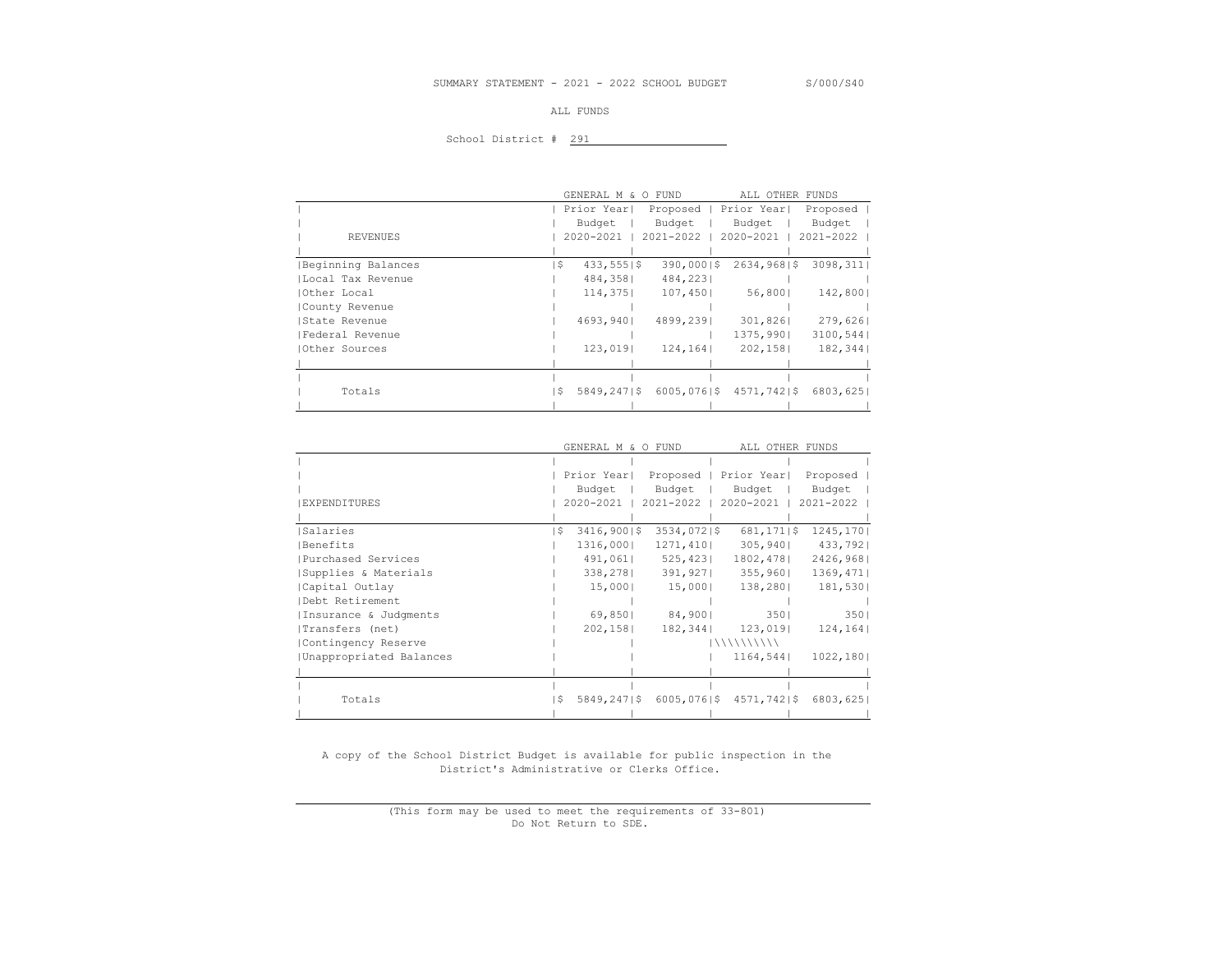#### ALL FUNDS

# School District # 291

|               |                    |      |               | GENERAL M & O FUND | ALL OTHER FUNDS |           |
|---------------|--------------------|------|---------------|--------------------|-----------------|-----------|
|               |                    |      | Prior Year    | Proposed           | Prior Year      | Proposed  |
|               |                    |      | Budget        | Budget             | Budget          | Budget    |
|               | REVENUES           |      | 2020-2021     | 2021-2022          | 2020-2021       | 2021-2022 |
|               |                    |      |               |                    |                 |           |
|               | Beginning Balances | ۱\$. | $433,555$  \$ | 390,00015          | $2634,968$  \$  | 3098, 311 |
|               | Local Tax Revenue  |      | 484,358       | 484,2231           |                 |           |
| Other Local   |                    |      | 114,375       | 107,450            | 56,800          | 142,8001  |
|               | County Revenue     |      |               |                    |                 |           |
| State Revenue |                    |      | 4693,9401     | 4899,2391          | 301,826         | 279,626   |
|               | Federal Revenue    |      |               |                    | 1375,9901       | 3100,544  |
| Other Sources |                    |      | 123,019       | 124, 164           | 202,158         | 182,344   |
|               |                    |      |               |                    |                 |           |
|               |                    |      |               |                    |                 |           |
|               | Totals             | IS.  | 5849,2471\$   | $6005,076$  \$     | $4571,742$  \$  | 6803,6251 |
|               |                    |      |               |                    |                 |           |

| ALL OTHER FUNDS                       |
|---------------------------------------|
|                                       |
| Proposed                              |
| Budget                                |
| 2021-2022                             |
|                                       |
| $681, 171$   \$<br>1245, 170          |
| 433,7921                              |
| 2426,968                              |
| 1369,471                              |
| 181,530                               |
|                                       |
| 3501                                  |
| 124, 164                              |
|                                       |
| 1022,1801                             |
|                                       |
|                                       |
| $6005,076$  \$4571,742 \$<br>6803,625 |
|                                       |
|                                       |

 A copy of the School District Budget is available for public inspection in the District's Administrative or Clerks Office.

> (This form may be used to meet the requirements of 33-801) Do Not Return to SDE.